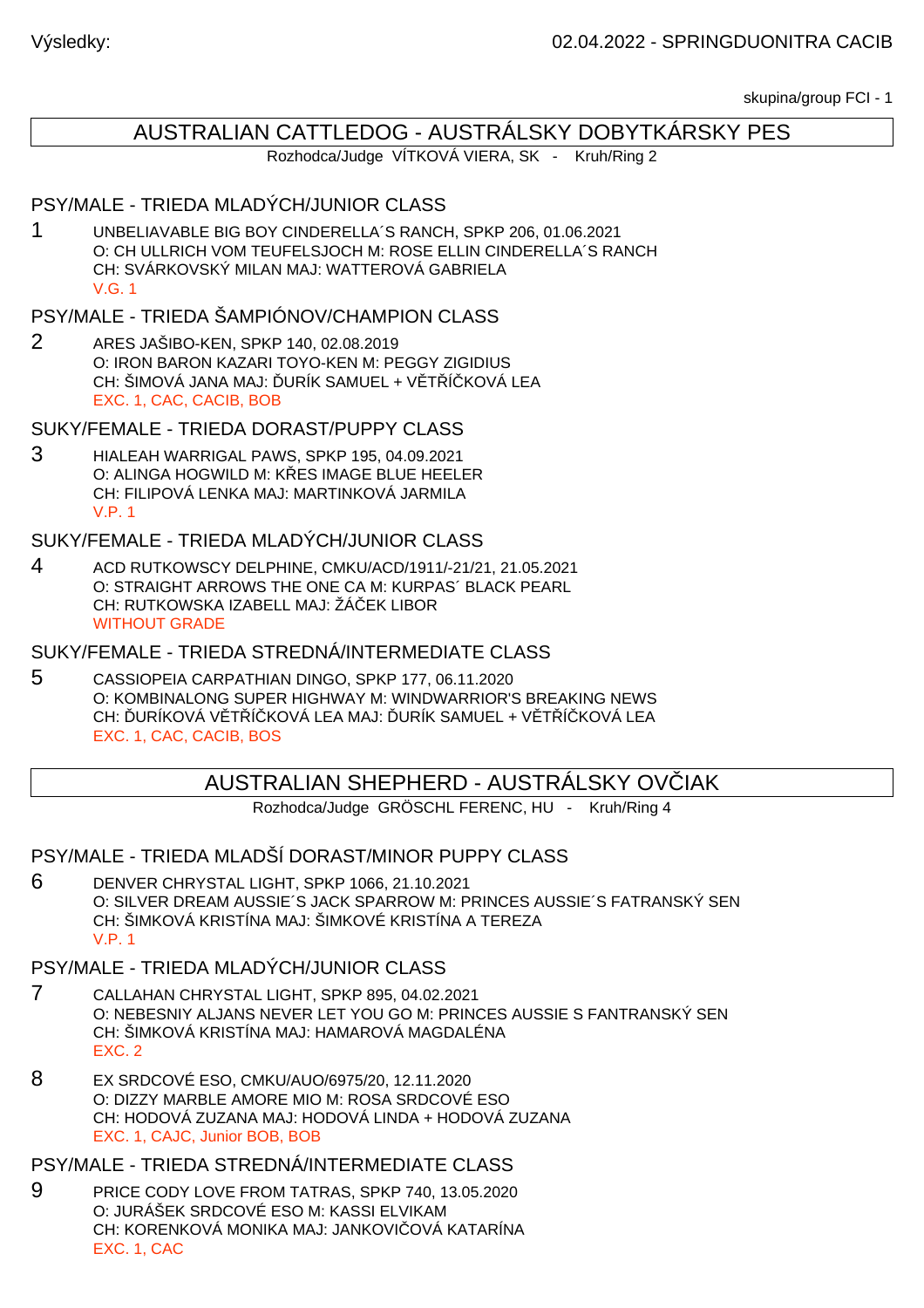skupina/group FCI - 1

# AUSTRALIAN CATTLEDOG - AUSTRÁLSKY DOBYTKÁRSKY PES

Rozhodca/Judge VÍTKOVÁ VIERA, SK - Kruh/Ring 2

## PSY/MALE - TRIEDA MLADÝCH/JUNIOR CLASS

1 UNBELIAVABLE BIG BOY CINDERELLA´S RANCH, SPKP 206, 01.06.2021 O: CH ULLRICH VOM TEUFELSJOCH M: ROSE ELLIN CINDERELLA´S RANCH CH: SVÁRKOVSKÝ MILAN MAJ: WATTEROVÁ GABRIELA V.G. 1

## PSY/MALE - TRIEDA ŠAMPIÓNOV/CHAMPION CLASS

2 ARES JAŠIBO-KEN, SPKP 140, 02.08.2019 O: IRON BARON KAZARI TOYO-KEN M: PEGGY ZIGIDIUS CH: ŠIMOVÁ JANA MAJ: URÍK SAMUEL + V T Í KOVÁ LEA EXC. 1, CAC, CACIB, BOB

SUKY/FEMALE - TRIEDA DORAST/PUPPY CLASS

3 HIALEAH WARRIGAL PAWS, SPKP 195, 04.09.2021 O: ALINGA HOGWILD M: K ES IMAGE BLUE HEELER CH: FILIPOVÁ LENKA MAJ: MARTINKOVÁ JARMILA V.P. 1

SUKY/FEMALE - TRIEDA MLADÝCH/JUNIOR CLASS

4 ACD RUTKOWSCY DELPHINE, CMKU/ACD/1911/-21/21, 21.05.2021 O: STRAIGHT ARROWS THE ONE CA M: KURPAS´ BLACK PEARL CH: RUTKOWSKA IZABELL MAJ: ŽÁ EK LIBOR WITHOUT GRADE

SUKY/FEMALE - TRIEDA STREDNÁ/INTERMEDIATE CLASS

5 CASSIOPEIA CARPATHIAN DINGO, SPKP 177, 06.11.2020 O: KOMBINALONG SUPER HIGHWAY M: WINDWARRIOR'S BREAKING NEWS CH: URÍKOVÁ V TÍKOVÁ LEA MAJ: URÍK SAMUEL + V TÍKOVÁ LEA EXC. 1, CAC, CACIB, BOS

## AUSTRALIAN SHEPHERD - AUSTRÁLSKY OVČIAK

Rozhodca/Judge GRÖSCHL FERENC, HU - Kruh/Ring 4

PSY/MALE - TRIEDA MLADŠÍ DORAST/MINOR PUPPY CLASS

6 DENVER CHRYSTAL LIGHT, SPKP 1066, 21.10.2021 O: SILVER DREAM AUSSIE´S JACK SPARROW M: PRINCES AUSSIE´S FATRANSKÝ SEN CH: ŠIMKOVÁ KRISTÍNA MAJ: ŠIMKOVÉ KRISTÍNA A TEREZA V.P. 1

## PSY/MALE - TRIEDA MLADÝCH/JUNIOR CLASS

- 7 CALLAHAN CHRYSTAL LIGHT, SPKP 895, 04.02.2021 O: NEBESNIY ALJANS NEVER LET YOU GO M: PRINCES AUSSIE S FANTRANSKÝ SEN CH: ŠIMKOVÁ KRISTÍNA MAJ: HAMAROVÁ MAGDALÉNA EXC. 2
- 8 EX SRDCOVÉ ESO, CMKU/AUO/6975/20, 12.11.2020 O: DIZZY MARBLE AMORE MIO M: ROSA SRDCOVÉ ESO CH: HODOVÁ ZUZANA MAJ: HODOVÁ LINDA + HODOVÁ ZUZANA EXC. 1, CAJC, Junior BOB, BOB

PSY/MALE - TRIEDA STREDNÁ/INTERMEDIATE CLASS

9 PRICE CODY LOVE FROM TATRAS, SPKP 740, 13.05.2020 O: JURÁŠEK SRDCOVÉ ESO M: KASSI ELVIKAM CH: KORENKOVÁ MONIKA MAJ: JANKOVI OVÁ KATARÍNA EXC. 1, CAC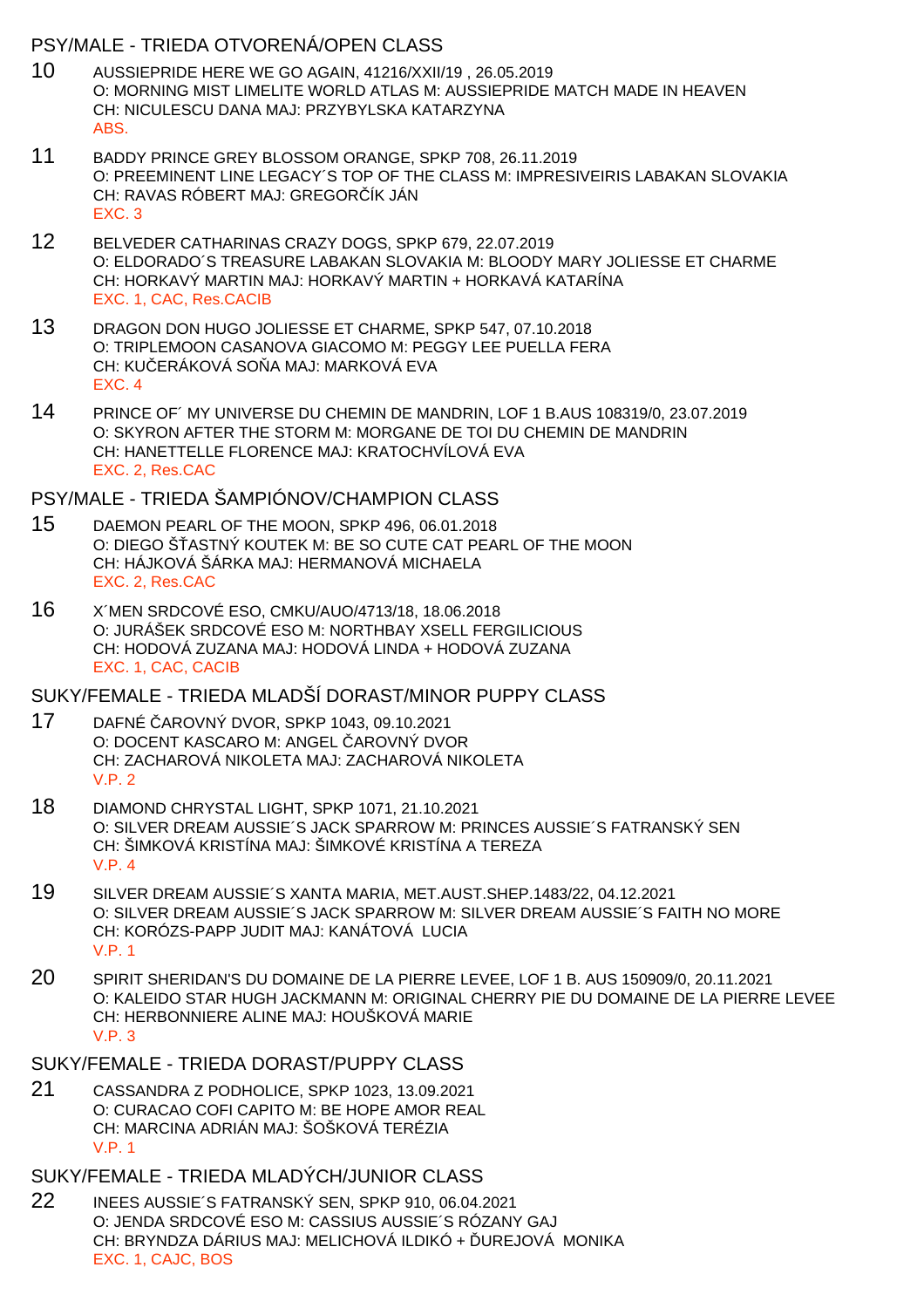### PSY/MALE - TRIEDA OTVORENÁ/OPEN CLASS

- 10 AUSSIEPRIDE HERE WE GO AGAIN, 41216/XXII/19 , 26.05.2019 O: MORNING MIST LIMELITE WORLD ATLAS M: AUSSIEPRIDE MATCH MADE IN HEAVEN CH: NICULESCU DANA MAJ: PRZYBYLSKA KATARZYNA ABS.
- 11 BADDY PRINCE GREY BLOSSOM ORANGE, SPKP 708, 26.11.2019 O: PREEMINENT LINE LEGACY´S TOP OF THE CLASS M: IMPRESIVEIRIS LABAKAN SLOVAKIA CH: RAVAS RÓBERT MAJ: GREGOR ÍK JÁN EXC. 3
- 12 BELVEDER CATHARINAS CRAZY DOGS, SPKP 679, 22.07.2019 O: ELDORADO´S TREASURE LABAKAN SLOVAKIA M: BLOODY MARY JOLIESSE ET CHARME CH: HORKAVÝ MARTIN MAJ: HORKAVÝ MARTIN + HORKAVÁ KATARÍNA EXC. 1, CAC, Res.CACIB
- 13 DRAGON DON HUGO JOLIESSE ET CHARME, SPKP 547, 07.10.2018 O: TRIPLEMOON CASANOVA GIACOMO M: PEGGY LEE PUELLA FERA CH: KU ERÁKOVÁ SO A MAJ: MARKOVÁ EVA EXC. 4
- 14 PRINCE OF´ MY UNIVERSE DU CHEMIN DE MANDRIN, LOF 1 B.AUS 108319/0, 23.07.2019 O: SKYRON AFTER THE STORM M: MORGANE DE TOI DU CHEMIN DE MANDRIN CH: HANETTELLE FLORENCE MAJ: KRATOCHVÍLOVÁ EVA EXC. 2, Res.CAC

PSY/MALE - TRIEDA ŠAMPIÓNOV/CHAMPION CLASS

- 15 DAEMON PEARL OF THE MOON, SPKP 496, 06.01.2018 O: DIEGO ŠASTNÝ KOUTEK M: BE SO CUTE CAT PEARL OF THE MOON CH: HÁJKOVÁ ŠÁRKA MAJ: HERMANOVÁ MICHAELA EXC. 2, Res.CAC
- 16 X´MEN SRDCOVÉ ESO, CMKU/AUO/4713/18, 18.06.2018 O: JURÁŠEK SRDCOVÉ ESO M: NORTHBAY XSELL FERGILICIOUS CH: HODOVÁ ZUZANA MAJ: HODOVÁ LINDA + HODOVÁ ZUZANA EXC. 1, CAC, CACIB

### SUKY/FEMALE - TRIEDA MLADŠÍ DORAST/MINOR PUPPY CLASS

- 17 DAFNÉ AROVNÝ DVOR, SPKP 1043, 09.10.2021 O: DOCENT KASCARO M: ANGEL AROVNÝ DVOR CH: ZACHAROVÁ NIKOLETA MAJ: ZACHAROVÁ NIKOLETA V.P. 2
- 18 DIAMOND CHRYSTAL LIGHT, SPKP 1071, 21.10.2021 O: SILVER DREAM AUSSIE´S JACK SPARROW M: PRINCES AUSSIE´S FATRANSKÝ SEN CH: ŠIMKOVÁ KRISTÍNA MAJ: ŠIMKOVÉ KRISTÍNA A TEREZA  $V P 4$
- 19 SILVER DREAM AUSSIE´S XANTA MARIA, MET.AUST.SHEP.1483/22, 04.12.2021 O: SILVER DREAM AUSSIE´S JACK SPARROW M: SILVER DREAM AUSSIE´S FAITH NO MORE CH: KORÓZS-PAPP JUDIT MAJ: KANÁTOVÁ LUCIA V.P. 1
- 20 SPIRIT SHERIDAN'S DU DOMAINE DE LA PIERRE LEVEE, LOF 1 B. AUS 150909/0, 20.11.2021 O: KALEIDO STAR HUGH JACKMANN M: ORIGINAL CHERRY PIE DU DOMAINE DE LA PIERRE LEVEE CH: HERBONNIERE ALINE MAJ: HOUŠKOVÁ MARIE V.P. 3
- SUKY/FEMALE TRIEDA DORAST/PUPPY CLASS
- 21 CASSANDRA Z PODHOLICE, SPKP 1023, 13.09.2021 O: CURACAO COFI CAPITO M: BE HOPE AMOR REAL CH: MARCINA ADRIÁN MAJ: ŠOŠKOVÁ TERÉZIA V.P. 1
- SUKY/FEMALE TRIEDA MLADÝCH/JUNIOR CLASS
- 22 INEES AUSSIE´S FATRANSKÝ SEN, SPKP 910, 06.04.2021 O: JENDA SRDCOVÉ ESO M: CASSIUS AUSSIE´S RÓZANY GAJ CH: BRYNDZA DÁRIUS MAJ: MELICHOVÁ ILDIKÓ + UREJOVÁ MONIKA EXC. 1, CAJC, BOS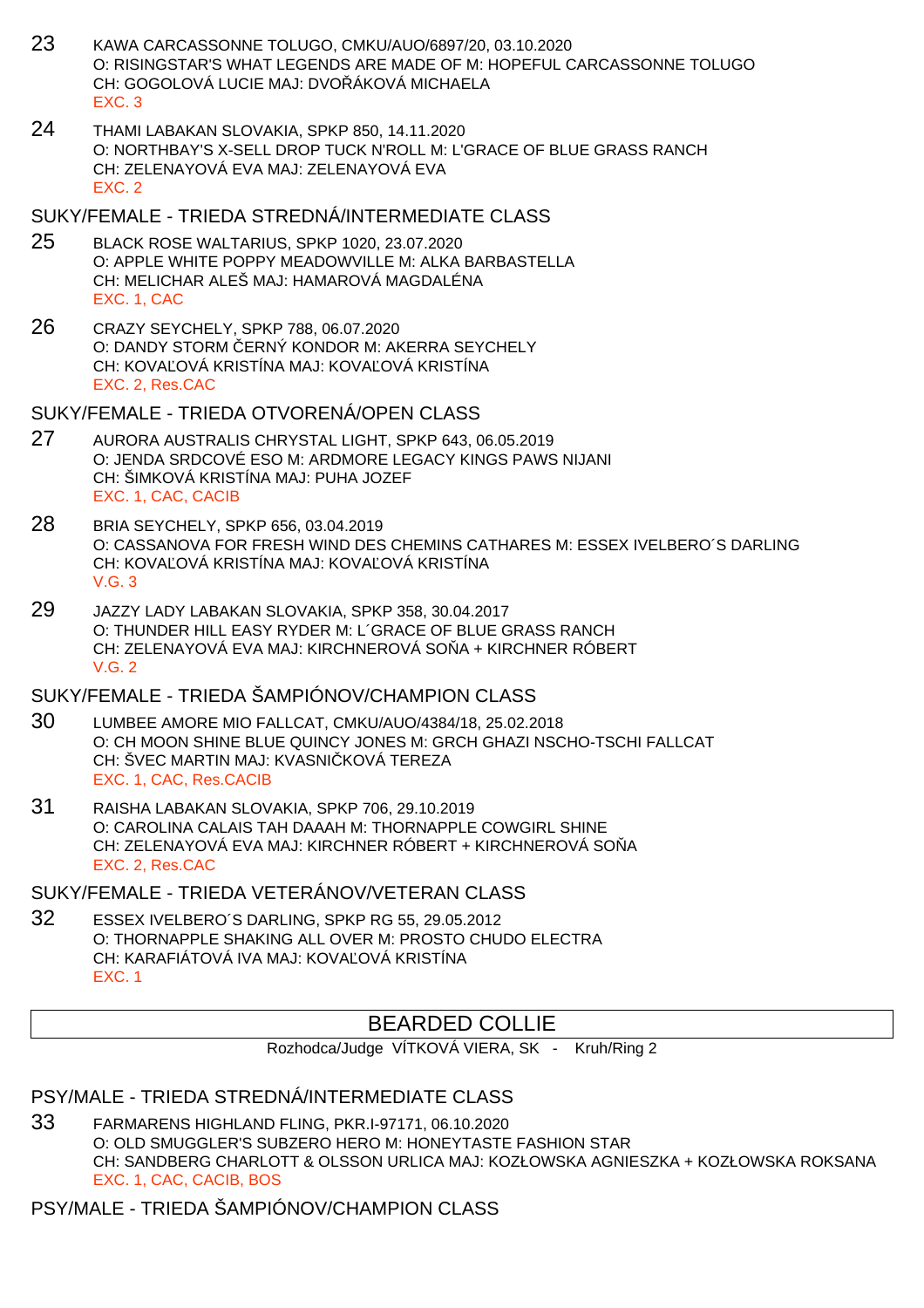- 23 KAWA CARCASSONNE TOLUGO, CMKU/AUO/6897/20, 03.10.2020 O: RISINGSTAR'S WHAT LEGENDS ARE MADE OF M: HOPEFUL CARCASSONNE TOLUGO CH: GOGOLOVÁ LUCIE MAJ: DVOŘÁKOVÁ MICHAELA EXC. 3
- 24 THAMI LABAKAN SLOVAKIA, SPKP 850, 14.11.2020 O: NORTHBAY'S X-SELL DROP TUCK N'ROLL M: L'GRACE OF BLUE GRASS RANCH CH: ZELENAYOVÁ EVA MAJ: ZELENAYOVÁ EVA EXC. 2

### SUKY/FEMALE - TRIEDA STREDNÁ/INTERMEDIATE CLASS

- 25 BLACK ROSE WALTARIUS, SPKP 1020, 23.07.2020 O: APPLE WHITE POPPY MEADOWVILLE M: ALKA BARBASTELLA CH: MELICHAR ALEŠ MAJ: HAMAROVÁ MAGDALÉNA EXC. 1, CAC
- 26 CRAZY SEYCHELY, SPKP 788, 06.07.2020 O: DANDY STORM ERNÝ KONDOR M: AKERRA SEYCHELY CH: KOVA OVÁ KRISTÍNA MAJ: KOVA OVÁ KRISTÍNA EXC. 2, Res.CAC

SUKY/FEMALE - TRIEDA OTVORENÁ/OPEN CLASS

- 27 AURORA AUSTRALIS CHRYSTAL LIGHT, SPKP 643, 06.05.2019 O: JENDA SRDCOVÉ ESO M: ARDMORE LEGACY KINGS PAWS NIJANI CH: ŠIMKOVÁ KRISTÍNA MAJ: PUHA JOZEF EXC. 1, CAC, CACIB
- 28 BRIA SEYCHELY, SPKP 656, 03.04.2019 O: CASSANOVA FOR FRESH WIND DES CHEMINS CATHARES M: ESSEX IVELBERO´S DARLING CH: KOVA OVÁ KRISTÍNA MAJ: KOVA OVÁ KRISTÍNA V.G. 3
- 29 JAZZY LADY LABAKAN SLOVAKIA, SPKP 358, 30.04.2017 O: THUNDER HILL EASY RYDER M: L´GRACE OF BLUE GRASS RANCH CH: ZELENAYOVÁ EVA MAJ: KIRCHNEROVÁ SO A + KIRCHNER RÓBERT V.G. 2

## SUKY/FEMALE - TRIEDA ŠAMPIÓNOV/CHAMPION CLASS

- 30 LUMBEE AMORE MIO FALLCAT, CMKU/AUO/4384/18, 25.02.2018 O: CH MOON SHINE BLUE QUINCY JONES M: GRCH GHAZI NSCHO-TSCHI FALLCAT CH: ŠVEC MARTIN MAJ: KVASNI KOVÁ TEREZA EXC. 1, CAC, Res.CACIB
- 31 RAISHA LABAKAN SLOVAKIA, SPKP 706, 29.10.2019 O: CAROLINA CALAIS TAH DAAAH M: THORNAPPLE COWGIRL SHINE CH: ZELENAYOVÁ EVA MAJ: KIRCHNER RÓBERT + KIRCHNEROVÁ SO Å EXC. 2, Res.CAC

SUKY/FEMALE - TRIEDA VETERÁNOV/VETERAN CLASS

32 ESSEX IVELBERO´S DARLING, SPKP RG 55, 29.05.2012 O: THORNAPPLE SHAKING ALL OVER M: PROSTO CHUDO ELECTRA CH: KARAFIÁTOVÁ IVA MAJ: KOVA OVÁ KRISTÍNA EXC. 1

## BEARDED COLLIE

Rozhodca/Judge VÍTKOVÁ VIERA, SK - Kruh/Ring 2

## PSY/MALE - TRIEDA STREDNÁ/INTERMEDIATE CLASS

33 FARMARENS HIGHLAND FLING, PKR.I-97171, 06.10.2020 O: OLD SMUGGLER'S SUBZERO HERO M: HONEYTASTE FASHION STAR CH: SANDBERG CHARLOTT & OLSSON URLICA MAJ: KOZŁOWSKA AGNIESZKA + KOZŁOWSKA ROKSANA EXC. 1, CAC, CACIB, BOS

## PSY/MALE - TRIEDA ŠAMPIÓNOV/CHAMPION CLASS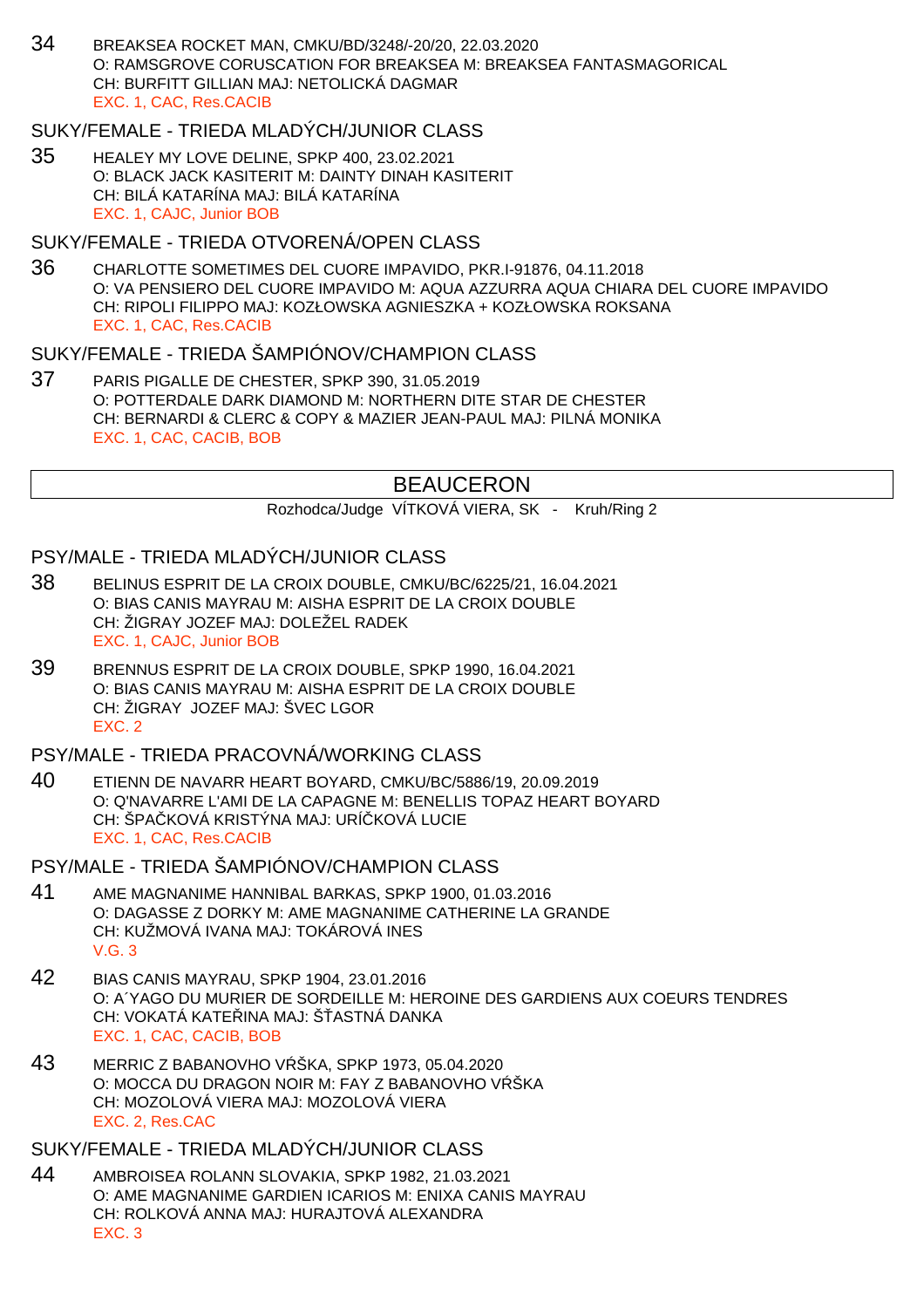34 BREAKSEA ROCKET MAN, CMKU/BD/3248/-20/20, 22.03.2020 O: RAMSGROVE CORUSCATION FOR BREAKSEA M: BREAKSEA FANTASMAGORICAL CH: BURFITT GILLIAN MAJ: NETOLICKÁ DAGMAR EXC. 1, CAC, Res.CACIB

### SUKY/FEMALE - TRIEDA MLADÝCH/JUNIOR CLASS

35 HEALEY MY LOVE DELINE, SPKP 400, 23.02.2021 O: BLACK JACK KASITERIT M: DAINTY DINAH KASITERIT CH: BILÁ KATARÍNA MAJ: BILÁ KATARÍNA EXC. 1, CAJC, Junior BOB

### SUKY/FEMALE - TRIEDA OTVORENÁ/OPEN CLASS

36 CHARLOTTE SOMETIMES DEL CUORE IMPAVIDO, PKR.I-91876, 04.11.2018 O: VA PENSIERO DEL CUORE IMPAVIDO M: AQUA AZZURRA AQUA CHIARA DEL CUORE IMPAVIDO CH: RIPOLI FILIPPO MAJ: KOZŁOWSKA AGNIESZKA + KOZŁOWSKA ROKSANA EXC. 1, CAC, Res.CACIB

### SUKY/FEMALE - TRIEDA ŠAMPIÓNOV/CHAMPION CLASS

37 PARIS PIGALLE DE CHESTER, SPKP 390, 31.05.2019 O: POTTERDALE DARK DIAMOND M: NORTHERN DITE STAR DE CHESTER CH: BERNARDI & CLERC & COPY & MAZIER JEAN-PAUL MAJ: PILNÁ MONIKA EXC. 1, CAC, CACIB, BOB

## BEAUCERON

Rozhodca/Judge VÍTKOVÁ VIERA, SK - Kruh/Ring 2

### PSY/MALE - TRIEDA MLADÝCH/JUNIOR CLASS

- 38 BELINUS ESPRIT DE LA CROIX DOUBLE, CMKU/BC/6225/21, 16.04.2021 O: BIAS CANIS MAYRAU M: AISHA ESPRIT DE LA CROIX DOUBLE CH: ŽIGRAY JOZEF MAJ: DOLEŽEL RADEK EXC. 1, CAJC, Junior BOB
- 39 BRENNUS ESPRIT DE LA CROIX DOUBLE, SPKP 1990, 16.04.2021 O: BIAS CANIS MAYRAU M: AISHA ESPRIT DE LA CROIX DOUBLE CH: ŽIGRAY JOZEF MAJ: ŠVEC LGOR EXC. 2

### PSY/MALE - TRIEDA PRACOVNÁ/WORKING CLASS

40 ETIENN DE NAVARR HEART BOYARD, CMKU/BC/5886/19, 20.09.2019 O: Q'NAVARRE L'AMI DE LA CAPAGNE M: BENELLIS TOPAZ HEART BOYARD CH: ŠPA KOVÁ KRISTÝNA MAJ: URÍ KOVÁ LUCIE EXC. 1, CAC, Res.CACIB

PSY/MALE - TRIEDA ŠAMPIÓNOV/CHAMPION CLASS

- 41 AME MAGNANIME HANNIBAL BARKAS, SPKP 1900, 01.03.2016 O: DAGASSE Z DORKY M: AME MAGNANIME CATHERINE LA GRANDE CH: KUŽMOVÁ IVANA MAJ: TOKÁROVÁ INES V.G. 3
- 42 BIAS CANIS MAYRAU, SPKP 1904, 23.01.2016 O: A´YAGO DU MURIER DE SORDEILLE M: HEROINE DES GARDIENS AUX COEURS TENDRES CH: VOKATÁ KATE INA MAJ: Š ASTNÁ DANKA EXC. 1, CAC, CACIB, BOB
- 43 MERRIC Z BABANOVHO V ŠKA, SPKP 1973, 05.04.2020 O: MOCCA DU DRAGON NOIR M: FAY Z BABANOVHO V ŠKA CH: MOZOLOVÁ VIERA MAJ: MOZOLOVÁ VIERA EXC. 2, Res.CAC

SUKY/FEMALE - TRIEDA MLADÝCH/JUNIOR CLASS

44 AMBROISEA ROLANN SLOVAKIA, SPKP 1982, 21.03.2021 O: AME MAGNANIME GARDIEN ICARIOS M: ENIXA CANIS MAYRAU CH: ROLKOVÁ ANNA MAJ: HURAJTOVÁ ALEXANDRA EXC. 3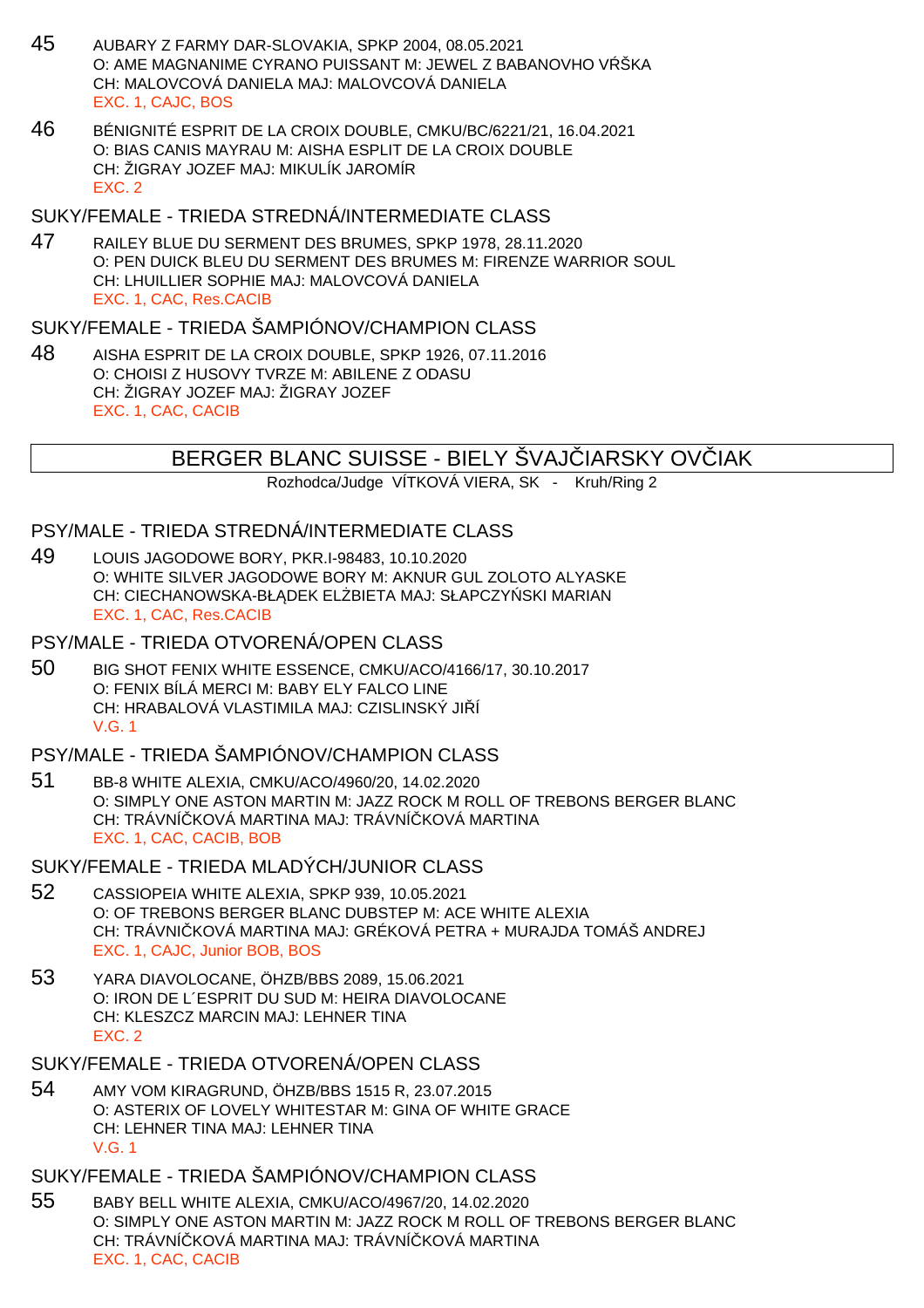- 45 AUBARY Z FARMY DAR-SLOVAKIA, SPKP 2004, 08.05.2021 O: AME MAGNANIME CYRANO PUISSANT M: JEWEL Z BABANOVHO V ŠKA CH: MALOVCOVÁ DANIELA MAJ: MALOVCOVÁ DANIELA EXC. 1, CAJC, BOS
- 46 BÉNIGNITÉ ESPRIT DE LA CROIX DOUBLE, CMKU/BC/6221/21, 16.04.2021 O: BIAS CANIS MAYRAU M: AISHA ESPLIT DE LA CROIX DOUBLE CH: ŽIGRAY JOZEF MAJ: MIKULÍK JAROMÍR EXC. 2

### SUKY/FEMALE - TRIEDA STREDNÁ/INTERMEDIATE CLASS

47 RAILEY BLUE DU SERMENT DES BRUMES, SPKP 1978, 28.11.2020 O: PEN DUICK BLEU DU SERMENT DES BRUMES M: FIRENZE WARRIOR SOUL CH: LHUILLIER SOPHIE MAJ: MALOVCOVÁ DANIELA EXC. 1, CAC, Res.CACIB

### SUKY/FEMALE - TRIEDA ŠAMPIÓNOV/CHAMPION CLASS

48 AISHA ESPRIT DE LA CROIX DOUBLE, SPKP 1926, 07.11.2016 O: CHOISI Z HUSOVY TVRZE M: ABILENE Z ODASU CH: ŽIGRAY JOZEF MAJ: ŽIGRAY JOZEF EXC. 1, CAC, CACIB

## BERGER BLANC SUISSE - BIELY ŠVAJ IARSKY OVIJAK

Rozhodca/Judge VÍTKOVÁ VIERA, SK - Kruh/Ring 2

### PSY/MALE - TRIEDA STREDNÁ/INTERMEDIATE CLASS

49 LOUIS JAGODOWE BORY, PKR.I-98483, 10.10.2020 O: WHITE SILVER JAGODOWE BORY M: AKNUR GUL ZOLOTO ALYASKE CH: CIECHANOWSKA-BŁ DEK EL BIETA MAJ: SŁAPCZY SKI MARIAN EXC. 1, CAC, Res.CACIB

### PSY/MALE - TRIEDA OTVORENÁ/OPEN CLASS

50 BIG SHOT FENIX WHITE ESSENCE, CMKU/ACO/4166/17, 30.10.2017 O: FENIX BÍLÁ MERCI M: BABY ELY FALCO LINE CH: HRABALOVÁ VLASTIMILA MAJ: CZISLINSKÝ JI Í V.G. 1

### PSY/MALE - TRIEDA ŠAMPIÓNOV/CHAMPION CLASS

51 BB-8 WHITE ALEXIA, CMKU/ACO/4960/20, 14.02.2020 O: SIMPLY ONE ASTON MARTIN M: JAZZ ROCK M ROLL OF TREBONS BERGER BLANC CH: TRÁVNÍ KOVÁ MARTINA MAJ: TRÁVNÍ KOVÁ MARTINA EXC. 1, CAC, CACIB, BOB

#### SUKY/FEMALE - TRIEDA MLADÝCH/JUNIOR CLASS

- 52 CASSIOPEIA WHITE ALEXIA, SPKP 939, 10.05.2021 O: OF TREBONS BERGER BLANC DUBSTEP M: ACE WHITE ALEXIA CH: TRÁVNI KOVÁ MARTINA MAJ: GRÉKOVÁ PETRA + MURAJDA TOMÁŠ ANDREJ EXC. 1, CAJC, Junior BOB, BOS
- 53 YARA DIAVOLOCANE, ÖHZB/BBS 2089, 15.06.2021 O: IRON DE L´ESPRIT DU SUD M: HEIRA DIAVOLOCANE CH: KLESZCZ MARCIN MAJ: LEHNER TINA EXC. 2

#### SUKY/FEMALE - TRIEDA OTVORENÁ/OPEN CLASS

54 AMY VOM KIRAGRUND, ÖHZB/BBS 1515 R, 23.07.2015 O: ASTERIX OF LOVELY WHITESTAR M: GINA OF WHITE GRACE CH: LEHNER TINA MAJ: LEHNER TINA V.G. 1

### SUKY/FEMALE - TRIEDA ŠAMPIÓNOV/CHAMPION CLASS

55 BABY BELL WHITE ALEXIA, CMKU/ACO/4967/20, 14.02.2020 O: SIMPLY ONE ASTON MARTIN M: JAZZ ROCK M ROLL OF TREBONS BERGER BLANC CH: TRÁVNÍ KOVÁ MARTINA MAJ: TRÁVNÍ KOVÁ MARTINA EXC. 1, CAC, CACIB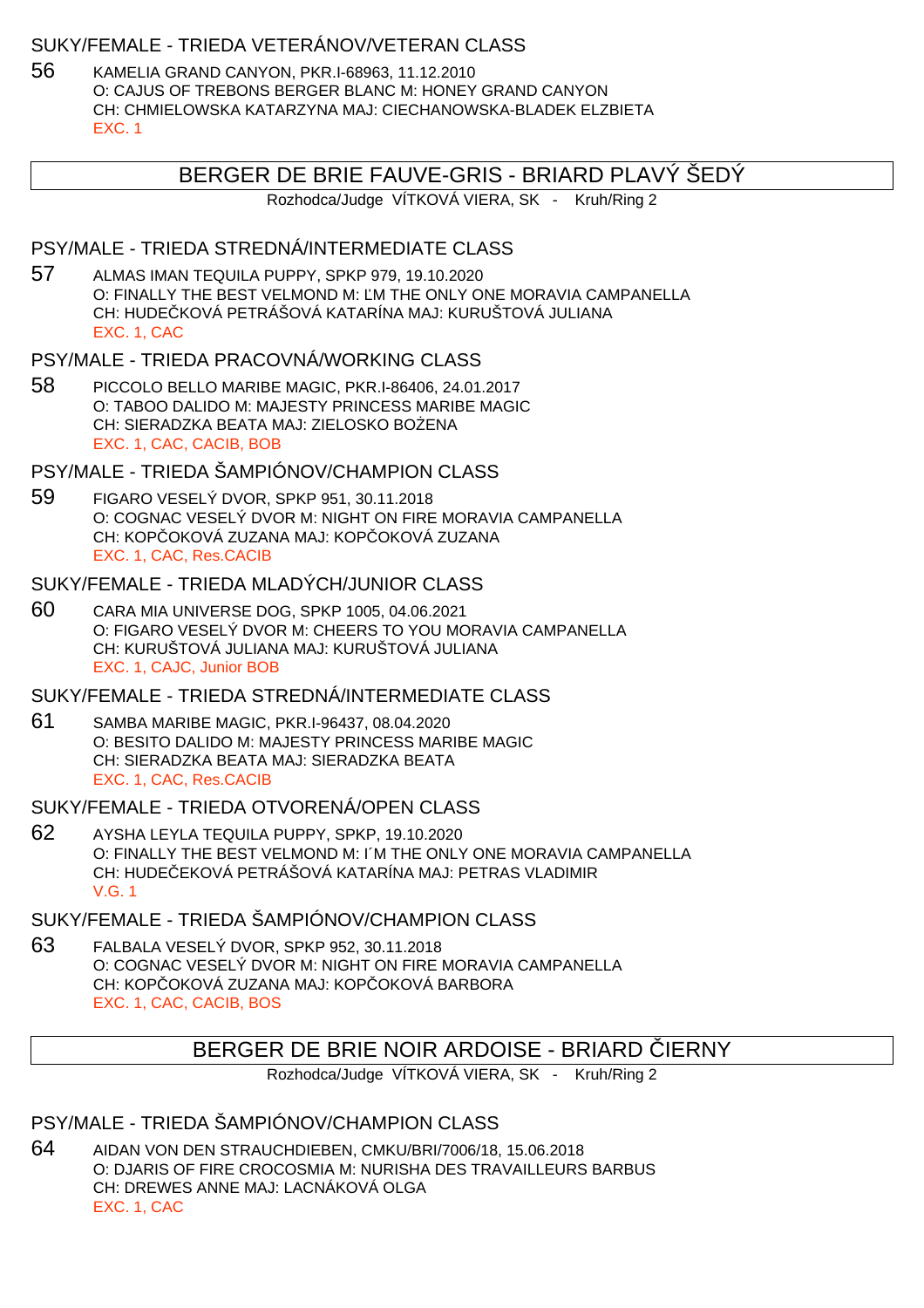### SUKY/FEMALE - TRIEDA VETERÁNOV/VETERAN CLASS

56 KAMELIA GRAND CANYON, PKR.I-68963, 11.12.2010 O: CAJUS OF TREBONS BERGER BLANC M: HONEY GRAND CANYON CH: CHMIELOWSKA KATARZYNA MAJ: CIECHANOWSKA-BLADEK ELZBIETA EXC. 1

## BERGER DE BRIE FAUVE-GRIS - BRIARD PLAVÝ ŠEDÝ

Rozhodca/Judge VÍTKOVÁ VIERA, SK - Kruh/Ring 2

## PSY/MALE - TRIEDA STREDNÁ/INTERMEDIATE CLASS

57 ALMAS IMAN TEQUILA PUPPY, SPKP 979, 19.10.2020 O: FINALLY THE BEST VELMOND M: M THE ONLY ONE MORAVIA CAMPANELLA CH: HUDE KOVÁ PETRÁŠOVÁ KATARÍNA MAJ: KURUŠTOVÁ JULIANA EXC. 1, CAC

### PSY/MALE - TRIEDA PRACOVNÁ/WORKING CLASS

58 PICCOLO BELLO MARIBE MAGIC, PKR.I-86406, 24.01.2017 O: TABOO DALIDO M: MAJESTY PRINCESS MARIBE MAGIC CH: SIERADZKA BEATA MAJ: ZIELOSKO BO ENA EXC. 1, CAC, CACIB, BOB

## PSY/MALE - TRIEDA ŠAMPIÓNOV/CHAMPION CLASS

59 FIGARO VESELÝ DVOR, SPKP 951, 30.11.2018 O: COGNAC VESELÝ DVOR M: NIGHT ON FIRE MORAVIA CAMPANELLA CH: KOPÓCKOVÁ ZUZANA MAJ: KOPÓCKOVÁ ZUZANA EXC. 1, CAC, Res.CACIB

### SUKY/FEMALE - TRIEDA MLADÝCH/JUNIOR CLASS

60 CARA MIA UNIVERSE DOG, SPKP 1005, 04.06.2021 O: FIGARO VESELÝ DVOR M: CHEERS TO YOU MORAVIA CAMPANELLA CH: KURUŠTOVÁ JULIANA MAJ: KURUŠTOVÁ JULIANA EXC. 1, CAJC, Junior BOB

### SUKY/FEMALE - TRIEDA STREDNÁ/INTERMEDIATE CLASS

61 SAMBA MARIBE MAGIC, PKR.I-96437, 08.04.2020 O: BESITO DALIDO M: MAJESTY PRINCESS MARIBE MAGIC CH: SIERADZKA BEATA MAJ: SIERADZKA BEATA EXC. 1, CAC, Res.CACIB

### SUKY/FEMALE - TRIEDA OTVORENÁ/OPEN CLASS

62 AYSHA LEYLA TEQUILA PUPPY, SPKP, 19.10.2020 O: FINALLY THE BEST VELMOND M: I´M THE ONLY ONE MORAVIA CAMPANELLA CH: HUDEČEKOVÁ PETRÁŠOVÁ KATARÍNA MAJ: PETRAS VLADIMIR V.G. 1

## SUKY/FEMALE - TRIEDA ŠAMPIÓNOV/CHAMPION CLASS

63 FALBALA VESELÝ DVOR, SPKP 952, 30.11.2018 O: COGNAC VESELÝ DVOR M: NIGHT ON FIRE MORAVIA CAMPANELLA CH: KOP OKOVÁ ZUZANA MAJ: KOP OKOVÁ BARBORA EXC. 1, CAC, CACIB, BOS

# BERGER DE BRIE NOIR ARDOISE - BRIARD IERNY

Rozhodca/Judge VÍTKOVÁ VIERA, SK - Kruh/Ring 2

## PSY/MALE - TRIEDA ŠAMPIÓNOV/CHAMPION CLASS

64 AIDAN VON DEN STRAUCHDIEBEN, CMKU/BRI/7006/18, 15.06.2018 O: DJARIS OF FIRE CROCOSMIA M: NURISHA DES TRAVAILLEURS BARBUS CH: DREWES ANNE MAJ: LACNÁKOVÁ OLGA EXC. 1, CAC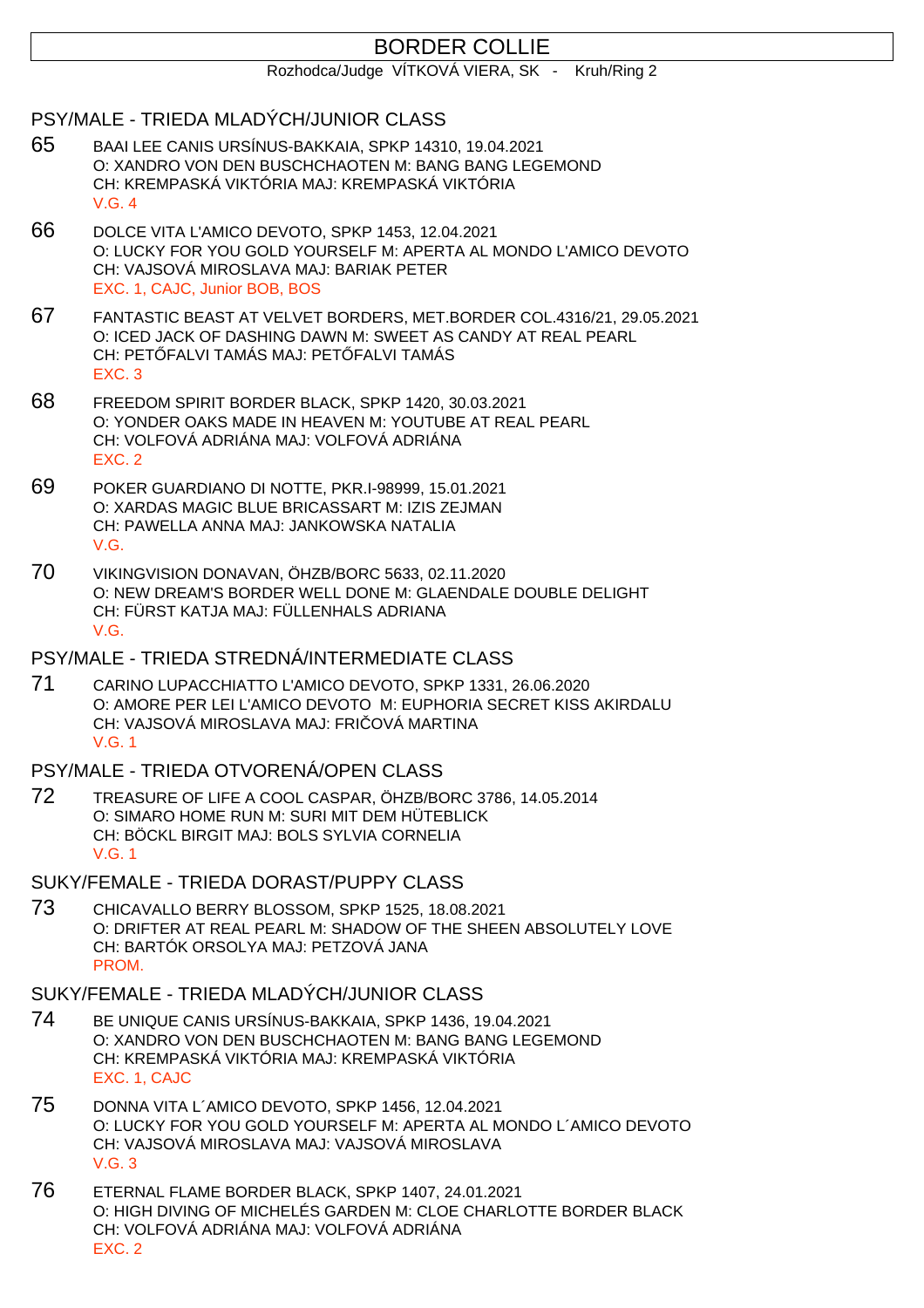# BORDER COLLIE

Rozhodca/Judge VÍTKOVÁ VIERA, SK - Kruh/Ring 2

## PSY/MALE - TRIEDA MLADÝCH/JUNIOR CLASS

- 65 BAAI LEE CANIS URSÍNUS-BAKKAIA, SPKP 14310, 19.04.2021 O: XANDRO VON DEN BUSCHCHAOTEN M: BANG BANG LEGEMOND CH: KREMPASKÁ VIKTÓRIA MAJ: KREMPASKÁ VIKTÓRIA V.G. 4
- 66 DOLCE VITA L'AMICO DEVOTO, SPKP 1453, 12.04.2021 O: LUCKY FOR YOU GOLD YOURSELF M: APERTA AL MONDO L'AMICO DEVOTO CH: VAJSOVÁ MIROSLAVA MAJ: BARIAK PETER EXC. 1, CAJC, Junior BOB, BOS
- 67 FANTASTIC BEAST AT VELVET BORDERS, MET.BORDER COL.4316/21, 29.05.2021 O: ICED JACK OF DASHING DAWN M: SWEET AS CANDY AT REAL PEARL CH: PET FALVI TAMÁS MAJ: PET FALVI TAMÁS EXC. 3
- 68 FREEDOM SPIRIT BORDER BLACK, SPKP 1420, 30.03.2021 O: YONDER OAKS MADE IN HEAVEN M: YOUTUBE AT REAL PEARL CH: VOLFOVÁ ADRIÁNA MAJ: VOLFOVÁ ADRIÁNA EXC. 2
- 69 POKER GUARDIANO DI NOTTE, PKR.I-98999, 15.01.2021 O: XARDAS MAGIC BLUE BRICASSART M: IZIS ZEJMAN CH: PAWELLA ANNA MAJ: JANKOWSKA NATALIA V.G.
- 70 VIKINGVISION DONAVAN, ÖHZB/BORC 5633, 02.11.2020 O: NEW DREAM'S BORDER WELL DONE M: GLAENDALE DOUBLE DELIGHT CH: FÜRST KATJA MAJ: FÜLLENHALS ADRIANA V.G.

PSY/MALE - TRIEDA STREDNÁ/INTERMEDIATE CLASS

- 71 CARINO LUPACCHIATTO L'AMICO DEVOTO, SPKP 1331, 26.06.2020 O: AMORE PER LEI L'AMICO DEVOTO M: EUPHORIA SECRET KISS AKIRDALU CH: VAJSOVÁ MIROSLAVA MAJ: FRI OVÁ MARTINA V.G. 1
- PSY/MALE TRIEDA OTVORENÁ/OPEN CLASS
- 72 TREASURE OF LIFE A COOL CASPAR, ÖHZB/BORC 3786, 14.05.2014 O: SIMARO HOME RUN M: SURI MIT DEM HÜTEBLICK CH: BÖCKL BIRGIT MAJ: BOLS SYLVIA CORNELIA V.G. 1

SUKY/FEMALE - TRIEDA DORAST/PUPPY CLASS

73 CHICAVALLO BERRY BLOSSOM, SPKP 1525, 18.08.2021 O: DRIFTER AT REAL PEARL M: SHADOW OF THE SHEEN ABSOLUTELY LOVE CH: BARTÓK ORSOLYA MAJ: PETZOVÁ JANA PROM.

## SUKY/FEMALE - TRIEDA MLADÝCH/JUNIOR CLASS

- 74 BE UNIQUE CANIS URSÍNUS-BAKKAIA, SPKP 1436, 19.04.2021 O: XANDRO VON DEN BUSCHCHAOTEN M: BANG BANG LEGEMOND CH: KREMPASKÁ VIKTÓRIA MAJ: KREMPASKÁ VIKTÓRIA EXC. 1, CAJC
- 75 DONNA VITA L´AMICO DEVOTO, SPKP 1456, 12.04.2021 O: LUCKY FOR YOU GOLD YOURSELF M: APERTA AL MONDO L´AMICO DEVOTO CH: VAJSOVÁ MIROSLAVA MAJ: VAJSOVÁ MIROSLAVA V.G. 3
- 76 ETERNAL FLAME BORDER BLACK, SPKP 1407, 24.01.2021 O: HIGH DIVING OF MICHELÉS GARDEN M: CLOE CHARLOTTE BORDER BLACK CH: VOLFOVÁ ADRIÁNA MAJ: VOLFOVÁ ADRIÁNA EXC. 2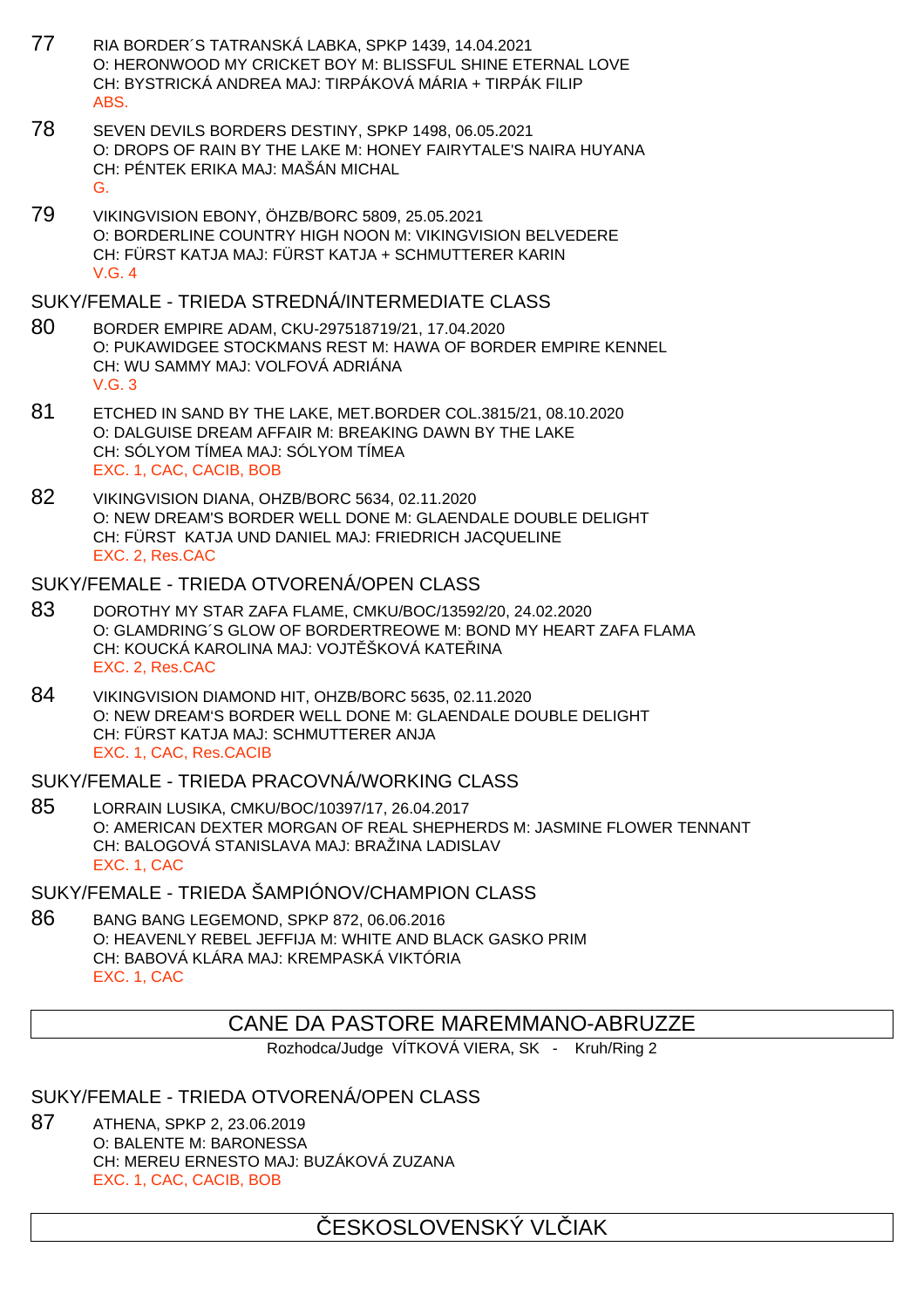- 77 RIA BORDER´S TATRANSKÁ LABKA, SPKP 1439, 14.04.2021 O: HERONWOOD MY CRICKET BOY M: BLISSFUL SHINE ETERNAL LOVE CH: BYSTRICKÁ ANDREA MAJ: TIRPÁKOVÁ MÁRIA + TIRPÁK FILIP ABS.
- 78 SEVEN DEVILS BORDERS DESTINY, SPKP 1498, 06.05.2021 O: DROPS OF RAIN BY THE LAKE M: HONEY FAIRYTALE'S NAIRA HUYANA CH: PÉNTEK ERIKA MAJ: MAŠÁN MICHAL G.
- 79 VIKINGVISION EBONY, ÖHZB/BORC 5809, 25.05.2021 O: BORDERLINE COUNTRY HIGH NOON M: VIKINGVISION BELVEDERE CH: FÜRST KATJA MAJ: FÜRST KATJA + SCHMUTTERER KARIN V.G. 4

### SUKY/FEMALE - TRIEDA STREDNÁ/INTERMEDIATE CLASS

- 80 BORDER EMPIRE ADAM, CKU-297518719/21, 17.04.2020 O: PUKAWIDGEE STOCKMANS REST M: HAWA OF BORDER EMPIRE KENNEL CH: WU SAMMY MAJ: VOLFOVÁ ADRIÁNA V.G. 3
- 81 ETCHED IN SAND BY THE LAKE, MET.BORDER COL.3815/21, 08.10.2020 O: DALGUISE DREAM AFFAIR M: BREAKING DAWN BY THE LAKE CH: SÓLYOM TÍMEA MAJ: SÓLYOM TÍMEA EXC. 1, CAC, CACIB, BOB
- 82 VIKINGVISION DIANA, OHZB/BORC 5634, 02.11.2020 O: NEW DREAM'S BORDER WELL DONE M: GLAENDALE DOUBLE DELIGHT CH: FÜRST KATJA UND DANIEL MAJ: FRIEDRICH JACQUELINE EXC. 2, Res.CAC

### SUKY/FEMALE - TRIEDA OTVORENÁ/OPEN CLASS

- 83 DOROTHY MY STAR ZAFA FLAME, CMKU/BOC/13592/20, 24.02.2020 O: GLAMDRING´S GLOW OF BORDERTREOWE M: BOND MY HEART ZAFA FLAMA CH: KOUCKÁ KAROLINA MAJ: VOJT ŠKOVÁ KATE INA EXC. 2, Res.CAC
- 84 VIKINGVISION DIAMOND HIT, OHZB/BORC 5635, 02.11.2020 O: NEW DREAM'S BORDER WELL DONE M: GLAENDALE DOUBLE DELIGHT CH: FÜRST KATJA MAJ: SCHMUTTERER ANJA EXC. 1, CAC, Res.CACIB

## SUKY/FEMALE - TRIEDA PRACOVNÁ/WORKING CI ASS

85 LORRAIN LUSIKA, CMKU/BOC/10397/17, 26.04.2017 O: AMERICAN DEXTER MORGAN OF REAL SHEPHERDS M: JASMINE FLOWER TENNANT CH: BALOGOVÁ STANISLAVA MAJ: BRAŽINA LADISLAV EXC. 1, CAC

## SUKY/FEMALE - TRIEDA ŠAMPIÓNOV/CHAMPION CLASS

86 BANG BANG LEGEMOND, SPKP 872, 06.06.2016 O: HEAVENLY REBEL JEFFIJA M: WHITE AND BLACK GASKO PRIM CH: BABOVÁ KLÁRA MAJ: KREMPASKÁ VIKTÓRIA EXC. 1, CAC

## CANE DA PASTORE MAREMMANO-ABRUZZE

Rozhodca/Judge VÍTKOVÁ VIERA, SK - Kruh/Ring 2

### SUKY/FEMALE - TRIEDA OTVORENÁ/OPEN CLASS

87 ATHENA, SPKP 2, 23.06.2019 O: BALENTE M: BARONESSA CH: MEREU ERNESTO MAJ: BUZÁKOVÁ ZUZANA EXC. 1, CAC, CACIB, BOB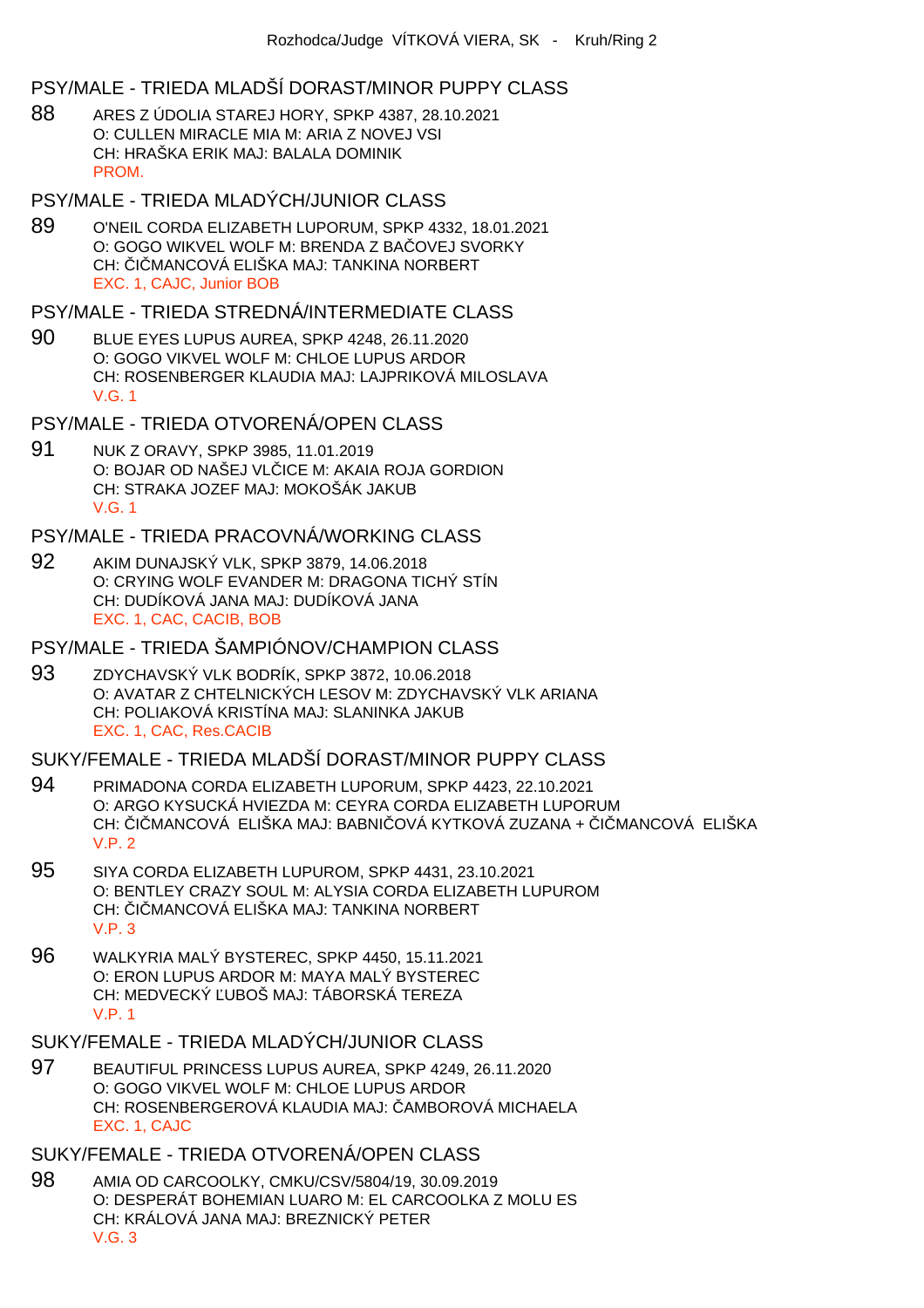## PSY/MALE - TRIEDA MLADŠÍ DORAST/MINOR PUPPY CLASS

- 88 ARES Z ÚDOLIA STAREJ HORY, SPKP 4387, 28.10.2021 O: CULLEN MIRACLE MIA M: ARIA Z NOVEJ VSI CH: HRAŠKA ERIK MAJ: BALALA DOMINIK **PROM**
- PSY/MALE TRIEDA MLADÝCH/JUNIOR CLASS
- 89 O'NEIL CORDA ELIZABETH LUPORUM, SPKP 4332, 18.01.2021 O: GOGO WIKVEL WOLF M: BRENDA Z BA OVEJ SVORKY CH: I MANCOVÁ ELIŠKA MAJ: TANKINA NORBERT EXC. 1, CAJC, Junior BOB

#### PSY/MALE - TRIEDA STREDNÁ/INTERMEDIATE CLASS

- 90 BLUE EYES LUPUS AUREA, SPKP 4248, 26.11.2020 O: GOGO VIKVEL WOLF M: CHLOE LUPUS ARDOR CH: ROSENBERGER KLAUDIA MAJ: LAJPRIKOVÁ MILOSLAVA V.G. 1
- PSY/MALE TRIEDA OTVORENÁ/OPEN CLASS
- 91 NUK Z ORAVY, SPKP 3985, 11.01.2019 O: BOJAR OD NAŠEJ VLICE M: AKAIA ROJA GORDION CH: STRAKA JOZEF MAJ: MOKOŠÁK JAKUB V.G. 1

### PSY/MALE - TRIEDA PRACOVNÁ/WORKING CLASS

- 92 AKIM DUNAJSKÝ VLK, SPKP 3879, 14.06.2018 O: CRYING WOLF EVANDER M: DRAGONA TICHÝ STÍN CH: DUDÍKOVÁ JANA MAJ: DUDÍKOVÁ JANA EXC. 1, CAC, CACIB, BOB
- PSY/MALE TRIEDA ŠAMPIÓNOV/CHAMPION CLASS
- 93 ZDYCHAVSKÝ VLK BODRÍK, SPKP 3872, 10.06.2018 O: AVATAR Z CHTELNICKÝCH LESOV M: ZDYCHAVSKÝ VLK ARIANA CH: POLIAKOVÁ KRISTÍNA MAJ: SLANINKA JAKUB EXC. 1, CAC, Res.CACIB

## SUKY/FEMALE - TRIEDA MLADŠÍ DORAST/MINOR PUPPY CLASS

- 94 PRIMADONA CORDA ELIZABETH LUPORUM, SPKP 4423, 22.10.2021 O: ARGO KYSUCKÁ HVIEZDA M: CEYRA CORDA ELIZABETH LUPORUM CH: I MANCOVÁ ELIŠKA MAJ: BABNI OVÁ KYTKOVÁ ZUZANA + I MANCOVÁ ELIŠKA V.P. 2
- 95 SIYA CORDA ELIZABETH LUPUROM, SPKP 4431, 23.10.2021 O: BENTLEY CRAZY SOUL M: ALYSIA CORDA ELIZABETH LUPUROM CH: I MANCOVÁ ELIŠKA MAJ: TANKINA NORBERT V.P. 3
- 96 WALKYRIA MALÝ BYSTEREC, SPKP 4450, 15.11.2021 O: ERON LUPUS ARDOR M: MAYA MALÝ BYSTEREC CH: MEDVECKÝ ĽUBOŠ MAJ: TÁBORSKÁ TEREZA V.P. 1

## SUKY/FEMALE - TRIEDA MLADÝCH/JUNIOR CLASS

97 BEAUTIFUL PRINCESS LUPUS AUREA, SPKP 4249, 26.11.2020 O: GOGO VIKVEL WOLF M: CHLOE LUPUS ARDOR CH: ROSENBERGEROVÁ KLAUDIA MAJ: AMBOROVÁ MICHAELA EXC. 1, CAJC

## SUKY/FEMALE - TRIEDA OTVORENÁ/OPEN CLASS

98 AMIA OD CARCOOLKY, CMKU/CSV/5804/19, 30.09.2019 O: DESPERÁT BOHEMIAN LUARO M: EL CARCOOLKA Z MOLU ES CH: KRÁLOVÁ JANA MAJ: BREZNICKÝ PETER V.G. 3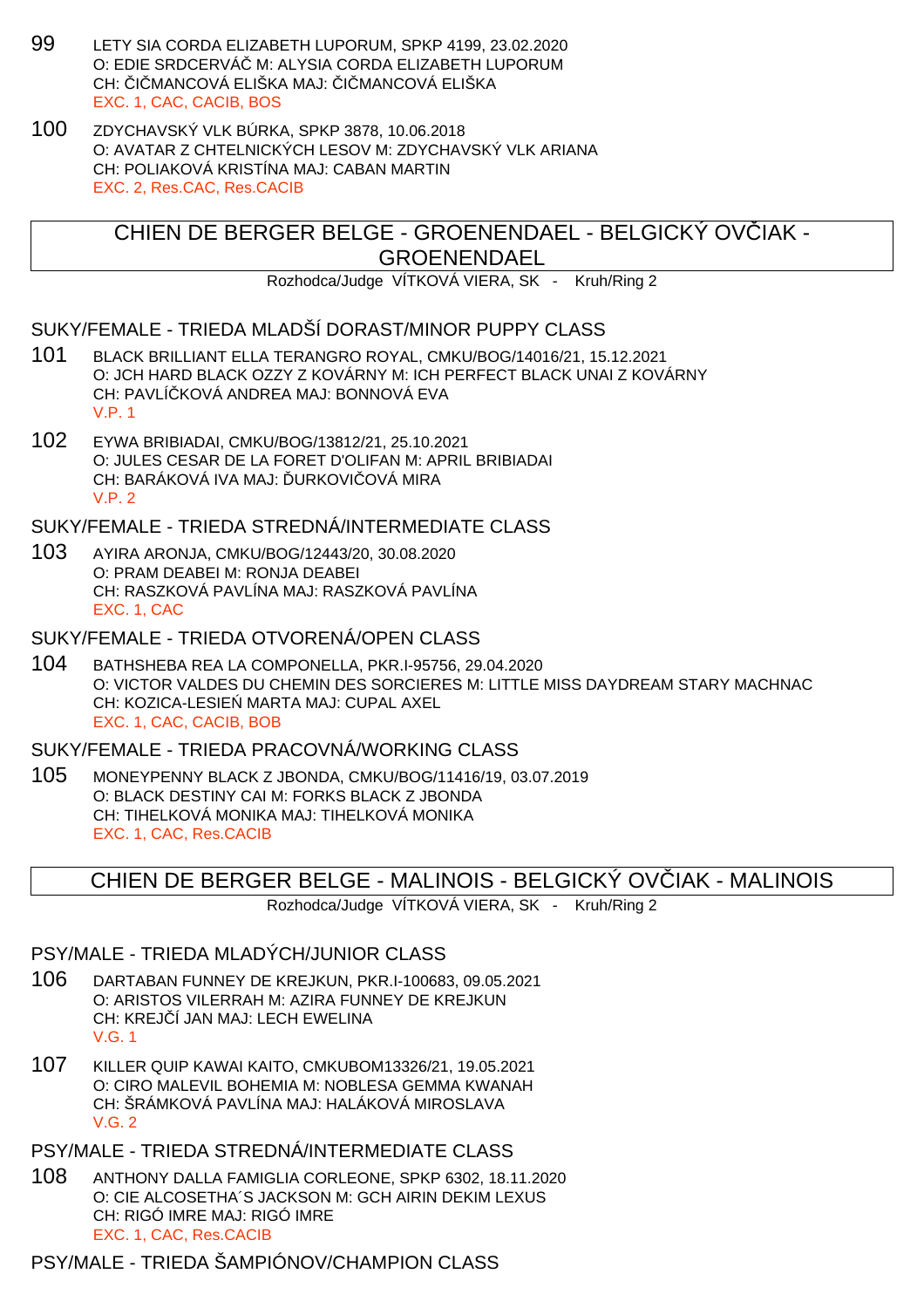- 99 LETY SIA CORDA ELIZABETH LUPORUM, SPKP 4199, 23.02.2020 O: EDIE SRDCERVÁ M: ALYSIA CORDA ELIZABETH LUPORUM CH: LI MANCOVÁ ELIŠKA MAJ: LI MANCOVÁ ELIŠKA EXC. 1, CAC, CACIB, BOS
- 100 ZDYCHAVSKÝ VLK BÚRKA, SPKP 3878, 10.06.2018 O: AVATAR Z CHTELNICKÝCH LESOV M: ZDYCHAVSKÝ VLK ARIANA CH: POLIAKOVÁ KRISTÍNA MAJ: CABAN MARTIN EXC. 2, Res.CAC, Res.CACIB

CHIEN DE BERGER BELGE - GROENENDAEL - BELGICKÝ OVČIAK - GROENENDAEL

Rozhodca/Judge VÍTKOVÁ VIERA, SK - Kruh/Ring 2

### SUKY/FEMALE - TRIEDA MLADŠÍ DORAST/MINOR PUPPY CLASS

- 101 BLACK BRILLIANT ELLA TERANGRO ROYAL, CMKU/BOG/14016/21, 15.12.2021 O: JCH HARD BLACK OZZY Z KOVÁRNY M: ICH PERFECT BLACK UNAI Z KOVÁRNY CH: PAVLÍ KOVÁ ANDREA MAJ: BONNOVÁ EVA V.P. 1
- 102 EYWA BRIBIADAI, CMKU/BOG/13812/21, 25.10.2021 O: JULES CESAR DE LA FORET D'OLIFAN M: APRIL BRIBIADAI CH: BARÁKOVÁ IVA MAJ: URKOVI OVÁ MIRA V.P. 2

SUKY/FEMALE - TRIEDA STREDNÁ/INTERMEDIATE CLASS

103 AYIRA ARONJA, CMKU/BOG/12443/20, 30.08.2020 O: PRAM DEABEI M: RONJA DEABEI CH: RASZKOVÁ PAVLÍNA MAJ: RASZKOVÁ PAVLÍNA EXC. 1, CAC

### SUKY/FEMALE - TRIEDA OTVORENÁ/OPEN CLASS

104 BATHSHEBA REA LA COMPONELLA, PKR.I-95756, 29.04.2020 O: VICTOR VALDES DU CHEMIN DES SORCIERES M: LITTLE MISS DAYDREAM STARY MACHNAC CH: KOZICA-LESIE MARTA MAJ: CUPAL AXEL EXC. 1, CAC, CACIB, BOB

SUKY/FEMALE - TRIEDA PRACOVNÁ/WORKING CLASS

105 MONEYPENNY BLACK Z JBONDA, CMKU/BOG/11416/19, 03.07.2019 O: BLACK DESTINY CAI M: FORKS BLACK Z JBONDA CH: TIHELKOVÁ MONIKA MAJ: TIHELKOVÁ MONIKA EXC. 1, CAC, Res.CACIB

## CHIEN DE BERGER BELGE - MALINOIS - BELGICKÝ OVČIAK - MALINOIS

Rozhodca/Judge VÍTKOVÁ VIERA, SK - Kruh/Ring 2

### PSY/MALE - TRIEDA MLADÝCH/JUNIOR CLASS

- 106 DARTABAN FUNNEY DE KREJKUN, PKR.I-100683, 09.05.2021 O: ARISTOS VILERRAH M: AZIRA FUNNEY DE KREJKUN CH: KREJ Í JAN MAJ: LECH EWELINA V.G. 1
- 107 KILLER QUIP KAWAI KAITO, CMKUBOM13326/21, 19.05.2021 O: CIRO MALEVIL BOHEMIA M: NOBLESA GEMMA KWANAH CH: ŠRÁMKOVÁ PAVLÍNA MAJ: HALÁKOVÁ MIROSLAVA V.G. 2
- PSY/MALE TRIEDA STREDNÁ/INTERMEDIATE CLASS
- 108 ANTHONY DALLA FAMIGLIA CORLEONE, SPKP 6302, 18.11.2020 O: CIE ALCOSETHA´S JACKSON M: GCH AIRIN DEKIM LEXUS CH: RIGÓ IMRE MAJ: RIGÓ IMRE EXC. 1, CAC, Res.CACIB

### PSY/MALE - TRIEDA ŠAMPIÓNOV/CHAMPION CLASS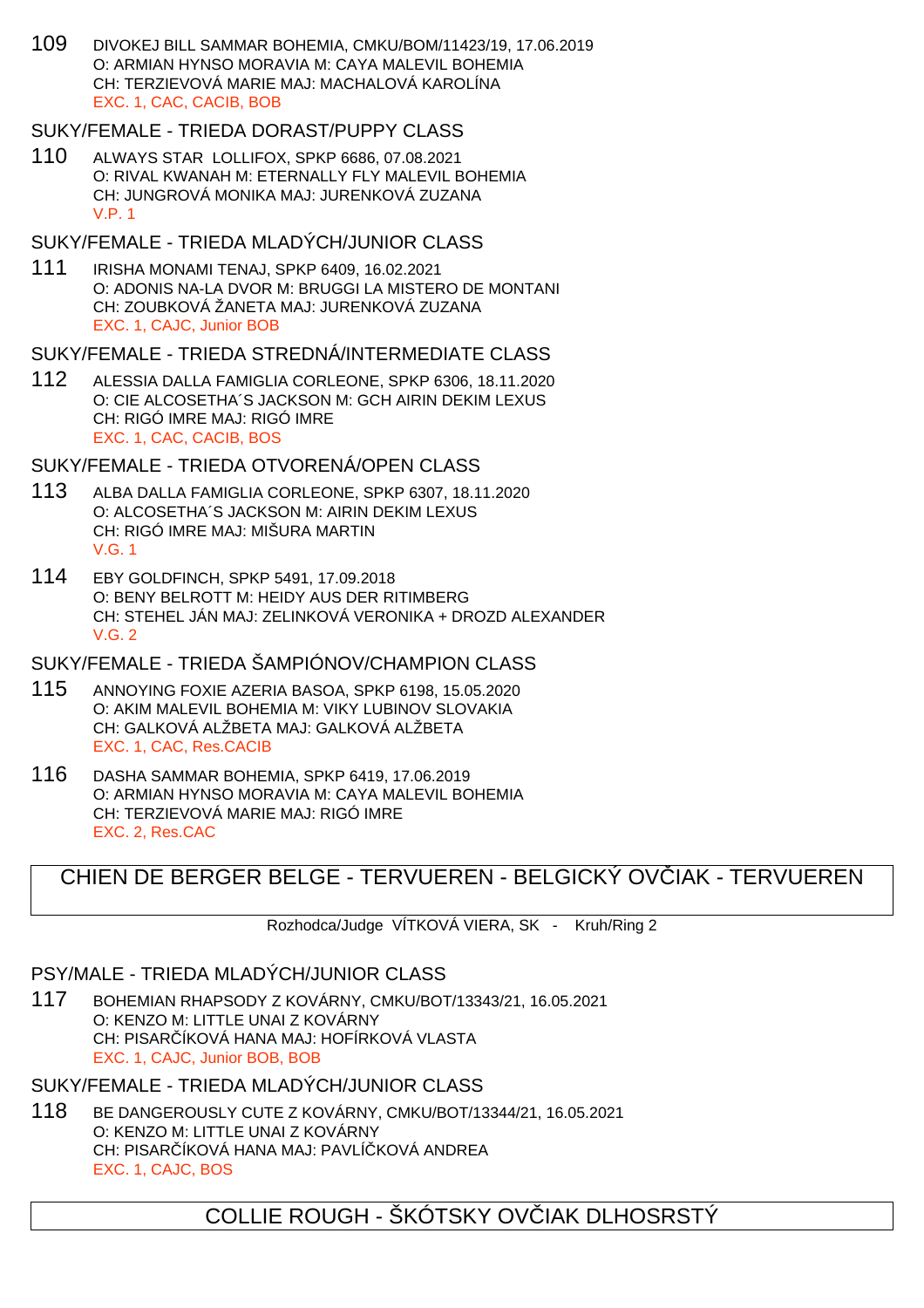109 DIVOKEJ BILL SAMMAR BOHEMIA, CMKU/BOM/11423/19, 17.06.2019 O: ARMIAN HYNSO MORAVIA M: CAYA MALEVIL BOHEMIA CH: TERZIEVOVÁ MARIE MAJ: MACHALOVÁ KAROLÍNA EXC. 1, CAC, CACIB, BOB

### SUKY/FEMALE - TRIEDA DORAST/PUPPY CLASS

110 ALWAYS STAR LOLLIFOX, SPKP 6686, 07.08.2021 O: RIVAL KWANAH M: ETERNALLY FLY MALEVIL BOHEMIA CH: JUNGROVÁ MONIKA MAJ: JURENKOVÁ ZUZANA V.P. 1

### SUKY/FEMALE - TRIEDA MLADÝCH/JUNIOR CLASS

111 IRISHA MONAMI TENAJ, SPKP 6409, 16.02.2021 O: ADONIS NA-LA DVOR M: BRUGGI LA MISTERO DE MONTANI CH: ZOUBKOVÁ ŽANETA MAJ: JURENKOVÁ ZUZANA EXC. 1, CAJC, Junior BOB

### SUKY/FEMALE - TRIEDA STREDNÁ/INTERMEDIATE CLASS

112 ALESSIA DALLA FAMIGLIA CORLEONE, SPKP 6306, 18.11.2020 O: CIE ALCOSETHA´S JACKSON M: GCH AIRIN DEKIM LEXUS CH: RIGÓ IMRE MAJ: RIGÓ IMRE EXC. 1, CAC, CACIB, BOS

### SUKY/FEMALE - TRIEDA OTVORENÁ/OPEN CLASS

- 113 ALBA DALLA FAMIGLIA CORLEONE, SPKP 6307, 18.11.2020 O: ALCOSETHA´S JACKSON M: AIRIN DEKIM LEXUS CH: RIGÓ IMRE MAJ: MIŠURA MARTIN V.G. 1
- 114 EBY GOLDFINCH, SPKP 5491, 17.09.2018 O: BENY BELROTT M: HEIDY AUS DER RITIMBERG CH: STEHEL JÁN MAJ: ZELINKOVÁ VERONIKA + DROZD ALEXANDER V.G. 2

### SUKY/FEMALE - TRIEDA ŠAMPIÓNOV/CHAMPION CLASS

- 115 ANNOYING FOXIE AZERIA BASOA, SPKP 6198, 15.05.2020 O: AKIM MALEVIL BOHEMIA M: VIKY LUBINOV SLOVAKIA CH: GALKOVÁ ALŽBETA MAJ: GALKOVÁ ALŽBETA EXC. 1, CAC, Res.CACIB
- 116 DASHA SAMMAR BOHEMIA, SPKP 6419, 17.06.2019 O: ARMIAN HYNSO MORAVIA M: CAYA MALEVIL BOHEMIA CH: TERZIEVOVÁ MARIE MAJ: RIGÓ IMRE EXC. 2, Res.CAC

# CHIEN DE BERGER BELGE - TERVUEREN - BELGICKÝ OVVIAK - TERVUEREN

Rozhodca/Judge VÍTKOVÁ VIERA, SK - Kruh/Ring 2

### PSY/MALE - TRIEDA MLADÝCH/JUNIOR CLASS

117 BOHEMIAN RHAPSODY Z KOVÁRNY, CMKU/BOT/13343/21, 16.05.2021 O: KENZO M: LITTLE UNAI Z KOVÁRNY CH: PISAR ÍKOVÁ HANA MAJ: HOFÍRKOVÁ VLASTA EXC. 1, CAJC, Junior BOB, BOB

## SUKY/FEMALE - TRIEDA MLADÝCH/JUNIOR CLASS

118 BE DANGEROUSLY CUTE Z KOVÁRNY, CMKU/BOT/13344/21, 16.05.2021 O: KENZO M: LITTLE UNAI Z KOVÁRNY CH: PISAR ÍKOVÁ HANA MAJ: PAVLÍ KOVÁ ANDREA EXC. 1, CAJC, BOS

# COLLIE ROUGH - ŠKÓTSKY OV JAK DLHOSRSTÝ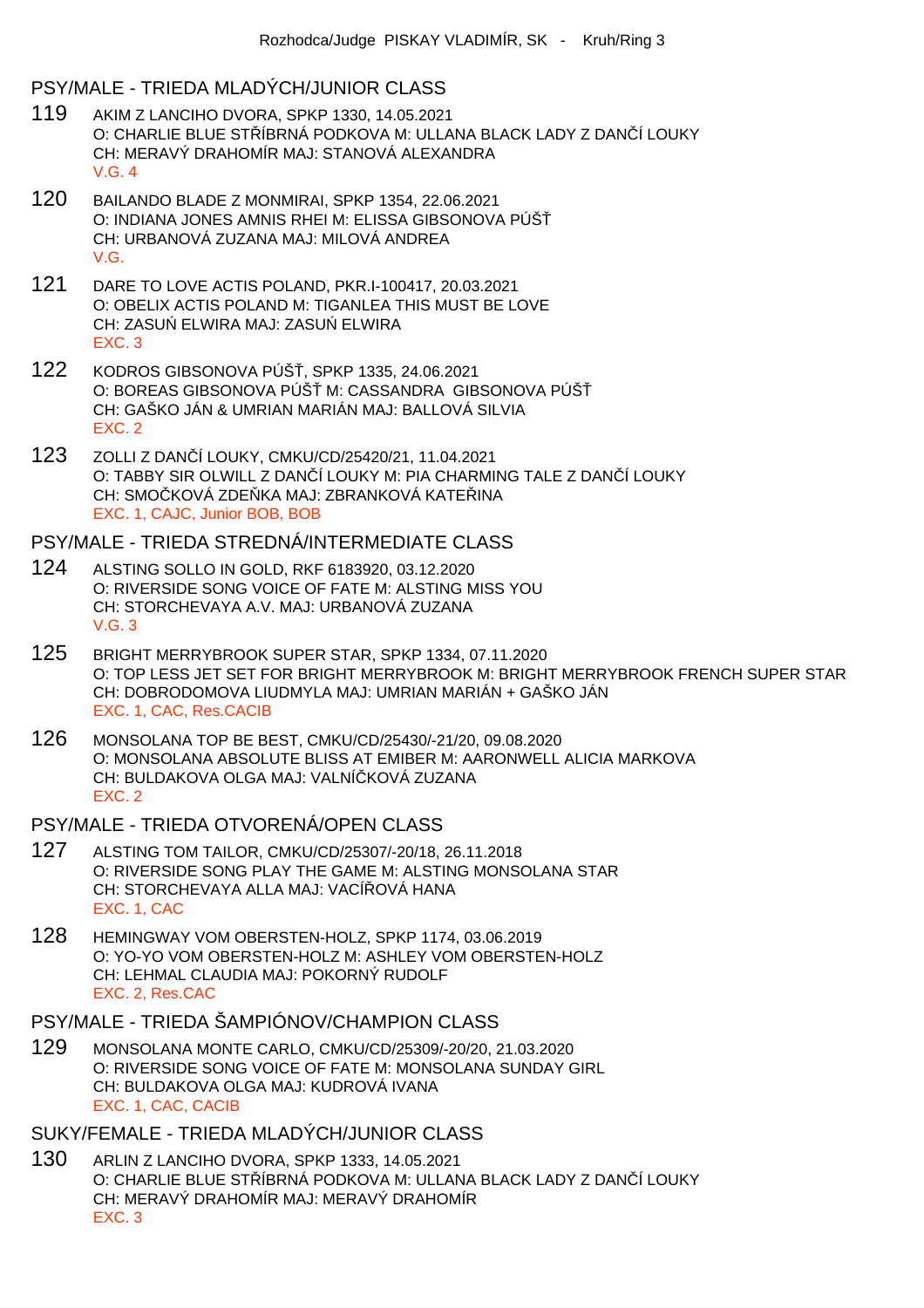### PSY/MALE - TRIEDA MLADÝCH/JUNIOR CLASS

- 119 AKIM Z LANCIHO DVORA, SPKP 1330, 14.05.2021 O: CHARLIE BLUE STŘÍBRNÁ PODKOVA M: ULLANA BLACK LADY Z DANČÍ LOUKY CH: MERAVÝ DRAHOMÍR MAJ: STANOVÁ ALEXANDRA V.G. 4
- 120 BAILANDO BLADE Z MONMIRAI, SPKP 1354, 22.06.2021 O: INDIANA JONES AMNIS RHEI M: ELISSA GIBSONOVA PÚŠ CH: URBANOVÁ ZUZANA MAJ: MILOVÁ ANDREA V.G.
- 121 DARE TO LOVE ACTIS POLAND, PKR.I-100417, 20.03.2021 O: OBELIX ACTIS POLAND M: TIGANLEA THIS MUST BE LOVE CH: ZASU ELWIRA MAJ: ZASU ELWIRA EXC. 3
- 122 KODROS GIBSONOVA PÚŠ, SPKP 1335, 24.06.2021 O: BOREAS GIBSONOVA PÚŠ M: CASSANDRA GIBSONOVA PÚŠ CH: GAŠKO JÁN & UMRIAN MARIÁN MAJ: BALLOVÁ SILVIA EXC. 2
- 123 ZOLLI Z DANČÍ LOUKY, CMKU/CD/25420/21, 11.04.2021 O: TABBY SIR OLWILL Z DAN Í LOUKY M: PIA CHARMING TALE Z DAN Í LOUKY CH: SMOČKOVÁ ZDEČKA MAJ: ZBRANKOVÁ KATEĽINA EXC. 1, CAJC, Junior BOB, BOB

#### PSY/MALE - TRIEDA STREDNÁ/INTERMEDIATE CLASS

- 124 ALSTING SOLLO IN GOLD, RKF 6183920, 03.12.2020 O: RIVERSIDE SONG VOICE OF FATE M: ALSTING MISS YOU CH: STORCHEVAYA A.V. MAJ: URBANOVÁ ZUZANA V.G. 3
- 125 BRIGHT MERRYBROOK SUPER STAR, SPKP 1334, 07.11.2020 O: TOP LESS JET SET FOR BRIGHT MERRYBROOK M: BRIGHT MERRYBROOK FRENCH SUPER STAR CH: DOBRODOMOVA LIUDMYLA MAJ: UMRIAN MARIÁN + GAŠKO JÁN EXC. 1, CAC, Res.CACIB
- 126 MONSOLANA TOP BE BEST, CMKU/CD/25430/-21/20, 09.08.2020 O: MONSOLANA ABSOLUTE BLISS AT EMIBER M: AARONWELL ALICIA MARKOVA CH: BULDAKOVA OLGA MAJ: VALNÍ KOVÁ ZUZANA EXC. 2

#### PSY/MALE - TRIEDA OTVORENÁ/OPEN CLASS

- 127 ALSTING TOM TAILOR, CMKU/CD/25307/-20/18, 26.11.2018 O: RIVERSIDE SONG PLAY THE GAME M: ALSTING MONSOLANA STAR CH: STORCHEVAYA ALLA MAJ: VACÍ OVÁ HANA EXC. 1, CAC
- 128 HEMINGWAY VOM OBERSTEN-HOLZ, SPKP 1174, 03.06.2019 O: YO-YO VOM OBERSTEN-HOLZ M: ASHLEY VOM OBERSTEN-HOLZ CH: LEHMAL CLAUDIA MAJ: POKORNÝ RUDOLF EXC. 2, Res.CAC

## PSY/MALE - TRIEDA ŠAMPIÓNOV/CHAMPION CLASS

129 MONSOLANA MONTE CARLO, CMKU/CD/25309/-20/20, 21.03.2020 O: RIVERSIDE SONG VOICE OF FATE M: MONSOLANA SUNDAY GIRL CH: BULDAKOVA OLGA MAJ: KUDROVÁ IVANA EXC. 1, CAC, CACIB

## SUKY/FEMALE - TRIEDA MLADÝCH/JUNIOR CLASS

130 ARLIN Z LANCIHO DVORA, SPKP 1333, 14.05.2021 O: CHARLIE BLUE STÁBRNÁ PODKOVA M: ULLANA BLACK LADY Z DANÁ Í LOUKY CH: MERAVÝ DRAHOMÍR MAJ: MERAVÝ DRAHOMÍR EXC. 3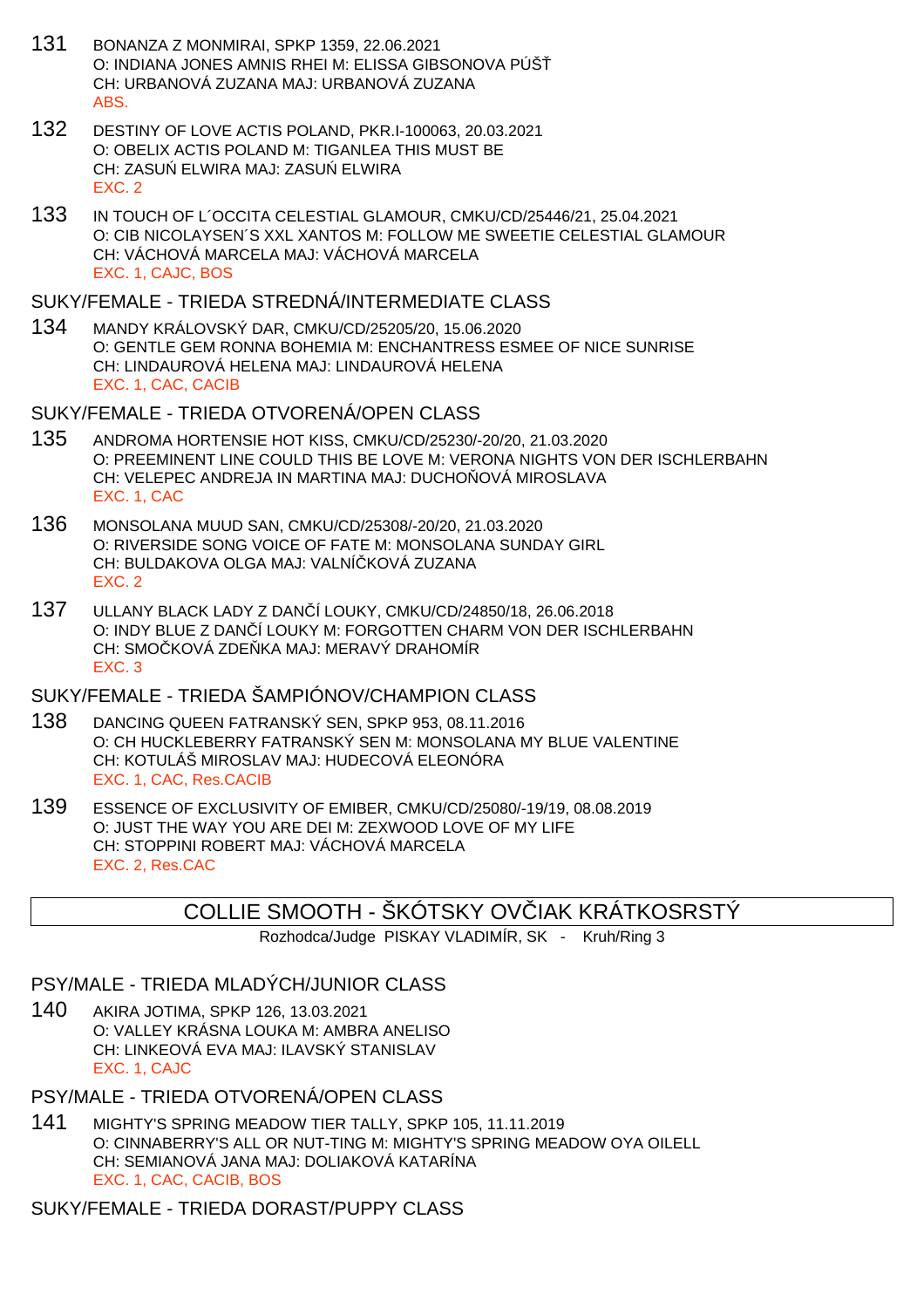- 131 BONANZA Z MONMIRAI, SPKP 1359, 22.06.2021 O: INDIANA JONES AMNIS RHEI M: ELISSA GIBSONOVA PÚŠ CH: URBANOVÁ ZUZANA MAJ: URBANOVÁ ZUZANA ABS.
- 132 DESTINY OF LOVE ACTIS POLAND, PKR.I-100063, 20.03.2021 O: OBELIX ACTIS POLAND M: TIGANLEA THIS MUST BE CH: ZASU ELWIRA MAJ: ZASU ELWIRA EXC. 2
- 133 IN TOUCH OF L´OCCITA CELESTIAL GLAMOUR, CMKU/CD/25446/21, 25.04.2021 O: CIB NICOLAYSEN´S XXL XANTOS M: FOLLOW ME SWEETIE CELESTIAL GLAMOUR CH: VÁCHOVÁ MARCELA MAJ: VÁCHOVÁ MARCELA EXC. 1, CAJC, BOS

#### SUKY/FEMALE - TRIEDA STREDNÁ/INTERMEDIATE CLASS

134 MANDY KRÁLOVSKÝ DAR, CMKU/CD/25205/20, 15.06.2020 O: GENTLE GEM RONNA BOHEMIA M: ENCHANTRESS ESMEE OF NICE SUNRISE CH: LINDAUROVÁ HELENA MAJ: LINDAUROVÁ HELENA EXC. 1, CAC, CACIB

### SUKY/FEMALE - TRIEDA OTVORENÁ/OPEN CLASS

- 135 ANDROMA HORTENSIE HOT KISS, CMKU/CD/25230/-20/20, 21.03.2020 O: PREEMINENT LINE COULD THIS BE LOVE M: VERONA NIGHTS VON DER ISCHLERBAHN CH: VELEPEC ANDREJA IN MARTINA MAJ: DUCHO OVÁ MIROSLAVA EXC. 1, CAC
- 136 MONSOLANA MUUD SAN, CMKU/CD/25308/-20/20, 21.03.2020 O: RIVERSIDE SONG VOICE OF FATE M: MONSOLANA SUNDAY GIRL CH: BULDAKOVA OLGA MAJ: VALNÍ KOVÁ ZUZANA EXC. 2
- 137 ULLANY BLACK LADY Z DANČÍ LOUKY, CMKU/CD/24850/18, 26.06.2018 O: INDY BLUE Z DAN Í LOUKY M: FORGOTTEN CHARM VON DER ISCHLERBAHN CH: SMO KOVÁ ZDE KA MAJ: MERAVÝ DRAHOMÍR EXC. 3

## SUKY/FEMALE - TRIEDA ŠAMPIÓNOV/CHAMPION CLASS

- 138 DANCING QUEEN FATRANSKÝ SEN, SPKP 953, 08.11.2016 O: CH HUCKLEBERRY FATRANSKÝ SEN M: MONSOLANA MY BLUE VALENTINE CH: KOTULÁŠ MIROSLAV MAJ: HUDECOVÁ ELEONÓRA EXC. 1, CAC, Res.CACIB
- 139 ESSENCE OF EXCLUSIVITY OF EMIBER, CMKU/CD/25080/-19/19, 08.08.2019 O: JUST THE WAY YOU ARE DEI M: ZEXWOOD LOVE OF MY LIFE CH: STOPPINI ROBERT MAJ: VÁCHOVÁ MARCELA EXC. 2, Res.CAC

## COLLIE SMOOTH - ŠKÓTSKY OVÓJAK KRÁTKOSRSTÝ

Rozhodca/Judge PISKAY VLADIMÍR, SK - Kruh/Ring 3

### PSY/MALE - TRIEDA MLADÝCH/JUNIOR CLASS

140 AKIRA JOTIMA, SPKP 126, 13.03.2021 O: VALLEY KRÁSNA LOUKA M: AMBRA ANELISO CH: LINKEOVÁ EVA MAJ: ILAVSKÝ STANISLAV EXC. 1, CAJC

## PSY/MALE - TRIEDA OTVORENÁ/OPEN CLASS

141 MIGHTY'S SPRING MEADOW TIER TALLY, SPKP 105, 11.11.2019 O: CINNABERRY'S ALL OR NUT-TING M: MIGHTY'S SPRING MEADOW OYA OILELL CH: SEMIANOVÁ JANA MAJ: DOLIAKOVÁ KATARÍNA EXC. 1, CAC, CACIB, BOS

SUKY/FEMALE - TRIEDA DORAST/PUPPY CLASS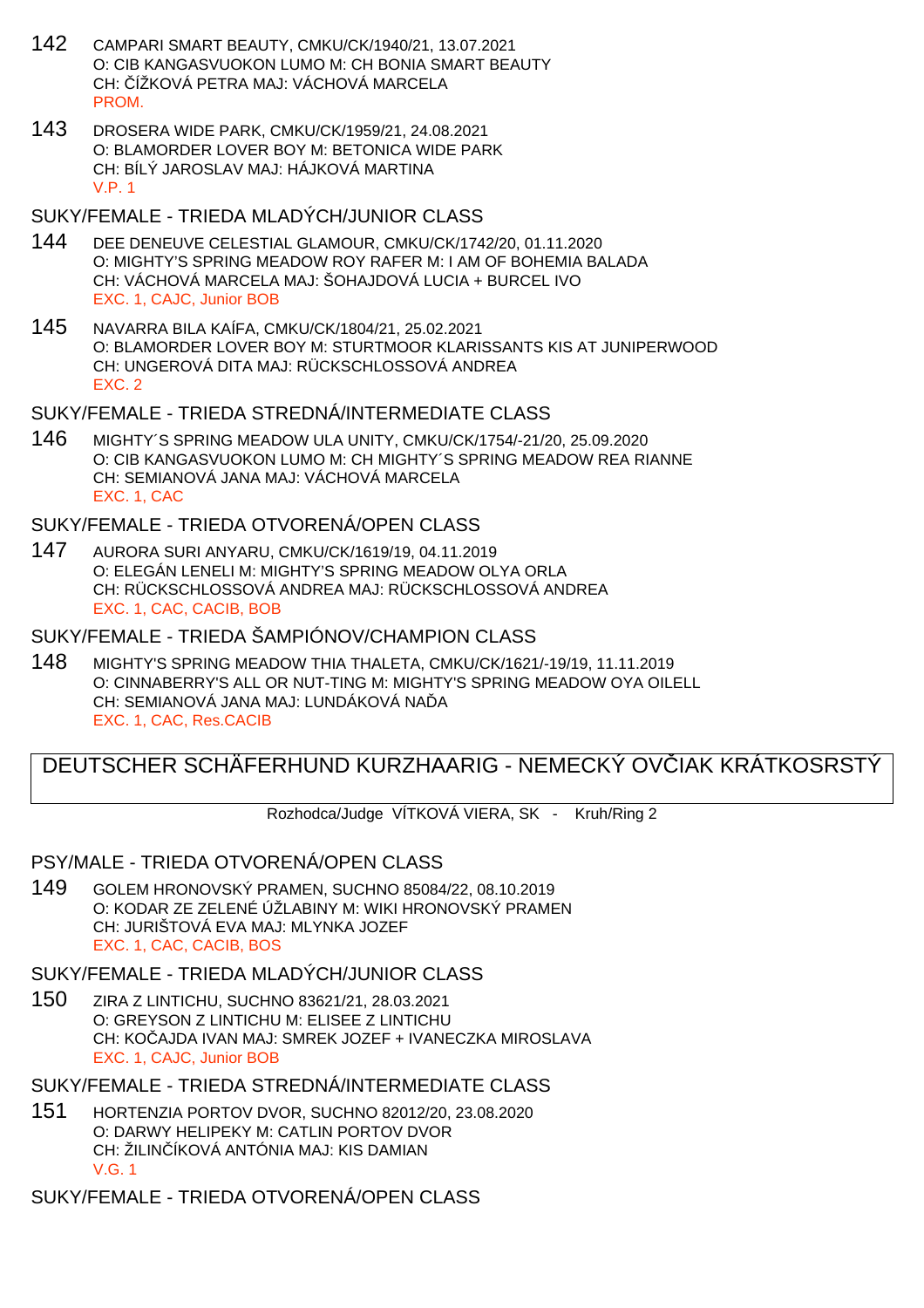- 142 CAMPARI SMART BEAUTY, CMKU/CK/1940/21, 13.07.2021 O: CIB KANGASVUOKON LUMO M: CH BONIA SMART BEAUTY CH: ČÍŽKOVÁ PETRA MAJ: VÁCHOVÁ MARCELA **PROM**
- 143 DROSERA WIDE PARK, CMKU/CK/1959/21, 24.08.2021 O: BLAMORDER LOVER BOY M: BETONICA WIDE PARK CH: BÍLÝ JAROSLAV MAJ: HÁJKOVÁ MARTINA V.P. 1

#### SUKY/FEMALE - TRIEDA MLADÝCH/JUNIOR CLASS

- 144 DEE DENEUVE CELESTIAL GLAMOUR, CMKU/CK/1742/20, 01.11.2020 O: MIGHTY'S SPRING MEADOW ROY RAFER M: I AM OF BOHEMIA BALADA CH: VÁCHOVÁ MARCELA MAJ: ŠOHAJDOVÁ LUCIA + BURCEL IVO EXC. 1, CAJC, Junior BOB
- 145 NAVARRA BILA KAÍFA, CMKU/CK/1804/21, 25.02.2021 O: BLAMORDER LOVER BOY M: STURTMOOR KLARISSANTS KIS AT JUNIPERWOOD CH: UNGEROVÁ DITA MAJ: RÜCKSCHLOSSOVÁ ANDREA EXC. 2

### SUKY/FEMALE - TRIEDA STREDNÁ/INTERMEDIATE CLASS

146 MIGHTY´S SPRING MEADOW ULA UNITY, CMKU/CK/1754/-21/20, 25.09.2020 O: CIB KANGASVUOKON LUMO M: CH MIGHTY´S SPRING MEADOW REA RIANNE CH: SEMIANOVÁ JANA MAJ: VÁCHOVÁ MARCELA EXC. 1, CAC

### SUKY/FEMALE - TRIEDA OTVORENÁ/OPEN CLASS

147 AURORA SURI ANYARU, CMKU/CK/1619/19, 04.11.2019 O: ELEGÁN LENELI M: MIGHTY'S SPRING MEADOW OLYA ORLA CH: RÜCKSCHLOSSOVÁ ANDREA MAJ: RÜCKSCHLOSSOVÁ ANDREA EXC. 1, CAC, CACIB, BOB

### SUKY/FEMALE - TRIEDA ŠAMPIÓNOV/CHAMPION CLASS

148 MIGHTY'S SPRING MEADOW THIA THALETA, CMKU/CK/1621/-19/19, 11.11.2019 O: CINNABERRY'S ALL OR NUT-TING M: MIGHTY'S SPRING MEADOW OYA OILELL CH: SEMIANOVÁ JANA MAJ: LUNDÁKOVÁ NA DA EXC. 1, CAC, Res.CACIB

## DEUTSCHER SCHÄFERHUND KURZHAARIG - NEMECKÝ OV<sub>LI</sub>AK KRÁTKOSRSTÝ

Rozhodca/Judge VÍTKOVÁ VIERA, SK - Kruh/Ring 2

### PSY/MALE - TRIEDA OTVORENÁ/OPEN CLASS

149 GOLEM HRONOVSKÝ PRAMEN, SUCHNO 85084/22, 08.10.2019 O: KODAR ZE ZELENÉ ÚŽLABINY M: WIKI HRONOVSKÝ PRAMEN CH: JURIŠTOVÁ EVA MAJ: MLYNKA JOZEF EXC. 1, CAC, CACIB, BOS

### SUKY/FEMALE - TRIEDA MLADÝCH/JUNIOR CLASS

150 ZIRA Z LINTICHU, SUCHNO 83621/21, 28.03.2021 O: GREYSON Z LINTICHU M: ELISEE Z LINTICHU CH: KO AJDA IVAN MAJ: SMREK JOZEF + IVANECZKA MIROSLAVA EXC. 1, CAJC, Junior BOB

SUKY/FEMALE - TRIEDA STREDNÁ/INTERMEDIATE CLASS

151 HORTENZIA PORTOV DVOR, SUCHNO 82012/20, 23.08.2020 O: DARWY HELIPEKY M: CATLIN PORTOV DVOR CH: ŽILIN ÍKOVÁ ANTÓNIA MAJ: KIS DAMIAN V.G. 1

SUKY/FEMALE - TRIEDA OTVORENÁ/OPEN CLASS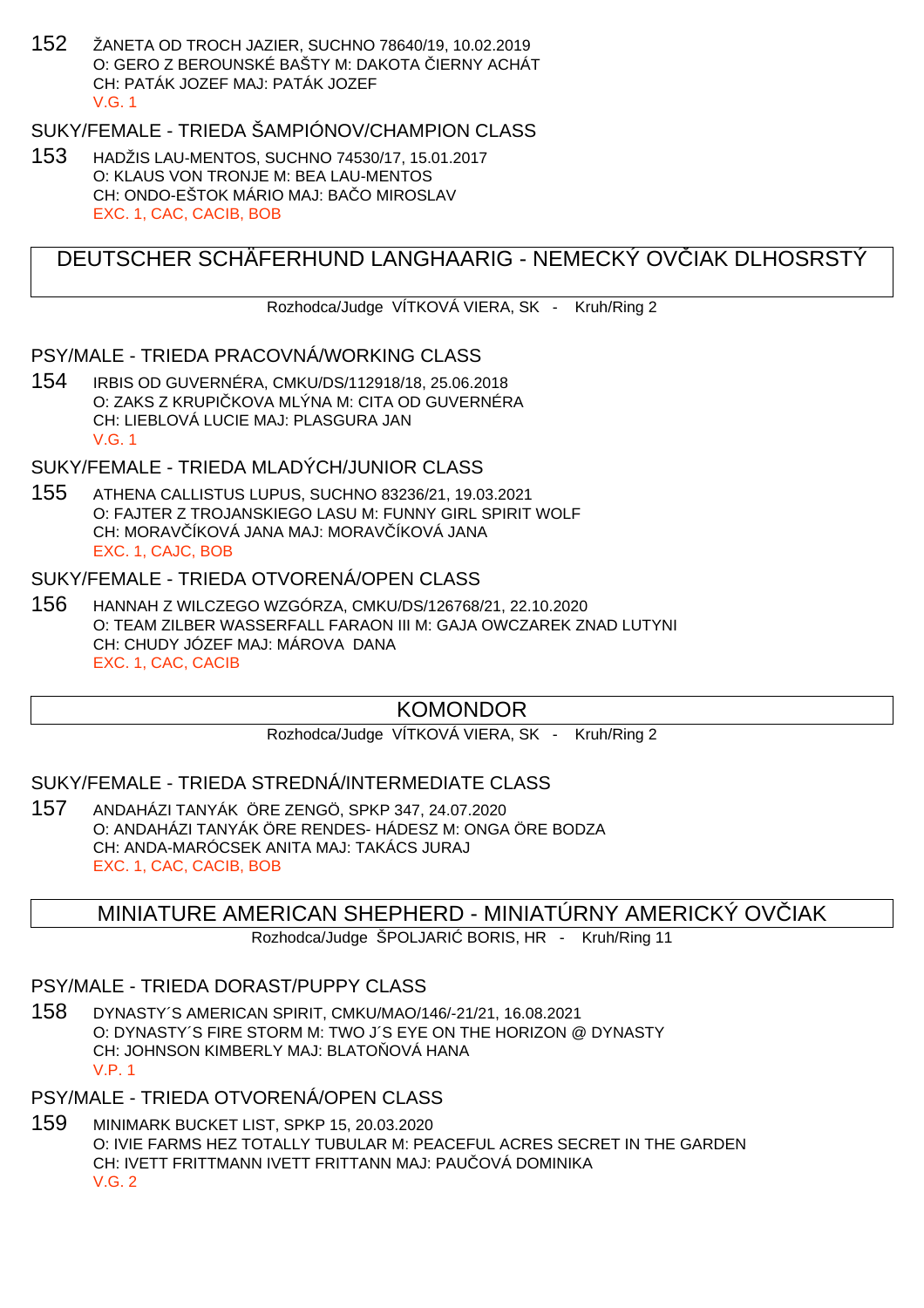152 ŽANETA OD TROCH JAZIER, SUCHNO 78640/19, 10.02.2019 O: GERO Z BEROUNSKÉ BAŠTY M: DAKOTA LIERNY ACHÁT CH: PATÁK JOZEF MAJ: PATÁK JOZEF V.G. 1

## SUKY/FEMALE - TRIEDA ŠAMPIÓNOV/CHAMPION CLASS

153 HADŽIS LAU-MENTOS, SUCHNO 74530/17, 15.01.2017 O: KLAUS VON TRONJE M: BEA LAU-MENTOS CH: ONDO-EŠTOK MÁRIO MAJ: BA O MIROSLAV EXC. 1, CAC, CACIB, BOB

## DEUTSCHER SCHÄFERHUND LANGHAARIG - NEMECKÝ OVČIAK DLHOSRSTÝ

Rozhodca/Judge VÍTKOVÁ VIERA, SK - Kruh/Ring 2

### PSY/MALE - TRIEDA PRACOVNÁ/WORKING CLASS

154 IRBIS OD GUVERNÉRA, CMKU/DS/112918/18, 25.06.2018 O: ZAKS Z KRUPI KOVA MLÝNA M: CITA OD GUVERNÉRA CH: LIEBLOVÁ LUCIE MAJ: PLASGURA JAN V.G. 1

## SUKY/FEMALE - TRIEDA MLADÝCH/JUNIOR CLASS

155 ATHENA CALLISTUS LUPUS, SUCHNO 83236/21, 19.03.2021 O: FAJTER Z TROJANSKIEGO LASU M: FUNNY GIRL SPIRIT WOLF CH: MORAVIÍKOVÁ JANA MAJ: MORAVIÍKOVÁ JANA EXC. 1, CAJC, BOB

### SUKY/FEMALE - TRIEDA OTVORENÁ/OPEN CLASS

156 HANNAH Z WILCZEGO WZGÓRZA, CMKU/DS/126768/21, 22.10.2020 O: TEAM ZILBER WASSERFALL FARAON III M: GAJA OWCZAREK ZNAD LUTYNI CH: CHUDY JÓZEF MAJ: MÁROVA DANA EXC. 1, CAC, CACIB

## KOMONDOR

Rozhodca/Judge VÍTKOVÁ VIERA, SK - Kruh/Ring 2

SUKY/FEMALE - TRIEDA STREDNÁ/INTERMEDIATE CLASS

157 ANDAHÁZI TANYÁK ÖRE ZENGÖ, SPKP 347, 24.07.2020 O: ANDAHÁZI TANYÁK ÖRE RENDES- HÁDESZ M: ONGA ÖRE BODZA CH: ANDA-MARÓCSEK ANITA MAJ: TAKÁCS JURAJ EXC. 1, CAC, CACIB, BOB

## MINIATURE AMERICAN SHEPHERD - MINIATÚRNY AMERICKÝ OVČIAK

Rozhodca/Judge ŠPOLJARI BORIS, HR - Kruh/Ring 11

### PSY/MALE - TRIEDA DORAST/PUPPY CLASS

158 DYNASTY´S AMERICAN SPIRIT, CMKU/MAO/146/-21/21, 16.08.2021 O: DYNASTY´S FIRE STORM M: TWO J´S EYE ON THE HORIZON @ DYNASTY CH: JOHNSON KIMBERLY MAJ: BLATO OVÁ HANA V.P. 1

## PSY/MALE - TRIEDA OTVORENÁ/OPEN CLASS

159 MINIMARK BUCKET LIST, SPKP 15, 20.03.2020 O: IVIE FARMS HEZ TOTALLY TUBULAR M: PEACEFUL ACRES SECRET IN THE GARDEN CH: IVETT FRITTMANN IVETT FRITTANN MAJ: PAU OVÁ DOMINIKA V.G. 2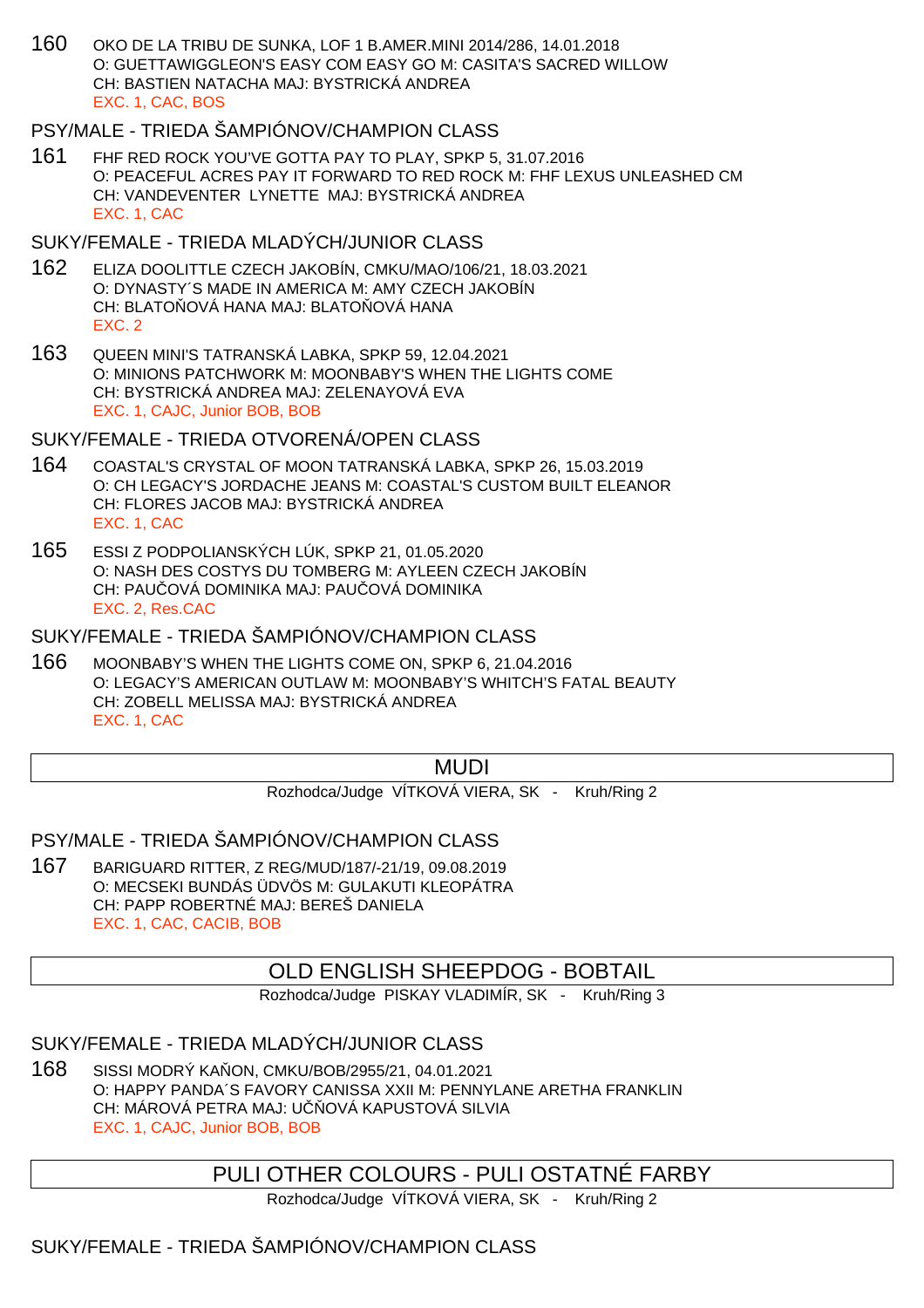160 OKO DE LA TRIBU DE SUNKA, LOF 1 B.AMER.MINI 2014/286, 14.01.2018 O: GUETTAWIGGLEON'S EASY COM EASY GO M: CASITA'S SACRED WILLOW CH: BASTIEN NATACHA MAJ: BYSTRICKÁ ANDREA EXC. 1, CAC, BOS

## PSY/MALE - TRIEDA ŠAMPIÓNOV/CHAMPION CLASS

161 FHF RED ROCK YOU'VE GOTTA PAY TO PLAY, SPKP 5, 31.07.2016 O: PEACEFUL ACRES PAY IT FORWARD TO RED ROCK M: FHF LEXUS UNLEASHED CM CH: VANDEVENTER LYNETTE MAJ: BYSTRICKÁ ANDREA EXC. 1, CAC

### SUKY/FEMALE - TRIEDA MLADÝCH/JUNIOR CLASS

- 162 ELIZA DOOLITTLE CZECH JAKOBÍN, CMKU/MAO/106/21, 18.03.2021 O: DYNASTY´S MADE IN AMERICA M: AMY CZECH JAKOBÍN CH: BLATO OVÁ HANA MAJ: BLATO OVÁ HANA EXC. 2
- 163 QUEEN MINI'S TATRANSKÁ LABKA, SPKP 59, 12.04.2021 O: MINIONS PATCHWORK M: MOONBABY'S WHEN THE LIGHTS COME CH: BYSTRICKÁ ANDREA MAJ: ZELENAYOVÁ EVA EXC. 1, CAJC, Junior BOB, BOB

### SUKY/FEMALE - TRIEDA OTVORENÁ/OPEN CLASS

- 164 COASTAL'S CRYSTAL OF MOON TATRANSKÁ LABKA, SPKP 26, 15.03.2019 O: CH LEGACY'S JORDACHE JEANS M: COASTAL'S CUSTOM BUILT ELEANOR CH: FLORES JACOB MAJ: BYSTRICKÁ ANDREA EXC. 1, CAC
- 165 ESSI Z PODPOLIANSKÝCH LÚK, SPKP 21, 01.05.2020 O: NASH DES COSTYS DU TOMBERG M: AYLEEN CZECH JAKOBÍN CH: PAU QVÁ DOMINIKA MAJ: PAU QVÁ DOMINIKA EXC. 2, Res.CAC

### SUKY/FEMALE - TRIEDA ŠAMPIÓNOV/CHAMPION CLASS

166 MOONBABY'S WHEN THE LIGHTS COME ON, SPKP 6, 21.04.2016 O: LEGACY'S AMERICAN OUTLAW M: MOONBABY'S WHITCH'S FATAL BEAUTY CH: ZOBELL MELISSA MAJ: BYSTRICKÁ ANDREA EXC. 1, CAC

## MUDI

Rozhodca/Judge VÍTKOVÁ VIERA, SK - Kruh/Ring 2

### PSY/MALE - TRIEDA ŠAMPIÓNOV/CHAMPION CLASS

167 BARIGUARD RITTER, Z REG/MUD/187/-21/19, 09.08.2019 O: MECSEKI BUNDÁS ÜDVÖS M: GULAKUTI KLEOPÁTRA CH: PAPP ROBERTNÉ MAJ: BEREŠ DANIELA EXC. 1, CAC, CACIB, BOB

## OLD ENGLISH SHEEPDOG - BOBTAIL

Rozhodca/Judge PISKAY VLADIMÍR, SK - Kruh/Ring 3

### SUKY/FEMALE - TRIEDA MLADÝCH/JUNIOR CLASS

168 SISSI MODRÝ KAŇON, CMKU/BOB/2955/21, 04.01.2021 O: HAPPY PANDA´S FAVORY CANISSA XXII M: PENNYLANE ARETHA FRANKLIN CH: MÁROVÁ PETRA MAJ: U OVÁ KAPUSTOVÁ SILVIA EXC. 1, CAJC, Junior BOB, BOB

## PULI OTHER COLOURS - PULI OSTATNÉ FARBY

Rozhodca/Judge VÍTKOVÁ VIERA, SK - Kruh/Ring 2

## SUKY/FEMALE - TRIEDA ŠAMPIÓNOV/CHAMPION CLASS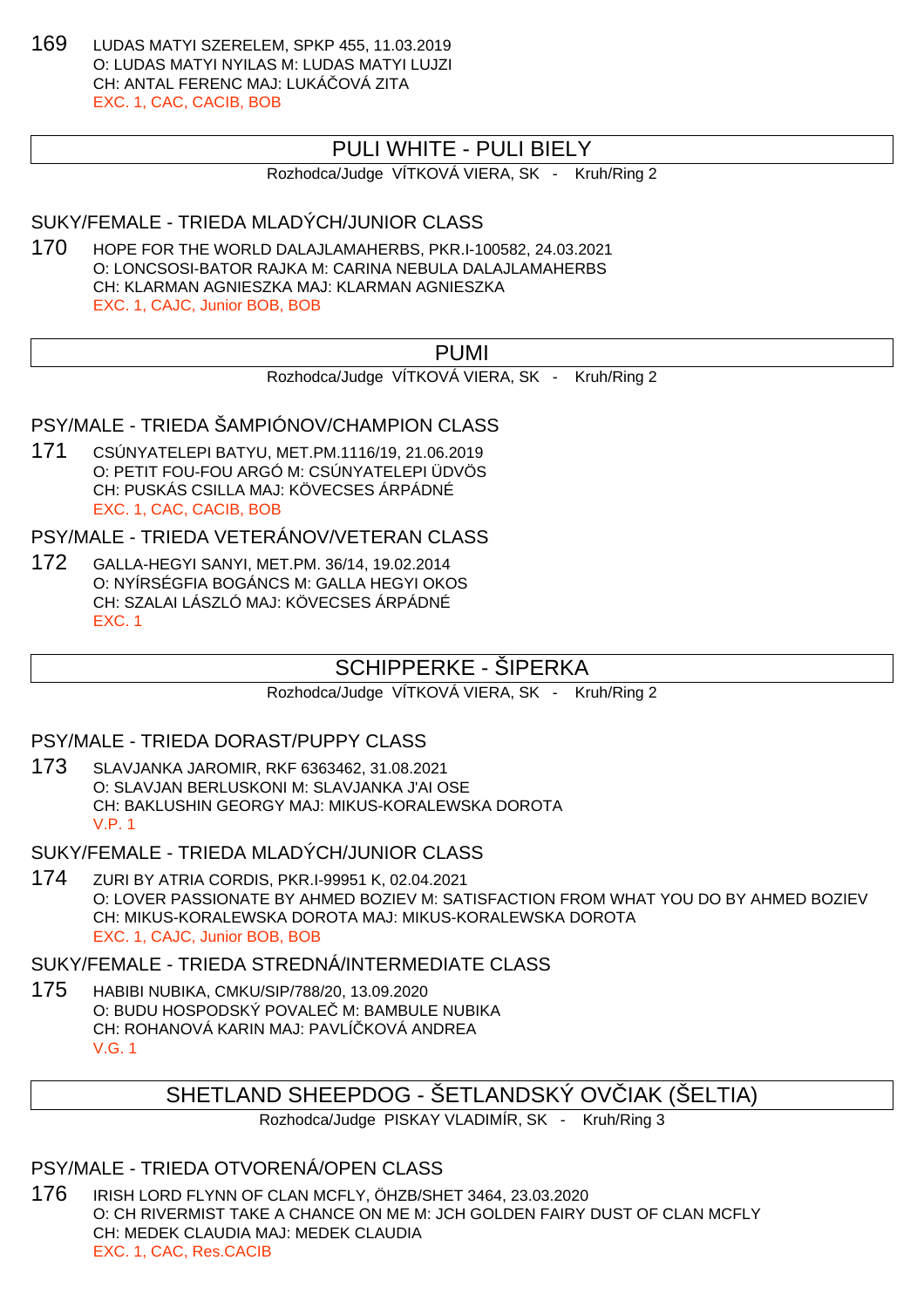169 LUDAS MATYI SZERELEM, SPKP 455, 11.03.2019 O: LUDAS MATYI NYILAS M: LUDAS MATYI LUJZI CH: ANTAL FERENC MAJ: LUKÁ OVÁ ZITA EXC. 1, CAC, CACIB, BOB

## PULI WHITE - PULI BIELY

Rozhodca/Judge VÍTKOVÁ VIERA, SK - Kruh/Ring 2

### SUKY/FEMALE - TRIEDA MLADÝCH/JUNIOR CLASS

170 HOPE FOR THE WORLD DALAJLAMAHERBS, PKR.I-100582, 24.03.2021 O: LONCSOSI-BATOR RAJKA M: CARINA NEBULA DALAJLAMAHERBS CH: KLARMAN AGNIESZKA MAJ: KLARMAN AGNIESZKA EXC. 1, CAJC, Junior BOB, BOB

PUMI

Rozhodca/Judge VÍTKOVÁ VIERA, SK - Kruh/Ring 2

## PSY/MALE - TRIEDA ŠAMPIÓNOV/CHAMPION CLASS

171 CSÚNYATELEPI BATYU, MET.PM.1116/19, 21.06.2019 O: PETIT FOU-FOU ARGÓ M: CSÚNYATELEPI ÜDVÖS CH: PUSKÁS CSILLA MAJ: KÖVECSES ÁRPÁDNÉ EXC. 1, CAC, CACIB, BOB

PSY/MALE - TRIEDA VETERÁNOV/VETERAN CLASS

172 GALLA-HEGYI SANYI, MET.PM. 36/14, 19.02.2014 O: NYÍRSÉGFIA BOGÁNCS M: GALLA HEGYI OKOS CH: SZALAI LÁSZLÓ MAJ: KÖVECSES ÁRPÁDNÉ EXC. 1

## SCHIPPERKE - ŠIPERKA

Rozhodca/Judge VÍTKOVÁ VIERA, SK - Kruh/Ring 2

PSY/MALE - TRIEDA DORAST/PUPPY CLASS

173 SLAVJANKA JAROMIR, RKF 6363462, 31.08.2021 O: SLAVJAN BERLUSKONI M: SLAVJANKA J'AI OSE CH: BAKLUSHIN GEORGY MAJ: MIKUS-KORALEWSKA DOROTA V.P. 1

SUKY/FEMALE - TRIEDA MLADÝCH/JUNIOR CLASS

174 ZURI BY ATRIA CORDIS, PKR.I-99951 K, 02.04.2021 O: LOVER PASSIONATE BY AHMED BOZIEV M: SATISFACTION FROM WHAT YOU DO BY AHMED BOZIEV CH: MIKUS-KORALEWSKA DOROTA MAJ: MIKUS-KORALEWSKA DOROTA EXC. 1, CAJC, Junior BOB, BOB

### SUKY/FEMALE - TRIEDA STREDNÁ/INTERMEDIATE CLASS

175 HABIBI NUBIKA, CMKU/SIP/788/20, 13.09.2020 O: BUDU HOSPODSKÝ POVALE M: BAMBULE NUBIKA CH: ROHANOVÁ KARIN MAJ: PAVLÍČKOVÁ ANDREA V.G. 1

## SHETLAND SHEEPDOG - ŠETLANDSKÝ OVÍJAK (ŠELTIA)

Rozhodca/Judge PISKAY VLADIMÍR, SK - Kruh/Ring 3

### PSY/MALE - TRIEDA OTVORENÁ/OPEN CLASS

176 IRISH LORD FLYNN OF CLAN MCFLY, ÖHZB/SHET 3464, 23.03.2020 O: CH RIVERMIST TAKE A CHANCE ON ME M: JCH GOLDEN FAIRY DUST OF CLAN MCFLY CH: MEDEK CLAUDIA MAJ: MEDEK CLAUDIA EXC. 1, CAC, Res.CACIB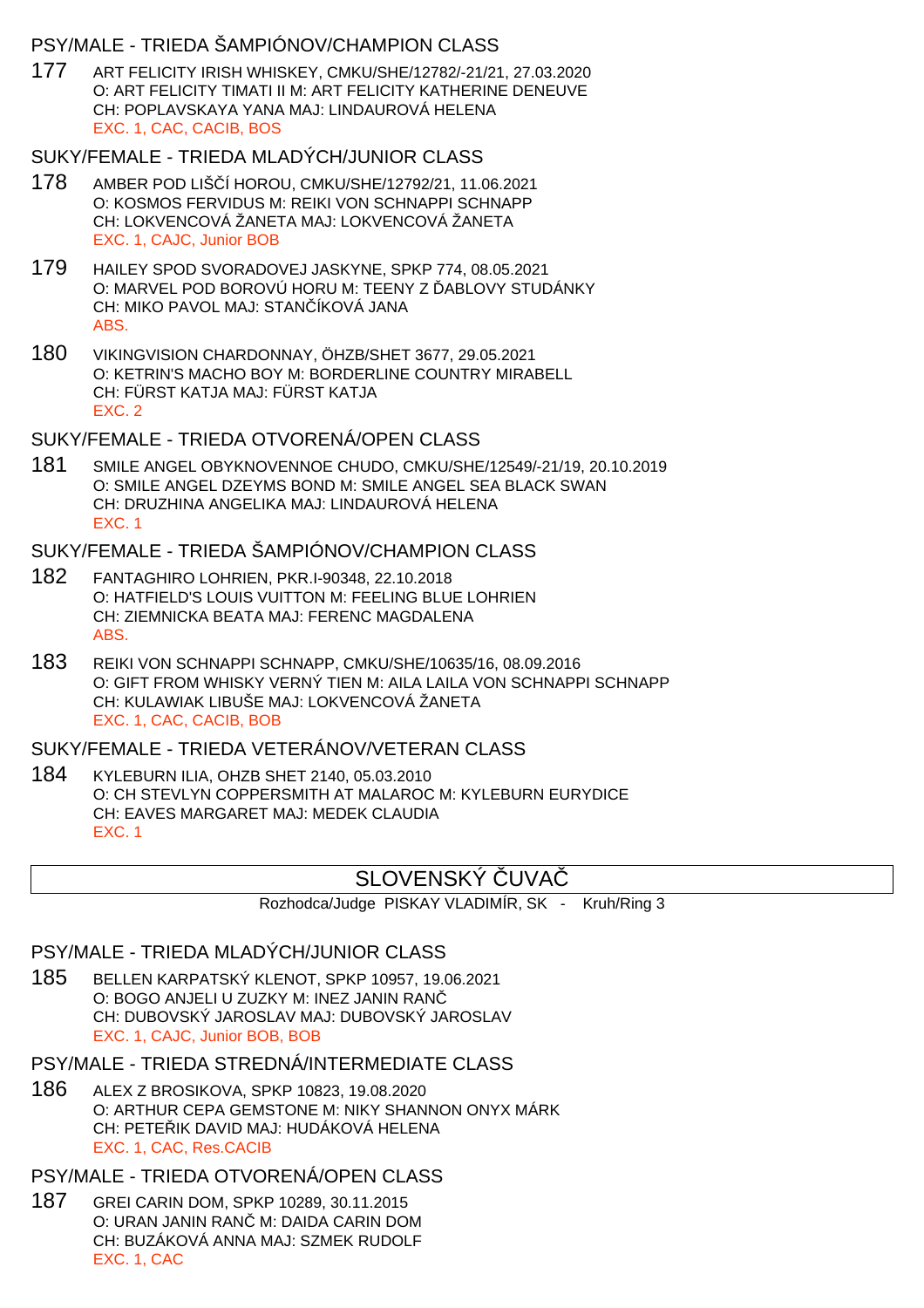### PSY/MALE - TRIEDA ŠAMPIÓNOV/CHAMPION CLASS

177 ART FELICITY IRISH WHISKEY, CMKU/SHE/12782/-21/21, 27.03.2020 O: ART FELICITY TIMATI II M: ART FELICITY KATHERINE DENEUVE CH: POPLAVSKAYA YANA MAJ: LINDAUROVÁ HELENA EXC. 1, CAC, CACIB, BOS

#### SUKY/FEMALE - TRIEDA MLADÝCH/JUNIOR CLASS

- 178 AMBER POD LIŠČÍ HOROU, CMKU/SHE/12792/21, 11.06.2021 O: KOSMOS FERVIDUS M: REIKI VON SCHNAPPI SCHNAPP CH: LOKVENCOVÁ ŽANETA MAJ: LOKVENCOVÁ ŽANETA EXC. 1, CAJC, Junior BOB
- 179 HAILEY SPOD SVORADOVEJ JASKYNE, SPKP 774, 08.05.2021 O: MARVEL POD BOROVÚ HORU M: TEENY Z ABLOVY STUDÁNKY CH: MIKO PAVOL MAJ: STAN ÍKOVÁ JANA ABS.
- 180 VIKINGVISION CHARDONNAY, ÖHZB/SHET 3677, 29.05.2021 O: KETRIN'S MACHO BOY M: BORDERLINE COUNTRY MIRABELL CH: FÜRST KATJA MAJ: FÜRST KATJA EXC. 2

### SUKY/FEMALE - TRIEDA OTVORENÁ/OPEN CLASS

181 SMILE ANGEL OBYKNOVENNOE CHUDO, CMKU/SHE/12549/-21/19, 20.10.2019 O: SMILE ANGEL DZEYMS BOND M: SMILE ANGEL SEA BLACK SWAN CH: DRUZHINA ANGELIKA MAJ: LINDAUROVÁ HELENA EXC. 1

### SUKY/FEMALE - TRIEDA ŠAMPIÓNOV/CHAMPION CLASS

- 182 FANTAGHIRO LOHRIEN, PKR.I-90348, 22.10.2018 O: HATFIELD'S LOUIS VUITTON M: FEELING BLUE LOHRIEN CH: ZIEMNICKA BEATA MAJ: FERENC MAGDALENA ABS.
- 183 REIKI VON SCHNAPPI SCHNAPP, CMKU/SHE/10635/16, 08.09.2016 O: GIFT FROM WHISKY VERNÝ TIEN M: AILA LAILA VON SCHNAPPI SCHNAPP CH: KULAWIAK LIBUŠE MAJ: LOKVENCOVÁ ŽANETA EXC. 1, CAC, CACIB, BOB

## SUKY/FEMALE - TRIEDA VETERÁNOV/VETERAN CLASS

184 KYLEBURN ILIA, OHZB SHET 2140, 05.03.2010 O: CH STEVLYN COPPERSMITH AT MALAROC M: KYLEBURN EURYDICE CH: EAVES MARGARET MAJ: MEDEK CLAUDIA EXC. 1

## SLOVENSKÝ LIVA

Rozhodca/Judge PISKAY VLADIMÍR, SK - Kruh/Ring 3

### PSY/MALE - TRIEDA MLADÝCH/JUNIOR CLASS

- 185 BELLEN KARPATSKÝ KLENOT, SPKP 10957, 19.06.2021 O: BOGO ANJELI U ZUZKY M: INEZ JANIN RANČ CH: DUBOVSKÝ JAROSLAV MAJ: DUBOVSKÝ JAROSLAV EXC. 1, CAJC, Junior BOB, BOB
- PSY/MALE TRIEDA STREDNÁ/INTERMEDIATE CLASS
- 186 ALEX Z BROSIKOVA, SPKP 10823, 19.08.2020 O: ARTHUR CEPA GEMSTONE M: NIKY SHANNON ONYX MÁRK CH: PETE IK DAVID MAJ: HUDÁKOVÁ HELENA EXC. 1, CAC, Res.CACIB

#### PSY/MALE - TRIEDA OTVORENÁ/OPEN CLASS

187 GREI CARIN DOM, SPKP 10289, 30.11.2015 O: URAN JANIN RAN M: DAIDA CARIN DOM CH: BUZÁKOVÁ ANNA MAJ: SZMEK RUDOLF EXC. 1, CAC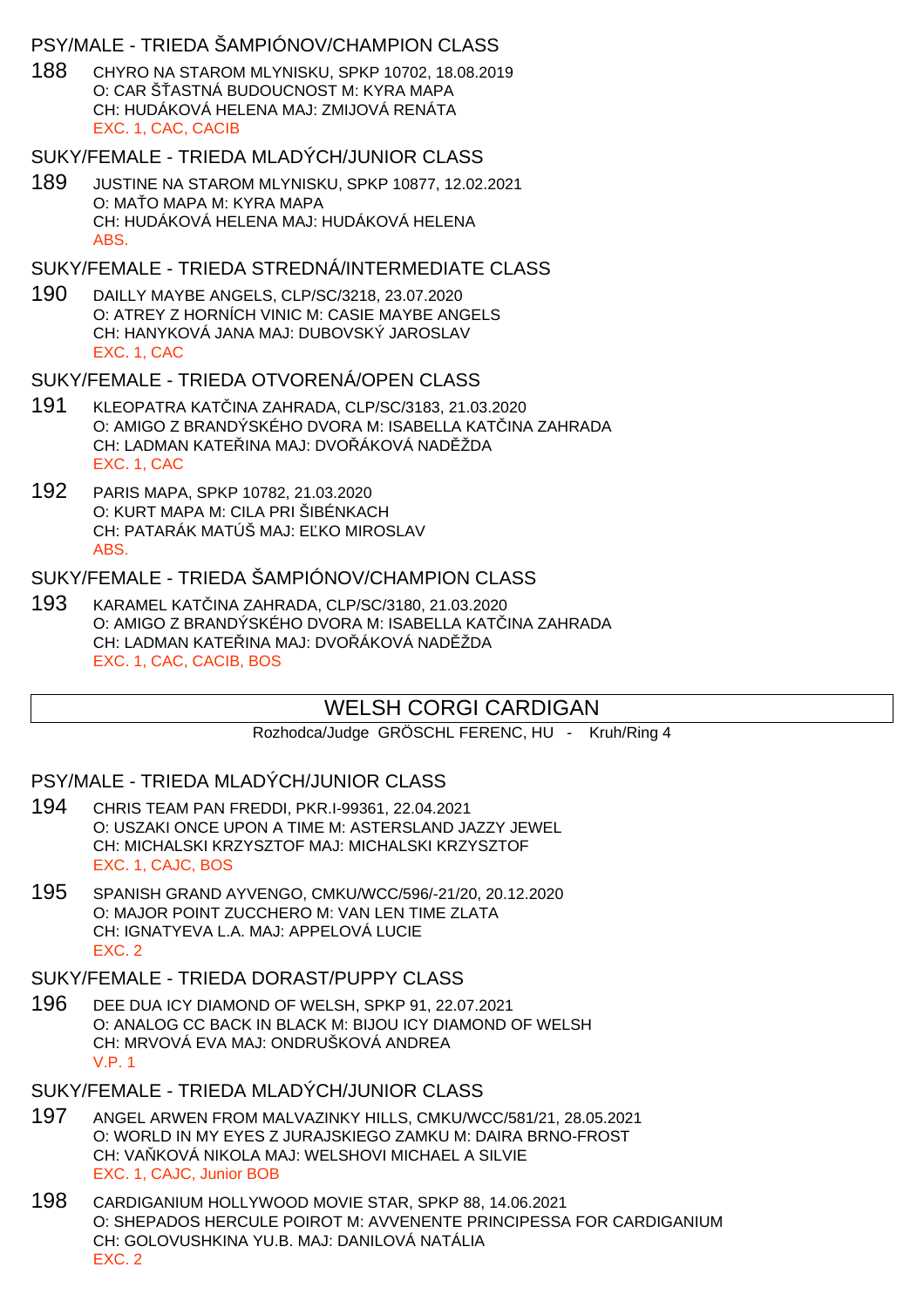### PSY/MALE - TRIEDA ŠAMPIÓNOV/CHAMPION CLASS

188 CHYRO NA STAROM MLYNISKU, SPKP 10702, 18.08.2019 O: CAR Š ASTNÁ BUDOUCNOST M: KYRA MAPA CH: HUDÁKOVÁ HELENA MAJ: ZMIJOVÁ RENÁTA EXC. 1, CAC, CACIB

### SUKY/FEMALE - TRIEDA MLADÝCH/JUNIOR CLASS

189 JUSTINE NA STAROM MLYNISKU, SPKP 10877, 12.02.2021 O: MA O MAPA M: KYRA MAPA CH: HUDÁKOVÁ HELENA MAJ: HUDÁKOVÁ HELENA ABS.

### SUKY/FEMALE - TRIEDA STREDNÁ/INTERMEDIATE CLASS

190 DAILLY MAYBE ANGELS, CLP/SC/3218, 23.07.2020 O: ATREY Z HORNÍCH VINIC M: CASIE MAYBE ANGELS CH: HANYKOVÁ JANA MAJ: DUBOVSKÝ JAROSLAV EXC. 1, CAC

### SUKY/FEMALE - TRIEDA OTVORENÁ/OPFN CLASS

- 191 KLEOPATRA KATČINA ZAHRADA, CLP/SC/3183, 21.03.2020 O: AMIGO Z BRANDÝSKÉHO DVORA M: ISABELLA KATINA ZAHRADA CH: LADMAN KATELINA MAJ: DVOLÁKOVÁ NADLŽDA EXC. 1, CAC
- 192 PARIS MAPA, SPKP 10782, 21.03.2020 O: KURT MAPA M: CILA PRI ŠIBÉNKACH CH: PATARÁK MATÚŠ MAJ: E KO MIROSLAV ABS.

### SUKY/FEMALE - TRIEDA ŠAMPIÓNOV/CHAMPION CLASS

193 KARAMEL KATČINA ZAHRADA, CLP/SC/3180, 21.03.2020 O: AMIGO Z BRANDÝSKÉHO DVORA M: ISABELLA KATINA ZAHRADA CH: LADMAN KATE INA MAJ: DVO ÁKOVÁ NAD ŽDA EXC. 1, CAC, CACIB, BOS

## WELSH CORGI CARDIGAN

Rozhodca/Judge GRÖSCHL FERENC, HU - Kruh/Ring 4

### PSY/MALE - TRIEDA MLADÝCH/JUNIOR CLASS

- 194 CHRIS TEAM PAN FREDDI, PKR.I-99361, 22.04.2021 O: USZAKI ONCE UPON A TIME M: ASTERSLAND JAZZY JEWEL CH: MICHALSKI KRZYSZTOF MAJ: MICHALSKI KRZYSZTOF EXC. 1, CAJC, BOS
- 195 SPANISH GRAND AYVENGO, CMKU/WCC/596/-21/20, 20.12.2020 O: MAJOR POINT ZUCCHERO M: VAN LEN TIME ZLATA CH: IGNATYEVA L.A. MAJ: APPELOVÁ LUCIE EXC. 2

### SUKY/FEMALE - TRIEDA DORAST/PUPPY CLASS

196 DEE DUA ICY DIAMOND OF WELSH, SPKP 91, 22.07.2021 O: ANALOG CC BACK IN BLACK M: BIJOU ICY DIAMOND OF WELSH CH: MRVOVÁ EVA MAJ: ONDRUŠKOVÁ ANDREA V.P. 1

### SUKY/FEMALE - TRIEDA MLADÝCH/JUNIOR CLASS

- 197 ANGEL ARWEN FROM MALVAZINKY HILLS, CMKU/WCC/581/21, 28.05.2021 O: WORLD IN MY EYES Z JURAJSKIEGO ZAMKU M: DAIRA BRNO-FROST CH: VA KOVÁ NIKOLA MAJ: WELSHOVI MICHAEL A SILVIE EXC. 1, CAJC, Junior BOB
- 198 CARDIGANIUM HOLLYWOOD MOVIE STAR, SPKP 88, 14.06.2021 O: SHEPADOS HERCULE POIROT M: AVVENENTE PRINCIPESSA FOR CARDIGANIUM CH: GOLOVUSHKINA YU.B. MAJ: DANILOVÁ NATÁLIA EXC. 2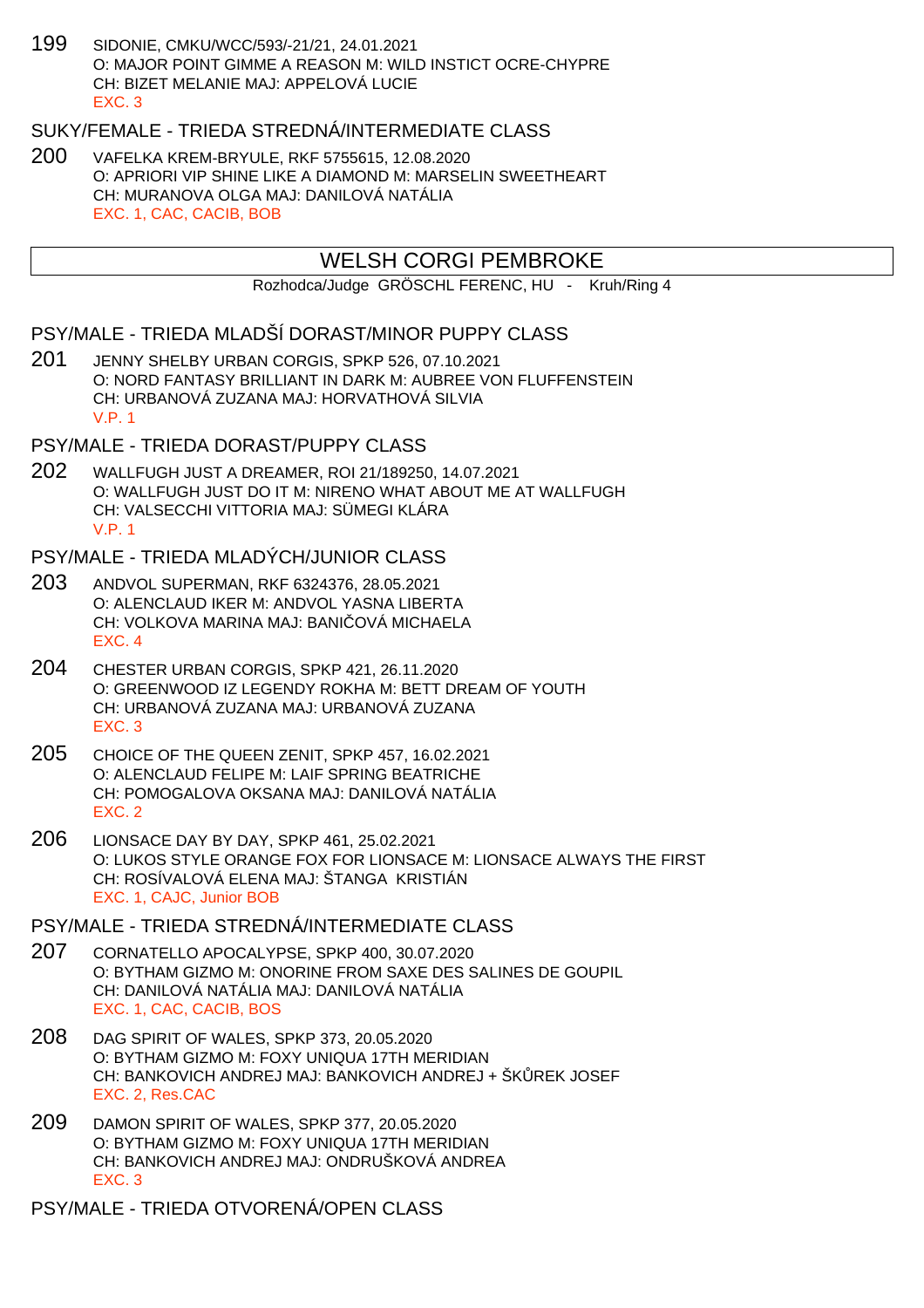199 SIDONIE, CMKU/WCC/593/-21/21, 24.01.2021 O: MAJOR POINT GIMME A REASON M: WILD INSTICT OCRE-CHYPRE CH: BIZET MELANIE MAJ: APPELOVÁ LUCIE EXC. 3

## SUKY/FEMALE - TRIEDA STREDNÁ/INTERMEDIATE CLASS

200 VAFELKA KREM-BRYULE, RKF 5755615, 12.08.2020 O: APRIORI VIP SHINE LIKE A DIAMOND M: MARSELIN SWEETHEART CH: MURANOVA OLGA MAJ: DANILOVÁ NATÁLIA EXC. 1, CAC, CACIB, BOB

## WELSH CORGI PEMBROKE

Rozhodca/Judge GRÖSCHL FERENC, HU - Kruh/Ring 4

### PSY/MALE - TRIEDA MLADŠÍ DORAST/MINOR PUPPY CLASS

201 JENNY SHELBY URBAN CORGIS, SPKP 526, 07.10.2021 O: NORD FANTASY BRILLIANT IN DARK M: AUBREE VON FLUFFENSTEIN CH: URBANOVÁ ZUZANA MAJ: HORVATHOVÁ SILVIA V.P. 1

### PSY/MALE - TRIEDA DORAST/PUPPY CLASS

202 WALLFUGH JUST A DREAMER, ROI 21/189250, 14.07.2021 O: WALLFUGH JUST DO IT M: NIRENO WHAT ABOUT ME AT WALLFUGH CH: VALSECCHI VITTORIA MAJ: SÜMEGI KLÁRA V.P. 1

### PSY/MALE - TRIEDA MLADÝCH/JUNIOR CLASS

- 203 ANDVOL SUPERMAN, RKF 6324376, 28.05.2021 O: ALENCLAUD IKER M: ANDVOL YASNA LIBERTA CH: VOLKOVA MARINA MAJ: BANI OVÁ MICHAELA EXC. 4
- 204 CHESTER URBAN CORGIS, SPKP 421, 26.11.2020 O: GREENWOOD IZ LEGENDY ROKHA M: BETT DREAM OF YOUTH CH: URBANOVÁ ZUZANA MAJ: URBANOVÁ ZUZANA EXC. 3
- 205 CHOICE OF THE QUEEN ZENIT, SPKP 457, 16.02.2021 O: ALENCLAUD FELIPE M: LAIF SPRING BEATRICHE CH: POMOGALOVA OKSANA MAJ: DANILOVÁ NATÁLIA EXC. 2
- 206 LIONSACE DAY BY DAY, SPKP 461, 25.02.2021 O: LUKOS STYLE ORANGE FOX FOR LIONSACE M: LIONSACE ALWAYS THE FIRST CH: ROSÍVALOVÁ ELENA MAJ: ŠTANGA KRISTIÁN EXC. 1, CAJC, Junior BOB

PSY/MALE - TRIEDA STREDNÁ/INTERMEDIATE CLASS

- 207 CORNATELLO APOCALYPSE, SPKP 400, 30.07.2020 O: BYTHAM GIZMO M: ONORINE FROM SAXE DES SALINES DE GOUPIL CH: DANILOVÁ NATÁLIA MAJ: DANILOVÁ NATÁLIA EXC. 1, CAC, CACIB, BOS
- 208 DAG SPIRIT OF WALES, SPKP 373, 20.05.2020 O: BYTHAM GIZMO M: FOXY UNIQUA 17TH MERIDIAN CH: BANKOVICH ANDREJ MAJ: BANKOVICH ANDREJ + ŠK REK JOSEF EXC. 2, Res.CAC
- 209 DAMON SPIRIT OF WALES, SPKP 377, 20.05.2020 O: BYTHAM GIZMO M: FOXY UNIQUA 17TH MERIDIAN CH: BANKOVICH ANDREJ MAJ: ONDRUŠKOVÁ ANDREA EXC. 3

PSY/MALE - TRIEDA OTVORENÁ/OPEN CLASS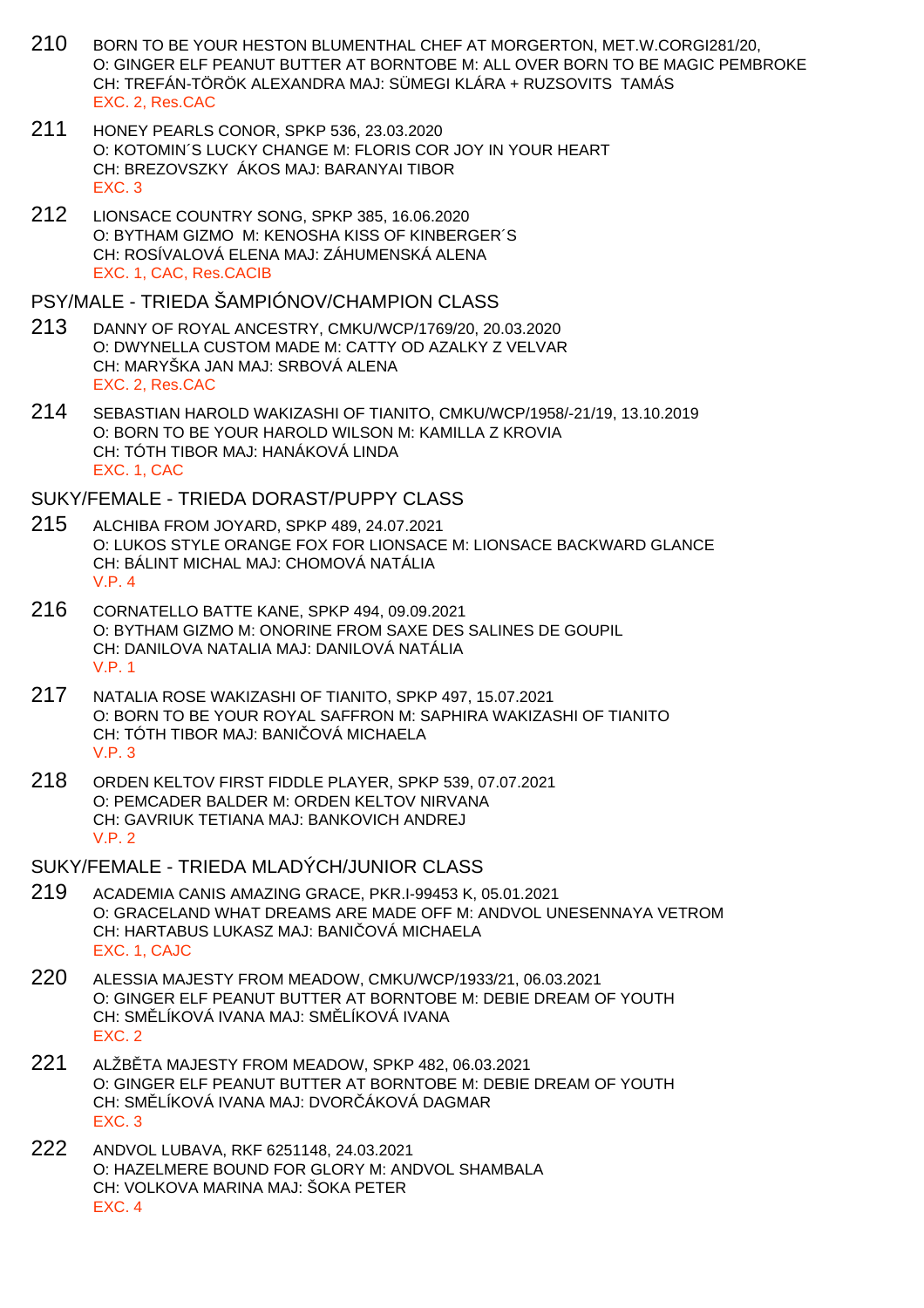- 210 BORN TO BE YOUR HESTON BLUMENTHAL CHEF AT MORGERTON, MET.W.CORGI281/20, O: GINGER ELF PEANUT BUTTER AT BORNTOBE M: ALL OVER BORN TO BE MAGIC PEMBROKE CH: TREFÁN-TÖRÖK ALEXANDRA MAJ: SÜMEGI KLÁRA + RUZSOVITS TAMÁS EXC. 2, Res.CAC
- 211 HONEY PEARLS CONOR, SPKP 536, 23.03.2020 O: KOTOMIN´S LUCKY CHANGE M: FLORIS COR JOY IN YOUR HEART CH: BREZOVSZKY ÁKOS MAJ: BARANYAI TIBOR EXC. 3
- 212 LIONSACE COUNTRY SONG, SPKP 385, 16.06.2020 O: BYTHAM GIZMO M: KENOSHA KISS OF KINBERGER´S CH: ROSÍVALOVÁ ELENA MAJ: ZÁHUMENSKÁ ALENA EXC. 1, CAC, Res.CACIB

### PSY/MALE - TRIEDA ŠAMPIÓNOV/CHAMPION CLASS

- 213 DANNY OF ROYAL ANCESTRY, CMKU/WCP/1769/20, 20.03.2020 O: DWYNELLA CUSTOM MADE M: CATTY OD AZALKY Z VELVAR CH: MARYŠKA JAN MAJ: SRBOVÁ ALENA EXC. 2, Res.CAC
- 214 SEBASTIAN HAROLD WAKIZASHI OF TIANITO, CMKU/WCP/1958/-21/19, 13.10.2019 O: BORN TO BE YOUR HAROLD WILSON M: KAMILLA Z KROVIA CH: TÓTH TIBOR MAJ: HANÁKOVÁ LINDA EXC. 1, CAC

SUKY/FEMALE - TRIEDA DORAST/PUPPY CLASS

- 215 ALCHIBA FROM JOYARD, SPKP 489, 24.07.2021 O: LUKOS STYLE ORANGE FOX FOR LIONSACE M: LIONSACE BACKWARD GLANCE CH: BÁLINT MICHAL MAJ: CHOMOVÁ NATÁLIA V.P. 4
- 216 CORNATELLO BATTE KANE, SPKP 494, 09.09.2021 O: BYTHAM GIZMO M: ONORINE FROM SAXE DES SALINES DE GOUPIL CH: DANILOVA NATALIA MAJ: DANILOVÁ NATÁLIA V.P. 1
- 217 NATALIA ROSE WAKIZASHI OF TIANITO, SPKP 497, 15.07.2021 O: BORN TO BE YOUR ROYAL SAFFRON M: SAPHIRA WAKIZASHI OF TIANITO CH: TÓTH TIBOR MAJ: BANI QVÁ MICHAELA V.P. 3
- 218 ORDEN KELTOV FIRST FIDDLE PLAYER, SPKP 539, 07.07.2021 O: PEMCADER BALDER M: ORDEN KELTOV NIRVANA CH: GAVRIUK TETIANA MAJ: BANKOVICH ANDREJ V.P. 2
- SUKY/FEMALE TRIEDA MLADÝCH/JUNIOR CLASS
- 219 ACADEMIA CANIS AMAZING GRACE, PKR.I-99453 K, 05.01.2021 O: GRACELAND WHAT DREAMS ARE MADE OFF M: ANDVOL UNESENNAYA VETROM CH: HARTABUS LUKASZ MAJ: BANI OVÁ MICHAELA EXC. 1, CAJC
- 220 ALESSIA MAJESTY FROM MEADOW, CMKU/WCP/1933/21, 06.03.2021 O: GINGER ELF PEANUT BUTTER AT BORNTOBE M: DEBIE DREAM OF YOUTH CH: SM. LÍKOVÁ IVANA MAJ: SM. LÍKOVÁ IVANA EXC. 2
- 221 ALŽB TA MAJESTY FROM MEADOW, SPKP 482, 06.03.2021 O: GINGER ELF PEANUT BUTTER AT BORNTOBE M: DEBIE DREAM OF YOUTH CH: SM. LÍKOVÁ IVANA MAJ: DVOR. ÁKOVÁ DAGMAR EXC. 3
- 222 ANDVOL LUBAVA, RKF 6251148, 24.03.2021 O: HAZELMERE BOUND FOR GLORY M: ANDVOL SHAMBALA CH: VOLKOVA MARINA MAJ: ŠOKA PETER EXC. 4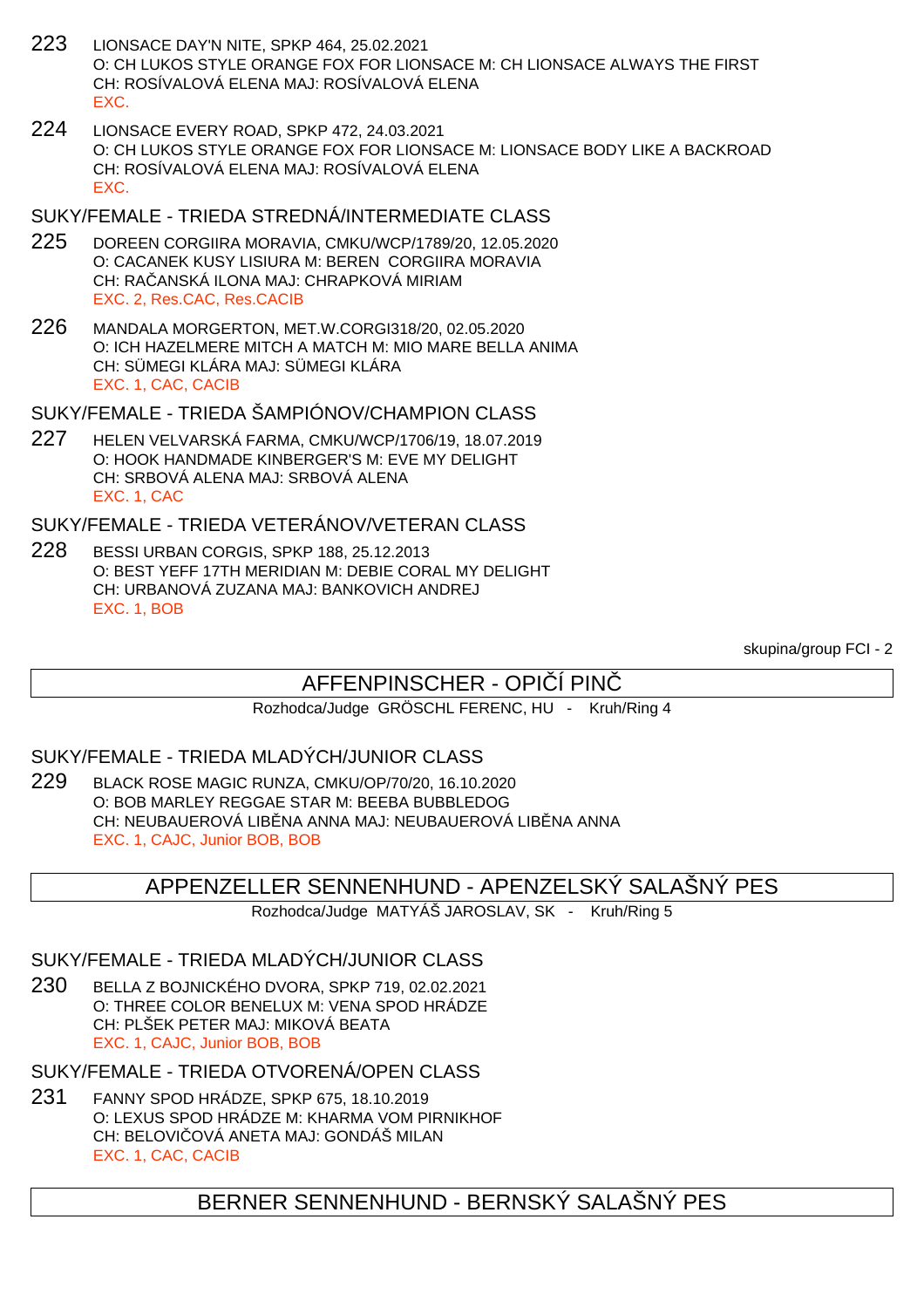- 223 LIONSACE DAY'N NITE, SPKP 464, 25.02.2021 O: CH LUKOS STYLE ORANGE FOX FOR LIONSACE M: CH LIONSACE ALWAYS THE FIRST CH: ROSÍVALOVÁ ELENA MAJ: ROSÍVALOVÁ ELENA EXC.
- 224 LIONSACE EVERY ROAD, SPKP 472, 24.03.2021 O: CH LUKOS STYLE ORANGE FOX FOR LIONSACE M: LIONSACE BODY LIKE A BACKROAD CH: ROSÍVALOVÁ ELENA MAJ: ROSÍVALOVÁ ELENA EXC.

### SUKY/FEMALE - TRIEDA STREDNÁ/INTERMEDIATE CLASS

- 225 DOREEN CORGIIRA MORAVIA, CMKU/WCP/1789/20, 12.05.2020 O: CACANEK KUSY LISIURA M: BEREN CORGIIRA MORAVIA CH: RA ANSKÁ ILONA MAJ: CHRAPKOVÁ MIRIAM EXC. 2, Res.CAC, Res.CACIB
- 226 MANDALA MORGERTON, MET.W.CORGI318/20, 02.05.2020 O: ICH HAZELMERE MITCH A MATCH M: MIO MARE BELLA ANIMA CH: SÜMEGI KLÁRA MAJ: SÜMEGI KLÁRA EXC. 1, CAC, CACIB
- SUKY/FEMALE TRIEDA ŠAMPIÓNOV/CHAMPION CLASS
- 227 HELEN VELVARSKÁ FARMA, CMKU/WCP/1706/19, 18.07.2019 O: HOOK HANDMADE KINBERGER'S M: EVE MY DELIGHT CH: SRBOVÁ ALENA MAJ: SRBOVÁ ALENA EXC. 1, CAC

SUKY/FEMALE - TRIEDA VETERÁNOV/VETERAN CLASS

228 BESSI URBAN CORGIS, SPKP 188, 25.12.2013 O: BEST YEFF 17TH MERIDIAN M: DEBIE CORAL MY DELIGHT CH: URBANOVÁ ZUZANA MAJ: BANKOVICH ANDREJ EXC. 1, BOB

skupina/group FCI - 2

# AFFENPINSCHER - OPI Í PIN

Rozhodca/Judge GRÖSCHL FERENC, HU - Kruh/Ring 4

SUKY/FEMALE - TRIEDA MLADÝCH/JUNIOR CLASS

229 BLACK ROSE MAGIC RUNZA, CMKU/OP/70/20, 16.10.2020 O: BOB MARLEY REGGAE STAR M: BEEBA BUBBLEDOG CH: NEUBAUEROVÁ LIB NA ANNA MAJ: NEUBAUEROVÁ LIB NA ANNA EXC. 1, CAJC, Junior BOB, BOB

### APPENZELLER SENNENHUND - APENZELSKÝ SALAŠNÝ PES

Rozhodca/Judge MATYÁŠ JAROSLAV, SK - Kruh/Ring 5

SUKY/FEMALE - TRIEDA MLADÝCH/JUNIOR CLASS

230 BELLA Z BOJNICKÉHO DVORA, SPKP 719, 02.02.2021 O: THREE COLOR BENELUX M: VENA SPOD HRÁDZE CH: PLŠEK PETER MAJ: MIKOVÁ BEATA EXC. 1, CAJC, Junior BOB, BOB

SUKY/FEMALE - TRIEDA OTVORENÁ/OPEN CLASS

231 FANNY SPOD HRÁDZE, SPKP 675, 18.10.2019 O: LEXUS SPOD HRÁDZE M: KHARMA VOM PIRNIKHOF CH: BELOVI OVÁ ANETA MAJ: GONDÁŠ MILAN EXC. 1, CAC, CACIB

## BERNER SENNENHUND - BERNSKÝ SALAŠNÝ PES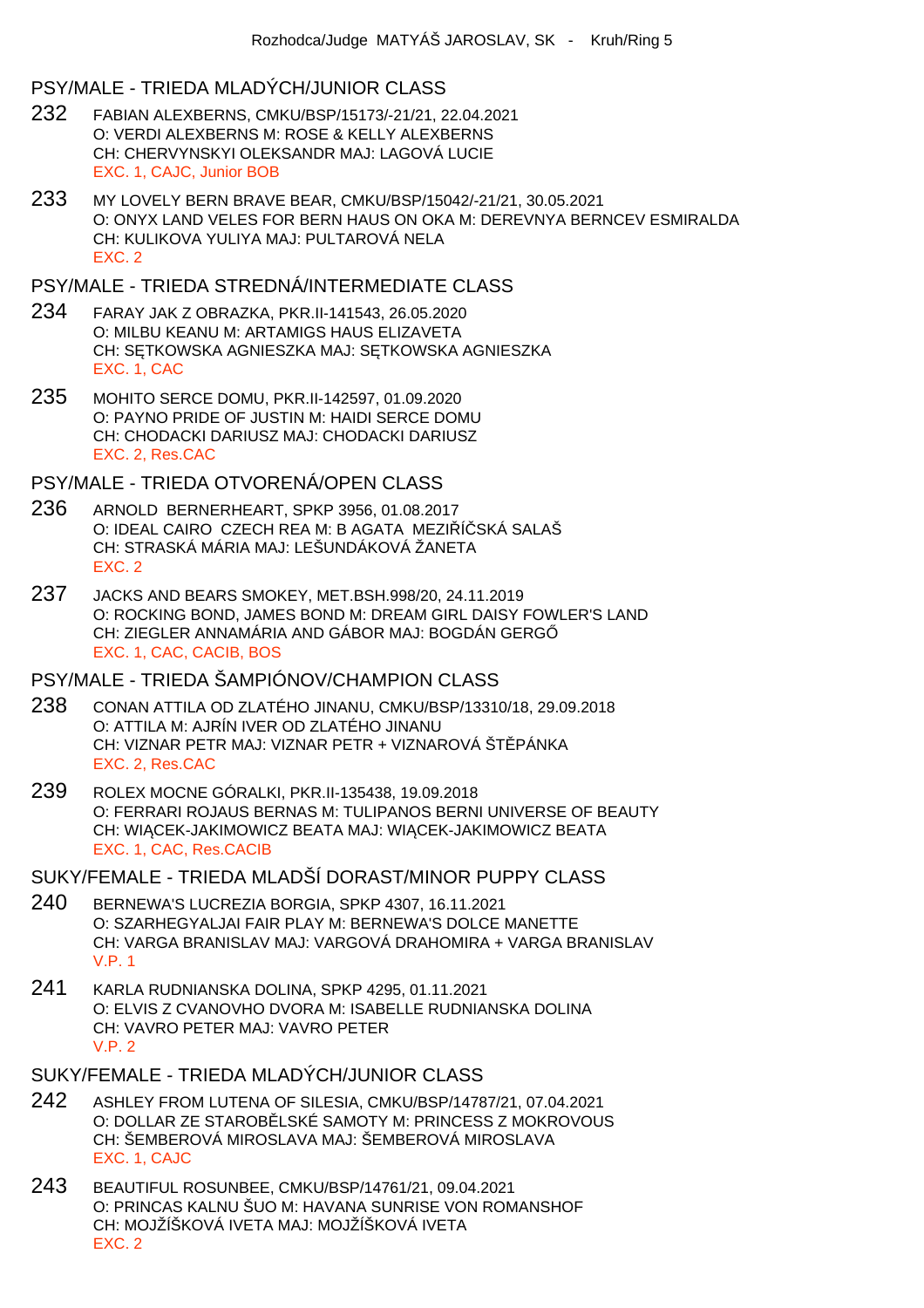### PSY/MALE - TRIEDA MLADÝCH/JUNIOR CLASS

- 232 FABIAN ALEXBERNS, CMKU/BSP/15173/-21/21, 22.04.2021 O: VERDI ALEXBERNS M: ROSE & KELLY ALEXBERNS CH: CHERVYNSKYI OLEKSANDR MAJ: LAGOVÁ LUCIE EXC. 1, CAJC, Junior BOB
- 233 MY LOVELY BERN BRAVE BEAR, CMKU/BSP/15042/-21/21, 30.05.2021 O: ONYX LAND VELES FOR BERN HAUS ON OKA M: DEREVNYA BERNCEV ESMIRALDA CH: KULIKOVA YULIYA MAJ: PULTAROVÁ NELA EXC. 2

## PSY/MALE - TRIEDA STREDNÁ/INTERMEDIATE CLASS

- 234 FARAY JAK Z OBRAZKA, PKR.II-141543, 26.05.2020 O: MILBU KEANU M: ARTAMIGS HAUS ELIZAVETA CH: S TKOWSKA AGNIESZKA MAJ: S TKOWSKA AGNIESZKA EXC. 1, CAC
- 235 MOHITO SERCE DOMU, PKR.II-142597, 01.09.2020 O: PAYNO PRIDE OF JUSTIN M: HAIDI SERCE DOMU CH: CHODACKI DARIUSZ MAJ: CHODACKI DARIUSZ EXC. 2, Res.CAC

PSY/MALE - TRIEDA OTVORENÁ/OPEN CLASS

- 236 ARNOLD BERNERHEART, SPKP 3956, 01.08.2017 O: IDEAL CAIRO CZECH REA M: B AGATA MEZI Í SKÁ SALAŠ CH: STRASKÁ MÁRIA MAJ: LEŠUNDÁKOVÁ ŽANETA EXC. 2
- 237 JACKS AND BEARS SMOKEY, MET.BSH.998/20, 24.11.2019 O: ROCKING BOND, JAMES BOND M: DREAM GIRL DAISY FOWLER'S LAND CH: ZIEGLER ANNAMÁRIA AND GÁBOR MAJ: BOGDÁN GERG EXC. 1, CAC, CACIB, BOS

## PSY/MALE - TRIEDA ŠAMPIÓNOV/CHAMPION CLASS

- 238 CONAN ATTILA OD ZLATÉHO JINANU, CMKU/BSP/13310/18, 29.09.2018 O: ATTILA M: AJRÍN IVER OD ZLATÉHO JINANU CH: VIZNAR PETR MAJ: VIZNAR PETR + VIZNAROVÁ ŠT PÁNKA EXC. 2, Res.CAC
- 239 ROLEX MOCNE GÓRALKI, PKR.II-135438, 19.09.2018 O: FERRARI ROJAUS BERNAS M: TULIPANOS BERNI UNIVERSE OF BEAUTY CH: WI CEK-JAKIMOWICZ BEATA MAJ: WI CEK-JAKIMOWICZ BEATA EXC. 1, CAC, Res.CACIB

SUKY/FEMALE - TRIEDA MLADŠÍ DORAST/MINOR PUPPY CLASS

- 240 BERNEWA'S LUCREZIA BORGIA, SPKP 4307, 16.11.2021 O: SZARHEGYALJAI FAIR PLAY M: BERNEWA'S DOLCE MANETTE CH: VARGA BRANISLAV MAJ: VARGOVÁ DRAHOMIRA + VARGA BRANISLAV V.P. 1
- 241 KARLA RUDNIANSKA DOLINA, SPKP 4295, 01.11.2021 O: ELVIS Z CVANOVHO DVORA M: ISABELLE RUDNIANSKA DOLINA CH: VAVRO PETER MAJ: VAVRO PETER V.P. 2

SUKY/FEMALE - TRIEDA MLADÝCH/JUNIOR CLASS

- 242 ASHLEY FROM LUTENA OF SILESIA, CMKU/BSP/14787/21, 07.04.2021 O: DOLLAR ZE STAROBLISKÉ SAMOTY M: PRINCESS Z MOKROVOUS CH: ŠEMBEROVÁ MIROSLAVA MAJ: ŠEMBEROVÁ MIROSLAVA EXC. 1, CAJC
- 243 BEAUTIFUL ROSUNBEE, CMKU/BSP/14761/21, 09.04.2021 O: PRINCAS KALNU ŠUO M: HAVANA SUNRISE VON ROMANSHOF CH: MOJŽÍŠKOVÁ IVETA MAJ: MOJŽÍŠKOVÁ IVETA EXC. 2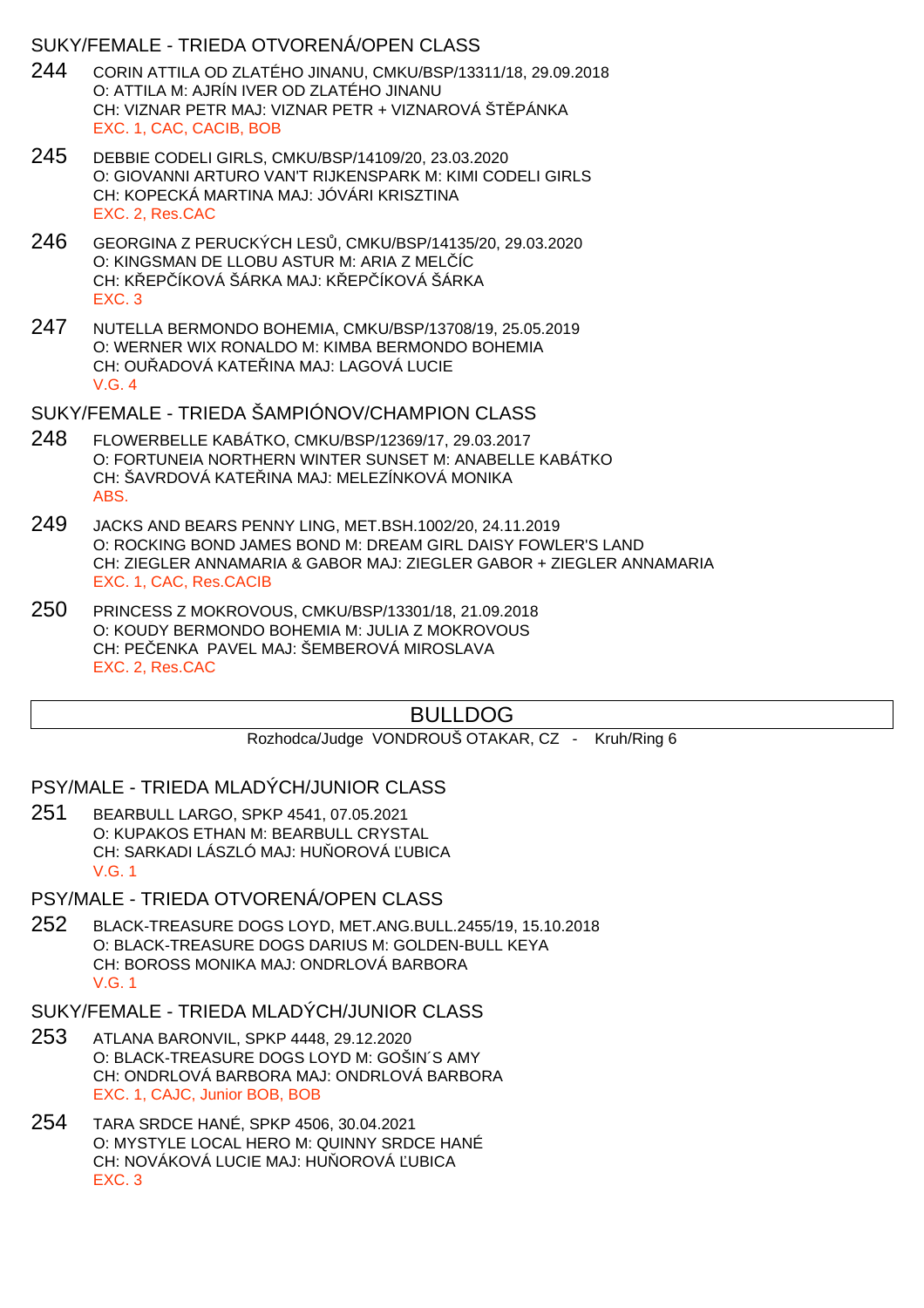### SUKY/FEMALE - TRIEDA OTVORENÁ/OPEN CLASS

- 244 CORIN ATTILA OD ZLATÉHO JINANU, CMKU/BSP/13311/18, 29.09.2018 O: ATTILA M: AJRÍN IVER OD ZLATÉHO JINANU CH: VIZNAR PETR MAJ: VIZNAR PETR + VIZNAROVÁ ŠT. PÁNKA EXC. 1, CAC, CACIB, BOB
- 245 DEBBIE CODELI GIRLS, CMKU/BSP/14109/20, 23.03.2020 O: GIOVANNI ARTURO VAN'T RIJKENSPARK M: KIMI CODELI GIRLS CH: KOPECKÁ MARTINA MAJ: JÓVÁRI KRISZTINA EXC. 2, Res.CAC
- 246 GEORGINA Z PERUCKÝCH LESŮ, CMKU/BSP/14135/20, 29.03.2020 O: KINGSMAN DE LLOBU ASTUR M: ARIA Z MELÍC CH: KŘEPŘÍKOVÁ ŠÁRKA MAJ: KŘEPŘÍKOVÁ ŠÁRKA EXC. 3
- 247 NUTELLA BERMONDO BOHEMIA, CMKU/BSP/13708/19, 25.05.2019 O: WERNER WIX RONALDO M: KIMBA BERMONDO BOHEMIA CH: OU ADOVÁ KATE INA MAJ: LAGOVÁ LUCIE V.G. 4

SUKY/FEMALE - TRIEDA ŠAMPIÓNOV/CHAMPION CLASS

- 248 FLOWERBELLE KABÁTKO, CMKU/BSP/12369/17, 29.03.2017 O: FORTUNEIA NORTHERN WINTER SUNSET M: ANABELLE KABÁTKO CH: ŠAVRDOVÁ KATE INA MAJ: MELEZÍNKOVÁ MONIKA ABS.
- 249 JACKS AND BEARS PENNY LING, MET.BSH.1002/20, 24.11.2019 O: ROCKING BOND JAMES BOND M: DREAM GIRL DAISY FOWLER'S LAND CH: ZIEGLER ANNAMARIA & GABOR MAJ: ZIEGLER GABOR + ZIEGLER ANNAMARIA EXC. 1, CAC, Res.CACIB
- 250 PRINCESS Z MOKROVOUS, CMKU/BSP/13301/18, 21.09.2018 O: KOUDY BERMONDO BOHEMIA M: JULIA Z MOKROVOUS CH: PE ENKA PAVEL MAJ: ŠEMBEROVÁ MIROSLAVA EXC. 2, Res.CAC

# BULLDOG

Rozhodca/Judge VONDROUŠ OTAKAR, CZ - Kruh/Ring 6

### PSY/MALE - TRIEDA MLADÝCH/JUNIOR CLASS

- 251 BEARBULL LARGO, SPKP 4541, 07.05.2021 O: KUPAKOS ETHAN M: BEARBULL CRYSTAL CH: SARKADI LÁSZLÓ MAJ: HU OROVÁ UBICA V.G. 1
- PSY/MALE TRIEDA OTVORENÁ/OPEN CLASS
- 252 BLACK-TREASURE DOGS LOYD, MET.ANG.BULL.2455/19, 15.10.2018 O: BLACK-TREASURE DOGS DARIUS M: GOLDEN-BULL KEYA CH: BOROSS MONIKA MAJ: ONDRLOVÁ BARBORA V.G. 1
- SUKY/FEMALE TRIEDA MLADÝCH/JUNIOR CLASS
- 253 ATLANA BARONVIL, SPKP 4448, 29.12.2020 O: BLACK-TREASURE DOGS LOYD M: GOŠIN´S AMY CH: ONDRLOVÁ BARBORA MAJ: ONDRLOVÁ BARBORA EXC. 1, CAJC, Junior BOB, BOB
- 254 TARA SRDCE HANÉ, SPKP 4506, 30.04.2021 O: MYSTYLE LOCAL HERO M: QUINNY SRDCE HANÉ CH: NOVÁKOVÁ LUCIE MAJ: HU OROVÁ UBICA EXC. 3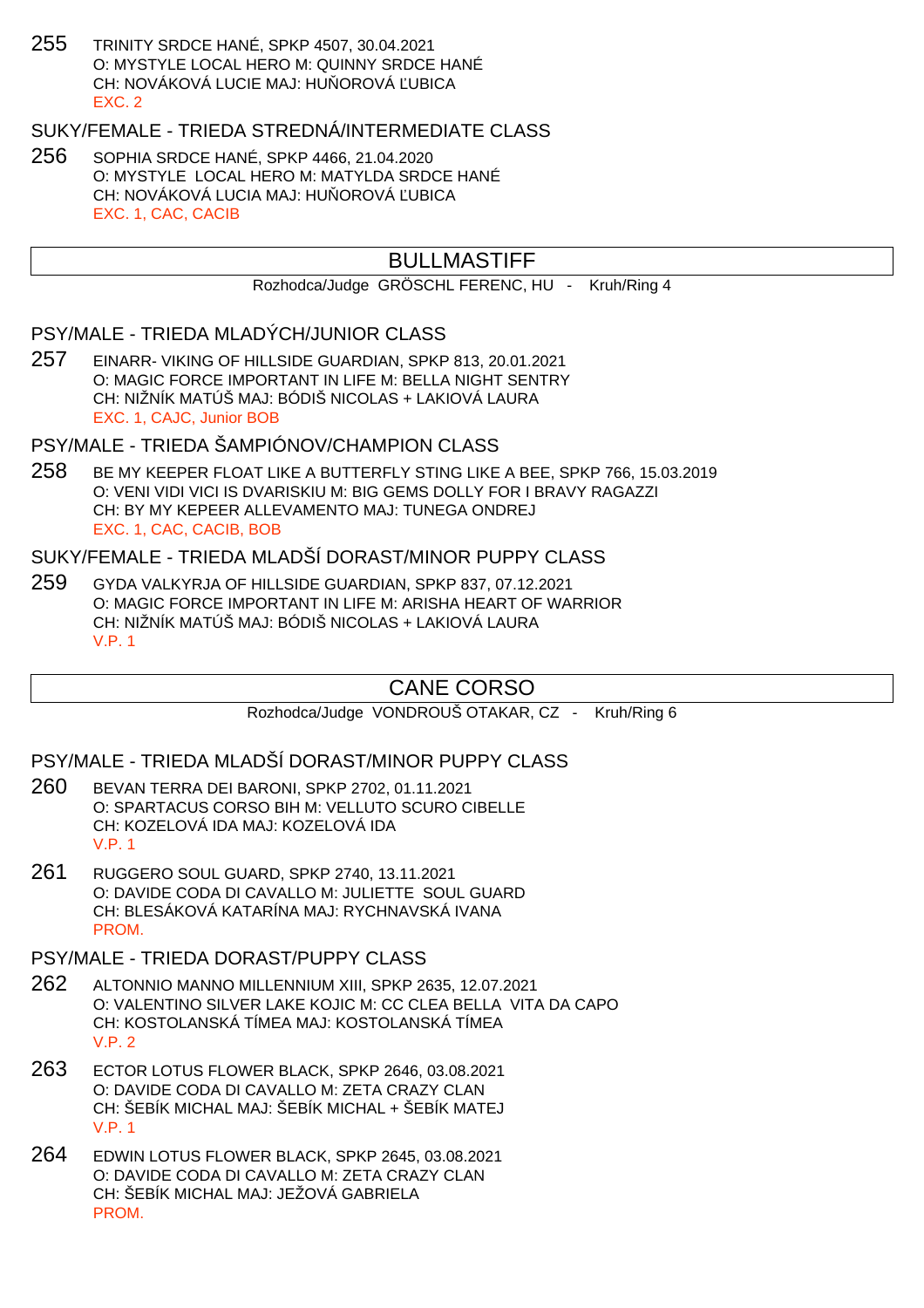255 TRINITY SRDCE HANÉ, SPKP 4507, 30.04.2021 O: MYSTYLE LOCAL HERO M: QUINNY SRDCE HANÉ CH: NOVÁKOVÁ LUCIE MAJ: HU OROVÁ LUBICA EXC. 2

## SUKY/FEMALE - TRIEDA STREDNÁ/INTERMEDIATE CLASS

256 SOPHIA SRDCE HANÉ, SPKP 4466, 21.04.2020 O: MYSTYLE LOCAL HERO M: MATYLDA SRDCE HANÉ CH: NOVÁKOVÁ LUCIA MAJ: HU OROVÁ UBICA EXC. 1, CAC, CACIB

## BULLMASTIFF

Rozhodca/Judge GRÖSCHL FERENC, HU - Kruh/Ring 4

### PSY/MALE - TRIEDA MLADÝCH/JUNIOR CLASS

257 EINARR- VIKING OF HILLSIDE GUARDIAN, SPKP 813, 20.01.2021 O: MAGIC FORCE IMPORTANT IN LIFE M: BELLA NIGHT SENTRY CH: NIŽNÍK MATÚŠ MAJ: BÓDIŠ NICOLAS + LAKIOVÁ LAURA EXC. 1, CAJC, Junior BOB

## PSY/MALE - TRIEDA ŠAMPIÓNOV/CHAMPION CLASS

258 BE MY KEEPER FLOAT LIKE A BUTTERFLY STING LIKE A BEE, SPKP 766, 15.03.2019 O: VENI VIDI VICI IS DVARISKIU M: BIG GEMS DOLLY FOR I BRAVY RAGAZZI CH: BY MY KEPEER ALLEVAMENTO MAJ: TUNEGA ONDREJ EXC. 1, CAC, CACIB, BOB

## SUKY/FEMALE - TRIEDA MLADŠÍ DORAST/MINOR PUPPY CLASS

259 GYDA VALKYRJA OF HILLSIDE GUARDIAN, SPKP 837, 07.12.2021 O: MAGIC FORCE IMPORTANT IN LIFE M: ARISHA HEART OF WARRIOR CH: NIŽNÍK MATÚŠ MAJ: BÓDIŠ NICOLAS + LAKIOVÁ LAURA V.P. 1

## CANE CORSO

Rozhodca/Judge VONDROUŠ OTAKAR, CZ - Kruh/Ring 6

PSY/MALE - TRIEDA MLADŠÍ DORAST/MINOR PUPPY CLASS

- 260 BEVAN TERRA DEI BARONI, SPKP 2702, 01.11.2021 O: SPARTACUS CORSO BIH M: VELLUTO SCURO CIBELLE CH: KOZELOVÁ IDA MAJ: KOZELOVÁ IDA V.P. 1
- 261 RUGGERO SOUL GUARD, SPKP 2740, 13.11.2021 O: DAVIDE CODA DI CAVALLO M: JULIETTE SOUL GUARD CH: BLESÁKOVÁ KATARÍNA MAJ: RYCHNAVSKÁ IVANA **PROM**

#### PSY/MALE - TRIEDA DORAST/PUPPY CLASS

- 262 ALTONNIO MANNO MILLENNIUM XIII, SPKP 2635, 12.07.2021 O: VALENTINO SILVER LAKE KOJIC M: CC CLEA BELLA VITA DA CAPO CH: KOSTOLANSKÁ TÍMEA MAJ: KOSTOLANSKÁ TÍMEA V.P. 2
- 263 ECTOR LOTUS FLOWER BLACK, SPKP 2646, 03.08.2021 O: DAVIDE CODA DI CAVALLO M: ZETA CRAZY CLAN CH: ŠEBÍK MICHAL MAJ: ŠEBÍK MICHAL + ŠEBÍK MATEJ V.P. 1
- 264 EDWIN LOTUS FLOWER BLACK, SPKP 2645, 03.08.2021 O: DAVIDE CODA DI CAVALLO M: ZETA CRAZY CLAN CH: ŠEBÍK MICHAL MAJ: JEŽOVÁ GABRIELA PROM.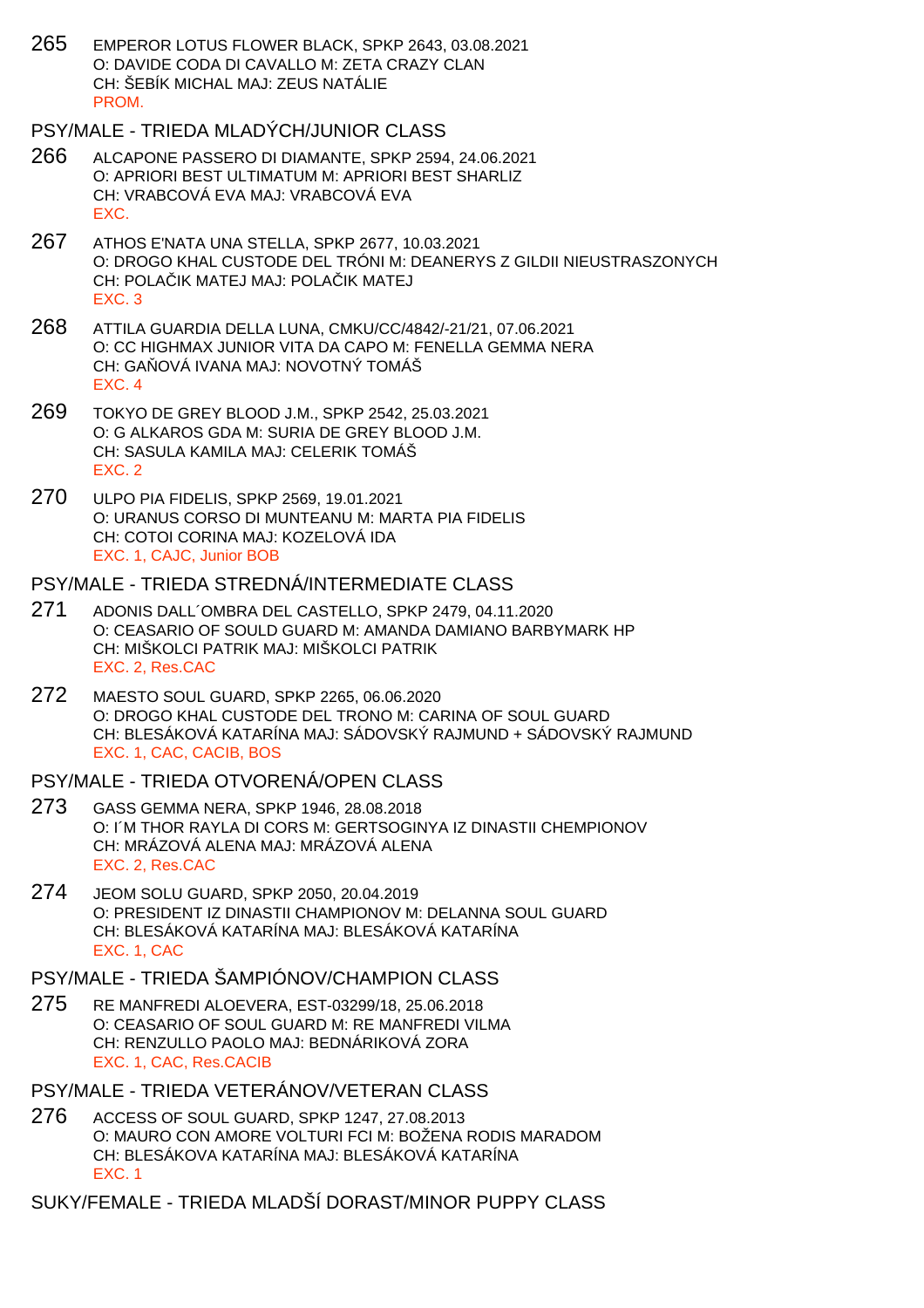265 EMPEROR LOTUS FLOWER BLACK, SPKP 2643, 03.08.2021 O: DAVIDE CODA DI CAVALLO M: ZETA CRAZY CLAN CH: ŠEBÍK MICHAL MAJ: ZEUS NATÁLIE **PROM** 

## PSY/MALE - TRIEDA MLADÝCH/JUNIOR CLASS

- 266 ALCAPONE PASSERO DI DIAMANTE, SPKP 2594, 24.06.2021 O: APRIORI BEST ULTIMATUM M: APRIORI BEST SHARLIZ CH: VRABCOVÁ EVA MAJ: VRABCOVÁ EVA EXC.
- 267 ATHOS E'NATA UNA STELLA, SPKP 2677, 10.03.2021 O: DROGO KHAL CUSTODE DEL TRÓNI M: DEANERYS Z GILDII NIEUSTRASZONYCH CH: POLA IK MATEJ MAJ: POLA IK MATEJ EXC. 3
- 268 ATTILA GUARDIA DELLA LUNA, CMKU/CC/4842/-21/21, 07.06.2021 O: CC HIGHMAX JUNIOR VITA DA CAPO M: FENELLA GEMMA NERA CH: GA OVÁ IVANA MAJ: NOVOTNÝ TOMÁŠ EXC. 4
- 269 TOKYO DE GREY BLOOD J.M., SPKP 2542, 25.03.2021 O: G ALKAROS GDA M: SURIA DE GREY BLOOD J.M. CH: SASULA KAMILA MAJ: CELERIK TOMÁŠ EXC. 2
- 270 ULPO PIA FIDELIS, SPKP 2569, 19.01.2021 O: URANUS CORSO DI MUNTEANU M: MARTA PIA FIDELIS CH: COTOI CORINA MAJ: KOZELOVÁ IDA EXC. 1, CAJC, Junior BOB

## PSY/MALE - TRIEDA STREDNÁ/INTERMEDIATE CLASS

- 271 ADONIS DALL´OMBRA DEL CASTELLO, SPKP 2479, 04.11.2020 O: CEASARIO OF SOULD GUARD M: AMANDA DAMIANO BARBYMARK HP CH: MIŠKOLCI PATRIK MAJ: MIŠKOLCI PATRIK EXC. 2, Res.CAC
- 272 MAESTO SOUL GUARD, SPKP 2265, 06.06.2020 O: DROGO KHAL CUSTODE DEL TRONO M: CARINA OF SOUL GUARD CH: BLESÁKOVÁ KATARÍNA MAJ: SÁDOVSKÝ RAJMUND + SÁDOVSKÝ RAJMUND EXC. 1, CAC, CACIB, BOS

## PSY/MALE - TRIEDA OTVORENÁ/OPEN CLASS

- 273 GASS GEMMA NERA, SPKP 1946, 28.08.2018 O: I´M THOR RAYLA DI CORS M: GERTSOGINYA IZ DINASTII CHEMPIONOV CH: MRÁZOVÁ ALENA MAJ: MRÁZOVÁ ALENA EXC. 2, Res.CAC
- 274 JEOM SOLU GUARD, SPKP 2050, 20.04.2019 O: PRESIDENT IZ DINASTII CHAMPIONOV M: DELANNA SOUL GUARD CH: BLESÁKOVÁ KATARÍNA MAJ: BLESÁKOVÁ KATARÍNA EXC. 1, CAC

# PSY/MALE - TRIEDA ŠAMPIÓNOV/CHAMPION CLASS

- 275 RE MANFREDI ALOEVERA, EST-03299/18, 25.06.2018 O: CEASARIO OF SOUL GUARD M: RE MANFREDI VILMA CH: RENZULLO PAOLO MAJ: BEDNÁRIKOVÁ ZORA EXC. 1, CAC, Res.CACIB
- PSY/MALE TRIEDA VETERÁNOV/VETERAN CLASS
- 276 ACCESS OF SOUL GUARD, SPKP 1247, 27.08.2013 O: MAURO CON AMORE VOLTURI FCI M: BOŽENA RODIS MARADOM CH: BLESÁKOVA KATARÍNA MAJ: BLESÁKOVÁ KATARÍNA EXC. 1

SUKY/FEMALE - TRIEDA MLADŠÍ DORAST/MINOR PUPPY CLASS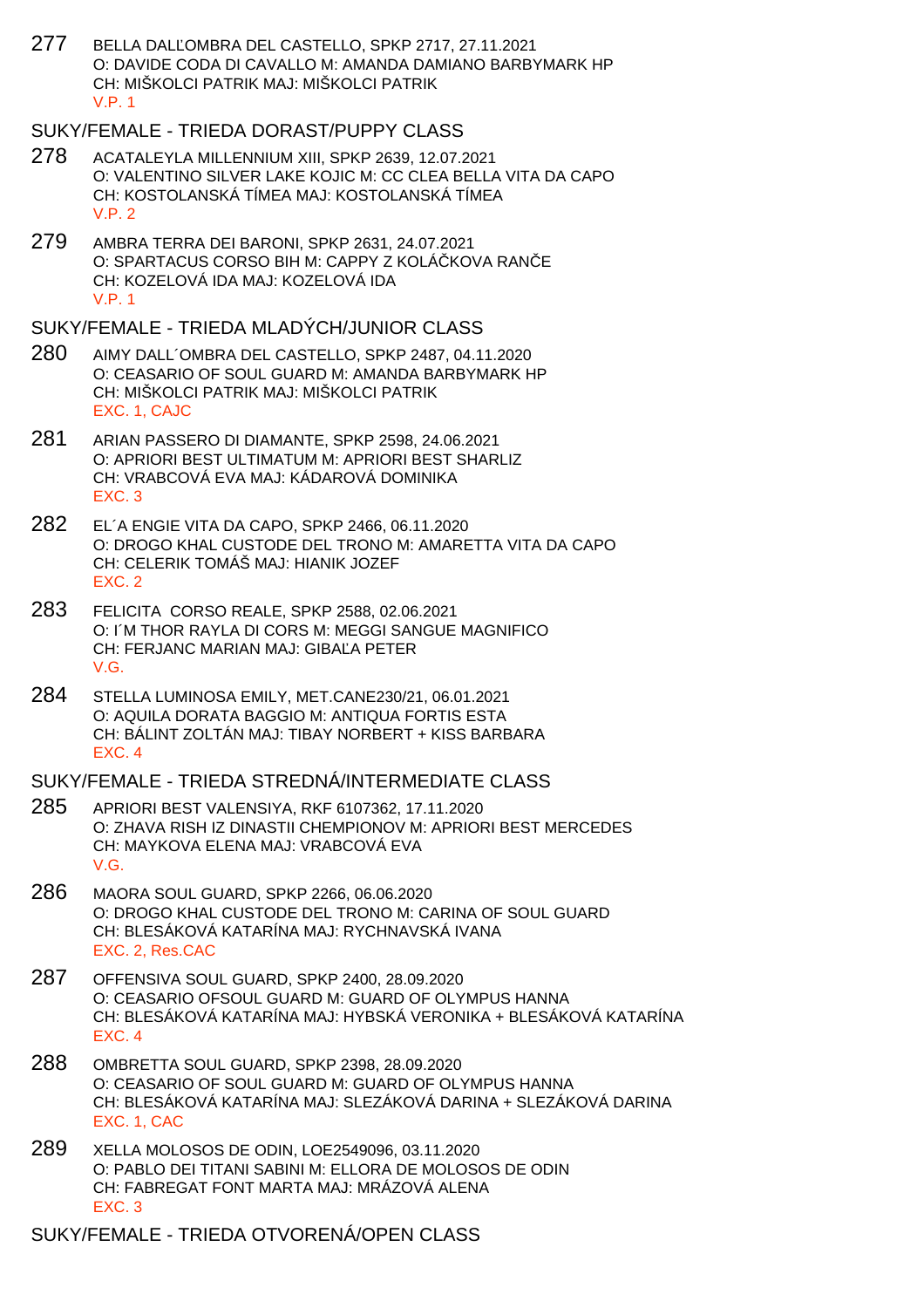277 BELLA DAL OMBRA DEL CASTELLO, SPKP 2717, 27.11.2021 O: DAVIDE CODA DI CAVALLO M: AMANDA DAMIANO BARBYMARK HP CH: MIŠKOLCI PATRIK MAJ: MIŠKOLCI PATRIK V.P. 1

SUKY/FEMALE - TRIEDA DORAST/PUPPY CLASS

- 278 ACATALEYLA MILLENNIUM XIII, SPKP 2639, 12.07.2021 O: VALENTINO SILVER LAKE KOJIC M: CC CLEA BELLA VITA DA CAPO CH: KOSTOLANSKÁ TÍMEA MAJ: KOSTOLANSKÁ TÍMEA V.P. 2
- 279 AMBRA TERRA DEI BARONI, SPKP 2631, 24.07.2021 O: SPARTACUS CORSO BIH M: CAPPY Z KOLÁ KOVA RAN E CH: KOZELOVÁ IDA MAJ: KOZELOVÁ IDA V.P. 1

SUKY/FEMALE - TRIEDA MLADÝCH/JUNIOR CLASS

- 280 AIMY DALL´OMBRA DEL CASTELLO, SPKP 2487, 04.11.2020 O: CEASARIO OF SOUL GUARD M: AMANDA BARBYMARK HP CH: MIŠKOLCI PATRIK MAJ: MIŠKOLCI PATRIK EXC. 1, CAJC
- 281 ARIAN PASSERO DI DIAMANTE, SPKP 2598, 24.06.2021 O: APRIORI BEST ULTIMATUM M: APRIORI BEST SHARLIZ CH: VRABCOVÁ EVA MAJ: KÁDAROVÁ DOMINIKA EXC. 3
- 282 EL´A ENGIE VITA DA CAPO, SPKP 2466, 06.11.2020 O: DROGO KHAL CUSTODE DEL TRONO M: AMARETTA VITA DA CAPO CH: CELERIK TOMÁŠ MAJ: HIANIK JOZEF EXC. 2
- 283 FELICITA CORSO REALE, SPKP 2588, 02.06.2021 O: I´M THOR RAYLA DI CORS M: MEGGI SANGUE MAGNIFICO CH: FERJANC MARIAN MAJ: GIBA A PETER V.G.
- 284 STELLA LUMINOSA EMILY, MET.CANE230/21, 06.01.2021 O: AQUILA DORATA BAGGIO M: ANTIQUA FORTIS ESTA CH: BÁLINT ZOLTÁN MAJ: TIBAY NORBERT + KISS BARBARA EXC. 4

SUKY/FEMALE - TRIEDA STREDNÁ/INTERMEDIATE CLASS

- 285 APRIORI BEST VALENSIYA, RKF 6107362, 17.11.2020 O: ZHAVA RISH IZ DINASTII CHEMPIONOV M: APRIORI BEST MERCEDES CH: MAYKOVA ELENA MAJ: VRABCOVÁ EVA V.G.
- 286 MAORA SOUL GUARD, SPKP 2266, 06.06.2020 O: DROGO KHAL CUSTODE DEL TRONO M: CARINA OF SOUL GUARD CH: BLESÁKOVÁ KATARÍNA MAJ: RYCHNAVSKÁ IVANA EXC. 2, Res.CAC
- 287 OFFENSIVA SOUL GUARD, SPKP 2400, 28.09.2020 O: CEASARIO OFSOUL GUARD M: GUARD OF OLYMPUS HANNA CH: BLESÁKOVÁ KATARÍNA MAJ: HYBSKÁ VERONIKA + BLESÁKOVÁ KATARÍNA EXC. 4
- 288 OMBRETTA SOUL GUARD, SPKP 2398, 28.09.2020 O: CEASARIO OF SOUL GUARD M: GUARD OF OLYMPUS HANNA CH: BLESÁKOVÁ KATARÍNA MAJ: SLEZÁKOVÁ DARINA + SLEZÁKOVÁ DARINA EXC. 1, CAC
- 289 XELLA MOLOSOS DE ODIN, LOE2549096, 03.11.2020 O: PABLO DEI TITANI SABINI M: ELLORA DE MOLOSOS DE ODIN CH: FABREGAT FONT MARTA MAJ: MRÁZOVÁ ALENA EXC. 3

SUKY/FEMALE - TRIEDA OTVORENÁ/OPEN CLASS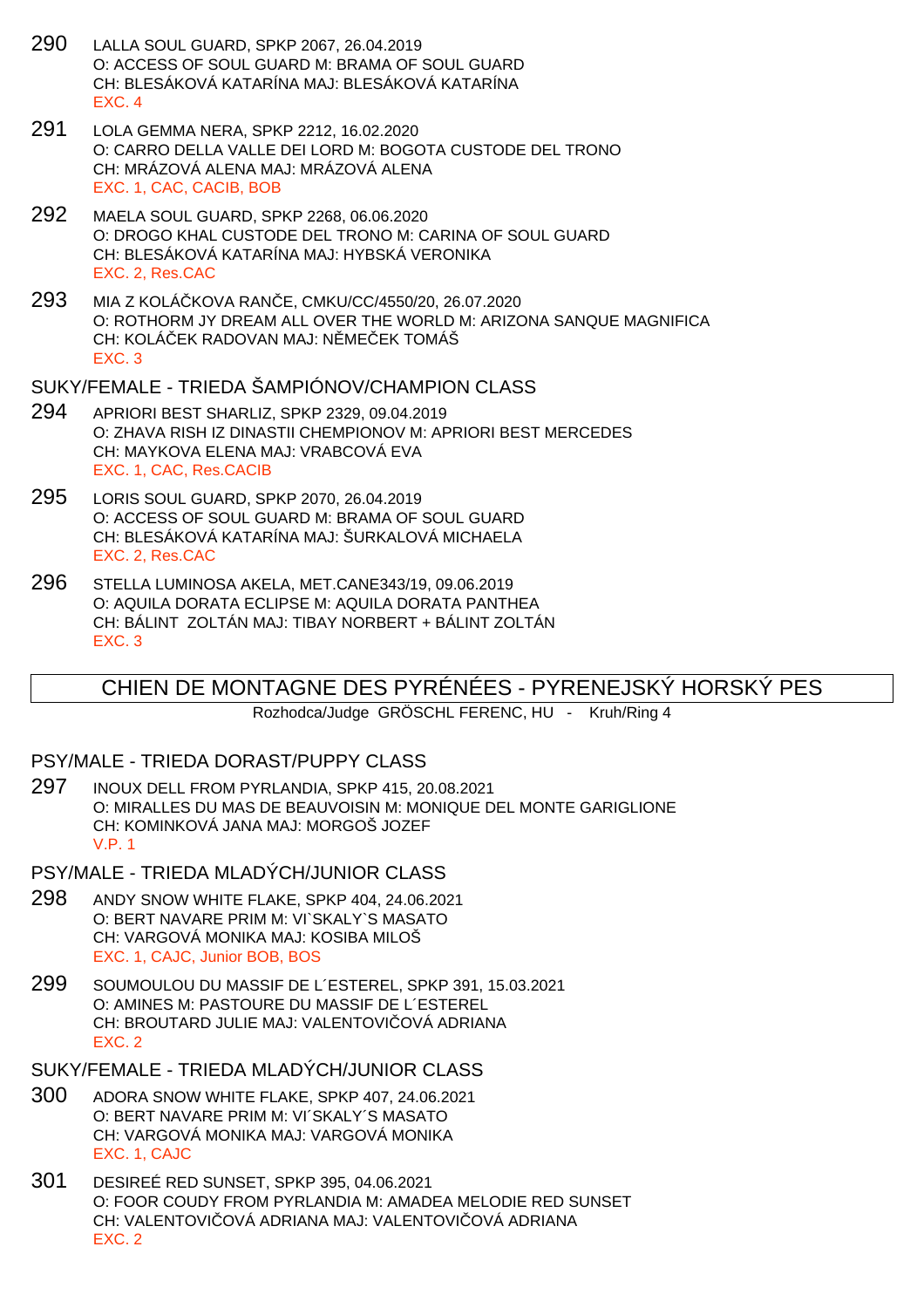- 290 LALLA SOUL GUARD, SPKP 2067, 26.04.2019 O: ACCESS OF SOUL GUARD M: BRAMA OF SOUL GUARD CH: BLESÁKOVÁ KATARÍNA MAJ: BLESÁKOVÁ KATARÍNA EXC. 4
- 291 LOLA GEMMA NERA, SPKP 2212, 16.02.2020 O: CARRO DELLA VALLE DEI LORD M: BOGOTA CUSTODE DEL TRONO CH: MRÁZOVÁ ALENA MAJ: MRÁZOVÁ ALENA EXC. 1, CAC, CACIB, BOB
- 292 MAELA SOUL GUARD, SPKP 2268, 06.06.2020 O: DROGO KHAL CUSTODE DEL TRONO M: CARINA OF SOUL GUARD CH: BLESÁKOVÁ KATARÍNA MAJ: HYBSKÁ VERONIKA EXC. 2, Res.CAC
- 293 MIA Z KOLÁČKOVA RANČE, CMKU/CC/4550/20, 26.07.2020 O: ROTHORM JY DREAM ALL OVER THE WORLD M: ARIZONA SANQUE MAGNIFICA CH: KOLÁ EK RADOVAN MAJ: N ME EK TOMÁŠ EXC. 3

#### SUKY/FEMALE - TRIEDA ŠAMPIÓNOV/CHAMPION CLASS

- 294 APRIORI BEST SHARLIZ, SPKP 2329, 09.04.2019 O: ZHAVA RISH IZ DINASTII CHEMPIONOV M: APRIORI BEST MERCEDES CH: MAYKOVA ELENA MAJ: VRABCOVÁ EVA EXC. 1, CAC, Res.CACIB
- 295 LORIS SOUL GUARD, SPKP 2070, 26.04.2019 O: ACCESS OF SOUL GUARD M: BRAMA OF SOUL GUARD CH: BLESÁKOVÁ KATARÍNA MAJ: ŠURKALOVÁ MICHAELA EXC. 2, Res.CAC
- 296 STELLA LUMINOSA AKELA, MET.CANE343/19, 09.06.2019 O: AQUILA DORATA ECLIPSE M: AQUILA DORATA PANTHEA CH: BÁLINT ZOLTÁN MAJ: TIBAY NORBERT + BÁLINT ZOLTÁN EXC. 3

## CHIEN DE MONTAGNE DES PYRÉNÉES - PYRENEJSKÝ HORSKÝ PES

Rozhodca/Judge GRÖSCHL FERENC, HU - Kruh/Ring 4

#### PSY/MALE - TRIEDA DORAST/PUPPY CLASS

- 297 INOUX DELL FROM PYRLANDIA, SPKP 415, 20.08.2021 O: MIRALLES DU MAS DE BEAUVOISIN M: MONIQUE DEL MONTE GARIGLIONE CH: KOMINKOVÁ JANA MAJ: MORGOŠ JOZEF V.P. 1
- PSY/MALE TRIEDA MLADÝCH/JUNIOR CLASS
- 298 ANDY SNOW WHITE FLAKE, SPKP 404, 24.06.2021 O: BERT NAVARE PRIM M: VI`SKALY`S MASATO CH: VARGOVÁ MONIKA MAJ: KOSIBA MILOŠ EXC. 1, CAJC, Junior BOB, BOS
- 299 SOUMOULOU DU MASSIF DE L´ESTEREL, SPKP 391, 15.03.2021 O: AMINES M: PASTOURE DU MASSIF DE L´ESTEREL CH: BROUTARD JULIE MAJ: VALENTOVI OVÁ ADRIANA EXC. 2

SUKY/FEMALE - TRIEDA MLADÝCH/JUNIOR CLASS

- 300 ADORA SNOW WHITE FLAKE, SPKP 407, 24.06.2021 O: BERT NAVARE PRIM M: VI´SKALY´S MASATO CH: VARGOVÁ MONIKA MAJ: VARGOVÁ MONIKA EXC. 1, CAJC
- 301 DESIREÉ RED SUNSET, SPKP 395, 04.06.2021 O: FOOR COUDY FROM PYRLANDIA M: AMADEA MELODIE RED SUNSET CH: VALENTOVI OVÁ ADRIANA MAJ: VALENTOVI OVÁ ADRIANA EXC. 2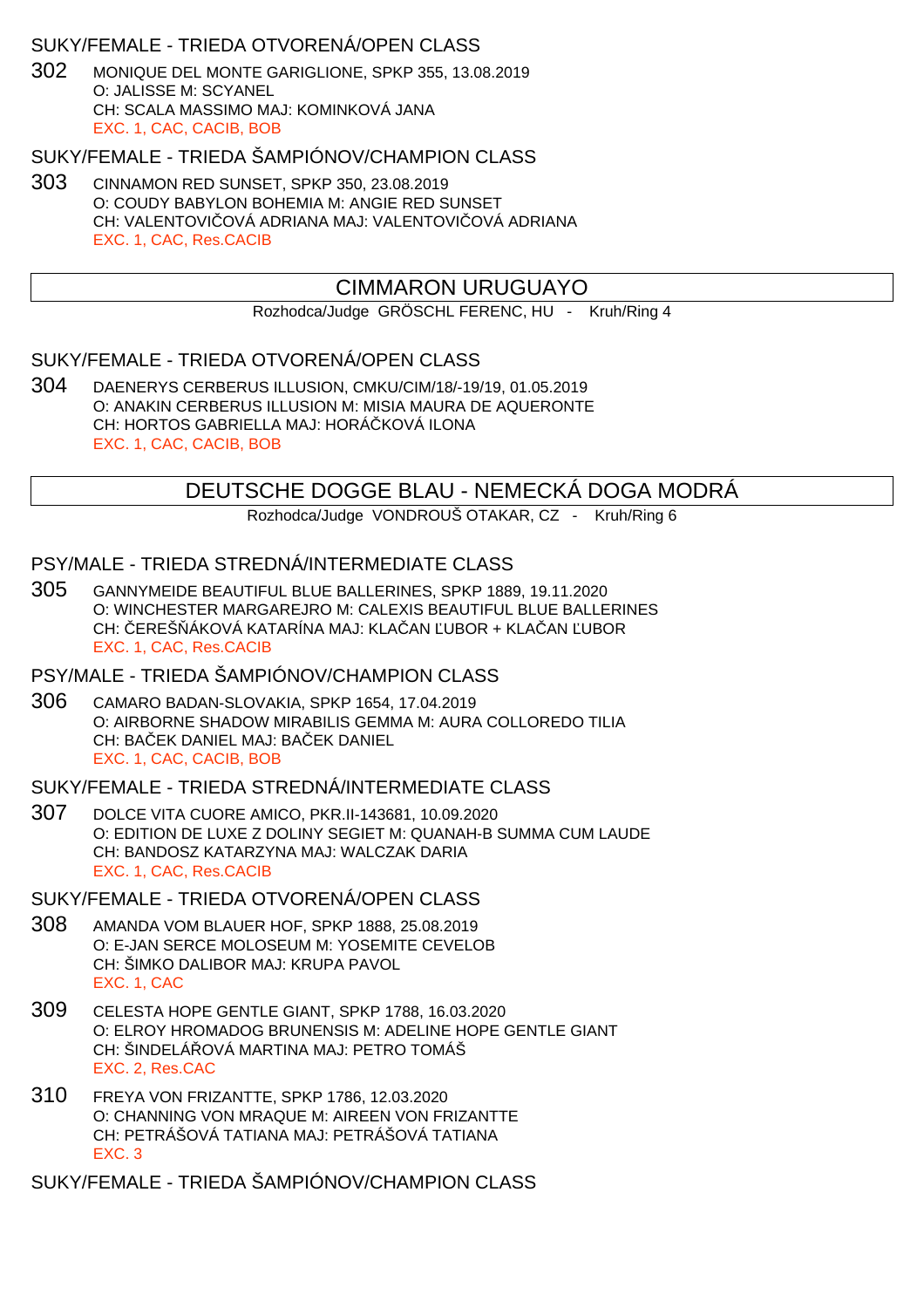### SUKY/FEMALE - TRIEDA OTVORENÁ/OPEN CLASS

302 MONIQUE DEL MONTE GARIGLIONE, SPKP 355, 13.08.2019 O: JALISSE M: SCYANEL CH: SCALA MASSIMO MAJ: KOMINKOVÁ JANA EXC. 1, CAC, CACIB, BOB

### SUKY/FEMALE - TRIEDA ŠAMPIÓNOV/CHAMPION CLASS

303 CINNAMON RED SUNSET, SPKP 350, 23.08.2019 O: COUDY BABYLON BOHEMIA M: ANGIE RED SUNSET CH: VALENTOVI OVÁ ADRIANA MAJ: VALENTOVI OVÁ ADRIANA EXC. 1, CAC, Res.CACIB

## CIMMARON URUGUAYO

Rozhodca/Judge GRÖSCHL FERENC, HU - Kruh/Ring 4

### SUKY/FEMALE - TRIEDA OTVORENÁ/OPEN CLASS

304 DAENERYS CERBERUS ILLUSION, CMKU/CIM/18/-19/19, 01.05.2019 O: ANAKIN CERBERUS ILLUSION M: MISIA MAURA DE AQUERONTE CH: HORTOS GABRIELLA MAJ: HORÁ KOVÁ ILONA EXC. 1, CAC, CACIB, BOB

## DEUTSCHE DOGGE BLAU - NEMECKÁ DOGA MODRÁ

Rozhodca/Judge VONDROUŠ OTAKAR, CZ - Kruh/Ring 6

## PSY/MALE - TRIEDA STREDNÁ/INTERMEDIATE CLASS

305 GANNYMEIDE BEAUTIFUL BLUE BALLERINES, SPKP 1889, 19.11.2020 O: WINCHESTER MARGAREJRO M: CALEXIS BEAUTIFUL BLUE BALLERINES CH: EREŠ ÁKOVÁ KATARÍNA MAJ: KLA AN UBOR + KLA AN UBOR EXC. 1, CAC, Res.CACIB

## PSY/MALE - TRIEDA ŠAMPIÓNOV/CHAMPION CLASS

306 CAMARO BADAN-SLOVAKIA, SPKP 1654, 17.04.2019 O: AIRBORNE SHADOW MIRABILIS GEMMA M: AURA COLLOREDO TILIA CH: BAEK DANIEL MAJ: BAEK DANIEL EXC. 1, CAC, CACIB, BOB

### SUKY/FEMALE - TRIEDA STREDNÁ/INTERMEDIATE CLASS

307 DOLCE VITA CUORE AMICO, PKR.II-143681, 10.09.2020 O: EDITION DE LUXE Z DOLINY SEGIET M: QUANAH-B SUMMA CUM LAUDE CH: BANDOSZ KATARZYNA MAJ: WALCZAK DARIA EXC. 1, CAC, Res.CACIB

### SUKY/FEMALE - TRIEDA OTVORENÁ/OPEN CLASS

- 308 AMANDA VOM BLAUER HOF, SPKP 1888, 25.08.2019 O: E-JAN SERCE MOLOSEUM M: YOSEMITE CEVELOB CH: ŠIMKO DALIBOR MAJ: KRUPA PAVOL EXC. 1, CAC
- 309 CELESTA HOPE GENTLE GIANT, SPKP 1788, 16.03.2020 O: ELROY HROMADOG BRUNENSIS M: ADELINE HOPE GENTLE GIANT CH: ŠINDELÁ OVÁ MARTINA MAJ: PETRO TOMÁŠ EXC. 2, Res.CAC
- 310 FREYA VON FRIZANTTE, SPKP 1786, 12.03.2020 O: CHANNING VON MRAQUE M: AIREEN VON FRIZANTTE CH: PETRÁŠOVÁ TATIANA MAJ: PETRÁŠOVÁ TATIANA EXC. 3

SUKY/FEMALE - TRIEDA ŠAMPIÓNOV/CHAMPION CLASS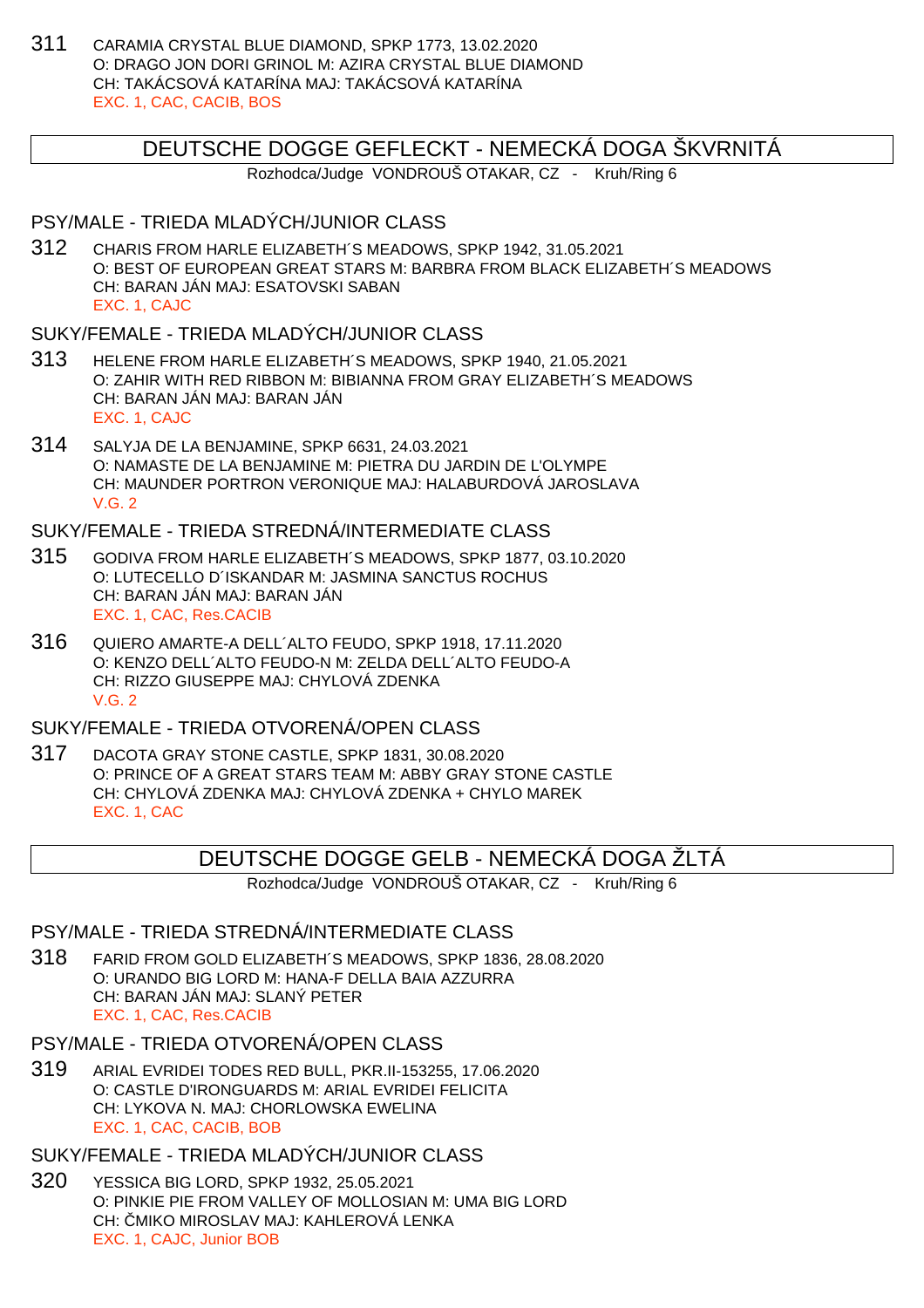311 CARAMIA CRYSTAL BLUE DIAMOND, SPKP 1773, 13.02.2020 O: DRAGO JON DORI GRINOL M: AZIRA CRYSTAL BLUE DIAMOND CH: TAKÁCSOVÁ KATARÍNA MAJ: TAKÁCSOVÁ KATARÍNA EXC. 1, CAC, CACIB, BOS

## DEUTSCHE DOGGE GEFLECKT - NEMECKÁ DOGA ŠKVRNITÁ

Rozhodca/Judge VONDROUŠ OTAKAR, CZ - Kruh/Ring 6

## PSY/MALE - TRIEDA MLADÝCH/JUNIOR CLASS

312 CHARIS FROM HARLE ELIZABETH´S MEADOWS, SPKP 1942, 31.05.2021 O: BEST OF EUROPEAN GREAT STARS M: BARBRA FROM BLACK ELIZABETH´S MEADOWS CH: BARAN JÁN MAJ: ESATOVSKI SABAN EXC. 1, CAJC

## SUKY/FEMALE - TRIEDA MLADÝCH/JUNIOR CI ASS

- 313 HELENE FROM HARLE ELIZABETH´S MEADOWS, SPKP 1940, 21.05.2021 O: ZAHIR WITH RED RIBBON M: BIBIANNA FROM GRAY ELIZABETH´S MEADOWS CH: BARAN JÁN MAJ: BARAN JÁN EXC. 1, CAJC
- 314 SALYJA DE LA BENJAMINE, SPKP 6631, 24.03.2021 O: NAMASTE DE LA BENJAMINE M: PIETRA DU JARDIN DE L'OLYMPE CH: MAUNDER PORTRON VERONIQUE MAJ: HALABURDOVÁ JAROSLAVA V.G. 2

## SUKY/FEMALE - TRIEDA STREDNÁ/INTERMEDIATE CLASS

- 315 GODIVA FROM HARLE ELIZABETH´S MEADOWS, SPKP 1877, 03.10.2020 O: LUTECELLO D´ISKANDAR M: JASMINA SANCTUS ROCHUS CH: BARAN JÁN MAJ: BARAN JÁN EXC. 1, CAC, Res.CACIB
- 316 QUIERO AMARTE-A DELL´ALTO FEUDO, SPKP 1918, 17.11.2020 O: KENZO DELL´ALTO FEUDO-N M: ZELDA DELL´ALTO FEUDO-A CH: RIZZO GIUSEPPE MAJ: CHYLOVÁ ZDENKA V.G. 2

### SUKY/FEMALE - TRIEDA OTVORENÁ/OPEN CLASS

317 DACOTA GRAY STONE CASTLE, SPKP 1831, 30.08.2020 O: PRINCE OF A GREAT STARS TEAM M: ABBY GRAY STONE CASTLE CH: CHYLOVÁ ZDENKA MAJ: CHYLOVÁ ZDENKA + CHYLO MAREK EXC. 1, CAC

## DEUTSCHE DOGGE GELB - NEMECKÁ DOGA ŽLTÁ

Rozhodca/Judge VONDROUŠ OTAKAR, CZ - Kruh/Ring 6

### PSY/MALE - TRIEDA STREDNÁ/INTERMEDIATE CLASS

318 FARID FROM GOLD ELIZABETH´S MEADOWS, SPKP 1836, 28.08.2020 O: URANDO BIG LORD M: HANA-F DELLA BAIA AZZURRA CH: BARAN JÁN MAJ: SLANÝ PETER EXC. 1, CAC, Res.CACIB

#### PSY/MALE - TRIEDA OTVORENÁ/OPEN CLASS

319 ARIAL EVRIDEI TODES RED BULL, PKR.II-153255, 17.06.2020 O: CASTLE D'IRONGUARDS M: ARIAL EVRIDEI FELICITA CH: LYKOVA N. MAJ: CHORLOWSKA EWELINA EXC. 1, CAC, CACIB, BOB

## SUKY/FEMALE - TRIEDA MLADÝCH/JUNIOR CLASS

320 YESSICA BIG LORD, SPKP 1932, 25.05.2021 O: PINKIE PIE FROM VALLEY OF MOLLOSIAN M: UMA BIG LORD CH: MIKO MIROSLAV MAJ: KAHLEROVÁ LENKA EXC. 1, CAJC, Junior BOB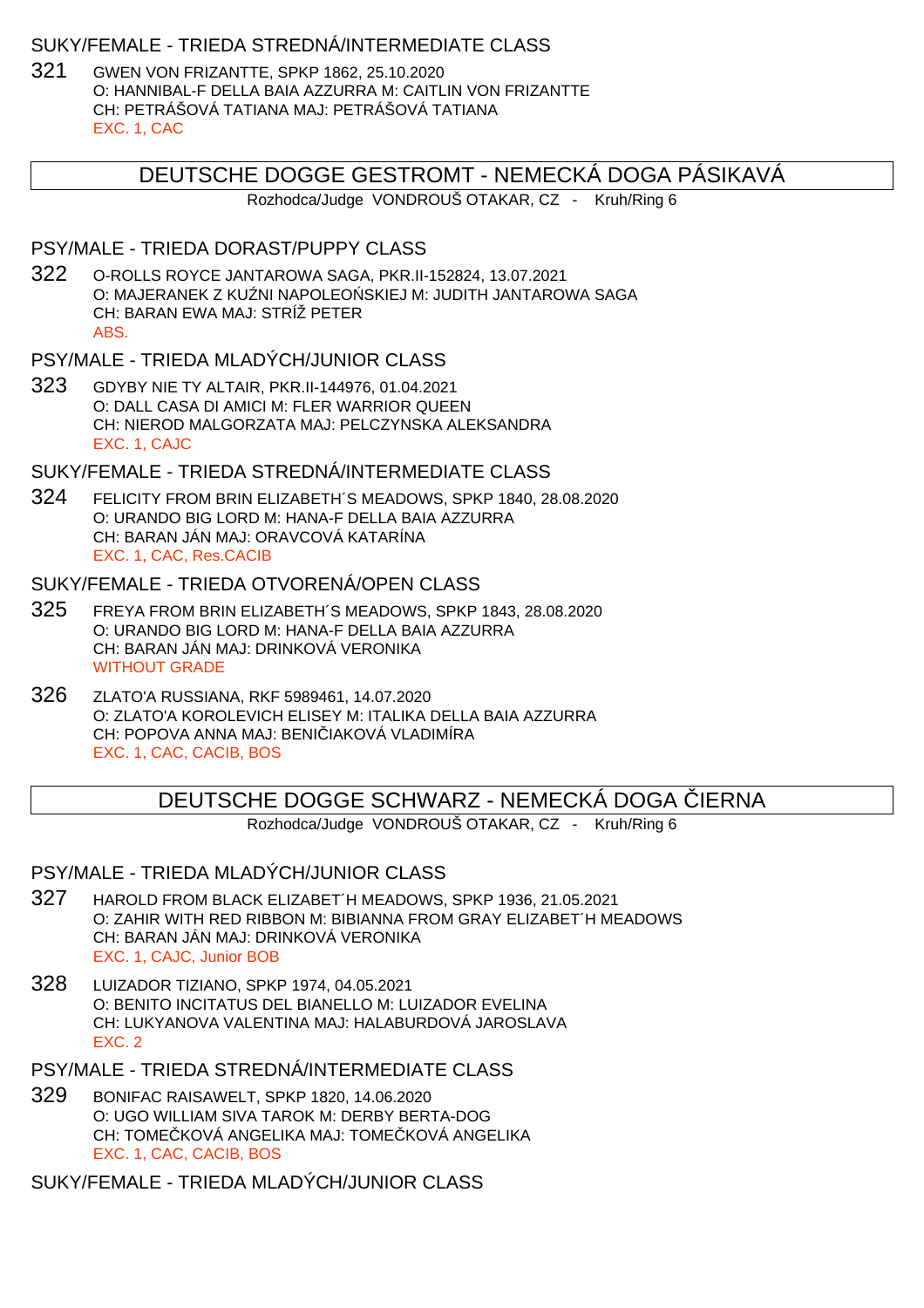### SUKY/FEMALE - TRIEDA STREDNÁ/INTERMEDIATE CLASS

321 GWEN VON FRIZANTTE, SPKP 1862, 25.10.2020 O: HANNIBAL-F DELLA BAIA AZZURRA M: CAITLIN VON FRIZANTTE CH: PETRÁŠOVÁ TATIANA MAJ: PETRÁŠOVÁ TATIANA EXC. 1, CAC

## DEUTSCHE DOGGE GESTROMT - NEMECKÁ DOGA PÁSIKAVÁ

Rozhodca/Judge VONDROUŠ OTAKAR, CZ - Kruh/Ring 6

#### PSY/MALE - TRIEDA DORAST/PUPPY CLASS

322 O-ROLLS ROYCE JANTAROWA SAGA, PKR.II-152824, 13.07.2021 O: MAJERANEK Z KU NI NAPOLEO SKIEJ M: JUDITH JANTAROWA SAGA CH: BARAN EWA MAJ: STRÍŽ PETER ABS.

### PSY/MALE - TRIEDA MLADÝCH/JUNIOR CLASS

323 GDYBY NIE TY ALTAIR, PKR.II-144976, 01.04.2021 O: DALL CASA DI AMICI M: FLER WARRIOR QUEEN CH: NIEROD MALGORZATA MAJ: PELCZYNSKA ALEKSANDRA EXC. 1, CAJC

### SUKY/FEMALE - TRIEDA STREDNÁ/INTERMEDIATE CLASS

324 FELICITY FROM BRIN ELIZABETH´S MEADOWS, SPKP 1840, 28.08.2020 O: URANDO BIG LORD M: HANA-F DELLA BAIA AZZURRA CH: BARAN JÁN MAJ: ORAVCOVÁ KATARÍNA EXC. 1, CAC, Res.CACIB

### SUKY/FEMALE - TRIEDA OTVORENÁ/OPEN CLASS

- 325 FREYA FROM BRIN ELIZABETH´S MEADOWS, SPKP 1843, 28.08.2020 O: URANDO BIG LORD M: HANA-F DELLA BAIA AZZURRA CH: BARAN JÁN MAJ: DRINKOVÁ VERONIKA WITHOUT GRADE
- 326 ZLATO'A RUSSIANA, RKF 5989461, 14.07.2020 O: ZLATO'A KOROLEVICH ELISEY M: ITALIKA DELLA BAIA AZZURRA CH: POPOVA ANNA MAJ: BENI IAKOVÁ VLADIMÍRA EXC. 1, CAC, CACIB, BOS

## DEUTSCHE DOGGE SCHWARZ - NEMECKÁ DOGA LIERNA

Rozhodca/Judge VONDROUŠ OTAKAR, CZ - Kruh/Ring 6

### PSY/MALE - TRIEDA MLADÝCH/JUNIOR CLASS

- 327 HAROLD FROM BLACK ELIZABET´H MEADOWS, SPKP 1936, 21.05.2021 O: ZAHIR WITH RED RIBBON M: BIBIANNA FROM GRAY ELIZABET´H MEADOWS CH: BARAN JÁN MAJ: DRINKOVÁ VERONIKA EXC. 1, CAJC, Junior BOB
- 328 LUIZADOR TIZIANO, SPKP 1974, 04.05.2021 O: BENITO INCITATUS DEL BIANELLO M: LUIZADOR EVELINA CH: LUKYANOVA VALENTINA MAJ: HALABURDOVÁ JAROSLAVA EXC. 2
- PSY/MALE TRIEDA STREDNÁ/INTERMEDIATE CLASS
- 329 BONIFAC RAISAWELT, SPKP 1820, 14.06.2020 O: UGO WILLIAM SIVA TAROK M: DERBY BERTA-DOG CH: TOME KOVÁ ANGELIKA MAJ: TOME KOVÁ ANGELIKA EXC. 1, CAC, CACIB, BOS

SUKY/FEMALE - TRIEDA MLADÝCH/JUNIOR CLASS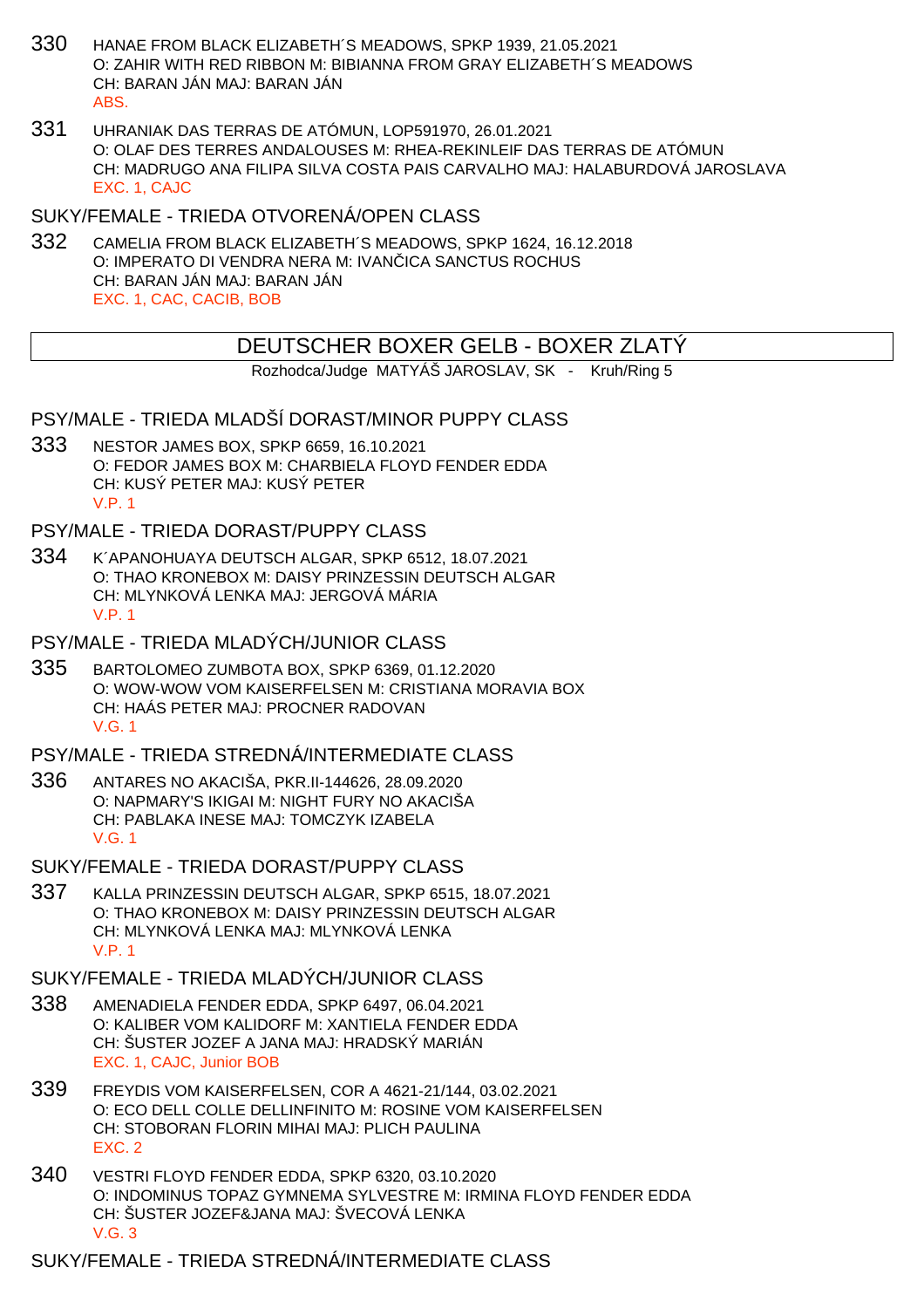- 330 HANAE FROM BLACK ELIZABETH´S MEADOWS, SPKP 1939, 21.05.2021 O: ZAHIR WITH RED RIBBON M: BIBIANNA FROM GRAY ELIZABETH´S MEADOWS CH: BARAN JÁN MAJ: BARAN JÁN ABS.
- 331 UHRANIAK DAS TERRAS DE ATÓMUN, LOP591970, 26.01.2021 O: OLAF DES TERRES ANDALOUSES M: RHEA-REKINLEIF DAS TERRAS DE ATÓMUN CH: MADRUGO ANA FILIPA SILVA COSTA PAIS CARVALHO MAJ: HALABURDOVÁ JAROSLAVA EXC. 1, CAJC
- SUKY/FEMALE TRIEDA OTVORENÁ/OPEN CLASS
- 332 CAMELIA FROM BLACK ELIZABETH´S MEADOWS, SPKP 1624, 16.12.2018 O: IMPERATO DI VENDRA NERA M: IVAN ICA SANCTUS ROCHUS CH: BARAN JÁN MAJ: BARAN JÁN EXC. 1, CAC, CACIB, BOB

## DEUTSCHER BOXER GELB - BOXER ZLATÝ

Rozhodca/Judge MATYÁŠ JAROSLAV, SK - Kruh/Ring 5

PSY/MALE - TRIEDA MLADŠÍ DORAST/MINOR PUPPY CLASS

333 NESTOR JAMES BOX, SPKP 6659, 16.10.2021 O: FEDOR JAMES BOX M: CHARBIELA FLOYD FENDER EDDA CH: KUSÝ PETER MAJ: KUSÝ PETER V.P. 1

### PSY/MALE - TRIEDA DORAST/PUPPY CLASS

- 334 K´APANOHUAYA DEUTSCH ALGAR, SPKP 6512, 18.07.2021 O: THAO KRONEBOX M: DAISY PRINZESSIN DEUTSCH ALGAR CH: MLYNKOVÁ LENKA MAJ: JERGOVÁ MÁRIA V.P. 1
- PSY/MALE TRIEDA MLADÝCH/JUNIOR CLASS
- 335 BARTOLOMEO ZUMBOTA BOX, SPKP 6369, 01.12.2020 O: WOW-WOW VOM KAISERFELSEN M: CRISTIANA MORAVIA BOX CH: HAÁS PETER MAJ: PROCNER RADOVAN V.G. 1

PSY/MALE - TRIEDA STREDNÁ/INTERMEDIATE CLASS

- 336 ANTARES NO AKACIŠA, PKR.II-144626, 28.09.2020 O: NAPMARY'S IKIGAI M: NIGHT FURY NO AKACIŠA CH: PABLAKA INESE MAJ: TOMCZYK IZABELA V.G. 1
- SUKY/FEMALE TRIEDA DORAST/PUPPY CLASS
- 337 KALLA PRINZESSIN DEUTSCH ALGAR, SPKP 6515, 18.07.2021 O: THAO KRONEBOX M: DAISY PRINZESSIN DEUTSCH ALGAR CH: MLYNKOVÁ LENKA MAJ: MLYNKOVÁ LENKA V.P. 1
- SUKY/FEMALE TRIEDA MLADÝCH/JUNIOR CLASS
- 338 AMENADIELA FENDER EDDA, SPKP 6497, 06.04.2021 O: KALIBER VOM KALIDORF M: XANTIELA FENDER EDDA CH: ŠUSTER JOZEF A JANA MAJ: HRADSKÝ MARIÁN EXC. 1, CAJC, Junior BOB
- 339 FREYDIS VOM KAISERFELSEN, COR A 4621-21/144, 03.02.2021 O: ECO DELL COLLE DELLINFINITO M: ROSINE VOM KAISERFELSEN CH: STOBORAN FLORIN MIHAI MAJ: PLICH PAULINA EXC. 2
- 340 VESTRI FLOYD FENDER EDDA, SPKP 6320, 03.10.2020 O: INDOMINUS TOPAZ GYMNEMA SYLVESTRE M: IRMINA FLOYD FENDER EDDA CH: ŠUSTER JOZEF&JANA MAJ: ŠVECOVÁ LENKA V.G. 3

SUKY/FEMALE - TRIEDA STREDNÁ/INTERMEDIATE CLASS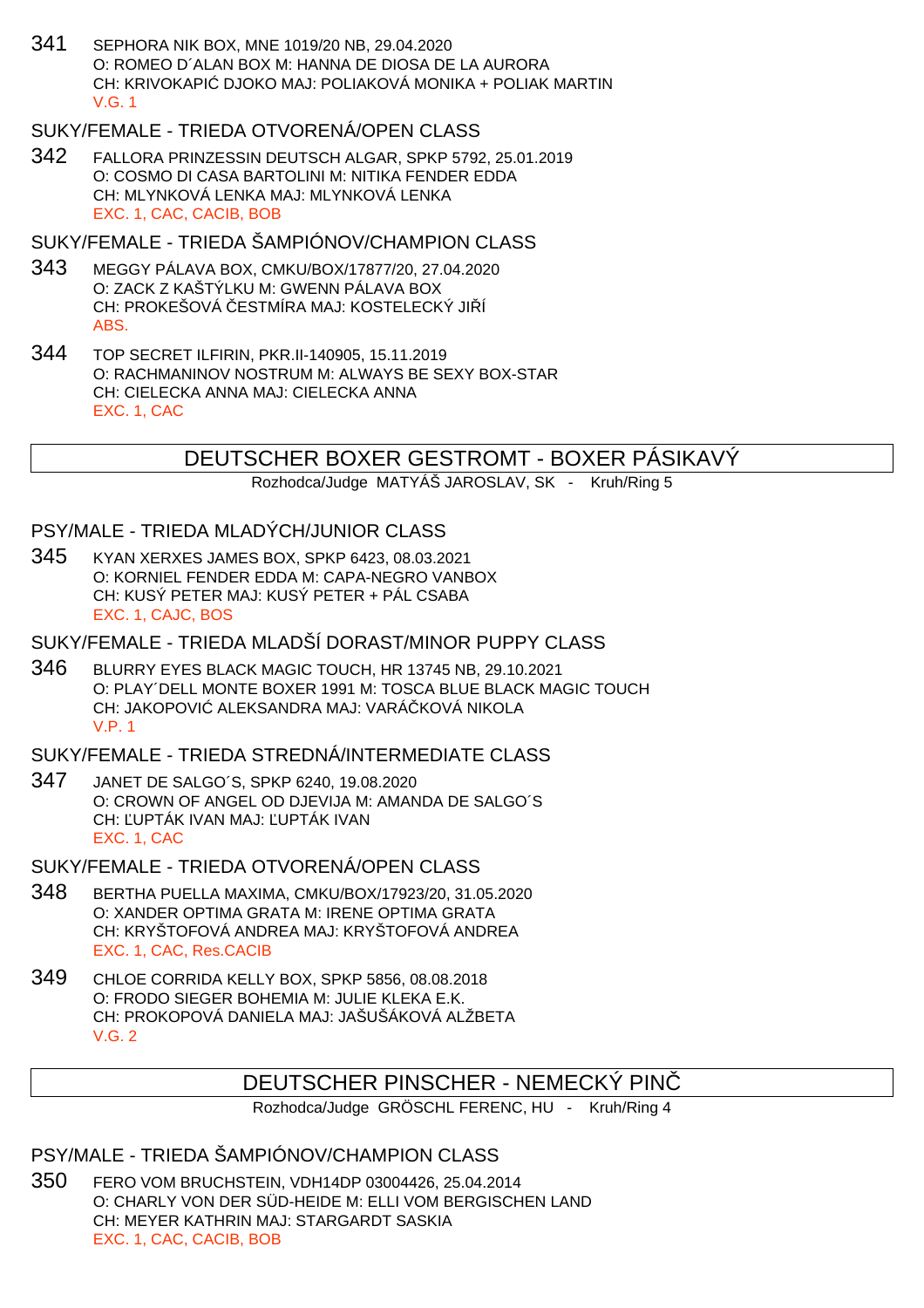341 SEPHORA NIK BOX, MNE 1019/20 NB, 29.04.2020 O: ROMEO D´ALAN BOX M: HANNA DE DIOSA DE LA AURORA CH: KRIVOKAPIĆ DJOKO MAJ: POLIAKOVÁ MONIKA + POLIAK MARTIN V.G. 1

## SUKY/FEMALE - TRIEDA OTVORENÁ/OPEN CLASS

342 FALLORA PRINZESSIN DEUTSCH ALGAR, SPKP 5792, 25.01.2019 O: COSMO DI CASA BARTOLINI M: NITIKA FENDER EDDA CH: MLYNKOVÁ LENKA MAJ: MLYNKOVÁ LENKA EXC. 1, CAC, CACIB, BOB

SUKY/FEMALE - TRIEDA ŠAMPIÓNOV/CHAMPION CLASS

- 343 MEGGY PÁLAVA BOX, CMKU/BOX/17877/20, 27.04.2020 O: ZACK Z KAŠTÝLKU M: GWENN PÁLAVA BOX CH: PROKEŠOVÁ ESTMÍRA MAJ: KOSTELECKÝ JI Í ABS.
- 344 TOP SECRET ILFIRIN, PKR.II-140905, 15.11.2019 O: RACHMANINOV NOSTRUM M: ALWAYS BE SEXY BOX-STAR CH: CIELECKA ANNA MAJ: CIELECKA ANNA EXC. 1, CAC

## DEUTSCHER BOXER GESTROMT - BOXER PÁSIKAVÝ

Rozhodca/Judge MATYÁŠ JAROSLAV, SK - Kruh/Ring 5

PSY/MALE - TRIEDA MLADÝCH/JUNIOR CLASS

345 KYAN XERXES JAMES BOX, SPKP 6423, 08.03.2021 O: KORNIEL FENDER EDDA M: CAPA-NEGRO VANBOX CH: KUSÝ PETER MAJ: KUSÝ PETER + PÁL CSABA EXC. 1, CAJC, BOS

SUKY/FEMALE - TRIEDA MLADŠÍ DORAST/MINOR PUPPY CLASS

346 BLURRY EYES BLACK MAGIC TOUCH, HR 13745 NB, 29.10.2021 O: PLAY´DELL MONTE BOXER 1991 M: TOSCA BLUE BLACK MAGIC TOUCH CH: JAKOPOVI ALEKSANDRA MAJ: VARÁ KOVÁ NIKOLA V.P. 1

SUKY/FEMALE - TRIEDA STREDNÁ/INTERMEDIATE CLASS

- 347 JANET DE SALGO´S, SPKP 6240, 19.08.2020 O: CROWN OF ANGEL OD DJEVIJA M: AMANDA DE SALGO´S CH: UPTÁK IVAN MAJ: UPTÁK IVAN EXC. 1, CAC
- SUKY/FEMALE TRIEDA OTVORENÁ/OPEN CLASS
- 348 BERTHA PUELLA MAXIMA, CMKU/BOX/17923/20, 31.05.2020 O: XANDER OPTIMA GRATA M: IRENE OPTIMA GRATA CH: KRYŠTOFOVÁ ANDREA MAJ: KRYŠTOFOVÁ ANDREA EXC. 1, CAC, Res.CACIB
- 349 CHLOE CORRIDA KELLY BOX, SPKP 5856, 08.08.2018 O: FRODO SIEGER BOHEMIA M: JULIE KLEKA E.K. CH: PROKOPOVÁ DANIELA MAJ: JAŠUŠÁKOVÁ ALŽBETA V.G. 2

## DEUTSCHER PINSCHER - NEMECKÝ PINČ

Rozhodca/Judge GRÖSCHL FERENC, HU - Kruh/Ring 4

PSY/MALE - TRIEDA ŠAMPIÓNOV/CHAMPION CLASS

350 FERO VOM BRUCHSTEIN, VDH14DP 03004426, 25.04.2014 O: CHARLY VON DER SÜD-HEIDE M: ELLI VOM BERGISCHEN LAND CH: MEYER KATHRIN MAJ: STARGARDT SASKIA EXC. 1, CAC, CACIB, BOB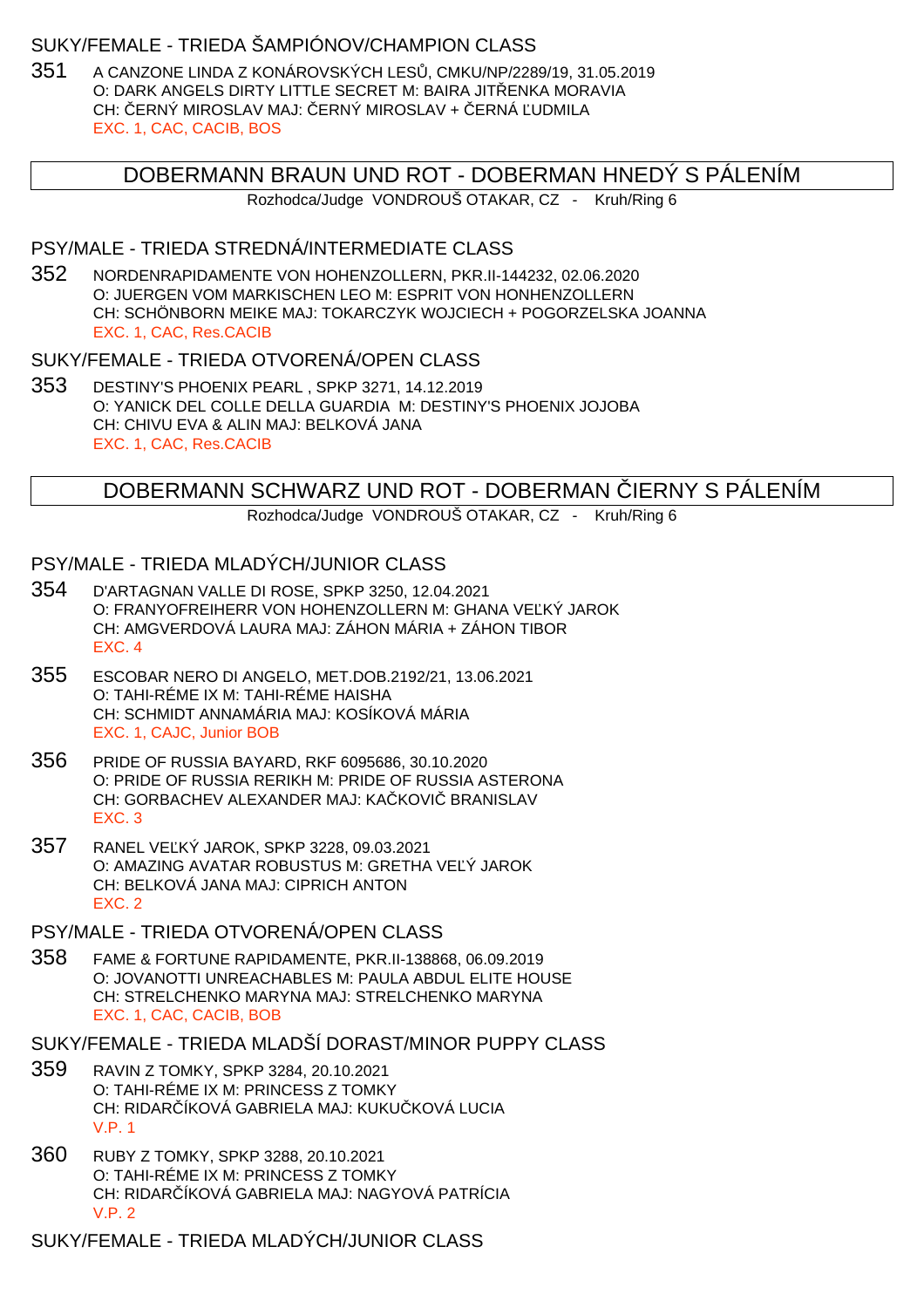### SUKY/FEMALE - TRIEDA ŠAMPIÓNOV/CHAMPION CLASS

351 A CANZONE LINDA Z KONÁROVSKÝCH LES, CMKU/NP/2289/19, 31.05.2019 O: DARK ANGELS DIRTY LITTLE SECRET M: BAIRA JIT ENKA MORAVIA CH: ERNÝ MIROSLAV MAJ: ERNÝ MIROSLAV + ERNÁ UDMILA EXC. 1, CAC, CACIB, BOS

## DOBERMANN BRAUN UND ROT - DOBERMAN HNEDÝ S PÁLENÍM

Rozhodca/Judge VONDROUŠ OTAKAR, CZ - Kruh/Ring 6

### PSY/MALE - TRIEDA STREDNÁ/INTERMEDIATE CLASS

352 NORDENRAPIDAMENTE VON HOHENZOLLERN, PKR.II-144232, 02.06.2020 O: JUERGEN VOM MARKISCHEN LEO M: ESPRIT VON HONHENZOLLERN CH: SCHÖNBORN MEIKE MAJ: TOKARCZYK WOJCIECH + POGORZELSKA JOANNA EXC. 1, CAC, Res.CACIB

### SUKY/FEMALE - TRIEDA OTVORENÁ/OPEN CLASS

353 DESTINY'S PHOENIX PEARL , SPKP 3271, 14.12.2019 O: YANICK DEL COLLE DELLA GUARDIA M: DESTINY'S PHOENIX JOJOBA CH: CHIVU EVA & ALIN MAJ: BELKOVÁ JANA EXC. 1, CAC, Res.CACIB

## DOBERMANN SCHWARZ UND ROT - DOBERMAN IERNY S PÁLENÍM

Rozhodca/Judge VONDROUŠ OTAKAR, CZ - Kruh/Ring 6

### PSY/MALE - TRIEDA MLADÝCH/JUNIOR CLASS

- 354 D'ARTAGNAN VALLE DI ROSE, SPKP 3250, 12.04.2021 O: FRANYOFREIHERR VON HOHENZOLLERN M: GHANA VEĽKÝ JAROK CH: AMGVERDOVÁ LAURA MAJ: ZÁHON MÁRIA + ZÁHON TIBOR EXC. 4
- 355 ESCOBAR NERO DI ANGELO, MET.DOB.2192/21, 13.06.2021 O: TAHI-RÉME IX M: TAHI-RÉME HAISHA CH: SCHMIDT ANNAMÁRIA MAJ: KOSÍKOVÁ MÁRIA EXC. 1, CAJC, Junior BOB
- 356 PRIDE OF RUSSIA BAYARD, RKF 6095686, 30.10.2020 O: PRIDE OF RUSSIA RERIKH M: PRIDE OF RUSSIA ASTERONA CH: GORBACHEV ALEXANDER MAJ: KA KOVI BRANISLAV EXC. 3
- 357 RANEL VE KÝ JAROK, SPKP 3228, 09.03.2021 O: AMAZING AVATAR ROBUSTUS M: GRETHA VE Ý JAROK CH: BELKOVÁ JANA MAJ: CIPRICH ANTON EXC. 2

### PSY/MALE - TRIEDA OTVORENÁ/OPEN CLASS

- 358 FAME & FORTUNE RAPIDAMENTE, PKR.II-138868, 06.09.2019 O: JOVANOTTI UNREACHABLES M: PAULA ABDUL ELITE HOUSE CH: STRELCHENKO MARYNA MAJ: STRELCHENKO MARYNA EXC. 1, CAC, CACIB, BOB
- SUKY/FEMALE TRIEDA MLADŠÍ DORAST/MINOR PUPPY CLASS
- 359 RAVIN Z TOMKY, SPKP 3284, 20.10.2021 O: TAHI-RÉME IX M: PRINCESS Z TOMKY CH: RIDAR ÍKOVÁ GABRIELA MAJ: KUKU KOVÁ LUCIA V.P. 1
- 360 RUBY Z TOMKY, SPKP 3288, 20.10.2021 O: TAHI-RÉME IX M: PRINCESS Z TOMKY CH: RIDAR ÍKOVÁ GABRIELA MAJ: NAGYOVÁ PATRÍCIA V.P. 2

SUKY/FEMALE - TRIEDA MLADÝCH/JUNIOR CLASS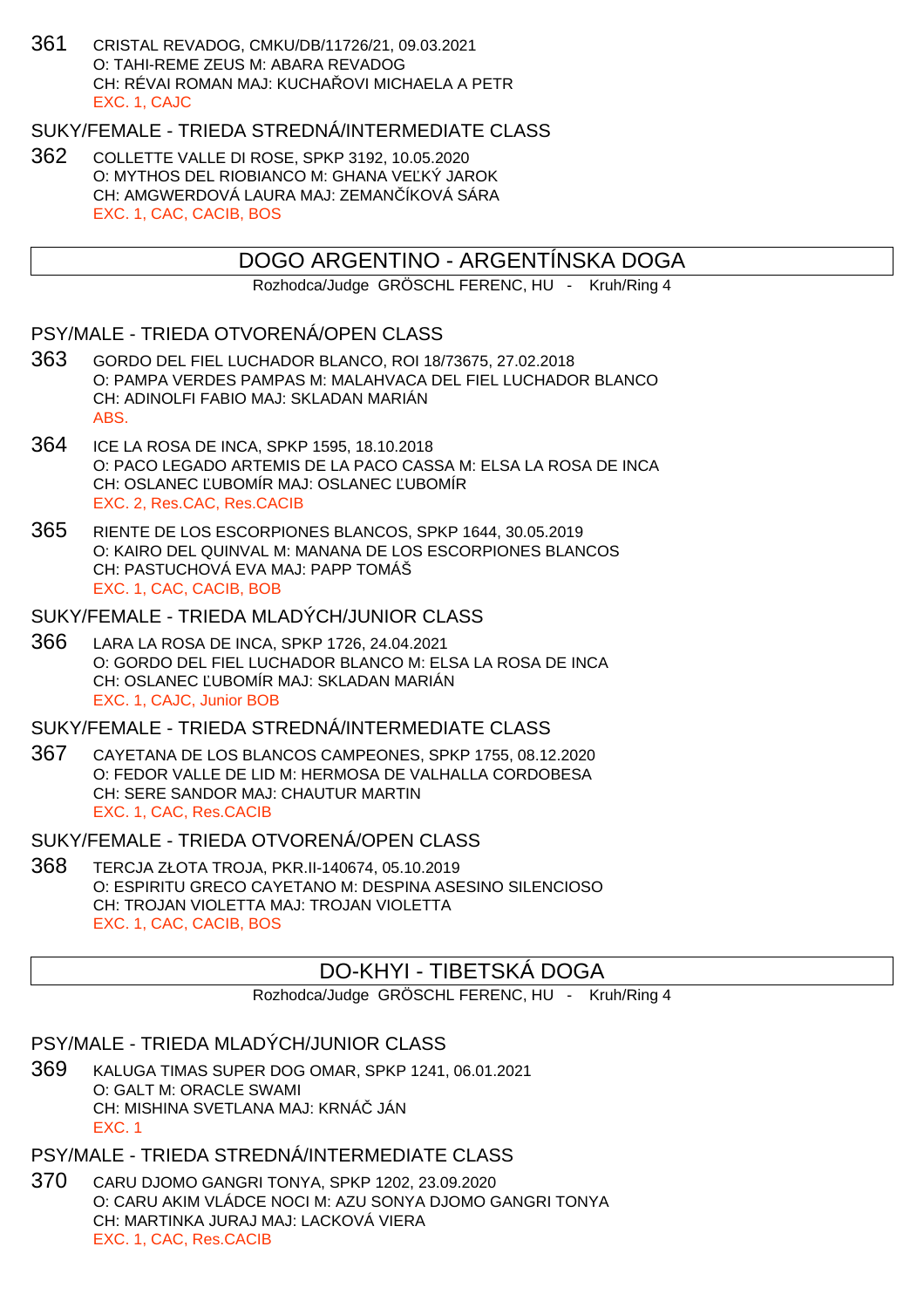361 CRISTAL REVADOG, CMKU/DB/11726/21, 09.03.2021 O: TAHI-REME ZEUS M: ABARA REVADOG CH: RÉVAI ROMAN MAJ: KUCHAŘOVI MICHAELA A PETR EXC. 1, CAJC

SUKY/FEMALE - TRIEDA STREDNÁ/INTERMEDIATE CLASS

362 COLLETTE VALLE DI ROSE, SPKP 3192, 10.05.2020 O: MYTHOS DEL RIOBIANCO M: GHANA VE KÝ JAROK CH: AMGWERDOVÁ LAURA MAJ: ZEMAN ÍKOVÁ SÁRA EXC. 1, CAC, CACIB, BOS

## DOGO ARGENTINO - ARGENTÍNSKA DOGA

Rozhodca/Judge GRÖSCHL FERENC, HU - Kruh/Ring 4

### PSY/MALE - TRIEDA OTVORENÁ/OPEN CLASS

- 363 GORDO DEL FIEL LUCHADOR BLANCO, ROI 18/73675, 27.02.2018 O: PAMPA VERDES PAMPAS M: MALAHVACA DEL FIEL LUCHADOR BLANCO CH: ADINOLFI FABIO MAJ: SKLADAN MARIÁN ABS.
- 364 ICE LA ROSA DE INCA, SPKP 1595, 18.10.2018 O: PACO LEGADO ARTEMIS DE LA PACO CASSA M: ELSA LA ROSA DE INCA CH: OSLANEC UBOMÍR MAJ: OSLANEC UBOMÍR EXC. 2, Res.CAC, Res.CACIB
- 365 RIENTE DE LOS ESCORPIONES BLANCOS, SPKP 1644, 30.05.2019 O: KAIRO DEL QUINVAL M: MANANA DE LOS ESCORPIONES BLANCOS CH: PASTUCHOVÁ EVA MAJ: PAPP TOMÁŠ EXC. 1, CAC, CACIB, BOB

#### SUKY/FEMALE - TRIEDA MLADÝCH/JUNIOR CLASS

366 LARA LA ROSA DE INCA, SPKP 1726, 24.04.2021 O: GORDO DEL FIEL LUCHADOR BLANCO M: ELSA LA ROSA DE INCA CH: OSLANEC UBOMÍR MAJ: SKLADAN MARIÁN EXC. 1, CAJC, Junior BOB

### SUKY/FEMALE - TRIEDA STREDNÁ/INTERMEDIATE CLASS

367 CAYETANA DE LOS BLANCOS CAMPEONES, SPKP 1755, 08.12.2020 O: FEDOR VALLE DE LID M: HERMOSA DE VALHALLA CORDOBESA CH: SERE SANDOR MAJ: CHAUTUR MARTIN EXC. 1, CAC, Res.CACIB

### SUKY/FEMALE - TRIEDA OTVORENÁ/OPEN CLASS

368 TERCJA ZŁOTA TROJA, PKR.II-140674, 05.10.2019 O: ESPIRITU GRECO CAYETANO M: DESPINA ASESINO SILENCIOSO CH: TROJAN VIOLETTA MAJ: TROJAN VIOLETTA EXC. 1, CAC, CACIB, BOS

## DO-KHYI - TIBETSKÁ DOGA

Rozhodca/Judge GRÖSCHL FERENC, HU - Kruh/Ring 4

### PSY/MALE - TRIEDA MLADÝCH/JUNIOR CLASS

369 KALUGA TIMAS SUPER DOG OMAR, SPKP 1241, 06.01.2021 O: GALT M: ORACLE SWAMI CH: MISHINA SVETLANA MAJ: KRNÁ JÁN EXC. 1

## PSY/MALE - TRIEDA STREDNÁ/INTERMEDIATE CLASS

370 CARU DJOMO GANGRI TONYA, SPKP 1202, 23.09.2020 O: CARU AKIM VLÁDCE NOCI M: AZU SONYA DJOMO GANGRI TONYA CH: MARTINKA JURAJ MAJ: LACKOVÁ VIERA EXC. 1, CAC, Res.CACIB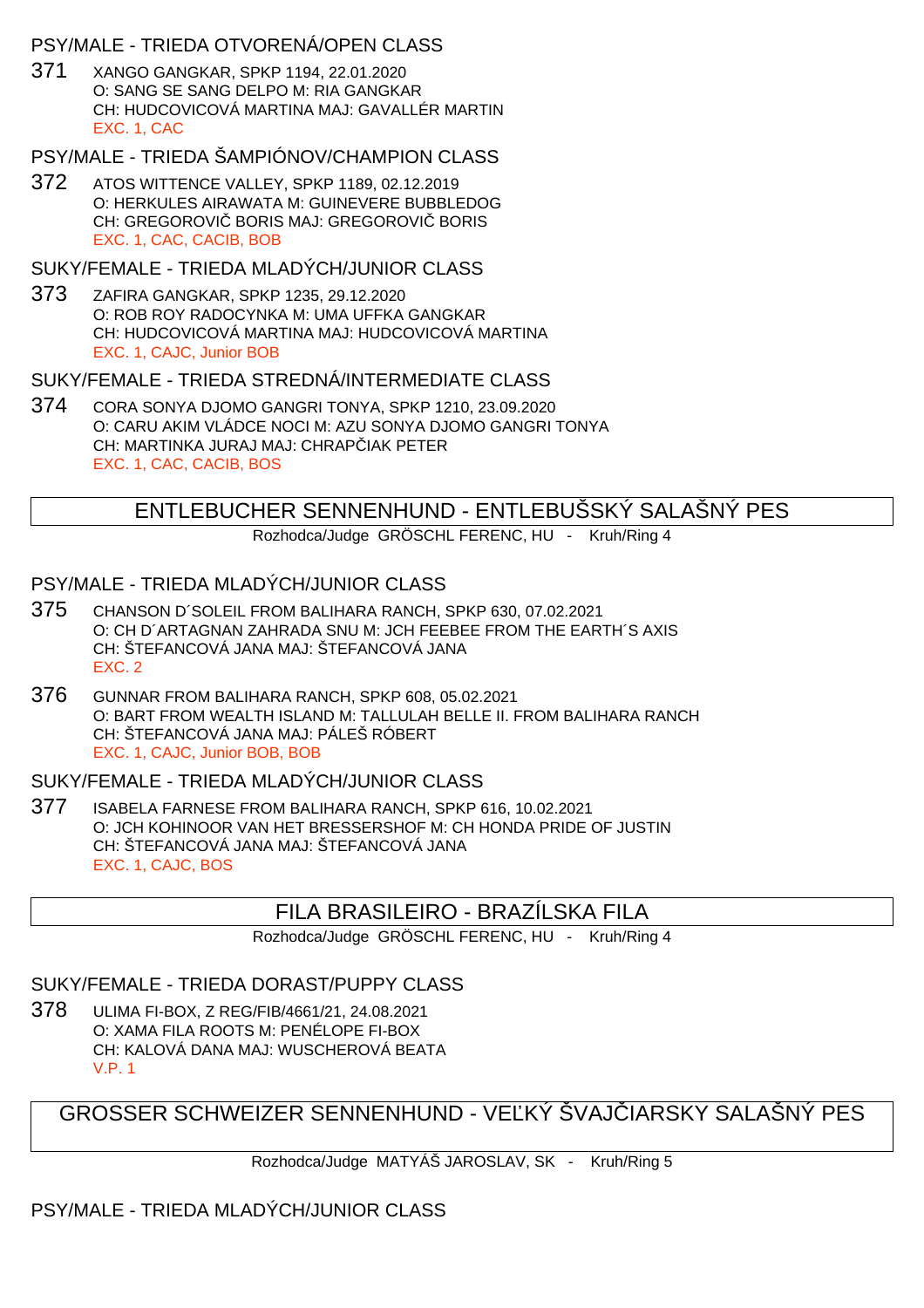## PSY/MALE - TRIEDA OTVORENÁ/OPEN CLASS

371 XANGO GANGKAR, SPKP 1194, 22.01.2020 O: SANG SE SANG DELPO M: RIA GANGKAR CH: HUDCOVICOVÁ MARTINA MAJ: GAVALLÉR MARTIN EXC. 1, CAC

## PSY/MALE - TRIEDA ŠAMPIÓNOV/CHAMPION CLASS

372 ATOS WITTENCE VALLEY, SPKP 1189, 02.12.2019 O: HERKULES AIRAWATA M: GUINEVERE BUBBLEDOG CH: GREGOROVI BORIS MAJ: GREGOROVI BORIS EXC. 1, CAC, CACIB, BOB

### SUKY/FEMALE - TRIEDA MLADÝCH/JUNIOR CLASS

373 ZAFIRA GANGKAR, SPKP 1235, 29.12.2020 O: ROB ROY RADOCYNKA M: UMA UFFKA GANGKAR CH: HUDCOVICOVÁ MARTINA MAJ: HUDCOVICOVÁ MARTINA EXC. 1, CAJC, Junior BOB

### SUKY/FEMALE - TRIEDA STREDNÁ/INTERMEDIATE CI ASS

374 CORA SONYA DJOMO GANGRI TONYA, SPKP 1210, 23.09.2020 O: CARU AKIM VLÁDCE NOCI M: AZU SONYA DJOMO GANGRI TONYA CH: MARTINKA JURAJ MAJ: CHRAP IAK PETER EXC. 1, CAC, CACIB, BOS

## ENTLEBUCHER SENNENHUND - ENTLEBUŠSKÝ SALAŠNÝ PES

Rozhodca/Judge GRÖSCHL FERENC, HU - Kruh/Ring 4

## PSY/MALE - TRIEDA MLADÝCH/JUNIOR CLASS

- 375 CHANSON D´SOLEIL FROM BALIHARA RANCH, SPKP 630, 07.02.2021 O: CH D´ARTAGNAN ZAHRADA SNU M: JCH FEEBEE FROM THE EARTH´S AXIS CH: ŠTEFANCOVÁ JANA MAJ: ŠTEFANCOVÁ JANA EXC. 2
- 376 GUNNAR FROM BALIHARA RANCH, SPKP 608, 05.02.2021 O: BART FROM WEALTH ISLAND M: TALLULAH BELLE II. FROM BALIHARA RANCH CH: ŠTEFANCOVÁ JANA MAJ: PÁLEŠ RÓBERT EXC. 1, CAJC, Junior BOB, BOB

### SUKY/FEMALE - TRIEDA MLADÝCH/JUNIOR CLASS

377 ISABELA FARNESE FROM BALIHARA RANCH, SPKP 616, 10.02.2021 O: JCH KOHINOOR VAN HET BRESSERSHOF M: CH HONDA PRIDE OF JUSTIN CH: ŠTEFANCOVÁ JANA MAJ: ŠTEFANCOVÁ JANA EXC. 1, CAJC, BOS

## FILA BRASILEIRO - BRAZÍLSKA FILA

Rozhodca/Judge GRÖSCHL FERENC, HU - Kruh/Ring 4

### SUKY/FEMALE - TRIEDA DORAST/PUPPY CLASS

378 ULIMA FI-BOX, Z REG/FIB/4661/21, 24.08.2021 O: XAMA FILA ROOTS M: PENÉLOPE FI-BOX CH: KALOVÁ DANA MAJ: WUSCHEROVÁ BEATA V.P. 1

GROSSER SCHWEIZER SENNENHUND - VELKÝ ŠVAJ JARSKY SALAŠNÝ PES

Rozhodca/Judge MATYÁŠ JAROSLAV, SK - Kruh/Ring 5

PSY/MALE - TRIEDA MLADÝCH/JUNIOR CLASS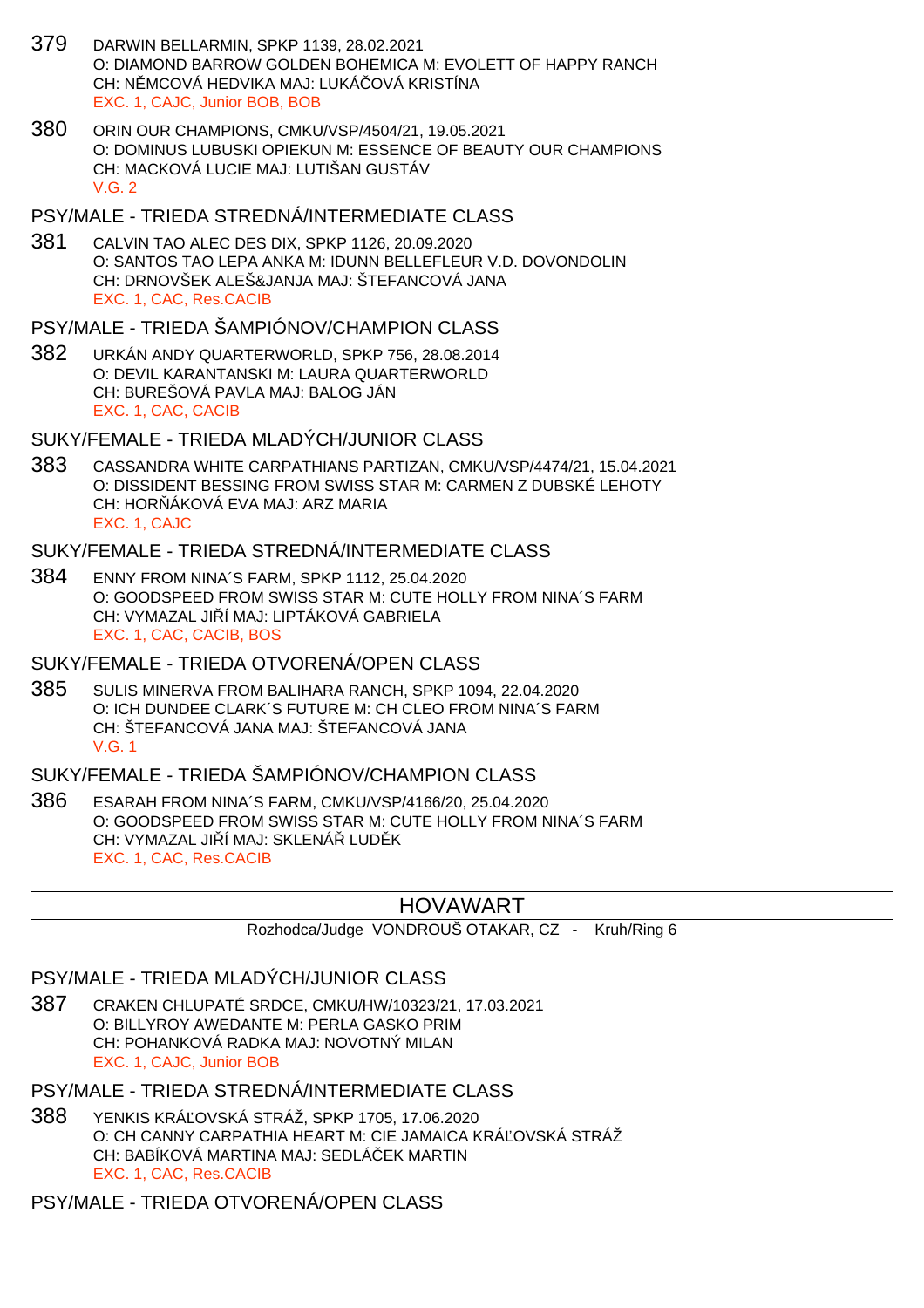- 379 DARWIN BELLARMIN, SPKP 1139, 28.02.2021 O: DIAMOND BARROW GOLDEN BOHEMICA M: EVOLETT OF HAPPY RANCH CH: N MCOVÁ HEDVIKA MAJ: LUKÁ OVÁ KRISTÍNA EXC. 1, CAJC, Junior BOB, BOB
- 380 ORIN OUR CHAMPIONS, CMKU/VSP/4504/21, 19.05.2021 O: DOMINUS LUBUSKI OPIEKUN M: ESSENCE OF BEAUTY OUR CHAMPIONS CH: MACKOVÁ LUCIE MAJ: LUTIŠAN GUSTÁV  $V$  G  $2$

#### PSY/MALE - TRIEDA STREDNÁ/INTERMEDIATE CLASS

381 CALVIN TAO ALEC DES DIX, SPKP 1126, 20.09.2020 O: SANTOS TAO LEPA ANKA M: IDUNN BELLEFLEUR V.D. DOVONDOLIN CH: DRNOVŠEK ALEŠ&JANJA MAJ: ŠTEFANCOVÁ JANA EXC. 1, CAC, Res.CACIB

# PSY/MALE - TRIEDA ŠAMPIÓNOV/CHAMPION CLASS

382 URKÁN ANDY QUARTERWORLD, SPKP 756, 28.08.2014 O: DEVIL KARANTANSKI M: LAURA QUARTERWORLD CH: BUREŠOVÁ PAVLA MAJ: BALOG JÁN EXC. 1, CAC, CACIB

# SUKY/FEMALE - TRIEDA MLADÝCH/JUNIOR CLASS

383 CASSANDRA WHITE CARPATHIANS PARTIZAN, CMKU/VSP/4474/21, 15.04.2021 O: DISSIDENT BESSING FROM SWISS STAR M: CARMEN Z DUBSKÉ LEHOTY CH: HOR ÁKOVÁ EVA MAJ: ARZ MARIA EXC. 1, CAJC

# SUKY/FEMALE - TRIEDA STREDNÁ/INTERMEDIATE CLASS

384 ENNY FROM NINA´S FARM, SPKP 1112, 25.04.2020 O: GOODSPEED FROM SWISS STAR M: CUTE HOLLY FROM NINA´S FARM CH: VYMAZAL JI Í MAJ: LIPTÁKOVÁ GABRIELA EXC. 1, CAC, CACIB, BOS

## SUKY/FEMALE - TRIEDA OTVORENÁ/OPEN CLASS

385 SULIS MINERVA FROM BALIHARA RANCH, SPKP 1094, 22.04.2020 O: ICH DUNDEE CLARK´S FUTURE M: CH CLEO FROM NINA´S FARM CH: ŠTEFANCOVÁ JANA MAJ: ŠTEFANCOVÁ JANA V.G. 1

# SUKY/FEMALE - TRIEDA ŠAMPIÓNOV/CHAMPION CLASS

386 ESARAH FROM NINA´S FARM, CMKU/VSP/4166/20, 25.04.2020 O: GOODSPEED FROM SWISS STAR M: CUTE HOLLY FROM NINA´S FARM CH: VYMAZAL JI Í MAJ: SKLENÁ LUD K EXC. 1, CAC, Res.CACIB

# HOVAWART

Rozhodca/Judge VONDROUŠ OTAKAR, CZ - Kruh/Ring 6

# PSY/MALE - TRIEDA MLADÝCH/JUNIOR CLASS

387 CRAKEN CHLUPATÉ SRDCE, CMKU/HW/10323/21, 17.03.2021 O: BILLYROY AWEDANTE M: PERLA GASKO PRIM CH: POHANKOVÁ RADKA MAJ: NOVOTNÝ MILAN EXC. 1, CAJC, Junior BOB

# PSY/MALE - TRIEDA STREDNÁ/INTERMEDIATE CLASS

388 YENKIS KRÁĽOVSKÁ STRÁŽ, SPKP 1705, 17.06.2020 O: CH CANNY CARPATHIA HEART M: CIE JAMAICA KRÁ OVSKÁ STRÁŽ CH: BABÍKOVÁ MARTINA MAJ: SEDLÁČEK MARTIN EXC. 1, CAC, Res.CACIB

# PSY/MALE - TRIEDA OTVORENÁ/OPEN CLASS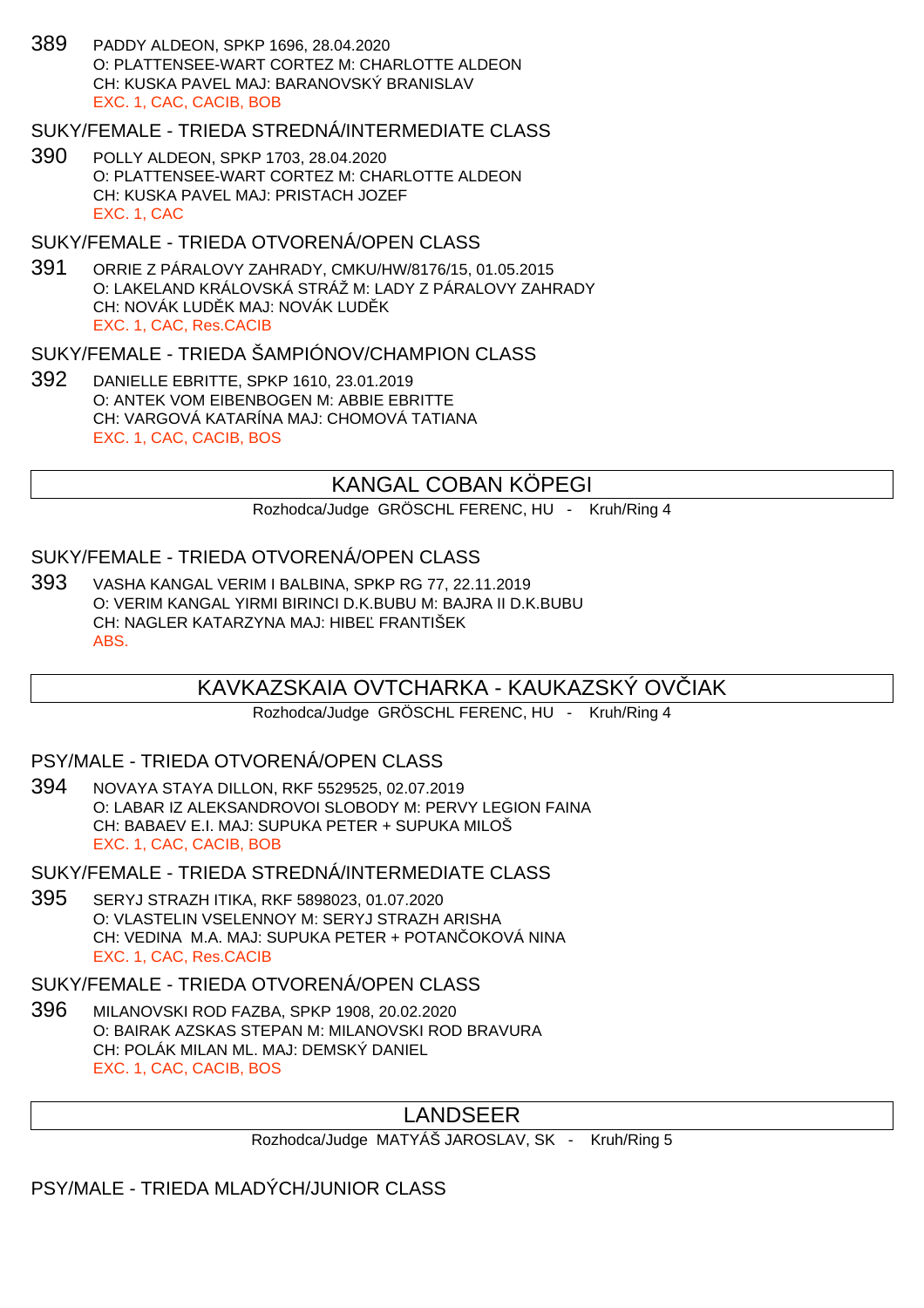389 PADDY ALDEON, SPKP 1696, 28.04.2020 O: PLATTENSEE-WART CORTEZ M: CHARLOTTE ALDEON CH: KUSKA PAVEL MAJ: BARANOVSKÝ BRANISLAV EXC. 1, CAC, CACIB, BOB

#### SUKY/FEMALE - TRIEDA STREDNÁ/INTERMEDIATE CLASS

390 POLLY ALDEON, SPKP 1703, 28.04.2020 O: PLATTENSEE-WART CORTEZ M: CHARLOTTE ALDEON CH: KUSKA PAVEL MAJ: PRISTACH JOZEF EXC. 1, CAC

#### SUKY/FEMALE - TRIEDA OTVORENÁ/OPEN CLASS

391 ORRIE Z PÁRALOVY ZAHRADY, CMKU/HW/8176/15, 01.05.2015 O: LAKELAND KRÁLOVSKÁ STRÁŽ M: LADY Z PÁRALOVY ZAHRADY CH: NOVÁK LUD K MAJ: NOVÁK LUD K EXC. 1, CAC, Res.CACIB

#### SUKY/FEMALE - TRIEDA ŠAMPIÓNOV/CHAMPION CLASS

392 DANIELLE EBRITTE, SPKP 1610, 23.01.2019 O: ANTEK VOM EIBENBOGEN M: ABBIE EBRITTE CH: VARGOVÁ KATARÍNA MAJ: CHOMOVÁ TATIANA EXC. 1, CAC, CACIB, BOS

# KANGAL COBAN KÖPEGI

Rozhodca/Judge GRÖSCHL FERENC, HU - Kruh/Ring 4

## SUKY/FEMALE - TRIEDA OTVORENÁ/OPEN CLASS

393 VASHA KANGAL VERIM I BALBINA, SPKP RG 77, 22.11.2019 O: VERIM KANGAL YIRMI BIRINCI D.K.BUBU M: BAJRA II D.K.BUBU CH: NAGLER KATARZYNA MAJ: HIBE FRANTIŠEK ABS.

# KAVKAZSKAIA OVTCHARKA - KAUKAZSKÝ OVČIAK

Rozhodca/Judge GRÖSCHL FERENC, HU - Kruh/Ring 4

#### PSY/MALE - TRIEDA OTVORENÁ/OPEN CLASS

394 NOVAYA STAYA DILLON, RKF 5529525, 02.07.2019 O: LABAR IZ ALEKSANDROVOI SLOBODY M: PERVY LEGION FAINA CH: BABAEV E.I. MAJ: SUPUKA PETER + SUPUKA MILOŠ EXC. 1, CAC, CACIB, BOB

#### SUKY/FEMALE - TRIEDA STREDNÁ/INTERMEDIATE CLASS

395 SERYJ STRAZH ITIKA, RKF 5898023, 01.07.2020 O: VLASTELIN VSELENNOY M: SERYJ STRAZH ARISHA CH: VEDINA M.A. MAJ: SUPUKA PETER + POTAN OKOVÁ NINA EXC. 1, CAC, Res.CACIB

# SUKY/FEMALE - TRIEDA OTVORENÁ/OPEN CLASS

396 MILANOVSKI ROD FAZBA, SPKP 1908, 20.02.2020 O: BAIRAK AZSKAS STEPAN M: MILANOVSKI ROD BRAVURA CH: POLÁK MILAN ML. MAJ: DEMSKÝ DANIEL EXC. 1, CAC, CACIB, BOS

# LANDSEER

Rozhodca/Judge MATYÁŠ JAROSLAV, SK - Kruh/Ring 5

PSY/MALE - TRIEDA MLADÝCH/JUNIOR CLASS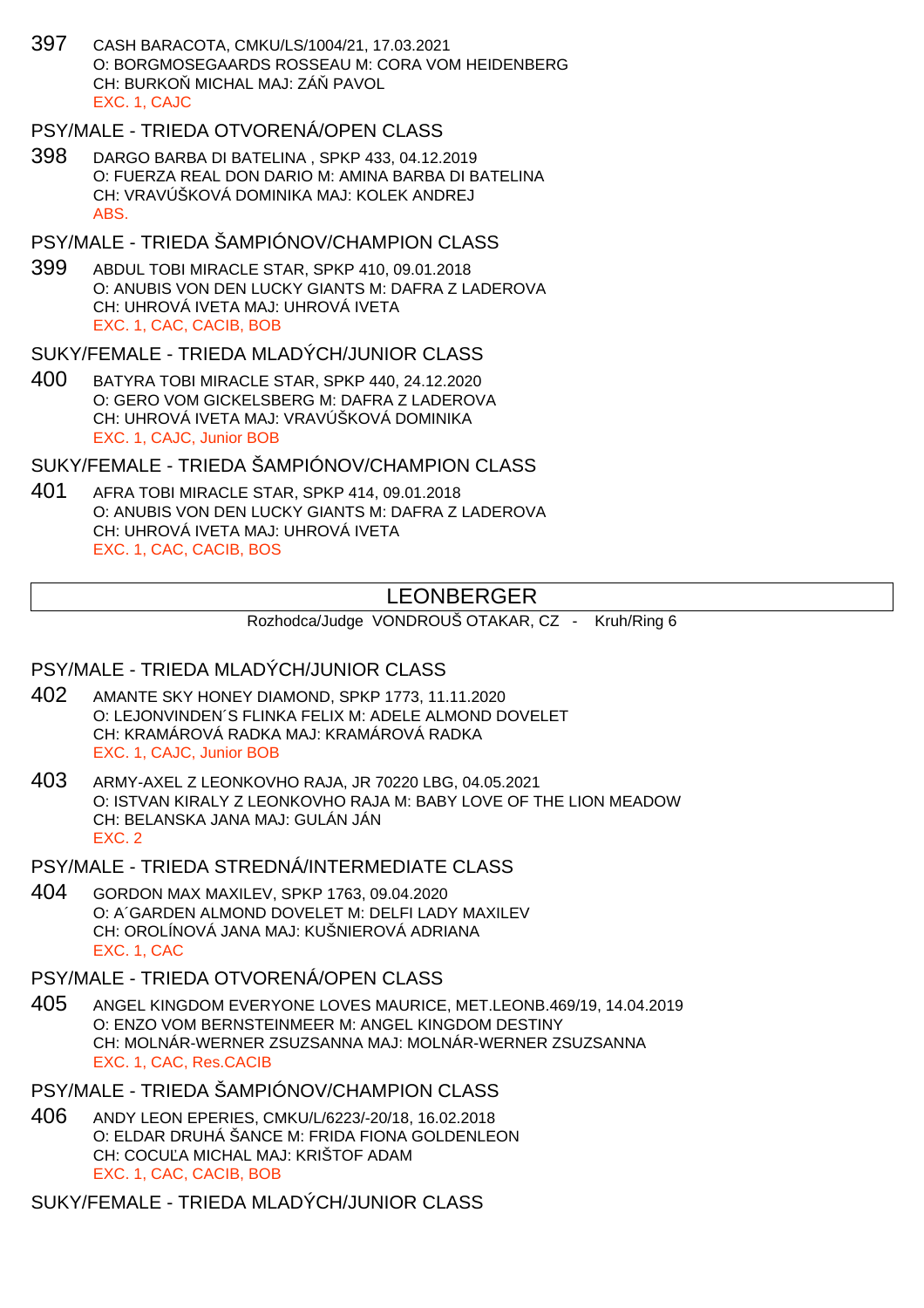397 CASH BARACOTA, CMKU/LS/1004/21, 17.03.2021 O: BORGMOSEGAARDS ROSSEAU M: CORA VOM HEIDENBERG CH: BURKO MICHAL MAJ: ZÁ PAVOL EXC. 1, CAJC

## PSY/MALE - TRIEDA OTVORENÁ/OPEN CLASS

398 DARGO BARBA DI BATELINA , SPKP 433, 04.12.2019 O: FUERZA REAL DON DARIO M: AMINA BARBA DI BATELINA CH: VRAVÚŠKOVÁ DOMINIKA MAJ: KOLEK ANDREJ ABS.

## PSY/MALE - TRIEDA ŠAMPIÓNOV/CHAMPION CLASS

399 ABDUL TOBI MIRACLE STAR, SPKP 410, 09.01.2018 O: ANUBIS VON DEN LUCKY GIANTS M: DAFRA Z LADEROVA CH: UHROVÁ IVETA MAJ: UHROVÁ IVETA EXC. 1, CAC, CACIB, BOB

## SUKY/FEMALE - TRIEDA MLADÝCH/JUNIOR CLASS

400 BATYRA TOBI MIRACLE STAR, SPKP 440, 24.12.2020 O: GERO VOM GICKELSBERG M: DAFRA Z LADEROVA CH: UHROVÁ IVETA MAJ: VRAVÚŠKOVÁ DOMINIKA EXC. 1, CAJC, Junior BOB

SUKY/FEMALE - TRIEDA ŠAMPIÓNOV/CHAMPION CLASS

401 AFRA TOBI MIRACLE STAR, SPKP 414, 09.01.2018 O: ANUBIS VON DEN LUCKY GIANTS M: DAFRA Z LADEROVA CH: UHROVÁ IVETA MAJ: UHROVÁ IVETA EXC. 1, CAC, CACIB, BOS

# LEONBERGER

Rozhodca/Judge VONDROUŠ OTAKAR, CZ - Kruh/Ring 6

## PSY/MALE - TRIEDA MLADÝCH/JUNIOR CLASS

- 402 AMANTE SKY HONEY DIAMOND, SPKP 1773, 11.11.2020 O: LEJONVINDEN´S FLINKA FELIX M: ADELE ALMOND DOVELET CH: KRAMÁROVÁ RADKA MAJ: KRAMÁROVÁ RADKA EXC. 1, CAJC, Junior BOB
- 403 ARMY-AXEL Z LEONKOVHO RAJA, JR 70220 LBG, 04.05.2021 O: ISTVAN KIRALY Z LEONKOVHO RAJA M: BABY LOVE OF THE LION MEADOW CH: BELANSKA JANA MAJ: GULÁN JÁN EXC. 2

PSY/MALE - TRIEDA STREDNÁ/INTERMEDIATE CLASS

- 404 GORDON MAX MAXILEV, SPKP 1763, 09.04.2020 O: A´GARDEN ALMOND DOVELET M: DELFI LADY MAXILEV CH: OROLÍNOVÁ JANA MAJ: KUŠNIEROVÁ ADRIANA EXC. 1, CAC
- PSY/MALE TRIEDA OTVORENÁ/OPEN CLASS
- 405 ANGEL KINGDOM EVERYONE LOVES MAURICE, MET.LEONB.469/19, 14.04.2019 O: ENZO VOM BERNSTEINMEER M: ANGEL KINGDOM DESTINY CH: MOLNÁR-WERNER ZSUZSANNA MAJ: MOLNÁR-WERNER ZSUZSANNA EXC. 1, CAC, Res.CACIB

PSY/MALE - TRIEDA ŠAMPIÓNOV/CHAMPION CLASS

406 ANDY LEON EPERIES, CMKU/L/6223/-20/18, 16.02.2018 O: ELDAR DRUHÁ ŠANCE M: FRIDA FIONA GOLDENLEON CH: COCU A MICHAL MAJ: KRIŠTOF ADAM EXC. 1, CAC, CACIB, BOB

SUKY/FEMALE - TRIEDA MLADÝCH/JUNIOR CLASS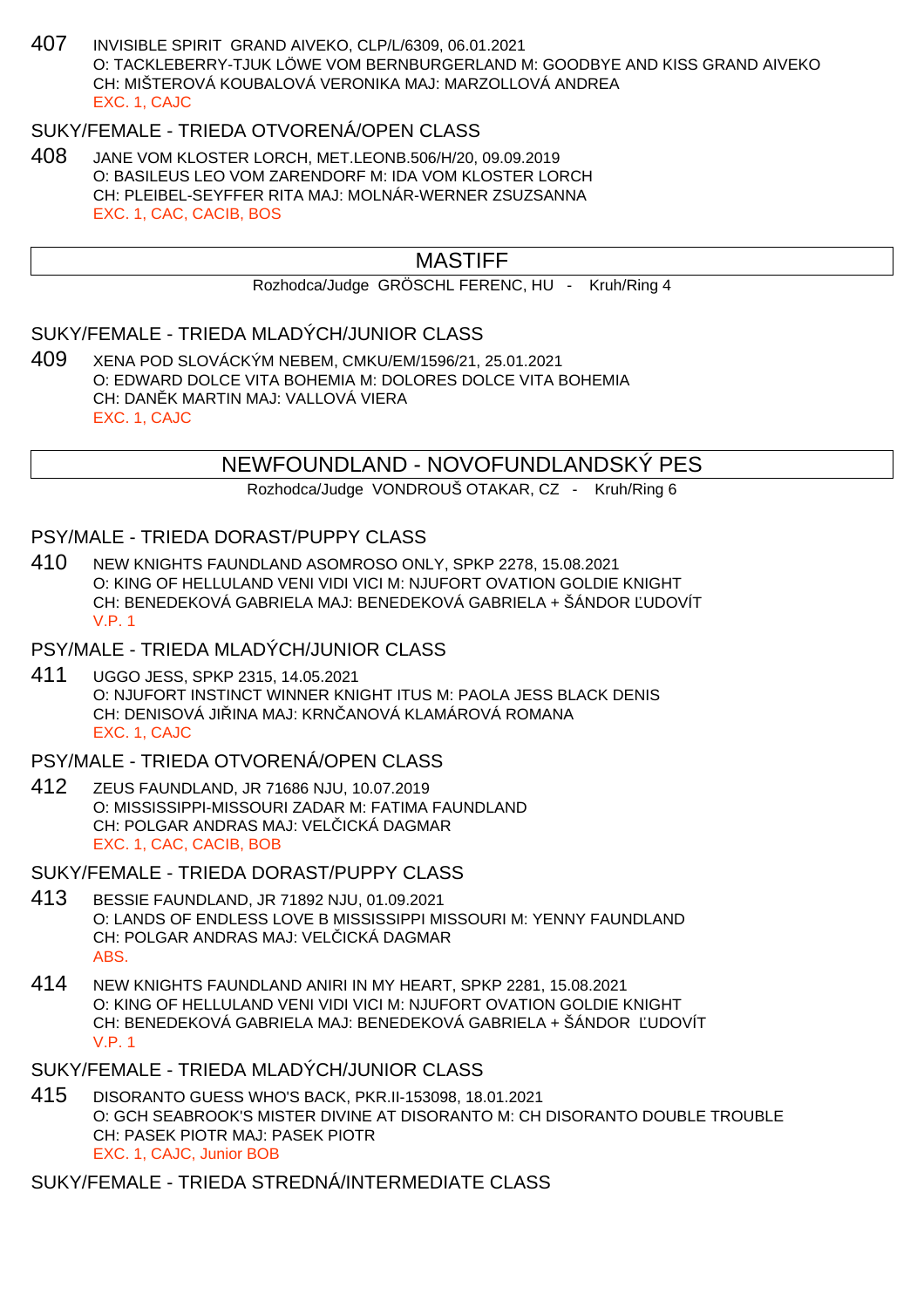407 INVISIBLE SPIRIT GRAND AIVEKO, CLP/L/6309, 06.01.2021 O: TACKLEBERRY-TJUK LÖWE VOM BERNBURGERLAND M: GOODBYE AND KISS GRAND AIVEKO CH: MIŠTEROVÁ KOUBALOVÁ VERONIKA MAJ: MARZOLLOVÁ ANDREA EXC. 1, CAJC

# SUKY/FEMALE - TRIEDA OTVORENÁ/OPEN CLASS

408 JANE VOM KLOSTER LORCH, MET.LEONB.506/H/20, 09.09.2019 O: BASILEUS LEO VOM ZARENDORF M: IDA VOM KLOSTER LORCH CH: PLEIBEL-SEYFFER RITA MAJ: MOLNÁR-WERNER ZSUZSANNA EXC. 1, CAC, CACIB, BOS

# MASTIFF

Rozhodca/Judge GRÖSCHL FERENC, HU - Kruh/Ring 4

## SUKY/FEMALE - TRIEDA MLADÝCH/JUNIOR CLASS

409 XENA POD SLOVÁCKÝM NEBEM, CMKU/EM/1596/21, 25.01.2021 O: EDWARD DOLCE VITA BOHEMIA M: DOLORES DOLCE VITA BOHEMIA CH: DAN K MARTIN MAJ: VALLOVÁ VIERA EXC. 1, CAJC

# NEWFOUNDLAND - NOVOFUNDLANDSKÝ PES

Rozhodca/Judge VONDROUŠ OTAKAR, CZ - Kruh/Ring 6

#### PSY/MALE - TRIEDA DORAST/PUPPY CLASS

- 410 NEW KNIGHTS FAUNDLAND ASOMROSO ONLY, SPKP 2278, 15.08.2021 O: KING OF HELLULAND VENI VIDI VICI M: NJUFORT OVATION GOLDIE KNIGHT CH: BENEDEKOVÁ GABRIELA MAJ: BENEDEKOVÁ GABRIELA + ŠÁNDOR ĽUDOVÍT V.P. 1
- PSY/MALE TRIEDA MLADÝCH/JUNIOR CLASS
- 411 UGGO JESS, SPKP 2315, 14.05.2021 O: NJUFORT INSTINCT WINNER KNIGHT ITUS M: PAOLA JESS BLACK DENIS CH: DENISOVÁ JILINA MAJ: KRNLANOVÁ KLAMÁROVÁ ROMANA EXC. 1, CAJC
- PSY/MALE TRIEDA OTVORENÁ/OPEN CLASS
- 412 ZEUS FAUNDLAND, JR 71686 NJU, 10.07.2019 O: MISSISSIPPI-MISSOURI ZADAR M: FATIMA FAUNDLAND CH: POLGAR ANDRAS MAJ: VEL ICKÁ DAGMAR EXC. 1, CAC, CACIB, BOB
- SUKY/FEMALE TRIEDA DORAST/PUPPY CLASS
- 413 BESSIE FAUNDLAND, JR 71892 NJU, 01.09.2021 O: LANDS OF ENDLESS LOVE B MISSISSIPPI MISSOURI M: YENNY FAUNDLAND CH: POLGAR ANDRAS MAJ: VEL ICKÁ DAGMAR ABS.
- 414 NEW KNIGHTS FAUNDLAND ANIRI IN MY HEART, SPKP 2281, 15.08.2021 O: KING OF HELLULAND VENI VIDI VICI M: NJUFORT OVATION GOLDIE KNIGHT CH: BENEDEKOVÁ GABRIELA MAJ: BENEDEKOVÁ GABRIELA + ŠÁNDOR UDOVÍT V.P. 1
- SUKY/FEMALE TRIEDA MLADÝCH/JUNIOR CLASS
- 415 DISORANTO GUESS WHO'S BACK, PKR.II-153098, 18.01.2021 O: GCH SEABROOK'S MISTER DIVINE AT DISORANTO M: CH DISORANTO DOUBLE TROUBLE CH: PASEK PIOTR MAJ: PASEK PIOTR EXC. 1, CAJC, Junior BOB
- SUKY/FEMALE TRIEDA STREDNÁ/INTERMEDIATE CLASS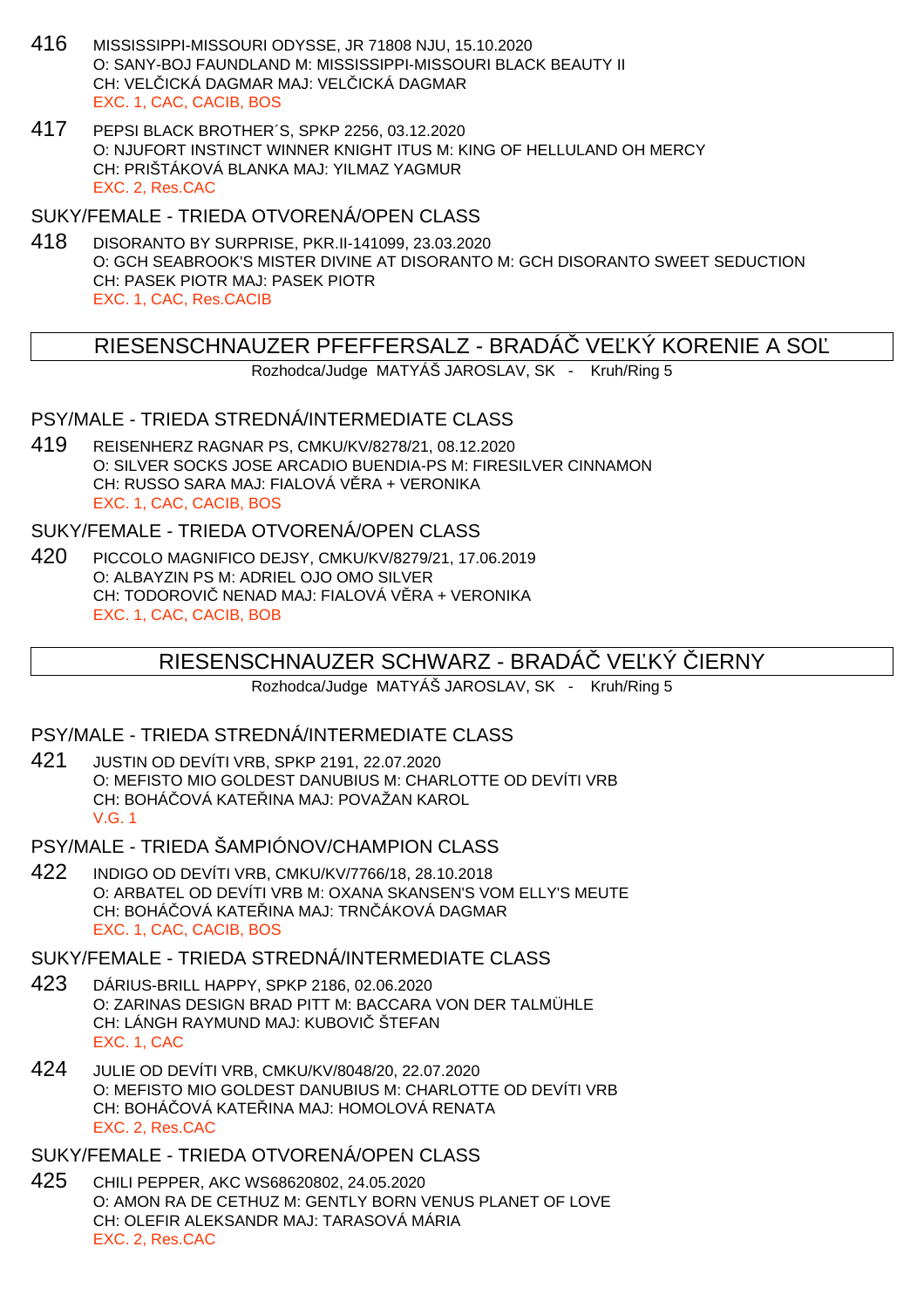- 416 MISSISSIPPI-MISSOURI ODYSSE, JR 71808 NJU, 15.10.2020 O: SANY-BOJ FAUNDLAND M: MISSISSIPPI-MISSOURI BLACK BEAUTY II CH: VEL. ICKÁ DAGMAR MAJ: VEL. ICKÁ DAGMAR EXC. 1, CAC, CACIB, BOS
- 417 PEPSI BLACK BROTHER´S, SPKP 2256, 03.12.2020 O: NJUFORT INSTINCT WINNER KNIGHT ITUS M: KING OF HELLULAND OH MERCY CH: PRIŠTÁKOVÁ BLANKA MAJ: YILMAZ YAGMUR EXC. 2, Res.CAC

SUKY/FEMALE - TRIEDA OTVORENÁ/OPEN CLASS

418 DISORANTO BY SURPRISE, PKR.II-141099, 23.03.2020 O: GCH SEABROOK'S MISTER DIVINE AT DISORANTO M: GCH DISORANTO SWEET SEDUCTION CH: PASEK PIOTR MAJ: PASEK PIOTR EXC. 1, CAC, Res.CACIB

# RIESENSCHNAUZER PFEFFERSALZ - BRADA VE KY KORENIE A SO

Rozhodca/Judge MATYÁŠ JAROSLAV, SK - Kruh/Ring 5

## PSY/MALE - TRIEDA STREDNÁ/INTERMEDIATE CLASS

419 REISENHERZ RAGNAR PS, CMKU/KV/8278/21, 08.12.2020 O: SILVER SOCKS JOSE ARCADIO BUENDIA-PS M: FIRESILVER CINNAMON CH: RUSSO SARA MAJ: FIALOVÁ V RA + VERONIKA EXC. 1, CAC, CACIB, BOS

## SUKY/FEMALE - TRIEDA OTVORENÁ/OPEN CLASS

420 PICCOLO MAGNIFICO DEJSY, CMKU/KV/8279/21, 17.06.2019 O: ALBAYZIN PS M: ADRIEL OJO OMO SILVER CH: TODOROVI NENAD MAJ: FIALOVÁ V RA + VERONIKA EXC. 1, CAC, CACIB, BOB

## RIESENSCHNAUZER SCHWARZ - BRADÁ VE KÝ JERNY

Rozhodca/Judge MATYÁŠ JAROSLAV, SK - Kruh/Ring 5

## PSY/MALE - TRIEDA STREDNÁ/INTERMEDIATE CLASS

- 421 JUSTIN OD DEVÍTI VRB, SPKP 2191, 22.07.2020 O: MEFISTO MIO GOLDEST DANUBIUS M: CHARLOTTE OD DEVÍTI VRB CH: BOHÁ, OVÁ KATE, INA MAJ: POVAŽAN KAROL V.G. 1
- PSY/MALE TRIEDA ŠAMPIÓNOV/CHAMPION CLASS
- 422 INDIGO OD DEVÍTI VRB, CMKU/KV/7766/18, 28.10.2018 O: ARBATEL OD DEVÍTI VRB M: OXANA SKANSEN'S VOM ELLY'S MEUTE CH: BOHÁ OVÁ KATE INA MAJ: TRN ÁKOVÁ DAGMAR EXC. 1, CAC, CACIB, BOS

#### SUKY/FEMALE - TRIEDA STREDNÁ/INTERMEDIATE CLASS

- 423 DÁRIUS-BRILL HAPPY, SPKP 2186, 02.06.2020 O: ZARINAS DESIGN BRAD PITT M: BACCARA VON DER TALMÜHLE CH: LÁNGH RAYMUND MAJ: KUBOVI ŠTEFAN EXC. 1, CAC
- 424 JULIE OD DEVÍTI VRB, CMKU/KV/8048/20, 22.07.2020 O: MEFISTO MIO GOLDEST DANUBIUS M: CHARLOTTE OD DEVÍTI VRB CH: BOHÁ OVÁ KATE INA MAJ: HOMOLOVÁ RENATA EXC. 2, Res.CAC

## SUKY/FEMALE - TRIEDA OTVORENÁ/OPEN CLASS

425 CHILI PEPPER, AKC WS68620802, 24.05.2020 O: AMON RA DE CETHUZ M: GENTLY BORN VENUS PLANET OF LOVE CH: OLEFIR ALEKSANDR MAJ: TARASOVÁ MÁRIA EXC. 2, Res.CAC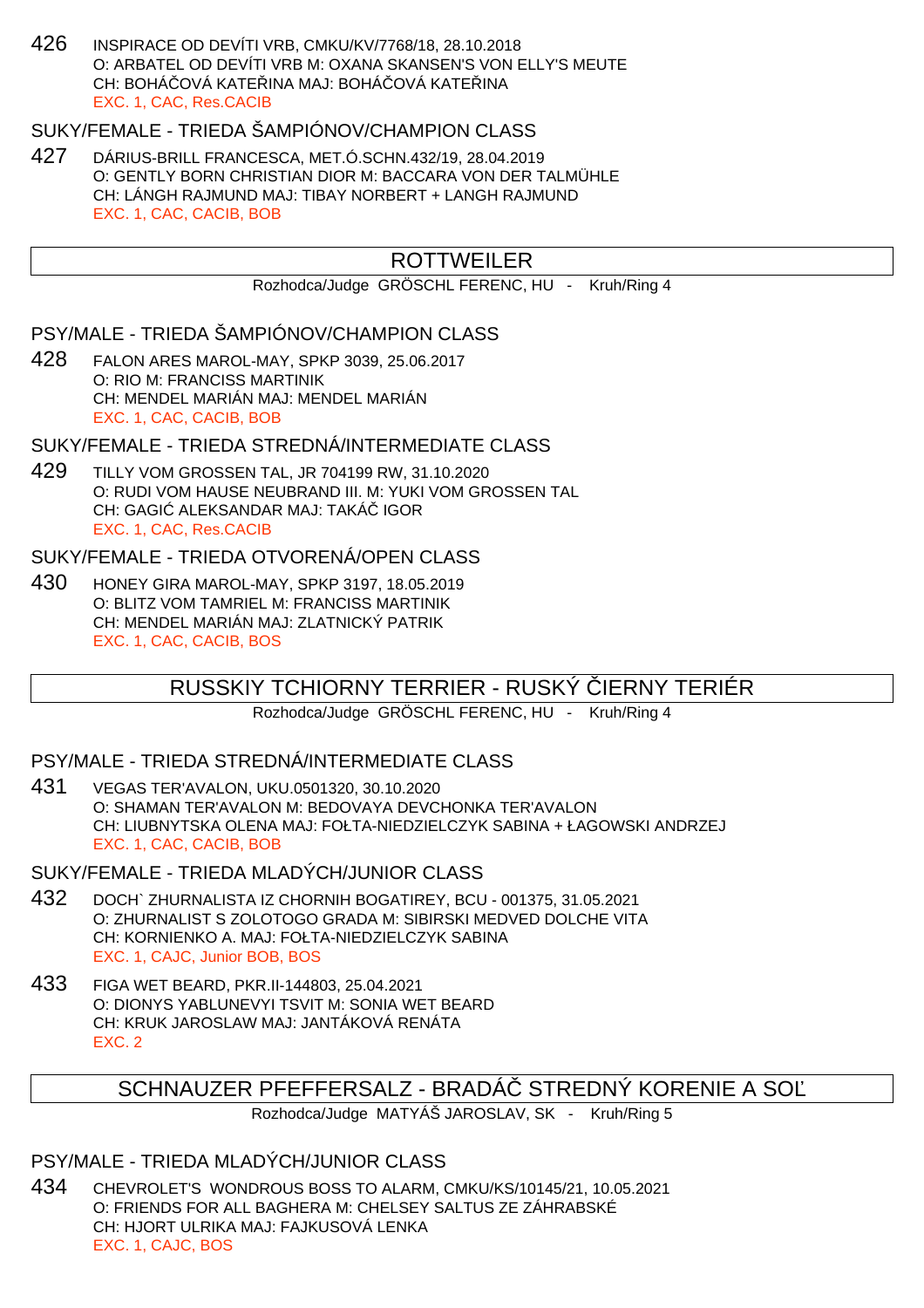426 INSPIRACE OD DEVÍTI VRB, CMKU/KV/7768/18, 28.10.2018 O: ARBATEL OD DEVÍTI VRB M: OXANA SKANSEN'S VON ELLY'S MEUTE CH: BOHÁ OVÁ KATELINA MAJ: BOHÁ OVÁ KATELINA EXC. 1, CAC, Res.CACIB

# SUKY/FEMALE - TRIEDA ŠAMPIÓNOV/CHAMPION CLASS

427 DÁRIUS-BRILL FRANCESCA, MET.Ó.SCHN.432/19, 28.04.2019 O: GENTLY BORN CHRISTIAN DIOR M: BACCARA VON DER TALMÜHLE CH: LÁNGH RAJMUND MAJ: TIBAY NORBERT + LANGH RAJMUND EXC. 1, CAC, CACIB, BOB

# **ROTTWEILER**

Rozhodca/Judge GRÖSCHL FERENC, HU - Kruh/Ring 4

# PSY/MALE - TRIEDA ŠAMPIÓNOV/CHAMPION CLASS

428 FALON ARES MAROL-MAY, SPKP 3039, 25.06.2017 O: RIO M: FRANCISS MARTINIK CH: MENDEL MARIÁN MAJ: MENDEL MARIÁN EXC. 1, CAC, CACIB, BOB

#### SUKY/FEMALE - TRIEDA STREDNÁ/INTERMEDIATE CLASS

429 TILLY VOM GROSSEN TAL, JR 704199 RW, 31.10.2020 O: RUDI VOM HAUSE NEUBRAND III. M: YUKI VOM GROSSEN TAL CH: GAGI ALEKSANDAR MAJ: TAKÁ IGOR EXC. 1, CAC, Res.CACIB

# SUKY/FEMALE - TRIEDA OTVORENÁ/OPEN CLASS

430 HONEY GIRA MAROL-MAY, SPKP 3197, 18.05.2019 O: BLITZ VOM TAMRIEL M: FRANCISS MARTINIK CH: MENDEL MARIÁN MAJ: ZLATNICKÝ PATRIK EXC. 1, CAC, CACIB, BOS

# RUSSKIY TCHIORNY TERRIER - RUSKÝ ČIERNY TERIÉR

Rozhodca/Judge GRÖSCHL FERENC, HU - Kruh/Ring 4

## PSY/MALE - TRIEDA STREDNÁ/INTERMEDIATE CLASS

431 VEGAS TER'AVALON, UKU.0501320, 30.10.2020 O: SHAMAN TER'AVALON M: BEDOVAYA DEVCHONKA TER'AVALON CH: LIUBNYTSKA OLENA MAJ: FOŁTA-NIEDZIELCZYK SABINA + ŁAGOWSKI ANDRZEJ EXC. 1, CAC, CACIB, BOB

#### SUKY/FEMALE - TRIEDA MLADÝCH/JUNIOR CLASS

- 432 DOCH` ZHURNALISTA IZ CHORNIH BOGATIREY, BCU 001375, 31.05.2021 O: ZHURNALIST S ZOLOTOGO GRADA M: SIBIRSKI MEDVED DOLCHE VITA CH: KORNIENKO A. MAJ: FOŁTA-NIEDZIELCZYK SABINA EXC. 1, CAJC, Junior BOB, BOS
- 433 FIGA WET BEARD, PKR.II-144803, 25.04.2021 O: DIONYS YABLUNEVYI TSVIT M: SONIA WET BEARD CH: KRUK JAROSLAW MAJ: JANTÁKOVÁ RENÁTA EXC. 2

# SCHNAUZER PFEFFERSALZ - BRADÁ STREDNÝ KORENIE A SO

Rozhodca/Judge MATYÁŠ JAROSLAV, SK - Kruh/Ring 5

## PSY/MALE - TRIEDA MLADÝCH/JUNIOR CLASS

434 CHEVROLET'S WONDROUS BOSS TO ALARM, CMKU/KS/10145/21, 10.05.2021 O: FRIENDS FOR ALL BAGHERA M: CHELSEY SALTUS ZE ZÁHRABSKÉ CH: HJORT ULRIKA MAJ: FAJKUSOVÁ LENKA EXC. 1, CAJC, BOS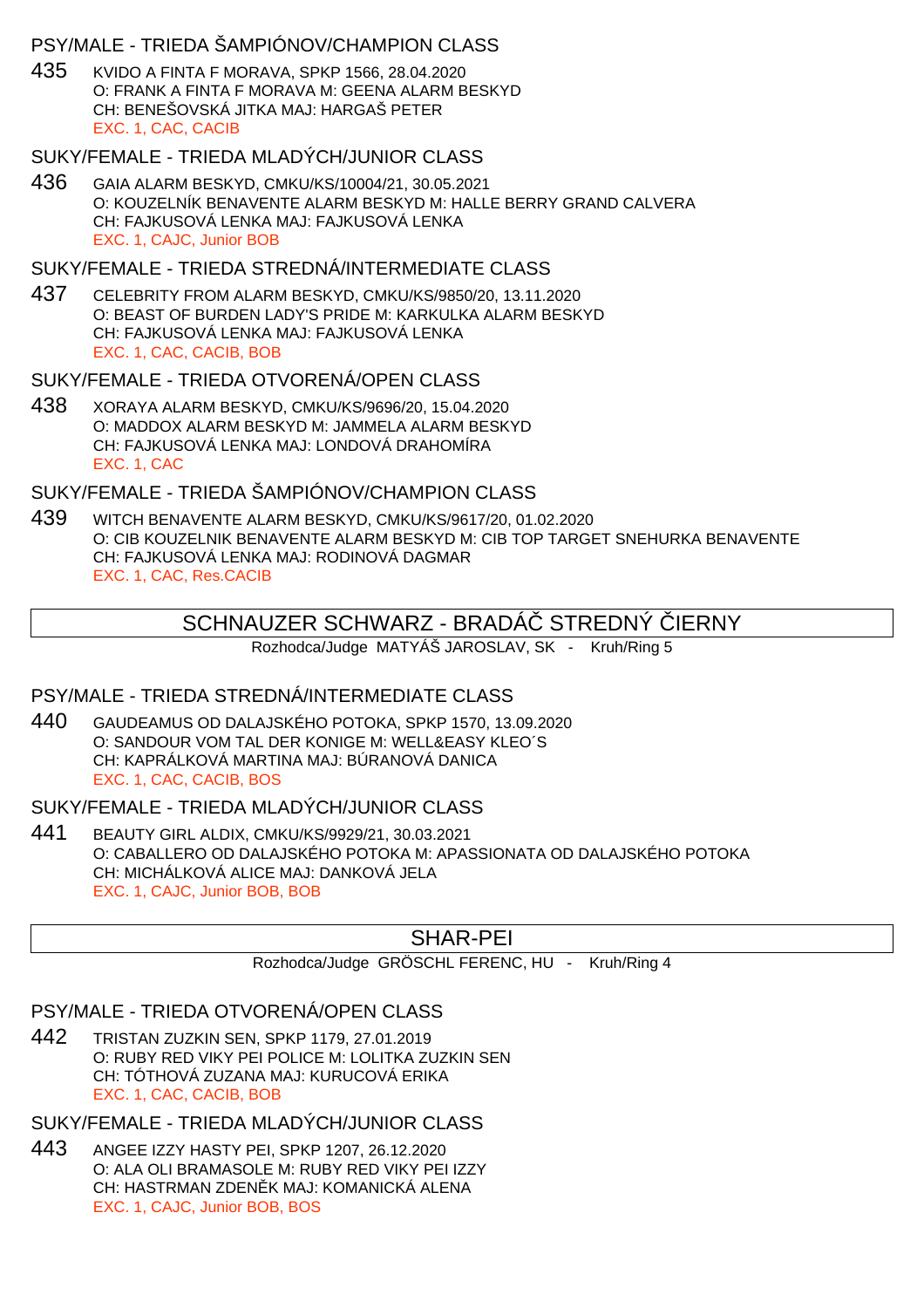## PSY/MALE - TRIEDA ŠAMPIÓNOV/CHAMPION CLASS

435 KVIDO A FINTA F MORAVA, SPKP 1566, 28.04.2020 O: FRANK A FINTA F MORAVA M: GEENA ALARM BESKYD CH: BENEŠOVSKÁ JITKA MAJ: HARGAŠ PETER EXC. 1, CAC, CACIB

#### SUKY/FEMALE - TRIEDA MLADÝCH/JUNIOR CLASS

436 GAIA ALARM BESKYD, CMKU/KS/10004/21, 30.05.2021 O: KOUZELNÍK BENAVENTE ALARM BESKYD M: HALLE BERRY GRAND CALVERA CH: FAJKUSOVÁ LENKA MAJ: FAJKUSOVÁ LENKA EXC. 1, CAJC, Junior BOB

#### SUKY/FEMALE - TRIEDA STREDNÁ/INTERMEDIATE CLASS

437 CELEBRITY FROM ALARM BESKYD, CMKU/KS/9850/20, 13.11.2020 O: BEAST OF BURDEN LADY'S PRIDE M: KARKULKA ALARM BESKYD CH: FAJKUSOVÁ LENKA MAJ: FAJKUSOVÁ LENKA EXC. 1, CAC, CACIB, BOB

#### SUKY/FEMALE - TRIEDA OTVORENÁ/OPEN CLASS

438 XORAYA ALARM BESKYD, CMKU/KS/9696/20, 15.04.2020 O: MADDOX ALARM BESKYD M: JAMMELA ALARM BESKYD CH: FAJKUSOVÁ LENKA MAJ: LONDOVÁ DRAHOMÍRA EXC. 1, CAC

## SUKY/FEMALE - TRIEDA ŠAMPIÓNOV/CHAMPION CLASS

439 WITCH BENAVENTE ALARM BESKYD, CMKU/KS/9617/20, 01.02.2020 O: CIB KOUZELNIK BENAVENTE ALARM BESKYD M: CIB TOP TARGET SNEHURKA BENAVENTE CH: FAJKUSOVÁ LENKA MAJ: RODINOVÁ DAGMAR EXC. 1, CAC, Res.CACIB

# SCHNAUZER SCHWARZ - BRADÁ STREDNÝ JERNY

Rozhodca/Judge MATYÁŠ JAROSLAV, SK - Kruh/Ring 5

## PSY/MALE - TRIEDA STREDNÁ/INTERMEDIATE CLASS

440 GAUDEAMUS OD DALAJSKÉHO POTOKA, SPKP 1570, 13.09.2020 O: SANDOUR VOM TAL DER KONIGE M: WELL&EASY KLEO´S CH: KAPRÁLKOVÁ MARTINA MAJ: BÚRANOVÁ DANICA EXC. 1, CAC, CACIB, BOS

# SUKY/FEMALE - TRIEDA MLADÝCH/JUNIOR CLASS

441 BEAUTY GIRL ALDIX, CMKU/KS/9929/21, 30.03.2021 O: CABALLERO OD DALAJSKÉHO POTOKA M: APASSIONATA OD DALAJSKÉHO POTOKA CH: MICHÁLKOVÁ ALICE MAJ: DANKOVÁ JELA EXC. 1, CAJC, Junior BOB, BOB

# SHAR-PEI

Rozhodca/Judge GRÖSCHL FERENC, HU - Kruh/Ring 4

## PSY/MALE - TRIEDA OTVORENÁ/OPEN CLASS

442 TRISTAN ZUZKIN SEN, SPKP 1179, 27.01.2019 O: RUBY RED VIKY PEI POLICE M: LOLITKA ZUZKIN SEN CH: TÓTHOVÁ ZUZANA MAJ: KURUCOVÁ ERIKA EXC. 1, CAC, CACIB, BOB

SUKY/FEMALE - TRIEDA MLADÝCH/JUNIOR CLASS

443 ANGEE IZZY HASTY PEI, SPKP 1207, 26.12.2020 O: ALA OLI BRAMASOLE M: RUBY RED VIKY PEI IZZY CH: HASTRMAN ZDEN K MAJ: KOMANICKÁ ALENA EXC. 1, CAJC, Junior BOB, BOS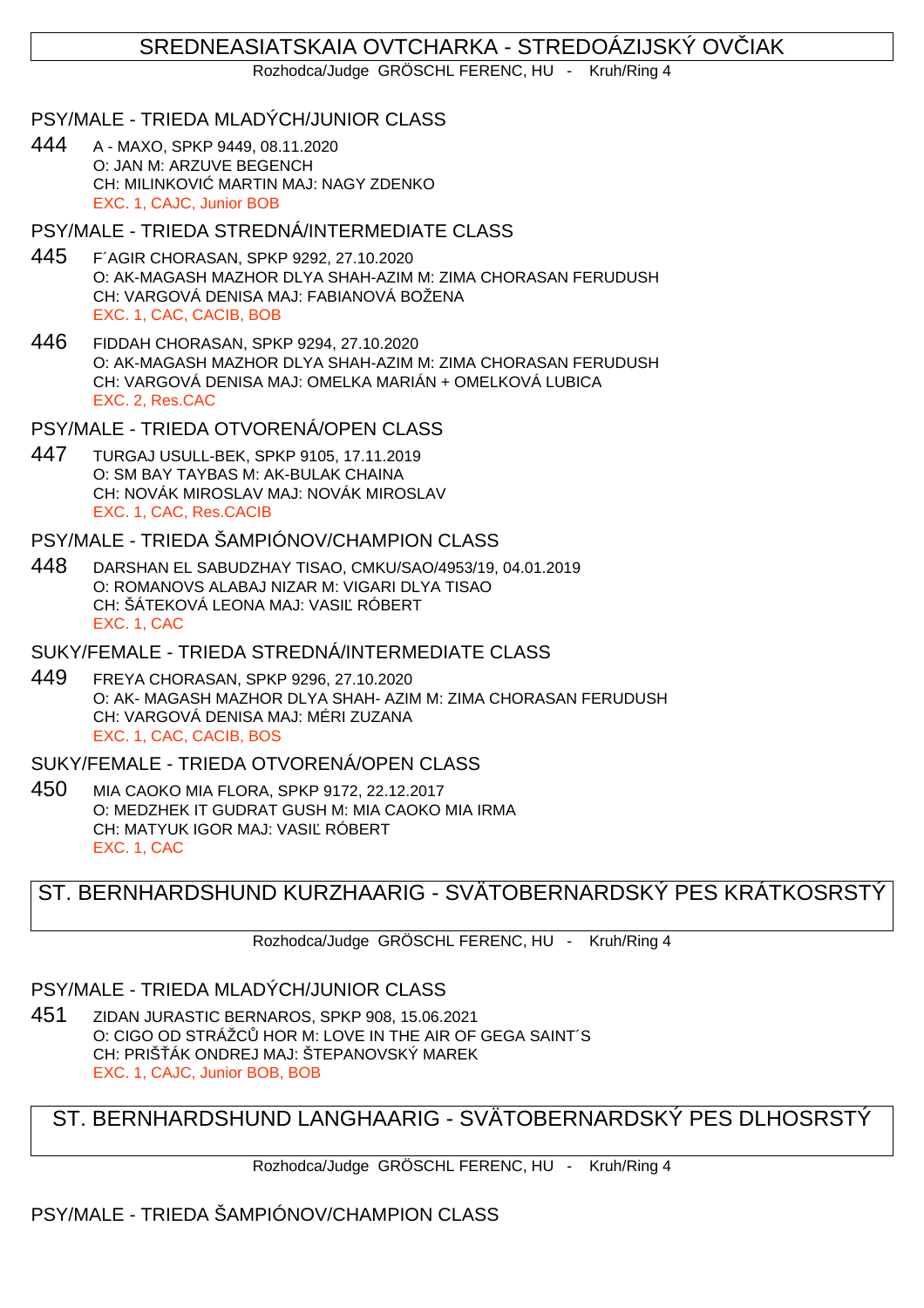# SREDNEASIATSKAIA OVTCHARKA - STREDOÁZIJSKÝ OV. IAK

Rozhodca/Judge GRÖSCHL FERENC, HU - Kruh/Ring 4

## PSY/MALE - TRIEDA MLADÝCH/JUNIOR CLASS

444 A - MAXO, SPKP 9449, 08.11.2020 O: JAN M: ARZUVE BEGENCH CH: MILINKOVI MARTIN MAJ: NAGY ZDENKO EXC. 1, CAJC, Junior BOB

#### PSY/MALE - TRIEDA STREDNÁ/INTERMEDIATE CLASS

- 445 F´AGIR CHORASAN, SPKP 9292, 27.10.2020 O: AK-MAGASH MAZHOR DLYA SHAH-AZIM M: ZIMA CHORASAN FERUDUSH CH: VARGOVÁ DENISA MAJ: FABIANOVÁ BOŽENA EXC. 1, CAC, CACIB, BOB
- 446 FIDDAH CHORASAN, SPKP 9294, 27.10.2020 O: AK-MAGASH MAZHOR DLYA SHAH-AZIM M: ZIMA CHORASAN FERUDUSH CH: VARGOVÁ DENISA MAJ: OMELKA MARIÁN + OMELKOVÁ LUBICA EXC. 2, Res.CAC
- PSY/MALE TRIEDA OTVORENÁ/OPEN CLASS
- 447 TURGAJ USULL-BEK, SPKP 9105, 17.11.2019 O: SM BAY TAYBAS M: AK-BULAK CHAINA CH: NOVÁK MIROSLAV MAJ: NOVÁK MIROSLAV EXC. 1, CAC, Res.CACIB
- PSY/MALE TRIEDA ŠAMPIÓNOV/CHAMPION CLASS
- 448 DARSHAN EL SABUDZHAY TISAO, CMKU/SAO/4953/19, 04.01.2019 O: ROMANOVS ALABAJ NIZAR M: VIGARI DLYA TISAO CH: ŠÁTEKOVÁ LEONA MAJ: VASIĽ RÓBERT EXC. 1, CAC
- SUKY/FEMALE TRIEDA STREDNÁ/INTERMEDIATE CLASS
- 449 FREYA CHORASAN, SPKP 9296, 27.10.2020 O: AK- MAGASH MAZHOR DLYA SHAH- AZIM M: ZIMA CHORASAN FERUDUSH CH: VARGOVÁ DENISA MAJ: MÉRI ZUZANA EXC. 1, CAC, CACIB, BOS

## SUKY/FEMALE - TRIEDA OTVORENÁ/OPEN CLASS

450 MIA CAOKO MIA FLORA, SPKP 9172, 22.12.2017 O: MEDZHEK IT GUDRAT GUSH M: MIA CAOKO MIA IRMA CH: MATYUK IGOR MAJ: VASI RÓBERT EXC. 1, CAC

# ST. BERNHARDSHUND KURZHAARIG - SVÄTOBERNARDSKÝ PES KRÁTKOSRSTÝ

Rozhodca/Judge GRÖSCHL FERENC, HU - Kruh/Ring 4

## PSY/MALE - TRIEDA MLADÝCH/JUNIOR CLASS

451 ZIDAN JURASTIC BERNAROS, SPKP 908, 15.06.2021 O: CIGO OD STRÁŽC HOR M: LOVE IN THE AIR OF GEGA SAINT´S CH: PRIŠÁK ONDREJ MAJ: ŠTEPANOVSKÝ MAREK EXC. 1, CAJC, Junior BOB, BOB

# ST. BERNHARDSHUND LANGHAARIG - SVÄTOBERNARDSKÝ PES DLHOSRSTÝ

Rozhodca/Judge GRÖSCHL FERENC, HU - Kruh/Ring 4

# PSY/MALE - TRIEDA ŠAMPIÓNOV/CHAMPION CLASS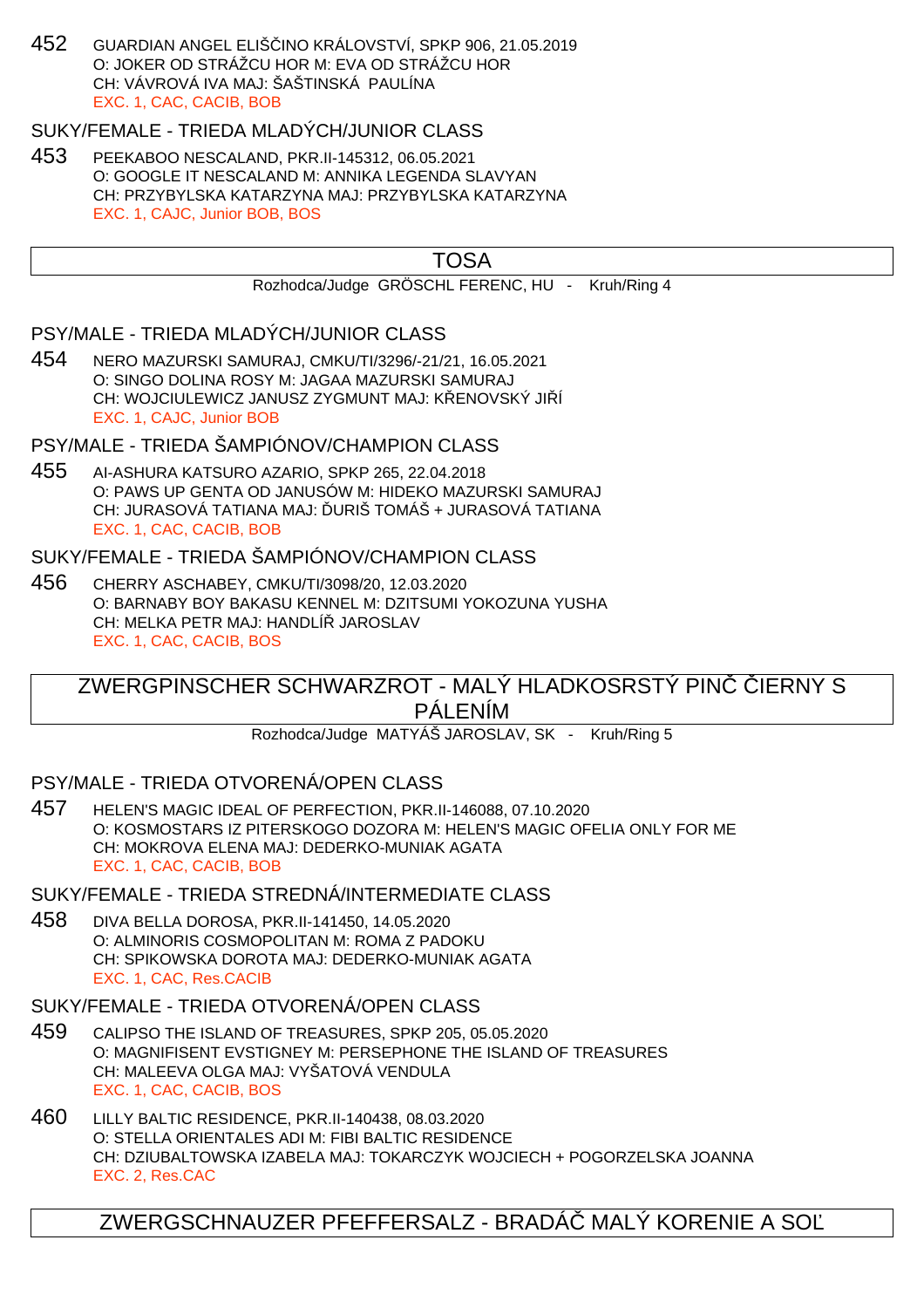452 GUARDIAN ANGEL ELIŠČINO KRÁLOVSTVÍ, SPKP 906, 21.05.2019 O: JOKER OD STRÁŽCU HOR M: EVA OD STRÁŽCU HOR CH: VÁVROVÁ IVA MAJ: ŠAŠTINSKÁ PAULÍNA EXC. 1, CAC, CACIB, BOB

# SUKY/FEMALE - TRIEDA MLADÝCH/JUNIOR CLASS

453 PEEKABOO NESCALAND, PKR.II-145312, 06.05.2021 O: GOOGLE IT NESCALAND M: ANNIKA LEGENDA SLAVYAN CH: PRZYBYLSKA KATARZYNA MAJ: PRZYBYLSKA KATARZYNA EXC. 1, CAJC, Junior BOB, BOS

# TOSA

Rozhodca/Judge GRÖSCHL FERENC, HU - Kruh/Ring 4

## PSY/MALE - TRIEDA MLADÝCH/JUNIOR CLASS

454 NERO MAZURSKI SAMURAJ, CMKU/TI/3296/-21/21, 16.05.2021 O: SINGO DOLINA ROSY M: JAGAA MAZURSKI SAMURAJ CH: WOJCIULEWICZ JANUSZ ZYGMUNT MAJ: K ENOVSKÝ JI Í EXC. 1, CAJC, Junior BOB

# PSY/MALE - TRIEDA ŠAMPIÓNOV/CHAMPION CLASS

455 AI-ASHURA KATSURO AZARIO, SPKP 265, 22.04.2018 O: PAWS UP GENTA OD JANUSÓW M: HIDEKO MAZURSKI SAMURAJ CH: JURASOVÁ TATIANA MAJ: URIŠ TOMÁŠ + JURASOVÁ TATIANA EXC. 1, CAC, CACIB, BOB

## SUKY/FEMALE - TRIEDA ŠAMPIÓNOV/CHAMPION CLASS

456 CHERRY ASCHABEY, CMKU/TI/3098/20, 12.03.2020 O: BARNABY BOY BAKASU KENNEL M: DZITSUMI YOKOZUNA YUSHA CH: MELKA PETR MAJ: HANDLÍ JAROSLAV EXC. 1, CAC, CACIB, BOS

# ZWERGPINSCHER SCHWARZROT - MALÝ HLADKOSRSTÝ PINVERNY S PÁLENÍM

Rozhodca/Judge MATYÁŠ JAROSLAV, SK - Kruh/Ring 5

# PSY/MALE - TRIEDA OTVORENÁ/OPEN CLASS

457 HELEN'S MAGIC IDEAL OF PERFECTION, PKR.II-146088, 07.10.2020 O: KOSMOSTARS IZ PITERSKOGO DOZORA M: HELEN'S MAGIC OFELIA ONLY FOR ME CH: MOKROVA ELENA MAJ: DEDERKO-MUNIAK AGATA EXC. 1, CAC, CACIB, BOB

SUKY/FEMALE - TRIEDA STREDNÁ/INTERMEDIATE CLASS

458 DIVA BELLA DOROSA, PKR.II-141450, 14.05.2020 O: ALMINORIS COSMOPOLITAN M: ROMA Z PADOKU CH: SPIKOWSKA DOROTA MAJ: DEDERKO-MUNIAK AGATA EXC. 1, CAC, Res.CACIB

#### SUKY/FEMALE - TRIEDA OTVORENÁ/OPEN CLASS

- 459 CALIPSO THE ISLAND OF TREASURES, SPKP 205, 05.05.2020 O: MAGNIFISENT EVSTIGNEY M: PERSEPHONE THE ISLAND OF TREASURES CH: MALEEVA OLGA MAJ: VYŠATOVÁ VENDULA EXC. 1, CAC, CACIB, BOS
- 460 LILLY BALTIC RESIDENCE, PKR.II-140438, 08.03.2020 O: STELLA ORIENTALES ADI M: FIBI BALTIC RESIDENCE CH: DZIUBALTOWSKA IZABELA MAJ: TOKARCZYK WOJCIECH + POGORZELSKA JOANNA EXC. 2, Res.CAC

# ZWERGSCHNAUZER PFEFFERSALZ - BRADÁČ MALÝ KORENIE A SOĽ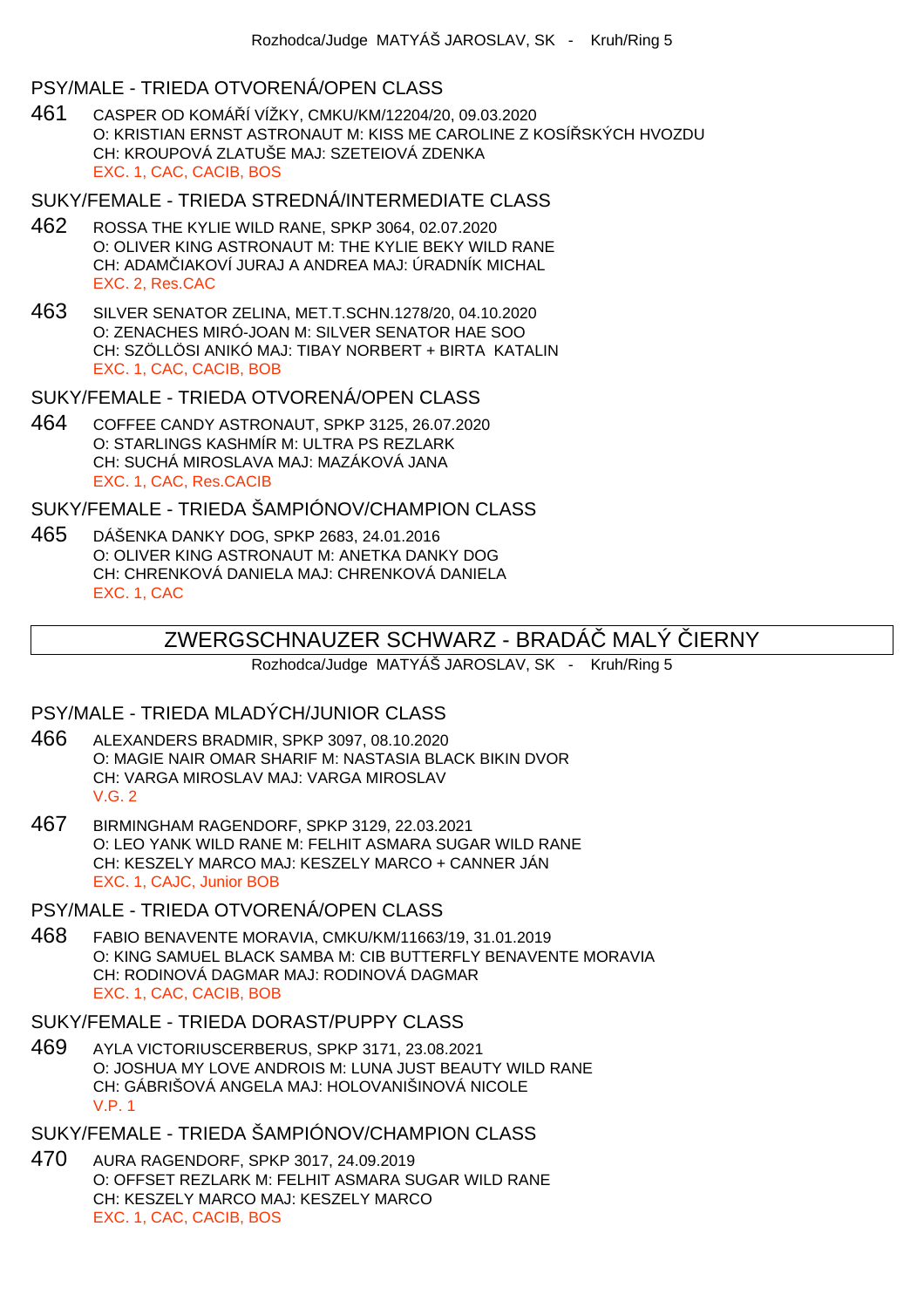### PSY/MALE - TRIEDA OTVORENÁ/OPEN CLASS

461 CASPER OD KOMÁŘÍ VÍŽKY, CMKU/KM/12204/20, 09.03.2020 O: KRISTIAN ERNST ASTRONAUT M: KISS ME CAROLINE Z KOSÍŘSKÝCH HVOZDU CH: KROUPOVÁ ZLATUŠE MAJ: SZETEIOVÁ ZDENKA EXC. 1, CAC, CACIB, BOS

#### SUKY/FEMALE - TRIEDA STREDNÁ/INTERMEDIATE CLASS

- 462 ROSSA THE KYLIE WILD RANE, SPKP 3064, 02.07.2020 O: OLIVER KING ASTRONAUT M: THE KYLIE BEKY WILD RANE CH: ADAM JAKOVÍ JURAJ A ANDREA MAJ: ÚRADNÍK MICHAL EXC. 2, Res.CAC
- 463 SILVER SENATOR ZELINA, MET.T.SCHN.1278/20, 04.10.2020 O: ZENACHES MIRÓ-JOAN M: SILVER SENATOR HAE SOO CH: SZÖLLÖSI ANIKÓ MAJ: TIBAY NORBERT + BIRTA KATALIN EXC. 1, CAC, CACIB, BOB

## SUKY/FEMALE - TRIEDA OTVORENÁ/OPEN CLASS

464 COFFEE CANDY ASTRONAUT, SPKP 3125, 26.07.2020 O: STARLINGS KASHMÍR M: ULTRA PS REZLARK CH: SUCHÁ MIROSLAVA MAJ: MAZÁKOVÁ JANA EXC. 1, CAC, Res.CACIB

SUKY/FEMALE - TRIEDA ŠAMPIÓNOV/CHAMPION CLASS

465 DÁŠENKA DANKY DOG, SPKP 2683, 24.01.2016 O: OLIVER KING ASTRONAUT M: ANETKA DANKY DOG CH: CHRENKOVÁ DANIELA MAJ: CHRENKOVÁ DANIELA EXC. 1, CAC

# ZWERGSCHNAUZER SCHWARZ - BRADÁ MALÝ JERNY

Rozhodca/Judge MATYÁŠ JAROSLAV, SK - Kruh/Ring 5

# PSY/MALE - TRIEDA MLADÝCH/JUNIOR CLASS

- 466 ALEXANDERS BRADMIR, SPKP 3097, 08.10.2020 O: MAGIE NAIR OMAR SHARIF M: NASTASIA BLACK BIKIN DVOR CH: VARGA MIROSLAV MAJ: VARGA MIROSLAV V.G. 2
- 467 BIRMINGHAM RAGENDORF, SPKP 3129, 22.03.2021 O: LEO YANK WILD RANE M: FELHIT ASMARA SUGAR WILD RANE CH: KESZELY MARCO MAJ: KESZELY MARCO + CANNER JÁN EXC. 1, CAJC, Junior BOB

#### PSY/MALE - TRIEDA OTVORENÁ/OPEN CLASS

468 FABIO BENAVENTE MORAVIA, CMKU/KM/11663/19, 31.01.2019 O: KING SAMUEL BLACK SAMBA M: CIB BUTTERFLY BENAVENTE MORAVIA CH: RODINOVÁ DAGMAR MAJ: RODINOVÁ DAGMAR EXC. 1, CAC, CACIB, BOB

#### SUKY/FEMALE - TRIEDA DORAST/PUPPY CLASS

469 AYLA VICTORIUSCERBERUS, SPKP 3171, 23.08.2021 O: JOSHUA MY LOVE ANDROIS M: LUNA JUST BEAUTY WILD RANE CH: GÁBRIŠOVÁ ANGELA MAJ: HOLOVANIŠINOVÁ NICOLE V.P. 1

# SUKY/FEMALE - TRIEDA ŠAMPIÓNOV/CHAMPION CLASS

470 AURA RAGENDORF, SPKP 3017, 24.09.2019 O: OFFSET REZLARK M: FELHIT ASMARA SUGAR WILD RANE CH: KESZELY MARCO MAJ: KESZELY MARCO EXC. 1, CAC, CACIB, BOS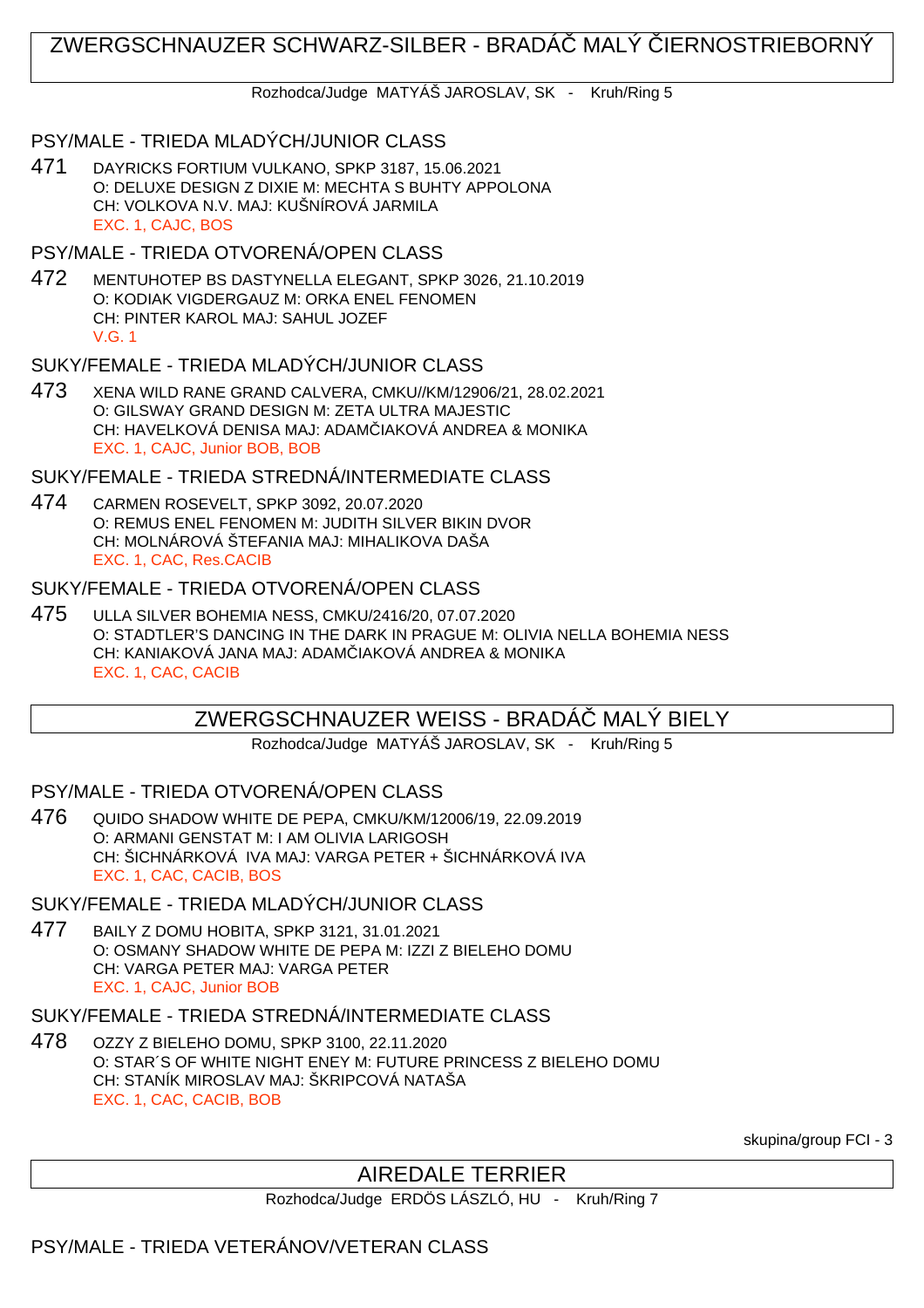# ZWERGSCHNAUZER SCHWARZ-SILBER - BRADÁČ MALÝ ČIERNOSTRIEBORNÝ

Rozhodca/Judge MATYÁŠ JAROSLAV, SK - Kruh/Ring 5

# PSY/MALE - TRIEDA MLADÝCH/JUNIOR CLASS

471 DAYRICKS FORTIUM VULKANO, SPKP 3187, 15.06.2021 O: DELUXE DESIGN Z DIXIE M: MECHTA S BUHTY APPOLONA CH: VOLKOVA N.V. MAJ: KUŠNÍROVÁ JARMILA EXC. 1, CAJC, BOS

## PSY/MALE - TRIEDA OTVORENÁ/OPEN CLASS

472 MENTUHOTEP BS DASTYNELLA ELEGANT, SPKP 3026, 21.10.2019 O: KODIAK VIGDERGAUZ M: ORKA ENEL FENOMEN CH: PINTER KAROL MAJ: SAHUL JOZEF V.G. 1

## SUKY/FEMALE - TRIEDA MLADÝCH/JUNIOR CLASS

473 XENA WILD RANE GRAND CALVERA, CMKU//KM/12906/21, 28.02.2021 O: GILSWAY GRAND DESIGN M: ZETA ULTRA MAJESTIC CH: HAVELKOVÁ DENISA MAJ: ADAM IAKOVÁ ANDREA & MONIKA EXC. 1, CAJC, Junior BOB, BOB

# SUKY/FEMALE - TRIEDA STREDNÁ/INTERMEDIATE CLASS

474 CARMEN ROSEVELT, SPKP 3092, 20.07.2020 O: REMUS ENEL FENOMEN M: JUDITH SILVER BIKIN DVOR CH: MOLNÁROVÁ ŠTEFANIA MAJ: MIHALIKOVA DAŠA EXC. 1, CAC, Res.CACIB

## SUKY/FEMALE - TRIEDA OTVORENÁ/OPEN CLASS

475 ULLA SILVER BOHEMIA NESS, CMKU/2416/20, 07.07.2020 O: STADTLER'S DANCING IN THE DARK IN PRAGUE M: OLIVIA NELLA BOHEMIA NESS CH: KANIAKOVÁ JANA MAJ: ADAM IAKOVÁ ANDREA & MONIKA EXC. 1, CAC, CACIB

# ZWERGSCHNAUZER WEISS - BRADÁČ MALÝ BIELY

Rozhodca/Judge MATYÁŠ JAROSLAV, SK - Kruh/Ring 5

## PSY/MALE - TRIEDA OTVORENÁ/OPEN CLASS

476 QUIDO SHADOW WHITE DE PEPA, CMKU/KM/12006/19, 22.09.2019 O: ARMANI GENSTAT M: I AM OLIVIA LARIGOSH CH: ŠICHNÁRKOVÁ IVA MAJ: VARGA PETER + ŠICHNÁRKOVÁ IVA EXC. 1, CAC, CACIB, BOS

## SUKY/FEMALE - TRIEDA MLADÝCH/JUNIOR CLASS

477 BAILY Z DOMU HOBITA, SPKP 3121, 31.01.2021 O: OSMANY SHADOW WHITE DE PEPA M: IZZI Z BIELEHO DOMU CH: VARGA PETER MAJ: VARGA PETER EXC. 1, CAJC, Junior BOB

## SUKY/FEMALE - TRIEDA STREDNÁ/INTERMEDIATE CLASS

478 OZZY Z BIELEHO DOMU, SPKP 3100, 22.11.2020 O: STAR´S OF WHITE NIGHT ENEY M: FUTURE PRINCESS Z BIELEHO DOMU CH: STANÍK MIROSLAV MAJ: ŠKRIPCOVÁ NATAŠA EXC. 1, CAC, CACIB, BOB

skupina/group FCI - 3

# AIREDALE TERRIER

Rozhodca/Judge ERDÖS LÁSZLÓ, HU - Kruh/Ring 7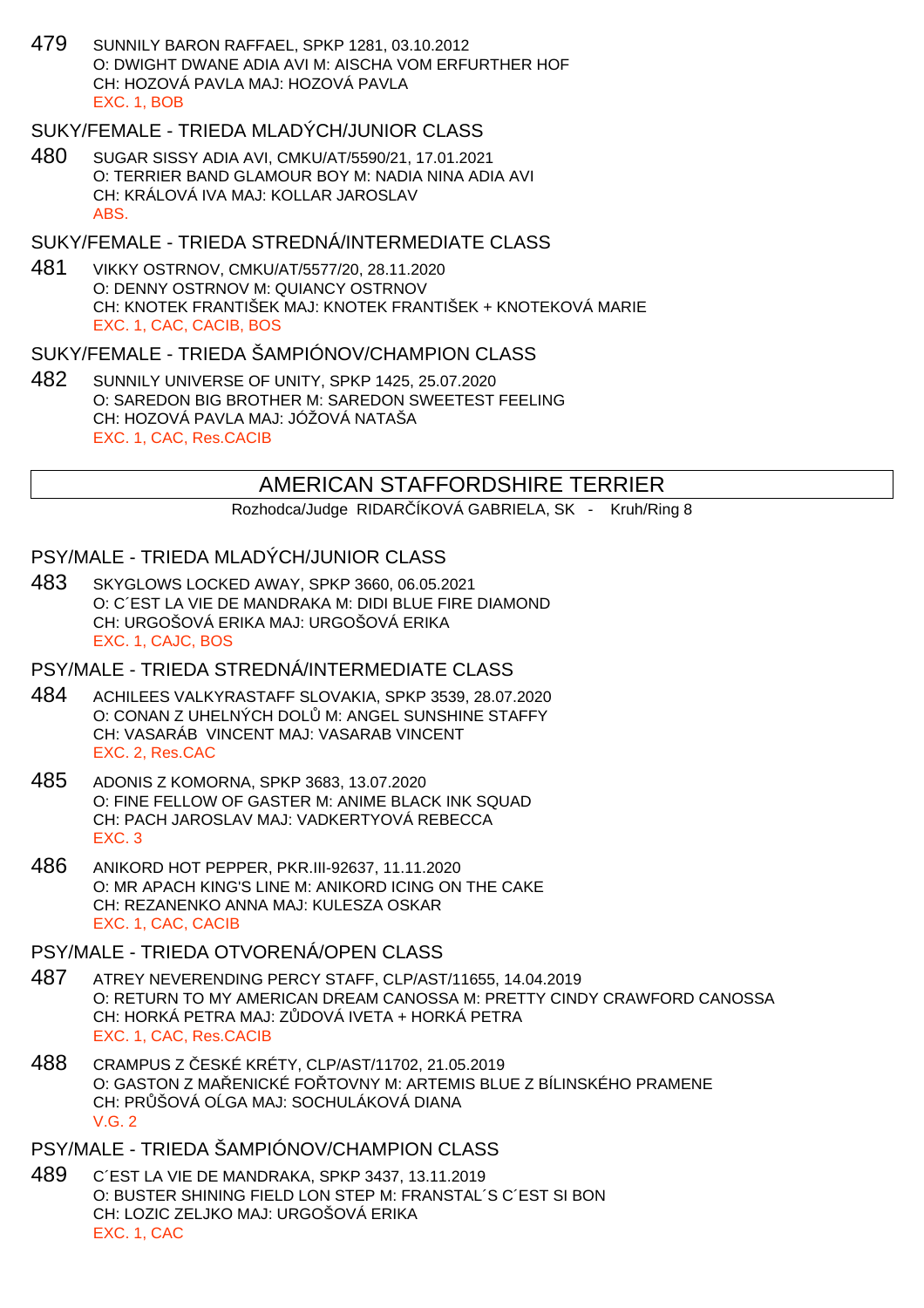479 SUNNILY BARON RAFFAEL, SPKP 1281, 03.10.2012 O: DWIGHT DWANE ADIA AVI M: AISCHA VOM ERFURTHER HOF CH: HOZOVÁ PAVLA MAJ: HOZOVÁ PAVLA EXC. 1, BOB

## SUKY/FEMALE - TRIEDA MLADÝCH/JUNIOR CLASS

480 SUGAR SISSY ADIA AVI, CMKU/AT/5590/21, 17.01.2021 O: TERRIER BAND GLAMOUR BOY M: NADIA NINA ADIA AVI CH: KRÁLOVÁ IVA MAJ: KOLLAR JAROSLAV ABS.

#### SUKY/FEMALE - TRIEDA STREDNÁ/INTERMEDIATE CLASS

481 VIKKY OSTRNOV, CMKU/AT/5577/20, 28.11.2020 O: DENNY OSTRNOV M: QUIANCY OSTRNOV CH: KNOTEK FRANTIŠEK MAJ: KNOTEK FRANTIŠEK + KNOTEKOVÁ MARIE EXC. 1, CAC, CACIB, BOS

#### SUKY/FEMALE - TRIEDA ŠAMPIÓNOV/CHAMPION CLASS

482 SUNNILY UNIVERSE OF UNITY, SPKP 1425, 25.07.2020 O: SAREDON BIG BROTHER M: SAREDON SWEETEST FEELING CH: HOZOVÁ PAVLA MAJ: JÓŽOVÁ NATAŠA EXC. 1, CAC, Res.CACIB

# AMERICAN STAFFORDSHIRE TERRIER

Rozhodca/Judge RIDAR ÍKOVÁ GABRIELA, SK - Kruh/Ring 8

#### PSY/MALE - TRIEDA MLADÝCH/JUNIOR CLASS

483 SKYGLOWS LOCKED AWAY, SPKP 3660, 06.05.2021 O: C´EST LA VIE DE MANDRAKA M: DIDI BLUE FIRE DIAMOND CH: URGOŠOVÁ ERIKA MAJ: URGOŠOVÁ ERIKA EXC. 1, CAJC, BOS

## PSY/MALE - TRIEDA STREDNÁ/INTERMEDIATE CLASS

- 484 ACHILEES VALKYRASTAFF SLOVAKIA, SPKP 3539, 28.07.2020 O: CONAN Z UHELNÝCH DOL M: ANGEL SUNSHINE STAFFY CH: VASARÁB VINCENT MAJ: VASARAB VINCENT EXC. 2, Res.CAC
- 485 ADONIS Z KOMORNA, SPKP 3683, 13.07.2020 O: FINE FELLOW OF GASTER M: ANIME BLACK INK SQUAD CH: PACH JAROSLAV MAJ: VADKERTYOVÁ REBECCA EXC. 3
- 486 ANIKORD HOT PEPPER, PKR.III-92637, 11.11.2020 O: MR APACH KING'S LINE M: ANIKORD ICING ON THE CAKE CH: REZANENKO ANNA MAJ: KULESZA OSKAR EXC. 1, CAC, CACIB
- PSY/MALE TRIEDA OTVORENÁ/OPEN CLASS
- 487 ATREY NEVERENDING PERCY STAFF, CLP/AST/11655, 14.04.2019 O: RETURN TO MY AMERICAN DREAM CANOSSA M: PRETTY CINDY CRAWFORD CANOSSA CH: HORKÁ PETRA MAJ: ZODOVÁ IVETA + HORKÁ PETRA EXC. 1, CAC, Res.CACIB
- 488 CRAMPUS Z ESKÉ KRÉTY, CLP/AST/11702, 21.05.2019 O: GASTON Z MALENICKÉ FOLTOVNY M: ARTEMIS BLUE Z BÍLINSKÉHO PRAMENE CH: PR ŠOVÁ O GA MAJ: SOCHULÁKOVÁ DIANA V.G. 2
- PSY/MALE TRIEDA ŠAMPIÓNOV/CHAMPION CLASS
- 489 C´EST LA VIE DE MANDRAKA, SPKP 3437, 13.11.2019 O: BUSTER SHINING FIELD LON STEP M: FRANSTAL´S C´EST SI BON CH: LOZIC ZELJKO MAJ: URGOŠOVÁ ERIKA EXC. 1, CAC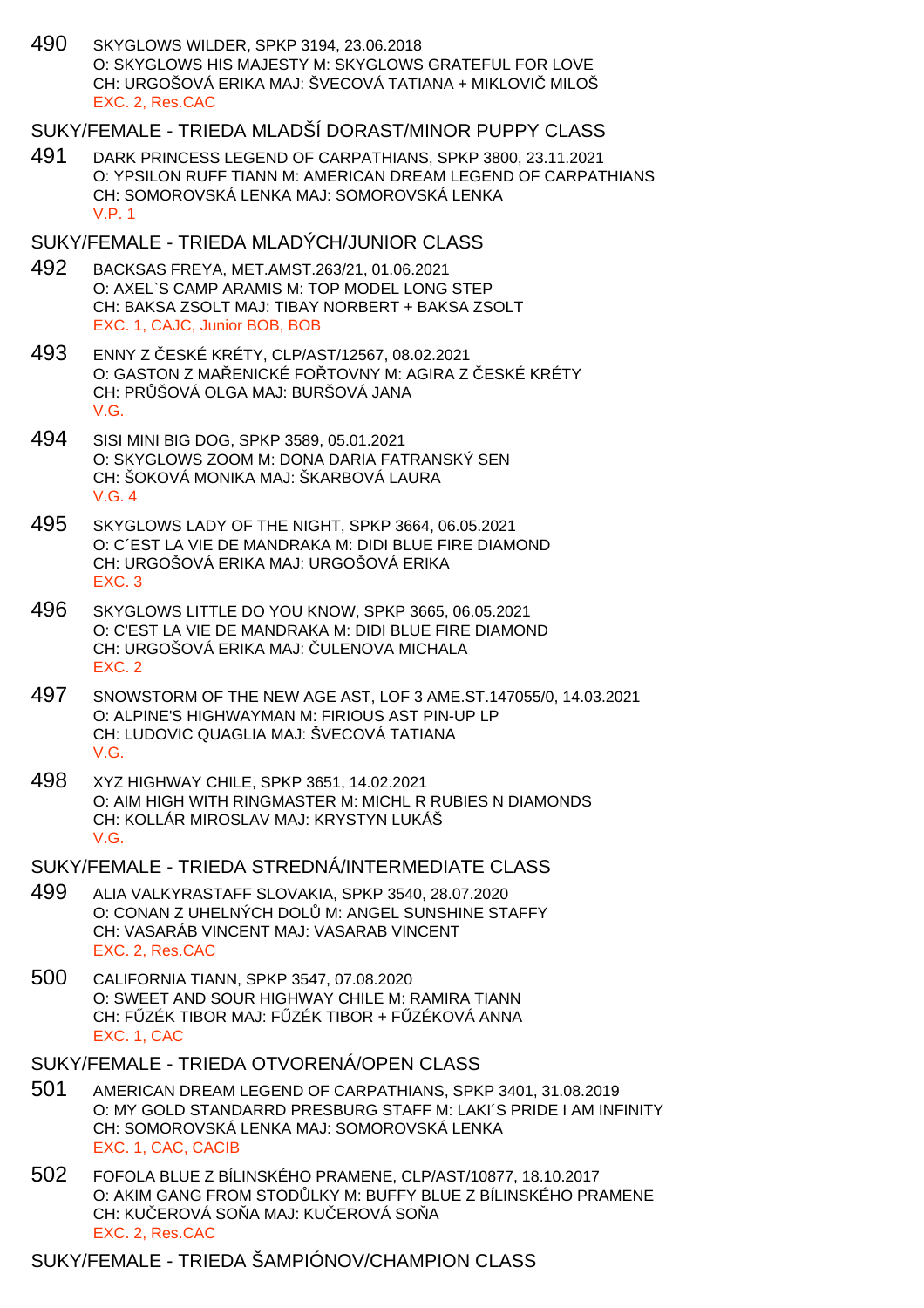490 SKYGLOWS WILDER, SPKP 3194, 23.06.2018 O: SKYGLOWS HIS MAJESTY M: SKYGLOWS GRATEFUL FOR LOVE CH: URGOŠOVÁ ERIKA MAJ: ŠVECOVÁ TATIANA + MIKLOVI MILOŠ EXC. 2, Res.CAC

# SUKY/FEMALE - TRIEDA MLADŠÍ DORAST/MINOR PUPPY CLASS

491 DARK PRINCESS LEGEND OF CARPATHIANS, SPKP 3800, 23.11.2021 O: YPSILON RUFF TIANN M: AMERICAN DREAM LEGEND OF CARPATHIANS CH: SOMOROVSKÁ LENKA MAJ: SOMOROVSKÁ LENKA V.P. 1

#### SUKY/FEMALE - TRIEDA MLADÝCH/JUNIOR CLASS

- 492 BACKSAS FREYA, MET.AMST.263/21, 01.06.2021 O: AXEL`S CAMP ARAMIS M: TOP MODEL LONG STEP CH: BAKSA ZSOLT MAJ: TIBAY NORBERT + BAKSA ZSOLT EXC. 1, CAJC, Junior BOB, BOB
- 493 ENNY Z ČESKÉ KRÉTY, CLP/AST/12567, 08.02.2021 O: GASTON Z MA ENICKÉ FO TOVNY M: AGIRA Z ESKÉ KRÉTY CH: PR ŠOVÁ OLGA MAJ: BURŠOVÁ JANA V.G.
- 494 SISI MINI BIG DOG, SPKP 3589, 05.01.2021 O: SKYGLOWS ZOOM M: DONA DARIA FATRANSKÝ SEN CH: ŠOKOVÁ MONIKA MAJ: ŠKARBOVÁ LAURA V.G. 4
- 495 SKYGLOWS LADY OF THE NIGHT, SPKP 3664, 06.05.2021 O: C´EST LA VIE DE MANDRAKA M: DIDI BLUE FIRE DIAMOND CH: URGOŠOVÁ ERIKA MAJ: URGOŠOVÁ ERIKA EXC. 3
- 496 SKYGLOWS LITTLE DO YOU KNOW, SPKP 3665, 06.05.2021 O: C'EST LA VIE DE MANDRAKA M: DIDI BLUE FIRE DIAMOND CH: URGOŠOVÁ ERIKA MAJ: ULENOVA MICHALA EXC. 2
- 497 SNOWSTORM OF THE NEW AGE AST, LOF 3 AME.ST.147055/0, 14.03.2021 O: ALPINE'S HIGHWAYMAN M: FIRIOUS AST PIN-UP LP CH: LUDOVIC QUAGLIA MAJ: ŠVECOVÁ TATIANA V.G.
- 498 XYZ HIGHWAY CHILE, SPKP 3651, 14.02.2021 O: AIM HIGH WITH RINGMASTER M: MICHL R RUBIES N DIAMONDS CH: KOLLÁR MIROSLAV MAJ: KRYSTYN LUKÁŠ V.G.

SUKY/FEMALE - TRIEDA STREDNÁ/INTERMEDIATE CLASS

- 499 ALIA VALKYRASTAFF SLOVAKIA, SPKP 3540, 28.07.2020 O: CONAN Z UHELNÝCH DOL M: ANGEL SUNSHINE STAFFY CH: VASARÁB VINCENT MAJ: VASARAB VINCENT EXC. 2, Res.CAC
- 500 CALIFORNIA TIANN, SPKP 3547, 07.08.2020 O: SWEET AND SOUR HIGHWAY CHILE M: RAMIRA TIANN CH: F ZÉK TIBOR MAJ: F ZÉK TIBOR + F ZÉKOVÁ ANNA EXC. 1, CAC
- SUKY/FEMALE TRIEDA OTVORENÁ/OPEN CLASS
- 501 AMERICAN DREAM LEGEND OF CARPATHIANS, SPKP 3401, 31.08.2019 O: MY GOLD STANDARRD PRESBURG STAFF M: LAKI´S PRIDE I AM INFINITY CH: SOMOROVSKÁ LENKA MAJ: SOMOROVSKÁ LENKA EXC. 1, CAC, CACIB
- 502 FOFOLA BLUE Z BÍLINSKÉHO PRAMENE, CLP/AST/10877, 18.10.2017 O: AKIM GANG FROM STOD LKY M: BUFFY BLUE Z BÍLINSKÉHO PRAMENE CH: KU EROVÁ SO A MAJ: KU EROVÁ SO A EXC. 2, Res.CAC

## SUKY/FEMALE - TRIEDA ŠAMPIÓNOV/CHAMPION CLASS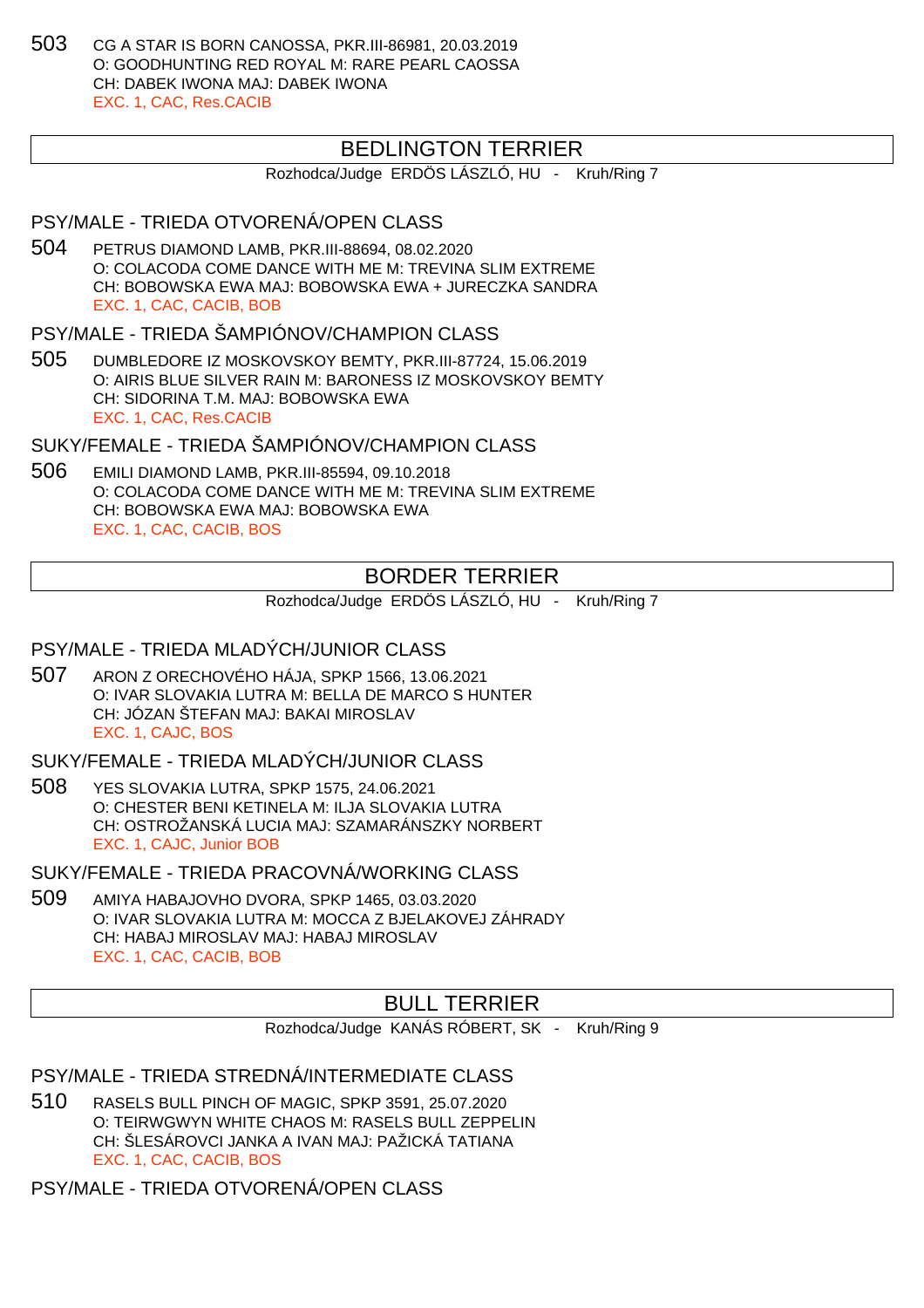503 CG A STAR IS BORN CANOSSA, PKR.III-86981, 20.03.2019 O: GOODHUNTING RED ROYAL M: RARE PEARL CAOSSA CH: DABEK IWONA MAJ: DABEK IWONA EXC. 1, CAC, Res.CACIB

# BEDLINGTON TERRIER

Rozhodca/Judge ERDÖS LÁSZLÓ, HU - Kruh/Ring 7

## PSY/MALE - TRIEDA OTVORENÁ/OPEN CLASS

504 PETRUS DIAMOND LAMB, PKR.III-88694, 08.02.2020 O: COLACODA COME DANCE WITH ME M: TREVINA SLIM EXTREME CH: BOBOWSKA EWA MAJ: BOBOWSKA EWA + JURECZKA SANDRA EXC. 1, CAC, CACIB, BOB

PSY/MALE - TRIEDA ŠAMPIÓNOV/CHAMPION CLASS

505 DUMBLEDORE IZ MOSKOVSKOY BEMTY, PKR.III-87724, 15.06.2019 O: AIRIS BLUE SILVER RAIN M: BARONESS IZ MOSKOVSKOY BEMTY CH: SIDORINA T.M. MAJ: BOBOWSKA EWA EXC. 1, CAC, Res.CACIB

SUKY/FEMALE - TRIEDA ŠAMPIÓNOV/CHAMPION CLASS

506 EMILI DIAMOND LAMB, PKR.III-85594, 09.10.2018 O: COLACODA COME DANCE WITH ME M: TREVINA SLIM EXTREME CH: BOBOWSKA EWA MAJ: BOBOWSKA EWA EXC. 1, CAC, CACIB, BOS

# BORDER TERRIER

Rozhodca/Judge ERDÖS LÁSZLÓ, HU - Kruh/Ring 7

# PSY/MALE - TRIEDA MLADÝCH/JUNIOR CLASS

507 ARON Z ORECHOVÉHO HÁJA, SPKP 1566, 13.06.2021 O: IVAR SLOVAKIA LUTRA M: BELLA DE MARCO S HUNTER CH: JÓZAN ŠTEFAN MAJ: BAKAI MIROSLAV EXC. 1, CAJC, BOS

SUKY/FEMALE - TRIEDA MLADÝCH/JUNIOR CLASS

508 YES SLOVAKIA LUTRA, SPKP 1575, 24.06.2021 O: CHESTER BENI KETINELA M: ILJA SLOVAKIA LUTRA CH: OSTROŽANSKÁ LUCIA MAJ: SZAMARÁNSZKY NORBERT EXC. 1, CAJC, Junior BOB

SUKY/FEMALE - TRIEDA PRACOVNÁ/WORKING CLASS

509 AMIYA HABAJOVHO DVORA, SPKP 1465, 03.03.2020 O: IVAR SLOVAKIA LUTRA M: MOCCA Z BJELAKOVEJ ZÁHRADY CH: HABAJ MIROSLAV MAJ: HABAJ MIROSLAV EXC. 1, CAC, CACIB, BOB

# BULL TERRIER

Rozhodca/Judge KANÁS RÓBERT, SK - Kruh/Ring 9

PSY/MALE - TRIEDA STREDNÁ/INTERMEDIATE CLASS

510 RASELS BULL PINCH OF MAGIC, SPKP 3591, 25.07.2020 O: TEIRWGWYN WHITE CHAOS M: RASELS BULL ZEPPELIN CH: ŠLESÁROVCI JANKA A IVAN MAJ: PAŽICKÁ TATIANA EXC. 1, CAC, CACIB, BOS

PSY/MALE - TRIEDA OTVORENÁ/OPEN CLASS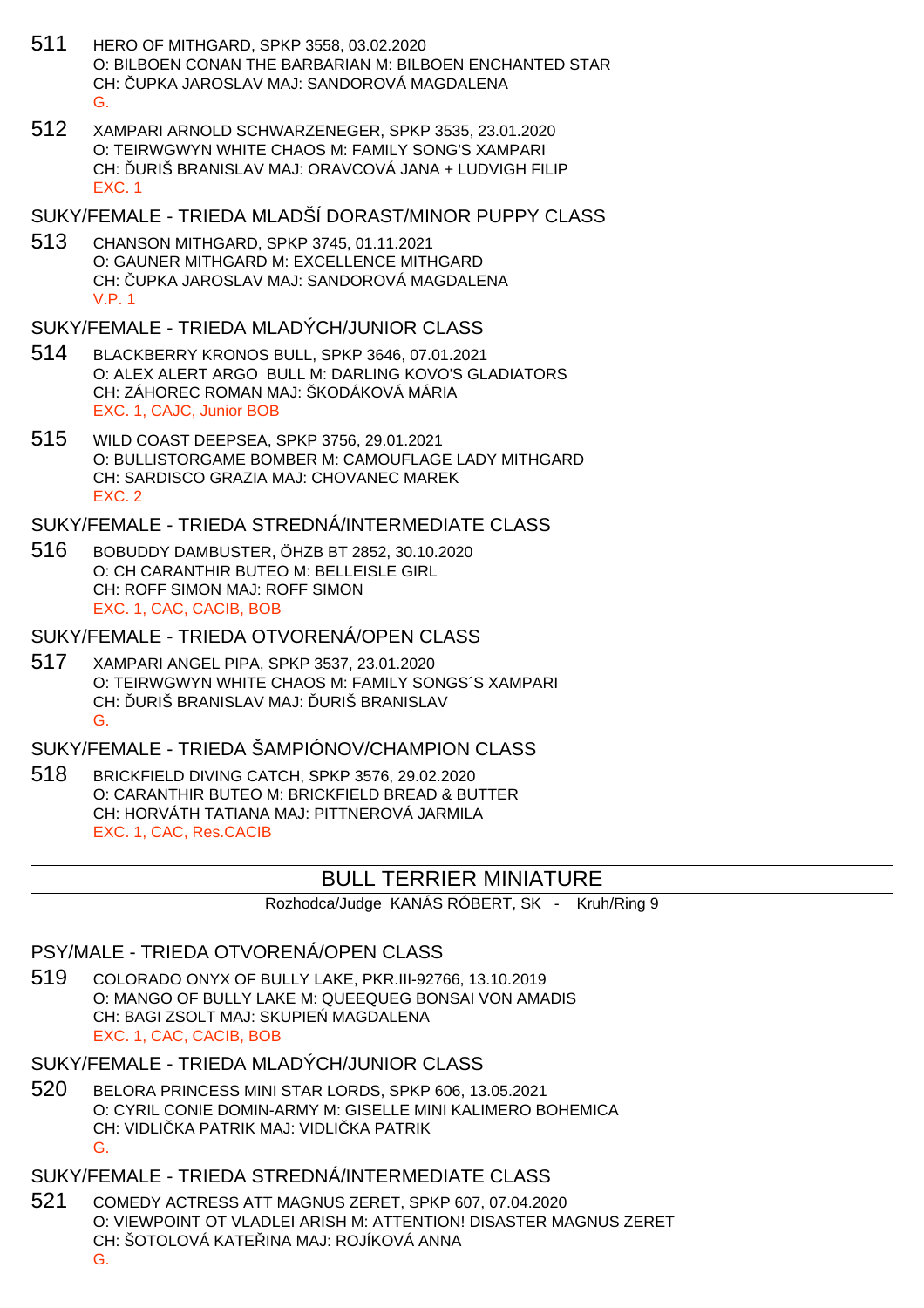- 511 HERO OF MITHGARD, SPKP 3558, 03.02.2020 O: BILBOEN CONAN THE BARBARIAN M: BILBOEN ENCHANTED STAR CH: ČUPKA JAROSLAV MAJ: SANDOROVÁ MAGDALENA G.
- 512 XAMPARI ARNOLD SCHWARZENEGER, SPKP 3535, 23.01.2020 O: TEIRWGWYN WHITE CHAOS M: FAMILY SONG'S XAMPARI CH: ĎURIŠ BRANISLAV MAJ: ORAVCOVÁ JANA + LUDVIGH FILIP EXC. 1
- SUKY/FEMALE TRIEDA MLADŠÍ DORAST/MINOR PUPPY CLASS
- 513 CHANSON MITHGARD, SPKP 3745, 01.11.2021 O: GAUNER MITHGARD M: EXCELLENCE MITHGARD CH: UPKA JAROSLAV MAJ: SANDOROVÁ MAGDALENA V.P. 1

SUKY/FEMALE - TRIEDA MLADÝCH/JUNIOR CLASS

- 514 BLACKBERRY KRONOS BULL, SPKP 3646, 07.01.2021 O: ALEX ALERT ARGO BULL M: DARLING KOVO'S GLADIATORS CH: ZÁHOREC ROMAN MAJ: ŠKODÁKOVÁ MÁRIA EXC. 1, CAJC, Junior BOB
- 515 WILD COAST DEEPSEA, SPKP 3756, 29.01.2021 O: BULLISTORGAME BOMBER M: CAMOUFLAGE LADY MITHGARD CH: SARDISCO GRAZIA MAJ: CHOVANEC MAREK EXC. 2

SUKY/FEMALE - TRIEDA STREDNÁ/INTERMEDIATE CLASS

516 BOBUDDY DAMBUSTER, ÖHZB BT 2852, 30.10.2020 O: CH CARANTHIR BUTEO M: BELLEISLE GIRL CH: ROFF SIMON MAJ: ROFF SIMON EXC. 1, CAC, CACIB, BOB

SUKY/FEMALE - TRIEDA OTVORENÁ/OPEN CLASS

517 XAMPARI ANGEL PIPA, SPKP 3537, 23.01.2020 O: TEIRWGWYN WHITE CHAOS M: FAMILY SONGS´S XAMPARI CH: URIŠ BRANISLAV MAJ: URIŠ BRANISLAV G.

SUKY/FEMALE - TRIEDA ŠAMPIÓNOV/CHAMPION CLASS

518 BRICKFIELD DIVING CATCH, SPKP 3576, 29.02.2020 O: CARANTHIR BUTEO M: BRICKFIELD BREAD & BUTTER CH: HORVÁTH TATIANA MAJ: PITTNEROVÁ JARMILA EXC. 1, CAC, Res.CACIB

# BULL TERRIER MINIATURE

Rozhodca/Judge KANÁS RÓBERT, SK - Kruh/Ring 9

## PSY/MALE - TRIEDA OTVORENÁ/OPEN CLASS

519 COLORADO ONYX OF BULLY LAKE, PKR.III-92766, 13.10.2019 O: MANGO OF BULLY LAKE M: QUEEQUEG BONSAI VON AMADIS CH: BAGI ZSOLT MAJ: SKUPIE MAGDALENA EXC. 1, CAC, CACIB, BOB

SUKY/FEMALE - TRIEDA MLADÝCH/JUNIOR CLASS

520 BELORA PRINCESS MINI STAR LORDS, SPKP 606, 13.05.2021 O: CYRIL CONIE DOMIN-ARMY M: GISELLE MINI KALIMERO BOHEMICA CH: VIDLI KA PATRIK MAJ: VIDLI KA PATRIK G.

SUKY/FEMALE - TRIEDA STREDNÁ/INTERMEDIATE CLASS

521 COMEDY ACTRESS ATT MAGNUS ZERET, SPKP 607, 07.04.2020 O: VIEWPOINT OT VLADLEI ARISH M: ATTENTION! DISASTER MAGNUS ZERET CH: ŠOTOLOVÁ KATE INA MAJ: ROJÍKOVÁ ANNA G.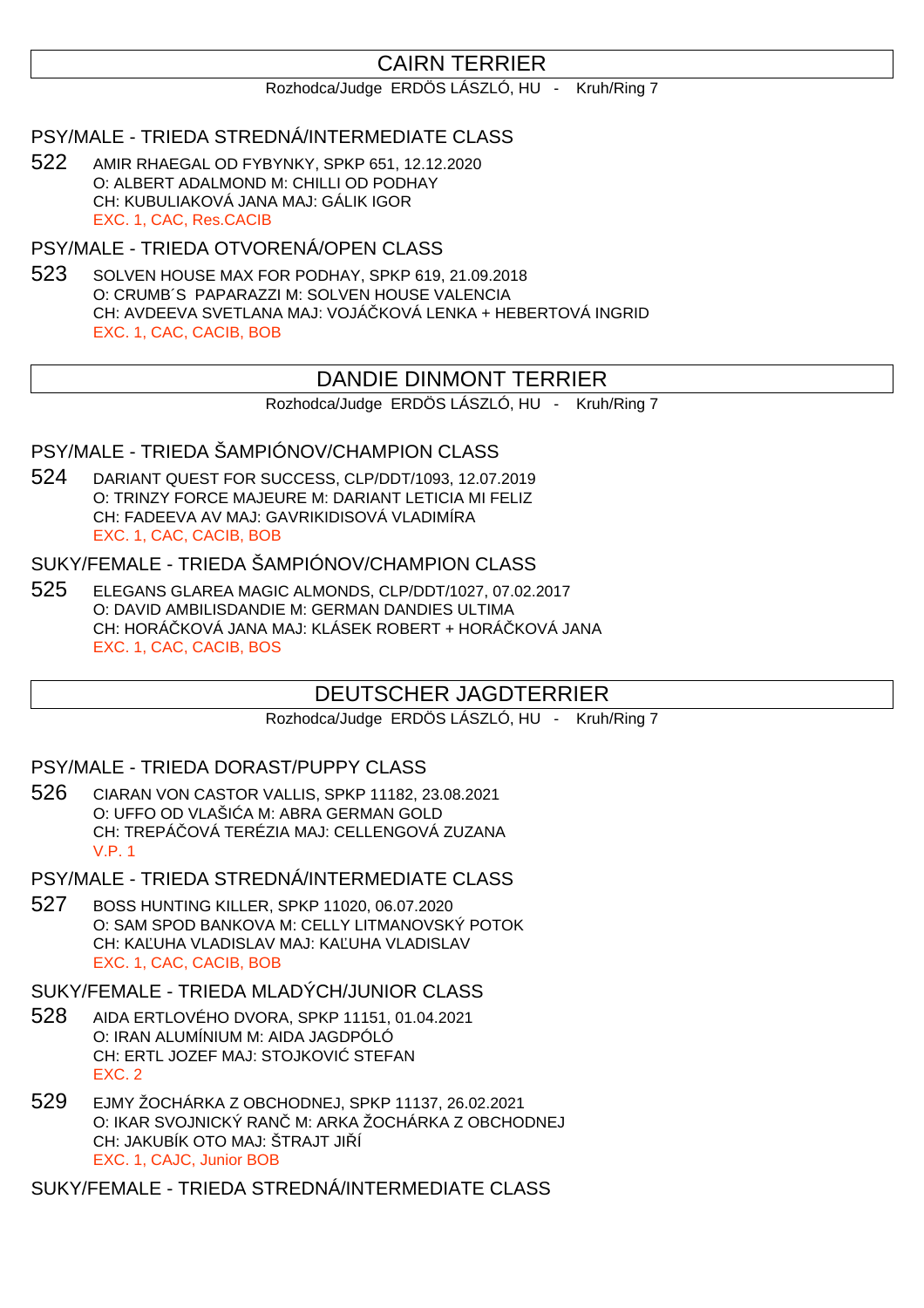# CAIRN TERRIER

Rozhodca/Judge ERDÖS LÁSZLÓ, HU - Kruh/Ring 7

## PSY/MALE - TRIEDA STREDNÁ/INTERMEDIATE CLASS

522 AMIR RHAEGAL OD FYBYNKY, SPKP 651, 12.12.2020 O: ALBERT ADALMOND M: CHILLI OD PODHAY CH: KUBULIAKOVÁ JANA MAJ: GÁLIK IGOR EXC. 1, CAC, Res.CACIB

PSY/MALE - TRIEDA OTVORENÁ/OPEN CLASS

523 SOLVEN HOUSE MAX FOR PODHAY, SPKP 619, 21.09.2018 O: CRUMB´S PAPARAZZI M: SOLVEN HOUSE VALENCIA CH: AVDEEVA SVETLANA MAJ: VOJÁ KOVÁ LENKA + HEBERTOVÁ INGRID EXC. 1, CAC, CACIB, BOB

# DANDIE DINMONT TERRIER

Rozhodca/Judge ERDÖS LÁSZLÓ, HU - Kruh/Ring 7

## PSY/MALE - TRIEDA ŠAMPIÓNOV/CHAMPION CLASS

524 DARIANT QUEST FOR SUCCESS, CLP/DDT/1093, 12.07.2019 O: TRINZY FORCE MAJEURE M: DARIANT LETICIA MI FELIZ CH: FADEEVA AV MAJ: GAVRIKIDISOVÁ VLADIMÍRA EXC. 1, CAC, CACIB, BOB

# SUKY/FEMALE - TRIEDA ŠAMPIÓNOV/CHAMPION CLASS

525 ELEGANS GLAREA MAGIC ALMONDS, CLP/DDT/1027, 07.02.2017 O: DAVID AMBILISDANDIE M: GERMAN DANDIES ULTIMA CH: HORÁ KOVÁ JANA MAJ: KLÁSEK ROBERT + HORÁ KOVÁ JANA EXC. 1, CAC, CACIB, BOS

# DEUTSCHER JAGDTERRIER

Rozhodca/Judge ERDÖS LÁSZLÓ, HU - Kruh/Ring 7

#### PSY/MALE - TRIEDA DORAST/PUPPY CLASS

526 CIARAN VON CASTOR VALLIS, SPKP 11182, 23.08.2021 O: UFFO OD VLAŠI A M: ABRA GERMAN GOLD CH: TREPÁ QVÁ TERÉZIA MAJ: CELLENGOVÁ ZUZANA V.P. 1

PSY/MALE - TRIEDA STREDNÁ/INTERMEDIATE CLASS

527 BOSS HUNTING KILLER, SPKP 11020, 06.07.2020 O: SAM SPOD BANKOVA M: CELLY LITMANOVSKÝ POTOK CH: KA UHA VLADISLAV MAJ: KA UHA VLADISLAV EXC. 1, CAC, CACIB, BOB

#### SUKY/FEMALE - TRIEDA MLADÝCH/JUNIOR CLASS

- 528 AIDA ERTLOVÉHO DVORA, SPKP 11151, 01.04.2021 O: IRAN ALUMÍNIUM M: AIDA JAGDPÓLÓ CH: ERTL JOZEF MAJ: STOJKOVI STEFAN EXC. 2
- 529 EJMY ŽOCHÁRKA Z OBCHODNEJ, SPKP 11137, 26.02.2021 O: IKAR SVOJNICKÝ RAN M: ARKA ŽOCHÁRKA Z OBCHODNEJ CH: JAKUBÍK OTO MAJ: ŠTRAJT JI Í EXC. 1, CAJC, Junior BOB

SUKY/FEMALE - TRIEDA STREDNÁ/INTERMEDIATE CLASS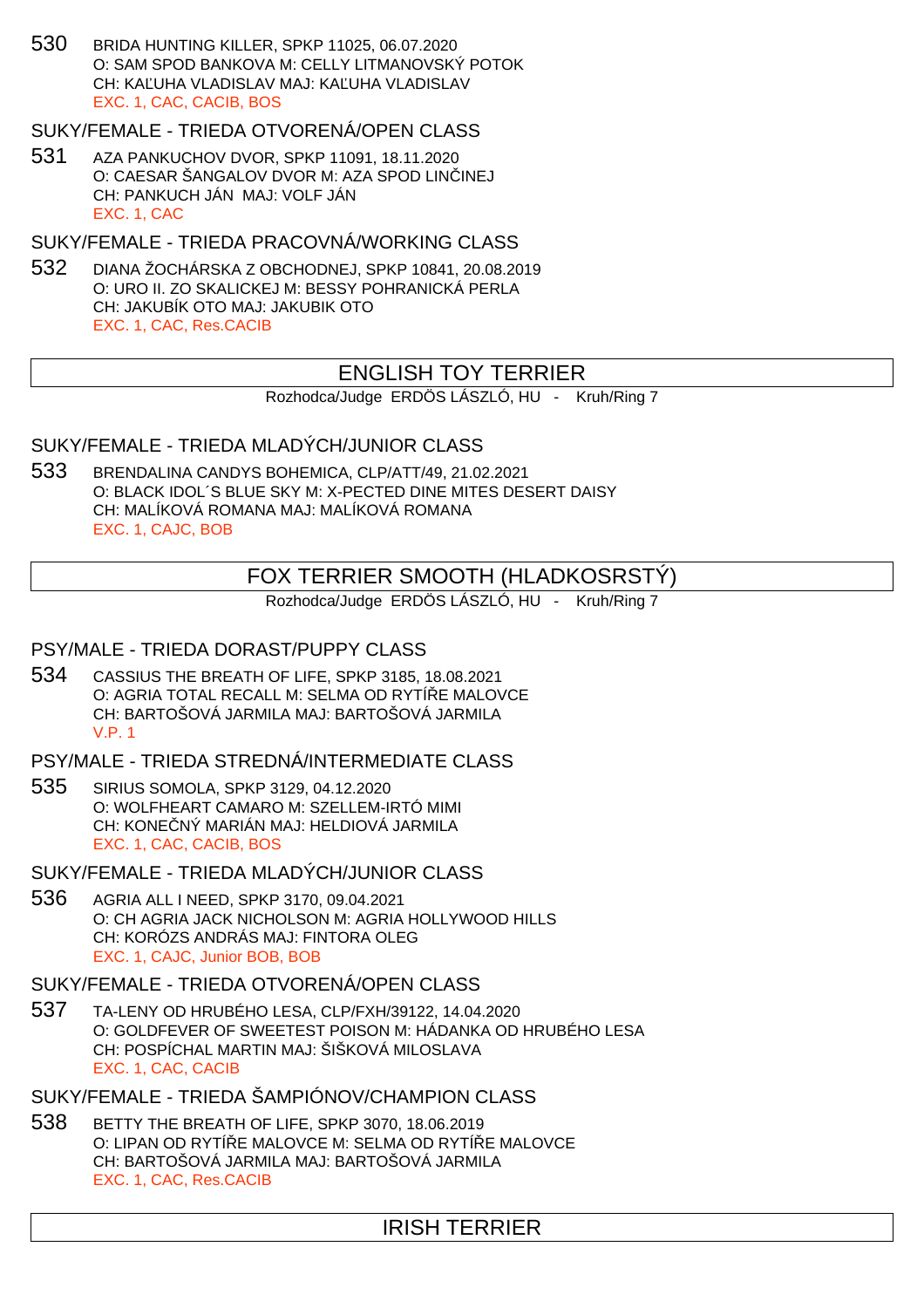530 BRIDA HUNTING KILLER, SPKP 11025, 06.07.2020 O: SAM SPOD BANKOVA M: CELLY LITMANOVSKÝ POTOK CH: KALUHA VLADISLAV MAJ: KALUHA VLADISLAV EXC. 1, CAC, CACIB, BOS

SUKY/FEMALE - TRIEDA OTVORENÁ/OPEN CLASS

531 AZA PANKUCHOV DVOR, SPKP 11091, 18.11.2020 O: CAESAR ŠANGALOV DVOR M: AZA SPOD LIN INEJ CH: PANKUCH JÁN MAJ: VOLF JÁN EXC. 1, CAC

SUKY/FEMALE - TRIEDA PRACOVNÁ/WORKING CLASS

532 DIANA ŽOCHÁRSKA Z OBCHODNEJ, SPKP 10841, 20.08.2019 O: URO II. ZO SKALICKEJ M: BESSY POHRANICKÁ PERLA CH: JAKUBÍK OTO MAJ: JAKUBIK OTO EXC. 1, CAC, Res.CACIB

# ENGLISH TOY TERRIER

Rozhodca/Judge ERDÖS LÁSZLÓ, HU - Kruh/Ring 7

SUKY/FEMALE - TRIEDA MLADÝCH/JUNIOR CLASS

533 BRENDALINA CANDYS BOHEMICA, CLP/ATT/49, 21.02.2021 O: BLACK IDOL´S BLUE SKY M: X-PECTED DINE MITES DESERT DAISY CH: MALÍKOVÁ ROMANA MAJ: MALÍKOVÁ ROMANA EXC. 1, CAJC, BOB

# FOX TERRIER SMOOTH (HLADKOSRSTÝ)

Rozhodca/Judge ERDÖS LÁSZLÓ, HU - Kruh/Ring 7

## PSY/MALE - TRIEDA DORAST/PUPPY CLASS

534 CASSIUS THE BREATH OF LIFE, SPKP 3185, 18.08.2021 O: AGRIA TOTAL RECALL M: SELMA OD RYTÍ E MALOVCE CH: BARTOŠOVÁ JARMILA MAJ: BARTOŠOVÁ JARMILA V.P. 1

PSY/MALE - TRIEDA STREDNÁ/INTERMEDIATE CLASS

535 SIRIUS SOMOLA, SPKP 3129, 04.12.2020 O: WOLFHEART CAMARO M: SZELLEM-IRTÓ MIMI CH: KONE NÝ MARIÁN MAJ: HELDIOVÁ JARMILA EXC. 1, CAC, CACIB, BOS

SUKY/FEMALE - TRIEDA MLADÝCH/JUNIOR CLASS

536 AGRIA ALL I NEED, SPKP 3170, 09.04.2021 O: CH AGRIA JACK NICHOLSON M: AGRIA HOLLYWOOD HILLS CH: KORÓZS ANDRÁS MAJ: FINTORA OLEG EXC. 1, CAJC, Junior BOB, BOB

SUKY/FEMALE - TRIEDA OTVORENÁ/OPEN CLASS

537 TA-LENY OD HRUBÉHO LESA, CLP/FXH/39122, 14.04.2020 O: GOLDFEVER OF SWEETEST POISON M: HÁDANKA OD HRUBÉHO LESA CH: POSPÍCHAL MARTIN MAJ: ŠIŠKOVÁ MILOSLAVA EXC. 1, CAC, CACIB

SUKY/FEMALE - TRIEDA ŠAMPIÓNOV/CHAMPION CLASS

538 BETTY THE BREATH OF LIFE, SPKP 3070, 18.06.2019 O: LIPAN OD RYTÍ E MALOVCE M: SELMA OD RYTÍ E MALOVCE CH: BARTOŠOVÁ JARMILA MAJ: BARTOŠOVÁ JARMILA EXC. 1, CAC, Res.CACIB

# IRISH TERRIER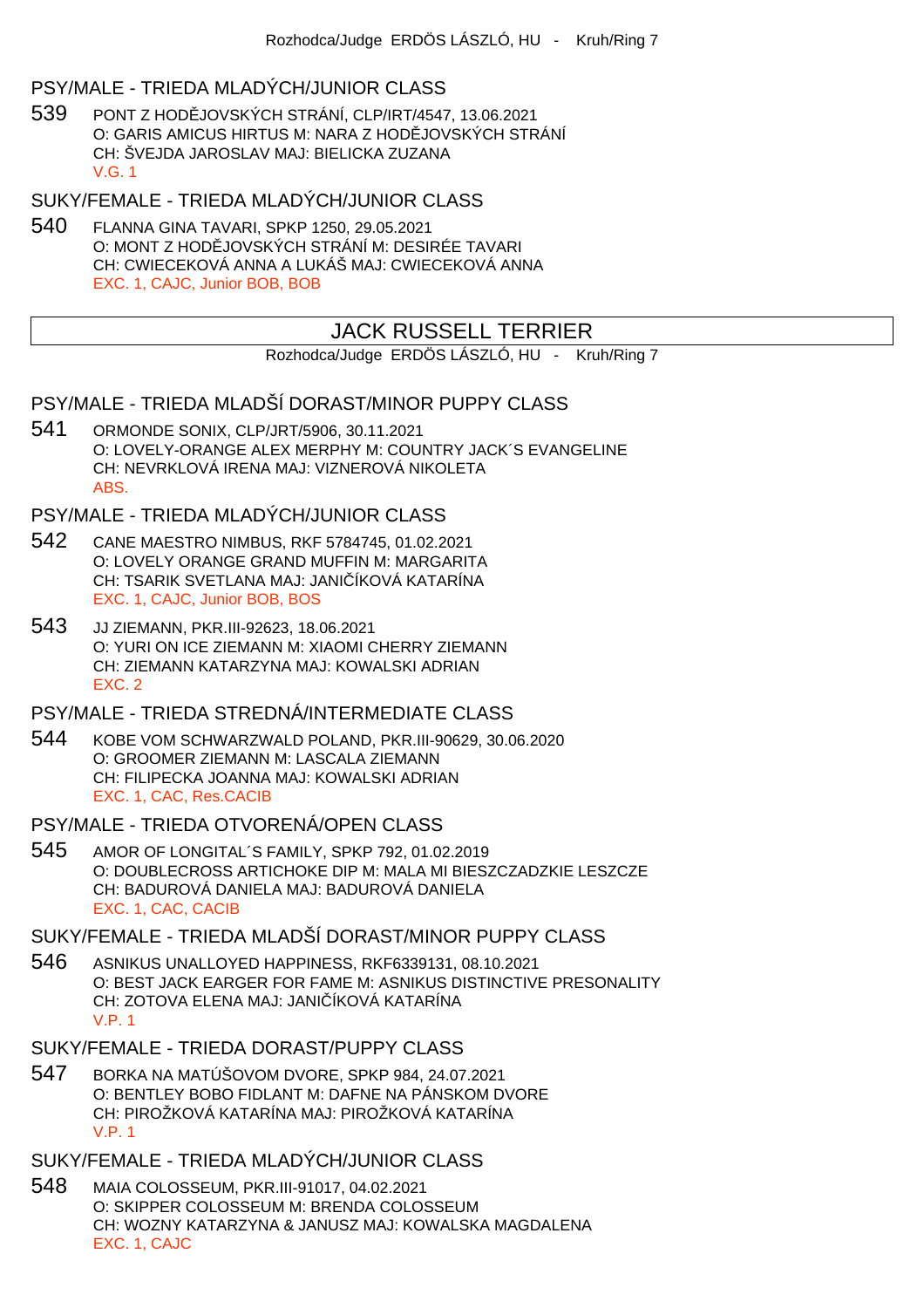## PSY/MALE - TRIEDA MLADÝCH/JUNIOR CLASS

539 PONT Z HOD JOVSKÝCH STRÁNÍ, CLP/IRT/4547, 13.06.2021 O: GARIS AMICUS HIRTUS M: NARA Z HODĚJOVSKÝCH STRÁNÍ CH: ŠVEJDA JAROSLAV MAJ: BIELICKA ZUZANA V.G. 1

SUKY/FEMALE - TRIEDA MLADÝCH/JUNIOR CLASS

540 FLANNA GINA TAVARI, SPKP 1250, 29.05.2021 O: MONT Z HOD JOVSKÝCH STRÁNÍ M: DESIRÉE TAVARI CH: CWIECEKOVÁ ANNA A LUKÁŠ MAJ: CWIECEKOVÁ ANNA EXC. 1, CAJC, Junior BOB, BOB

# JACK RUSSELL TERRIER

Rozhodca/Judge ERDÖS LÁSZLÓ, HU - Kruh/Ring 7

# PSY/MALE - TRIEDA MLADŠÍ DORAST/MINOR PUPPY CLASS

541 ORMONDE SONIX, CLP/JRT/5906, 30.11.2021 O: LOVELY-ORANGE ALEX MERPHY M: COUNTRY JACK´S EVANGELINE CH: NEVRKLOVÁ IRENA MAJ: VIZNEROVÁ NIKOLETA ABS.

# PSY/MALE - TRIEDA MLADÝCH/JUNIOR CLASS

- 542 CANE MAESTRO NIMBUS, RKF 5784745, 01.02.2021 O: LOVELY ORANGE GRAND MUFFIN M: MARGARITA CH: TSARIK SVETLANA MAJ: JANI ÍKOVÁ KATARÍNA EXC. 1, CAJC, Junior BOB, BOS
- 543 JJ ZIEMANN, PKR.III-92623, 18.06.2021 O: YURI ON ICE ZIEMANN M: XIAOMI CHERRY ZIEMANN CH: ZIEMANN KATARZYNA MAJ: KOWALSKI ADRIAN EXC. 2

## PSY/MALE - TRIEDA STREDNÁ/INTERMEDIATE CLASS

- 544 KOBE VOM SCHWARZWALD POLAND, PKR.III-90629, 30.06.2020 O: GROOMER ZIEMANN M: LASCALA ZIEMANN CH: FILIPECKA JOANNA MAJ: KOWALSKI ADRIAN EXC. 1, CAC, Res.CACIB
- PSY/MALE TRIEDA OTVORENÁ/OPEN CLASS
- 545 AMOR OF LONGITAL´S FAMILY, SPKP 792, 01.02.2019 O: DOUBLECROSS ARTICHOKE DIP M: MALA MI BIESZCZADZKIE LESZCZE CH: BADUROVÁ DANIELA MAJ: BADUROVÁ DANIELA EXC. 1, CAC, CACIB

# SUKY/FEMALE - TRIEDA MLADŠÍ DORAST/MINOR PUPPY CLASS

546 ASNIKUS UNALLOYED HAPPINESS, RKF6339131, 08.10.2021 O: BEST JACK EARGER FOR FAME M: ASNIKUS DISTINCTIVE PRESONALITY CH: ZOTOVA ELENA MAJ: JANI ÍKOVÁ KATARÍNA V.P. 1

## SUKY/FEMALE - TRIEDA DORAST/PUPPY CLASS

547 BORKA NA MATÚŠOVOM DVORE, SPKP 984, 24.07.2021 O: BENTLEY BOBO FIDLANT M: DAFNE NA PÁNSKOM DVORE CH: PIROŽKOVÁ KATARÍNA MAJ: PIROŽKOVÁ KATARÍNA V.P. 1

# SUKY/FEMALE - TRIEDA MLADÝCH/JUNIOR CLASS

548 MAIA COLOSSEUM, PKR.III-91017, 04.02.2021 O: SKIPPER COLOSSEUM M: BRENDA COLOSSEUM CH: WOZNY KATARZYNA & JANUSZ MAJ: KOWALSKA MAGDALENA EXC. 1, CAJC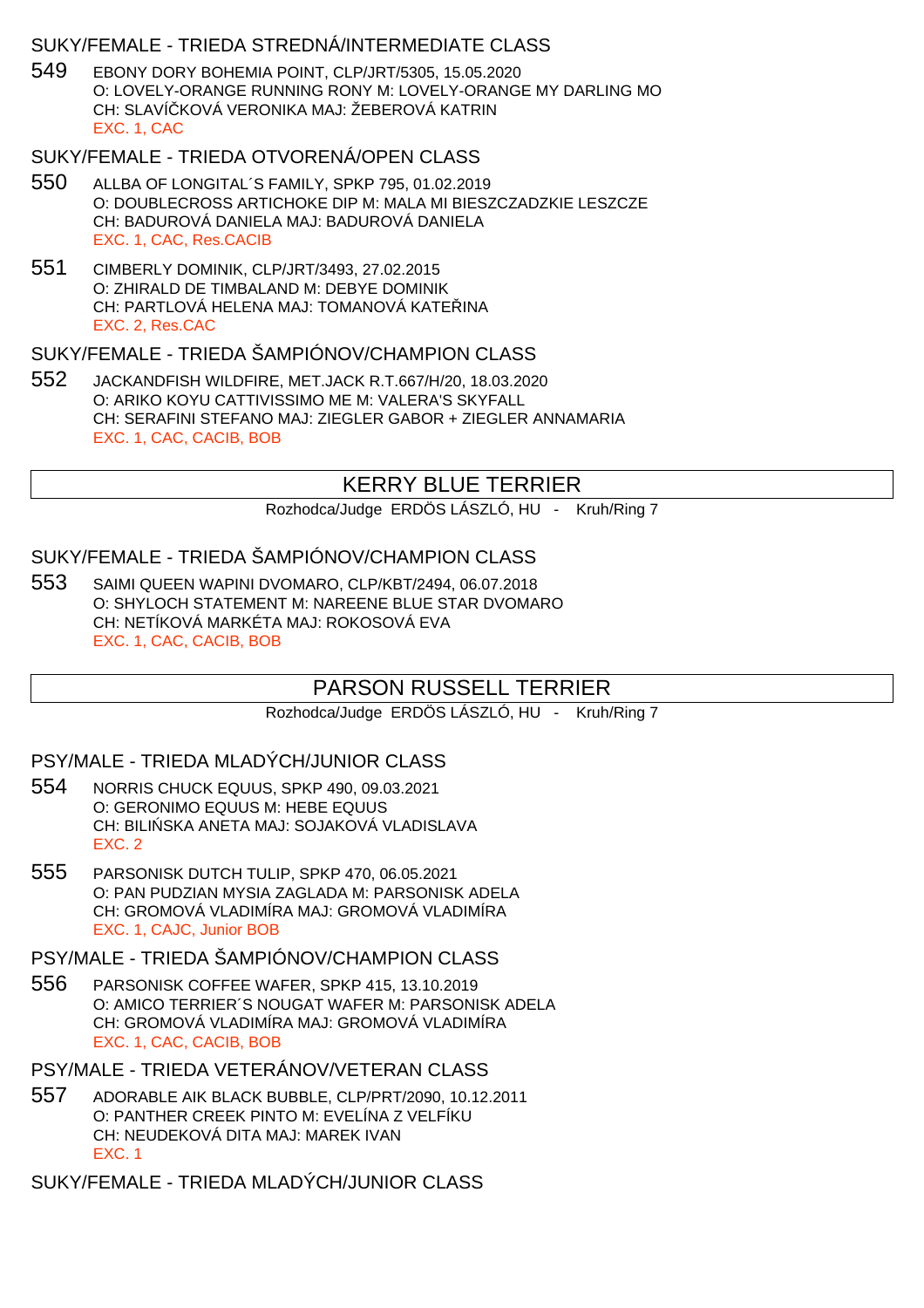# SUKY/FEMALE - TRIEDA STREDNÁ/INTERMEDIATE CLASS

549 EBONY DORY BOHEMIA POINT, CLP/JRT/5305, 15.05.2020 O: LOVELY-ORANGE RUNNING RONY M: LOVELY-ORANGE MY DARLING MO CH: SLAVÍ KOVÁ VERONIKA MAJ: ŽEBEROVÁ KATRIN EXC. 1, CAC

#### SUKY/FEMALE - TRIEDA OTVORENÁ/OPEN CLASS

- 550 ALLBA OF LONGITAL´S FAMILY, SPKP 795, 01.02.2019 O: DOUBLECROSS ARTICHOKE DIP M: MALA MI BIESZCZADZKIE LESZCZE CH: BADUROVÁ DANIELA MAJ: BADUROVÁ DANIELA EXC. 1, CAC, Res.CACIB
- 551 CIMBERLY DOMINIK, CLP/JRT/3493, 27.02.2015 O: ZHIRALD DE TIMBALAND M: DEBYE DOMINIK CH: PARTLOVÁ HELENA MAJ: TOMANOVÁ KATE INA EXC. 2, Res.CAC

#### SUKY/FEMALE - TRIEDA ŠAMPIÓNOV/CHAMPION CLASS

552 JACKANDFISH WILDFIRE, MET.JACK R.T.667/H/20, 18.03.2020 O: ARIKO KOYU CATTIVISSIMO ME M: VALERA'S SKYFALL CH: SERAFINI STEFANO MAJ: ZIEGLER GABOR + ZIEGLER ANNAMARIA EXC. 1, CAC, CACIB, BOB

# KERRY BLUE TERRIER

Rozhodca/Judge ERDÖS LÁSZLÓ, HU - Kruh/Ring 7

## SUKY/FEMALE - TRIEDA ŠAMPIÓNOV/CHAMPION CLASS

553 SAIMI QUEEN WAPINI DVOMARO, CLP/KBT/2494, 06.07.2018 O: SHYLOCH STATEMENT M: NAREENE BLUE STAR DVOMARO CH: NETÍKOVÁ MARKÉTA MAJ: ROKOSOVÁ EVA EXC. 1, CAC, CACIB, BOB

# PARSON RUSSELL TERRIER

Rozhodca/Judge ERDÖS LÁSZLÓ, HU - Kruh/Ring 7

## PSY/MALE - TRIEDA MLADÝCH/JUNIOR CLASS

- 554 NORRIS CHUCK EQUUS, SPKP 490, 09.03.2021 O: GERONIMO EQUUS M: HEBE EQUUS CH: BILI SKA ANETA MAJ: SOJAKOVÁ VLADISLAVA EXC. 2
- 555 PARSONISK DUTCH TULIP, SPKP 470, 06.05.2021 O: PAN PUDZIAN MYSIA ZAGLADA M: PARSONISK ADELA CH: GROMOVÁ VLADIMÍRA MAJ: GROMOVÁ VLADIMÍRA EXC. 1, CAJC, Junior BOB

PSY/MALE - TRIEDA ŠAMPIÓNOV/CHAMPION CLASS

- 556 PARSONISK COFFEE WAFER, SPKP 415, 13.10.2019 O: AMICO TERRIER´S NOUGAT WAFER M: PARSONISK ADELA CH: GROMOVÁ VLADIMÍRA MAJ: GROMOVÁ VLADIMÍRA EXC. 1, CAC, CACIB, BOB
- PSY/MALE TRIEDA VETERÁNOV/VETERAN CLASS
- 557 ADORABLE AIK BLACK BUBBLE, CLP/PRT/2090, 10.12.2011 O: PANTHER CREEK PINTO M: EVELÍNA Z VELFÍKU CH: NEUDEKOVÁ DITA MAJ: MAREK IVAN EXC. 1

SUKY/FEMALE - TRIEDA MLADÝCH/JUNIOR CLASS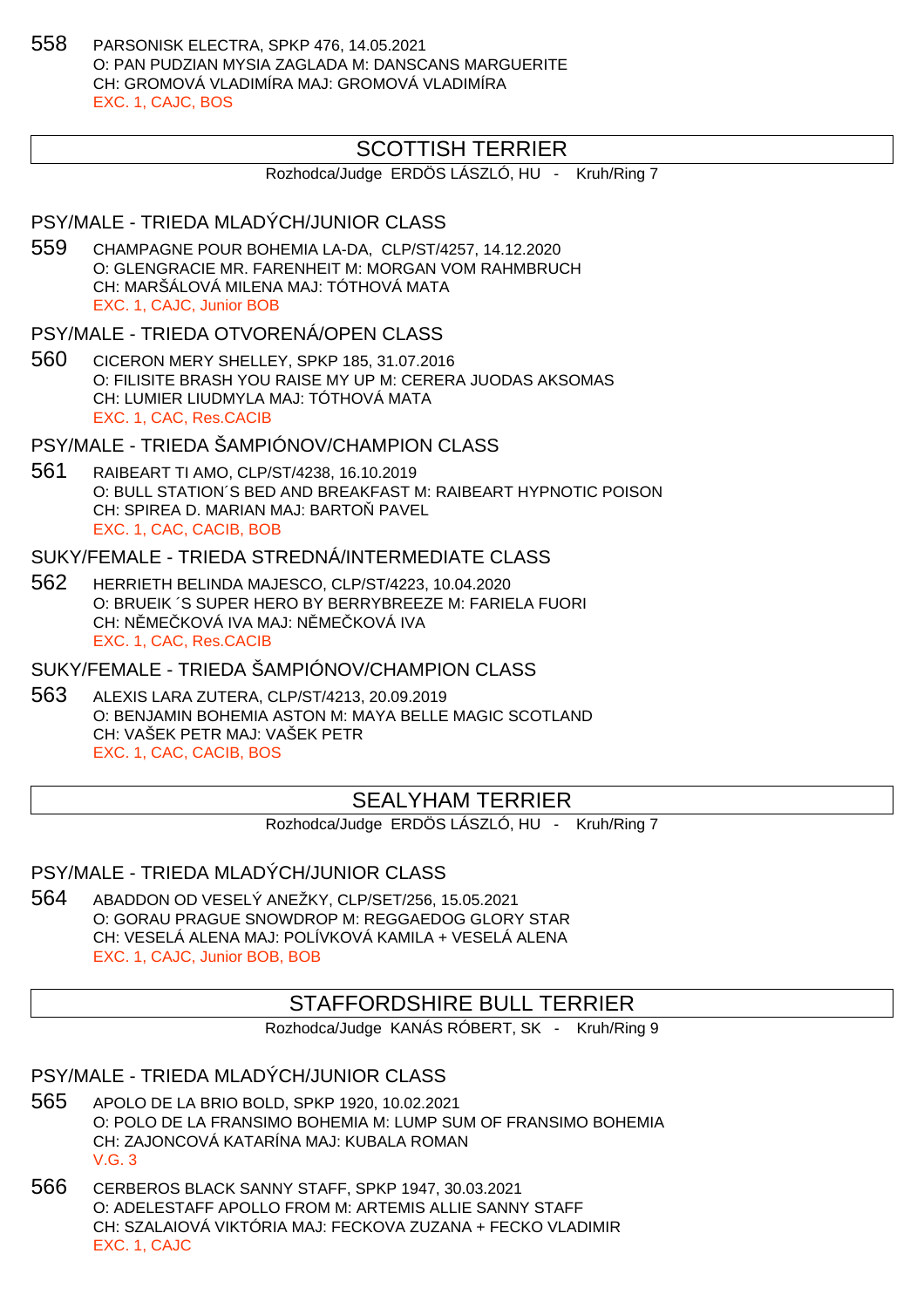558 PARSONISK ELECTRA, SPKP 476, 14.05.2021 O: PAN PUDZIAN MYSIA ZAGLADA M: DANSCANS MARGUERITE CH: GROMOVÁ VLADIMÍRA MAJ: GROMOVÁ VLADIMÍRA EXC. 1, CAJC, BOS

# SCOTTISH TERRIER

Rozhodca/Judge ERDÖS LÁSZLÓ, HU - Kruh/Ring 7

# PSY/MALE - TRIEDA MLADÝCH/JUNIOR CLASS

- 559 CHAMPAGNE POUR BOHEMIA LA-DA, CLP/ST/4257, 14.12.2020 O: GLENGRACIE MR. FARENHEIT M: MORGAN VOM RAHMBRUCH CH: MARŠÁLOVÁ MILENA MAJ: TÓTHOVÁ MATA EXC. 1, CAJC, Junior BOB
- PSY/MALE TRIEDA OTVORENÁ/OPEN CLASS
- 560 CICERON MERY SHELLEY, SPKP 185, 31.07.2016 O: FILISITE BRASH YOU RAISE MY UP M: CERERA JUODAS AKSOMAS CH: LUMIER LIUDMYLA MAJ: TÓTHOVÁ MATA EXC. 1, CAC, Res.CACIB

PSY/MALE - TRIEDA ŠAMPIÓNOV/CHAMPION CLASS

561 RAIBEART TI AMO, CLP/ST/4238, 16.10.2019 O: BULL STATION´S BED AND BREAKFAST M: RAIBEART HYPNOTIC POISON CH: SPIREA D. MARIAN MAJ: BARTO PAVEL EXC. 1, CAC, CACIB, BOB

#### SUKY/FEMALE - TRIEDA STREDNÁ/INTERMEDIATE CLASS

562 HERRIETH BELINDA MAJESCO, CLP/ST/4223, 10.04.2020 O: BRUEIK ´S SUPER HERO BY BERRYBREEZE M: FARIELA FUORI CH: NŘMEČKOVÁ IVA MAJ: NŘMEČKOVÁ IVA EXC. 1, CAC, Res.CACIB

SUKY/FEMALE - TRIEDA ŠAMPIÓNOV/CHAMPION CLASS

563 ALEXIS LARA ZUTERA, CLP/ST/4213, 20.09.2019 O: BENJAMIN BOHEMIA ASTON M: MAYA BELLE MAGIC SCOTLAND CH: VAŠEK PETR MAJ: VAŠEK PETR EXC. 1, CAC, CACIB, BOS

# SEALYHAM TERRIER

Rozhodca/Judge ERDÖS LÁSZLÓ, HU - Kruh/Ring 7

PSY/MALE - TRIEDA MLADÝCH/JUNIOR CLASS

564 ABADDON OD VESELÝ ANEŽKY, CLP/SET/256, 15.05.2021 O: GORAU PRAGUE SNOWDROP M: REGGAEDOG GLORY STAR CH: VESELÁ ALENA MAJ: POLÍVKOVÁ KAMILA + VESELÁ ALENA EXC. 1, CAJC, Junior BOB, BOB

## STAFFORDSHIRE BULL TERRIER

Rozhodca/Judge KANÁS RÓBERT, SK - Kruh/Ring 9

PSY/MALE - TRIEDA MLADÝCH/JUNIOR CLASS

- 565 APOLO DE LA BRIO BOLD, SPKP 1920, 10.02.2021 O: POLO DE LA FRANSIMO BOHEMIA M: LUMP SUM OF FRANSIMO BOHEMIA CH: ZAJONCOVÁ KATARÍNA MAJ: KUBALA ROMAN V.G. 3
- 566 CERBEROS BLACK SANNY STAFF, SPKP 1947, 30.03.2021 O: ADELESTAFF APOLLO FROM M: ARTEMIS ALLIE SANNY STAFF CH: SZALAIOVÁ VIKTÓRIA MAJ: FECKOVA ZUZANA + FECKO VLADIMIR EXC. 1, CAJC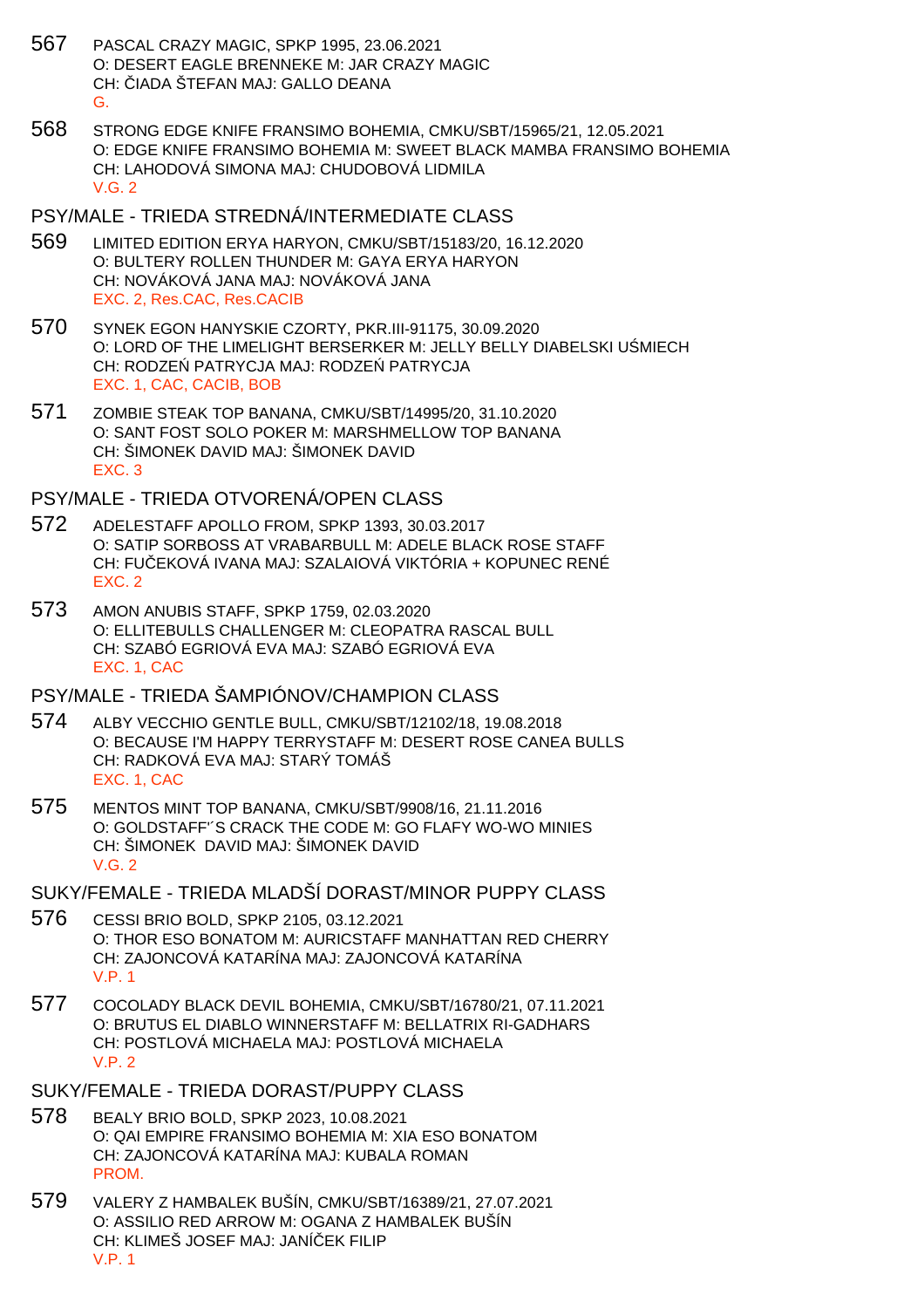- 567 PASCAL CRAZY MAGIC, SPKP 1995, 23.06.2021 O: DESERT EAGLE BRENNEKE M: JAR CRAZY MAGIC CH: JADA ŠTEFAN MAJ: GALLO DEANA G.
- 568 STRONG EDGE KNIFE FRANSIMO BOHEMIA, CMKU/SBT/15965/21, 12.05.2021 O: EDGE KNIFE FRANSIMO BOHEMIA M: SWEET BLACK MAMBA FRANSIMO BOHEMIA CH: LAHODOVÁ SIMONA MAJ: CHUDOBOVÁ LIDMILA V.G. 2

#### PSY/MALE - TRIEDA STREDNÁ/INTERMEDIATE CLASS

- 569 LIMITED EDITION ERYA HARYON, CMKU/SBT/15183/20, 16.12.2020 O: BULTERY ROLLEN THUNDER M: GAYA ERYA HARYON CH: NOVÁKOVÁ JANA MAJ: NOVÁKOVÁ JANA EXC. 2, Res.CAC, Res.CACIB
- 570 SYNEK EGON HANYSKIE CZORTY, PKR.III-91175, 30.09.2020 O: LORD OF THE LIMELIGHT BERSERKER M: JELLY BELLY DIABELSKI U MIECH CH: RODZE PATRYCJA MAJ: RODZE PATRYCJA EXC. 1, CAC, CACIB, BOB
- 571 ZOMBIE STEAK TOP BANANA, CMKU/SBT/14995/20, 31.10.2020 O: SANT FOST SOLO POKER M: MARSHMELLOW TOP BANANA CH: ŠIMONEK DAVID MAJ: ŠIMONEK DAVID EXC. 3

PSY/MALE - TRIEDA OTVORENÁ/OPEN CLASS

- 572 ADELESTAFF APOLLO FROM, SPKP 1393, 30.03.2017 O: SATIP SORBOSS AT VRABARBULL M: ADELE BLACK ROSE STAFF CH: FU EKOVÁ IVANA MAJ: SZALAIOVÁ VIKTÓRIA + KOPUNEC RENÉ EXC. 2
- 573 AMON ANUBIS STAFF, SPKP 1759, 02.03.2020 O: ELLITEBULLS CHALLENGER M: CLEOPATRA RASCAL BULL CH: SZABÓ EGRIOVÁ EVA MAJ: SZABÓ EGRIOVÁ EVA EXC. 1, CAC

### PSY/MALE - TRIEDA ŠAMPIÓNOV/CHAMPION CLASS

- 574 ALBY VECCHIO GENTLE BULL, CMKU/SBT/12102/18, 19.08.2018 O: BECAUSE I'M HAPPY TERRYSTAFF M: DESERT ROSE CANEA BULLS CH: RADKOVÁ EVA MAJ: STARÝ TOMÁŠ EXC. 1, CAC
- 575 MENTOS MINT TOP BANANA, CMKU/SBT/9908/16, 21.11.2016 O: GOLDSTAFF'´S CRACK THE CODE M: GO FLAFY WO-WO MINIES CH: ŠIMONEK DAVID MAJ: ŠIMONEK DAVID  $V$  G  $2$

SUKY/FEMALE - TRIEDA MLADŠÍ DORAST/MINOR PUPPY CLASS

- 576 CESSI BRIO BOLD, SPKP 2105, 03.12.2021 O: THOR ESO BONATOM M: AURICSTAFF MANHATTAN RED CHERRY CH: ZAJONCOVÁ KATARÍNA MAJ: ZAJONCOVÁ KATARÍNA V.P. 1
- 577 COCOLADY BLACK DEVIL BOHEMIA, CMKU/SBT/16780/21, 07.11.2021 O: BRUTUS EL DIABLO WINNERSTAFF M: BELLATRIX RI-GADHARS CH: POSTLOVÁ MICHAELA MAJ: POSTLOVÁ MICHAELA V.P. 2
- SUKY/FEMALE TRIEDA DORAST/PUPPY CLASS
- 578 BEALY BRIO BOLD, SPKP 2023, 10.08.2021 O: QAI EMPIRE FRANSIMO BOHEMIA M: XIA ESO BONATOM CH: ZAJONCOVÁ KATARÍNA MAJ: KUBALA ROMAN PROM.
- 579 VALERY Z HAMBALEK BUŠÍN, CMKU/SBT/16389/21, 27.07.2021 O: ASSILIO RED ARROW M: OGANA Z HAMBALEK BUŠÍN CH: KLIMEŠ JOSEF MAJ: JANÍ EK FILIP V.P. 1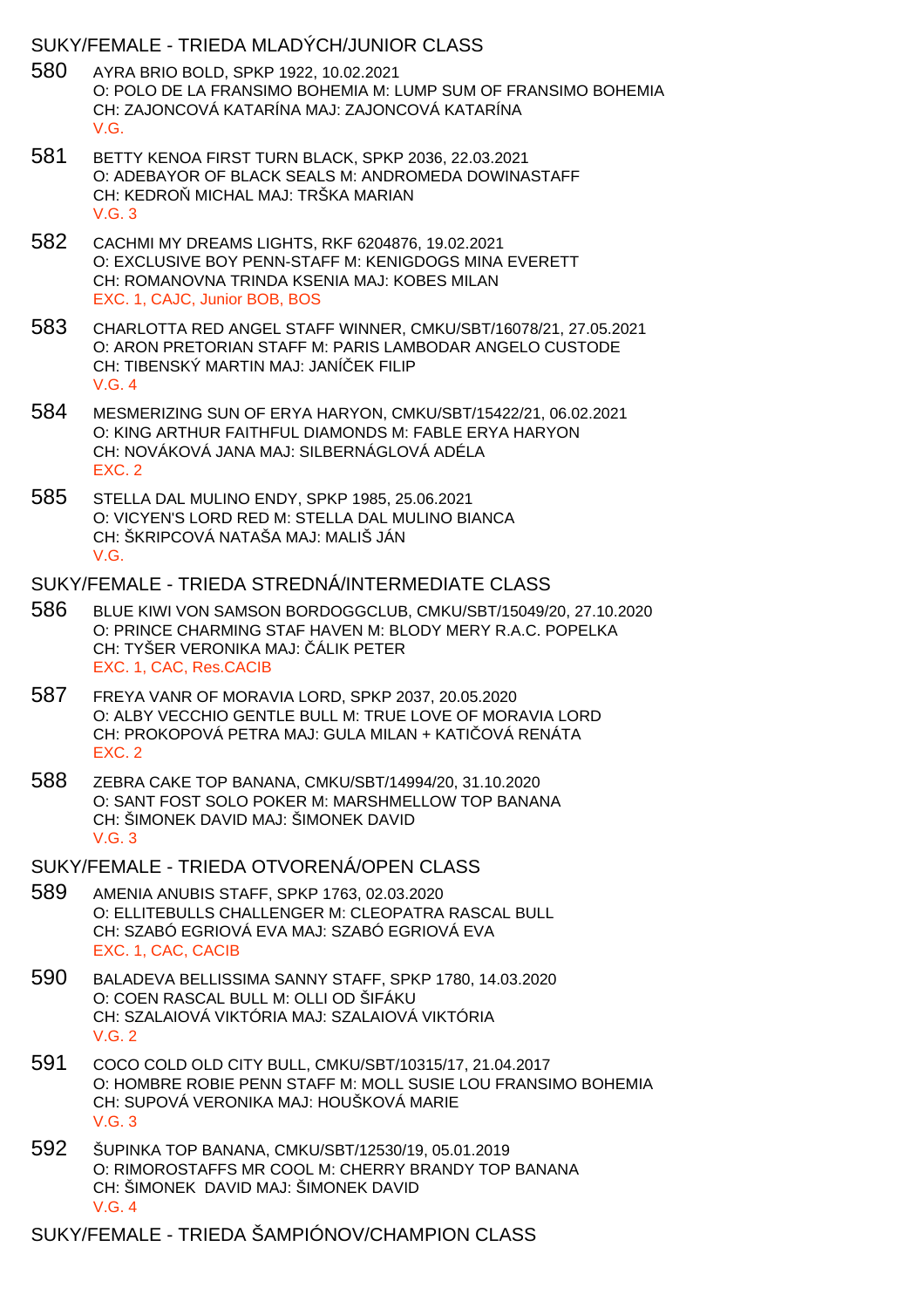## SUKY/FEMALE - TRIEDA MLADÝCH/JUNIOR CLASS

- 580 AYRA BRIO BOLD, SPKP 1922, 10.02.2021 O: POLO DE LA FRANSIMO BOHEMIA M: LUMP SUM OF FRANSIMO BOHEMIA CH: ZAJONCOVÁ KATARÍNA MAJ: ZAJONCOVÁ KATARÍNA V.G.
- 581 BETTY KENOA FIRST TURN BLACK, SPKP 2036, 22.03.2021 O: ADEBAYOR OF BLACK SEALS M: ANDROMEDA DOWINASTAFF CH: KEDRO MICHAL MAJ: TRŠKA MARIAN V.G. 3
- 582 CACHMI MY DREAMS LIGHTS, RKF 6204876, 19.02.2021 O: EXCLUSIVE BOY PENN-STAFF M: KENIGDOGS MINA EVERETT CH: ROMANOVNA TRINDA KSENIA MAJ: KOBES MILAN EXC. 1, CAJC, Junior BOB, BOS
- 583 CHARLOTTA RED ANGEL STAFF WINNER, CMKU/SBT/16078/21, 27.05.2021 O: ARON PRETORIAN STAFF M: PARIS LAMBODAR ANGELO CUSTODE CH: TIBENSKÝ MARTIN MAJ: JANÍ EK FILIP V.G. 4
- 584 MESMERIZING SUN OF ERYA HARYON, CMKU/SBT/15422/21, 06.02.2021 O: KING ARTHUR FAITHFUL DIAMONDS M: FABLE ERYA HARYON CH: NOVÁKOVÁ JANA MAJ: SILBERNÁGLOVÁ ADÉLA EXC. 2
- 585 STELLA DAL MULINO ENDY, SPKP 1985, 25.06.2021 O: VICYEN'S LORD RED M: STELLA DAL MULINO BIANCA CH: ŠKRIPCOVÁ NATAŠA MAJ: MALIŠ JÁN V.G.

#### SUKY/FEMALE - TRIEDA STREDNÁ/INTERMEDIATE CLASS

- 586 BLUE KIWI VON SAMSON BORDOGGCLUB, CMKU/SBT/15049/20, 27.10.2020 O: PRINCE CHARMING STAF HAVEN M: BLODY MERY R.A.C. POPELKA CH: TYŠER VERONIKA MAJ: ÁLIK PETER EXC. 1, CAC, Res.CACIB
- 587 FREYA VANR OF MORAVIA LORD, SPKP 2037, 20.05.2020 O: ALBY VECCHIO GENTLE BULL M: TRUE LOVE OF MORAVIA LORD CH: PROKOPOVÁ PETRA MAJ: GULA MILAN + KATI OVÁ RENÁTA EXC. 2
- 588 ZEBRA CAKE TOP BANANA, CMKU/SBT/14994/20, 31.10.2020 O: SANT FOST SOLO POKER M: MARSHMELLOW TOP BANANA CH: ŠIMONEK DAVID MAJ: ŠIMONEK DAVID V.G. 3
- SUKY/FEMALE TRIEDA OTVORENÁ/OPEN CLASS
- 589 AMENIA ANUBIS STAFF, SPKP 1763, 02.03.2020 O: ELLITEBULLS CHALLENGER M: CLEOPATRA RASCAL BULL CH: SZABÓ EGRIOVÁ EVA MAJ: SZABÓ EGRIOVÁ EVA EXC. 1, CAC, CACIB
- 590 BALADEVA BELLISSIMA SANNY STAFF, SPKP 1780, 14.03.2020 O: COEN RASCAL BULL M: OLLI OD ŠIFÁKU CH: SZALAIOVÁ VIKTÓRIA MAJ: SZALAIOVÁ VIKTÓRIA V.G. 2
- 591 COCO COLD OLD CITY BULL, CMKU/SBT/10315/17, 21.04.2017 O: HOMBRE ROBIE PENN STAFF M: MOLL SUSIE LOU FRANSIMO BOHEMIA CH: SUPOVÁ VERONIKA MAJ: HOUŠKOVÁ MARIE V.G. 3
- 592 ŠUPINKA TOP BANANA, CMKU/SBT/12530/19, 05.01.2019 O: RIMOROSTAFFS MR COOL M: CHERRY BRANDY TOP BANANA CH: ŠIMONEK DAVID MAJ: ŠIMONEK DAVID V.G. 4

SUKY/FEMALE - TRIEDA ŠAMPIÓNOV/CHAMPION CLASS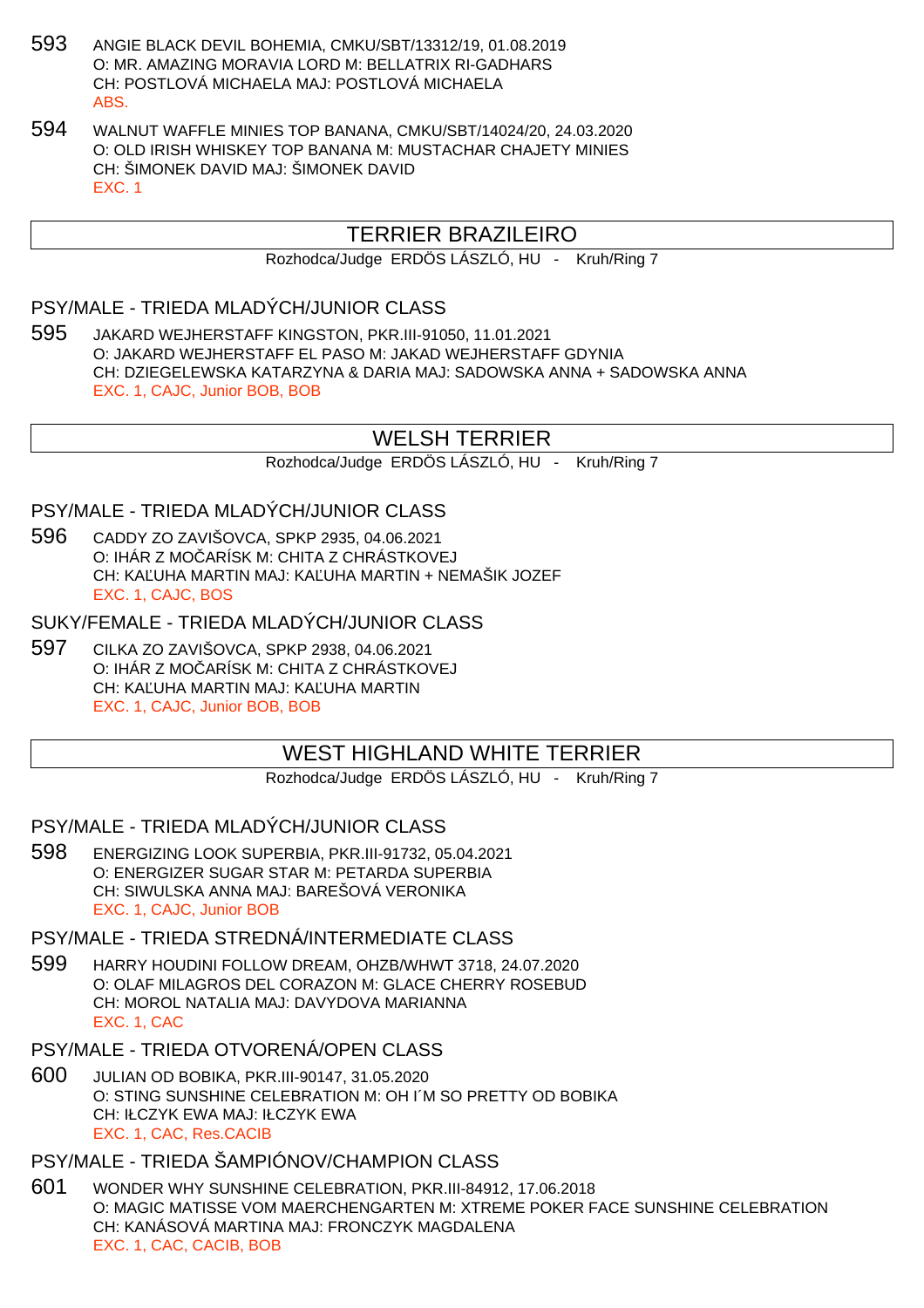- 593 ANGIE BLACK DEVIL BOHEMIA, CMKU/SBT/13312/19, 01.08.2019 O: MR. AMAZING MORAVIA LORD M: BELLATRIX RI-GADHARS CH: POSTLOVÁ MICHAELA MAJ: POSTLOVÁ MICHAELA ABS.
- 594 WALNUT WAFFLE MINIES TOP BANANA, CMKU/SBT/14024/20, 24.03.2020 O: OLD IRISH WHISKEY TOP BANANA M: MUSTACHAR CHAJETY MINIES CH: ŠIMONEK DAVID MAJ: ŠIMONEK DAVID EXC. 1

# TERRIER BRAZILEIRO

Rozhodca/Judge ERDÖS LÁSZLÓ, HU - Kruh/Ring 7

# PSY/MALE - TRIEDA MLADÝCH/JUNIOR CLASS

595 JAKARD WEJHERSTAFF KINGSTON, PKR.III-91050, 11.01.2021 O: JAKARD WEJHERSTAFF EL PASO M: JAKAD WEJHERSTAFF GDYNIA CH: DZIEGELEWSKA KATARZYNA & DARIA MAJ: SADOWSKA ANNA + SADOWSKA ANNA EXC. 1, CAJC, Junior BOB, BOB

# WELSH TERRIER

Rozhodca/Judge ERDÖS LÁSZLÓ, HU - Kruh/Ring 7

# PSY/MALE - TRIEDA MLADÝCH/JUNIOR CLASS

596 CADDY ZO ZAVIŠOVCA, SPKP 2935, 04.06.2021 O: IHÁR Z MOČARÍSK M: CHITA Z CHRÁSTKOVEJ CH: KA UHA MARTIN MAJ: KA UHA MARTIN + NEMAŠIK JOZEF EXC. 1, CAJC, BOS

SUKY/FEMALE - TRIEDA MLADÝCH/JUNIOR CLASS

597 CILKA ZO ZAVIŠOVCA, SPKP 2938, 04.06.2021 O: IHÁR Z MOČARÍSK M: CHITA Z CHRÁSTKOVEJ CH: KA UHA MARTIN MAJ: KA UHA MARTIN EXC. 1, CAJC, Junior BOB, BOB

# WEST HIGHLAND WHITE TERRIER

Rozhodca/Judge ERDÖS LÁSZLÓ, HU - Kruh/Ring 7

PSY/MALE - TRIEDA MLADÝCH/JUNIOR CLASS

598 ENERGIZING LOOK SUPERBIA, PKR.III-91732, 05.04.2021 O: ENERGIZER SUGAR STAR M: PETARDA SUPERBIA CH: SIWULSKA ANNA MAJ: BAREŠOVÁ VERONIKA EXC. 1, CAJC, Junior BOB

PSY/MALE - TRIEDA STREDNÁ/INTERMEDIATE CLASS

599 HARRY HOUDINI FOLLOW DREAM, OHZB/WHWT 3718, 24.07.2020 O: OLAF MILAGROS DEL CORAZON M: GLACE CHERRY ROSEBUD CH: MOROL NATALIA MAJ: DAVYDOVA MARIANNA EXC. 1, CAC

# PSY/MALE - TRIEDA OTVORENÁ/OPEN CLASS

600 JULIAN OD BOBIKA, PKR.III-90147, 31.05.2020 O: STING SUNSHINE CELEBRATION M: OH I´M SO PRETTY OD BOBIKA CH: IŁCZYK EWA MAJ: IŁCZYK EWA EXC. 1, CAC, Res.CACIB

# PSY/MALE - TRIEDA ŠAMPIÓNOV/CHAMPION CLASS

601 WONDER WHY SUNSHINE CELEBRATION, PKR.III-84912, 17.06.2018 O: MAGIC MATISSE VOM MAERCHENGARTEN M: XTREME POKER FACE SUNSHINE CELEBRATION CH: KANÁSOVÁ MARTINA MAJ: FRONCZYK MAGDALENA EXC. 1, CAC, CACIB, BOB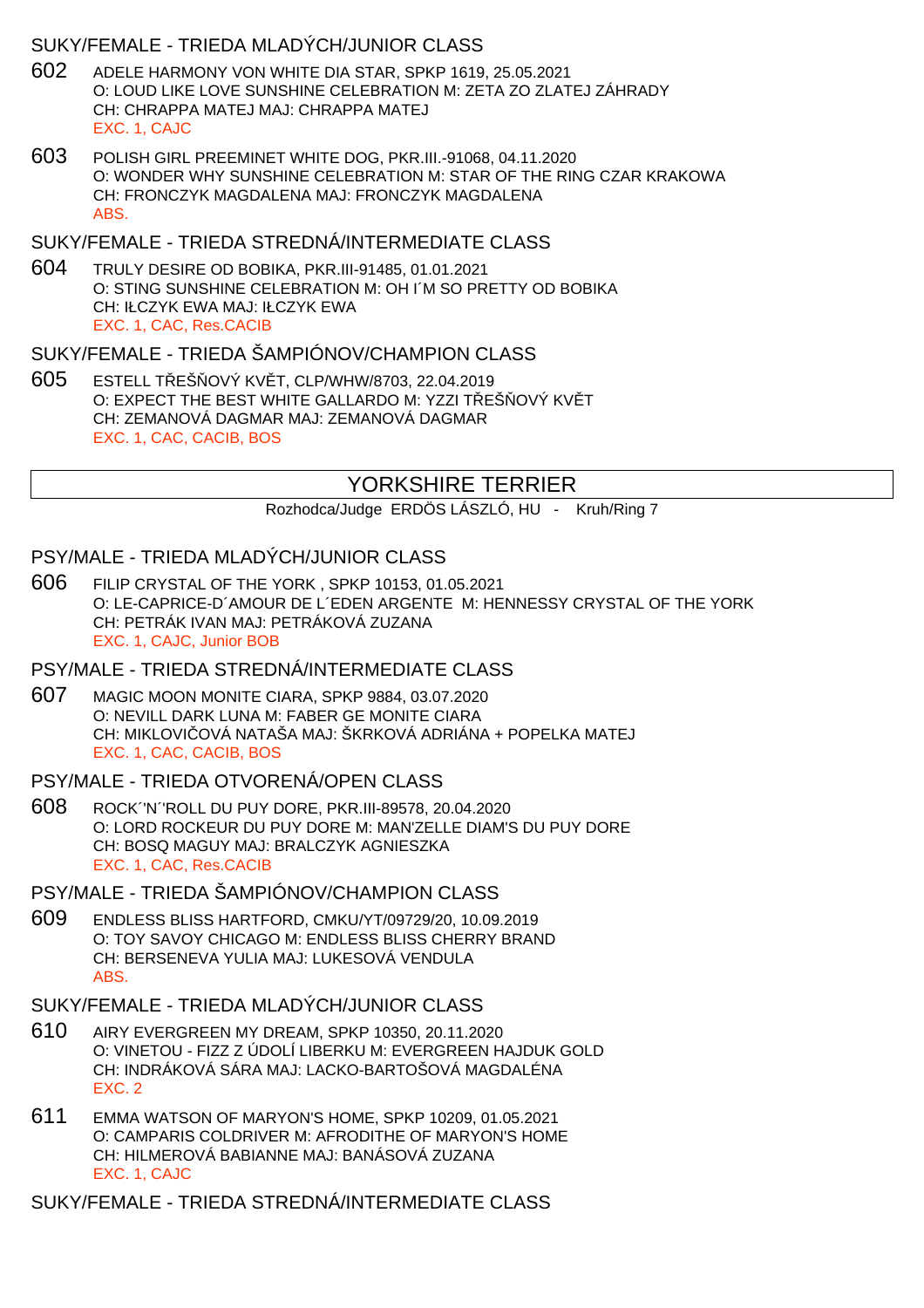# SUKY/FEMALE - TRIEDA MLADÝCH/JUNIOR CLASS

- 602 ADELE HARMONY VON WHITE DIA STAR, SPKP 1619, 25.05.2021 O: LOUD LIKE LOVE SUNSHINE CELEBRATION M: ZETA ZO ZLATEJ ZÁHRADY CH: CHRAPPA MATEJ MAJ: CHRAPPA MATEJ EXC. 1, CAJC
- 603 POLISH GIRL PREEMINET WHITE DOG, PKR.III.-91068, 04.11.2020 O: WONDER WHY SUNSHINE CELEBRATION M: STAR OF THE RING CZAR KRAKOWA CH: FRONCZYK MAGDALENA MAJ: FRONCZYK MAGDALENA ABS.

## SUKY/FEMALE - TRIEDA STREDNÁ/INTERMEDIATE CLASS

604 TRULY DESIRE OD BOBIKA, PKR.III-91485, 01.01.2021 O: STING SUNSHINE CELEBRATION M: OH I´M SO PRETTY OD BOBIKA CH: IŁCZYK EWA MAJ: IŁCZYK EWA EXC. 1, CAC, Res.CACIB

## SUKY/FEMALE - TRIEDA ŠAMPIÓNOV/CHAMPION CLASS

605 ESTELL T EŠ OVÝ KV T, CLP/WHW/8703, 22.04.2019 O: EXPECT THE BEST WHITE GALLARDO M: YZZI TEŠOVÝ KVÍT CH: ZEMANOVÁ DAGMAR MAJ: ZEMANOVÁ DAGMAR EXC. 1, CAC, CACIB, BOS

# YORKSHIRE TERRIER

Rozhodca/Judge ERDÖS LÁSZLÓ, HU - Kruh/Ring 7

## PSY/MALE - TRIEDA MLADÝCH/JUNIOR CLASS

606 FILIP CRYSTAL OF THE YORK , SPKP 10153, 01.05.2021 O: LE-CAPRICE-D´AMOUR DE L´EDEN ARGENTE M: HENNESSY CRYSTAL OF THE YORK CH: PETRÁK IVAN MAJ: PETRÁKOVÁ ZUZANA EXC. 1, CAJC, Junior BOB

## PSY/MALE - TRIEDA STREDNÁ/INTERMEDIATE CLASS

607 MAGIC MOON MONITE CIARA, SPKP 9884, 03.07.2020 O: NEVILL DARK LUNA M: FABER GE MONITE CIARA CH: MIKLOVI OVÁ NATAŠA MAJ: ŠKRKOVÁ ADRIÁNA + POPELKA MATEJ EXC. 1, CAC, CACIB, BOS

## PSY/MALE - TRIEDA OTVORENÁ/OPEN CLASS

608 ROCK´'N´'ROLL DU PUY DORE, PKR.III-89578, 20.04.2020 O: LORD ROCKEUR DU PUY DORE M: MAN'ZELLE DIAM'S DU PUY DORE CH: BOSQ MAGUY MAJ: BRALCZYK AGNIESZKA EXC. 1, CAC, Res.CACIB

# PSY/MALE - TRIEDA ŠAMPIÓNOV/CHAMPION CLASS

609 ENDLESS BLISS HARTFORD, CMKU/YT/09729/20, 10.09.2019 O: TOY SAVOY CHICAGO M: ENDLESS BLISS CHERRY BRAND CH: BERSENEVA YULIA MAJ: LUKESOVÁ VENDULA ABS.

# SUKY/FEMALE - TRIEDA MLADÝCH/JUNIOR CLASS

- 610 AIRY EVERGREEN MY DREAM, SPKP 10350, 20.11.2020 O: VINETOU - FIZZ Z ÚDOLÍ LIBERKU M: EVERGREEN HAJDUK GOLD CH: INDRÁKOVÁ SÁRA MAJ: LACKO-BARTOŠOVÁ MAGDALÉNA EXC. 2
- 611 EMMA WATSON OF MARYON'S HOME, SPKP 10209, 01.05.2021 O: CAMPARIS COLDRIVER M: AFRODITHE OF MARYON'S HOME CH: HILMEROVÁ BABIANNE MAJ: BANÁSOVÁ ZUZANA EXC. 1, CAJC

SUKY/FEMALE - TRIEDA STREDNÁ/INTERMEDIATE CLASS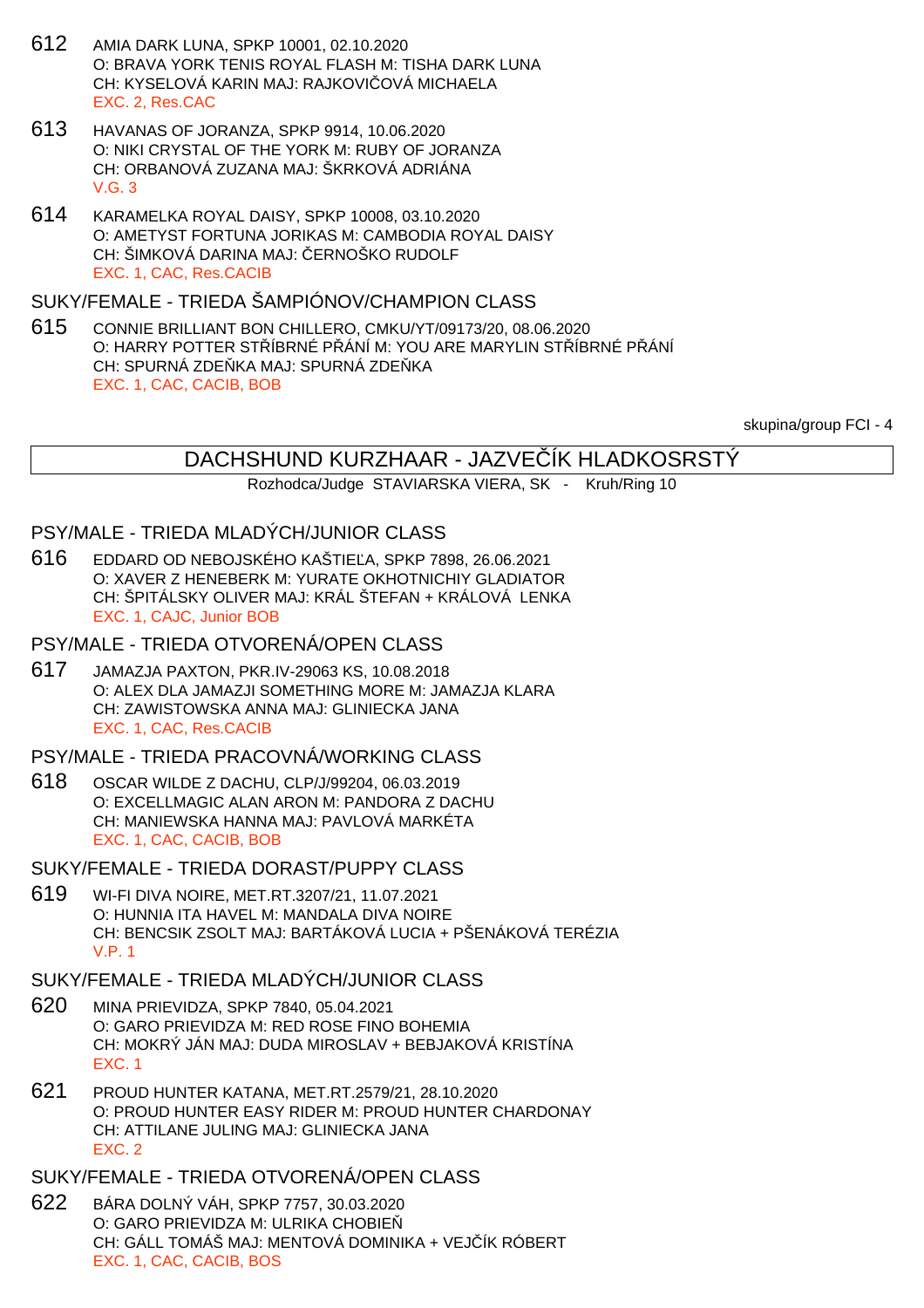- 612 AMIA DARK LUNA, SPKP 10001, 02.10.2020 O: BRAVA YORK TENIS ROYAL FLASH M: TISHA DARK LUNA CH: KYSELOVÁ KARIN MAJ: RAJKOVI OVÁ MICHAELA EXC. 2, Res.CAC
- 613 HAVANAS OF JORANZA, SPKP 9914, 10.06.2020 O: NIKI CRYSTAL OF THE YORK M: RUBY OF JORANZA CH: ORBANOVÁ ZUZANA MAJ: ŠKRKOVÁ ADRIÁNA V.G. 3
- 614 KARAMELKA ROYAL DAISY, SPKP 10008, 03.10.2020 O: AMETYST FORTUNA JORIKAS M: CAMBODIA ROYAL DAISY CH: ŠIMKOVÁ DARINA MAJ: ERNOŠKO RUDOLF EXC. 1, CAC, Res.CACIB

#### SUKY/FEMALE - TRIEDA ŠAMPIÓNOV/CHAMPION CLASS

615 CONNIE BRILLIANT BON CHILLERO, CMKU/YT/09173/20, 08.06.2020 O: HARRY POTTER STÁBRNÉ PÁNÍ M: YOU ARE MARYLIN STÁBRNÉ PÁNÍ CH: SPURNÁ ZDE KA MAJ: SPURNÁ ZDE KA EXC. 1, CAC, CACIB, BOB

skupina/group FCI - 4

## DACHSHUND KURZHAAR - JAZVEČÍK HLADKOSRSTÝ

Rozhodca/Judge STAVIARSKA VIERA, SK - Kruh/Ring 10

#### PSY/MALE - TRIEDA MLADÝCH/JUNIOR CLASS

- 616 EDDARD OD NEBOJSKÉHO KAŠTIE A, SPKP 7898, 26.06.2021 O: XAVER Z HENEBERK M: YURATE OKHOTNICHIY GLADIATOR CH: ŠPITÁLSKY OLIVER MAJ: KRÁL ŠTEFAN + KRÁLOVÁ LENKA EXC. 1, CAJC, Junior BOB
- PSY/MALE TRIEDA OTVORENÁ/OPEN CLASS
- 617 JAMAZJA PAXTON, PKR.IV-29063 KS, 10.08.2018 O: ALEX DLA JAMAZJI SOMETHING MORE M: JAMAZJA KLARA CH: ZAWISTOWSKA ANNA MAJ: GLINIECKA JANA EXC. 1, CAC, Res.CACIB
- PSY/MALE TRIEDA PRACOVNÁ/WORKING CLASS
- 618 OSCAR WILDE Z DACHU, CLP/J/99204, 06.03.2019 O: EXCELLMAGIC ALAN ARON M: PANDORA Z DACHU CH: MANIEWSKA HANNA MAJ: PAVLOVÁ MARKÉTA EXC. 1, CAC, CACIB, BOB
- SUKY/FEMALE TRIEDA DORAST/PUPPY CLASS
- 619 WI-FI DIVA NOIRE, MET.RT.3207/21, 11.07.2021 O: HUNNIA ITA HAVEL M: MANDALA DIVA NOIRE CH: BENCSIK ZSOLT MAJ: BARTÁKOVÁ LUCIA + PŠENÁKOVÁ TERÉZIA V.P. 1
- SUKY/FEMALE TRIEDA MLADÝCH/JUNIOR CLASS
- 620 MINA PRIEVIDZA, SPKP 7840, 05.04.2021 O: GARO PRIEVIDZA M: RED ROSE FINO BOHEMIA CH: MOKRÝ JÁN MAJ: DUDA MIROSLAV + BEBJAKOVÁ KRISTÍNA EXC. 1
- 621 PROUD HUNTER KATANA, MET.RT.2579/21, 28.10.2020 O: PROUD HUNTER EASY RIDER M: PROUD HUNTER CHARDONAY CH: ATTILANE JULING MAJ: GLINIECKA JANA EXC. 2
- SUKY/FEMALE TRIEDA OTVORENÁ/OPEN CLASS
- 622 BÁRA DOLNÝ VÁH, SPKP 7757, 30.03.2020 O: GARO PRIEVIDZA M: ULRIKA CHOBIE CH: GÁLL TOMÁŠ MAJ: MENTOVÁ DOMINIKA + VEJ ÍK RÓBERT EXC. 1, CAC, CACIB, BOS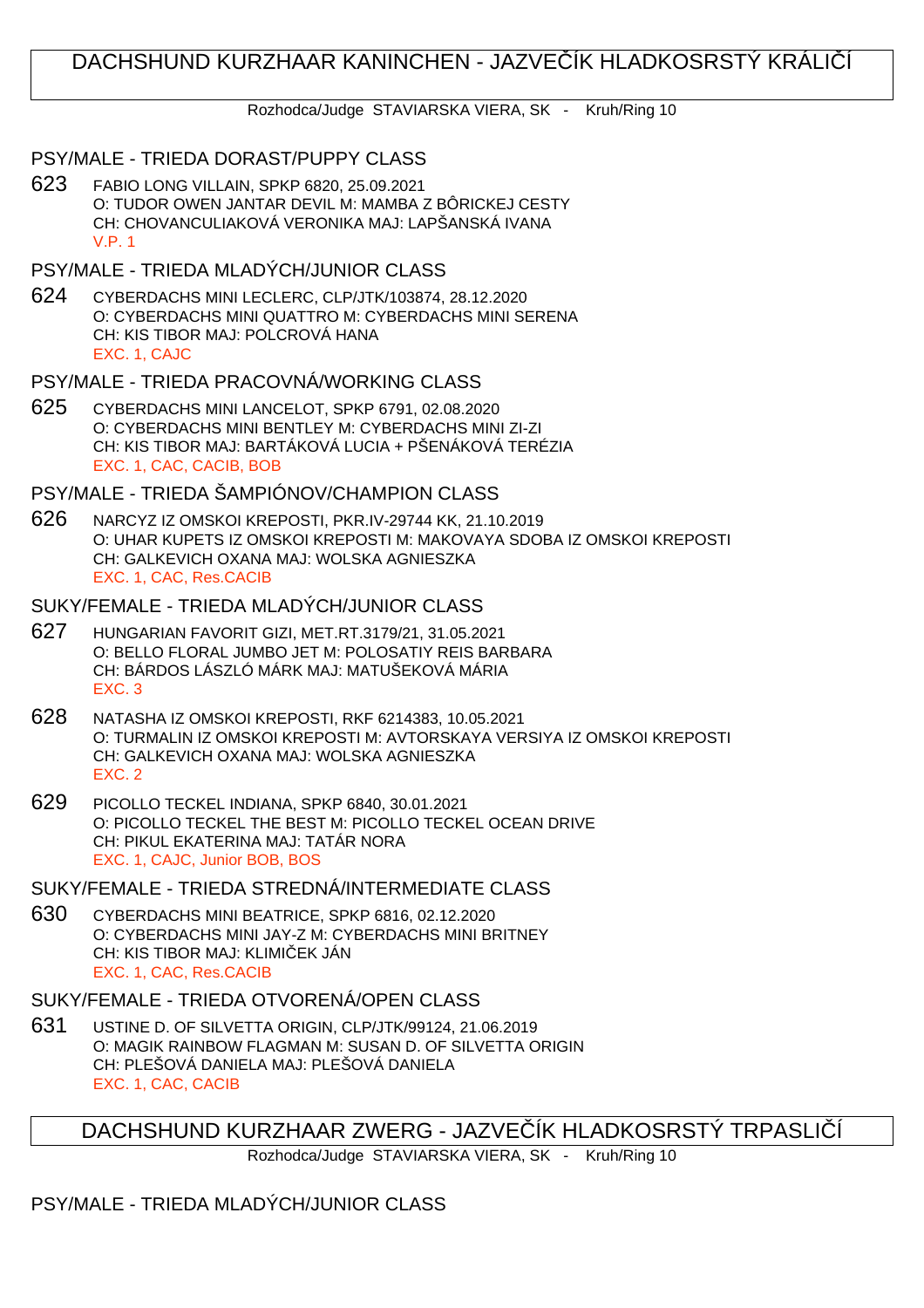# DACHSHUND KURZHAAR KANINCHEN - JAZVE–ÍK HLADKOSRSTÝ KRÁLI–Í

Rozhodca/Judge STAVIARSKA VIERA, SK - Kruh/Ring 10

## PSY/MALE - TRIEDA DORAST/PUPPY CLASS

- 623 FABIO LONG VILLAIN, SPKP 6820, 25.09.2021 O: TUDOR OWEN JANTAR DEVIL M: MAMBA Z BÔRICKEJ CESTY CH: CHOVANCULIAKOVÁ VERONIKA MAJ: LAPŠANSKÁ IVANA V.P. 1
- PSY/MALE TRIEDA MLADÝCH/JUNIOR CLASS
- 624 CYBERDACHS MINI LECLERC, CLP/JTK/103874, 28.12.2020 O: CYBERDACHS MINI QUATTRO M: CYBERDACHS MINI SERENA CH: KIS TIBOR MAJ: POLCROVÁ HANA EXC. 1, CAJC
- PSY/MALE TRIEDA PRACOVNÁ/WORKING CLASS
- 625 CYBERDACHS MINI LANCELOT, SPKP 6791, 02.08.2020 O: CYBERDACHS MINI BENTLEY M: CYBERDACHS MINI ZI-ZI CH: KIS TIBOR MAJ: BARTÁKOVÁ LUCIA + PŠENÁKOVÁ TERÉZIA EXC. 1, CAC, CACIB, BOB

## PSY/MALE - TRIEDA ŠAMPIÓNOV/CHAMPION CLASS

626 NARCYZ IZ OMSKOI KREPOSTI, PKR.IV-29744 KK, 21.10.2019 O: UHAR KUPETS IZ OMSKOI KREPOSTI M: MAKOVAYA SDOBA IZ OMSKOI KREPOSTI CH: GALKEVICH OXANA MAJ: WOLSKA AGNIESZKA EXC. 1, CAC, Res.CACIB

# SUKY/FEMALE - TRIEDA MLADÝCH/JUNIOR CLASS

- 627 HUNGARIAN FAVORIT GIZI, MET.RT.3179/21, 31.05.2021 O: BELLO FLORAL JUMBO JET M: POLOSATIY REIS BARBARA CH: BÁRDOS LÁSZLÓ MÁRK MAJ: MATUŠEKOVÁ MÁRIA EXC. 3
- 628 NATASHA IZ OMSKOI KREPOSTI, RKF 6214383, 10.05.2021 O: TURMALIN IZ OMSKOI KREPOSTI M: AVTORSKAYA VERSIYA IZ OMSKOI KREPOSTI CH: GALKEVICH OXANA MAJ: WOLSKA AGNIESZKA EXC. 2
- 629 PICOLLO TECKEL INDIANA, SPKP 6840, 30.01.2021 O: PICOLLO TECKEL THE BEST M: PICOLLO TECKEL OCEAN DRIVE CH: PIKUL EKATERINA MAJ: TATÁR NORA EXC. 1, CAJC, Junior BOB, BOS

SUKY/FEMALE - TRIEDA STREDNÁ/INTERMEDIATE CLASS

630 CYBERDACHS MINI BEATRICE, SPKP 6816, 02.12.2020 O: CYBERDACHS MINI JAY-Z M: CYBERDACHS MINI BRITNEY CH: KIS TIBOR MAJ: KLIMI EK JÁN EXC. 1, CAC, Res.CACIB

# SUKY/FEMALE - TRIEDA OTVORENÁ/OPEN CLASS

631 USTINE D. OF SILVETTA ORIGIN, CLP/JTK/99124, 21.06.2019 O: MAGIK RAINBOW FLAGMAN M: SUSAN D. OF SILVETTA ORIGIN CH: PLEŠOVÁ DANIELA MAJ: PLEŠOVÁ DANIELA EXC. 1, CAC, CACIB

DACHSHUND KURZHAAR ZWERG - JAZVE ÍK HLADKOSRSTÝ TRPASLIÍ

Rozhodca/Judge STAVIARSKA VIERA, SK - Kruh/Ring 10

PSY/MALE - TRIEDA MLADÝCH/JUNIOR CLASS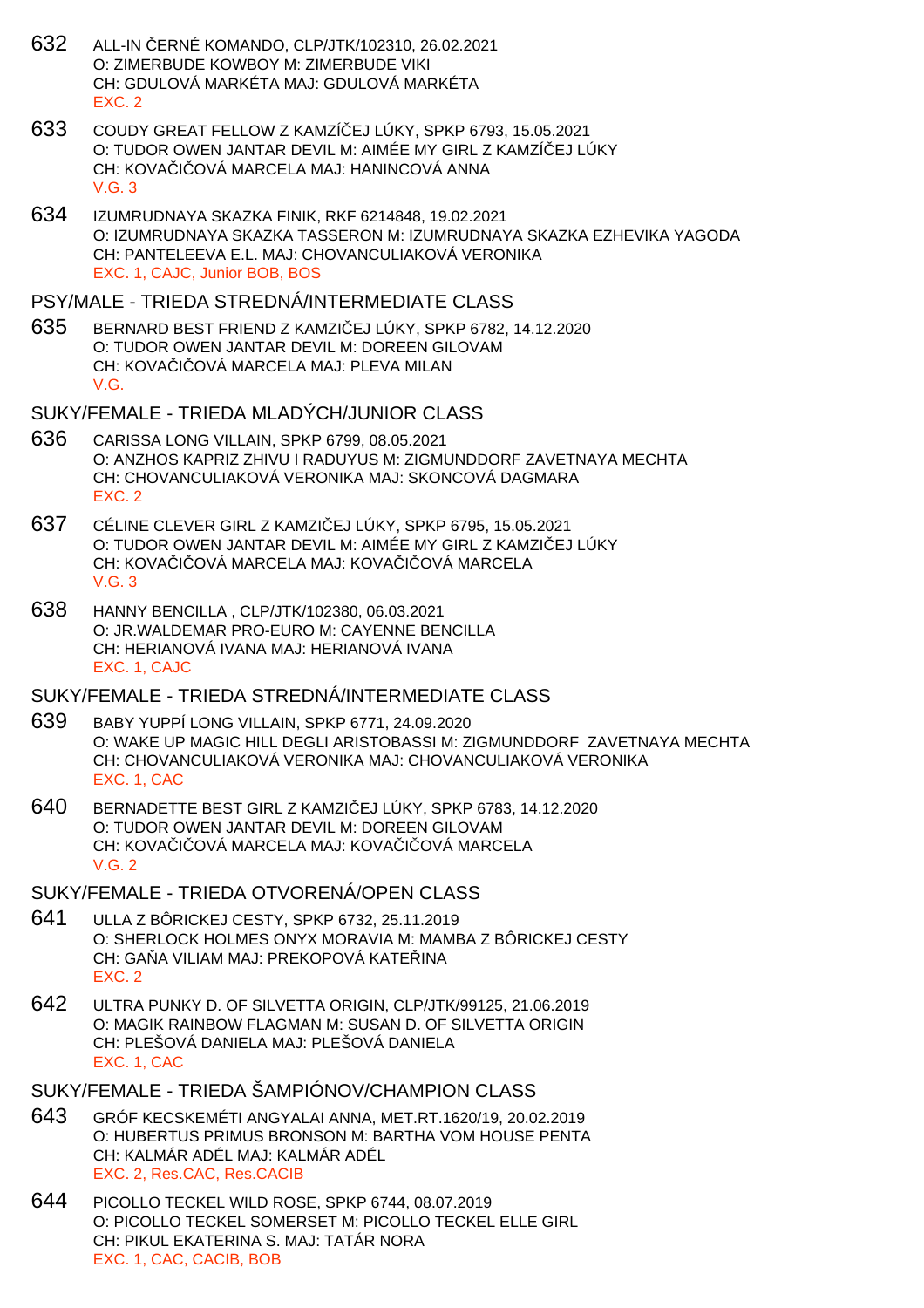- 632 ALL-IN ČERNÉ KOMANDO, CLP/JTK/102310, 26.02.2021 O: ZIMERBUDE KOWBOY M: ZIMERBUDE VIKI CH: GDULOVÁ MARKÉTA MAJ: GDULOVÁ MARKÉTA EXC. 2
- 633 COUDY GREAT FELLOW Z KAMZÍČEJ LÚKY, SPKP 6793, 15.05.2021 O: TUDOR OWEN JANTAR DEVIL M: AIMÉE MY GIRL Z KAMZÍ EJ LÚKY CH: KOVA I OVÁ MARCELA MAJ: HANINCOVÁ ANNA V.G. 3
- 634 IZUMRUDNAYA SKAZKA FINIK, RKF 6214848, 19.02.2021 O: IZUMRUDNAYA SKAZKA TASSERON M: IZUMRUDNAYA SKAZKA EZHEVIKA YAGODA CH: PANTELEEVA E.L. MAJ: CHOVANCULIAKOVÁ VERONIKA EXC. 1, CAJC, Junior BOB, BOS

#### PSY/MALE - TRIEDA STREDNÁ/INTERMEDIATE CLASS

- 635 BERNARD BEST FRIEND Z KAMZI EJ LÚKY, SPKP 6782, 14.12.2020 O: TUDOR OWEN JANTAR DEVIL M: DOREEN GILOVAM CH: KOVA I OVÁ MARCELA MAJ: PLEVA MILAN V.G.
- SUKY/FEMALE TRIEDA MLADÝCH/JUNIOR CLASS
- 636 CARISSA LONG VILLAIN, SPKP 6799, 08.05.2021 O: ANZHOS KAPRIZ ZHIVU I RADUYUS M: ZIGMUNDDORF ZAVETNAYA MECHTA CH: CHOVANCULIAKOVÁ VERONIKA MAJ: SKONCOVÁ DAGMARA EXC. 2
- 637 CÉLINE CLEVER GIRL Z KAMZI EJ LÚKY, SPKP 6795, 15.05.2021 O: TUDOR OWEN JANTAR DEVIL M: AIMÉE MY GIRL Z KAMZIČEJ LÚKY CH: KOVA I OVÁ MARCELA MAJ: KOVA I OVÁ MARCELA V.G. 3
- 638 HANNY BENCILLA , CLP/JTK/102380, 06.03.2021 O: JR.WALDEMAR PRO-EURO M: CAYENNE BENCILLA CH: HERIANOVÁ IVANA MAJ: HERIANOVÁ IVANA EXC. 1, CAJC

#### SUKY/FEMALE - TRIEDA STREDNÁ/INTERMEDIATE CLASS

- 639 BABY YUPPÍ LONG VILLAIN, SPKP 6771, 24.09.2020 O: WAKE UP MAGIC HILL DEGLI ARISTOBASSI M: ZIGMUNDDORF ZAVETNAYA MECHTA CH: CHOVANCULIAKOVÁ VERONIKA MAJ: CHOVANCULIAKOVÁ VERONIKA EXC. 1, CAC
- 640 BERNADETTE BEST GIRL Z KAMZI EJ LÚKY, SPKP 6783, 14.12.2020 O: TUDOR OWEN JANTAR DEVIL M: DOREEN GILOVAM CH: KOVA I OVÁ MARCELA MAJ: KOVA I OVÁ MARCELA  $V$  G  $2$

## SUKY/FEMALE - TRIEDA OTVORENÁ/OPEN CLASS

- 641 ULLA Z BÔRICKEJ CESTY, SPKP 6732, 25.11.2019 O: SHERLOCK HOLMES ONYX MORAVIA M: MAMBA Z BÔRICKEJ CESTY CH: GA A VILIAM MAJ: PREKOPOVÁ KATE INA EXC. 2
- 642 ULTRA PUNKY D. OF SILVETTA ORIGIN, CLP/JTK/99125, 21.06.2019 O: MAGIK RAINBOW FLAGMAN M: SUSAN D. OF SILVETTA ORIGIN CH: PLEŠOVÁ DANIELA MAJ: PLEŠOVÁ DANIELA EXC. 1, CAC
- SUKY/FEMALE TRIEDA ŠAMPIÓNOV/CHAMPION CLASS
- 643 GRÓF KECSKEMÉTI ANGYALAI ANNA, MET.RT.1620/19, 20.02.2019 O: HUBERTUS PRIMUS BRONSON M: BARTHA VOM HOUSE PENTA CH: KALMÁR ADÉL MAJ: KALMÁR ADÉL EXC. 2, Res.CAC, Res.CACIB
- 644 PICOLLO TECKEL WILD ROSE, SPKP 6744, 08.07.2019 O: PICOLLO TECKEL SOMERSET M: PICOLLO TECKEL ELLE GIRL CH: PIKUL EKATERINA S. MAJ: TATÁR NORA EXC. 1, CAC, CACIB, BOB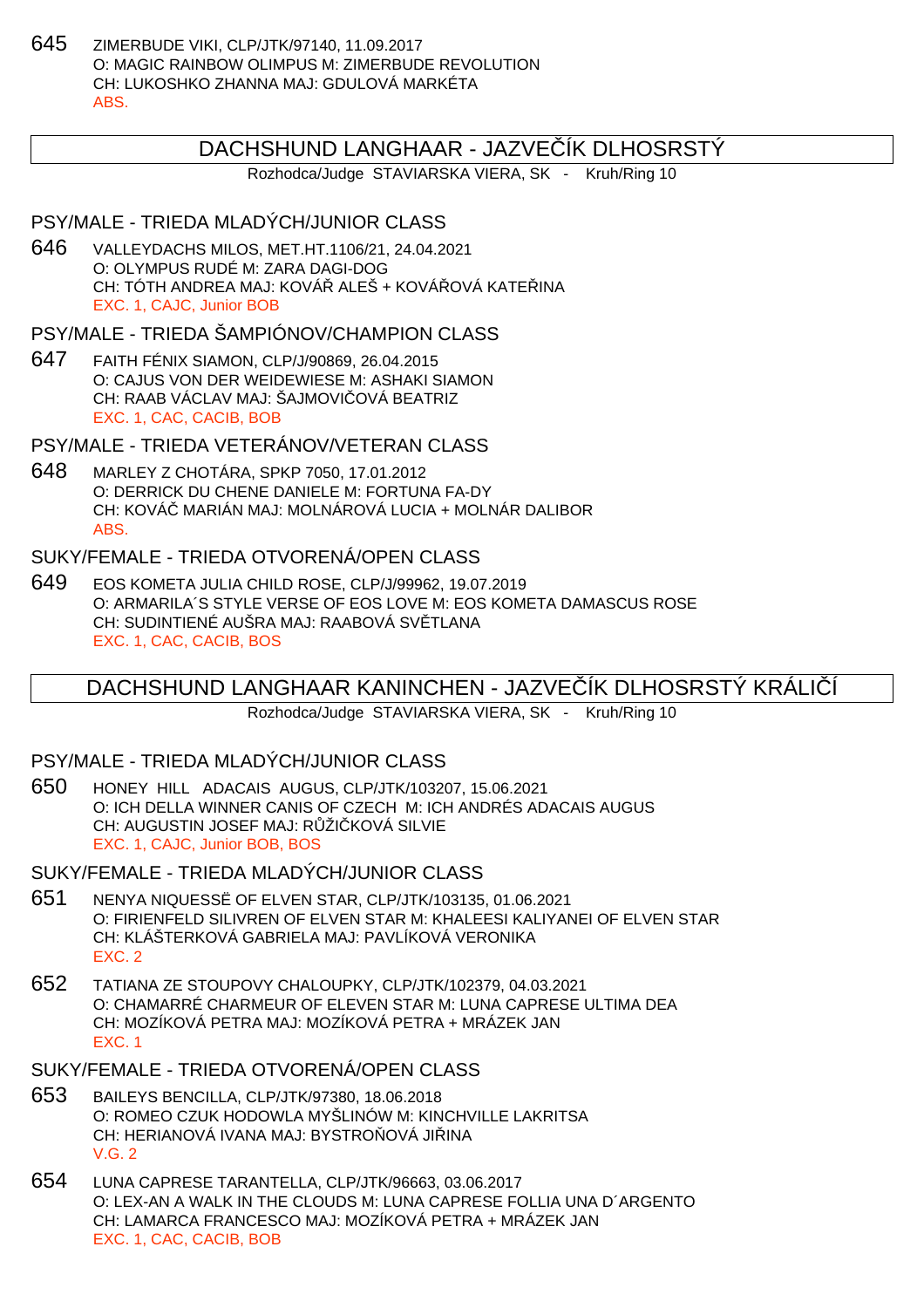645 ZIMERBUDE VIKI, CLP/JTK/97140, 11.09.2017 O: MAGIC RAINBOW OLIMPUS M: ZIMERBUDE REVOLUTION CH: LUKOSHKO ZHANNA MAJ: GDULOVÁ MARKÉTA ABS.

# DACHSHUND LANGHAAR - JAZVE ÍK DLHOSRSTÝ

Rozhodca/Judge STAVIARSKA VIERA, SK - Kruh/Ring 10

# PSY/MALE - TRIEDA MLADÝCH/JUNIOR CLASS

646 VALLEYDACHS MILOS, MET.HT.1106/21, 24.04.2021 O: OLYMPUS RUDÉ M: ZARA DAGI-DOG CH: TÓTH ANDREA MAJ: KOVÁ ALEŠ + KOVÁ OVÁ KATEJINA EXC. 1, CAJC, Junior BOB

PSY/MALE - TRIEDA ŠAMPIÓNOV/CHAMPION CLASS

647 FAITH FÉNIX SIAMON, CLP/J/90869, 26.04.2015 O: CAJUS VON DER WEIDEWIESE M: ASHAKI SIAMON CH: RAAB VÁCLAV MAJ: ŠAJMOVI OVÁ BEATRIZ EXC. 1, CAC, CACIB, BOB

PSY/MALE - TRIEDA VETERÁNOV/VETERAN CLASS

648 MARLEY Z CHOTÁRA, SPKP 7050, 17.01.2012 O: DERRICK DU CHENE DANIELE M: FORTUNA FA-DY CH: KOVÁČ MARIÁN MAJ: MOLNÁROVÁ LUCIA + MOLNÁR DALIBOR ABS.

# SUKY/FEMALE - TRIEDA OTVORENÁ/OPEN CLASS

649 EOS KOMETA JULIA CHILD ROSE, CLP/J/99962, 19.07.2019 O: ARMARILA´S STYLE VERSE OF EOS LOVE M: EOS KOMETA DAMASCUS ROSE CH: SUDINTIENÉ AUŠRA MAJ: RAABOVÁ SV TLANA EXC. 1, CAC, CACIB, BOS

# DACHSHUND LANGHAAR KANINCHEN - JAZVE ÍK DLHOSRSTÝ KRÁLIÍÍ

Rozhodca/Judge STAVIARSKA VIERA, SK - Kruh/Ring 10

PSY/MALE - TRIEDA MLADÝCH/JUNIOR CLASS

650 HONEY HILL ADACAIS AUGUS, CLP/JTK/103207, 15.06.2021 O: ICH DELLA WINNER CANIS OF CZECH M: ICH ANDRÉS ADACAIS AUGUS CH: AUGUSTIN JOSEF MAJ: R ŽI KOVÁ SILVIE EXC. 1, CAJC, Junior BOB, BOS

SUKY/FEMALE - TRIEDA MLADÝCH/JUNIOR CLASS

- 651 NENYA NIQUESSË OF ELVEN STAR, CLP/JTK/103135, 01.06.2021 O: FIRIENFELD SILIVREN OF ELVEN STAR M: KHALEESI KALIYANEI OF ELVEN STAR CH: KLÁŠTERKOVÁ GABRIELA MAJ: PAVLÍKOVÁ VERONIKA EXC. 2
- 652 TATIANA ZE STOUPOVY CHALOUPKY, CLP/JTK/102379, 04.03.2021 O: CHAMARRÉ CHARMEUR OF ELEVEN STAR M: LUNA CAPRESE ULTIMA DEA CH: MOZÍKOVÁ PETRA MAJ: MOZÍKOVÁ PETRA + MRÁZEK JAN EXC. 1

SUKY/FEMALE - TRIEDA OTVORENÁ/OPEN CLASS

- 653 BAILEYS BENCILLA, CLP/JTK/97380, 18.06.2018 O: ROMEO CZUK HODOWLA MYŠLINÓW M: KINCHVILLE LAKRITSA CH: HERIANOVÁ IVANA MAJ: BYSTRO OVÁ JILINA V.G. 2
- 654 LUNA CAPRESE TARANTELLA, CLP/JTK/96663, 03.06.2017 O: LEX-AN A WALK IN THE CLOUDS M: LUNA CAPRESE FOLLIA UNA D´ARGENTO CH: LAMARCA FRANCESCO MAJ: MOZÍKOVÁ PETRA + MRÁZEK JAN EXC. 1, CAC, CACIB, BOB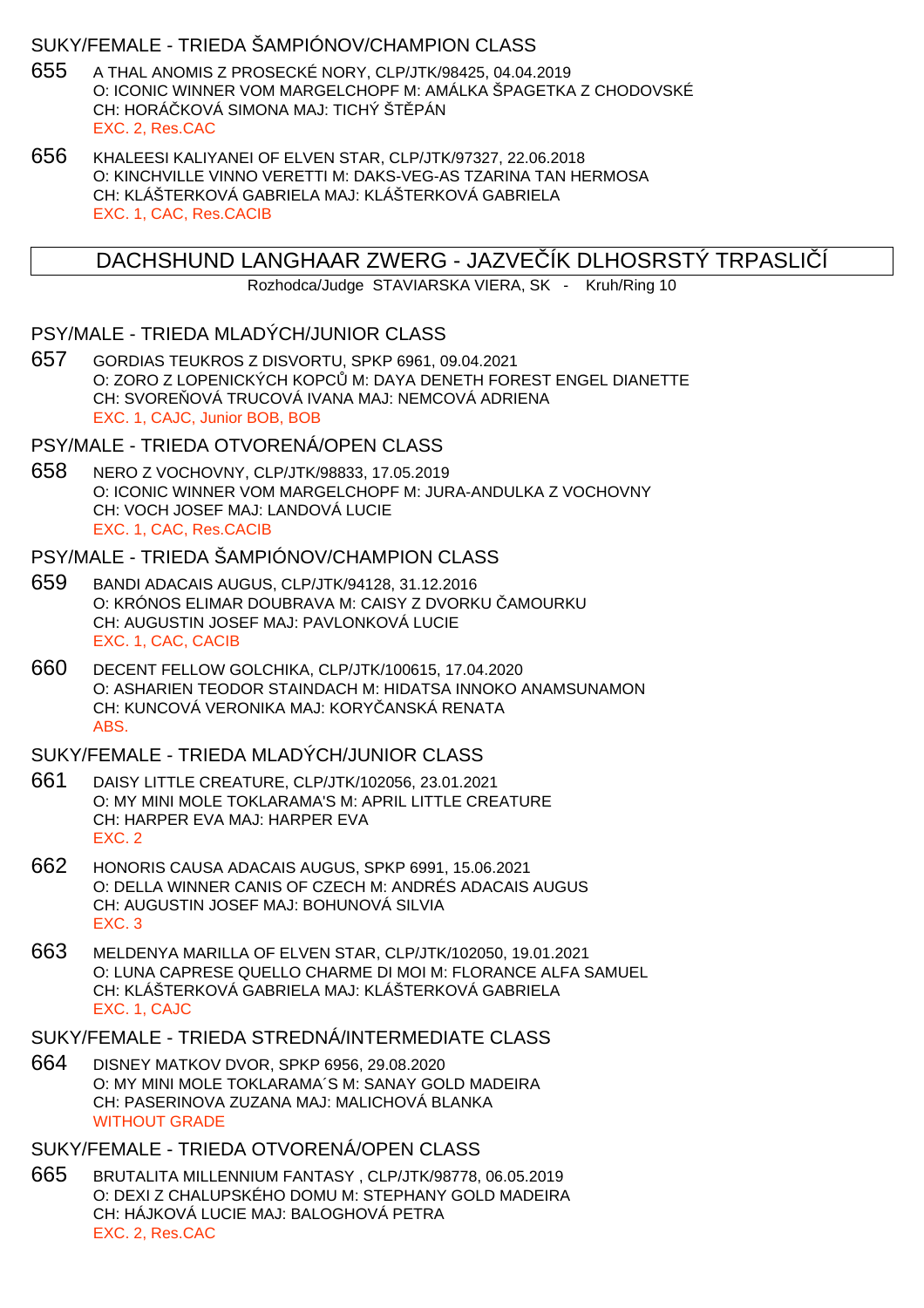## SUKY/FEMALE - TRIEDA ŠAMPIÓNOV/CHAMPION CLASS

- 655 A THAL ANOMIS Z PROSECKÉ NORY, CLP/JTK/98425, 04.04.2019 O: ICONIC WINNER VOM MARGELCHOPF M: AMÁLKA ŠPAGETKA Z CHODOVSKÉ CH: HORÁ KOVÁ SIMONA MAJ: TICHÝ ŠT. PÁN EXC. 2, Res.CAC
- 656 KHALEESI KALIYANEI OF ELVEN STAR, CLP/JTK/97327, 22.06.2018 O: KINCHVILLE VINNO VERETTI M: DAKS-VEG-AS TZARINA TAN HERMOSA CH: KLÁŠTERKOVÁ GABRIELA MAJ: KLÁŠTERKOVÁ GABRIELA EXC. 1, CAC, Res.CACIB

DACHSHUND LANGHAAR ZWERG - JAZVE ÍK DLHOSRSTÝ TRPASLIÍ

Rozhodca/Judge STAVIARSKA VIERA, SK - Kruh/Ring 10

#### PSY/MALE - TRIEDA MLADÝCH/JUNIOR CLASS

657 GORDIAS TEUKROS Z DISVORTU, SPKP 6961, 09.04.2021 O: ZORO Z LOPENICKÝCH KOPC M: DAYA DENETH FOREST ENGEL DIANETTE CH: SVORE OVÁ TRUCOVÁ IVANA MAJ: NEMCOVÁ ADRIENA EXC. 1, CAJC, Junior BOB, BOB

#### PSY/MALE - TRIEDA OTVORENÁ/OPEN CLASS

658 NERO Z VOCHOVNY, CLP/JTK/98833, 17.05.2019 O: ICONIC WINNER VOM MARGELCHOPF M: JURA-ANDULKA Z VOCHOVNY CH: VOCH JOSEF MAJ: LANDOVÁ LUCIE EXC. 1, CAC, Res.CACIB

# PSY/MALE - TRIEDA ŠAMPIÓNOV/CHAMPION CLASS

- 659 BANDI ADACAIS AUGUS, CLP/JTK/94128, 31.12.2016 O: KRÓNOS ELIMAR DOUBRAVA M: CAISY Z DVORKU AMOURKU CH: AUGUSTIN JOSEF MAJ: PAVLONKOVÁ LUCIE EXC. 1, CAC, CACIB
- 660 DECENT FELLOW GOLCHIKA, CLP/JTK/100615, 17.04.2020 O: ASHARIEN TEODOR STAINDACH M: HIDATSA INNOKO ANAMSUNAMON CH: KUNCOVÁ VERONIKA MAJ: KORY ANSKÁ RENATA ABS.

# SUKY/FEMALE - TRIEDA MLADÝCH/JUNIOR CLASS

- 661 DAISY LITTLE CREATURE, CLP/JTK/102056, 23.01.2021 O: MY MINI MOLE TOKLARAMA'S M: APRIL LITTLE CREATURE CH: HARPER EVA MAJ: HARPER EVA EXC. 2
- 662 HONORIS CAUSA ADACAIS AUGUS, SPKP 6991, 15.06.2021 O: DELLA WINNER CANIS OF CZECH M: ANDRÉS ADACAIS AUGUS CH: AUGUSTIN JOSEF MAJ: BOHUNOVÁ SILVIA EXC. 3
- 663 MELDENYA MARILLA OF ELVEN STAR, CLP/JTK/102050, 19.01.2021 O: LUNA CAPRESE QUELLO CHARME DI MOI M: FLORANCE ALFA SAMUEL CH: KLÁŠTERKOVÁ GABRIELA MAJ: KLÁŠTERKOVÁ GABRIELA EXC. 1, CAJC

#### SUKY/FEMALE - TRIEDA STREDNÁ/INTERMEDIATE CLASS

664 DISNEY MATKOV DVOR, SPKP 6956, 29.08.2020 O: MY MINI MOLE TOKLARAMA´S M: SANAY GOLD MADEIRA CH: PASERINOVA ZUZANA MAJ: MALICHOVÁ BLANKA WITHOUT GRADE

# SUKY/FEMALE - TRIEDA OTVORENÁ/OPEN CLASS

665 BRUTALITA MILLENNIUM FANTASY , CLP/JTK/98778, 06.05.2019 O: DEXI Z CHALUPSKÉHO DOMU M: STEPHANY GOLD MADEIRA CH: HÁJKOVÁ LUCIE MAJ: BALOGHOVÁ PETRA EXC. 2, Res.CAC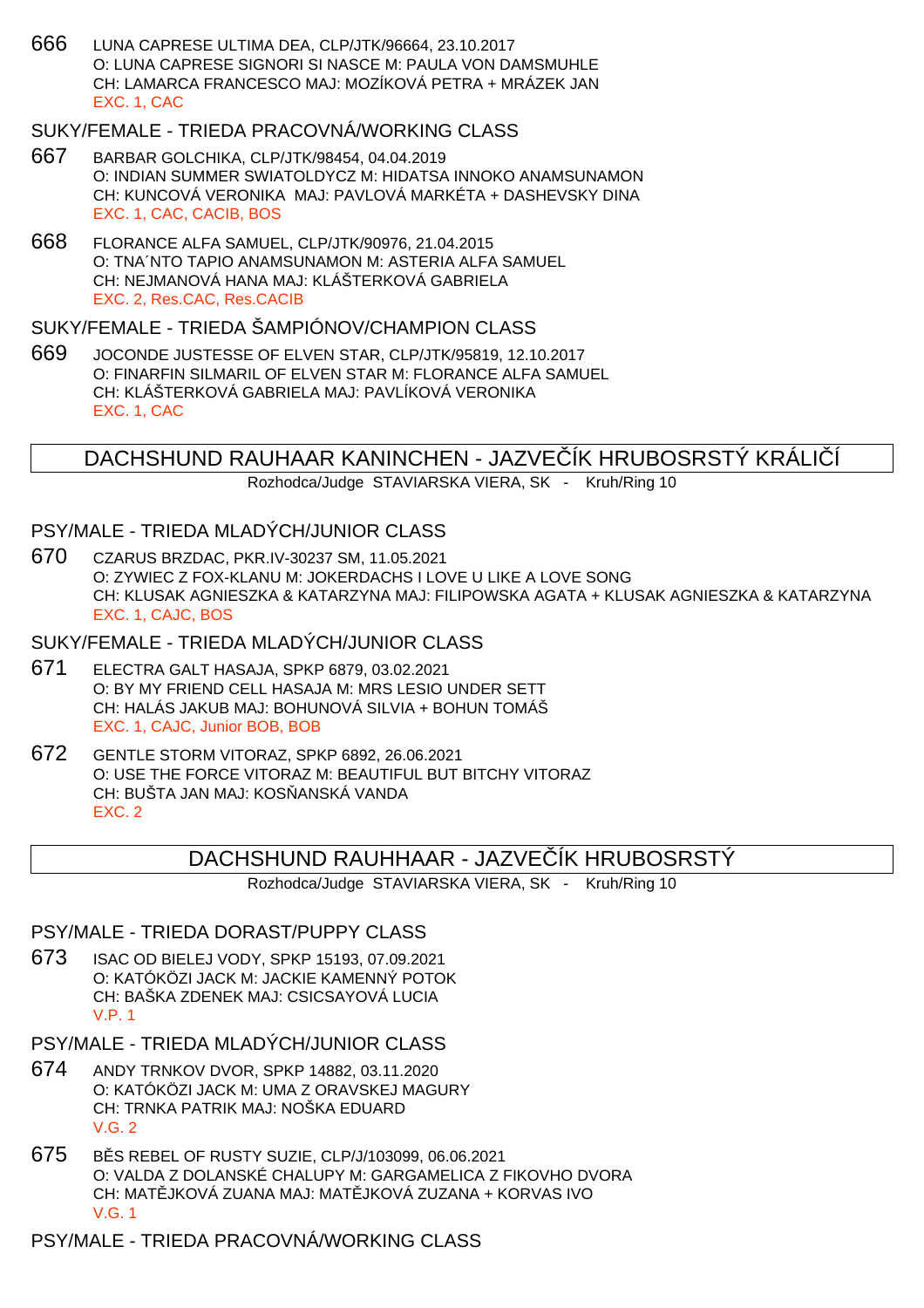666 LUNA CAPRESE ULTIMA DEA, CLP/JTK/96664, 23.10.2017 O: LUNA CAPRESE SIGNORI SI NASCE M: PAULA VON DAMSMUHLE CH: LAMARCA FRANCESCO MAJ: MOZÍKOVÁ PETRA + MRÁZEK JAN EXC. 1, CAC

## SUKY/FEMALE - TRIEDA PRACOVNÁ/WORKING CLASS

- 667 BARBAR GOLCHIKA, CLP/JTK/98454, 04.04.2019 O: INDIAN SUMMER SWIATOLDYCZ M: HIDATSA INNOKO ANAMSUNAMON CH: KUNCOVÁ VERONIKA MAJ: PAVLOVÁ MARKÉTA + DASHEVSKY DINA EXC. 1, CAC, CACIB, BOS
- 668 FLORANCE ALFA SAMUEL, CLP/JTK/90976, 21.04.2015 O: TNA´NTO TAPIO ANAMSUNAMON M: ASTERIA ALFA SAMUEL CH: NEJMANOVÁ HANA MAJ: KLÁŠTERKOVÁ GABRIELA EXC. 2, Res.CAC, Res.CACIB

# SUKY/FEMALE - TRIEDA ŠAMPIÓNOV/CHAMPION CLASS

669 JOCONDE JUSTESSE OF ELVEN STAR, CLP/JTK/95819, 12.10.2017 O: FINARFIN SILMARIL OF ELVEN STAR M: FLORANCE ALFA SAMUEL CH: KLÁŠTERKOVÁ GABRIELA MAJ: PAVLÍKOVÁ VERONIKA EXC. 1, CAC

DACHSHUND RAUHAAR KANINCHEN - JAZVE ÍK HRUBOSRSTÝ KRÁLIÍ

Rozhodca/Judge STAVIARSKA VIERA, SK - Kruh/Ring 10

## PSY/MALE - TRIEDA MLADÝCH/JUNIOR CLASS

670 CZARUS BRZDAC, PKR.IV-30237 SM, 11.05.2021 O: ZYWIEC Z FOX-KLANU M: JOKERDACHS I LOVE U LIKE A LOVE SONG CH: KLUSAK AGNIESZKA & KATARZYNA MAJ: FILIPOWSKA AGATA + KLUSAK AGNIESZKA & KATARZYNA EXC. 1, CAJC, BOS

SUKY/FEMALE - TRIEDA MLADÝCH/JUNIOR CLASS

- 671 ELECTRA GALT HASAJA, SPKP 6879, 03.02.2021 O: BY MY FRIEND CELL HASAJA M: MRS LESIO UNDER SETT CH: HALÁS JAKUB MAJ: BOHUNOVÁ SILVIA + BOHUN TOMÁŠ EXC. 1, CAJC, Junior BOB, BOB
- 672 GENTLE STORM VITORAZ, SPKP 6892, 26.06.2021 O: USE THE FORCE VITORAZ M: BEAUTIFUL BUT BITCHY VITORAZ CH: BUŠTA JAN MAJ: KOS ANSKÁ VANDA EXC. 2

# DACHSHUND RAUHHAAR - JAZVE ÍK HRUBOSRSTÝ

Rozhodca/Judge STAVIARSKA VIERA, SK - Kruh/Ring 10

#### PSY/MALE - TRIEDA DORAST/PUPPY CLASS

- 673 ISAC OD BIELEJ VODY, SPKP 15193, 07.09.2021 O: KATÓKÖZI JACK M: JACKIE KAMENNÝ POTOK CH: BAŠKA ZDENEK MAJ: CSICSAYOVÁ LUCIA V.P. 1
- PSY/MALE TRIEDA MLADÝCH/JUNIOR CLASS
- 674 ANDY TRNKOV DVOR, SPKP 14882, 03.11.2020 O: KATÓKÖZI JACK M: UMA Z ORAVSKEJ MAGURY CH: TRNKA PATRIK MAJ: NOŠKA EDUARD V.G. 2
- 675 B S REBEL OF RUSTY SUZIE, CLP/J/103099, 06.06.2021 O: VALDA Z DOLANSKÉ CHALUPY M: GARGAMELICA Z FIKOVHO DVORA CH: MAT JKOVÁ ZUANA MAJ: MAT JKOVÁ ZUZANA + KORVAS IVO V.G. 1

PSY/MALE - TRIEDA PRACOVNÁ/WORKING CLASS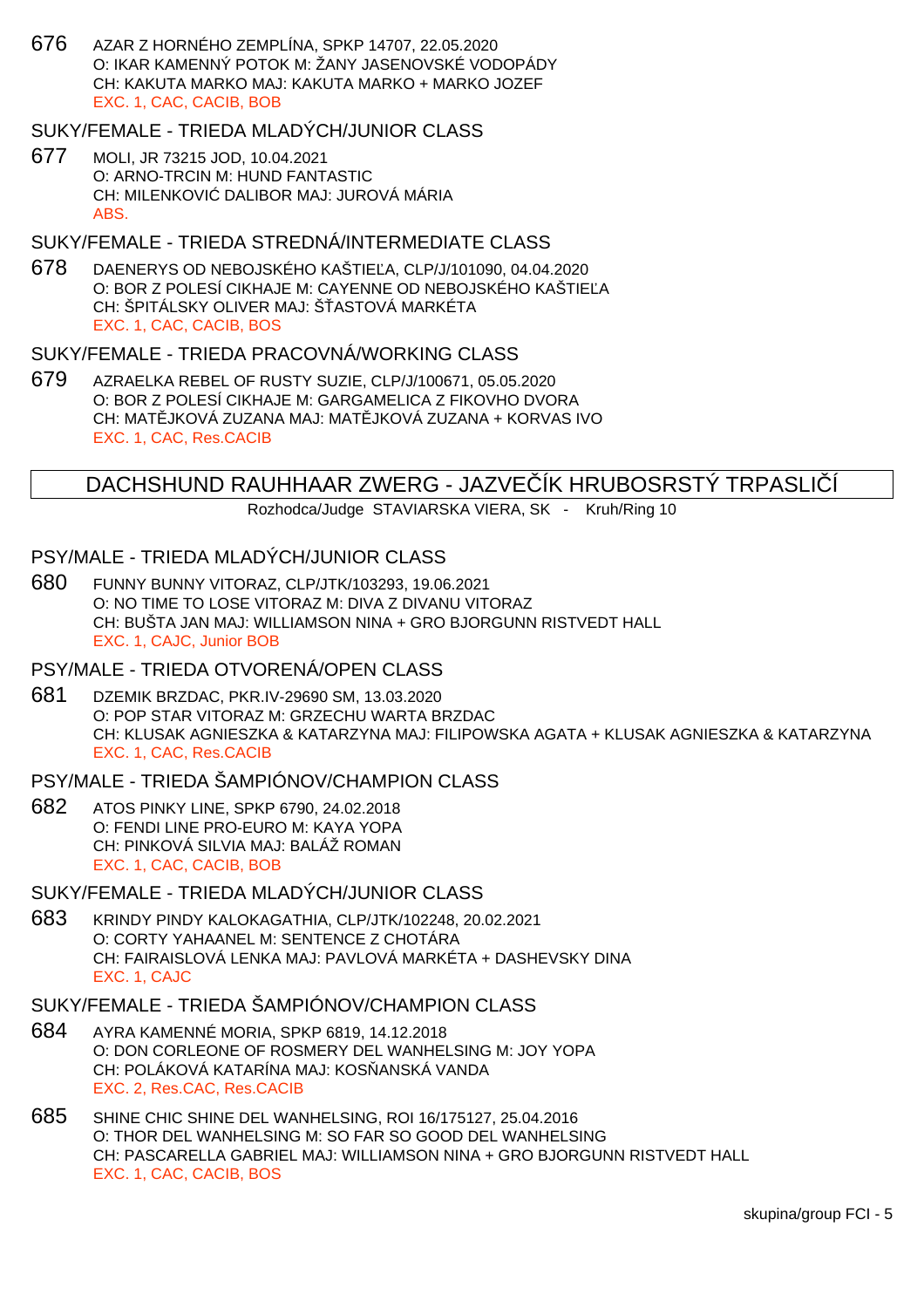676 AZAR Z HORNÉHO ZEMPLÍNA, SPKP 14707, 22.05.2020 O: IKAR KAMENNÝ POTOK M: ŽANY JASENOVSKÉ VODOPÁDY CH: KAKUTA MARKO MAJ: KAKUTA MARKO + MARKO JOZEF EXC. 1, CAC, CACIB, BOB

## SUKY/FEMALE - TRIEDA MLADÝCH/JUNIOR CLASS

677 MOLI, JR 73215 JOD, 10.04.2021 O: ARNO-TRCIN M: HUND FANTASTIC CH: MILENKOVI DALIBOR MAJ: JUROVÁ MÁRIA ABS.

# SUKY/FEMALE - TRIEDA STREDNÁ/INTERMEDIATE CLASS

678 DAENERYS OD NEBOJSKÉHO KAŠTIE A, CLP/J/101090, 04.04.2020 O: BOR Z POLESÍ CIKHAJE M: CAYENNE OD NEBOJSKÉHO KAŠTIE. A CH: ŠPITÁLSKY OLIVER MAJ: Š ASTOVÁ MARKÉTA EXC. 1, CAC, CACIB, BOS

#### SUKY/FEMALE - TRIEDA PRACOVNÁ/WORKING CLASS

679 AZRAELKA REBEL OF RUSTY SUZIE, CLP/J/100671, 05.05.2020 O: BOR Z POLESÍ CIKHAJE M: GARGAMELICA Z FIKOVHO DVORA CH: MAT JKOVÁ ZUZANA MAJ: MAT JKOVÁ ZUZANA + KORVAS IVO EXC. 1, CAC, Res.CACIB

## DACHSHUND RAUHHAAR ZWERG - JAZVE ÍK HRUBOSRSTÝ TRPASLIÍ

Rozhodca/Judge STAVIARSKA VIERA, SK - Kruh/Ring 10

### PSY/MALE - TRIEDA MLADÝCH/JUNIOR CLASS

680 FUNNY BUNNY VITORAZ, CLP/JTK/103293, 19.06.2021 O: NO TIME TO LOSE VITORAZ M: DIVA Z DIVANU VITORAZ CH: BUŠTA JAN MAJ: WILLIAMSON NINA + GRO BJORGUNN RISTVEDT HALL EXC. 1, CAJC, Junior BOB

#### PSY/MALE - TRIEDA OTVORENÁ/OPEN CLASS

681 DZEMIK BRZDAC, PKR.IV-29690 SM, 13.03.2020 O: POP STAR VITORAZ M: GRZECHU WARTA BRZDAC CH: KLUSAK AGNIESZKA & KATARZYNA MAJ: FILIPOWSKA AGATA + KLUSAK AGNIESZKA & KATARZYNA EXC. 1, CAC, Res.CACIB

## PSY/MALE - TRIEDA ŠAMPIÓNOV/CHAMPION CLASS

682 ATOS PINKY LINE, SPKP 6790, 24.02.2018 O: FENDI LINE PRO-EURO M: KAYA YOPA CH: PINKOVÁ SILVIA MAJ: BALÁŽ ROMAN EXC. 1, CAC, CACIB, BOB

# SUKY/FEMALE - TRIEDA MLADÝCH/JUNIOR CLASS

683 KRINDY PINDY KALOKAGATHIA, CLP/JTK/102248, 20.02.2021 O: CORTY YAHAANEL M: SENTENCE Z CHOTÁRA CH: FAIRAISLOVÁ LENKA MAJ: PAVLOVÁ MARKÉTA + DASHEVSKY DINA EXC. 1, CAJC

# SUKY/FEMALE - TRIEDA ŠAMPIÓNOV/CHAMPION CLASS

- 684 AYRA KAMENNÉ MORIA, SPKP 6819, 14.12.2018 O: DON CORLEONE OF ROSMERY DEL WANHELSING M: JOY YOPA CH: POLÁKOVÁ KATARÍNA MAJ: KOS ANSKÁ VANDA EXC. 2, Res.CAC, Res.CACIB
- 685 SHINE CHIC SHINE DEL WANHELSING, ROI 16/175127, 25.04.2016 O: THOR DEL WANHELSING M: SO FAR SO GOOD DEL WANHELSING CH: PASCARELLA GABRIEL MAJ: WILLIAMSON NINA + GRO BJORGUNN RISTVEDT HALL EXC. 1, CAC, CACIB, BOS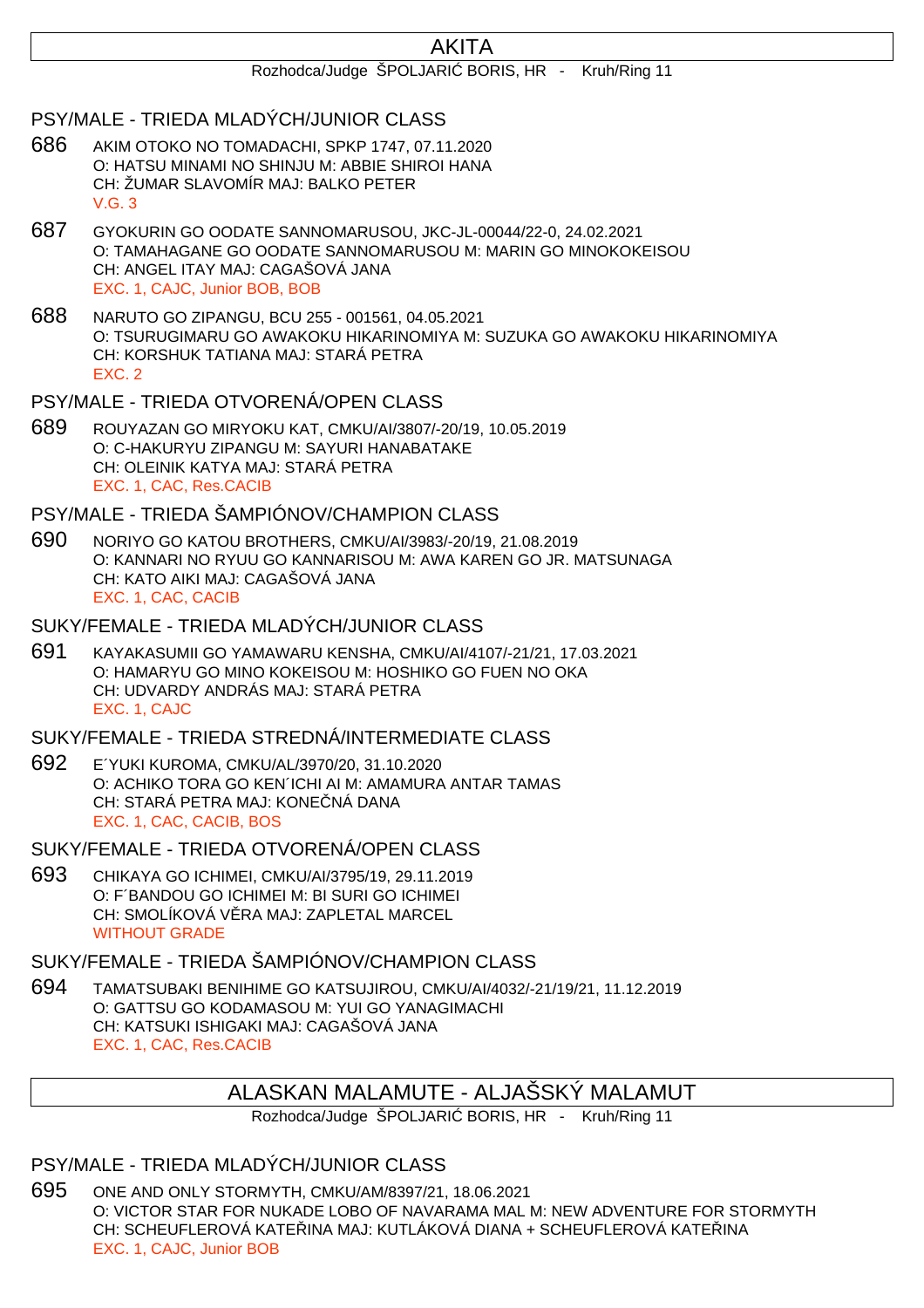# AKITA

#### Rozhodca/Judge ŠPOLJARI BORIS, HR - Kruh/Ring 11

#### PSY/MALE - TRIEDA MLADÝCH/JUNIOR CLASS

- 686 AKIM OTOKO NO TOMADACHI, SPKP 1747, 07.11.2020 O: HATSU MINAMI NO SHINJU M: ABBIE SHIROI HANA CH: ŽUMAR SLAVOMÍR MAJ: BALKO PETER V.G. 3
- 687 GYOKURIN GO OODATE SANNOMARUSOU, JKC-JL-00044/22-0, 24.02.2021 O: TAMAHAGANE GO OODATE SANNOMARUSOU M: MARIN GO MINOKOKEISOU CH: ANGEL ITAY MAJ: CAGAŠOVÁ JANA EXC. 1, CAJC, Junior BOB, BOB
- 688 NARUTO GO ZIPANGU, BCU 255 001561, 04.05.2021 O: TSURUGIMARU GO AWAKOKU HIKARINOMIYA M: SUZUKA GO AWAKOKU HIKARINOMIYA CH: KORSHUK TATIANA MAJ: STARÁ PETRA EXC. 2

#### PSY/MALE - TRIEDA OTVORENÁ/OPEN CLASS

689 ROUYAZAN GO MIRYOKU KAT, CMKU/AI/3807/-20/19, 10.05.2019 O: C-HAKURYU ZIPANGU M: SAYURI HANABATAKE CH: OLEINIK KATYA MAJ: STARÁ PETRA EXC. 1, CAC, Res.CACIB

# PSY/MALE - TRIEDA ŠAMPIÓNOV/CHAMPION CLASS

690 NORIYO GO KATOU BROTHERS, CMKU/AI/3983/-20/19, 21.08.2019 O: KANNARI NO RYUU GO KANNARISOU M: AWA KAREN GO JR. MATSUNAGA CH: KATO AIKI MAJ: CAGAŠOVÁ JANA EXC. 1, CAC, CACIB

#### SUKY/FEMALE - TRIEDA MLADÝCH/JUNIOR CLASS

691 KAYAKASUMII GO YAMAWARU KENSHA, CMKU/AI/4107/-21/21, 17.03.2021 O: HAMARYU GO MINO KOKEISOU M: HOSHIKO GO FUEN NO OKA CH: UDVARDY ANDRÁS MAJ: STARÁ PETRA EXC. 1, CAJC

#### SUKY/FEMALE - TRIEDA STREDNÁ/INTERMEDIATE CLASS

- 692 E´YUKI KUROMA, CMKU/AL/3970/20, 31.10.2020 O: ACHIKO TORA GO KEN´ICHI AI M: AMAMURA ANTAR TAMAS CH: STARÁ PETRA MAJ: KONE NÁ DANA EXC. 1, CAC, CACIB, BOS
- SUKY/FEMALE TRIEDA OTVORENÁ/OPEN CLASS
- 693 CHIKAYA GO ICHIMEI, CMKU/AI/3795/19, 29.11.2019 O: F´BANDOU GO ICHIMEI M: BI SURI GO ICHIMEI CH: SMOLÍKOVÁ V RA MAJ: ZAPLETAL MARCEL WITHOUT GRADE

# SUKY/FEMALE - TRIEDA ŠAMPIÓNOV/CHAMPION CLASS

694 TAMATSUBAKI BENIHIME GO KATSUJIROU, CMKU/AI/4032/-21/19/21, 11.12.2019 O: GATTSU GO KODAMASOU M: YUI GO YANAGIMACHI CH: KATSUKI ISHIGAKI MAJ: CAGAŠOVÁ JANA EXC. 1, CAC, Res.CACIB

# ALASKAN MALAMUTE - ALJAŠSKÝ MALAMUT

Rozhodca/Judge ŠPOLJARI BORIS, HR - Kruh/Ring 11

# PSY/MALE - TRIEDA MLADÝCH/JUNIOR CLASS

695 ONE AND ONLY STORMYTH, CMKU/AM/8397/21, 18.06.2021 O: VICTOR STAR FOR NUKADE LOBO OF NAVARAMA MAL M: NEW ADVENTURE FOR STORMYTH CH: SCHEUFLEROVÁ KATE∧INA MAJ: KUTLÁKOVÁ DIANA + SCHEUFLEROVÁ KATE∧INA EXC. 1, CAJC, Junior BOB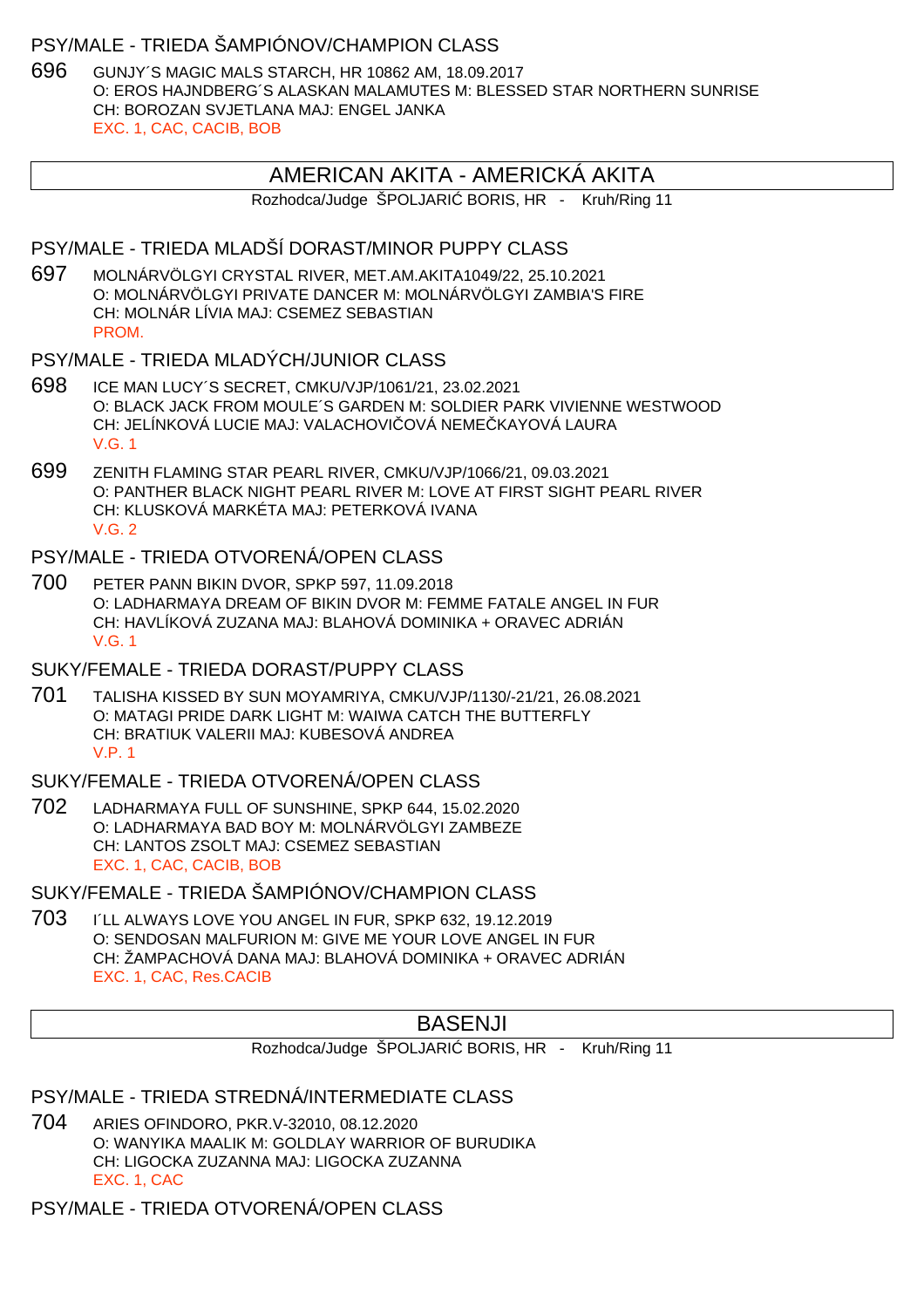#### PSY/MALE - TRIEDA ŠAMPIÓNOV/CHAMPION CLASS

696 GUNJY´S MAGIC MALS STARCH, HR 10862 AM, 18.09.2017 O: EROS HAJNDBERG´S ALASKAN MALAMUTES M: BLESSED STAR NORTHERN SUNRISE CH: BOROZAN SVJETLANA MAJ: ENGEL JANKA EXC. 1, CAC, CACIB, BOB

## AMERICAN AKITA - AMERICKÁ AKITA

Rozhodca/Judge ŠPOLJARI BORIS, HR - Kruh/Ring 11

#### PSY/MALE - TRIEDA MLADŠÍ DORAST/MINOR PUPPY CLASS

697 MOLNÁRVÖLGYI CRYSTAL RIVER, MET.AM.AKITA1049/22, 25.10.2021 O: MOLNÁRVÖLGYI PRIVATE DANCER M: MOLNÁRVÖLGYI ZAMBIA'S FIRE CH: MOLNÁR LÍVIA MAJ: CSEMEZ SEBASTIAN PROM.

#### PSY/MALE - TRIEDA MLADÝCH/JUNIOR CLASS

- 698 ICE MAN LUCY´S SECRET, CMKU/VJP/1061/21, 23.02.2021 O: BLACK JACK FROM MOULE´S GARDEN M: SOLDIER PARK VIVIENNE WESTWOOD CH: JELÍNKOVÁ LUCIE MAJ: VALACHOVI OVÁ NEME KAYOVÁ LAURA V.G. 1
- 699 ZENITH FLAMING STAR PEARL RIVER, CMKU/VJP/1066/21, 09.03.2021 O: PANTHER BLACK NIGHT PEARL RIVER M: LOVE AT FIRST SIGHT PEARL RIVER CH: KLUSKOVÁ MARKÉTA MAJ: PETERKOVÁ IVANA  $V$  G  $2$

# PSY/MALE - TRIEDA OTVORENÁ/OPEN CLASS

700 PETER PANN BIKIN DVOR, SPKP 597, 11.09.2018 O: LADHARMAYA DREAM OF BIKIN DVOR M: FEMME FATALE ANGEL IN FUR CH: HAVLÍKOVÁ ZUZANA MAJ: BLAHOVÁ DOMINIKA + ORAVEC ADRIÁN V.G. 1

#### SUKY/FEMALE - TRIEDA DORAST/PUPPY CLASS

701 TALISHA KISSED BY SUN MOYAMRIYA, CMKU/VJP/1130/-21/21, 26.08.2021 O: MATAGI PRIDE DARK LIGHT M: WAIWA CATCH THE BUTTERFLY CH: BRATIUK VALERII MAJ: KUBESOVÁ ANDREA V.P. 1

# SUKY/FEMALE - TRIEDA OTVORENÁ/OPEN CLASS

702 LADHARMAYA FULL OF SUNSHINE, SPKP 644, 15.02.2020 O: LADHARMAYA BAD BOY M: MOLNÁRVÖLGYI ZAMBEZE CH: LANTOS ZSOLT MAJ: CSEMEZ SEBASTIAN EXC. 1, CAC, CACIB, BOB

# SUKY/FEMALE - TRIEDA ŠAMPIÓNOV/CHAMPION CLASS

703 I´LL ALWAYS LOVE YOU ANGEL IN FUR, SPKP 632, 19.12.2019 O: SENDOSAN MALFURION M: GIVE ME YOUR LOVE ANGEL IN FUR CH: ŽAMPACHOVÁ DANA MAJ: BLAHOVÁ DOMINIKA + ORAVEC ADRIÁN EXC. 1, CAC, Res.CACIB

# BASENJI

Rozhodca/Judge ŠPOLJARI BORIS, HR - Kruh/Ring 11

# PSY/MALE - TRIEDA STREDNÁ/INTERMEDIATE CLASS

704 ARIES OFINDORO, PKR.V-32010, 08.12.2020 O: WANYIKA MAALIK M: GOLDLAY WARRIOR OF BURUDIKA CH: LIGOCKA ZUZANNA MAJ: LIGOCKA ZUZANNA EXC. 1, CAC

PSY/MALE - TRIEDA OTVORENÁ/OPEN CLASS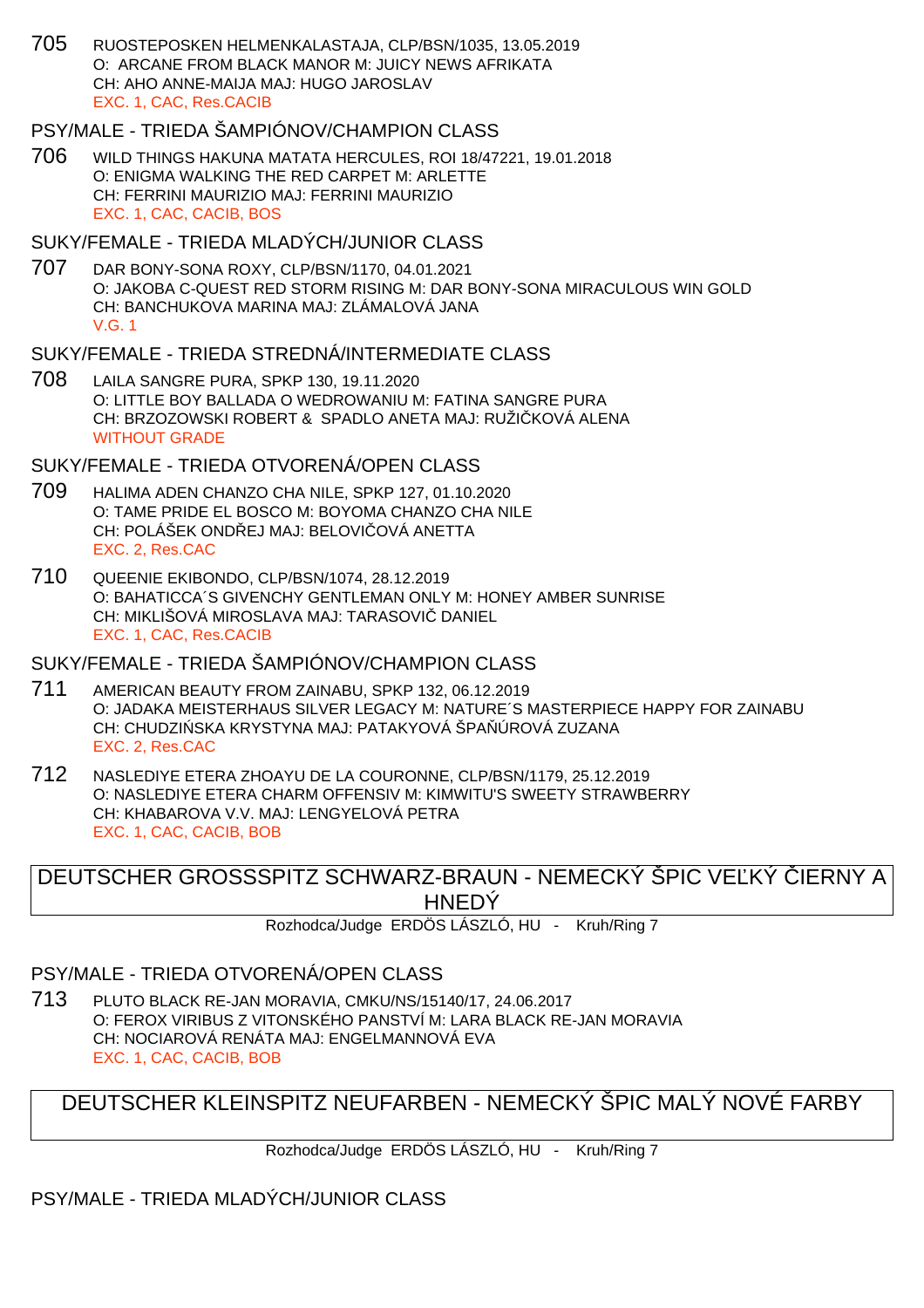705 RUOSTEPOSKEN HELMENKALASTAJA, CLP/BSN/1035, 13.05.2019 O: ARCANE FROM BLACK MANOR M: JUICY NEWS AFRIKATA CH: AHO ANNE-MAIJA MAJ: HUGO JAROSLAV EXC. 1, CAC, Res.CACIB

# PSY/MALE - TRIEDA ŠAMPIÓNOV/CHAMPION CLASS

706 WILD THINGS HAKUNA MATATA HERCULES, ROI 18/47221, 19.01.2018 O: ENIGMA WALKING THE RED CARPET M: ARLETTE CH: FERRINI MAURIZIO MAJ: FERRINI MAURIZIO EXC. 1, CAC, CACIB, BOS

#### SUKY/FEMALE - TRIEDA MLADÝCH/JUNIOR CLASS

707 DAR BONY-SONA ROXY, CLP/BSN/1170, 04.01.2021 O: JAKOBA C-QUEST RED STORM RISING M: DAR BONY-SONA MIRACULOUS WIN GOLD CH: BANCHUKOVA MARINA MAJ: ZLÁMALOVÁ JANA V.G. 1

# SUKY/FEMALE - TRIEDA STREDNÁ/INTERMEDIATE CLASS

708 LAILA SANGRE PURA, SPKP 130, 19.11.2020 O: LITTLE BOY BALLADA O WEDROWANIU M: FATINA SANGRE PURA CH: BRZOZOWSKI ROBERT & SPADLO ANETA MAJ: RUŽIČKOVÁ ALENA WITHOUT GRADE

## SUKY/FEMALE - TRIEDA OTVORENÁ/OPEN CLASS

- 709 HALIMA ADEN CHANZO CHA NILE, SPKP 127, 01.10.2020 O: TAME PRIDE EL BOSCO M: BOYOMA CHANZO CHA NILE CH: POLÁŠEK ONDŘEJ MAJ: BELOVITOVÁ ANETTA EXC. 2, Res.CAC
- 710 QUEENIE EKIBONDO, CLP/BSN/1074, 28.12.2019 O: BAHATICCA´S GIVENCHY GENTLEMAN ONLY M: HONEY AMBER SUNRISE CH: MIKLIŠOVÁ MIROSLAVA MAJ: TARASOVI DANIEL EXC. 1, CAC, Res.CACIB

# SUKY/FEMALE - TRIEDA ŠAMPIÓNOV/CHAMPION CLASS

- 711 AMERICAN BEAUTY FROM ZAINABU, SPKP 132, 06.12.2019 O: JADAKA MEISTERHAUS SILVER LEGACY M: NATURE´S MASTERPIECE HAPPY FOR ZAINABU CH: CHUDZI SKA KRYSTYNA MAJ: PATAKYOVÁ ŠPA ÚROVÁ ZUZANA EXC. 2, Res.CAC
- 712 NASLEDIYE ETERA ZHOAYU DE LA COURONNE, CLP/BSN/1179, 25.12.2019 O: NASLEDIYE ETERA CHARM OFFENSIV M: KIMWITU'S SWEETY STRAWBERRY CH: KHABAROVA V.V. MAJ: LENGYELOVÁ PETRA EXC. 1, CAC, CACIB, BOB

DEUTSCHER GROSSSPITZ SCHWARZ-BRAUN - NEMECKÝ ŠPIC VE KÝ LERNY A HNEDÝ

Rozhodca/Judge ERDÖS LÁSZLÓ, HU - Kruh/Ring 7

## PSY/MALE - TRIEDA OTVORENÁ/OPEN CLASS

713 PLUTO BLACK RE-JAN MORAVIA, CMKU/NS/15140/17, 24.06.2017 O: FEROX VIRIBUS Z VITONSKÉHO PANSTVÍ M: LARA BLACK RE-JAN MORAVIA CH: NOCIAROVÁ RENÁTA MAJ: ENGELMANNOVÁ EVA EXC. 1, CAC, CACIB, BOB

# DEUTSCHER KLEINSPITZ NEUFARBEN - NEMECKÝ ŠPIC MALÝ NOVÉ FARBY

Rozhodca/Judge ERDÖS LÁSZLÓ, HU - Kruh/Ring 7

PSY/MALE - TRIEDA MLADÝCH/JUNIOR CLASS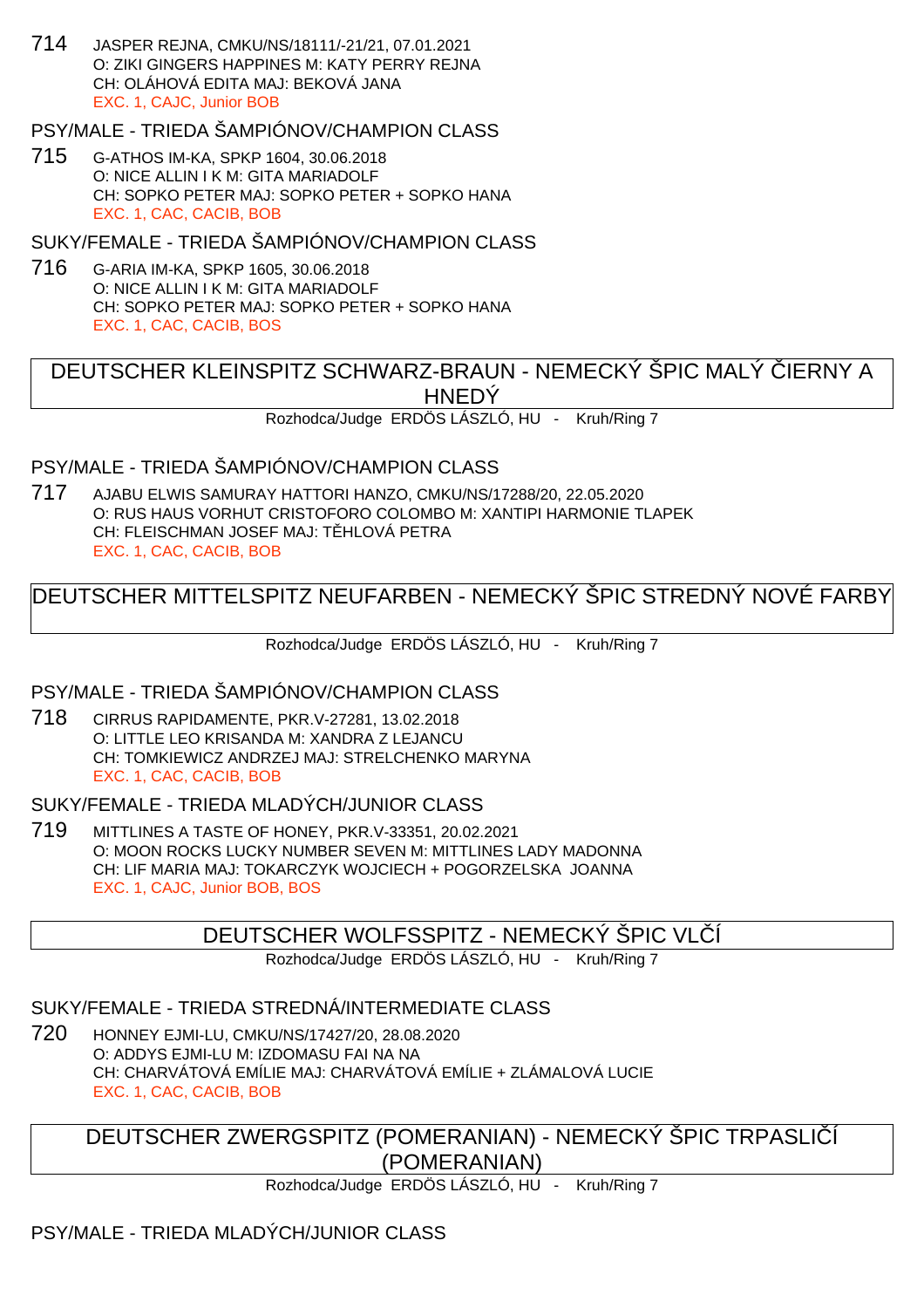714 JASPER REJNA, CMKU/NS/18111/-21/21, 07.01.2021 O: ZIKI GINGERS HAPPINES M: KATY PERRY REJNA CH: OLÁHOVÁ EDITA MAJ: BEKOVÁ JANA EXC. 1, CAJC, Junior BOB

PSY/MALE - TRIEDA ŠAMPIÓNOV/CHAMPION CLASS

715 G-ATHOS IM-KA, SPKP 1604, 30.06.2018 O: NICE ALLIN I K M: GITA MARIADOLF CH: SOPKO PETER MAJ: SOPKO PETER + SOPKO HANA EXC. 1, CAC, CACIB, BOB

SUKY/FEMALE - TRIEDA ŠAMPIÓNOV/CHAMPION CLASS

716 G-ARIA IM-KA, SPKP 1605, 30.06.2018 O: NICE ALLIN I K M: GITA MARIADOLF CH: SOPKO PETER MAJ: SOPKO PETER + SOPKO HANA EXC. 1, CAC, CACIB, BOS

DEUTSCHER KLEINSPITZ SCHWARZ-BRAUN - NEMECKÝ ŠPIC MALÝ ČIERNY A HNEDÝ

Rozhodca/Judge ERDÖS LÁSZLÓ, HU - Kruh/Ring 7

PSY/MALE - TRIEDA ŠAMPIÓNOV/CHAMPION CLASS

717 AJABU ELWIS SAMURAY HATTORI HANZO, CMKU/NS/17288/20, 22.05.2020 O: RUS HAUS VORHUT CRISTOFORO COLOMBO M: XANTIPI HARMONIE TLAPEK CH: FLEISCHMAN JOSEF MAJ: T. HLOVÁ PETRA EXC. 1, CAC, CACIB, BOB

# DEUTSCHER MITTELSPITZ NEUFARBEN - NEMECKÝ ŠPIC STREDNÝ NOVÉ FARBY

Rozhodca/Judge ERDÖS LÁSZLÓ, HU - Kruh/Ring 7

## PSY/MALE - TRIEDA ŠAMPIÓNOV/CHAMPION CLASS

718 CIRRUS RAPIDAMENTE, PKR.V-27281, 13.02.2018 O: LITTLE LEO KRISANDA M: XANDRA Z LEJANCU CH: TOMKIEWICZ ANDRZEJ MAJ: STRELCHENKO MARYNA EXC. 1, CAC, CACIB, BOB

SUKY/FEMALE - TRIEDA MLADÝCH/JUNIOR CLASS

719 MITTLINES A TASTE OF HONEY, PKR.V-33351, 20.02.2021 O: MOON ROCKS LUCKY NUMBER SEVEN M: MITTLINES LADY MADONNA CH: LIF MARIA MAJ: TOKARCZYK WOJCIECH + POGORZELSKA JOANNA EXC. 1, CAJC, Junior BOB, BOS

## DEUTSCHER WOLFSSPITZ - NEMECKÝ ŠPIC VLČÍ

Rozhodca/Judge ERDÖS LÁSZLÓ, HU - Kruh/Ring 7

## SUKY/FEMALE - TRIEDA STREDNÁ/INTERMEDIATE CLASS

720 HONNEY EJMI-LU, CMKU/NS/17427/20, 28.08.2020 O: ADDYS EJMI-LU M: IZDOMASU FAI NA NA CH: CHARVÁTOVÁ EMÍLIE MAJ: CHARVÁTOVÁ EMÍLIE + ZLÁMALOVÁ LUCIE EXC. 1, CAC, CACIB, BOB

DEUTSCHER ZWERGSPITZ (POMERANIAN) - NEMECKÝ ŠPIC TRPASLIČÍ (POMERANIAN)

Rozhodca/Judge ERDÖS LÁSZLÓ, HU - Kruh/Ring 7

# PSY/MALE - TRIEDA MLADÝCH/JUNIOR CLASS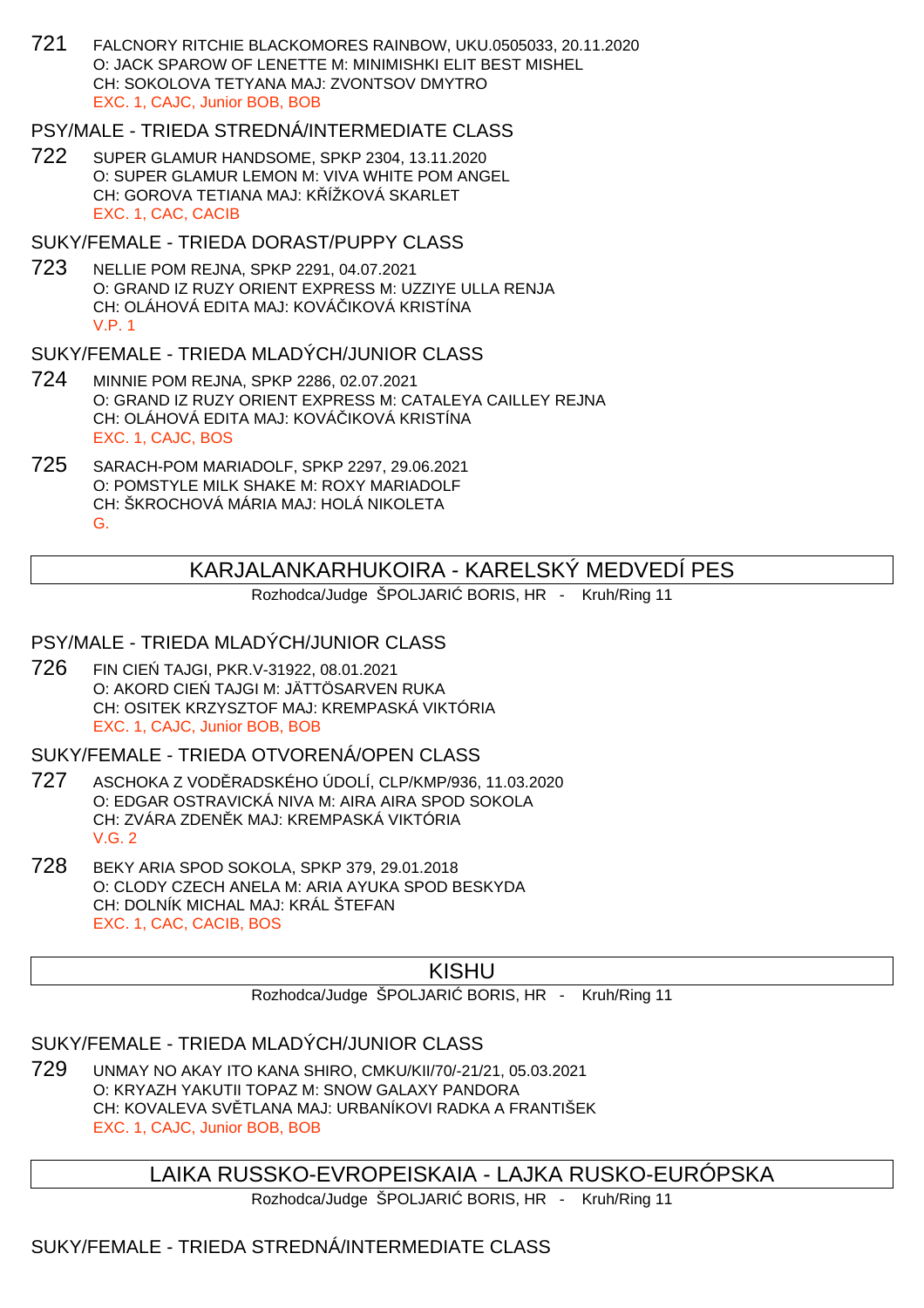721 FALCNORY RITCHIE BLACKOMORES RAINBOW, UKU.0505033, 20.11.2020 O: JACK SPAROW OF LENETTE M: MINIMISHKI ELIT BEST MISHEL CH: SOKOLOVA TETYANA MAJ: ZVONTSOV DMYTRO EXC. 1, CAJC, Junior BOB, BOB

# PSY/MALE - TRIEDA STREDNÁ/INTERMEDIATE CLASS

722 SUPER GLAMUR HANDSOME, SPKP 2304, 13.11.2020 O: SUPER GLAMUR LEMON M: VIVA WHITE POM ANGEL CH: GOROVA TETIANA MAJ: K ÍŽKOVÁ SKARLET EXC. 1, CAC, CACIB

#### SUKY/FEMALE - TRIEDA DORAST/PUPPY CLASS

723 NELLIE POM REJNA, SPKP 2291, 04.07.2021 O: GRAND IZ RUZY ORIENT EXPRESS M: UZZIYE ULLA RENJA CH: OLÁHOVÁ EDITA MAJ: KOVÁ IKOVÁ KRISTÍNA V.P. 1

# SUKY/FEMALE - TRIEDA MLADÝCH/JUNIOR CLASS

- 724 MINNIE POM REJNA, SPKP 2286, 02.07.2021 O: GRAND IZ RUZY ORIENT EXPRESS M: CATALEYA CAILLEY REJNA CH: OLÁHOVÁ EDITA MAJ: KOVÁ IKOVÁ KRISTÍNA EXC. 1, CAJC, BOS
- 725 SARACH-POM MARIADOLF, SPKP 2297, 29.06.2021 O: POMSTYLE MILK SHAKE M: ROXY MARIADOLF CH: ŠKROCHOVÁ MÁRIA MAJ: HOLÁ NIKOLETA G.

# KARJALANKARHUKOIRA - KARELSKÝ MEDVEDÍ PES

Rozhodca/Judge ŠPOLJARI BORIS, HR - Kruh/Ring 11

# PSY/MALE - TRIEDA MLADÝCH/JUNIOR CLASS

726 FIN CIEŃ TAJGI, PKR.V-31922, 08.01.2021 O: AKORD CIE TAJGI M: JÄTTÖSARVEN RUKA CH: OSITEK KRZYSZTOF MAJ: KREMPASKÁ VIKTÓRIA EXC. 1, CAJC, Junior BOB, BOB

SUKY/FEMALE - TRIEDA OTVORENÁ/OPEN CLASS

- 727 ASCHOKA Z VODĚRADSKÉHO ÚDOLÍ, CLP/KMP/936, 11.03.2020 O: EDGAR OSTRAVICKÁ NIVA M: AIRA AIRA SPOD SOKOLA CH: ZVÁRA ZDEN K MAJ: KREMPASKÁ VIKTÓRIA V.G. 2
- 728 BEKY ARIA SPOD SOKOLA, SPKP 379, 29.01.2018 O: CLODY CZECH ANELA M: ARIA AYUKA SPOD BESKYDA CH: DOLNÍK MICHAL MAJ: KRÁL ŠTEFAN EXC. 1, CAC, CACIB, BOS

# KISHU

Rozhodca/Judge ŠPOLJARI BORIS, HR - Kruh/Ring 11

## SUKY/FEMALE - TRIEDA MLADÝCH/JUNIOR CLASS

729 UNMAY NO AKAY ITO KANA SHIRO, CMKU/KII/70/-21/21, 05.03.2021 O: KRYAZH YAKUTII TOPAZ M: SNOW GALAXY PANDORA CH: KOVALEVA SV TLANA MAJ: URBANÍKOVI RADKA A FRANTIŠEK EXC. 1, CAJC, Junior BOB, BOB

LAIKA RUSSKO-EVROPEISKAIA - LAJKA RUSKO-EURÓPSKA

Rozhodca/Judge ŠPOLJARI BORIS, HR - Kruh/Ring 11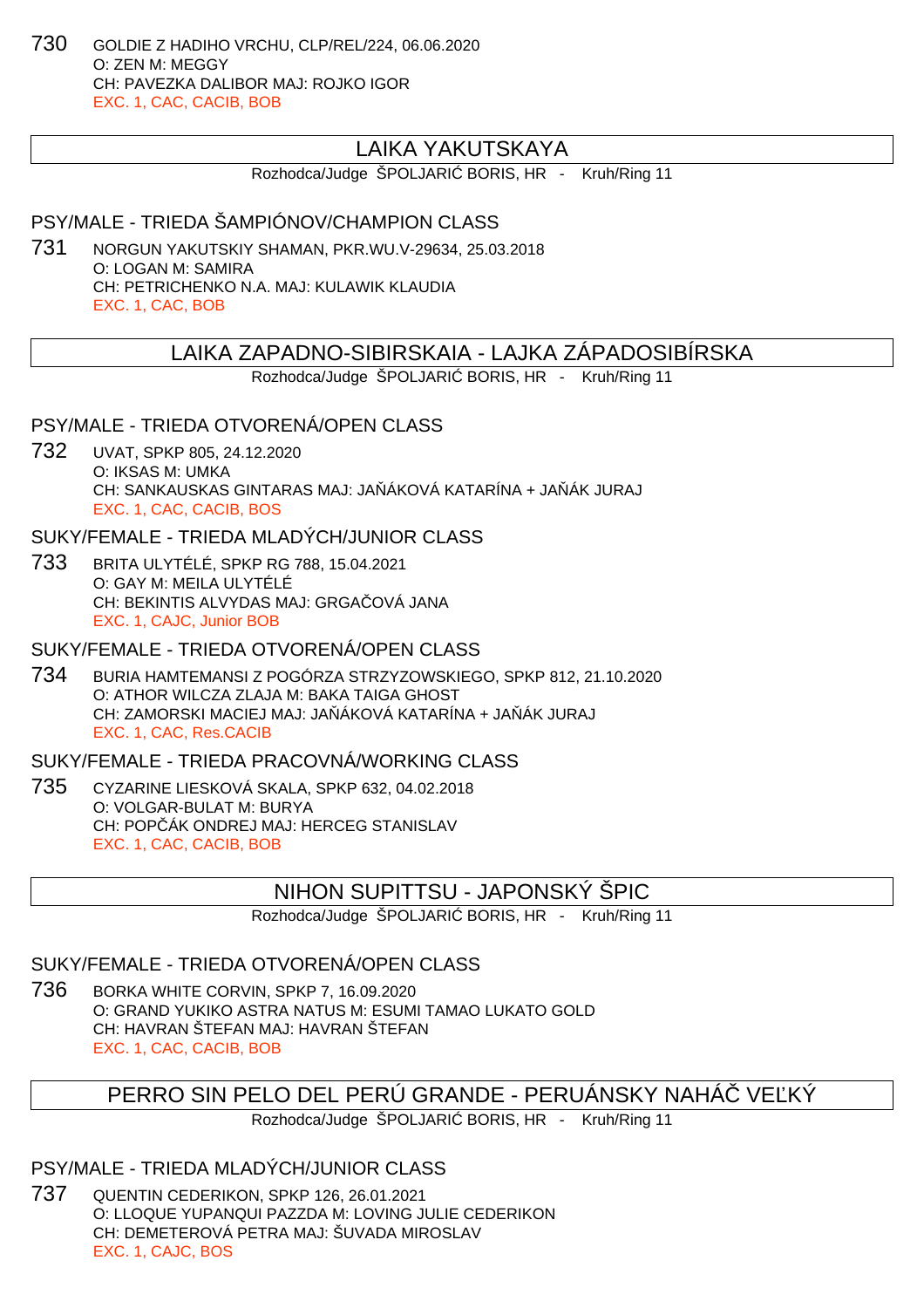730 GOLDIE Z HADIHO VRCHU, CLP/REL/224, 06.06.2020 O: ZEN M: MEGGY CH: PAVEZKA DALIBOR MAJ: ROJKO IGOR EXC. 1, CAC, CACIB, BOB

# LAIKA YAKUTSKAYA

Rozhodca/Judge ŠPOLJARI BORIS, HR - Kruh/Ring 11

#### PSY/MALE - TRIEDA ŠAMPIÓNOV/CHAMPION CLASS

731 NORGUN YAKUTSKIY SHAMAN, PKR.WU.V-29634, 25.03.2018 O: LOGAN M: SAMIRA CH: PETRICHENKO N.A. MAJ: KULAWIK KLAUDIA EXC. 1, CAC, BOB

#### LAIKA ZAPADNO-SIBIRSKAIA - LAJKA ZÁPADOSIBÍRSKA

Rozhodca/Judge ŠPOLJARI BORIS, HR - Kruh/Ring 11

PSY/MALE - TRIEDA OTVORENÁ/OPEN CLASS

732 UVAT, SPKP 805, 24.12.2020 O: IKSAS M: UMKA CH: SANKAUSKAS GINTARAS MAJ: JA ÁKOVÁ KATARÍNA + JA ÁK JURAJ EXC. 1, CAC, CACIB, BOS

SUKY/FEMALE - TRIEDA MLADÝCH/JUNIOR CLASS

733 BRITA ULYTÉLÉ, SPKP RG 788, 15.04.2021 O: GAY M: MEILA ULYTÉLÉ CH: BEKINTIS ALVYDAS MAJ: GRGA OVÁ JANA EXC. 1, CAJC, Junior BOB

SUKY/FEMALE - TRIEDA OTVORENÁ/OPEN CLASS

734 BURIA HAMTEMANSI Z POGÓRZA STRZYZOWSKIEGO, SPKP 812, 21.10.2020 O: ATHOR WILCZA ZLAJA M: BAKA TAIGA GHOST CH: ZAMORSKI MACIEJ MAJ: JA ÁKOVÁ KATARÍNA + JA ÁK JURAJ EXC. 1, CAC, Res.CACIB

SUKY/FEMALE - TRIEDA PRACOVNÁ/WORKING CLASS

735 CYZARINE LIESKOVÁ SKALA, SPKP 632, 04.02.2018 O: VOLGAR-BULAT M: BURYA CH: POP ÁK ONDREJ MAJ: HERCEG STANISLAV EXC. 1, CAC, CACIB, BOB

## NIHON SUPITTSU - JAPONSKÝ ŠPIC

Rozhodca/Judge ŠPOLJARI BORIS, HR - Kruh/Ring 11

#### SUKY/FEMALE - TRIEDA OTVORENÁ/OPEN CLASS

736 BORKA WHITE CORVIN, SPKP 7, 16.09.2020 O: GRAND YUKIKO ASTRA NATUS M: ESUMI TAMAO LUKATO GOLD CH: HAVRAN ŠTEFAN MAJ: HAVRAN ŠTEFAN EXC. 1, CAC, CACIB, BOB

## PERRO SIN PELO DEL PERÚ GRANDE - PERUÁNSKY NAHÁ VE KÝ

Rozhodca/Judge ŠPOLJARI BORIS, HR - Kruh/Ring 11

## PSY/MALE - TRIEDA MLADÝCH/JUNIOR CLASS

737 QUENTIN CEDERIKON, SPKP 126, 26.01.2021 O: LLOQUE YUPANQUI PAZZDA M: LOVING JULIE CEDERIKON CH: DEMETEROVÁ PETRA MAJ: ŠUVADA MIROSLAV EXC. 1, CAJC, BOS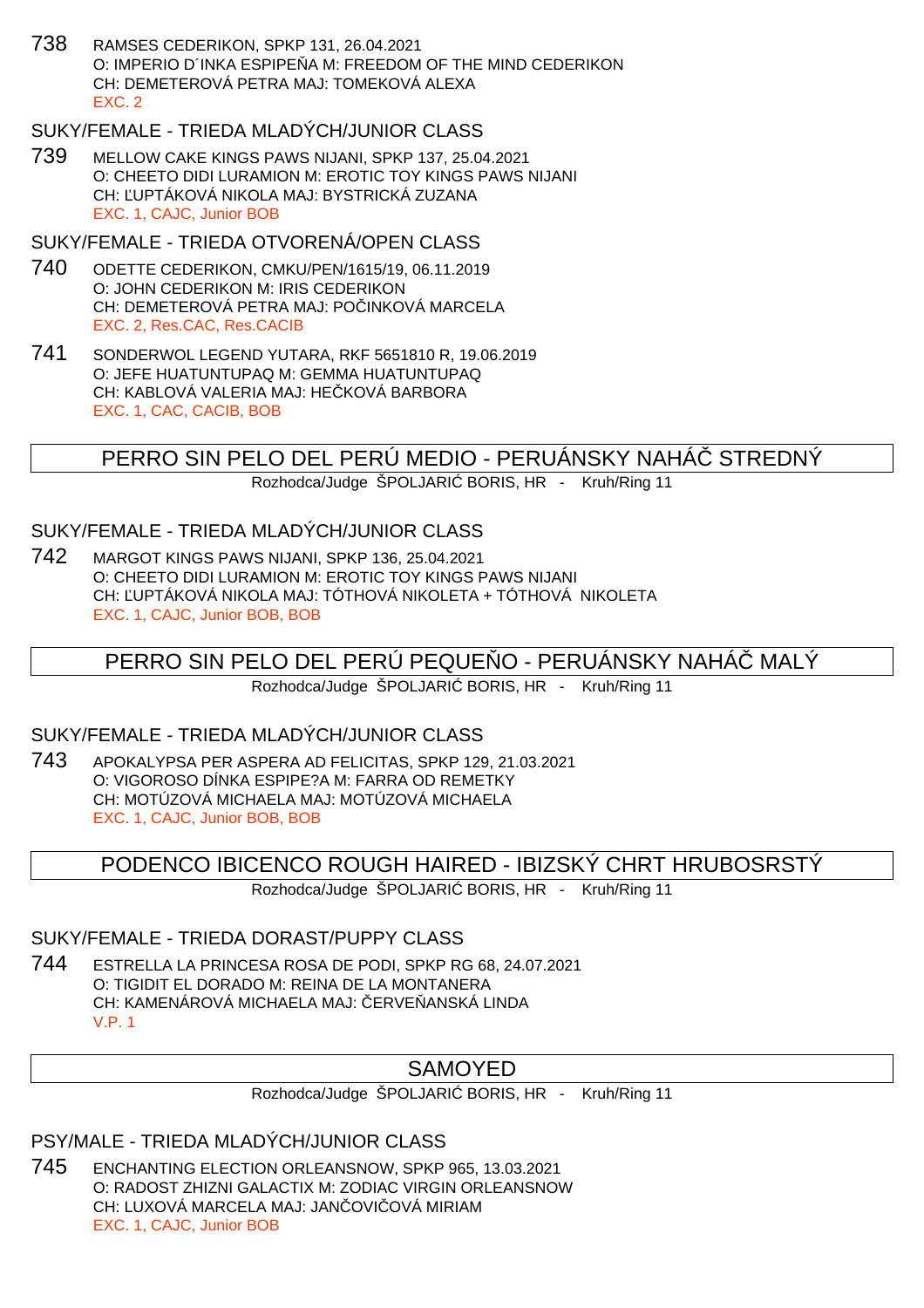738 RAMSES CEDERIKON, SPKP 131, 26.04.2021 O: IMPERIO D'INKA ESPIPE A M: FREEDOM OF THE MIND CEDERIKON CH: DEMETEROVÁ PETRA MAJ: TOMEKOVÁ ALEXA EXC. 2

# SUKY/FEMALE - TRIEDA MLADÝCH/JUNIOR CLASS

739 MELLOW CAKE KINGS PAWS NIJANI, SPKP 137, 25.04.2021 O: CHEETO DIDI LURAMION M: EROTIC TOY KINGS PAWS NIJANI CH: UPTÁKOVÁ NIKOLA MAJ: BYSTRICKÁ ZUZANA EXC. 1, CAJC, Junior BOB

#### SUKY/FEMALE - TRIEDA OTVORENÁ/OPEN CLASS

- 740 ODETTE CEDERIKON, CMKU/PEN/1615/19, 06.11.2019 O: JOHN CEDERIKON M: IRIS CEDERIKON CH: DEMETEROVÁ PETRA MAJ: PO INKOVÁ MARCELA EXC. 2, Res.CAC, Res.CACIB
- 741 SONDERWOL LEGEND YUTARA, RKF 5651810 R, 19.06.2019 O: JEFE HUATUNTUPAQ M: GEMMA HUATUNTUPAQ CH: KABLOVÁ VALERIA MAJ: HE KOVÁ BARBORA EXC. 1, CAC, CACIB, BOB

PERRO SIN PELO DEL PERÚ MEDIO - PERUÁNSKY NAHÁČ STREDNÝ

Rozhodca/Judge ŠPOLJARI BORIS, HR - Kruh/Ring 11

#### SUKY/FEMALE - TRIEDA MLADÝCH/JUNIOR CLASS

742 MARGOT KINGS PAWS NIJANI, SPKP 136, 25.04.2021 O: CHEETO DIDI LURAMION M: EROTIC TOY KINGS PAWS NIJANI CH: ĽUPTÁKOVÁ NIKOLA MAJ: TÓTHOVÁ NIKOLETA + TÓTHOVÁ NIKOLETA EXC. 1, CAJC, Junior BOB, BOB

# PERRO SIN PELO DEL PERÚ PEQUE O - PERUÁNSKY NAHÁ MALÝ

Rozhodca/Judge ŠPOLJARI BORIS, HR - Kruh/Ring 11

#### SUKY/FEMALE - TRIEDA MLADÝCH/JUNIOR CLASS

743 APOKALYPSA PER ASPERA AD FELICITAS, SPKP 129, 21.03.2021 O: VIGOROSO DÍNKA ESPIPE?A M: FARRA OD REMETKY CH: MOTÚZOVÁ MICHAELA MAJ: MOTÚZOVÁ MICHAELA EXC. 1, CAJC, Junior BOB, BOB

## PODENCO IBICENCO ROUGH HAIRED - IBIZSKÝ CHRT HRUBOSRSTÝ

Rozhodca/Judge ŠPOLJARI BORIS, HR - Kruh/Ring 11

#### SUKY/FEMALE - TRIEDA DORAST/PUPPY CLASS

744 ESTRELLA LA PRINCESA ROSA DE PODI, SPKP RG 68, 24.07.2021 O: TIGIDIT EL DORADO M: REINA DE LA MONTANERA CH: KAMENÁROVÁ MICHAELA MAJ: ERVE ANSKÁ LINDA V.P. 1

# SAMOYED

Rozhodca/Judge ŠPOLJARI BORIS, HR - Kruh/Ring 11

## PSY/MALE - TRIEDA MLADÝCH/JUNIOR CLASS

745 ENCHANTING ELECTION ORLEANSNOW, SPKP 965, 13.03.2021 O: RADOST ZHIZNI GALACTIX M: ZODIAC VIRGIN ORLEANSNOW CH: LUXOVÁ MARCELA MAJ: JAN OVI OVÁ MIRIAM EXC. 1, CAJC, Junior BOB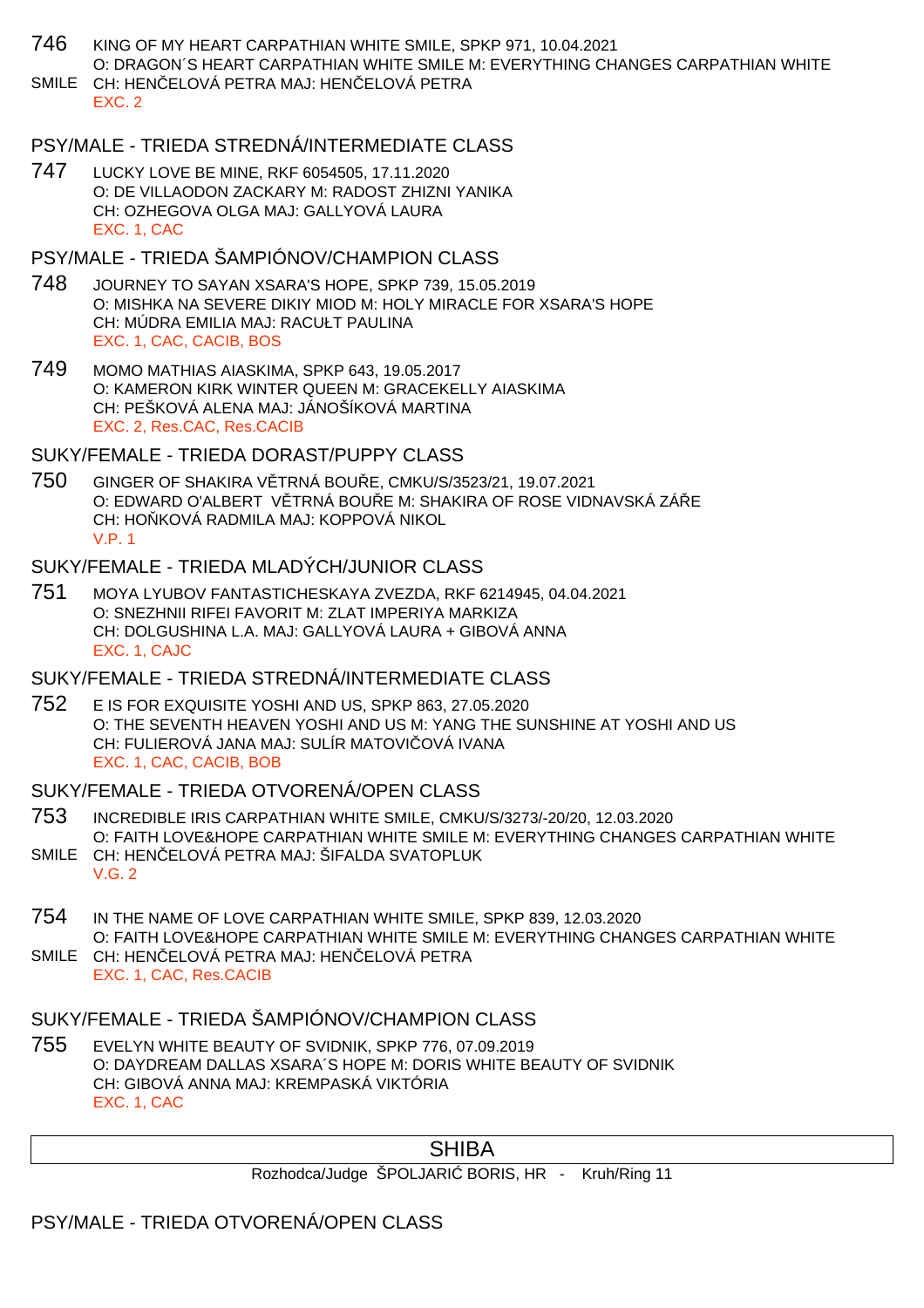- 746 KING OF MY HEART CARPATHIAN WHITE SMILE, SPKP 971, 10.04.2021 O: DRAGON´S HEART CARPATHIAN WHITE SMILE M: EVERYTHING CHANGES CARPATHIAN WHITE SMILE CH: HEN ELOVÁ PETRA MAJ: HEN ELOVÁ PETRA
	- EXC. 2

## PSY/MALE - TRIEDA STREDNÁ/INTERMEDIATE CLASS

747 LUCKY LOVE BE MINE, RKF 6054505, 17.11.2020 O: DE VILLAODON ZACKARY M: RADOST ZHIZNI YANIKA CH: OZHEGOVA OLGA MAJ: GALLYOVÁ LAURA EXC. 1, CAC

## PSY/MALE - TRIEDA ŠAMPIÓNOV/CHAMPION CLASS

- 748 JOURNEY TO SAYAN XSARA'S HOPE, SPKP 739, 15.05.2019 O: MISHKA NA SEVERE DIKIY MIOD M: HOLY MIRACLE FOR XSARA'S HOPE CH: MÚDRA EMILIA MAJ: RACUŁT PAULINA EXC. 1, CAC, CACIB, BOS
- 749 MOMO MATHIAS AIASKIMA, SPKP 643, 19.05.2017 O: KAMERON KIRK WINTER QUEEN M: GRACEKELLY AIASKIMA CH: PEŠKOVÁ ALENA MAJ: JÁNOŠÍKOVÁ MARTINA EXC. 2, Res.CAC, Res.CACIB

SUKY/FEMALE - TRIEDA DORAST/PUPPY CLASS

750 GINGER OF SHAKIRA VĚTRNÁ BOUŘE, CMKU/S/3523/21, 19.07.2021 O: EDWARD O'ALBERT V TRNÁ BOU E M: SHAKIRA OF ROSE VIDNAVSKÁ ZÁ E CH: HO KOVÁ RADMILA MAJ: KOPPOVÁ NIKOL V.P. 1

## SUKY/FEMALE - TRIEDA MLADÝCH/JUNIOR CLASS

751 MOYA LYUBOV FANTASTICHESKAYA ZVEZDA, RKF 6214945, 04.04.2021 O: SNEZHNII RIFEI FAVORIT M: ZLAT IMPERIYA MARKIZA CH: DOLGUSHINA L.A. MAJ: GALLYOVÁ LAURA + GIBOVÁ ANNA EXC. 1, CAJC

## SUKY/FEMALE - TRIEDA STREDNÁ/INTERMEDIATE CLASS

752 E IS FOR EXQUISITE YOSHI AND US, SPKP 863, 27.05.2020 O: THE SEVENTH HEAVEN YOSHI AND US M: YANG THE SUNSHINE AT YOSHI AND US CH: FULIEROVÁ JANA MAJ: SULÍR MATOVI OVÁ IVANA EXC. 1, CAC, CACIB, BOB

#### SUKY/FEMALE - TRIEDA OTVORENÁ/OPEN CLASS

- 753 INCREDIBLE IRIS CARPATHIAN WHITE SMILE, CMKU/S/3273/-20/20, 12.03.2020 O: FAITH LOVE&HOPE CARPATHIAN WHITE SMILE M: EVERYTHING CHANGES CARPATHIAN WHITE
- SMILE CH: HEN ELOVÁ PETRA MAJ: ŠIFALDA SVATOPLUK V.G. 2
- 754 IN THE NAME OF LOVE CARPATHIAN WHITE SMILE, SPKP 839, 12.03.2020 O: FAITH LOVE&HOPE CARPATHIAN WHITE SMILE M: EVERYTHING CHANGES CARPATHIAN WHITE SMILE CH: HEN ELOVÁ PETRA MAJ: HEN ELOVÁ PETRA
	- EXC. 1, CAC, Res.CACIB

## SUKY/FEMALE - TRIEDA ŠAMPIÓNOV/CHAMPION CLASS

755 EVELYN WHITE BEAUTY OF SVIDNIK, SPKP 776, 07.09.2019 O: DAYDREAM DALLAS XSARA´S HOPE M: DORIS WHITE BEAUTY OF SVIDNIK CH: GIBOVÁ ANNA MAJ: KREMPASKÁ VIKTÓRIA EXC. 1, CAC

# **SHIBA**

Rozhodca/Judge ŠPOLJARI BORIS, HR - Kruh/Ring 11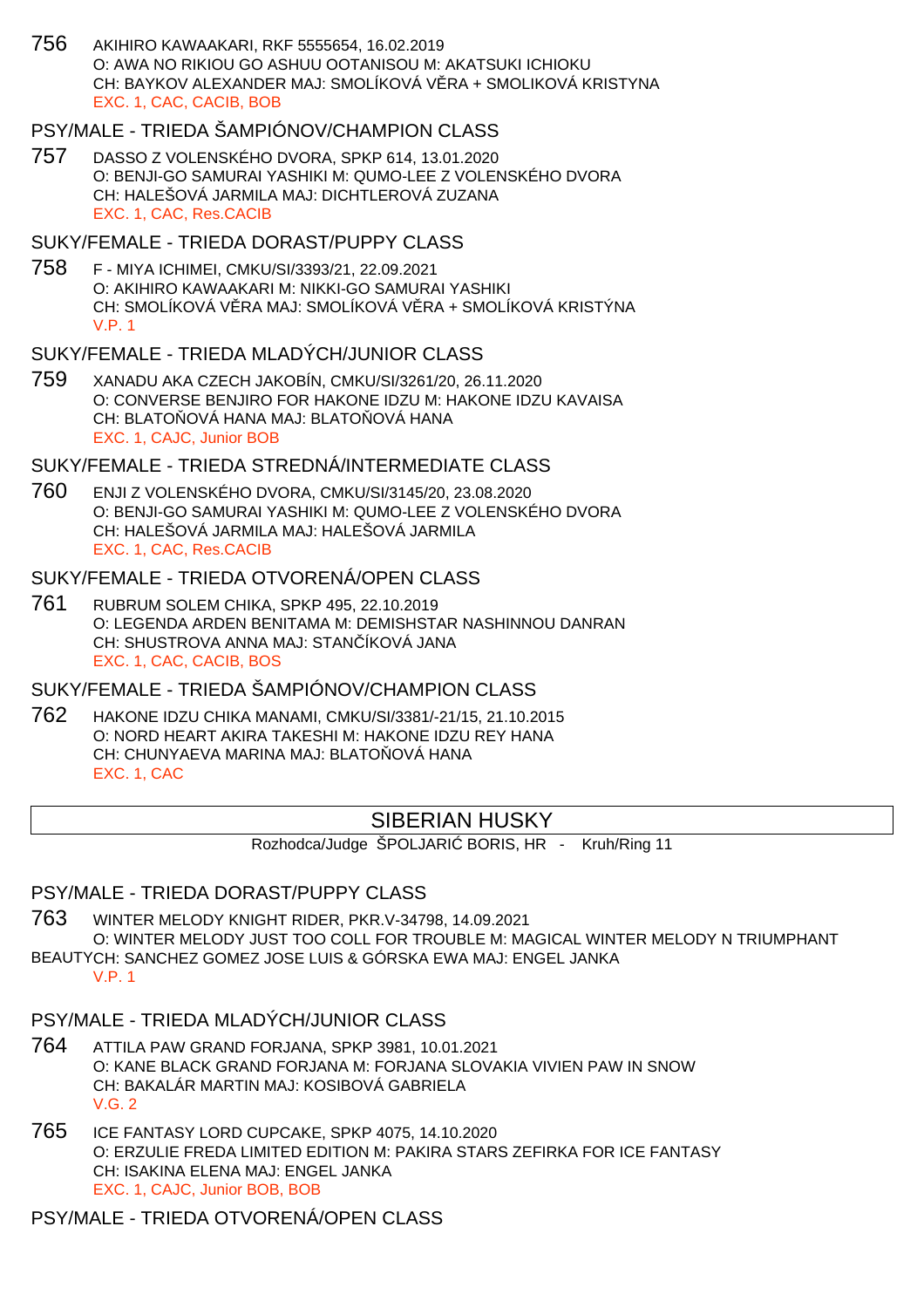756 AKIHIRO KAWAAKARI, RKF 5555654, 16.02.2019 O: AWA NO RIKIOU GO ASHUU OOTANISOU M: AKATSUKI ICHIOKU CH: BAYKOV ALEXANDER MAJ: SMOLÍKOVÁ V. RA + SMOLIKOVÁ KRISTYNA EXC. 1, CAC, CACIB, BOB

## PSY/MALE - TRIEDA ŠAMPIÓNOV/CHAMPION CLASS

757 DASSO Z VOLENSKÉHO DVORA, SPKP 614, 13.01.2020 O: BENJI-GO SAMURAI YASHIKI M: QUMO-LEE Z VOLENSKÉHO DVORA CH: HALEŠOVÁ JARMILA MAJ: DICHTLEROVÁ ZUZANA EXC. 1, CAC, Res.CACIB

#### SUKY/FEMALE - TRIEDA DORAST/PUPPY CLASS

758 F - MIYA ICHIMEI, CMKU/SI/3393/21, 22.09.2021 O: AKIHIRO KAWAAKARI M: NIKKI-GO SAMURAI YASHIKI CH: SMOLÍKOVÁ V RA MAJ: SMOLÍKOVÁ V RA + SMOLÍKOVÁ KRISTÝNA V.P. 1

## SUKY/FEMALE - TRIEDA MLADÝCH/JUNIOR CLASS

759 XANADU AKA CZECH JAKOBÍN, CMKU/SI/3261/20, 26.11.2020 O: CONVERSE BENJIRO FOR HAKONE IDZU M: HAKONE IDZU KAVAISA CH: BLATO OVÁ HANA MAJ: BLATO OVÁ HANA EXC. 1, CAJC, Junior BOB

#### SUKY/FEMALE - TRIEDA STREDNÁ/INTERMEDIATE CLASS

760 ENJI Z VOLENSKÉHO DVORA, CMKU/SI/3145/20, 23.08.2020 O: BENJI-GO SAMURAI YASHIKI M: QUMO-LEE Z VOLENSKÉHO DVORA CH: HALEŠOVÁ JARMILA MAJ: HALEŠOVÁ JARMILA EXC. 1, CAC, Res.CACIB

#### SUKY/FEMALE - TRIEDA OTVORENÁ/OPEN CLASS

761 RUBRUM SOLEM CHIKA, SPKP 495, 22.10.2019 O: LEGENDA ARDEN BENITAMA M: DEMISHSTAR NASHINNOU DANRAN CH: SHUSTROVA ANNA MAJ: STAN ÍKOVÁ JANA EXC. 1, CAC, CACIB, BOS

#### SUKY/FEMALE - TRIEDA ŠAMPIÓNOV/CHAMPION CLASS

762 HAKONE IDZU CHIKA MANAMI, CMKU/SI/3381/-21/15, 21.10.2015 O: NORD HEART AKIRA TAKESHI M: HAKONE IDZU REY HANA CH: CHUNYAEVA MARINA MAJ: BLATO OVÁ HANA EXC. 1, CAC

#### SIBERIAN HUSKY

Rozhodca/Judge ŠPOLJARI BORIS, HR - Kruh/Ring 11

#### PSY/MALE - TRIEDA DORAST/PUPPY CLASS

- 763 WINTER MELODY KNIGHT RIDER, PKR.V-34798, 14.09.2021 O: WINTER MELODY JUST TOO COLL FOR TROUBLE M: MAGICAL WINTER MELODY N TRIUMPHANT BEAUTYCH: SANCHEZ GOMEZ JOSE LUIS & GÓRSKA EWA MAJ: ENGEL JANKA
	- V.P. 1

#### PSY/MALE - TRIEDA MLADÝCH/JUNIOR CLASS

- 764 ATTILA PAW GRAND FORJANA, SPKP 3981, 10.01.2021 O: KANE BLACK GRAND FORJANA M: FORJANA SLOVAKIA VIVIEN PAW IN SNOW CH: BAKALÁR MARTIN MAJ: KOSIBOVÁ GABRIELA V.G. 2
- 765 ICE FANTASY LORD CUPCAKE, SPKP 4075, 14.10.2020 O: ERZULIE FREDA LIMITED EDITION M: PAKIRA STARS ZEFIRKA FOR ICE FANTASY CH: ISAKINA ELENA MAJ: ENGEL JANKA EXC. 1, CAJC, Junior BOB, BOB

PSY/MALE - TRIEDA OTVORENÁ/OPEN CLASS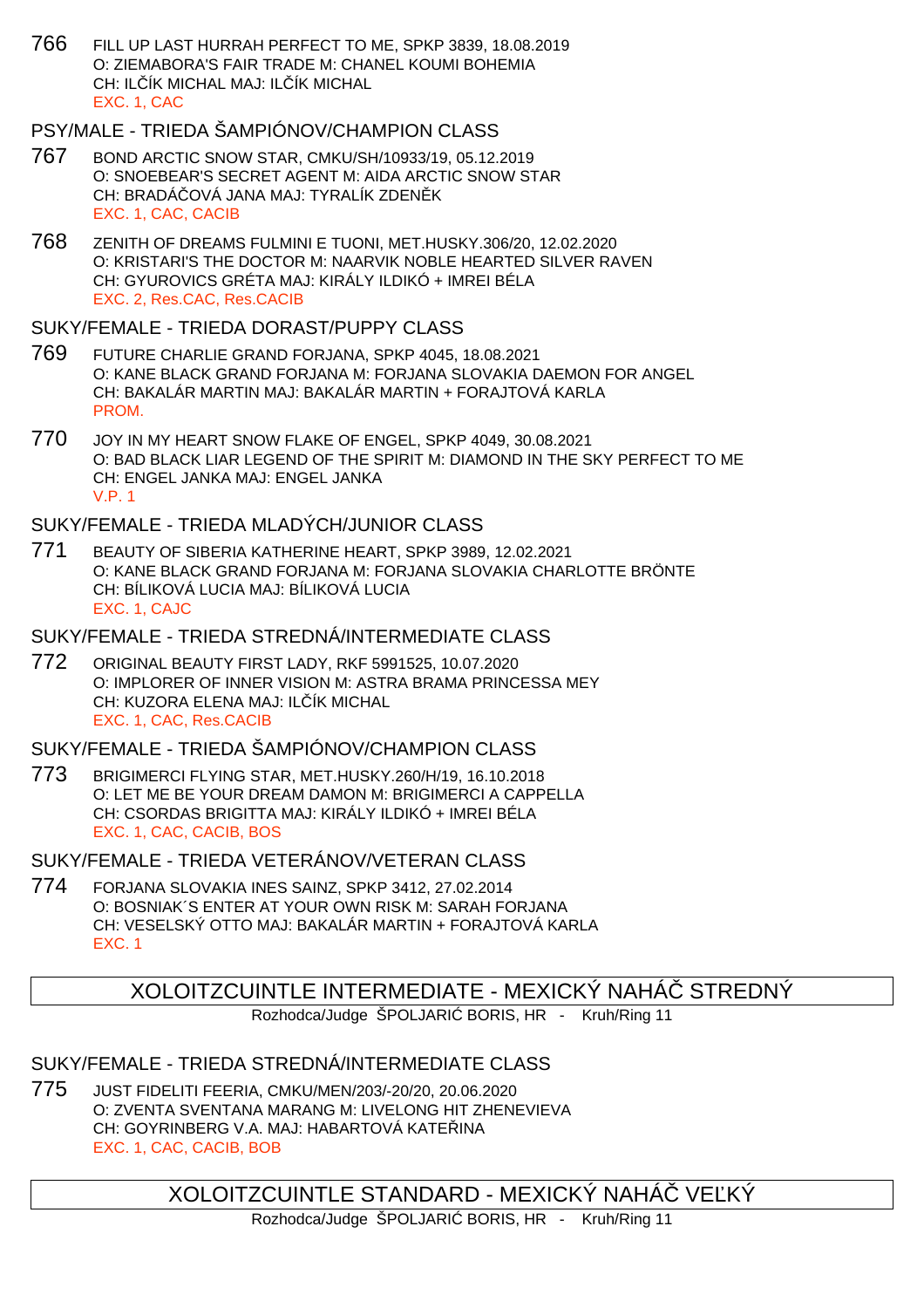766 FILL UP LAST HURRAH PERFECT TO ME, SPKP 3839, 18.08.2019 O: ZIEMABORA'S FAIR TRADE M: CHANEL KOUMI BOHEMIA CH: IL ÍK MICHAL MAJ: IL ÍK MICHAL EXC. 1, CAC

# PSY/MALE - TRIEDA ŠAMPIÓNOV/CHAMPION CLASS

- 767 BOND ARCTIC SNOW STAR, CMKU/SH/10933/19, 05.12.2019 O: SNOEBEAR'S SECRET AGENT M: AIDA ARCTIC SNOW STAR CH: BRADÁ OVÁ JANA MAJ: TYRALÍK ZDEN K EXC. 1, CAC, CACIB
- 768 ZENITH OF DREAMS FULMINI E TUONI, MET.HUSKY.306/20, 12.02.2020 O: KRISTARI'S THE DOCTOR M: NAARVIK NOBLE HEARTED SILVER RAVEN CH: GYUROVICS GRÉTA MAJ: KIRÁLY ILDIKÓ + IMREI BÉLA EXC. 2, Res.CAC, Res.CACIB

#### SUKY/FEMALE - TRIEDA DORAST/PUPPY CLASS

- 769 FUTURE CHARLIE GRAND FORJANA, SPKP 4045, 18.08.2021 O: KANE BLACK GRAND FORJANA M: FORJANA SLOVAKIA DAEMON FOR ANGEL CH: BAKALÁR MARTIN MAJ: BAKALÁR MARTIN + FORAJTOVÁ KARLA PROM.
- 770 JOY IN MY HEART SNOW FLAKE OF ENGEL, SPKP 4049, 30.08.2021 O: BAD BLACK LIAR LEGEND OF THE SPIRIT M: DIAMOND IN THE SKY PERFECT TO ME CH: ENGEL JANKA MAJ: ENGEL JANKA V.P. 1

## SUKY/FEMALE - TRIEDA MLADÝCH/JUNIOR CLASS

771 BEAUTY OF SIBERIA KATHERINE HEART, SPKP 3989, 12.02.2021 O: KANE BLACK GRAND FORJANA M: FORJANA SLOVAKIA CHARLOTTE BRÖNTE CH: BÍLIKOVÁ LUCIA MAJ: BÍLIKOVÁ LUCIA EXC. 1, CAJC

#### SUKY/FEMALE - TRIEDA STREDNÁ/INTERMEDIATE CLASS

772 ORIGINAL BEAUTY FIRST LADY, RKF 5991525, 10.07.2020 O: IMPLORER OF INNER VISION M: ASTRA BRAMA PRINCESSA MEY CH: KUZORA ELENA MAJ: IL ÍK MICHAL EXC. 1, CAC, Res.CACIB

## SUKY/FEMALE - TRIEDA ŠAMPIÓNOV/CHAMPION CLASS

773 BRIGIMERCI FLYING STAR, MET.HUSKY.260/H/19, 16.10.2018 O: LET ME BE YOUR DREAM DAMON M: BRIGIMERCI A CAPPELLA CH: CSORDAS BRIGITTA MAJ: KIRÁLY ILDIKÓ + IMREI BÉLA EXC. 1, CAC, CACIB, BOS

SUKY/FEMALE - TRIEDA VETERÁNOV/VETERAN CLASS

774 FORJANA SLOVAKIA INES SAINZ, SPKP 3412, 27.02.2014 O: BOSNIAK´S ENTER AT YOUR OWN RISK M: SARAH FORJANA CH: VESELSKÝ OTTO MAJ: BAKALÁR MARTIN + FORAJTOVÁ KARLA EXC. 1

# XOLOITZCUINTLE INTERMEDIATE - MEXICKÝ NAHÁČ STREDNÝ

Rozhodca/Judge ŠPOLJARI BORIS, HR - Kruh/Ring 11

### SUKY/FEMALE - TRIEDA STREDNÁ/INTERMEDIATE CLASS

775 JUST FIDELITI FEERIA, CMKU/MEN/203/-20/20, 20.06.2020 O: ZVENTA SVENTANA MARANG M: LIVELONG HIT ZHENEVIEVA CH: GOYRINBERG V.A. MAJ: HABARTOVÁ KATE INA EXC. 1, CAC, CACIB, BOB

XOLOITZCUINTLE STANDARD - MEXICKÝ NAHÁ $\;$  ve KÝ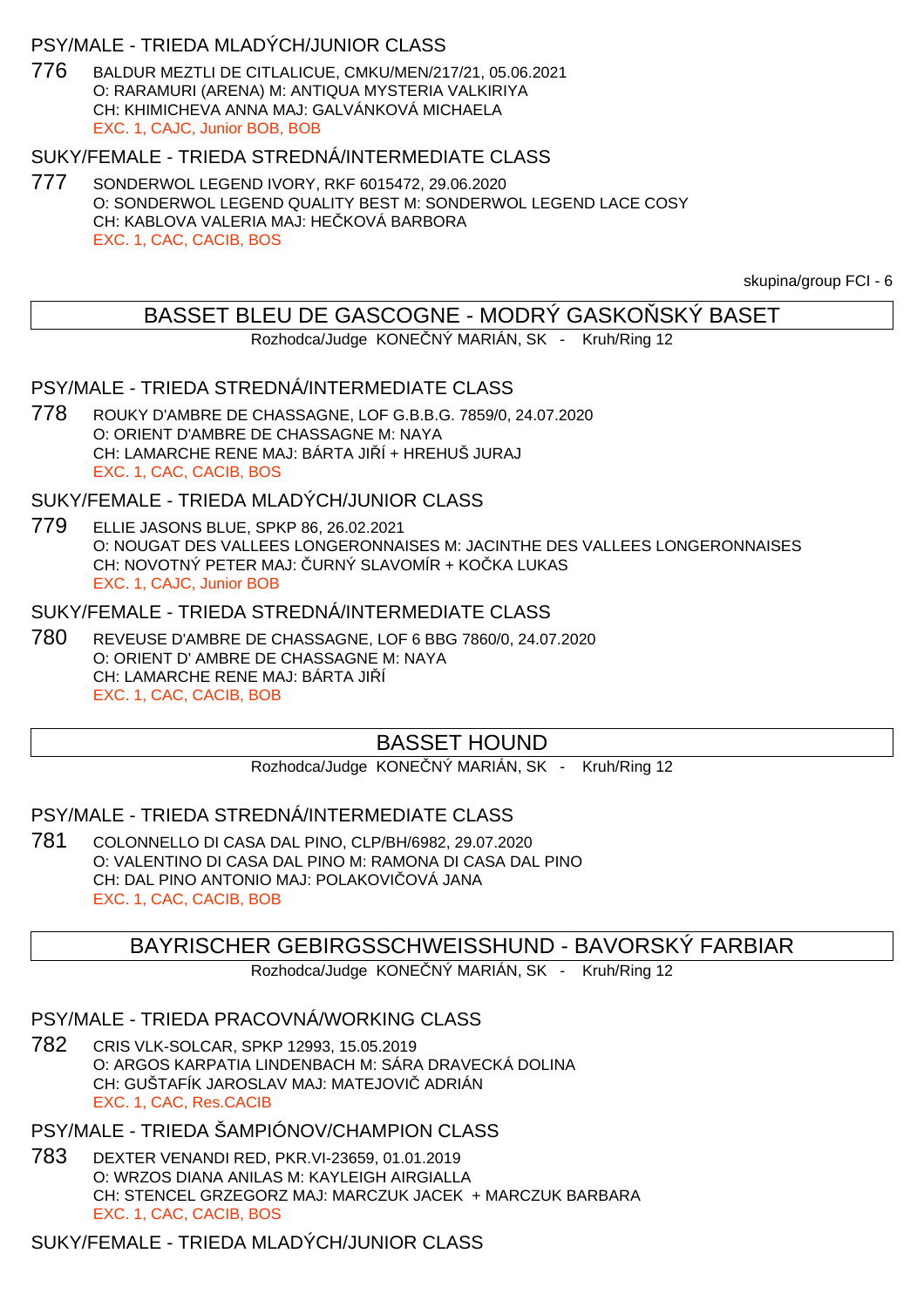## PSY/MALE - TRIEDA MLADÝCH/JUNIOR CLASS

776 BALDUR MEZTLI DE CITLALICUE, CMKU/MEN/217/21, 05.06.2021 O: RARAMURI (ARENA) M: ANTIQUA MYSTERIA VALKIRIYA CH: KHIMICHEVA ANNA MAJ: GALVÁNKOVÁ MICHAELA EXC. 1, CAJC, Junior BOB, BOB

#### SUKY/FEMALE - TRIEDA STREDNÁ/INTERMEDIATE CLASS

777 SONDERWOL LEGEND IVORY, RKF 6015472, 29.06.2020 O: SONDERWOL LEGEND QUALITY BEST M: SONDERWOL LEGEND LACE COSY CH: KABLOVA VALERIA MAJ: HE KOVÁ BARBORA EXC. 1, CAC, CACIB, BOS

skupina/group FCI - 6

#### BASSET BLEU DE GASCOGNE - MODRÝ GASKO SKÝ BASET

Rozhodca/Judge KONE NÝ MARIÁN, SK - Kruh/Ring 12

#### PSY/MALE - TRIEDA STREDNÁ/INTERMEDIATE CLASS

778 ROUKY D'AMBRE DE CHASSAGNE, LOF G.B.B.G. 7859/0, 24.07.2020 O: ORIENT D'AMBRE DE CHASSAGNE M: NAYA CH: LAMARCHE RENE MAJ: BÁRTA JI Í + HREHUŠ JURAJ EXC. 1, CAC, CACIB, BOS

SUKY/FEMALE - TRIEDA MLADÝCH/JUNIOR CLASS

779 ELLIE JASONS BLUE, SPKP 86, 26.02.2021 O: NOUGAT DES VALLEES LONGERONNAISES M: JACINTHE DES VALLEES LONGERONNAISES CH: NOVOTNÝ PETER MAJ: URNÝ SLAVOMÍR + KO KA LUKAS EXC. 1, CAJC, Junior BOB

#### SUKY/FEMALE - TRIEDA STREDNÁ/INTERMEDIATE CLASS

780 REVEUSE D'AMBRE DE CHASSAGNE, LOF 6 BBG 7860/0, 24.07.2020 O: ORIENT D' AMBRE DE CHASSAGNE M: NAYA CH: LAMARCHE RENE MAJ: BÁRTA JI Í EXC. 1, CAC, CACIB, BOB

# BASSET HOUND

Rozhodca/Judge KONE NÝ MARIÁN, SK - Kruh/Ring 12

## PSY/MALE - TRIEDA STREDNÁ/INTERMEDIATE CLASS

781 COLONNELLO DI CASA DAL PINO, CLP/BH/6982, 29.07.2020 O: VALENTINO DI CASA DAL PINO M: RAMONA DI CASA DAL PINO CH: DAL PINO ANTONIO MAJ: POLAKOVI OVÁ JANA EXC. 1, CAC, CACIB, BOB

BAYRISCHER GEBIRGSSCHWEISSHUND - BAVORSKÝ FARBIAR

Rozhodca/Judge KONE NÝ MARIÁN, SK - Kruh/Ring 12

#### PSY/MALE - TRIEDA PRACOVNÁ/WORKING CLASS

782 CRIS VLK-SOLCAR, SPKP 12993, 15.05.2019 O: ARGOS KARPATIA LINDENBACH M: SÁRA DRAVECKÁ DOLINA CH: GUŠTAFÍK JAROSLAV MAJ: MATEJOVIČ ADRIÁN EXC. 1, CAC, Res.CACIB

## PSY/MALE - TRIEDA ŠAMPIÓNOV/CHAMPION CLASS

783 DEXTER VENANDI RED, PKR.VI-23659, 01.01.2019 O: WRZOS DIANA ANILAS M: KAYLEIGH AIRGIALLA CH: STENCEL GRZEGORZ MAJ: MARCZUK JACEK + MARCZUK BARBARA EXC. 1, CAC, CACIB, BOS

## SUKY/FEMALE - TRIEDA MLADÝCH/JUNIOR CLASS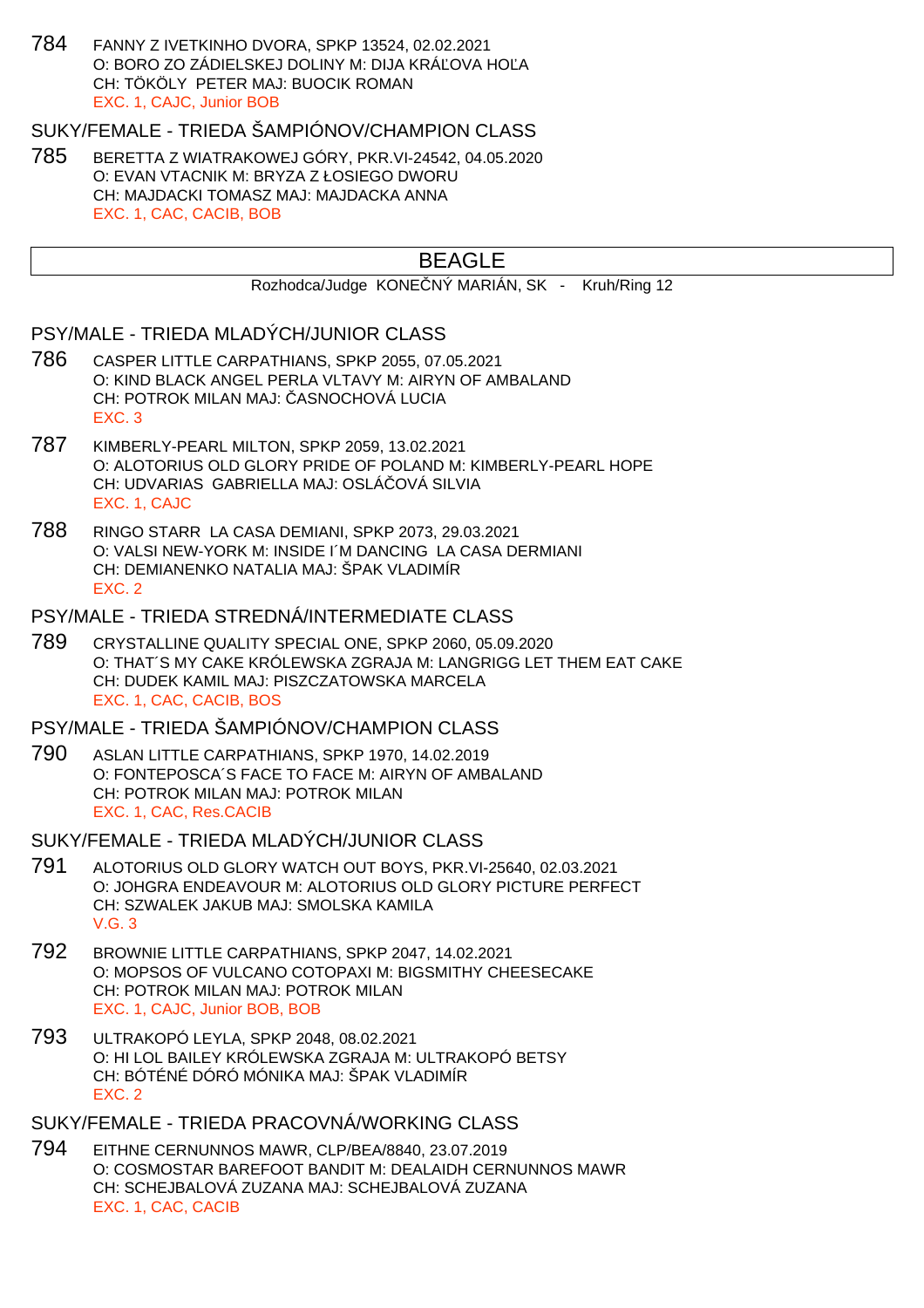784 FANNY Z IVETKINHO DVORA, SPKP 13524, 02.02.2021 O: BORO ZO ZÁDIELSKEJ DOLINY M: DIJA KRÁĽOVA HOĽA CH: TÖKÖLY PETER MAJ: BUOCIK ROMAN EXC. 1, CAJC, Junior BOB

SUKY/FEMALE - TRIEDA ŠAMPIÓNOV/CHAMPION CLASS

785 BERETTA Z WIATRAKOWEJ GÓRY, PKR.VI-24542, 04.05.2020 O: EVAN VTACNIK M: BRYZA Z ŁOSIEGO DWORU CH: MAJDACKI TOMASZ MAJ: MAJDACKA ANNA EXC. 1, CAC, CACIB, BOB

# BEAGLE

Rozhodca/Judge KONE NÝ MARIÁN, SK - Kruh/Ring 12

#### PSY/MALE - TRIEDA MLADÝCH/JUNIOR CLASS

- 786 CASPER LITTLE CARPATHIANS, SPKP 2055, 07.05.2021 O: KIND BLACK ANGEL PERLA VLTAVY M: AIRYN OF AMBALAND CH: POTROK MILAN MAJ: ASNOCHOVÁ LUCIA EXC. 3
- 787 KIMBERLY-PEARL MILTON, SPKP 2059, 13.02.2021 O: ALOTORIUS OLD GLORY PRIDE OF POLAND M: KIMBERLY-PEARL HOPE CH: UDVARIAS GABRIELLA MAJ: OSLÁ OVÁ SILVIA EXC. 1, CAJC
- 788 RINGO STARR LA CASA DEMIANI, SPKP 2073, 29.03.2021 O: VALSI NEW-YORK M: INSIDE I´M DANCING LA CASA DERMIANI CH: DEMIANENKO NATALIA MAJ: ŠPAK VLADIMÍR EXC. 2

#### PSY/MALE - TRIEDA STREDNÁ/INTERMEDIATE CLASS

789 CRYSTALLINE QUALITY SPECIAL ONE, SPKP 2060, 05.09.2020 O: THAT´S MY CAKE KRÓLEWSKA ZGRAJA M: LANGRIGG LET THEM EAT CAKE CH: DUDEK KAMIL MAJ: PISZCZATOWSKA MARCELA EXC. 1, CAC, CACIB, BOS

## PSY/MALE - TRIEDA ŠAMPIÓNOV/CHAMPION CLASS

790 ASLAN LITTLE CARPATHIANS, SPKP 1970, 14.02.2019 O: FONTEPOSCA´S FACE TO FACE M: AIRYN OF AMBALAND CH: POTROK MILAN MAJ: POTROK MILAN EXC. 1, CAC, Res.CACIB

#### SUKY/FEMALE - TRIEDA MLADÝCH/JUNIOR CLASS

- 791 ALOTORIUS OLD GLORY WATCH OUT BOYS, PKR.VI-25640, 02.03.2021 O: JOHGRA ENDEAVOUR M: ALOTORIUS OLD GLORY PICTURE PERFECT CH: SZWALEK JAKUB MAJ: SMOLSKA KAMILA V.G. 3
- 792 BROWNIE LITTLE CARPATHIANS, SPKP 2047, 14.02.2021 O: MOPSOS OF VULCANO COTOPAXI M: BIGSMITHY CHEESECAKE CH: POTROK MILAN MAJ: POTROK MILAN EXC. 1, CAJC, Junior BOB, BOB
- 793 ULTRAKOPÓ LEYLA, SPKP 2048, 08.02.2021 O: HI LOL BAILEY KRÓLEWSKA ZGRAJA M: ULTRAKOPÓ BETSY CH: BÓTÉNÉ DÓRÓ MÓNIKA MAJ: ŠPAK VLADIMÍR EXC. 2

#### SUKY/FEMALE - TRIEDA PRACOVNÁ/WORKING CLASS

794 EITHNE CERNUNNOS MAWR, CLP/BEA/8840, 23.07.2019 O: COSMOSTAR BAREFOOT BANDIT M: DEALAIDH CERNUNNOS MAWR CH: SCHEJBALOVÁ ZUZANA MAJ: SCHEJBALOVÁ ZUZANA EXC. 1, CAC, CACIB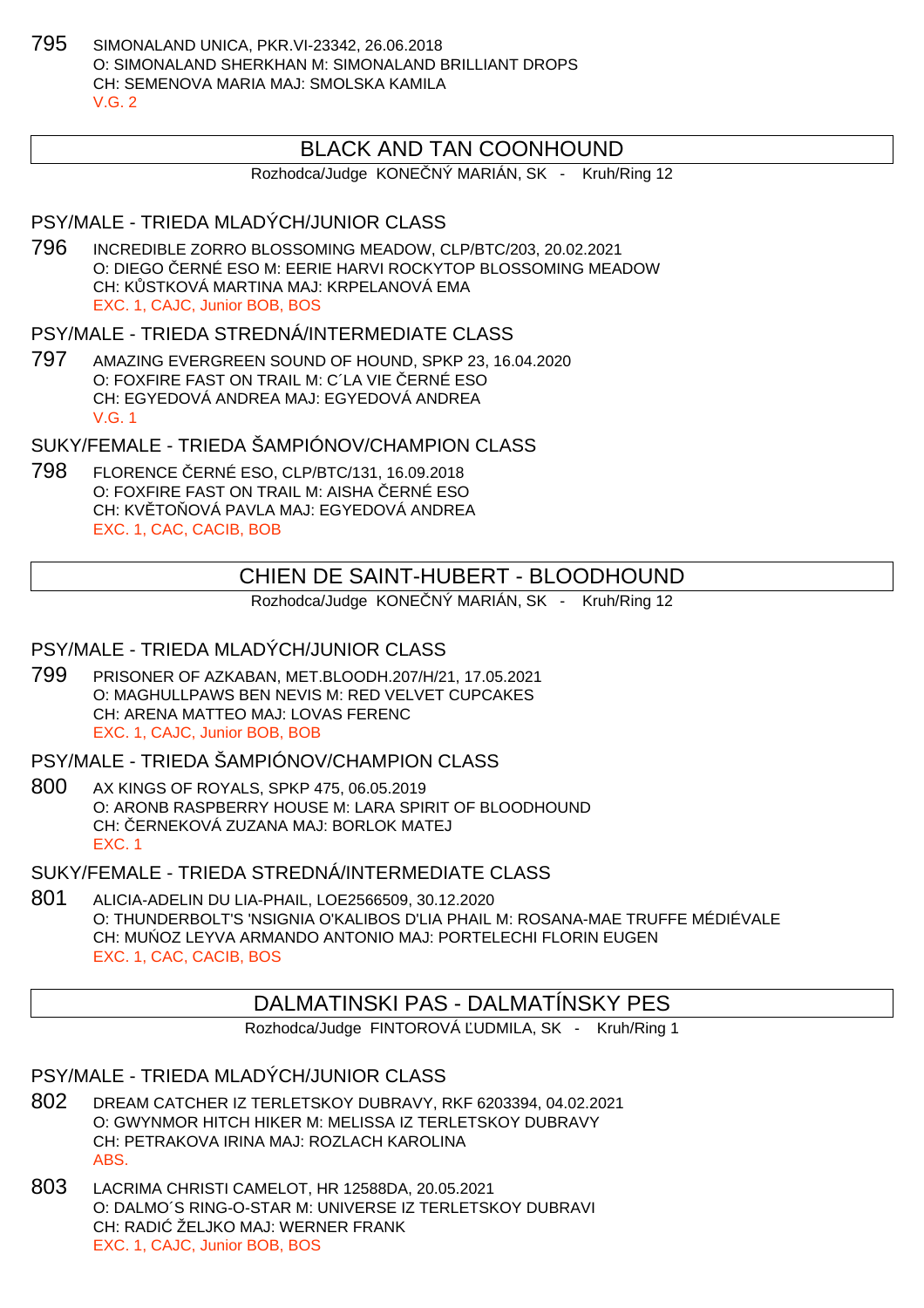795 SIMONALAND UNICA, PKR.VI-23342, 26.06.2018 O: SIMONALAND SHERKHAN M: SIMONALAND BRILLIANT DROPS CH: SEMENOVA MARIA MAJ: SMOLSKA KAMILA  $V$  G  $2$ 

## BLACK AND TAN COONHOUND

Rozhodca/Judge KONE NÝ MARIÁN, SK - Kruh/Ring 12

## PSY/MALE - TRIEDA MLADÝCH/JUNIOR CLASS

796 INCREDIBLE ZORRO BLOSSOMING MEADOW, CLP/BTC/203, 20.02.2021 O: DIEGO ERNÉ ESO M: EERIE HARVI ROCKYTOP BLOSSOMING MEADOW CH: KOSTKOVÁ MARTINA MAJ: KRPELANOVÁ EMA EXC. 1, CAJC, Junior BOB, BOS

PSY/MALE - TRIEDA STREDNÁ/INTERMEDIATE CI ASS

797 AMAZING EVERGREEN SOUND OF HOUND, SPKP 23, 16.04.2020 O: FOXFIRE FAST ON TRAIL M: C'LA VIE ERNÉ ESO CH: EGYEDOVÁ ANDREA MAJ: EGYEDOVÁ ANDREA V.G. 1

SUKY/FEMALE - TRIEDA ŠAMPIÓNOV/CHAMPION CLASS

798 FLORENCE ČERNÉ ESO, CLP/BTC/131, 16.09.2018 O: FOXFIRE FAST ON TRAIL M: AISHA ERNÉ ESO CH: KV TO OVÁ PAVLA MAJ: EGYEDOVÁ ANDREA EXC. 1, CAC, CACIB, BOB

# CHIEN DE SAINT-HUBERT - BLOODHOUND

Rozhodca/Judge KONE NÝ MARIÁN, SK - Kruh/Ring 12

#### PSY/MALE - TRIEDA MLADÝCH/JUNIOR CLASS

799 PRISONER OF AZKABAN, MET.BLOODH.207/H/21, 17.05.2021 O: MAGHULLPAWS BEN NEVIS M: RED VELVET CUPCAKES CH: ARENA MATTEO MAJ: LOVAS FERENC EXC. 1, CAJC, Junior BOB, BOB

PSY/MALE - TRIEDA ŠAMPIÓNOV/CHAMPION CLASS

800 AX KINGS OF ROYALS, SPKP 475, 06.05.2019 O: ARONB RASPBERRY HOUSE M: LARA SPIRIT OF BLOODHOUND CH: ERNEKOVÁ ZUZANA MAJ: BORLOK MATEJ EXC. 1

SUKY/FEMALE - TRIEDA STREDNÁ/INTERMEDIATE CLASS

801 ALICIA-ADELIN DU LIA-PHAIL, LOE2566509, 30.12.2020 O: THUNDERBOLT'S 'NSIGNIA O'KALIBOS D'LIA PHAIL M: ROSANA-MAE TRUFFE MÉDIÉVALE CH: MU OZ LEYVA ARMANDO ANTONIO MAJ: PORTELECHI FLORIN EUGEN EXC. 1, CAC, CACIB, BOS

# DALMATINSKI PAS - DALMATÍNSKY PES

Rozhodca/Judge FINTOROVÁ UDMILA, SK - Kruh/Ring 1

#### PSY/MALE - TRIEDA MLADÝCH/JUNIOR CLASS

- 802 DREAM CATCHER IZ TERLETSKOY DUBRAVY, RKF 6203394, 04.02.2021 O: GWYNMOR HITCH HIKER M: MELISSA IZ TERLETSKOY DUBRAVY CH: PETRAKOVA IRINA MAJ: ROZLACH KAROLINA ABS.
- 803 LACRIMA CHRISTI CAMELOT, HR 12588DA, 20.05.2021 O: DALMO´S RING-O-STAR M: UNIVERSE IZ TERLETSKOY DUBRAVI CH: RADI ŽELJKO MAJ: WERNER FRANK EXC. 1, CAJC, Junior BOB, BOS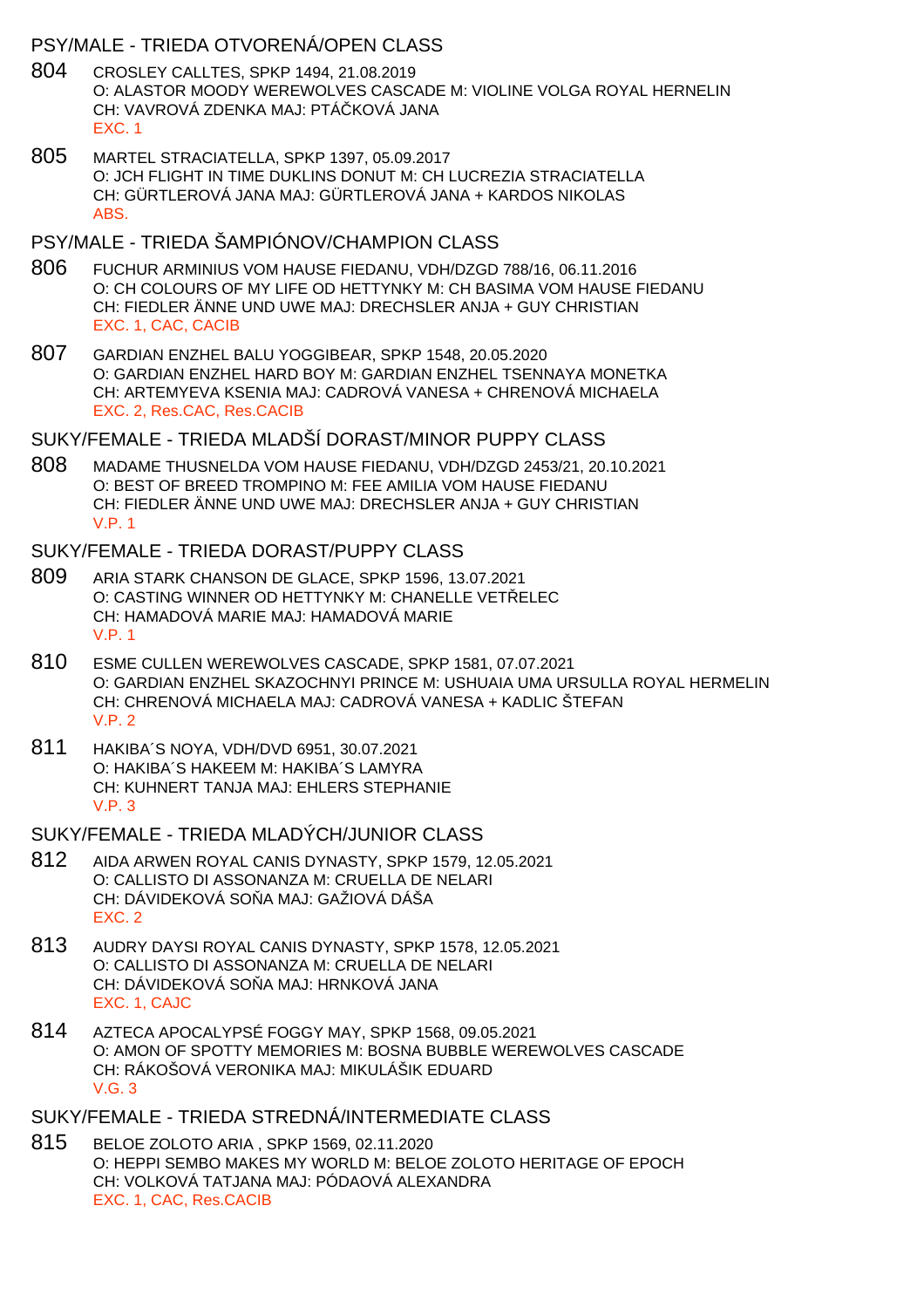### PSY/MALE - TRIEDA OTVORENÁ/OPEN CLASS

- 804 CROSLEY CALLTES, SPKP 1494, 21.08.2019 O: ALASTOR MOODY WEREWOLVES CASCADE M: VIOLINE VOLGA ROYAL HERNELIN CH: VAVROVÁ ZDENKA MAJ: PTÁ KOVÁ JANA EXC. 1
- 805 MARTEL STRACIATELLA, SPKP 1397, 05.09.2017 O: JCH FLIGHT IN TIME DUKLINS DONUT M: CH LUCREZIA STRACIATELLA CH: GÜRTLEROVÁ JANA MAJ: GÜRTLEROVÁ JANA + KARDOS NIKOLAS ABS.

## PSY/MALE - TRIEDA ŠAMPIÓNOV/CHAMPION CLASS

- 806 FUCHUR ARMINIUS VOM HAUSE FIEDANU, VDH/DZGD 788/16, 06.11.2016 O: CH COLOURS OF MY LIFE OD HETTYNKY M: CH BASIMA VOM HAUSE FIEDANU CH: FIEDLER ÄNNE UND UWE MAJ: DRECHSLER ANJA + GUY CHRISTIAN EXC. 1, CAC, CACIB
- 807 GARDIAN ENZHEL BALU YOGGIBEAR, SPKP 1548, 20.05.2020 O: GARDIAN ENZHEL HARD BOY M: GARDIAN ENZHEL TSENNAYA MONETKA CH: ARTEMYEVA KSENIA MAJ: CADROVÁ VANESA + CHRENOVÁ MICHAELA EXC. 2, Res.CAC, Res.CACIB

### SUKY/FEMALE - TRIEDA MLADŠÍ DORAST/MINOR PUPPY CLASS

808 MADAME THUSNELDA VOM HAUSE FIEDANU, VDH/DZGD 2453/21, 20.10.2021 O: BEST OF BREED TROMPINO M: FEE AMILIA VOM HAUSE FIEDANU CH: FIEDLER ÄNNE UND UWE MAJ: DRECHSLER ANJA + GUY CHRISTIAN V.P. 1

#### SUKY/FEMALE - TRIEDA DORAST/PUPPY CLASS

- 809 ARIA STARK CHANSON DE GLACE, SPKP 1596, 13.07.2021 O: CASTING WINNER OD HETTYNKY M: CHANELLE VET ELEC CH: HAMADOVÁ MARIE MAJ: HAMADOVÁ MARIE V.P. 1
- 810 ESME CULLEN WEREWOLVES CASCADE, SPKP 1581, 07.07.2021 O: GARDIAN ENZHEL SKAZOCHNYI PRINCE M: USHUAIA UMA URSULLA ROYAL HERMELIN CH: CHRENOVÁ MICHAELA MAJ: CADROVÁ VANESA + KADLIC ŠTEFAN V.P. 2
- 811 HAKIBA´S NOYA, VDH/DVD 6951, 30.07.2021 O: HAKIBA´S HAKEEM M: HAKIBA´S LAMYRA CH: KUHNERT TANJA MAJ: EHLERS STEPHANIE V.P. 3

#### SUKY/FEMALE - TRIEDA MLADÝCH/JUNIOR CLASS

- 812 AIDA ARWEN ROYAL CANIS DYNASTY, SPKP 1579, 12.05.2021 O: CALLISTO DI ASSONANZA M: CRUELLA DE NELARI CH: DÁVIDEKOVÁ SO A MAJ: GAŽIOVÁ DÁŠA EXC. 2
- 813 AUDRY DAYSI ROYAL CANIS DYNASTY, SPKP 1578, 12.05.2021 O: CALLISTO DI ASSONANZA M: CRUELLA DE NELARI CH: DÁVIDEKOVÁ SO A MAJ: HRNKOVÁ JANA EXC. 1, CAJC
- 814 AZTECA APOCALYPSÉ FOGGY MAY, SPKP 1568, 09.05.2021 O: AMON OF SPOTTY MEMORIES M: BOSNA BUBBLE WEREWOLVES CASCADE CH: RÁKOŠOVÁ VERONIKA MAJ: MIKULÁŠIK EDUARD V.G. 3

#### SUKY/FEMALE - TRIEDA STREDNÁ/INTERMEDIATE CLASS

815 BELOE ZOLOTO ARIA , SPKP 1569, 02.11.2020 O: HEPPI SEMBO MAKES MY WORLD M: BELOE ZOLOTO HERITAGE OF EPOCH CH: VOLKOVÁ TATJANA MAJ: PÓDAOVÁ ALEXANDRA EXC. 1, CAC, Res.CACIB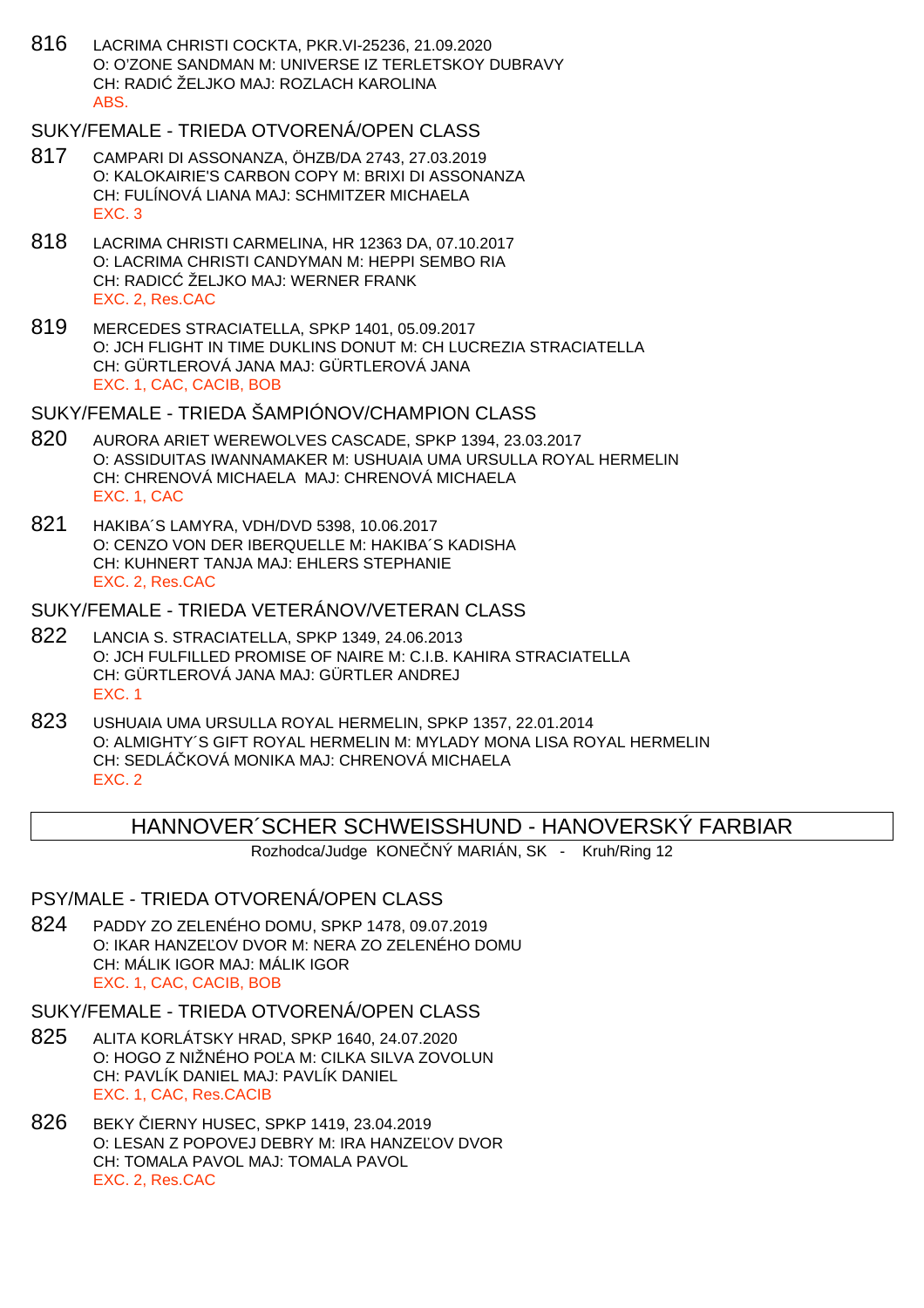816 LACRIMA CHRISTI COCKTA, PKR.VI-25236, 21.09.2020 O: O'ZONE SANDMAN M: UNIVERSE IZ TERLETSKOY DUBRAVY CH: RADI ŽELJKO MAJ: ROZLACH KAROLINA ABS.

## SUKY/FEMALE - TRIEDA OTVORENÁ/OPEN CLASS

- 817 CAMPARI DI ASSONANZA, ÖHZB/DA 2743, 27.03.2019 O: KALOKAIRIE'S CARBON COPY M: BRIXI DI ASSONANZA CH: FULÍNOVÁ LIANA MAJ: SCHMITZER MICHAELA EXC. 3
- 818 LACRIMA CHRISTI CARMELINA, HR 12363 DA, 07.10.2017 O: LACRIMA CHRISTI CANDYMAN M: HEPPI SEMBO RIA CH: RADIC ŽELJKO MAJ: WERNER FRANK EXC. 2, Res.CAC
- 819 MERCEDES STRACIATELLA, SPKP 1401, 05.09.2017 O: JCH FLIGHT IN TIME DUKLINS DONUT M: CH LUCREZIA STRACIATELLA CH: GÜRTLEROVÁ JANA MAJ: GÜRTLEROVÁ JANA EXC. 1, CAC, CACIB, BOB

#### SUKY/FEMALE - TRIEDA ŠAMPIÓNOV/CHAMPION CLASS

- 820 AURORA ARIET WEREWOLVES CASCADE, SPKP 1394, 23.03.2017 O: ASSIDUITAS IWANNAMAKER M: USHUAIA UMA URSULLA ROYAL HERMELIN CH: CHRENOVÁ MICHAELA MAJ: CHRENOVÁ MICHAELA EXC. 1, CAC
- 821 HAKIBA´S LAMYRA, VDH/DVD 5398, 10.06.2017 O: CENZO VON DER IBERQUELLE M: HAKIBA´S KADISHA CH: KUHNERT TANJA MAJ: EHLERS STEPHANIE EXC. 2, Res.CAC

### SUKY/FEMALE - TRIEDA VETERÁNOV/VETERAN CLASS

- 822 LANCIA S. STRACIATELLA, SPKP 1349, 24.06.2013 O: JCH FULFILLED PROMISE OF NAIRE M: C.I.B. KAHIRA STRACIATELLA CH: GÜRTLEROVÁ JANA MAJ: GÜRTLER ANDREJ EXC. 1
- 823 USHUAIA UMA URSULLA ROYAL HERMELIN, SPKP 1357, 22.01.2014 O: ALMIGHTY´S GIFT ROYAL HERMELIN M: MYLADY MONA LISA ROYAL HERMELIN CH: SEDLÁ KOVÁ MONIKA MAJ: CHRENOVÁ MICHAELA EXC. 2

HANNOVER´SCHER SCHWEISSHUND - HANOVERSKÝ FARBIAR

Rozhodca/Judge KONE NÝ MARIÁN, SK - Kruh/Ring 12

## PSY/MALE - TRIEDA OTVORENÁ/OPEN CLASS

824 PADDY ZO ZELENÉHO DOMU, SPKP 1478, 09.07.2019 O: IKAR HANZE OV DVOR M: NERA ZO ZELENÉHO DOMU CH: MÁLIK IGOR MAJ: MÁLIK IGOR EXC. 1, CAC, CACIB, BOB

#### SUKY/FEMALE - TRIEDA OTVORENÁ/OPEN CLASS

- 825 ALITA KORLÁTSKY HRAD, SPKP 1640, 24.07.2020 O: HOGO Z NIŽNÉHO PO A M: CILKA SILVA ZOVOLUN CH: PAVLÍK DANIEL MAJ: PAVLÍK DANIEL EXC. 1, CAC, Res.CACIB
- 826 BEKY IERNY HUSEC, SPKP 1419, 23.04.2019 O: LESAN Z POPOVEJ DEBRY M: IRA HANZE OV DVOR CH: TOMALA PAVOL MAJ: TOMALA PAVOL EXC. 2, Res.CAC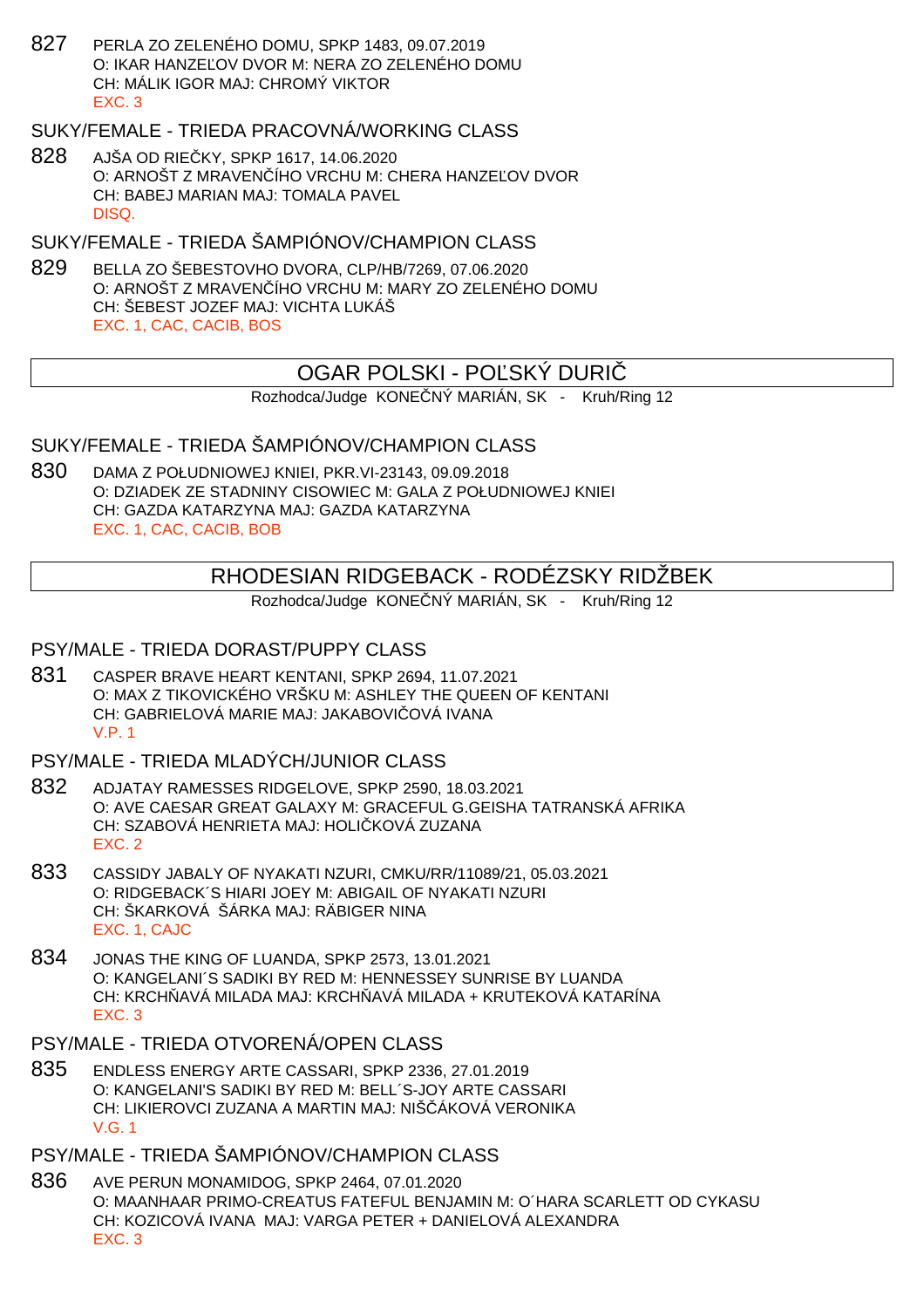827 PERLA ZO ZELENÉHO DOMU, SPKP 1483, 09.07.2019 O: IKAR HANZE, OV DVOR M: NERA ZO ZELENÉHO DOMU CH: MÁLIK IGOR MAJ: CHROMÝ VIKTOR EXC. 3

## SUKY/FEMALE - TRIEDA PRACOVNÁ/WORKING CLASS

828 AJŠA OD RIEČKY, SPKP 1617, 14.06.2020 O: ARNOŠT Z MRAVENÍHO VRCHU M: CHERA HANZE OV DVOR CH: BABEJ MARIAN MAJ: TOMALA PAVEL DISQ.

SUKY/FEMALE - TRIEDA ŠAMPIÓNOV/CHAMPION CLASS

829 BELLA ZO ŠEBESTOVHO DVORA, CLP/HB/7269, 07.06.2020 O: ARNOŠT Z MRAVENČÍHO VRCHU M: MARY ZO ZELENÉHO DOMU CH: ŠEBEST JOZEF MAJ: VICHTA LUKÁŠ EXC. 1, CAC, CACIB, BOS

## OGAR POLSKI - PO ŠKÝ DURI

Rozhodca/Judge KONE NÝ MARIÁN, SK - Kruh/Ring 12

## SUKY/FEMALE - TRIEDA ŠAMPIÓNOV/CHAMPION CLASS

830 DAMA Z POŁUDNIOWEJ KNIEI, PKR.VI-23143, 09.09.2018 O: DZIADEK ZE STADNINY CISOWIEC M: GALA Z POŁUDNIOWEJ KNIEI CH: GAZDA KATARZYNA MAJ: GAZDA KATARZYNA EXC. 1, CAC, CACIB, BOB

# RHODESIAN RIDGEBACK - RODÉZSKY RIDŽBEK

Rozhodca/Judge KONE NÝ MARIÁN, SK - Kruh/Ring 12

#### PSY/MALE - TRIEDA DORAST/PUPPY CLASS

831 CASPER BRAVE HEART KENTANI, SPKP 2694, 11.07.2021 O: MAX Z TIKOVICKÉHO VRŠKU M: ASHLEY THE QUEEN OF KENTANI CH: GABRIELOVÁ MARIE MAJ: JAKABOVI OVÁ IVANA V.P. 1

#### PSY/MALE - TRIEDA MLADÝCH/JUNIOR CLASS

- 832 ADJATAY RAMESSES RIDGELOVE, SPKP 2590, 18.03.2021 O: AVE CAESAR GREAT GALAXY M: GRACEFUL G.GEISHA TATRANSKÁ AFRIKA CH: SZABOVÁ HENRIETA MAJ: HOLI KOVÁ ZUZANA EXC. 2
- 833 CASSIDY JABALY OF NYAKATI NZURI, CMKU/RR/11089/21, 05.03.2021 O: RIDGEBACK´S HIARI JOEY M: ABIGAIL OF NYAKATI NZURI CH: ŠKARKOVÁ ŠÁRKA MAJ: RÄBIGER NINA EXC. 1, CAJC
- 834 JONAS THE KING OF LUANDA, SPKP 2573, 13.01.2021 O: KANGELANI´S SADIKI BY RED M: HENNESSEY SUNRISE BY LUANDA CH: KRCH AVÁ MILADA MAJ: KRCH AVÁ MILADA + KRUTEKOVÁ KATARÍNA EXC. 3
- PSY/MALE TRIEDA OTVORENÁ/OPEN CLASS
- 835 ENDLESS ENERGY ARTE CASSARI, SPKP 2336, 27.01.2019 O: KANGELANI'S SADIKI BY RED M: BELL´S-JOY ARTE CASSARI CH: LIKIEROVCI ZUZANA A MARTIN MAJ: NIŠ ÁKOVÁ VERONIKA V.G. 1
- PSY/MALE TRIEDA ŠAMPIÓNOV/CHAMPION CLASS
- 836 AVE PERUN MONAMIDOG, SPKP 2464, 07.01.2020 O: MAANHAAR PRIMO-CREATUS FATEFUL BENJAMIN M: O´HARA SCARLETT OD CYKASU CH: KOZICOVÁ IVANA MAJ: VARGA PETER + DANIELOVÁ ALEXANDRA EXC. 3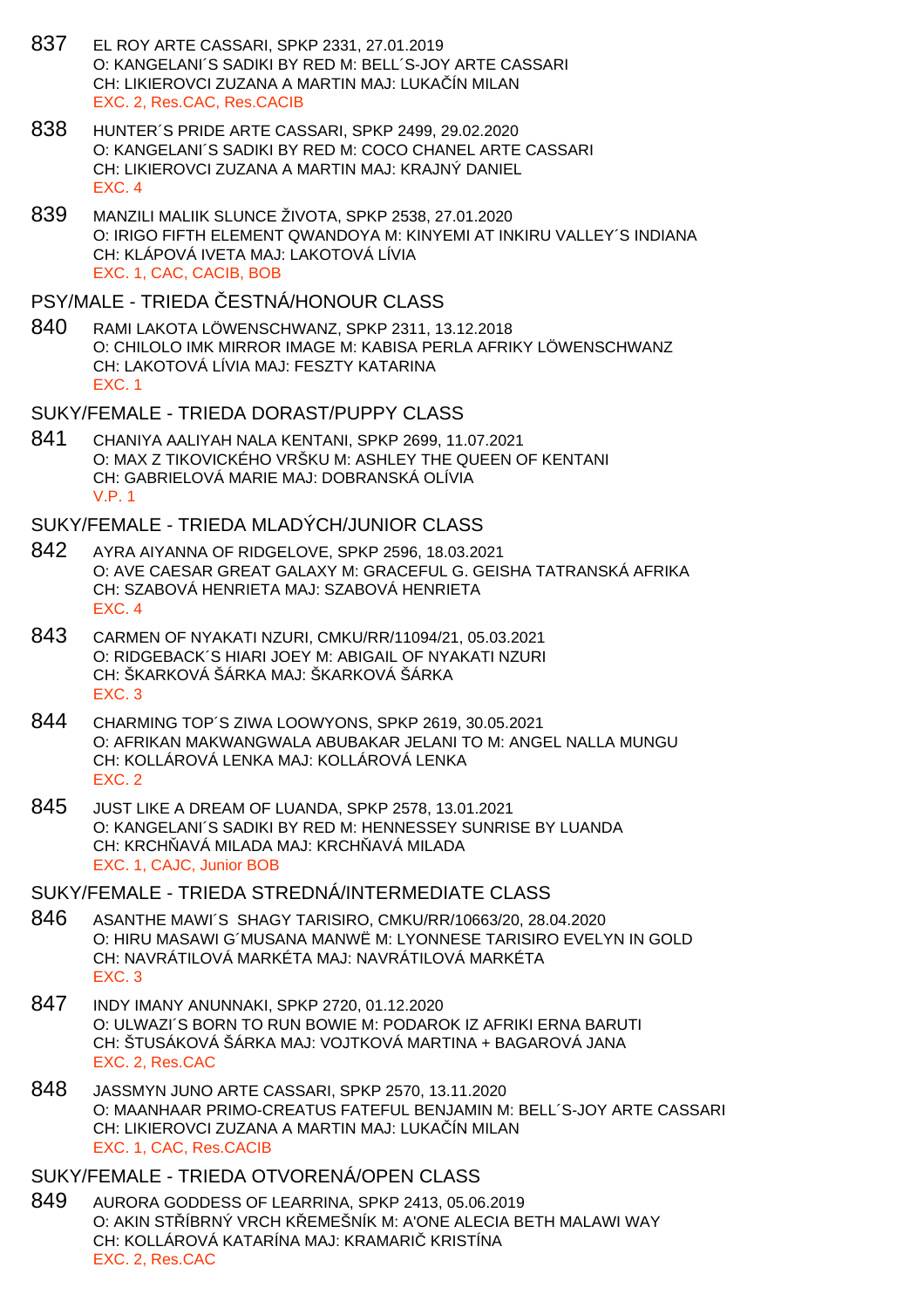- 837 EL ROY ARTE CASSARI, SPKP 2331, 27.01.2019 O: KANGELANI´S SADIKI BY RED M: BELL´S-JOY ARTE CASSARI CH: LIKIEROVCI ZUZANA A MARTIN MAJ: LUKAČÍN MILAN EXC. 2, Res.CAC, Res.CACIB
- 838 HUNTER´S PRIDE ARTE CASSARI, SPKP 2499, 29.02.2020 O: KANGELANI´S SADIKI BY RED M: COCO CHANEL ARTE CASSARI CH: LIKIEROVCI ZUZANA A MARTIN MAJ: KRAJNÝ DANIEL EXC. 4
- 839 MANZILI MALIIK SLUNCE ŽIVOTA, SPKP 2538, 27.01.2020 O: IRIGO FIFTH ELEMENT QWANDOYA M: KINYEMI AT INKIRU VALLEY´S INDIANA CH: KLÁPOVÁ IVETA MAJ: LAKOTOVÁ LÍVIA EXC. 1, CAC, CACIB, BOB

#### PSY/MALE - TRIEDA ESTNÁ/HONOUR CLASS

- 840 RAMI LAKOTA LÖWENSCHWANZ, SPKP 2311, 13.12.2018 O: CHILOLO IMK MIRROR IMAGE M: KABISA PERLA AFRIKY LÖWENSCHWANZ CH: LAKOTOVÁ LÍVIA MAJ: FESZTY KATARINA EXC. 1
- SUKY/FEMALE TRIEDA DORAST/PUPPY CLASS
- 841 CHANIYA AALIYAH NALA KENTANI, SPKP 2699, 11.07.2021 O: MAX Z TIKOVICKÉHO VRŠKU M: ASHLEY THE QUEEN OF KENTANI CH: GABRIELOVÁ MARIE MAJ: DOBRANSKÁ OLÍVIA V.P. 1

#### SUKY/FEMALE - TRIEDA MLADÝCH/JUNIOR CLASS

- 842 AYRA AIYANNA OF RIDGELOVE, SPKP 2596, 18.03.2021 O: AVE CAESAR GREAT GALAXY M: GRACEFUL G. GEISHA TATRANSKÁ AFRIKA CH: SZABOVÁ HENRIETA MAJ: SZABOVÁ HENRIETA EXC. 4
- 843 CARMEN OF NYAKATI NZURI, CMKU/RR/11094/21, 05.03.2021 O: RIDGEBACK´S HIARI JOEY M: ABIGAIL OF NYAKATI NZURI CH: ŠKARKOVÁ ŠÁRKA MAJ: ŠKARKOVÁ ŠÁRKA EXC. 3
- 844 CHARMING TOP´S ZIWA LOOWYONS, SPKP 2619, 30.05.2021 O: AFRIKAN MAKWANGWALA ABUBAKAR JELANI TO M: ANGEL NALLA MUNGU CH: KOLLÁROVÁ LENKA MAJ: KOLLÁROVÁ LENKA EXC. 2
- 845 JUST LIKE A DREAM OF LUANDA, SPKP 2578, 13.01.2021 O: KANGELANI´S SADIKI BY RED M: HENNESSEY SUNRISE BY LUANDA CH: KRCH AVÁ MILADA MAJ: KRCH AVÁ MILADA EXC. 1, CAJC, Junior BOB

## SUKY/FEMALE - TRIEDA STREDNÁ/INTERMEDIATE CLASS

- 846 ASANTHE MAWI´S SHAGY TARISIRO, CMKU/RR/10663/20, 28.04.2020 O: HIRU MASAWI G´MUSANA MANWË M: LYONNESE TARISIRO EVELYN IN GOLD CH: NAVRÁTILOVÁ MARKÉTA MAJ: NAVRÁTILOVÁ MARKÉTA EXC. 3
- 847 INDY IMANY ANUNNAKI, SPKP 2720, 01.12.2020 O: ULWAZI´S BORN TO RUN BOWIE M: PODAROK IZ AFRIKI ERNA BARUTI CH: ŠTUSÁKOVÁ ŠÁRKA MAJ: VOJTKOVÁ MARTINA + BAGAROVÁ JANA EXC. 2, Res.CAC
- 848 JASSMYN JUNO ARTE CASSARI, SPKP 2570, 13.11.2020 O: MAANHAAR PRIMO-CREATUS FATEFUL BENJAMIN M: BELL´S-JOY ARTE CASSARI CH: LIKIEROVCI ZUZANA A MARTIN MAJ: LUKAČÍN MILAN EXC. 1, CAC, Res.CACIB

#### SUKY/FEMALE - TRIEDA OTVORENÁ/OPEN CLASS

849 AURORA GODDESS OF LEARRINA, SPKP 2413, 05.06.2019 O: AKIN STÍBRNÝ VRCH KLEMEŠNÍK M: A'ONE ALECIA BETH MALAWI WAY CH: KOLLÁROVÁ KATARÍNA MAJ: KRAMARI KRISTÍNA EXC. 2, Res.CAC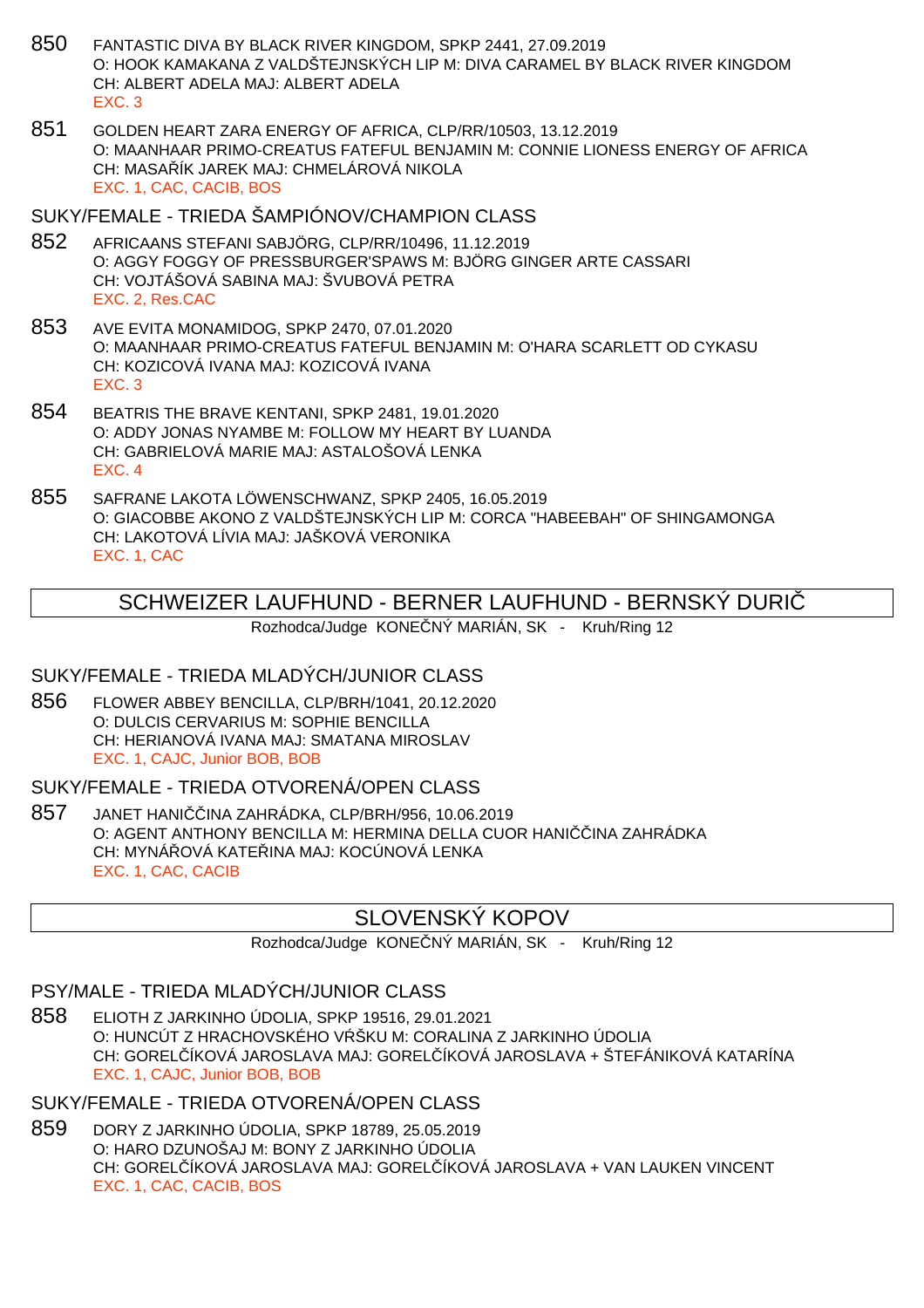- 850 FANTASTIC DIVA BY BLACK RIVER KINGDOM, SPKP 2441, 27.09.2019 O: HOOK KAMAKANA Z VALDŠTEJNSKÝCH LIP M: DIVA CARAMEL BY BLACK RIVER KINGDOM CH: ALBERT ADELA MAJ: ALBERT ADELA EXC. 3
- 851 GOLDEN HEART ZARA ENERGY OF AFRICA, CLP/RR/10503, 13.12.2019 O: MAANHAAR PRIMO-CREATUS FATEFUL BENJAMIN M: CONNIE LIONESS ENERGY OF AFRICA CH: MASA ÍK JAREK MAJ: CHMELÁROVÁ NIKOLA EXC. 1, CAC, CACIB, BOS
- SUKY/FEMALE TRIEDA ŠAMPIÓNOV/CHAMPION CLASS
- 852 AFRICAANS STEFANI SABJÖRG, CLP/RR/10496, 11.12.2019 O: AGGY FOGGY OF PRESSBURGER'SPAWS M: BJÖRG GINGER ARTE CASSARI CH: VOJTÁŠOVÁ SABINA MAJ: ŠVUBOVÁ PETRA EXC. 2, Res.CAC
- 853 AVE EVITA MONAMIDOG, SPKP 2470, 07.01.2020 O: MAANHAAR PRIMO-CREATUS FATEFUL BENJAMIN M: O'HARA SCARLETT OD CYKASU CH: KOZICOVÁ IVANA MAJ: KOZICOVÁ IVANA EXC. 3
- 854 BEATRIS THE BRAVE KENTANI, SPKP 2481, 19.01.2020 O: ADDY JONAS NYAMBE M: FOLLOW MY HEART BY LUANDA CH: GABRIELOVÁ MARIE MAJ: ASTALOŠOVÁ LENKA EXC. 4
- 855 SAFRANE LAKOTA LÖWENSCHWANZ, SPKP 2405, 16.05.2019 O: GIACOBBE AKONO Z VALDŠTEJNSKÝCH LIP M: CORCA "HABEEBAH" OF SHINGAMONGA CH: LAKOTOVÁ LÍVIA MAJ: JAŠKOVÁ VERONIKA EXC. 1, CAC

# SCHWEIZER LAUFHUND - BERNER LAUFHUND - BERNSKÝ DURIČ

Rozhodca/Judge KONE NÝ MARIÁN, SK - Kruh/Ring 12

## SUKY/FEMALE - TRIEDA MLADÝCH/JUNIOR CLASS

856 FLOWER ABBEY BENCILLA, CLP/BRH/1041, 20.12.2020 O: DULCIS CERVARIUS M: SOPHIE BENCILLA CH: HERIANOVÁ IVANA MAJ: SMATANA MIROSLAV EXC. 1, CAJC, Junior BOB, BOB

#### SUKY/FEMALE - TRIEDA OTVORENÁ/OPEN CLASS

857 JANET HANI INA ZAHRÁDKA, CLP/BRH/956, 10.06.2019 O: AGENT ANTHONY BENCILLA M: HERMINA DELLA CUOR HANI INA ZAHRÁDKA CH: MYNÁ OVÁ KATE INA MAJ: KOCÚNOVÁ LENKA EXC. 1, CAC, CACIB

# SLOVENSKÝ KOPOV

Rozhodca/Judge KONE NÝ MARIÁN, SK - Kruh/Ring 12

# PSY/MALE - TRIEDA MLADÝCH/JUNIOR CLASS

858 ELIOTH Z JARKINHO ÚDOLIA, SPKP 19516, 29.01.2021 O: HUNCÚT Z HRACHOVSKÉHO V ŠKU M: CORALINA Z JARKINHO ÚDOLIA CH: GOREL ÍKOVÁ JAROSLAVA MAJ: GOREL ÍKOVÁ JAROSLAVA + ŠTEFÁNIKOVÁ KATARÍNA EXC. 1, CAJC, Junior BOB, BOB

# SUKY/FEMALE - TRIEDA OTVORENÁ/OPEN CLASS

859 DORY Z JARKINHO ÚDOLIA, SPKP 18789, 25.05.2019 O: HARO DZUNOŠAJ M: BONY Z JARKINHO ÚDOLIA CH: GORELČÍKOVÁ JAROSLAVA MAJ: GORELČÍKOVÁ JAROSLAVA + VAN LAUKEN VINCENT EXC. 1, CAC, CACIB, BOS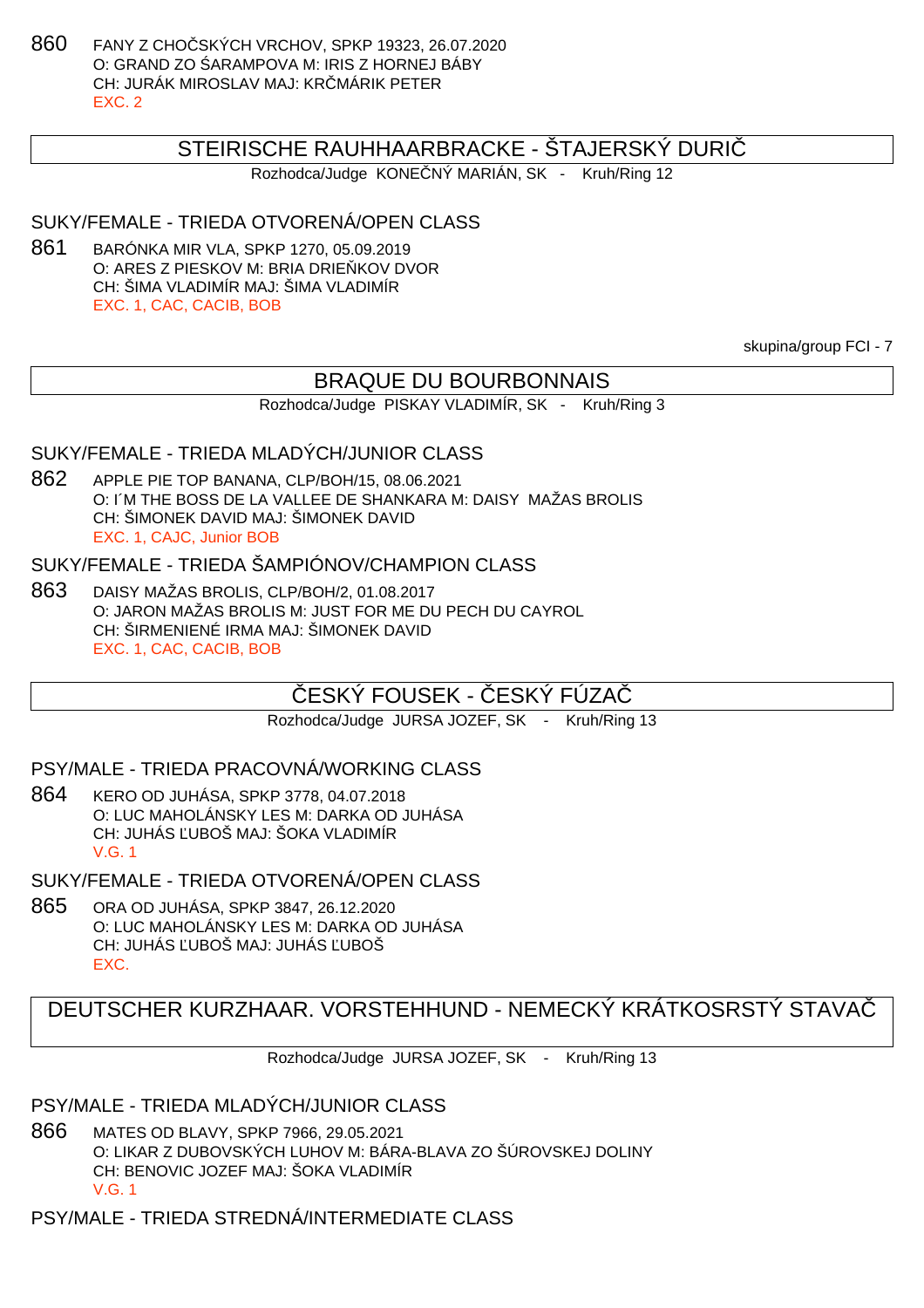860 FANY Z CHO SKÝCH VRCHOV, SPKP 19323, 26.07.2020 O: GRAND ZO ARAMPOVA M: IRIS Z HORNEJ BÁBY CH: JURÁK MIROSLAV MAJ: KRČMÁRIK PETER EXC. 2

## STEIRISCHE RAUHHAARBRACKE - ŠTAJERSKÝ DURIČ

Rozhodca/Judge KONE NÝ MARIÁN, SK - Kruh/Ring 12

# SUKY/FEMALE - TRIEDA OTVORENÁ/OPEN CLASS

861 BARÓNKA MIR VLA, SPKP 1270, 05.09.2019 O: ARES Z PIESKOV M: BRIA DRIE KOV DVOR CH: ŠIMA VLADIMÍR MAJ: ŠIMA VLADIMÍR EXC. 1, CAC, CACIB, BOB

skupina/group FCI - 7

## BRAQUE DU BOURBONNAIS

Rozhodca/Judge PISKAY VLADIMÍR, SK - Kruh/Ring 3

#### SUKY/FEMALE - TRIEDA MLADÝCH/JUNIOR CLASS

862 APPLE PIE TOP BANANA, CLP/BOH/15, 08.06.2021 O: I´M THE BOSS DE LA VALLEE DE SHANKARA M: DAISY MAŽAS BROLIS CH: ŠIMONEK DAVID MAJ: ŠIMONEK DAVID EXC. 1, CAJC, Junior BOB

### SUKY/FEMALE - TRIEDA ŠAMPIÓNOV/CHAMPION CLASS

863 DAISY MAŽAS BROLIS, CLP/BOH/2, 01.08.2017 O: JARON MAŽAS BROLIS M: JUST FOR ME DU PECH DU CAYROL CH: ŠIRMENIENÉ IRMA MAJ: ŠIMONEK DAVID EXC. 1, CAC, CACIB, BOB

# ESKÝ FOUSEK - ČESKÝ FÚZA

Rozhodca/Judge JURSA JOZEF, SK - Kruh/Ring 13

#### PSY/MALE - TRIEDA PRACOVNÁ/WORKING CLASS

864 KERO OD JUHÁSA, SPKP 3778, 04.07.2018 O: LUC MAHOLÁNSKY LES M: DARKA OD JUHÁSA CH: JUHÁS UBOŠ MAJ: ŠOKA VLADIMÍR V.G. 1

SUKY/FEMALE - TRIEDA OTVORENÁ/OPEN CLASS

865 ORA OD JUHÁSA, SPKP 3847, 26.12.2020 O: LUC MAHOLÁNSKY LES M: DARKA OD JUHÁSA CH: JUHÁS UBOŠ MAJ: JUHÁS UBOŠ EXC.

# DEUTSCHER KURZHAAR. VORSTEHHUND - NEMECKÝ KRÁTKOSRSTÝ STAVAČ

Rozhodca/Judge JURSA JOZEF, SK - Kruh/Ring 13

#### PSY/MALE - TRIEDA MLADÝCH/JUNIOR CLASS

866 MATES OD BLAVY, SPKP 7966, 29.05.2021 O: LIKAR Z DUBOVSKÝCH LUHOV M: BÁRA-BLAVA ZO ŠÚROVSKEJ DOLINY CH: BENOVIC JOZEF MAJ: ŠOKA VLADIMÍR V.G. 1

PSY/MALE - TRIEDA STREDNÁ/INTERMEDIATE CLASS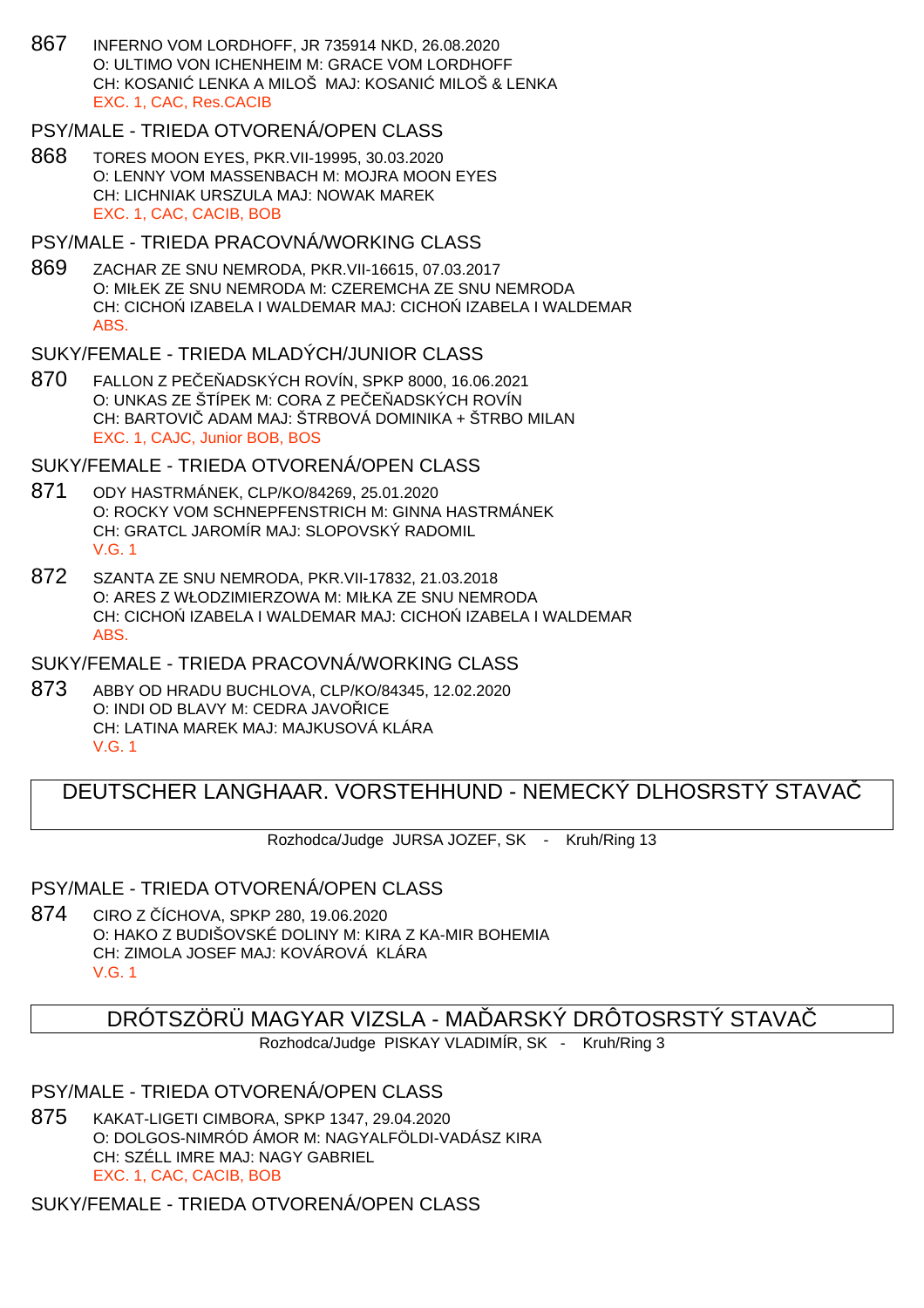867 INFERNO VOM LORDHOFF, JR 735914 NKD, 26.08.2020 O: ULTIMO VON ICHENHEIM M: GRACE VOM LORDHOFF CH: KOSANI LENKA A MILOŠ MAJ: KOSANI MILOŠ & LENKA EXC. 1, CAC, Res.CACIB

## PSY/MALE - TRIEDA OTVORENÁ/OPEN CLASS

868 TORES MOON EYES, PKR.VII-19995, 30.03.2020 O: LENNY VOM MASSENBACH M: MOJRA MOON EYES CH: LICHNIAK URSZULA MAJ: NOWAK MAREK EXC. 1, CAC, CACIB, BOB

# PSY/MALE - TRIEDA PRACOVNÁ/WORKING CLASS

869 ZACHAR ZE SNU NEMRODA, PKR.VII-16615, 07.03.2017 O: MIŁEK ZE SNU NEMRODA M: CZEREMCHA ZE SNU NEMRODA CH: CICHO IZABELA I WALDEMAR MAJ: CICHO IZABELA I WALDEMAR ABS.

# SUKY/FEMALE - TRIEDA MLADÝCH/JUNIOR CLASS

870 FALLON Z PE E ADSKÝCH ROVÍN, SPKP 8000, 16.06.2021 O: UNKAS ZE ŠTÍPEK M: CORA Z PE E ADSKÝCH ROVÍN CH: BARTOVIČ ADAM MAJ: ŠTRBOVÁ DOMINIKA + ŠTRBO MILAN EXC. 1, CAJC, Junior BOB, BOS

# SUKY/FEMALE - TRIEDA OTVORENÁ/OPEN CLASS

- 871 ODY HASTRMÁNEK, CLP/KO/84269, 25.01.2020 O: ROCKY VOM SCHNEPFENSTRICH M: GINNA HASTRMÁNEK CH: GRATCL JAROMÍR MAJ: SLOPOVSKÝ RADOMIL V.G. 1
- 872 SZANTA ZE SNU NEMRODA, PKR.VII-17832, 21.03.2018 O: ARES Z WŁODZIMIERZOWA M: MIŁKA ZE SNU NEMRODA CH: CICHO IZABELA I WALDEMAR MAJ: CICHO IZABELA I WALDEMAR ABS.

# SUKY/FEMALE - TRIEDA PRACOVNÁ/WORKING CLASS

873 ABBY OD HRADU BUCHLOVA, CLP/KO/84345, 12.02.2020 O: INDI OD BLAVY M: CEDRA JAVO ICE CH: LATINA MAREK MAJ: MAJKUSOVÁ KLÁRA V.G. 1

# DEUTSCHER LANGHAAR. VORSTEHHUND - NEMECKÝ DI HOSRSTÝ STAVA

Rozhodca/Judge JURSA JOZEF, SK - Kruh/Ring 13

# PSY/MALE - TRIEDA OTVORENÁ/OPEN CLASS

874 CIRO Z ÍCHOVA, SPKP 280, 19.06.2020 O: HAKO Z BUDIŠOVSKÉ DOLINY M: KIRA Z KA-MIR BOHEMIA CH: ZIMOLA JOSEF MAJ: KOVÁROVÁ KLÁRA V.G. 1

# DRÓTSZÖRÜ MAGYAR VIZSLA - MA ÞARSKÝ DRÔTOSRSTÝ STAVA

Rozhodca/Judge PISKAY VLADIMÍR, SK - Kruh/Ring 3

# PSY/MALE - TRIEDA OTVORENÁ/OPEN CLASS

875 KAKAT-LIGETI CIMBORA, SPKP 1347, 29.04.2020 O: DOLGOS-NIMRÓD ÁMOR M: NAGYALFÖLDI-VADÁSZ KIRA CH: SZÉLL IMRE MAJ: NAGY GABRIEL EXC. 1, CAC, CACIB, BOB

# SUKY/FEMALE - TRIEDA OTVORENÁ/OPEN CLASS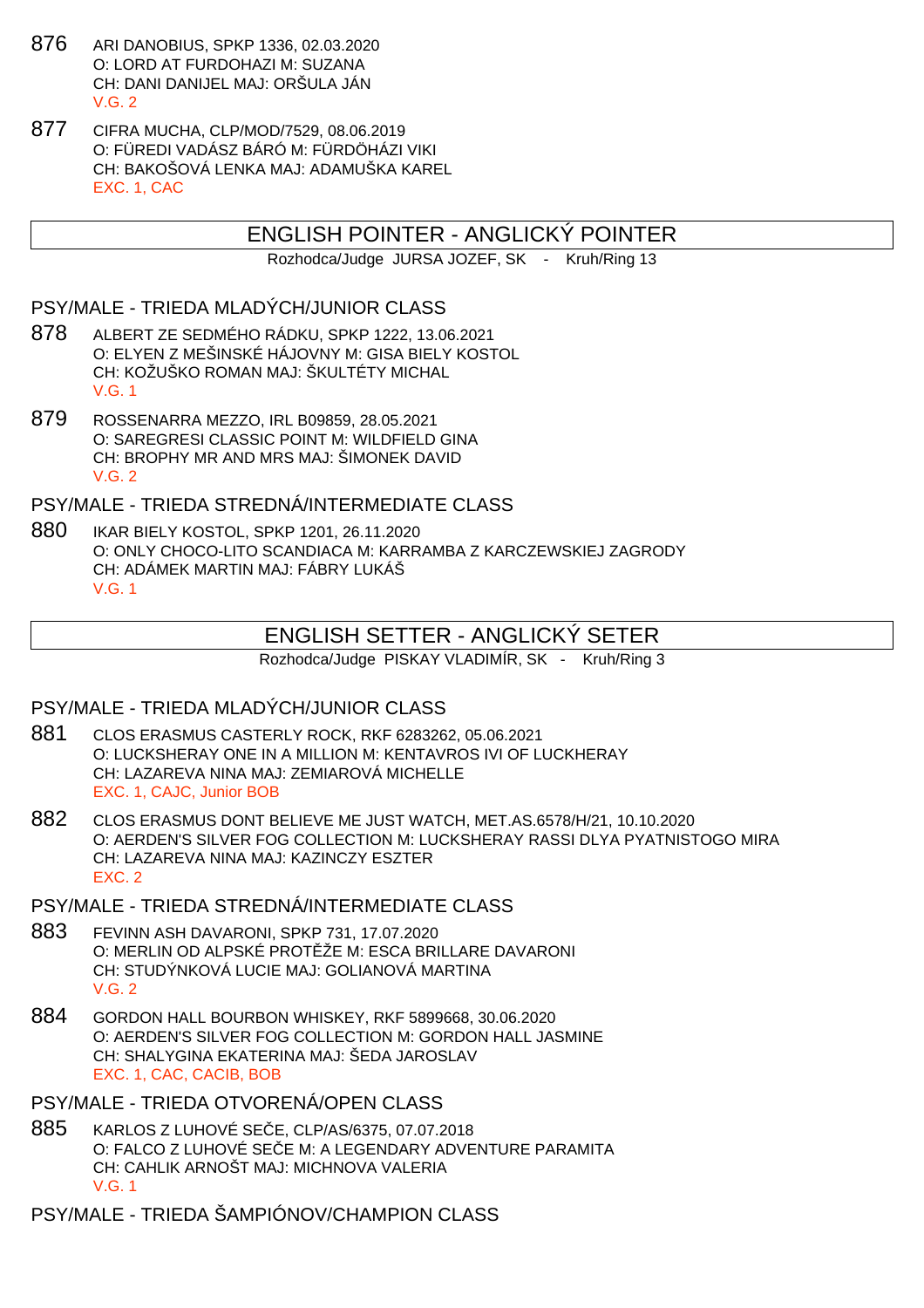- 876 ARI DANOBIUS, SPKP 1336, 02.03.2020 O: LORD AT FURDOHAZI M: SUZANA CH: DANI DANIJEL MAJ: ORŠULA JÁN  $V$  G  $2$
- 877 CIFRA MUCHA, CLP/MOD/7529, 08.06.2019 O: FÜREDI VADÁSZ BÁRÓ M: FÜRDÖHÁZI VIKI CH: BAKOŠOVÁ LENKA MAJ: ADAMUŠKA KAREL EXC. 1, CAC

# ENGLISH POINTER - ANGLICKÝ POINTER

Rozhodca/Judge JURSA JOZEF, SK - Kruh/Ring 13

#### PSY/MALE - TRIEDA MLADÝCH/JUNIOR CLASS

- 878 ALBERT ZE SEDMÉHO RÁDKU, SPKP 1222, 13.06.2021 O: ELYEN Z MEŠINSKÉ HÁJOVNY M: GISA BIELY KOSTOL CH: KOŽUŠKO ROMAN MAJ: ŠKULTÉTY MICHAL V.G. 1
- 879 ROSSENARRA MEZZO, IRL B09859, 28.05.2021 O: SAREGRESI CLASSIC POINT M: WILDFIELD GINA CH: BROPHY MR AND MRS MAJ: ŠIMONEK DAVID V.G. 2

PSY/MALE - TRIEDA STREDNÁ/INTERMEDIATE CLASS

880 IKAR BIELY KOSTOL, SPKP 1201, 26.11.2020 O: ONLY CHOCO-LITO SCANDIACA M: KARRAMBA Z KARCZEWSKIEJ ZAGRODY CH: ADÁMEK MARTIN MAJ: FÁBRY LUKÁŠ V.G. 1

# ENGLISH SETTER - ANGLICKÝ SETER

Rozhodca/Judge PISKAY VLADIMÍR, SK - Kruh/Ring 3

#### PSY/MALE - TRIEDA MLADÝCH/JUNIOR CLASS

- 881 CLOS ERASMUS CASTERLY ROCK, RKF 6283262, 05.06.2021 O: LUCKSHERAY ONE IN A MILLION M: KENTAVROS IVI OF LUCKHERAY CH: LAZAREVA NINA MAJ: ZEMIAROVÁ MICHELLE EXC. 1, CAJC, Junior BOB
- 882 CLOS ERASMUS DONT BELIEVE ME JUST WATCH, MET.AS.6578/H/21, 10.10.2020 O: AERDEN'S SILVER FOG COLLECTION M: LUCKSHERAY RASSI DLYA PYATNISTOGO MIRA CH: LAZAREVA NINA MAJ: KAZINCZY ESZTER EXC. 2
- PSY/MALE TRIEDA STREDNÁ/INTERMEDIATE CLASS
- 883 FEVINN ASH DAVARONI, SPKP 731, 17.07.2020 O: MERLIN OD ALPSKÉ PROTŽE M: ESCA BRILLARE DAVARONI CH: STUDÝNKOVÁ LUCIE MAJ: GOLIANOVÁ MARTINA V.G. 2
- 884 GORDON HALL BOURBON WHISKEY, RKF 5899668, 30.06.2020 O: AERDEN'S SILVER FOG COLLECTION M: GORDON HALL JASMINE CH: SHALYGINA EKATERINA MAJ: ŠEDA JAROSLAV EXC. 1, CAC, CACIB, BOB
- PSY/MALE TRIEDA OTVORENÁ/OPEN CLASS
- 885 KARLOS Z LUHOVÉ SE E, CLP/AS/6375, 07.07.2018 O: FALCO Z LUHOVÉ SE E M: A LEGENDARY ADVENTURE PARAMITA CH: CAHLIK ARNOŠT MAJ: MICHNOVA VALERIA V.G. 1

PSY/MALE - TRIEDA ŠAMPIÓNOV/CHAMPION CLASS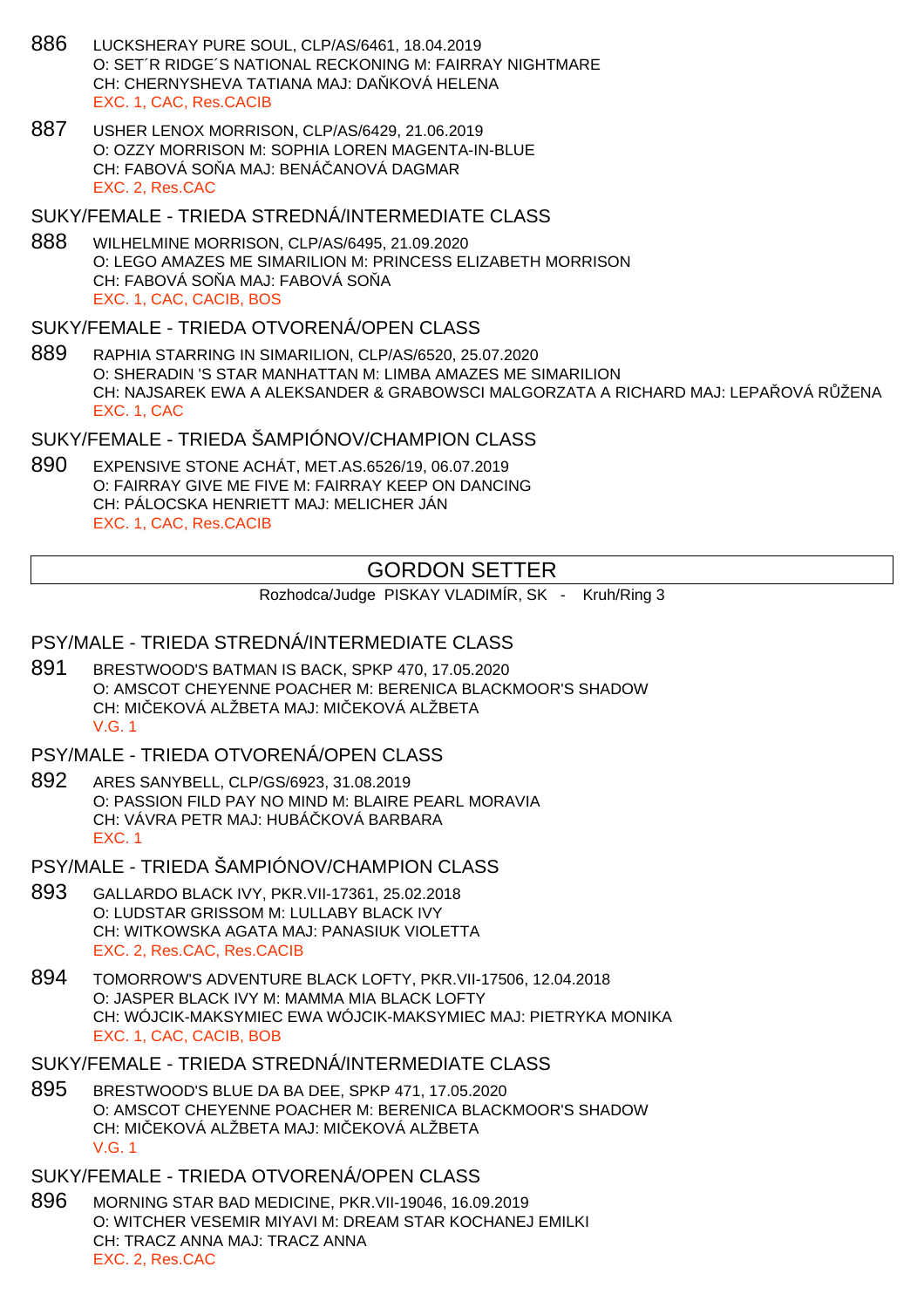- 886 LUCKSHERAY PURE SOUL, CLP/AS/6461, 18.04.2019 O: SET´R RIDGE´S NATIONAL RECKONING M: FAIRRAY NIGHTMARE CH: CHERNYSHEVA TATIANA MAJ: DA KOVÁ HELENA EXC. 1, CAC, Res.CACIB
- 887 USHER LENOX MORRISON, CLP/AS/6429, 21.06.2019 O: OZZY MORRISON M: SOPHIA LOREN MAGENTA-IN-BLUE CH: FABOVÁ SO A MAJ: BENÁ ANOVÁ DAGMAR EXC. 2, Res.CAC

#### SUKY/FEMALE - TRIEDA STREDNÁ/INTERMEDIATE CLASS

888 WILHELMINE MORRISON, CLP/AS/6495, 21.09.2020 O: LEGO AMAZES ME SIMARILION M: PRINCESS ELIZABETH MORRISON CH: FABOVÁ SO A MAJ: FABOVÁ SO A EXC. 1, CAC, CACIB, BOS

#### SUKY/FEMALE - TRIEDA OTVORENÁ/OPEN CLASS

889 RAPHIA STARRING IN SIMARILION, CLP/AS/6520, 25.07.2020 O: SHERADIN 'S STAR MANHATTAN M: LIMBA AMAZES ME SIMARILION CH: NAJSAREK EWA A ALEKSANDER & GRABOWSCI MALGORZATA A RICHARD MAJ: LEPA OVÁ R ŽENA EXC. 1, CAC

SUKY/FEMALE - TRIEDA ŠAMPIÓNOV/CHAMPION CLASS

890 EXPENSIVE STONE ACHÁT, MET.AS.6526/19, 06.07.2019 O: FAIRRAY GIVE ME FIVE M: FAIRRAY KEEP ON DANCING CH: PÁLOCSKA HENRIETT MAJ: MELICHER JÁN EXC. 1, CAC, Res.CACIB

# GORDON SETTER

Rozhodca/Judge PISKAY VLADIMÍR, SK - Kruh/Ring 3

# PSY/MALE - TRIEDA STREDNÁ/INTERMEDIATE CLASS

891 BRESTWOOD'S BATMAN IS BACK, SPKP 470, 17.05.2020 O: AMSCOT CHEYENNE POACHER M: BERENICA BLACKMOOR'S SHADOW CH: MILEKOVÁ ALŽBETA MAJ: MILEKOVÁ ALŽBETA V.G. 1

#### PSY/MALE - TRIEDA OTVORENÁ/OPEN CLASS

- 892 ARES SANYBELL, CLP/GS/6923, 31.08.2019 O: PASSION FILD PAY NO MIND M: BLAIRE PEARL MORAVIA CH: VÁVRA PETR MAJ: HUBÁ KOVÁ BARBARA EXC. 1
- PSY/MALE TRIEDA ŠAMPIÓNOV/CHAMPION CLASS
- 893 GALLARDO BLACK IVY, PKR.VII-17361, 25.02.2018 O: LUDSTAR GRISSOM M: LULLABY BLACK IVY CH: WITKOWSKA AGATA MAJ: PANASIUK VIOLETTA EXC. 2, Res.CAC, Res.CACIB
- 894 TOMORROW'S ADVENTURE BLACK LOFTY, PKR.VII-17506, 12.04.2018 O: JASPER BLACK IVY M: MAMMA MIA BLACK LOFTY CH: WÓJCIK-MAKSYMIEC EWA WÓJCIK-MAKSYMIEC MAJ: PIETRYKA MONIKA EXC. 1, CAC, CACIB, BOB
- SUKY/FEMALE TRIEDA STREDNÁ/INTERMEDIATE CLASS
- 895 BRESTWOOD'S BLUE DA BA DEE, SPKP 471, 17.05.2020 O: AMSCOT CHEYENNE POACHER M: BERENICA BLACKMOOR'S SHADOW CH: MI EKOVÁ ALŽBETA MAJ: MI EKOVÁ ALŽBETA V.G. 1
- SUKY/FEMALE TRIEDA OTVORENÁ/OPEN CLASS
- 896 MORNING STAR BAD MEDICINE, PKR.VII-19046, 16.09.2019 O: WITCHER VESEMIR MIYAVI M: DREAM STAR KOCHANEJ EMILKI CH: TRACZ ANNA MAJ: TRACZ ANNA EXC. 2, Res.CAC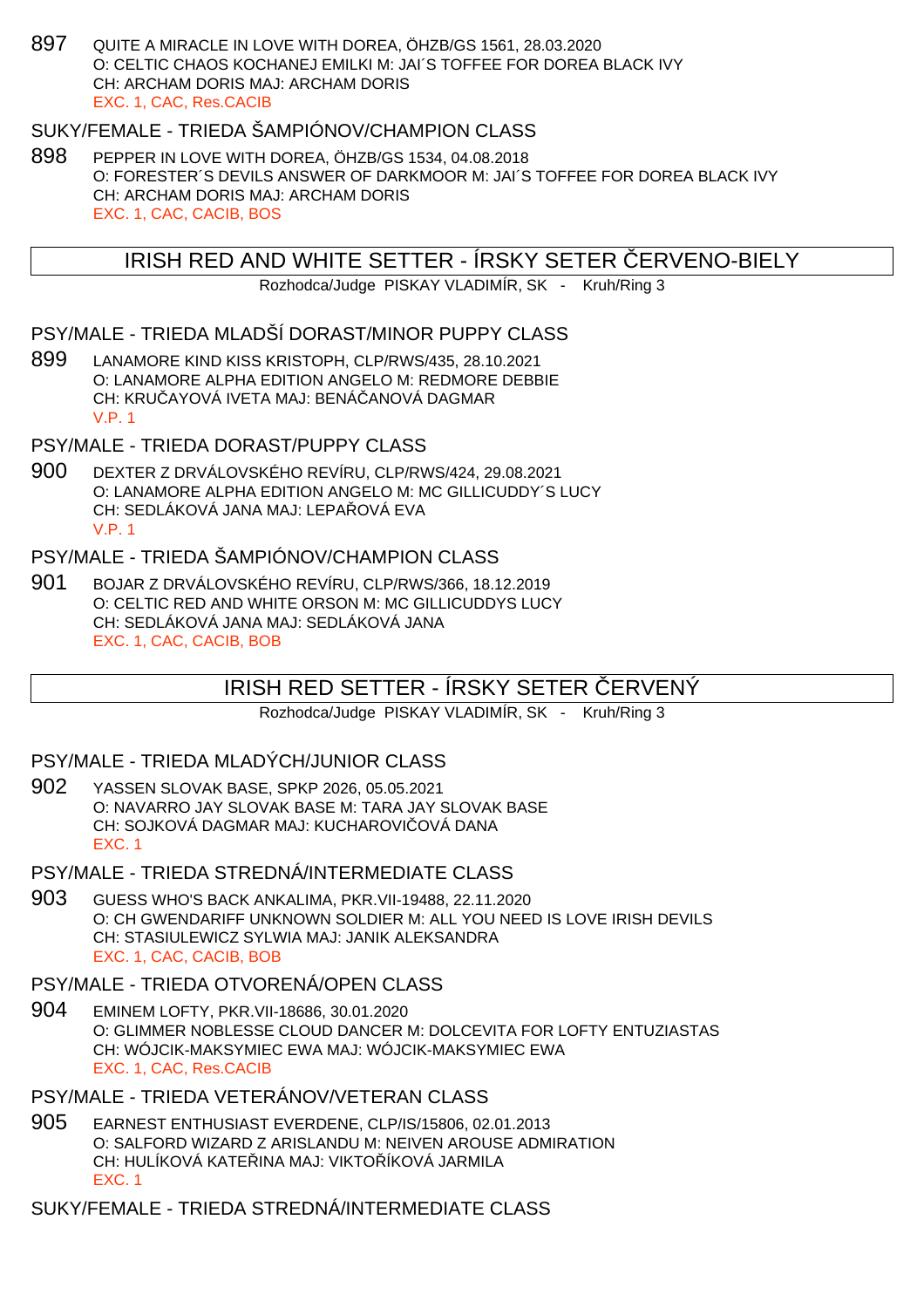897 QUITE A MIRACLE IN LOVE WITH DOREA, ÖHZB/GS 1561, 28.03.2020 O: CELTIC CHAOS KOCHANEJ EMILKI M: JAI´S TOFFEE FOR DOREA BLACK IVY CH: ARCHAM DORIS MAJ: ARCHAM DORIS EXC. 1, CAC, Res.CACIB

## SUKY/FEMALE - TRIEDA ŠAMPIÓNOV/CHAMPION CLASS

898 PEPPER IN LOVE WITH DOREA, ÖHZB/GS 1534, 04.08.2018 O: FORESTER´S DEVILS ANSWER OF DARKMOOR M: JAI´S TOFFEE FOR DOREA BLACK IVY CH: ARCHAM DORIS MAJ: ARCHAM DORIS EXC. 1, CAC, CACIB, BOS

## IRISH RED AND WHITE SETTER - ÍRSKY SETER ERVENO-BIELY

Rozhodca/Judge PISKAY VLADIMÍR, SK - Kruh/Ring 3

#### PSY/MALE - TRIEDA MLADŠÍ DORAST/MINOR PUPPY CLASS

899 LANAMORE KIND KISS KRISTOPH, CLP/RWS/435, 28.10.2021 O: LANAMORE ALPHA EDITION ANGELO M: REDMORE DEBBIE CH: KRU AYOVÁ IVETA MAJ: BENÁ ANOVÁ DAGMAR V.P. 1

PSY/MALE - TRIEDA DORAST/PUPPY CLASS

900 DEXTER Z DRVÁLOVSKÉHO REVÍRU, CLP/RWS/424, 29.08.2021 O: LANAMORE ALPHA EDITION ANGELO M: MC GILLICUDDY´S LUCY CH: SEDLÁKOVÁ JANA MAJ: LEPA LOVÁ EVA V.P. 1

## PSY/MALE - TRIEDA ŠAMPIÓNOV/CHAMPION CLASS

901 BOJAR Z DRVÁLOVSKÉHO REVÍRU, CLP/RWS/366, 18.12.2019 O: CELTIC RED AND WHITE ORSON M: MC GILLICUDDYS LUCY CH: SEDLÁKOVÁ JANA MAJ: SEDLÁKOVÁ JANA EXC. 1, CAC, CACIB, BOB

# IRISH RED SETTER - ÍRSKY SETER ERVENÝ

Rozhodca/Judge PISKAY VLADIMÍR, SK - Kruh/Ring 3

#### PSY/MALE - TRIEDA MLADÝCH/JUNIOR CLASS

902 YASSEN SLOVAK BASE, SPKP 2026, 05.05.2021 O: NAVARRO JAY SLOVAK BASE M: TARA JAY SLOVAK BASE CH: SOJKOVÁ DAGMAR MAJ: KUCHAROVI OVÁ DANA EXC. 1

#### PSY/MALE - TRIEDA STREDNÁ/INTERMEDIATE CLASS

903 GUESS WHO'S BACK ANKALIMA, PKR.VII-19488, 22.11.2020 O: CH GWENDARIFF UNKNOWN SOLDIER M: ALL YOU NEED IS LOVE IRISH DEVILS CH: STASIULEWICZ SYLWIA MAJ: JANIK ALEKSANDRA EXC. 1, CAC, CACIB, BOB

## PSY/MALE - TRIEDA OTVORENÁ/OPEN CLASS

904 EMINEM LOFTY, PKR.VII-18686, 30.01.2020 O: GLIMMER NOBLESSE CLOUD DANCER M: DOLCEVITA FOR LOFTY ENTUZIASTAS CH: WÓJCIK-MAKSYMIEC EWA MAJ: WÓJCIK-MAKSYMIEC EWA EXC. 1, CAC, Res.CACIB

# PSY/MALE - TRIEDA VETERÁNOV/VETERAN CLASS

905 EARNEST ENTHUSIAST EVERDENE, CLP/IS/15806, 02.01.2013 O: SALFORD WIZARD Z ARISLANDU M: NEIVEN AROUSE ADMIRATION CH: HULÍKOVÁ KATELINA MAJ: VIKTOLÍKOVÁ JARMILA EXC. 1

SUKY/FEMALE - TRIEDA STREDNÁ/INTERMEDIATE CLASS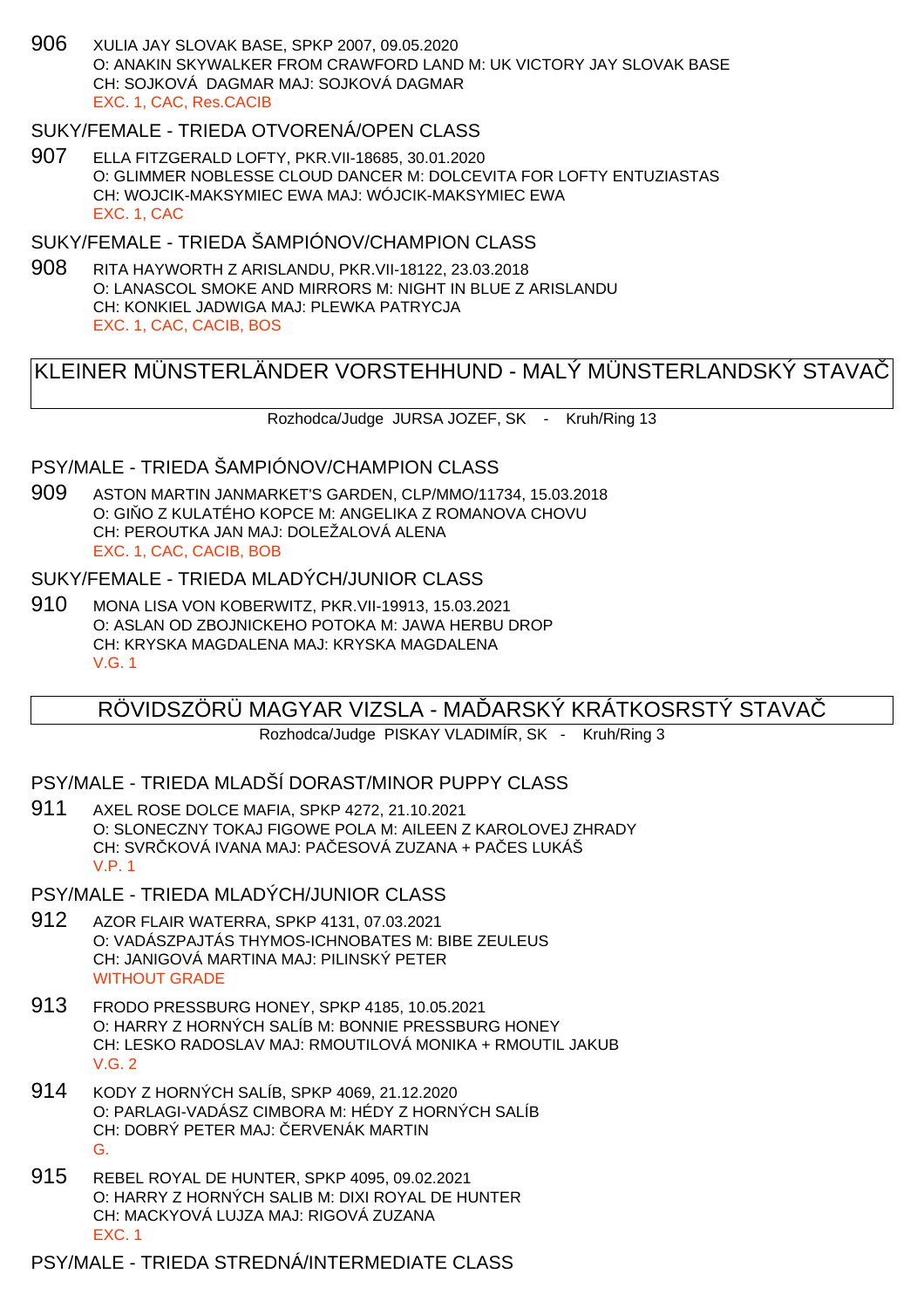906 XULIA JAY SLOVAK BASE, SPKP 2007, 09.05.2020 O: ANAKIN SKYWALKER FROM CRAWFORD LAND M: UK VICTORY JAY SLOVAK BASE CH: SOJKOVÁ DAGMAR MAJ: SOJKOVÁ DAGMAR EXC. 1, CAC, Res.CACIB

## SUKY/FEMALE - TRIEDA OTVORENÁ/OPEN CLASS

907 ELLA FITZGERALD LOFTY, PKR.VII-18685, 30.01.2020 O: GLIMMER NOBLESSE CLOUD DANCER M: DOLCEVITA FOR LOFTY ENTUZIASTAS CH: WOJCIK-MAKSYMIEC EWA MAJ: WÓJCIK-MAKSYMIEC EWA EXC. 1, CAC

## SUKY/FEMALE - TRIEDA ŠAMPIÓNOV/CHAMPION CLASS

908 RITA HAYWORTH Z ARISLANDU, PKR.VII-18122, 23.03.2018 O: LANASCOL SMOKE AND MIRRORS M: NIGHT IN BLUE Z ARISLANDU CH: KONKIEL JADWIGA MAJ: PLEWKA PATRYCJA EXC. 1, CAC, CACIB, BOS

# KLEINER MÜNSTERLÄNDER VORSTEHHUND - MALÝ MÜNSTERLANDSKÝ STAVAČ

Rozhodca/Judge JURSA JOZEF, SK - Kruh/Ring 13

# PSY/MALE - TRIEDA ŠAMPIÓNOV/CHAMPION CLASS

909 ASTON MARTIN JANMARKET'S GARDEN, CLP/MMO/11734, 15.03.2018 O: GI O Z KULATÉHO KOPCE M: ANGELIKA Z ROMANOVA CHOVU CH: PEROUTKA JAN MAJ: DOLEŽALOVÁ ALENA EXC. 1, CAC, CACIB, BOB

#### SUKY/FEMALE - TRIEDA MLADÝCH/JUNIOR CLASS

910 MONA LISA VON KOBERWITZ, PKR.VII-19913, 15.03.2021 O: ASLAN OD ZBOJNICKEHO POTOKA M: JAWA HERBU DROP CH: KRYSKA MAGDALENA MAJ: KRYSKA MAGDALENA V.G. 1

# RÖVIDSZÖRÜ MAGYAR VIZSLA - MA ÞARSKÝ KRÁTKOSRSTÝ STAVA

Rozhodca/Judge PISKAY VLADIMÍR, SK - Kruh/Ring 3

## PSY/MALE - TRIEDA MLADŠÍ DORAST/MINOR PUPPY CLASS

911 AXEL ROSE DOLCE MAFIA, SPKP 4272, 21.10.2021 O: SLONECZNY TOKAJ FIGOWE POLA M: AILEEN Z KAROLOVEJ ZHRADY CH: SVR KOVÁ IVANA MAJ: PA ESOVÁ ZUZANA + PA ES LUKÁŠ V.P. 1

#### PSY/MALE - TRIEDA MLADÝCH/JUNIOR CLASS

- 912 AZOR FLAIR WATERRA, SPKP 4131, 07.03.2021 O: VADÁSZPAJTÁS THYMOS-ICHNOBATES M: BIBE ZEULEUS CH: JANIGOVÁ MARTINA MAJ: PILINSKÝ PETER WITHOUT GRADE
- 913 FRODO PRESSBURG HONEY, SPKP 4185, 10.05.2021 O: HARRY Z HORNÝCH SALÍB M: BONNIE PRESSBURG HONEY CH: LESKO RADOSLAV MAJ: RMOUTILOVÁ MONIKA + RMOUTIL JAKUB V.G. 2
- 914 KODY Z HORNÝCH SALÍB, SPKP 4069, 21.12.2020 O: PARLAGI-VADÁSZ CIMBORA M: HÉDY Z HORNÝCH SALÍB CH: DOBRÝ PETER MAJ: ERVENÁK MARTIN G.
- 915 REBEL ROYAL DE HUNTER, SPKP 4095, 09.02.2021 O: HARRY Z HORNÝCH SALIB M: DIXI ROYAL DE HUNTER CH: MACKYOVÁ LUJZA MAJ: RIGOVÁ ZUZANA EXC. 1

PSY/MALE - TRIEDA STREDNÁ/INTERMEDIATE CLASS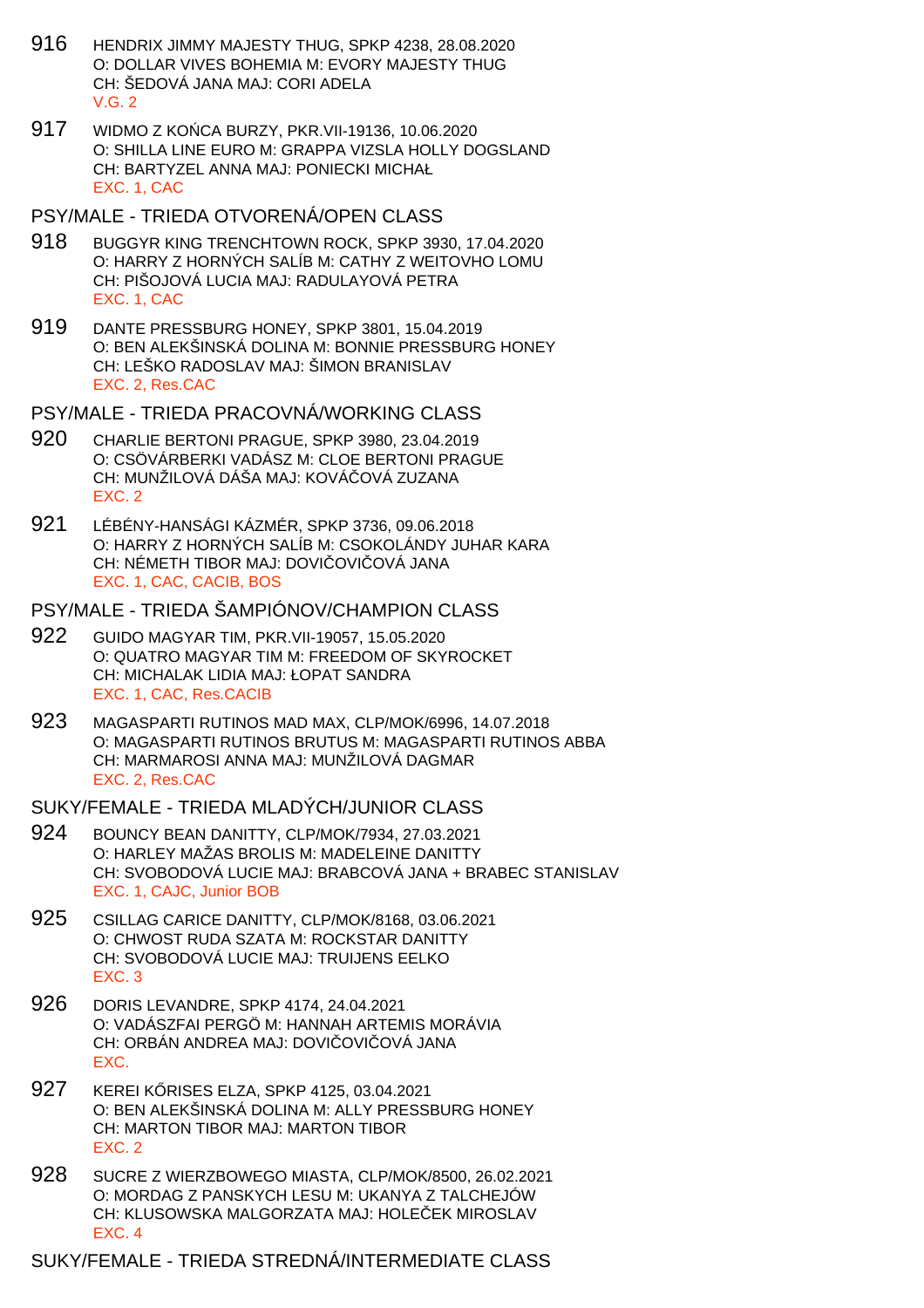- 916 HENDRIX JIMMY MAJESTY THUG, SPKP 4238, 28.08.2020 O: DOLLAR VIVES BOHEMIA M: EVORY MAJESTY THUG CH: ŠEDOVÁ JANA MAJ: CORI ADELA  $V$  G  $2$
- 917 WIDMO Z KOŃCA BURZY, PKR.VII-19136, 10.06.2020 O: SHILLA LINE EURO M: GRAPPA VIZSLA HOLLY DOGSLAND CH: BARTYZEL ANNA MAJ: PONIECKI MICHAŁ EXC. 1, CAC
- PSY/MALE TRIEDA OTVORENÁ/OPEN CLASS
- 918 BUGGYR KING TRENCHTOWN ROCK, SPKP 3930, 17.04.2020 O: HARRY Z HORNÝCH SALÍB M: CATHY Z WEITOVHO LOMU CH: PIŠOJOVÁ LUCIA MAJ: RADULAYOVÁ PETRA EXC. 1, CAC
- 919 DANTE PRESSBURG HONEY, SPKP 3801, 15.04.2019 O: BEN ALEKŠINSKÁ DOLINA M: BONNIE PRESSBURG HONEY CH: LEŠKO RADOSLAV MAJ: ŠIMON BRANISLAV EXC. 2, Res.CAC

PSY/MALE - TRIEDA PRACOVNÁ/WORKING CLASS

- 920 CHARLIE BERTONI PRAGUE, SPKP 3980, 23.04.2019 O: CSÖVÁRBERKI VADÁSZ M: CLOE BERTONI PRAGUE CH: MUNŽILOVÁ DÁŠA MAJ: KOVÁ OVÁ ZUZANA EXC. 2
- 921 LÉBÉNY-HANSÁGI KÁZMÉR, SPKP 3736, 09.06.2018 O: HARRY Z HORNÝCH SALÍB M: CSOKOLÁNDY JUHAR KARA CH: NÉMETH TIBOR MAJ: DOVI OVI OVÁ JANA EXC. 1, CAC, CACIB, BOS

# PSY/MALE - TRIEDA ŠAMPIÓNOV/CHAMPION CLASS

- 922 GUIDO MAGYAR TIM, PKR.VII-19057, 15.05.2020 O: QUATRO MAGYAR TIM M: FREEDOM OF SKYROCKET CH: MICHALAK LIDIA MAJ: ŁOPAT SANDRA EXC. 1, CAC, Res.CACIB
- 923 MAGASPARTI RUTINOS MAD MAX, CLP/MOK/6996, 14.07.2018 O: MAGASPARTI RUTINOS BRUTUS M: MAGASPARTI RUTINOS ABBA CH: MARMAROSI ANNA MAJ: MUNŽILOVÁ DAGMAR EXC. 2, Res.CAC

# SUKY/FEMALE - TRIEDA MLADÝCH/JUNIOR CLASS

- 924 BOUNCY BEAN DANITTY, CLP/MOK/7934, 27.03.2021 O: HARLEY MAŽAS BROLIS M: MADELEINE DANITTY CH: SVOBODOVÁ LUCIE MAJ: BRABCOVÁ JANA + BRABEC STANISLAV EXC. 1, CAJC, Junior BOB
- 925 CSILLAG CARICE DANITTY, CLP/MOK/8168, 03.06.2021 O: CHWOST RUDA SZATA M: ROCKSTAR DANITTY CH: SVOBODOVÁ LUCIE MAJ: TRUIJENS EELKO EXC. 3
- 926 DORIS LEVANDRE, SPKP 4174, 24.04.2021 O: VADÁSZFAI PERGÖ M: HANNAH ARTEMIS MORÁVIA CH: ORBÁN ANDREA MAJ: DOVI OVI OVÁ JANA EXC.
- 927 KEREI K RISES ELZA, SPKP 4125, 03.04.2021 O: BEN ALEKŠINSKÁ DOLINA M: ALLY PRESSBURG HONEY CH: MARTON TIBOR MAJ: MARTON TIBOR EXC. 2
- 928 SUCRE Z WIERZBOWEGO MIASTA, CLP/MOK/8500, 26.02.2021 O: MORDAG Z PANSKYCH LESU M: UKANYA Z TALCHEJÓW CH: KLUSOWSKA MALGORZATA MAJ: HOLE EK MIROSLAV EXC. 4

SUKY/FEMALE - TRIEDA STREDNÁ/INTERMEDIATE CLASS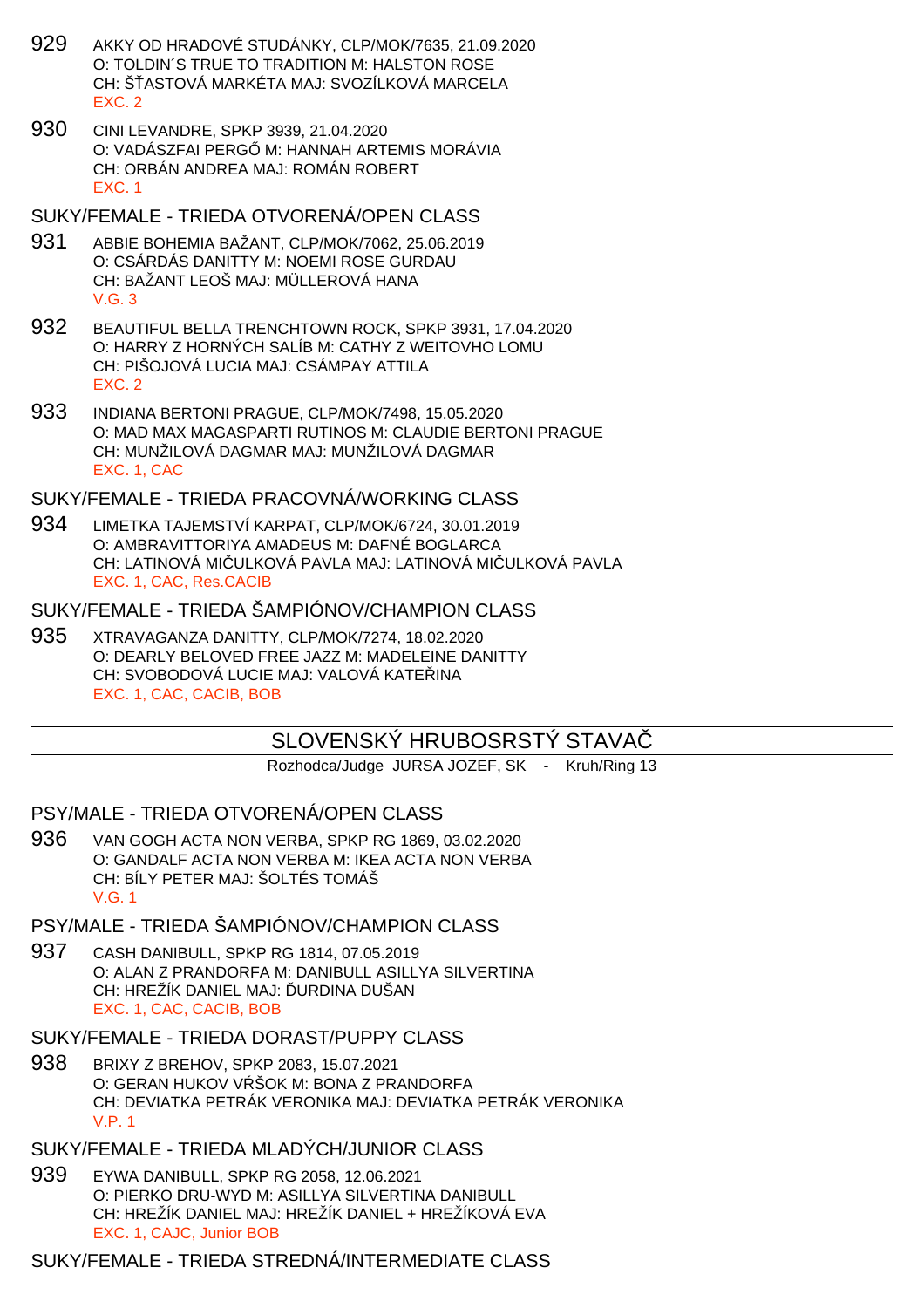- 929 AKKY OD HRADOVÉ STUDÁNKY, CLP/MOK/7635, 21.09.2020 O: TOLDIN´S TRUE TO TRADITION M: HALSTON ROSE CH: Š. ASTOVÁ MARKÉTA MAJ: SVOZÍLKOVÁ MARCELA EXC. 2
- 930 CINI LEVANDRE, SPKP 3939, 21.04.2020 O: VADÁSZFAI PERG M: HANNAH ARTEMIS MORÁVIA CH: ORBÁN ANDREA MAJ: ROMÁN ROBERT EXC. 1
- SUKY/FEMALE TRIEDA OTVORENÁ/OPEN CLASS
- 931 ABBIE BOHEMIA BAŽANT, CLP/MOK/7062, 25.06.2019 O: CSÁRDÁS DANITTY M: NOEMI ROSE GURDAU CH: BAŽANT LEOŠ MAJ: MÜLLEROVÁ HANA V.G. 3
- 932 BEAUTIFUL BELLA TRENCHTOWN ROCK, SPKP 3931, 17.04.2020 O: HARRY Z HORNÝCH SALÍB M: CATHY Z WEITOVHO LOMU CH: PIŠOJOVÁ LUCIA MAJ: CSÁMPAY ATTILA EXC. 2
- 933 INDIANA BERTONI PRAGUE, CLP/MOK/7498, 15.05.2020 O: MAD MAX MAGASPARTI RUTINOS M: CLAUDIE BERTONI PRAGUE CH: MUNŽILOVÁ DAGMAR MAJ: MUNŽILOVÁ DAGMAR EXC. 1, CAC

#### SUKY/FEMALE - TRIEDA PRACOVNÁ/WORKING CLASS

934 LIMETKA TAJEMSTVÍ KARPAT, CLP/MOK/6724, 30.01.2019 O: AMBRAVITTORIYA AMADEUS M: DAFNÉ BOGLARCA CH: LATINOVÁ MI ULKOVÁ PAVLA MAJ: LATINOVÁ MI ULKOVÁ PAVLA EXC. 1, CAC, Res.CACIB

#### SUKY/FEMALE - TRIEDA ŠAMPIÓNOV/CHAMPION CLASS

935 XTRAVAGANZA DANITTY, CLP/MOK/7274, 18.02.2020 O: DEARLY BELOVED FREE JAZZ M: MADELEINE DANITTY CH: SVOBODOVÁ LUCIE MAJ: VALOVÁ KATEŘINA EXC. 1, CAC, CACIB, BOB

# SLOVENSKÝ HRUBOSRSTY STAVA

Rozhodca/Judge JURSA JOZEF, SK - Kruh/Ring 13

PSY/MALE - TRIEDA OTVORENÁ/OPEN CLASS

- 936 VAN GOGH ACTA NON VERBA, SPKP RG 1869, 03.02.2020 O: GANDALF ACTA NON VERBA M: IKEA ACTA NON VERBA CH: BÍLY PETER MAJ: ŠOLTÉS TOMÁŠ V.G. 1
- PSY/MALE TRIEDA ŠAMPIÓNOV/CHAMPION CLASS
- 937 CASH DANIBULL, SPKP RG 1814, 07.05.2019 O: ALAN Z PRANDORFA M: DANIBULL ASILLYA SILVERTINA CH: HREŽÍK DANIEL MAJ: URDINA DUŠAN EXC. 1, CAC, CACIB, BOB
- SUKY/FEMALE TRIEDA DORAST/PUPPY CLASS
- 938 BRIXY Z BREHOV, SPKP 2083, 15.07.2021 O: GERAN HUKOV V ŠOK M: BONA Z PRANDORFA CH: DEVIATKA PETRÁK VERONIKA MAJ: DEVIATKA PETRÁK VERONIKA V.P. 1
- SUKY/FEMALE TRIEDA MLADÝCH/JUNIOR CLASS
- 939 EYWA DANIBULL, SPKP RG 2058, 12.06.2021 O: PIERKO DRU-WYD M: ASILLYA SILVERTINA DANIBULL CH: HREŽÍK DANIEL MAJ: HREŽÍK DANIEL + HREŽÍKOVÁ EVA EXC. 1, CAJC, Junior BOB

## SUKY/FEMALE - TRIEDA STREDNÁ/INTERMEDIATE CLASS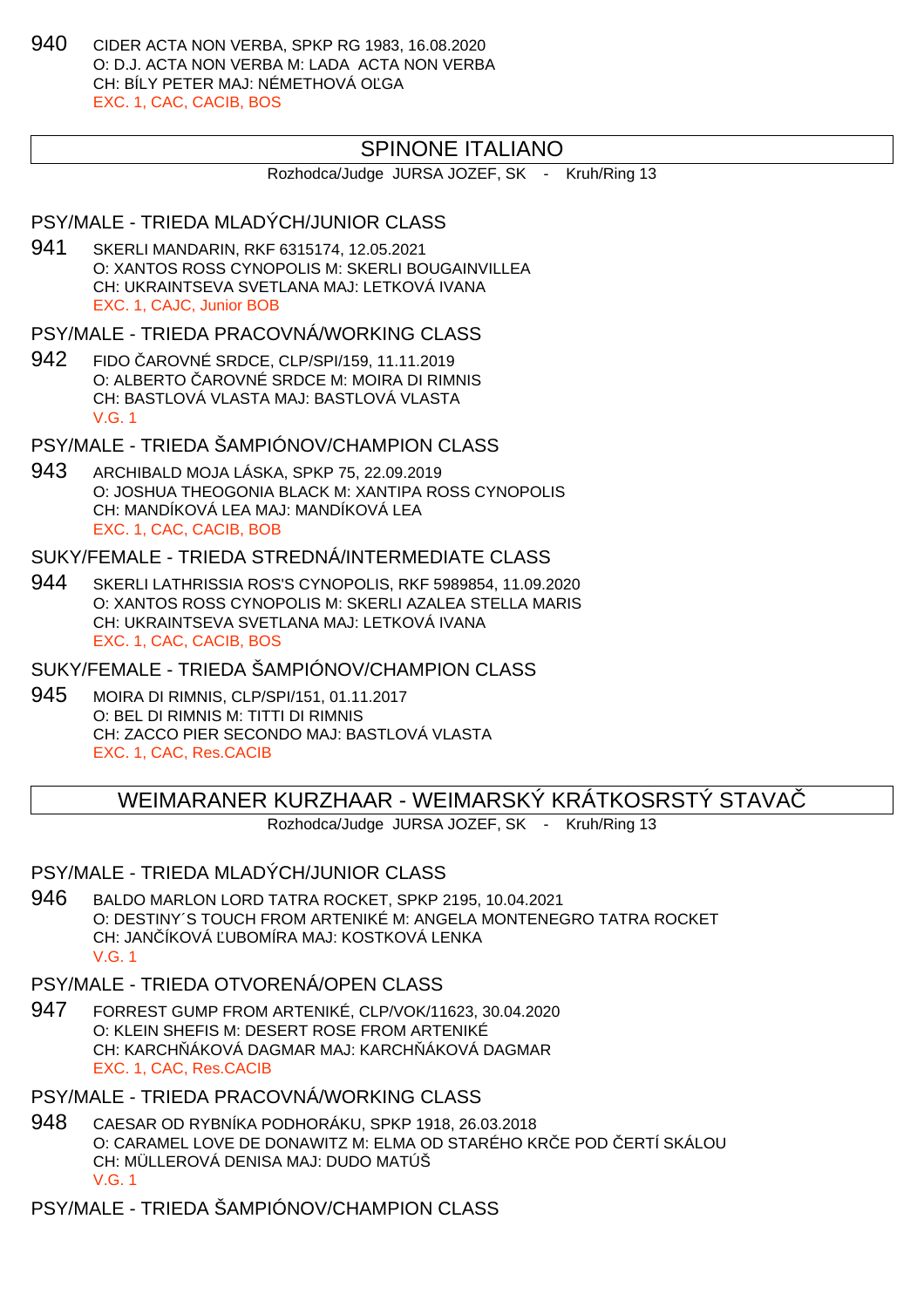940 CIDER ACTA NON VERBA, SPKP RG 1983, 16.08.2020 O: D.J. ACTA NON VERBA M: LADA ACTA NON VERBA CH: BÍLY PETER MAJ: NÉMETHOVÁ OĽGA EXC. 1, CAC, CACIB, BOS

## SPINONE ITALIANO

Rozhodca/Judge JURSA JOZEF, SK - Kruh/Ring 13

## PSY/MALE - TRIEDA MLADÝCH/JUNIOR CLASS

941 SKERLI MANDARIN, RKF 6315174, 12.05.2021 O: XANTOS ROSS CYNOPOLIS M: SKERLI BOUGAINVILLEA CH: UKRAINTSEVA SVETLANA MAJ: LETKOVÁ IVANA EXC. 1, CAJC, Junior BOB

PSY/MALE - TRIEDA PRACOVNÁ/WORKING CLASS

942 FIDO ČAROVNÉ SRDCE, CLP/SPI/159, 11.11.2019 O: ALBERTO AROVNÉ SRDCE M: MOIRA DI RIMNIS CH: BASTLOVÁ VLASTA MAJ: BASTLOVÁ VLASTA V.G. 1

PSY/MALE - TRIEDA ŠAMPIÓNOV/CHAMPION CLASS

943 ARCHIBALD MOJA LÁSKA, SPKP 75, 22.09.2019 O: JOSHUA THEOGONIA BLACK M: XANTIPA ROSS CYNOPOLIS CH: MANDÍKOVÁ LEA MAJ: MANDÍKOVÁ LEA EXC. 1, CAC, CACIB, BOB

# SUKY/FEMALE - TRIEDA STREDNÁ/INTERMEDIATE CLASS

944 SKERLI LATHRISSIA ROS'S CYNOPOLIS, RKF 5989854, 11.09.2020 O: XANTOS ROSS CYNOPOLIS M: SKERLI AZALEA STELLA MARIS CH: UKRAINTSEVA SVETLANA MAJ: LETKOVÁ IVANA EXC. 1, CAC, CACIB, BOS

SUKY/FEMALE - TRIEDA ŠAMPIÓNOV/CHAMPION CLASS

945 MOIRA DI RIMNIS, CLP/SPI/151, 01.11.2017 O: BEL DI RIMNIS M: TITTI DI RIMNIS CH: ZACCO PIER SECONDO MAJ: BASTLOVÁ VLASTA EXC. 1, CAC, Res.CACIB

WEIMARANER KURZHAAR - WEIMARSKÝ KRÁTKOSRSTÝ STAVAČ

Rozhodca/Judge JURSA JOZEF, SK - Kruh/Ring 13

## PSY/MALE - TRIEDA MLADÝCH/JUNIOR CLASS

- 946 BALDO MARLON LORD TATRA ROCKET, SPKP 2195, 10.04.2021 O: DESTINY´S TOUCH FROM ARTENIKÉ M: ANGELA MONTENEGRO TATRA ROCKET CH: JAN ÍKOVÁ UBOMÍRA MAJ: KOSTKOVÁ LENKA V.G. 1
- PSY/MALE TRIEDA OTVORENÁ/OPEN CLASS
- 947 FORREST GUMP FROM ARTENIKÉ, CLP/VOK/11623, 30.04.2020 O: KLEIN SHEFIS M: DESERT ROSE FROM ARTENIKÉ CH: KARCH ÁKOVÁ DAGMAR MAJ: KARCH ÁKOVÁ DAGMAR EXC. 1, CAC, Res.CACIB
- PSY/MALE TRIEDA PRACOVNÁ/WORKING CLASS
- 948 CAESAR OD RYBNÍKA PODHORÁKU, SPKP 1918, 26.03.2018 O: CARAMEL LOVE DE DONAWITZ M: ELMA OD STARÉHO KRČE POD ČERTÍ SKÁLOU CH: MÜLLEROVÁ DENISA MAJ: DUDO MATÚŠ V.G. 1

PSY/MALE - TRIEDA ŠAMPIÓNOV/CHAMPION CLASS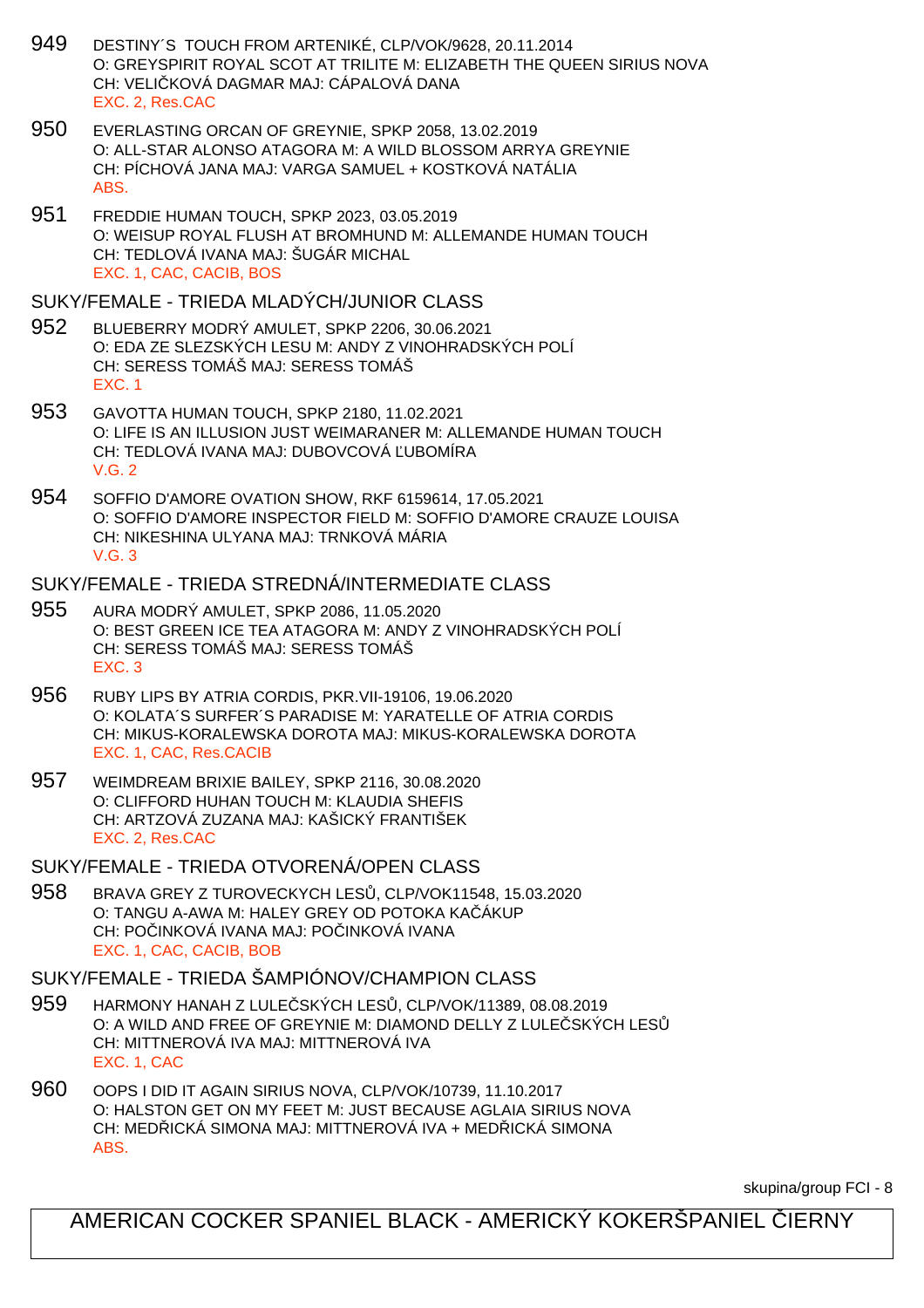- 949 DESTINY´S TOUCH FROM ARTENIKÉ, CLP/VOK/9628, 20.11.2014 O: GREYSPIRIT ROYAL SCOT AT TRILITE M: ELIZABETH THE QUEEN SIRIUS NOVA CH: VELI KOVÁ DAGMAR MAJ: CÁPALOVÁ DANA EXC. 2, Res.CAC
- 950 EVERLASTING ORCAN OF GREYNIE, SPKP 2058, 13.02.2019 O: ALL-STAR ALONSO ATAGORA M: A WILD BLOSSOM ARRYA GREYNIE CH: PÍCHOVÁ JANA MAJ: VARGA SAMUEL + KOSTKOVÁ NATÁLIA ABS.
- 951 FREDDIE HUMAN TOUCH, SPKP 2023, 03.05.2019 O: WEISUP ROYAL FLUSH AT BROMHUND M: ALLEMANDE HUMAN TOUCH CH: TEDLOVÁ IVANA MAJ: ŠUGÁR MICHAL EXC. 1, CAC, CACIB, BOS

#### SUKY/FEMALE - TRIEDA MLADÝCH/JUNIOR CLASS

- 952 BLUEBERRY MODRÝ AMULET, SPKP 2206, 30.06.2021 O: EDA ZE SLEZSKÝCH LESU M: ANDY Z VINOHRADSKÝCH POLÍ CH: SERESS TOMÁŠ MAJ: SERESS TOMÁŠ EXC. 1
- 953 GAVOTTA HUMAN TOUCH, SPKP 2180, 11.02.2021 O: LIFE IS AN ILLUSION JUST WEIMARANER M: ALLEMANDE HUMAN TOUCH CH: TEDLOVÁ IVANA MAJ: DUBOVCOVÁ UBOMÍRA V.G. 2
- 954 SOFFIO D'AMORE OVATION SHOW, RKF 6159614, 17.05.2021 O: SOFFIO D'AMORE INSPECTOR FIELD M: SOFFIO D'AMORE CRAUZE LOUISA CH: NIKESHINA ULYANA MAJ: TRNKOVÁ MÁRIA V.G. 3

#### SUKY/FEMALE - TRIEDA STREDNÁ/INTERMEDIATE CLASS

- 955 AURA MODRÝ AMULET, SPKP 2086, 11.05.2020 O: BEST GREEN ICE TEA ATAGORA M: ANDY Z VINOHRADSKÝCH POLÍ CH: SERESS TOMÁŠ MAJ: SERESS TOMÁŠ EXC. 3
- 956 RUBY LIPS BY ATRIA CORDIS, PKR.VII-19106, 19.06.2020 O: KOLATA´S SURFER´S PARADISE M: YARATELLE OF ATRIA CORDIS CH: MIKUS-KORALEWSKA DOROTA MAJ: MIKUS-KORALEWSKA DOROTA EXC. 1, CAC, Res.CACIB
- 957 WEIMDREAM BRIXIE BAILEY, SPKP 2116, 30.08.2020 O: CLIFFORD HUHAN TOUCH M: KLAUDIA SHEFIS CH: ARTZOVÁ ZUZANA MAJ: KAŠICKÝ FRANTIŠEK EXC. 2, Res.CAC
- SUKY/FEMALE TRIEDA OTVORENÁ/OPEN CLASS
- 958 BRAVA GREY Z TUROVECKYCH LES , CLP/VOK11548, 15.03.2020 O: TANGU A-AWA M: HALEY GREY OD POTOKA KA ÁKUP CH: POČINKOVÁ IVANA MAJ: POČINKOVÁ IVANA EXC. 1, CAC, CACIB, BOB

## SUKY/FEMALE - TRIEDA ŠAMPIÓNOV/CHAMPION CLASS

- 959 HARMONY HANAH Z LULE SKÝCH LES , CLP/VOK/11389, 08.08.2019 O: A WILD AND FREE OF GREYNIE M: DIAMOND DELLY Z LULE SKÝCH LES CH: MITTNEROVÁ IVA MAJ: MITTNEROVÁ IVA EXC. 1, CAC
- 960 OOPS I DID IT AGAIN SIRIUS NOVA, CLP/VOK/10739, 11.10.2017 O: HALSTON GET ON MY FEET M: JUST BECAUSE AGLAIA SIRIUS NOVA CH: MED ICKÁ SIMONA MAJ: MITTNEROVÁ IVA + MED ICKÁ SIMONA ABS.

skupina/group FCI - 8

AMERICAN COCKER SPANIEL BLACK - AMERICKÝ KOKERŠPANIEL LERNY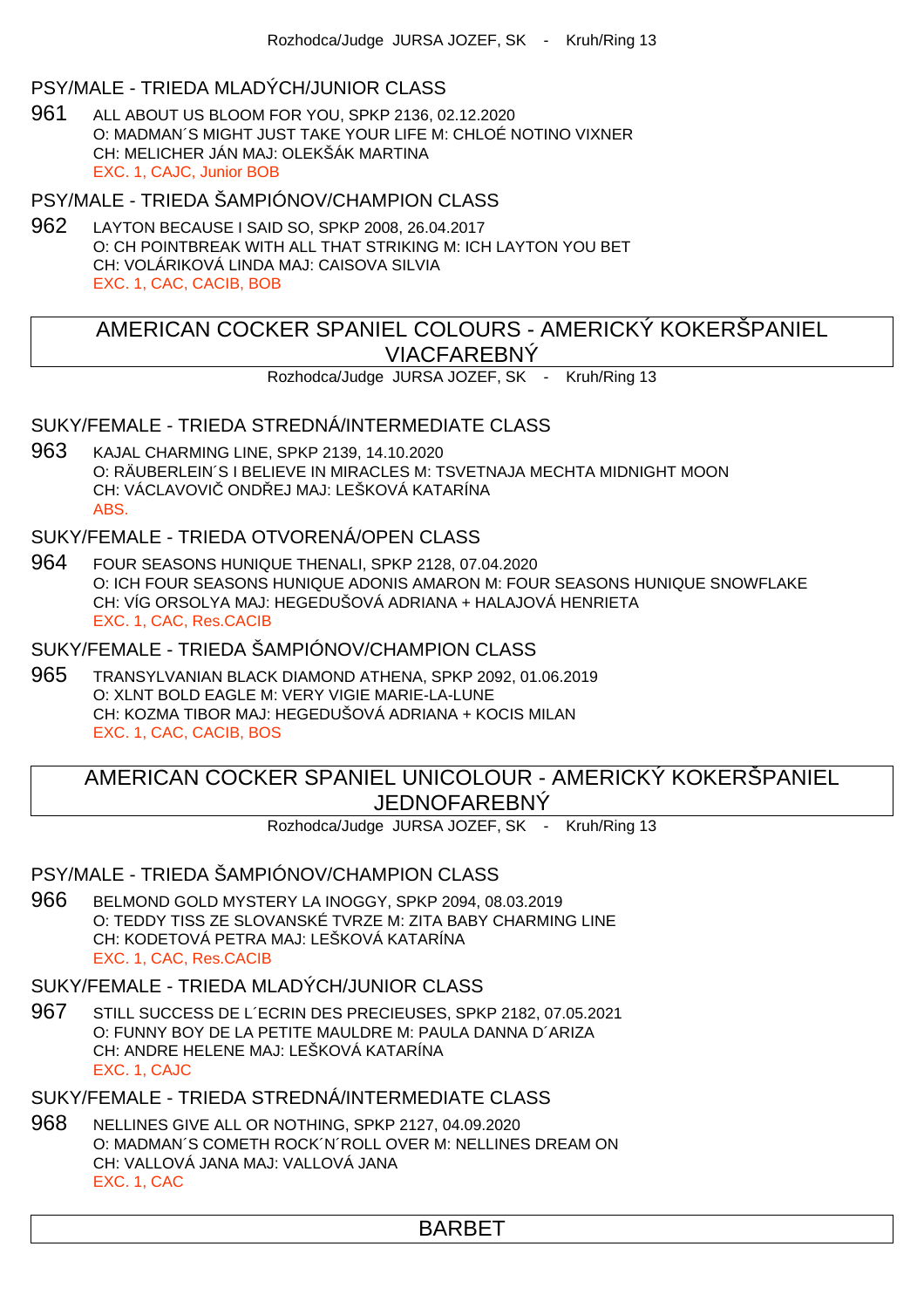### PSY/MALE - TRIEDA MLADÝCH/JUNIOR CLASS

961 ALL ABOUT US BLOOM FOR YOU, SPKP 2136, 02.12.2020 O: MADMAN´S MIGHT JUST TAKE YOUR LIFE M: CHLOÉ NOTINO VIXNER CH: MELICHER JÁN MAJ: OLEKŠÁK MARTINA EXC. 1, CAJC, Junior BOB

PSY/MALE - TRIEDA ŠAMPIÓNOV/CHAMPION CLASS

962 LAYTON BECAUSE I SAID SO, SPKP 2008, 26.04.2017 O: CH POINTBREAK WITH ALL THAT STRIKING M: ICH LAYTON YOU BET CH: VOLÁRIKOVÁ LINDA MAJ: CAISOVA SILVIA EXC. 1, CAC, CACIB, BOB

# AMERICAN COCKER SPANIEL COLOURS - AMERICKÝ KOKERŠPANIEL VIACFAREBNÝ

Rozhodca/Judge JURSA JOZEF, SK - Kruh/Ring 13

#### SUKY/FEMALE - TRIEDA STREDNÁ/INTERMEDIATE CLASS

963 KAJAL CHARMING LINE, SPKP 2139, 14.10.2020 O: RÄUBERLEIN´S I BELIEVE IN MIRACLES M: TSVETNAJA MECHTA MIDNIGHT MOON CH: VÁCLAVOVI ONDŘEJ MAJ: LEŠKOVÁ KATARÍNA ABS.

SUKY/FEMALE - TRIEDA OTVORENÁ/OPEN CLASS

964 FOUR SEASONS HUNIQUE THENALI, SPKP 2128, 07.04.2020 O: ICH FOUR SEASONS HUNIQUE ADONIS AMARON M: FOUR SEASONS HUNIQUE SNOWFLAKE CH: VÍG ORSOLYA MAJ: HEGEDUŠOVÁ ADRIANA + HALAJOVÁ HENRIETA EXC. 1, CAC, Res.CACIB

SUKY/FEMALE - TRIEDA ŠAMPIÓNOV/CHAMPION CLASS

965 TRANSYLVANIAN BLACK DIAMOND ATHENA, SPKP 2092, 01.06.2019 O: XLNT BOLD EAGLE M: VERY VIGIE MARIE-LA-LUNE CH: KOZMA TIBOR MAJ: HEGEDUŠOVÁ ADRIANA + KOCIS MILAN EXC. 1, CAC, CACIB, BOS

AMERICAN COCKER SPANIEL UNICOLOUR - AMERICKÝ KOKERŠPANIEL JEDNOFAREBNÝ

Rozhodca/Judge JURSA JOZEF, SK - Kruh/Ring 13

#### PSY/MALE - TRIEDA ŠAMPIÓNOV/CHAMPION CLASS

966 BELMOND GOLD MYSTERY LA INOGGY, SPKP 2094, 08.03.2019 O: TEDDY TISS ZE SLOVANSKÉ TVRZE M: ZITA BABY CHARMING LINE CH: KODETOVÁ PETRA MAJ: LEŠKOVÁ KATARÍNA EXC. 1, CAC, Res.CACIB

# SUKY/FEMALE - TRIEDA MLADÝCH/JUNIOR CLASS

967 STILL SUCCESS DE L´ECRIN DES PRECIEUSES, SPKP 2182, 07.05.2021 O: FUNNY BOY DE LA PETITE MAULDRE M: PAULA DANNA D´ARIZA CH: ANDRE HELENE MAJ: LEŠKOVÁ KATARÍNA EXC. 1, CAJC

SUKY/FEMALE - TRIEDA STREDNÁ/INTERMEDIATE CLASS

968 NELLINES GIVE ALL OR NOTHING, SPKP 2127, 04.09.2020 O: MADMAN´S COMETH ROCK´N´ROLL OVER M: NELLINES DREAM ON CH: VALLOVÁ JANA MAJ: VALLOVÁ JANA EXC. 1, CAC

BARBET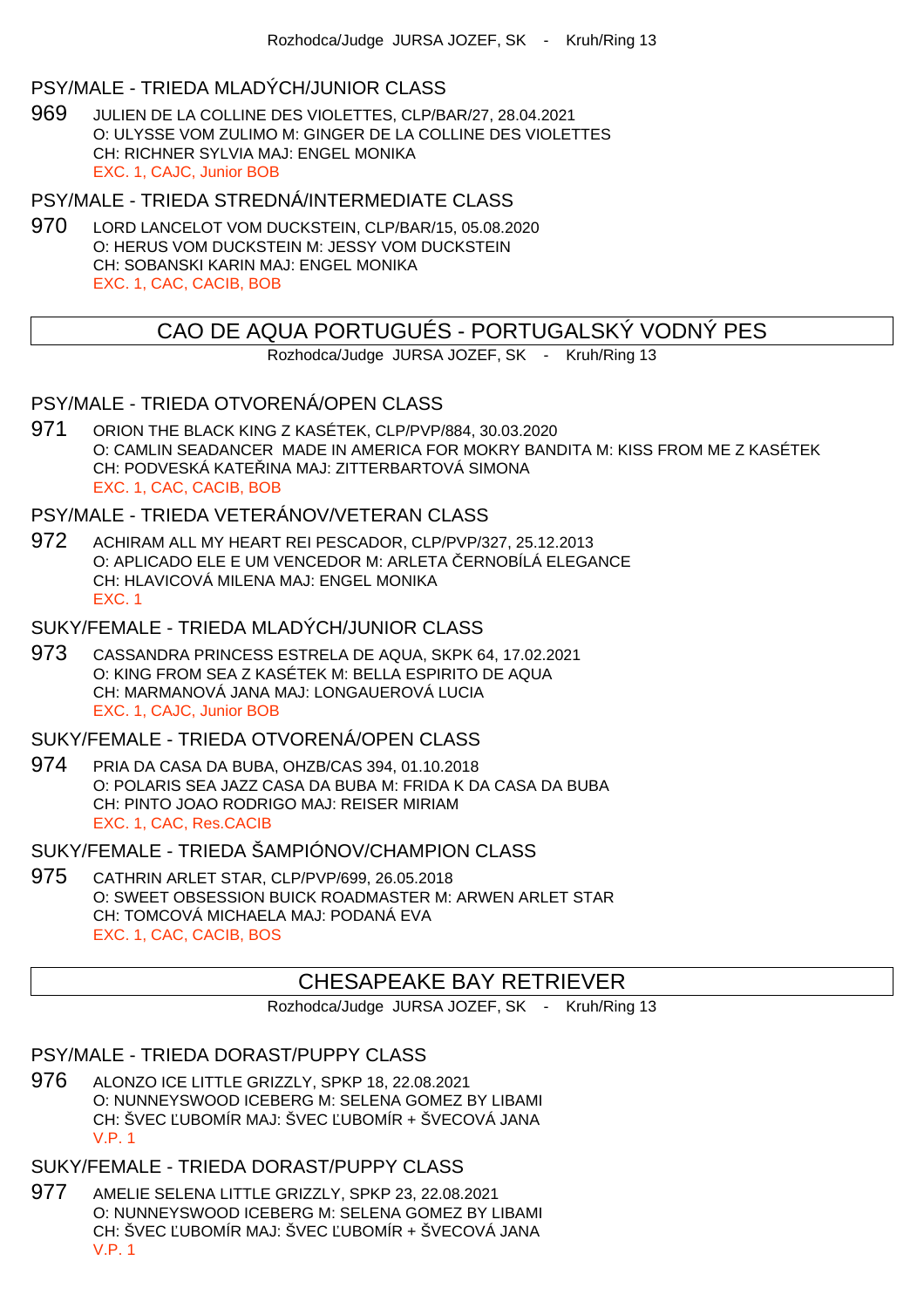#### PSY/MALE - TRIEDA MLADÝCH/JUNIOR CLASS

969 JULIEN DE LA COLLINE DES VIOLETTES, CLP/BAR/27, 28.04.2021 O: ULYSSE VOM ZULIMO M: GINGER DE LA COLLINE DES VIOLETTES CH: RICHNER SYLVIA MAJ: ENGEL MONIKA EXC. 1, CAJC, Junior BOB

PSY/MALE - TRIEDA STREDNÁ/INTERMEDIATE CLASS

970 LORD LANCELOT VOM DUCKSTEIN, CLP/BAR/15, 05.08.2020 O: HERUS VOM DUCKSTEIN M: JESSY VOM DUCKSTEIN CH: SOBANSKI KARIN MAJ: ENGEL MONIKA EXC. 1, CAC, CACIB, BOB

# CAO DE AQUA PORTUGUÉS - PORTUGALSKÝ VODNÝ PES

Rozhodca/Judge JURSA JOZEF, SK - Kruh/Ring 13

## PSY/MALE - TRIEDA OTVORENÁ/OPEN CLASS

971 ORION THE BLACK KING Z KASÉTEK, CLP/PVP/884, 30.03.2020 O: CAMLIN SEADANCER MADE IN AMERICA FOR MOKRY BANDITA M: KISS FROM ME Z KASÉTEK CH: PODVESKÁ KATE INA MAJ: ZITTERBARTOVÁ SIMONA EXC. 1, CAC, CACIB, BOB

#### PSY/MALE - TRIEDA VETERÁNOV/VETERAN CLASS

- 972 ACHIRAM ALL MY HEART REI PESCADOR, CLP/PVP/327, 25.12.2013 O: APLICADO ELE E UM VENCEDOR M: ARLETA ERNOBÍLÁ ELEGANCE CH: HLAVICOVÁ MILENA MAJ: ENGEL MONIKA EXC. 1
- SUKY/FEMALE TRIEDA MLADÝCH/JUNIOR CLASS
- 973 CASSANDRA PRINCESS ESTRELA DE AQUA, SKPK 64, 17.02.2021 O: KING FROM SEA Z KASÉTEK M: BELLA ESPIRITO DE AQUA CH: MARMANOVÁ JANA MAJ: LONGAUEROVÁ LUCIA EXC. 1, CAJC, Junior BOB

## SUKY/FEMALE - TRIEDA OTVORENÁ/OPEN CLASS

- 974 PRIA DA CASA DA BUBA, OHZB/CAS 394, 01.10.2018 O: POLARIS SEA JAZZ CASA DA BUBA M: FRIDA K DA CASA DA BUBA CH: PINTO JOAO RODRIGO MAJ: REISER MIRIAM EXC. 1, CAC, Res.CACIB
- SUKY/FEMALE TRIEDA ŠAMPIÓNOV/CHAMPION CLASS
- 975 CATHRIN ARLET STAR, CLP/PVP/699, 26.05.2018 O: SWEET OBSESSION BUICK ROADMASTER M: ARWEN ARLET STAR CH: TOMCOVÁ MICHAELA MAJ: PODANÁ EVA EXC. 1, CAC, CACIB, BOS

#### CHESAPEAKE BAY RETRIEVER

Rozhodca/Judge JURSA JOZEF, SK - Kruh/Ring 13

#### PSY/MALE - TRIEDA DORAST/PUPPY CLASS

976 ALONZO ICE LITTLE GRIZZLY, SPKP 18, 22.08.2021 O: NUNNEYSWOOD ICEBERG M: SELENA GOMEZ BY LIBAMI CH: ŠVEC UBOMÍR MAJ: ŠVEC UBOMÍR + ŠVECOVÁ JANA V.P. 1

### SUKY/FEMALE - TRIEDA DORAST/PUPPY CLASS

977 AMELIE SELENA LITTLE GRIZZLY, SPKP 23, 22.08.2021 O: NUNNEYSWOOD ICEBERG M: SELENA GOMEZ BY LIBAMI CH: ŠVEC UBOMÍR MAJ: ŠVEC UBOMÍR + ŠVECOVÁ JANA V.P. 1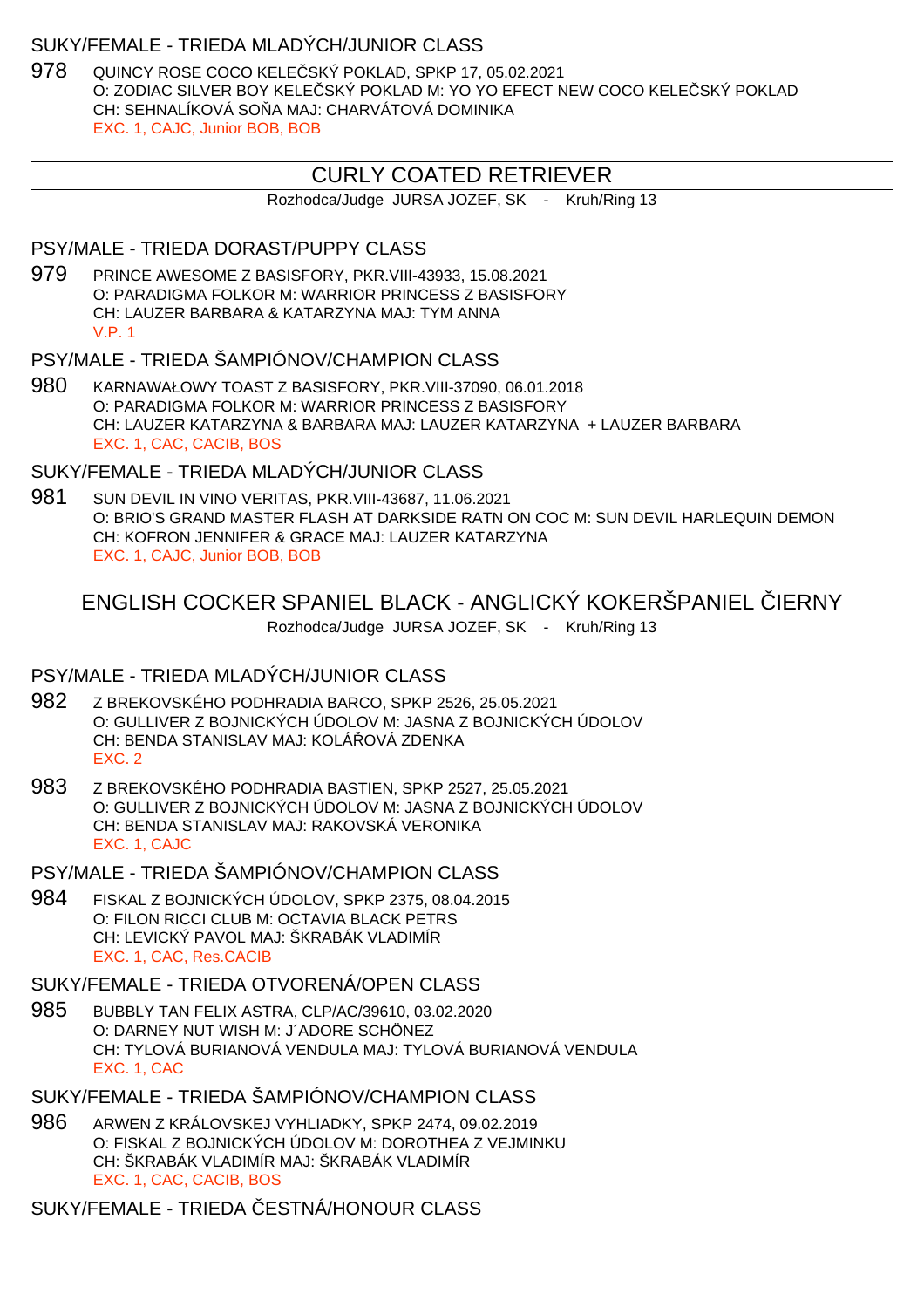#### SUKY/FEMALE - TRIEDA MLADÝCH/JUNIOR CLASS

978 QUINCY ROSE COCO KELE SKÝ POKLAD, SPKP 17, 05.02.2021 O: ZODIAC SILVER BOY KELE SKÝ POKLAD M: YO YO EFECT NEW COCO KELE SKÝ POKLAD CH: SEHNALÍKOVÁ SO A MAJ: CHARVÁTOVÁ DOMINIKA EXC. 1, CAJC, Junior BOB, BOB

# CURLY COATED RETRIEVER

Rozhodca/Judge JURSA JOZEF, SK - Kruh/Ring 13

#### PSY/MALE - TRIEDA DORAST/PUPPY CLASS

979 PRINCE AWESOME Z BASISFORY, PKR.VIII-43933, 15.08.2021 O: PARADIGMA FOLKOR M: WARRIOR PRINCESS Z BASISFORY CH: LAUZER BARBARA & KATARZYNA MAJ: TYM ANNA V.P. 1

#### PSY/MALE - TRIEDA ŠAMPIÓNOV/CHAMPION CLASS

980 KARNAWAŁOWY TOAST Z BASISFORY, PKR.VIII-37090, 06.01.2018 O: PARADIGMA FOLKOR M: WARRIOR PRINCESS Z BASISFORY CH: LAUZER KATARZYNA & BARBARA MAJ: LAUZER KATARZYNA + LAUZER BARBARA EXC. 1, CAC, CACIB, BOS

# SUKY/FEMALE - TRIEDA MLADÝCH/JUNIOR CLASS

981 SUN DEVIL IN VINO VERITAS, PKR.VIII-43687, 11.06.2021 O: BRIO'S GRAND MASTER FLASH AT DARKSIDE RATN ON COC M: SUN DEVIL HARLEQUIN DEMON CH: KOFRON JENNIFER & GRACE MAJ: LAUZER KATARZYNA EXC. 1, CAJC, Junior BOB, BOB

# ENGLISH COCKER SPANIEL BLACK - ANGLICKÝ KOKERŠPANIEL ČIERNY

Rozhodca/Judge JURSA JOZEF, SK - Kruh/Ring 13

## PSY/MALE - TRIEDA MLADÝCH/JUNIOR CLASS

- 982 Z BREKOVSKÉHO PODHRADIA BARCO, SPKP 2526, 25.05.2021 O: GULLIVER Z BOJNICKÝCH ÚDOLOV M: JASNA Z BOJNICKÝCH ÚDOLOV CH: BENDA STANISLAV MAJ: KOLÁ OVÁ ZDENKA EXC. 2
- 983 Z BREKOVSKÉHO PODHRADIA BASTIEN, SPKP 2527, 25.05.2021 O: GULLIVER Z BOJNICKÝCH ÚDOLOV M: JASNA Z BOJNICKÝCH ÚDOLOV CH: BENDA STANISLAV MAJ: RAKOVSKÁ VERONIKA EXC. 1, CAJC
- PSY/MALE TRIEDA ŠAMPIÓNOV/CHAMPION CLASS
- 984 FISKAL Z BOJNICKÝCH ÚDOLOV, SPKP 2375, 08.04.2015 O: FILON RICCI CLUB M: OCTAVIA BLACK PETRS CH: LEVICKÝ PAVOL MAJ: ŠKRABÁK VLADIMÍR EXC. 1, CAC, Res.CACIB

# SUKY/FEMALE - TRIEDA OTVORENÁ/OPEN CLASS

985 BUBBLY TAN FELIX ASTRA, CLP/AC/39610, 03.02.2020 O: DARNEY NUT WISH M: J´ADORE SCHÖNEZ CH: TYLOVÁ BURIANOVÁ VENDULA MAJ: TYLOVÁ BURIANOVÁ VENDULA EXC. 1, CAC

# SUKY/FEMALE - TRIEDA ŠAMPIÓNOV/CHAMPION CLASS

986 ARWEN Z KRÁLOVSKEJ VYHLIADKY, SPKP 2474, 09.02.2019 O: FISKAL Z BOJNICKÝCH ÚDOLOV M: DOROTHEA Z VEJMINKU CH: ŠKRABÁK VLADIMÍR MAJ: ŠKRABÁK VLADIMÍR EXC. 1, CAC, CACIB, BOS

SUKY/FEMALE - TRIEDA ESTNÁ/HONOUR CLASS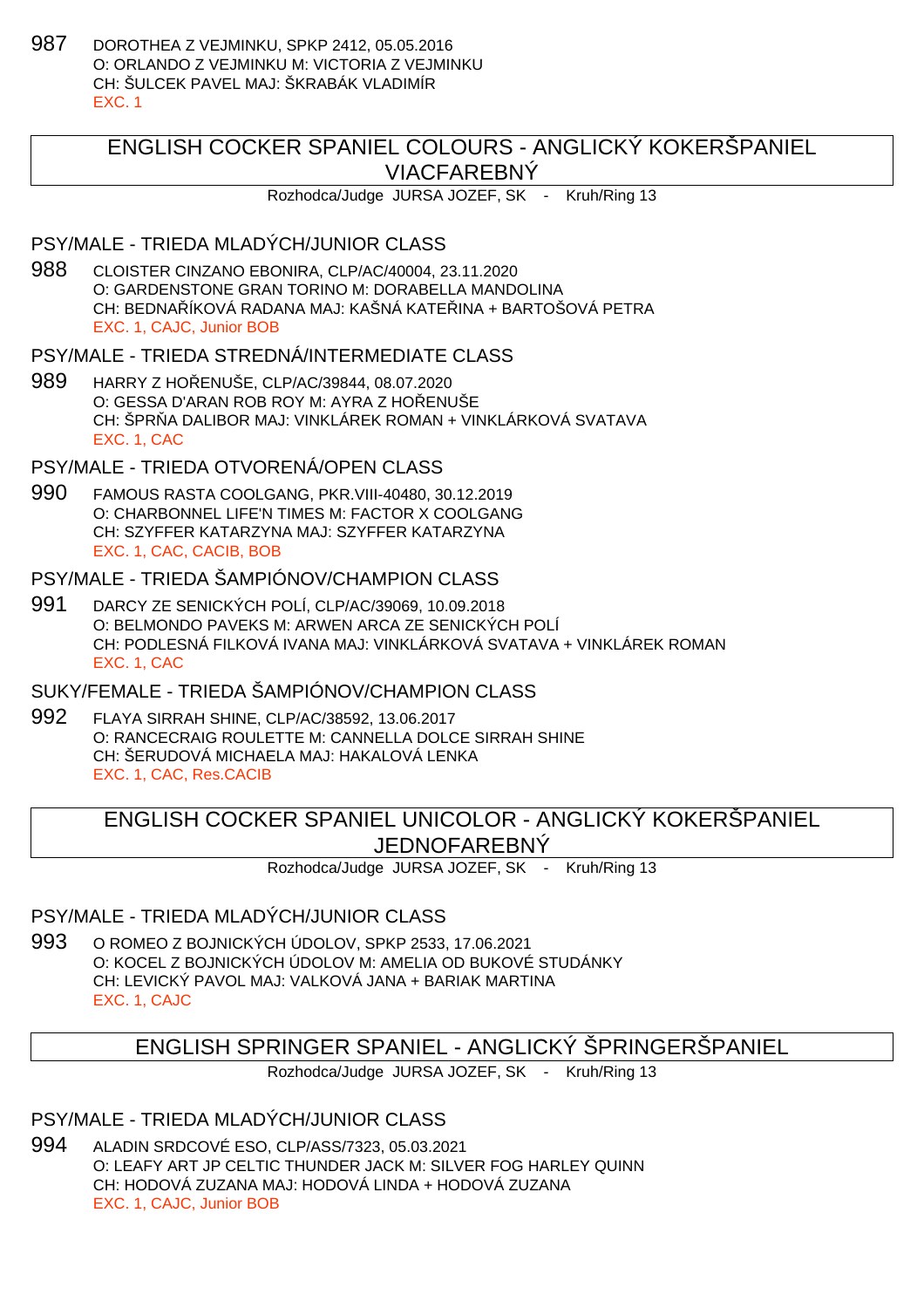987 DOROTHEA Z VEJMINKU, SPKP 2412, 05.05.2016 O: ORLANDO Z VEJMINKU M: VICTORIA Z VEJMINKU CH: ŠULCEK PAVEL MAJ: ŠKRABÁK VLADIMÍR EXC. 1

# ENGLISH COCKER SPANIEL COLOURS - ANGLICKÝ KOKERŠPANIEL VIACFAREBNÝ

Rozhodca/Judge JURSA JOZEF, SK - Kruh/Ring 13

#### PSY/MALE - TRIEDA MLADÝCH/JUNIOR CLASS

988 CLOISTER CINZANO EBONIRA, CLP/AC/40004, 23.11.2020 O: GARDENSTONE GRAN TORINO M: DORABELLA MANDOLINA CH: BEDNA ÍKOVÁ RADANA MAJ: KAŠNÁ KATE INA + BARTOŠOVÁ PETRA EXC. 1, CAJC, Junior BOB

### PSY/MALE - TRIEDA STREDNÁ/INTERMEDIATE CLASS

989 HARRY Z HO ENUŠE, CLP/AC/39844, 08.07.2020 O: GESSA D'ARAN ROB ROY M: AYRA Z HOŘENUŠE CH: ŠPR A DALIBOR MAJ: VINKLÁREK ROMAN + VINKLÁRKOVÁ SVATAVA EXC. 1, CAC

## PSY/MALE - TRIEDA OTVORENÁ/OPEN CLASS

990 FAMOUS RASTA COOLGANG, PKR.VIII-40480, 30.12.2019 O: CHARBONNEL LIFE'N TIMES M: FACTOR X COOLGANG CH: SZYFFER KATARZYNA MAJ: SZYFFER KATARZYNA EXC. 1, CAC, CACIB, BOB

## PSY/MALE - TRIEDA ŠAMPIÓNOV/CHAMPION CLASS

991 DARCY ZE SENICKÝCH POLÍ, CLP/AC/39069, 10.09.2018 O: BELMONDO PAVEKS M: ARWEN ARCA ZE SENICKÝCH POLÍ CH: PODLESNÁ FILKOVÁ IVANA MAJ: VINKLÁRKOVÁ SVATAVA + VINKLÁREK ROMAN EXC. 1, CAC

## SUKY/FEMALE - TRIEDA ŠAMPIÓNOV/CHAMPION CLASS

992 FLAYA SIRRAH SHINE, CLP/AC/38592, 13.06.2017 O: RANCECRAIG ROULETTE M: CANNELLA DOLCE SIRRAH SHINE CH: ŠERUDOVÁ MICHAELA MAJ: HAKALOVÁ LENKA EXC. 1, CAC, Res.CACIB

# ENGLISH COCKER SPANIEL UNICOLOR - ANGLICKÝ KOKERŠPANIEL JEDNOFAREBNÝ

Rozhodca/Judge JURSA JOZEF, SK - Kruh/Ring 13

## PSY/MALE - TRIEDA MLADÝCH/JUNIOR CLASS

993 O ROMEO Z BOJNICKÝCH ÚDOLOV, SPKP 2533, 17.06.2021 O: KOCEL Z BOJNICKÝCH ÚDOLOV M: AMELIA OD BUKOVÉ STUDÁNKY CH: LEVICKÝ PAVOL MAJ: VALKOVÁ JANA + BARIAK MARTINA EXC. 1, CAJC

# ENGLISH SPRINGER SPANIEL - ANGLICKÝ ŠPRINGERŠPANIEL

Rozhodca/Judge JURSA JOZEF, SK - Kruh/Ring 13

# PSY/MALE - TRIEDA MLADÝCH/JUNIOR CLASS

994 ALADIN SRDCOVÉ ESO, CLP/ASS/7323, 05.03.2021 O: LEAFY ART JP CELTIC THUNDER JACK M: SILVER FOG HARLEY QUINN CH: HODOVÁ ZUZANA MAJ: HODOVÁ LINDA + HODOVÁ ZUZANA EXC. 1, CAJC, Junior BOB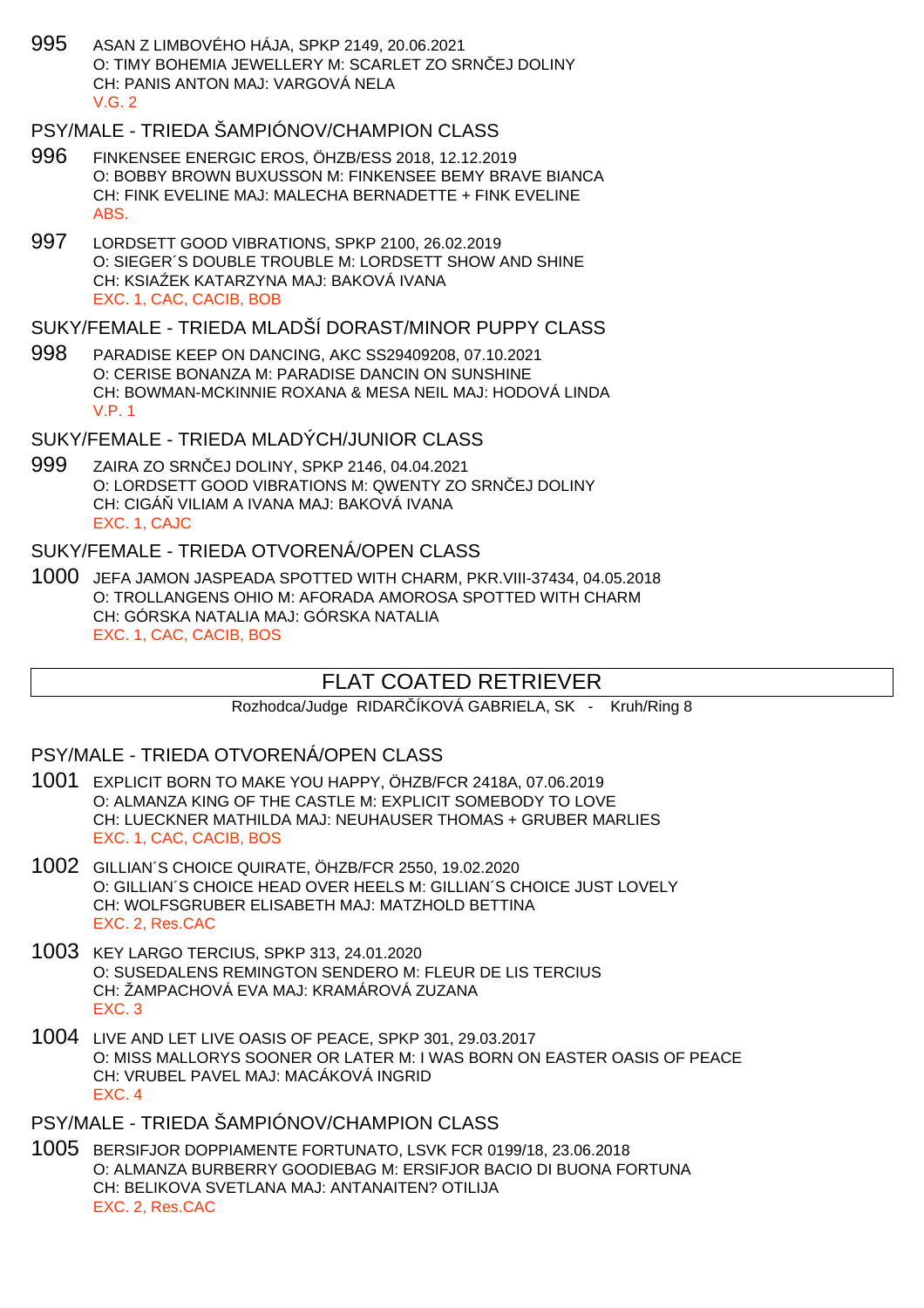995 ASAN Z LIMBOVÉHO HÁJA, SPKP 2149, 20.06.2021 O: TIMY BOHEMIA JEWELLERY M: SCARLET ZO SRNIEJ DOLINY CH: PANIS ANTON MAJ: VARGOVÁ NELA  $V$  G  $2$ 

# PSY/MALE - TRIEDA ŠAMPIÓNOV/CHAMPION CLASS

- 996 FINKENSEE ENERGIC EROS, ÖHZB/ESS 2018, 12.12.2019 O: BOBBY BROWN BUXUSSON M: FINKENSEE BEMY BRAVE BIANCA CH: FINK EVELINE MAJ: MALECHA BERNADETTE + FINK EVELINE ABS.
- 997 LORDSETT GOOD VIBRATIONS, SPKP 2100, 26.02.2019 O: SIEGER´S DOUBLE TROUBLE M: LORDSETT SHOW AND SHINE CH: KSIA EK KATARZYNA MAJ: BAKOVÁ IVANA EXC. 1, CAC, CACIB, BOB

### SUKY/FEMALE - TRIEDA MLADŠÍ DORAST/MINOR PUPPY CLASS

998 PARADISE KEEP ON DANCING, AKC SS29409208, 07.10.2021 O: CERISE BONANZA M: PARADISE DANCIN ON SUNSHINE CH: BOWMAN-MCKINNIE ROXANA & MESA NEIL MAJ: HODOVÁ LINDA V.P. 1

## SUKY/FEMALE - TRIEDA MLADÝCH/JUNIOR CLASS

999 ZAIRA ZO SRN EJ DOLINY, SPKP 2146, 04.04.2021 O: LORDSETT GOOD VIBRATIONS M: QWENTY ZO SRN EJ DOLINY CH: CIGÁ VILIAM A IVANA MAJ: BAKOVÁ IVANA EXC. 1, CAJC

#### SUKY/FEMALE - TRIEDA OTVORENÁ/OPEN CLASS

1000 JEFA JAMON JASPEADA SPOTTED WITH CHARM, PKR.VIII-37434, 04.05.2018 O: TROLLANGENS OHIO M: AFORADA AMOROSA SPOTTED WITH CHARM CH: GÓRSKA NATALIA MAJ: GÓRSKA NATALIA EXC. 1, CAC, CACIB, BOS

# FLAT COATED RETRIEVER

Rozhodca/Judge RIDAR ÍKOVÁ GABRIELA, SK - Kruh/Ring 8

#### PSY/MALE - TRIEDA OTVORENÁ/OPEN CLASS

- 1001 EXPLICIT BORN TO MAKE YOU HAPPY, ÖHZB/FCR 2418A, 07.06.2019 O: ALMANZA KING OF THE CASTLE M: EXPLICIT SOMEBODY TO LOVE CH: LUECKNER MATHILDA MAJ: NEUHAUSER THOMAS + GRUBER MARLIES EXC. 1, CAC, CACIB, BOS
- 1002 GILLIAN´S CHOICE QUIRATE, ÖHZB/FCR 2550, 19.02.2020 O: GILLIAN´S CHOICE HEAD OVER HEELS M: GILLIAN´S CHOICE JUST LOVELY CH: WOLFSGRUBER ELISABETH MAJ: MATZHOLD BETTINA EXC. 2, Res.CAC
- 1003 KEY LARGO TERCIUS, SPKP 313, 24.01.2020 O: SUSEDALENS REMINGTON SENDERO M: FLEUR DE LIS TERCIUS CH: ŽAMPACHOVÁ EVA MAJ: KRAMÁROVÁ ZUZANA EXC. 3
- 1004 LIVE AND LET LIVE OASIS OF PEACE, SPKP 301, 29.03.2017 O: MISS MALLORYS SOONER OR LATER M: I WAS BORN ON EASTER OASIS OF PEACE CH: VRUBEL PAVEL MAJ: MACÁKOVÁ INGRID EXC. 4

### PSY/MALE - TRIEDA ŠAMPIÓNOV/CHAMPION CLASS

1005 BERSIFJOR DOPPIAMENTE FORTUNATO, LSVK FCR 0199/18, 23.06.2018 O: ALMANZA BURBERRY GOODIEBAG M: ERSIFJOR BACIO DI BUONA FORTUNA CH: BELIKOVA SVETLANA MAJ: ANTANAITEN? OTILIJA EXC. 2, Res.CAC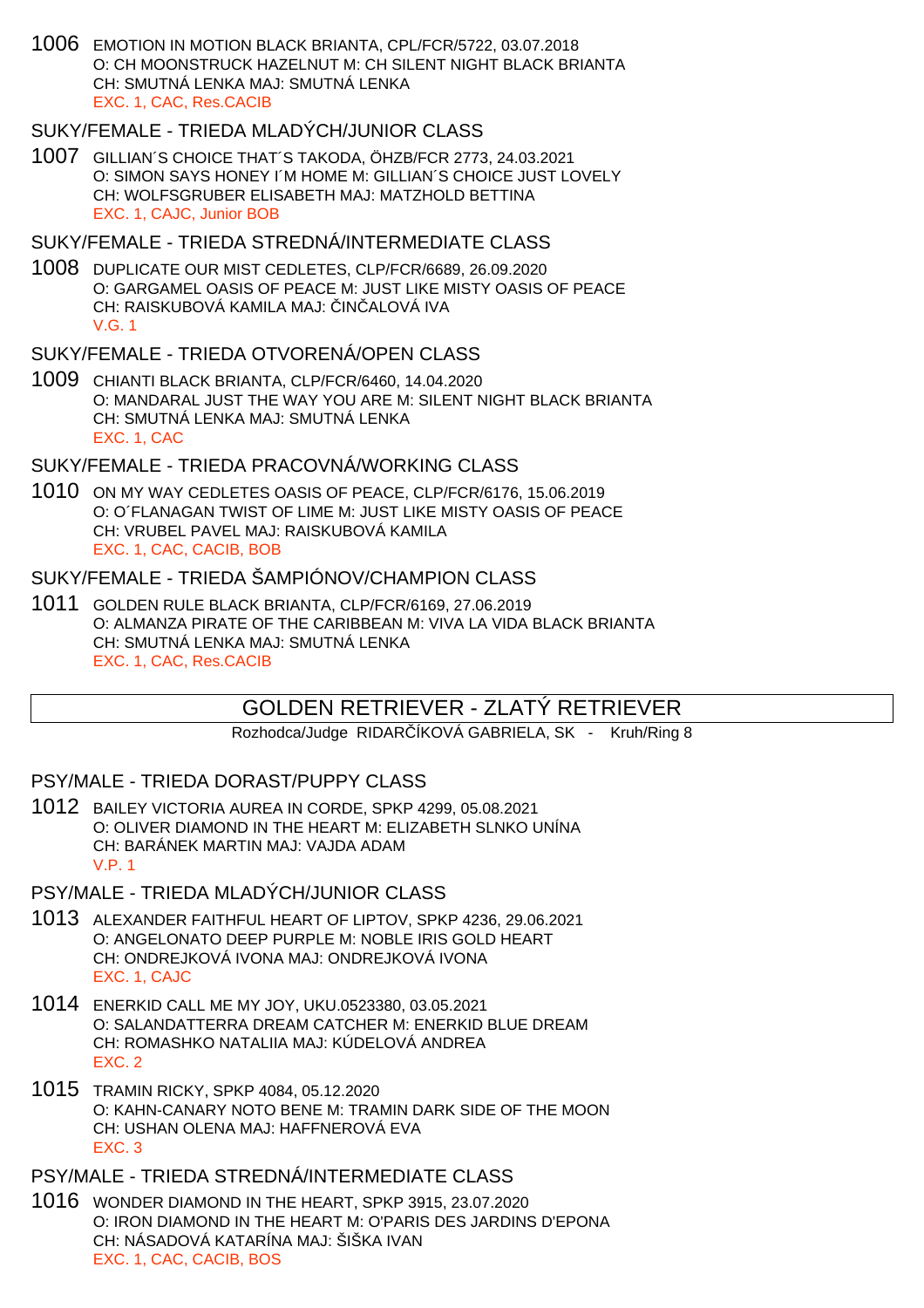1006 EMOTION IN MOTION BLACK BRIANTA, CPL/FCR/5722, 03.07.2018 O: CH MOONSTRUCK HAZELNUT M: CH SILENT NIGHT BLACK BRIANTA CH: SMUTNÁ LENKA MAJ: SMUTNÁ LENKA EXC. 1, CAC, Res.CACIB

#### SUKY/FEMALE - TRIEDA MLADÝCH/JUNIOR CLASS

1007 GILLIAN´S CHOICE THAT´S TAKODA, ÖHZB/FCR 2773, 24.03.2021 O: SIMON SAYS HONEY I´M HOME M: GILLIAN´S CHOICE JUST LOVELY CH: WOLFSGRUBER ELISABETH MAJ: MATZHOLD BETTINA EXC. 1, CAJC, Junior BOB

#### SUKY/FEMALE - TRIEDA STREDNÁ/INTERMEDIATE CLASS

1008 DUPLICATE OUR MIST CEDLETES, CLP/FCR/6689, 26.09.2020 O: GARGAMEL OASIS OF PEACE M: JUST LIKE MISTY OASIS OF PEACE CH: RAISKUBOVÁ KAMILA MAJ: IN ALOVÁ IVA V.G. 1

#### SUKY/FEMALE - TRIEDA OTVORENÁ/OPEN CLASS

1009 CHIANTI BLACK BRIANTA, CLP/FCR/6460, 14.04.2020 O: MANDARAL JUST THE WAY YOU ARE M: SILENT NIGHT BLACK BRIANTA CH: SMUTNÁ LENKA MAJ: SMUTNÁ LENKA EXC. 1, CAC

### SUKY/FEMALE - TRIEDA PRACOVNÁ/WORKING CLASS

1010 ON MY WAY CEDLETES OASIS OF PEACE, CLP/FCR/6176, 15.06.2019 O: O´FLANAGAN TWIST OF LIME M: JUST LIKE MISTY OASIS OF PEACE CH: VRUBEL PAVEL MAJ: RAISKUBOVÁ KAMILA EXC. 1, CAC, CACIB, BOB

#### SUKY/FEMALE - TRIEDA ŠAMPIÓNOV/CHAMPION CLASS

1011 GOLDEN RULE BLACK BRIANTA, CLP/FCR/6169, 27.06.2019 O: ALMANZA PIRATE OF THE CARIBBEAN M: VIVA LA VIDA BLACK BRIANTA CH: SMUTNÁ LENKA MAJ: SMUTNÁ LENKA EXC. 1, CAC, Res.CACIB

# GOLDEN RETRIEVER - ZLATÝ RETRIEVER

Rozhodca/Judge RIDAR ÍKOVÁ GABRIELA, SK - Kruh/Ring 8

PSY/MALE - TRIEDA DORAST/PUPPY CLASS

1012 BAILEY VICTORIA AUREA IN CORDE, SPKP 4299, 05.08.2021 O: OLIVER DIAMOND IN THE HEART M: ELIZABETH SLNKO UNÍNA CH: BARÁNEK MARTIN MAJ: VAJDA ADAM V.P. 1

### PSY/MALE - TRIEDA MLADÝCH/JUNIOR CLASS

- 1013 ALEXANDER FAITHFUL HEART OF LIPTOV, SPKP 4236, 29.06.2021 O: ANGELONATO DEEP PURPLE M: NOBLE IRIS GOLD HEART CH: ONDREJKOVÁ IVONA MAJ: ONDREJKOVÁ IVONA EXC. 1, CAJC
- 1014 ENERKID CALL ME MY JOY, UKU.0523380, 03.05.2021 O: SALANDATTERRA DREAM CATCHER M: ENERKID BLUE DREAM CH: ROMASHKO NATALIIA MAJ: KÚDELOVÁ ANDREA EXC. 2
- 1015 TRAMIN RICKY, SPKP 4084, 05.12.2020 O: KAHN-CANARY NOTO BENE M: TRAMIN DARK SIDE OF THE MOON CH: USHAN OLENA MAJ: HAFFNEROVÁ EVA EXC. 3

PSY/MALE - TRIEDA STREDNÁ/INTERMEDIATE CLASS

1016 WONDER DIAMOND IN THE HEART, SPKP 3915, 23.07.2020 O: IRON DIAMOND IN THE HEART M: O'PARIS DES JARDINS D'EPONA CH: NÁSADOVÁ KATARÍNA MAJ: ŠIŠKA IVAN EXC. 1, CAC, CACIB, BOS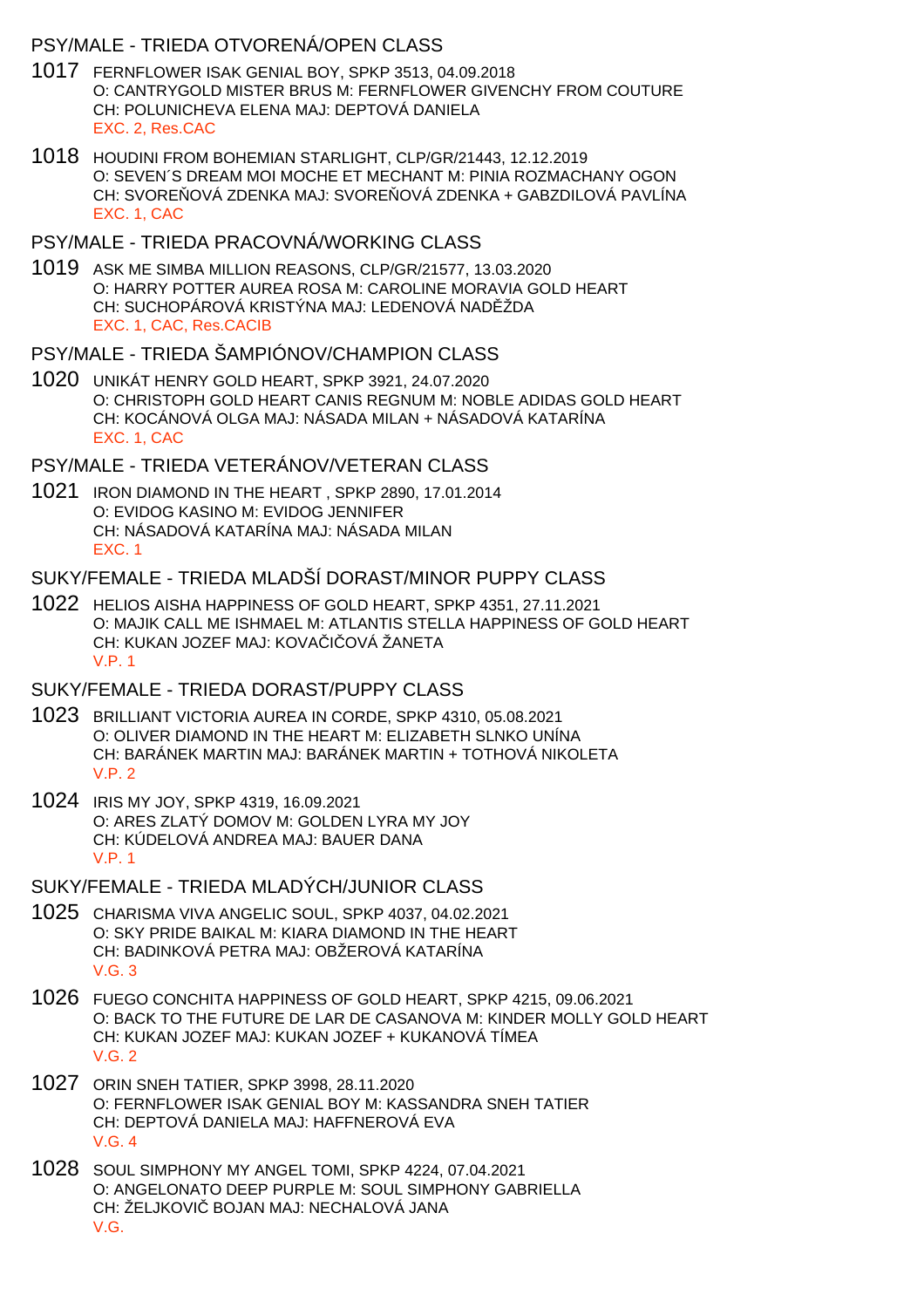## PSY/MALE - TRIEDA OTVORENÁ/OPEN CLASS

- 1017 FERNFLOWER ISAK GENIAL BOY, SPKP 3513, 04.09.2018 O: CANTRYGOLD MISTER BRUS M: FERNFLOWER GIVENCHY FROM COUTURE CH: POLUNICHEVA ELENA MAJ: DEPTOVÁ DANIELA EXC. 2, Res.CAC
- 1018 HOUDINI FROM BOHEMIAN STARLIGHT, CLP/GR/21443, 12.12.2019 O: SEVEN´S DREAM MOI MOCHE ET MECHANT M: PINIA ROZMACHANY OGON CH: SVORE OVÁ ZDENKA MAJ: SVORE OVÁ ZDENKA + GABZDILOVÁ PAVLÍNA EXC. 1, CAC
- PSY/MALE TRIEDA PRACOVNÁ/WORKING CLASS
- 1019 ASK ME SIMBA MILLION REASONS, CLP/GR/21577, 13.03.2020 O: HARRY POTTER AUREA ROSA M: CAROLINE MORAVIA GOLD HEART CH: SUCHOPÁROVÁ KRISTÝNA MAJ: LEDENOVÁ NAD ŽDA EXC. 1, CAC, Res.CACIB
- PSY/MALE TRIEDA ŠAMPIÓNOV/CHAMPION CLASS
- 1020 UNIKÁT HENRY GOLD HEART, SPKP 3921, 24.07.2020 O: CHRISTOPH GOLD HEART CANIS REGNUM M: NOBLE ADIDAS GOLD HEART CH: KOCÁNOVÁ OLGA MAJ: NÁSADA MILAN + NÁSADOVÁ KATARÍNA EXC. 1, CAC
- PSY/MALE TRIEDA VETERÁNOV/VETERAN CLASS
- 1021 IRON DIAMOND IN THE HEART , SPKP 2890, 17.01.2014 O: EVIDOG KASINO M: EVIDOG JENNIFER CH: NÁSADOVÁ KATARÍNA MAJ: NÁSADA MILAN EXC. 1

SUKY/FEMALE - TRIEDA MLADŠÍ DORAST/MINOR PUPPY CLASS

- 1022 HELIOS AISHA HAPPINESS OF GOLD HEART, SPKP 4351, 27.11.2021 O: MAJIK CALL ME ISHMAEL M: ATLANTIS STELLA HAPPINESS OF GOLD HEART CH: KUKAN JOZEF MAJ: KOVA I OVÁ ŽANETA V.P. 1
- SUKY/FEMALE TRIEDA DORAST/PUPPY CLASS
- 1023 BRILLIANT VICTORIA AUREA IN CORDE, SPKP 4310, 05.08.2021 O: OLIVER DIAMOND IN THE HEART M: ELIZABETH SLNKO UNÍNA CH: BARÁNEK MARTIN MAJ: BARÁNEK MARTIN + TOTHOVÁ NIKOLETA V.P. 2
- 1024 IRIS MY JOY, SPKP 4319, 16.09.2021 O: ARES ZLATÝ DOMOV M: GOLDEN LYRA MY JOY CH: KÚDELOVÁ ANDREA MAJ: BAUER DANA V.P. 1

SUKY/FEMALE - TRIEDA MLADÝCH/JUNIOR CLASS

- 1025 CHARISMA VIVA ANGELIC SOUL, SPKP 4037, 04.02.2021 O: SKY PRIDE BAIKAL M: KIARA DIAMOND IN THE HEART CH: BADINKOVÁ PETRA MAJ: OBŽEROVÁ KATARÍNA V.G. 3
- 1026 FUEGO CONCHITA HAPPINESS OF GOLD HEART, SPKP 4215, 09.06.2021 O: BACK TO THE FUTURE DE LAR DE CASANOVA M: KINDER MOLLY GOLD HEART CH: KUKAN JOZEF MAJ: KUKAN JOZEF + KUKANOVÁ TÍMEA V.G. 2
- 1027 ORIN SNEH TATIER, SPKP 3998, 28.11.2020 O: FERNFLOWER ISAK GENIAL BOY M: KASSANDRA SNEH TATIER CH: DEPTOVÁ DANIELA MAJ: HAFFNEROVÁ EVA V.G. 4
- 1028 SOUL SIMPHONY MY ANGEL TOMI, SPKP 4224, 07.04.2021 O: ANGELONATO DEEP PURPLE M: SOUL SIMPHONY GABRIELLA CH: ŽELJKOVI BOJAN MAJ: NECHALOVÁ JANA V.G.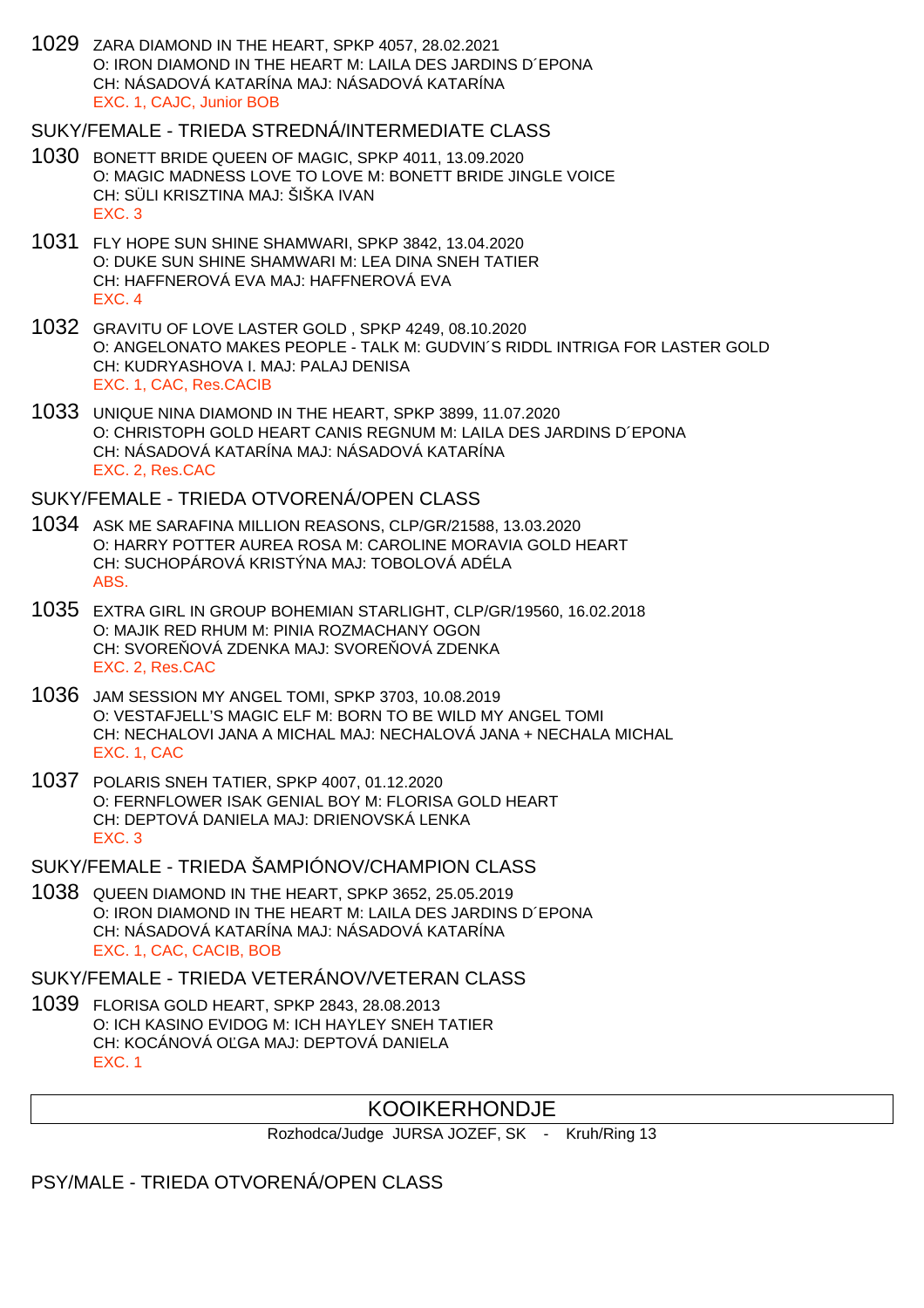1029 ZARA DIAMOND IN THE HEART, SPKP 4057, 28.02.2021 O: IRON DIAMOND IN THE HEART M: LAILA DES JARDINS D´EPONA CH: NÁSADOVÁ KATARÍNA MAJ: NÁSADOVÁ KATARÍNA EXC. 1, CAJC, Junior BOB

#### SUKY/FEMALE - TRIEDA STREDNÁ/INTERMEDIATE CLASS

- 1030 BONETT BRIDE QUEEN OF MAGIC, SPKP 4011, 13.09.2020 O: MAGIC MADNESS LOVE TO LOVE M: BONETT BRIDE JINGLE VOICE CH: SÜLI KRISZTINA MAJ: ŠIŠKA IVAN EXC. 3
- 1031 FLY HOPE SUN SHINE SHAMWARI, SPKP 3842, 13.04.2020 O: DUKE SUN SHINE SHAMWARI M: LEA DINA SNEH TATIER CH: HAFFNEROVÁ EVA MAJ: HAFFNEROVÁ EVA EXC. 4
- 1032 GRAVITU OF LOVE LASTER GOLD , SPKP 4249, 08.10.2020 O: ANGELONATO MAKES PEOPLE - TALK M: GUDVIN´S RIDDL INTRIGA FOR LASTER GOLD CH: KUDRYASHOVA I. MAJ: PALAJ DENISA EXC. 1, CAC, Res.CACIB
- 1033 UNIQUE NINA DIAMOND IN THE HEART, SPKP 3899, 11.07.2020 O: CHRISTOPH GOLD HEART CANIS REGNUM M: LAILA DES JARDINS D´EPONA CH: NÁSADOVÁ KATARÍNA MAJ: NÁSADOVÁ KATARÍNA EXC. 2, Res.CAC

#### SUKY/FEMALE - TRIEDA OTVORENÁ/OPEN CLASS

- 1034 ASK ME SARAFINA MILLION REASONS, CLP/GR/21588, 13.03.2020 O: HARRY POTTER AUREA ROSA M: CAROLINE MORAVIA GOLD HEART CH: SUCHOPÁROVÁ KRISTÝNA MAJ: TOBOLOVÁ ADÉLA ABS.
- 1035 EXTRA GIRL IN GROUP BOHEMIAN STARLIGHT, CLP/GR/19560, 16.02.2018 O: MAJIK RED RHUM M: PINIA ROZMACHANY OGON CH: SVORE OVÁ ZDENKA MAJ: SVORE OVÁ ZDENKA EXC. 2, Res.CAC
- 1036 JAM SESSION MY ANGEL TOMI, SPKP 3703, 10.08.2019 O: VESTAFJELL'S MAGIC ELF M: BORN TO BE WILD MY ANGEL TOMI CH: NECHALOVI JANA A MICHAL MAJ: NECHALOVÁ JANA + NECHALA MICHAL EXC. 1, CAC
- 1037 POLARIS SNEH TATIER, SPKP 4007, 01.12.2020 O: FERNFLOWER ISAK GENIAL BOY M: FLORISA GOLD HEART CH: DEPTOVÁ DANIELA MAJ: DRIENOVSKÁ LENKA EXC. 3
- SUKY/FEMALE TRIEDA ŠAMPIÓNOV/CHAMPION CLASS
- 1038 QUEEN DIAMOND IN THE HEART, SPKP 3652, 25.05.2019 O: IRON DIAMOND IN THE HEART M: LAILA DES JARDINS D´EPONA CH: NÁSADOVÁ KATARÍNA MAJ: NÁSADOVÁ KATARÍNA EXC. 1, CAC, CACIB, BOB

#### SUKY/FEMALE - TRIEDA VETERÁNOV/VETERAN CLASS

1039 FLORISA GOLD HEART, SPKP 2843, 28.08.2013 O: ICH KASINO EVIDOG M: ICH HAYLEY SNEH TATIER CH: KOCÁNOVÁ O GA MAJ: DEPTOVÁ DANIELA EXC. 1

# KOOIKERHONDJE

Rozhodca/Judge JURSA JOZEF, SK - Kruh/Ring 13

PSY/MALE - TRIEDA OTVORENÁ/OPEN CLASS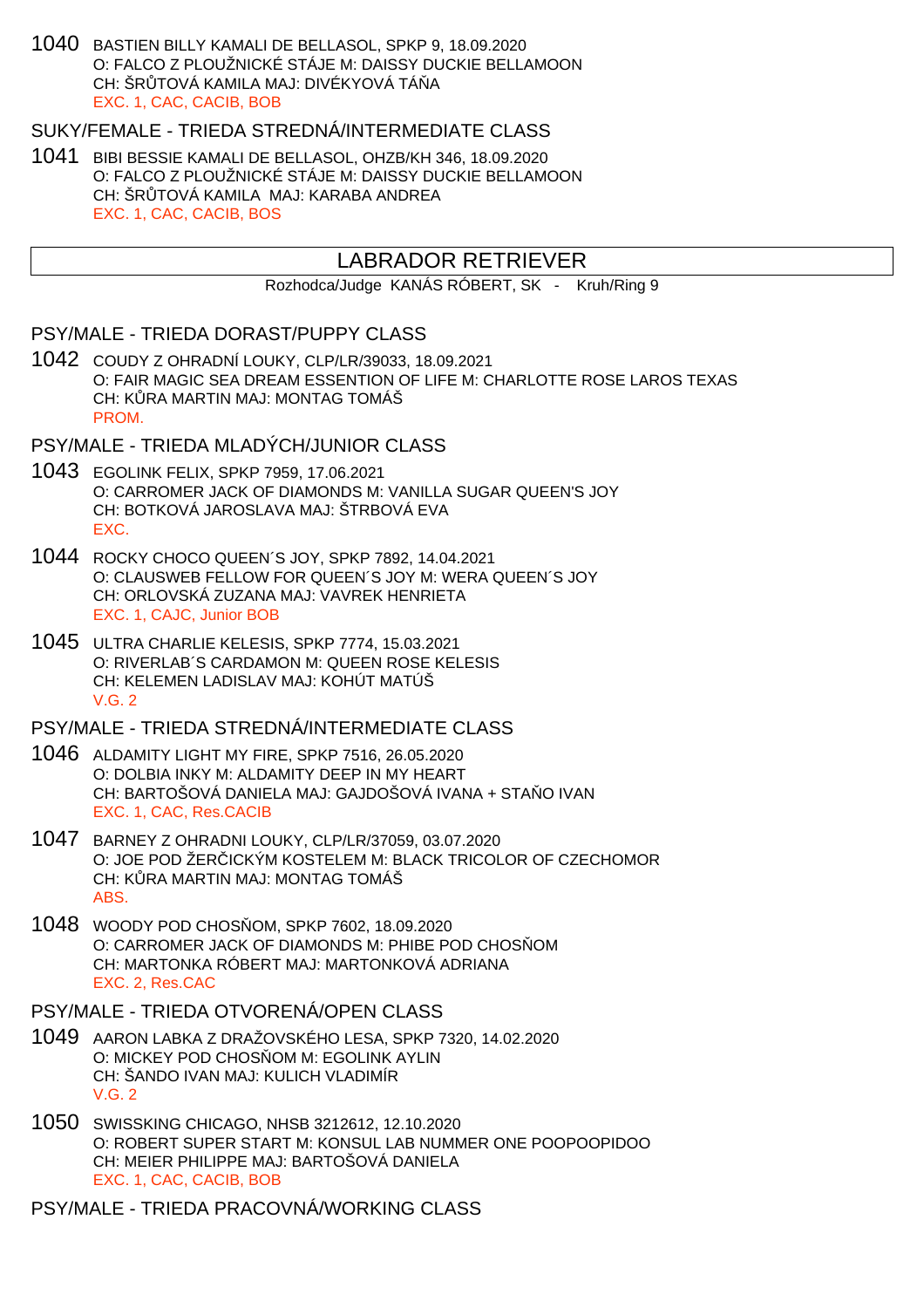1040 BASTIEN BILLY KAMALI DE BELLASOL, SPKP 9, 18.09.2020 O: FALCO Z PLOUŽNICKÉ STÁJE M: DAISSY DUCKIE BELLAMOON CH: ŠRITOVÁ KAMILA MAJ: DIVÉKYOVÁ TÁ LA EXC. 1, CAC, CACIB, BOB

#### SUKY/FEMALE - TRIEDA STREDNÁ/INTERMEDIATE CLASS

1041 BIBI BESSIE KAMALI DE BELLASOL, OHZB/KH 346, 18.09.2020 O: FALCO Z PLOUŽNICKÉ STÁJE M: DAISSY DUCKIE BELLAMOON CH: ŠR TOVÁ KAMILA MAJ: KARABA ANDREA EXC. 1, CAC, CACIB, BOS

# LABRADOR RETRIEVER

Rozhodca/Judge KANÁS RÓBERT, SK - Kruh/Ring 9

#### PSY/MALE - TRIEDA DORAST/PUPPY CLASS

1042 COUDY Z OHRADNÍ LOUKY, CLP/LR/39033, 18.09.2021 O: FAIR MAGIC SEA DREAM ESSENTION OF LIFE M: CHARLOTTE ROSE LAROS TEXAS CH: K RA MARTIN MAJ: MONTAG TOMÁŠ PROM.

#### PSY/MALE - TRIEDA MLADÝCH/JUNIOR CLASS

- 1043 EGOLINK FELIX, SPKP 7959, 17.06.2021 O: CARROMER JACK OF DIAMONDS M: VANILLA SUGAR QUEEN'S JOY CH: BOTKOVÁ JAROSLAVA MAJ: ŠTRBOVÁ EVA EXC.
- 1044 ROCKY CHOCO QUEEN´S JOY, SPKP 7892, 14.04.2021 O: CLAUSWEB FELLOW FOR QUEEN´S JOY M: WERA QUEEN´S JOY CH: ORLOVSKÁ ZUZANA MAJ: VAVREK HENRIETA EXC. 1, CAJC, Junior BOB
- 1045 ULTRA CHARLIE KELESIS, SPKP 7774, 15.03.2021 O: RIVERLAB´S CARDAMON M: QUEEN ROSE KELESIS CH: KELEMEN LADISLAV MAJ: KOHÚT MATÚŠ V.G. 2

## PSY/MALE - TRIEDA STREDNÁ/INTERMEDIATE CLASS

- 1046 ALDAMITY LIGHT MY FIRE, SPKP 7516, 26.05.2020 O: DOLBIA INKY M: ALDAMITY DEEP IN MY HEART CH: BARTOŠOVÁ DANIELA MAJ: GAJDOŠOVÁ IVANA + STA Ő IVAN EXC. 1, CAC, Res.CACIB
- 1047 BARNEY Z OHRADNI LOUKY, CLP/LR/37059, 03.07.2020 O: JOE POD ŽERICKÝM KOSTELEM M: BLACK TRICOLOR OF CZECHOMOR CH: KURA MARTIN MAJ: MONTAG TOMÁŠ ABS.
- 1048 WOODY POD CHOS OM, SPKP 7602, 18.09.2020 O: CARROMER JACK OF DIAMONDS M: PHIBE POD CHOS OM CH: MARTONKA RÓBERT MAJ: MARTONKOVÁ ADRIANA EXC. 2, Res.CAC

## PSY/MALE - TRIEDA OTVORENÁ/OPEN CLASS

- 1049 AARON LABKA Z DRAŽOVSKÉHO LESA, SPKP 7320, 14.02.2020 O: MICKEY POD CHOS OM M: EGOLINK AYLIN CH: ŠANDO IVAN MAJ: KULICH VLADIMÍR V.G. 2
- 1050 SWISSKING CHICAGO, NHSB 3212612, 12.10.2020 O: ROBERT SUPER START M: KONSUL LAB NUMMER ONE POOPOOPIDOO CH: MEIER PHILIPPE MAJ: BARTOŠOVÁ DANIELA EXC. 1, CAC, CACIB, BOB

PSY/MALE - TRIEDA PRACOVNÁ/WORKING CLASS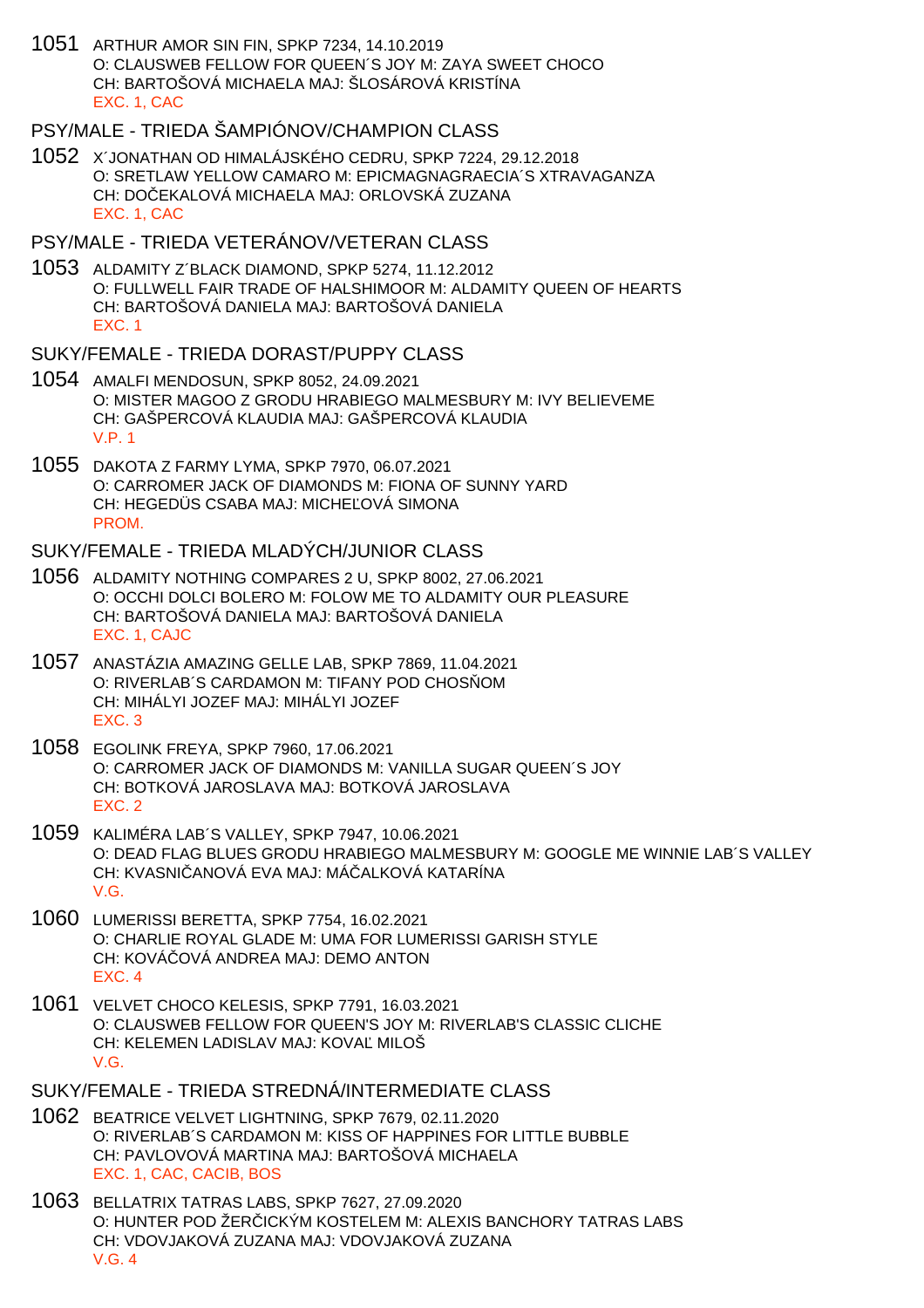1051 ARTHUR AMOR SIN FIN, SPKP 7234, 14.10.2019 O: CLAUSWEB FELLOW FOR QUEEN´S JOY M: ZAYA SWEET CHOCO CH: BARTOŠOVÁ MICHAELA MAJ: ŠLOSÁROVÁ KRISTÍNA EXC. 1, CAC

# PSY/MALE - TRIEDA ŠAMPIÓNOV/CHAMPION CLASS

1052 X´JONATHAN OD HIMALÁJSKÉHO CEDRU, SPKP 7224, 29.12.2018 O: SRETLAW YELLOW CAMARO M: EPICMAGNAGRAECIA´S XTRAVAGANZA CH: DOČEKALOVÁ MICHAELA MAJ: ORLOVSKÁ ZUZANA EXC. 1, CAC

## PSY/MALE - TRIEDA VETERÁNOV/VETERAN CLASS

1053 ALDAMITY Z´BLACK DIAMOND, SPKP 5274, 11.12.2012 O: FULLWELL FAIR TRADE OF HALSHIMOOR M: ALDAMITY QUEEN OF HEARTS CH: BARTOŠOVÁ DANIELA MAJ: BARTOŠOVÁ DANIELA EXC. 1

#### SUKY/FEMALE - TRIEDA DORAST/PUPPY CLASS

- 1054 AMALFI MENDOSUN, SPKP 8052, 24.09.2021 O: MISTER MAGOO Z GRODU HRABIEGO MALMESBURY M: IVY BELIEVEME CH: GAŠPERCOVÁ KLAUDIA MAJ: GAŠPERCOVÁ KLAUDIA V.P. 1
- 1055 DAKOTA Z FARMY LYMA, SPKP 7970, 06.07.2021 O: CARROMER JACK OF DIAMONDS M: FIONA OF SUNNY YARD CH: HEGEDÜS CSABA MAJ: MICHE OVÁ SIMONA **PROM**

#### SUKY/FEMALE - TRIEDA MLADÝCH/JUNIOR CLASS

- 1056 ALDAMITY NOTHING COMPARES 2 U, SPKP 8002, 27.06.2021 O: OCCHI DOLCI BOLERO M: FOLOW ME TO ALDAMITY OUR PLEASURE CH: BARTOŠOVÁ DANIELA MAJ: BARTOŠOVÁ DANIELA EXC. 1, CAJC
- 1057 ANASTÁZIA AMAZING GELLE LAB, SPKP 7869, 11.04.2021 O: RIVERLAB´S CARDAMON M: TIFANY POD CHOS OM CH: MIHÁLYI JOZEF MAJ: MIHÁLYI JOZEF EXC. 3
- 1058 EGOLINK FREYA, SPKP 7960, 17.06.2021 O: CARROMER JACK OF DIAMONDS M: VANILLA SUGAR QUEEN´S JOY CH: BOTKOVÁ JAROSLAVA MAJ: BOTKOVÁ JAROSLAVA EXC. 2
- 1059 KALIMÉRA LAB´S VALLEY, SPKP 7947, 10.06.2021 O: DEAD FLAG BLUES GRODU HRABIEGO MALMESBURY M: GOOGLE ME WINNIE LAB´S VALLEY CH: KVASNI, ANOVÁ EVA MAJ: MÁ, ALKOVÁ KATARÍNA V.G.
- 1060 LUMERISSI BERETTA, SPKP 7754, 16.02.2021 O: CHARLIE ROYAL GLADE M: UMA FOR LUMERISSI GARISH STYLE CH: KOVÁ OVÁ ANDREA MAJ: DEMO ANTON EXC. 4
- 1061 VELVET CHOCO KELESIS, SPKP 7791, 16.03.2021 O: CLAUSWEB FELLOW FOR QUEEN'S JOY M: RIVERLAB'S CLASSIC CLICHE CH: KELEMEN LADISLAV MAJ: KOVA MILOŠ V.G.
- SUKY/FEMALE TRIEDA STREDNÁ/INTERMEDIATE CLASS
- 1062 BEATRICE VELVET LIGHTNING, SPKP 7679, 02.11.2020 O: RIVERLAB´S CARDAMON M: KISS OF HAPPINES FOR LITTLE BUBBLE CH: PAVLOVOVÁ MARTINA MAJ: BARTOŠOVÁ MICHAELA EXC. 1, CAC, CACIB, BOS
- 1063 BELLATRIX TATRAS LABS, SPKP 7627, 27.09.2020 O: HUNTER POD ŽERICKÝM KOSTELEM M: ALEXIS BANCHORY TATRAS LABS CH: VDOVJAKOVÁ ZUZANA MAJ: VDOVJAKOVÁ ZUZANA V.G. 4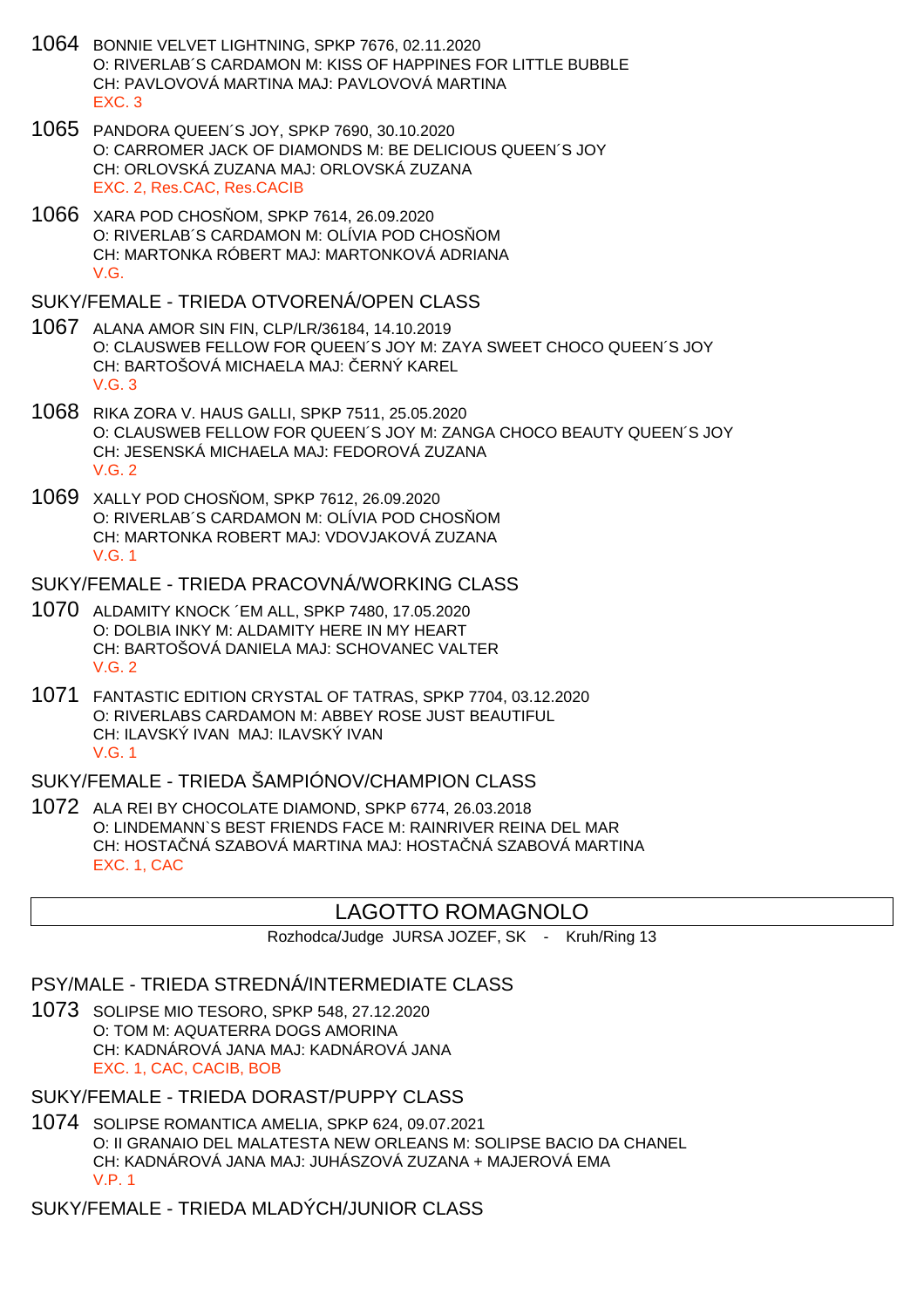- 1064 BONNIE VELVET LIGHTNING, SPKP 7676, 02.11.2020 O: RIVERLAB´S CARDAMON M: KISS OF HAPPINES FOR LITTLE BUBBLE CH: PAVLOVOVÁ MARTINA MAJ: PAVLOVOVÁ MARTINA EXC. 3
- 1065 PANDORA QUEEN´S JOY, SPKP 7690, 30.10.2020 O: CARROMER JACK OF DIAMONDS M: BE DELICIOUS QUEEN´S JOY CH: ORLOVSKÁ ZUZANA MAJ: ORLOVSKÁ ZUZANA EXC. 2, Res.CAC, Res.CACIB
- 1066 XARA POD CHOS OM, SPKP 7614, 26.09.2020 O: RIVERLAB'S CARDAMON M: OLÍVIA POD CHOS OM CH: MARTONKA RÓBERT MAJ: MARTONKOVÁ ADRIANA V.G.

#### SUKY/FEMALE - TRIEDA OTVORENÁ/OPEN CLASS

- 1067 ALANA AMOR SIN FIN, CLP/LR/36184, 14.10.2019 O: CLAUSWEB FELLOW FOR QUEEN´S JOY M: ZAYA SWEET CHOCO QUEEN´S JOY CH: BARTOŠOVÁ MICHAELA MAJ: ERNÝ KAREL V.G. 3
- 1068 RIKA ZORA V. HAUS GALLI, SPKP 7511, 25.05.2020 O: CLAUSWEB FELLOW FOR QUEEN´S JOY M: ZANGA CHOCO BEAUTY QUEEN´S JOY CH: JESENSKÁ MICHAELA MAJ: FEDOROVÁ ZUZANA V.G. 2
- 1069 XALLY POD CHOS OM, SPKP 7612, 26.09.2020 O: RIVERLAB'S CARDAMON M: OLÍVIA POD CHOS OM CH: MARTONKA ROBERT MAJ: VDOVJAKOVÁ ZUZANA V.G. 1

SUKY/FEMALE - TRIEDA PRACOVNÁ/WORKING CLASS

- 1070 ALDAMITY KNOCK ´EM ALL, SPKP 7480, 17.05.2020 O: DOLBIA INKY M: ALDAMITY HERE IN MY HEART CH: BARTOŠOVÁ DANIELA MAJ: SCHOVANEC VALTER V.G. 2
- 1071 FANTASTIC EDITION CRYSTAL OF TATRAS, SPKP 7704, 03.12.2020 O: RIVERLABS CARDAMON M: ABBEY ROSE JUST BEAUTIFUL CH: ILAVSKÝ IVAN MAJ: ILAVSKÝ IVAN V.G. 1

# SUKY/FEMALE - TRIEDA ŠAMPIÓNOV/CHAMPION CLASS

1072 ALA REI BY CHOCOLATE DIAMOND, SPKP 6774, 26.03.2018 O: LINDEMANN`S BEST FRIENDS FACE M: RAINRIVER REINA DEL MAR CH: HOSTA NÁ SZABOVÁ MARTINA MAJ: HOSTA NÁ SZABOVÁ MARTINA EXC. 1, CAC

# LAGOTTO ROMAGNOLO

Rozhodca/Judge JURSA JOZEF, SK - Kruh/Ring 13

### PSY/MALE - TRIEDA STREDNÁ/INTERMEDIATE CLASS

1073 SOLIPSE MIO TESORO, SPKP 548, 27.12.2020 O: TOM M: AQUATERRA DOGS AMORINA CH: KADNÁROVÁ JANA MAJ: KADNÁROVÁ JANA EXC. 1, CAC, CACIB, BOB

## SUKY/FEMALE - TRIEDA DORAST/PUPPY CLASS

1074 SOLIPSE ROMANTICA AMELIA, SPKP 624, 09.07.2021 O: II GRANAIO DEL MALATESTA NEW ORLEANS M: SOLIPSE BACIO DA CHANEL CH: KADNÁROVÁ JANA MAJ: JUHÁSZOVÁ ZUZANA + MAJEROVÁ EMA V.P. 1

SUKY/FEMALE - TRIEDA MLADÝCH/JUNIOR CLASS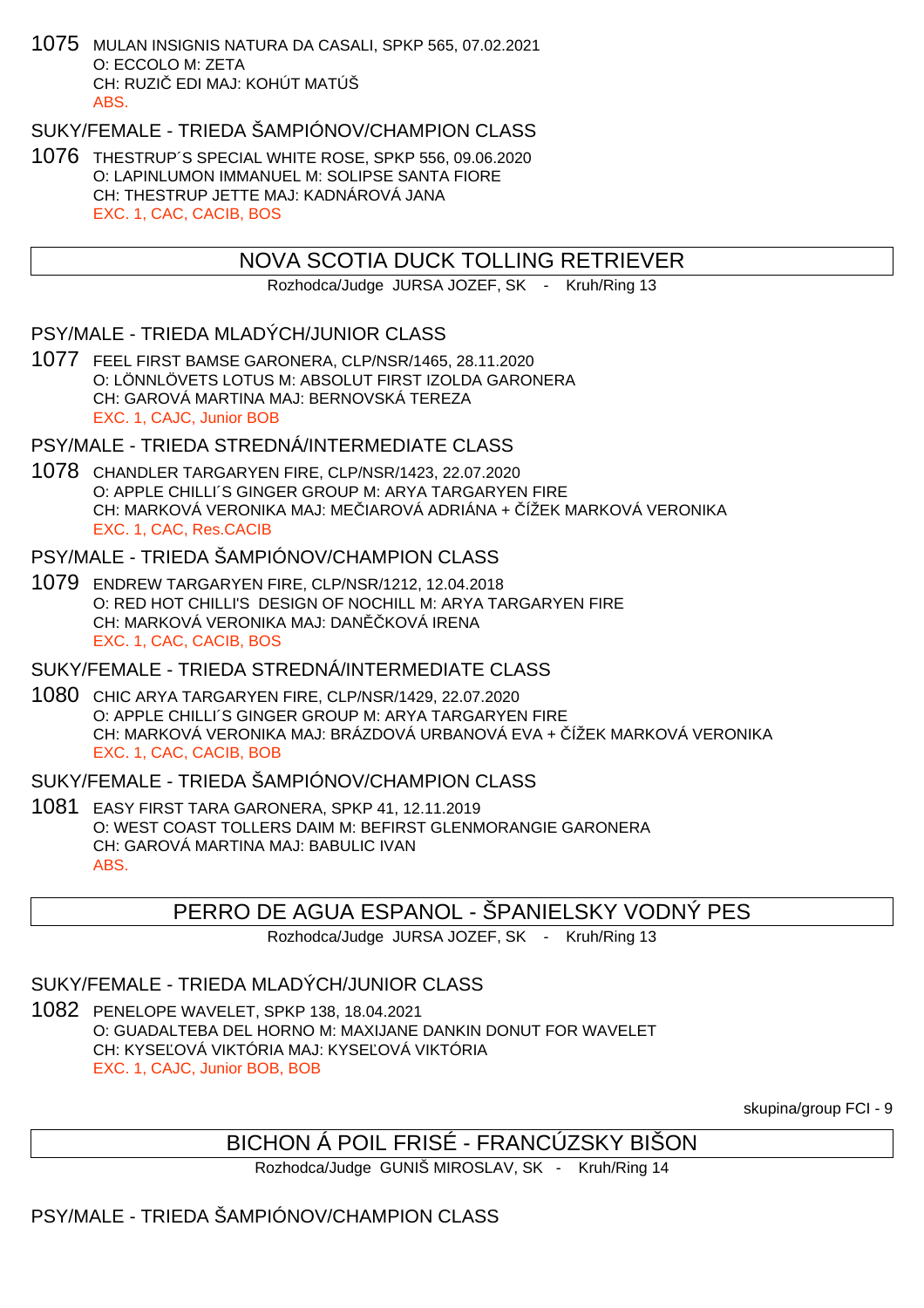1075 MULAN INSIGNIS NATURA DA CASALI, SPKP 565, 07.02.2021 O: ECCOLO M: ZETA CH: RUZI EDI MAJ: KOHÚT MATÚŠ ABS.

SUKY/FEMALE - TRIEDA ŠAMPIÓNOV/CHAMPION CLASS

1076 THESTRUP´S SPECIAL WHITE ROSE, SPKP 556, 09.06.2020 O: LAPINLUMON IMMANUEL M: SOLIPSE SANTA FIORE CH: THESTRUP JETTE MAJ: KADNÁROVÁ JANA EXC. 1, CAC, CACIB, BOS

# NOVA SCOTIA DUCK TOLLING RETRIEVER

Rozhodca/Judge JURSA JOZEF, SK - Kruh/Ring 13

# PSY/MALE - TRIEDA MLADÝCH/JUNIOR CLASS

1077 FEEL FIRST BAMSE GARONERA, CLP/NSR/1465, 28.11.2020 O: LÖNNLÖVETS LOTUS M: ABSOLUT FIRST IZOLDA GARONERA CH: GAROVÁ MARTINA MAJ: BERNOVSKÁ TEREZA EXC. 1, CAJC, Junior BOB

# PSY/MALE - TRIEDA STREDNÁ/INTERMEDIATE CLASS

1078 CHANDLER TARGARYEN FIRE, CLP/NSR/1423, 22.07.2020 O: APPLE CHILLI´S GINGER GROUP M: ARYA TARGARYEN FIRE CH: MARKOVÁ VERONIKA MAJ: ME HAROVÁ ADRIÁNA + ÚŽEK MARKOVÁ VERONIKA EXC. 1, CAC, Res.CACIB

# PSY/MALE - TRIEDA ŠAMPIÓNOV/CHAMPION CLASS

1079 ENDREW TARGARYEN FIRE, CLP/NSR/1212, 12.04.2018 O: RED HOT CHILLI'S DESIGN OF NOCHILL M: ARYA TARGARYEN FIRE CH: MARKOVÁ VERONIKA MAJ: DAN KOVÁ IRENA EXC. 1, CAC, CACIB, BOS

# SUKY/FEMALE - TRIEDA STREDNÁ/INTERMEDIATE CLASS

1080 CHIC ARYA TARGARYEN FIRE, CLP/NSR/1429, 22.07.2020 O: APPLE CHILLI´S GINGER GROUP M: ARYA TARGARYEN FIRE CH: MARKOVÁ VERONIKA MAJ: BRÁZDOVÁ URBANOVÁ EVA + ČÍŽEK MARKOVÁ VERONIKA EXC. 1, CAC, CACIB, BOB

# SUKY/FEMALE - TRIEDA ŠAMPIÓNOV/CHAMPION CLASS

1081 EASY FIRST TARA GARONERA, SPKP 41, 12.11.2019 O: WEST COAST TOLLERS DAIM M: BEFIRST GLENMORANGIE GARONERA CH: GAROVÁ MARTINA MAJ: BABULIC IVAN ABS.

# PERRO DE AGUA ESPANOL - ŠPANIELSKY VODNÝ PES

Rozhodca/Judge JURSA JOZEF, SK - Kruh/Ring 13

# SUKY/FEMALE - TRIEDA MLADÝCH/JUNIOR CLASS

1082 PENELOPE WAVELET, SPKP 138, 18.04.2021 O: GUADALTEBA DEL HORNO M: MAXIJANE DANKIN DONUT FOR WAVELET CH: KYSE OVÁ VIKTÓRIA MAJ: KYSE OVÁ VIKTÓRIA EXC. 1, CAJC, Junior BOB, BOB

skupina/group FCI - 9

# BICHON Á POIL FRISÉ - FRANCÚZSKY BIŠON

Rozhodca/Judge GUNIŠ MIROSLAV, SK - Kruh/Ring 14

# PSY/MALE - TRIEDA ŠAMPIÓNOV/CHAMPION CLASS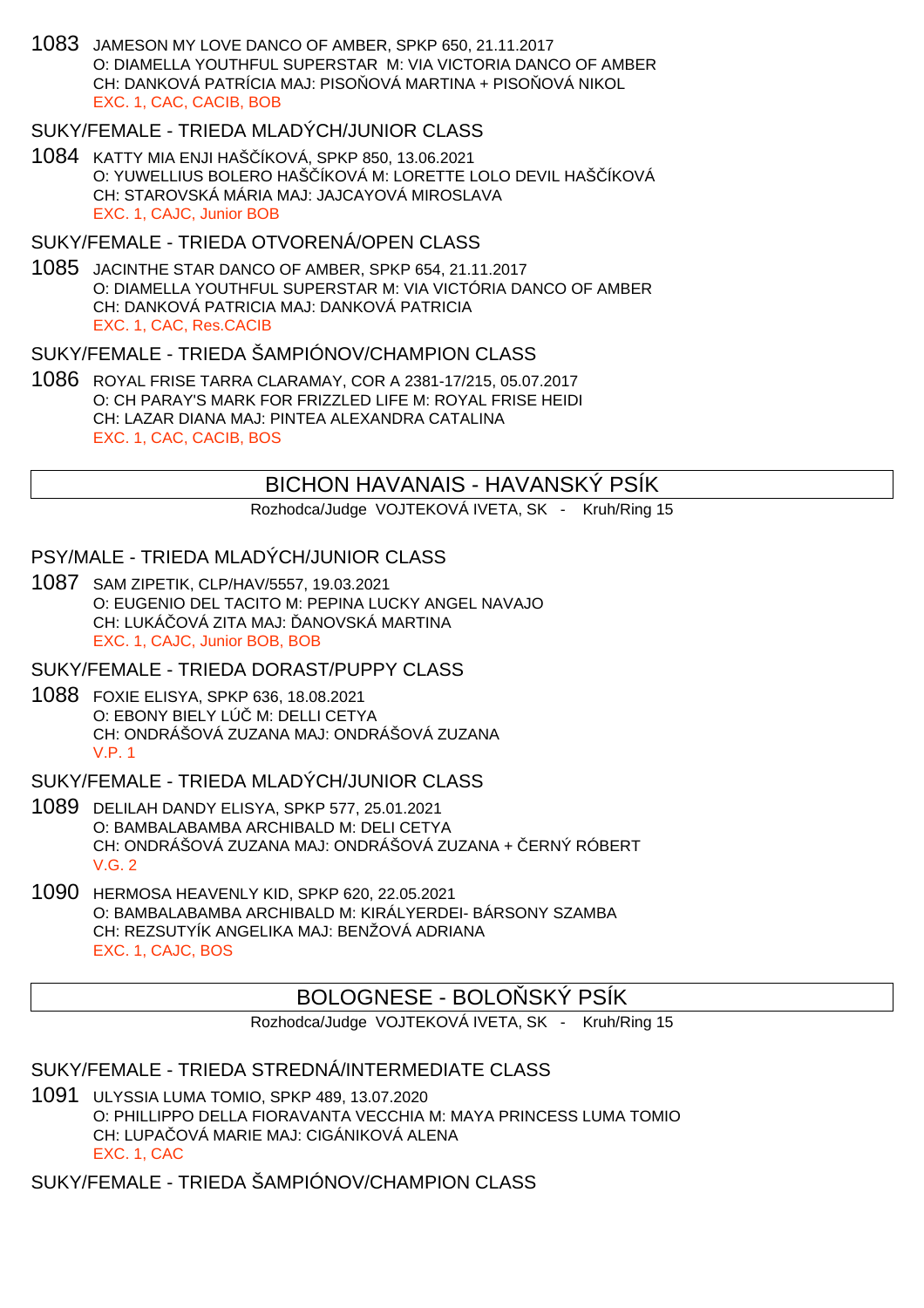1083 JAMESON MY LOVE DANCO OF AMBER, SPKP 650, 21.11.2017 O: DIAMELLA YOUTHFUL SUPERSTAR M: VIA VICTORIA DANCO OF AMBER CH: DANKOVÁ PATRÍCIA MAJ: PISO  $\overline{O}$  OVÁ MARTINA + PISO  $\overline{O}$ VÁ NIKOL EXC. 1, CAC, CACIB, BOB

#### SUKY/FEMALE - TRIEDA MLADÝCH/JUNIOR CLASS

1084 KATTY MIA ENJI HAŠČÍKOVÁ, SPKP 850, 13.06.2021 O: YUWELLIUS BOLERO HAŠÍKOVÁ M: LORETTE LOLO DEVIL HAŠÍKOVÁ CH: STAROVSKÁ MÁRIA MAJ: JAJCAYOVÁ MIROSLAVA EXC. 1, CAJC, Junior BOB

#### SUKY/FEMALE - TRIEDA OTVORENÁ/OPEN CLASS

1085 JACINTHE STAR DANCO OF AMBER, SPKP 654, 21.11.2017 O: DIAMELLA YOUTHFUL SUPERSTAR M: VIA VICTÓRIA DANCO OF AMBER CH: DANKOVÁ PATRICIA MAJ: DANKOVÁ PATRICIA EXC. 1, CAC, Res.CACIB

#### SUKY/FEMALE - TRIEDA ŠAMPIÓNOV/CHAMPION CLASS

1086 ROYAL FRISE TARRA CLARAMAY, COR A 2381-17/215, 05.07.2017 O: CH PARAY'S MARK FOR FRIZZLED LIFE M: ROYAL FRISE HEIDI CH: LAZAR DIANA MAJ: PINTEA ALEXANDRA CATALINA EXC. 1, CAC, CACIB, BOS

#### BICHON HAVANAIS - HAVANSKÝ PSÍK

Rozhodca/Judge VOJTEKOVÁ IVETA, SK - Kruh/Ring 15

#### PSY/MALE - TRIEDA MLADÝCH/JUNIOR CLASS

1087 SAM ZIPETIK, CLP/HAV/5557, 19.03.2021 O: EUGENIO DEL TACITO M: PEPINA LUCKY ANGEL NAVAJO CH: LUKÁ OVÁ ZITA MAJ: ANOVSKÁ MARTINA EXC. 1, CAJC, Junior BOB, BOB

SUKY/FEMALE - TRIEDA DORAST/PUPPY CLASS

1088 FOXIE ELISYA, SPKP 636, 18.08.2021 O: EBONY BIELY LÚ M: DELLI CETYA CH: ONDRÁŠOVÁ ZUZANA MAJ: ONDRÁŠOVÁ ZUZANA V.P. 1

SUKY/FEMALE - TRIEDA MLADÝCH/JUNIOR CLASS

- 1089 DELILAH DANDY ELISYA, SPKP 577, 25.01.2021 O: BAMBALABAMBA ARCHIBALD M: DELI CETYA CH: ONDRÁŠOVÁ ZUZANA MAJ: ONDRÁŠOVÁ ZUZANA + ČERNÝ RÓBERT  $V$  G  $2$
- 1090 HERMOSA HEAVENLY KID, SPKP 620, 22.05.2021 O: BAMBALABAMBA ARCHIBALD M: KIRÁLYERDEI- BÁRSONY SZAMBA CH: REZSUTYÍK ANGELIKA MAJ: BENŽOVÁ ADRIANA EXC. 1, CAJC, BOS

## BOLOGNESE - BOLO SKÝ PSÍK

Rozhodca/Judge VOJTEKOVÁ IVETA, SK - Kruh/Ring 15

#### SUKY/FEMALE - TRIEDA STREDNÁ/INTERMEDIATE CLASS

1091 ULYSSIA LUMA TOMIO, SPKP 489, 13.07.2020 O: PHILLIPPO DELLA FIORAVANTA VECCHIA M: MAYA PRINCESS LUMA TOMIO CH: LUPAČOVÁ MARIE MAJ: CIGÁNIKOVÁ ALENA EXC. 1, CAC

SUKY/FEMALE - TRIEDA ŠAMPIÓNOV/CHAMPION CLASS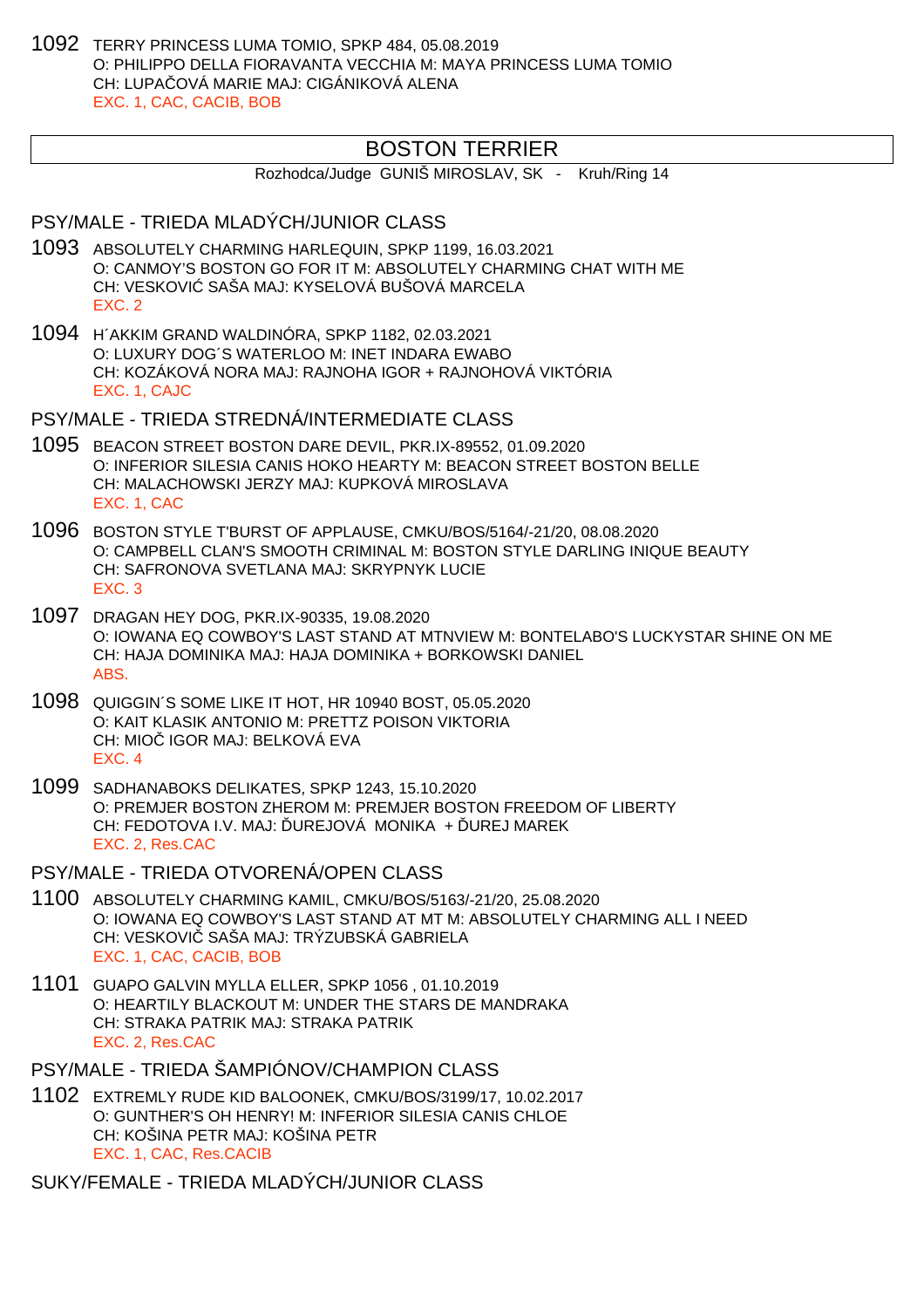1092 TERRY PRINCESS LUMA TOMIO, SPKP 484, 05.08.2019 O: PHILIPPO DELLA FIORAVANTA VECCHIA M: MAYA PRINCESS LUMA TOMIO CH: LUPAČOVÁ MARIE MAJ: CIGÁNIKOVÁ ALENA EXC. 1, CAC, CACIB, BOB

### BOSTON TERRIER

Rozhodca/Judge GUNIŠ MIROSLAV, SK - Kruh/Ring 14

### PSY/MALE - TRIEDA MLADÝCH/JUNIOR CLASS

- 1093 ABSOLUTELY CHARMING HARLEQUIN, SPKP 1199, 16.03.2021 O: CANMOY'S BOSTON GO FOR IT M: ABSOLUTELY CHARMING CHAT WITH ME CH: VESKOVI SAŠA MAJ: KYSELOVÁ BUŠOVÁ MARCELA EXC. 2
- 1094 H´AKKIM GRAND WALDINÓRA, SPKP 1182, 02.03.2021 O: LUXURY DOG´S WATERLOO M: INET INDARA EWABO CH: KOZÁKOVÁ NORA MAJ: RAJNOHA IGOR + RAJNOHOVÁ VIKTÓRIA EXC. 1, CAJC

PSY/MALE - TRIEDA STREDNÁ/INTERMEDIATE CLASS

- 1095 BEACON STREET BOSTON DARE DEVIL, PKR.IX-89552, 01.09.2020 O: INFERIOR SILESIA CANIS HOKO HEARTY M: BEACON STREET BOSTON BELLE CH: MALACHOWSKI JERZY MAJ: KUPKOVÁ MIROSLAVA EXC. 1, CAC
- 1096 BOSTON STYLE T'BURST OF APPLAUSE, CMKU/BOS/5164/-21/20, 08.08.2020 O: CAMPBELL CLAN'S SMOOTH CRIMINAL M: BOSTON STYLE DARLING INIQUE BEAUTY CH: SAFRONOVA SVETLANA MAJ: SKRYPNYK LUCIE EXC. 3
- 1097 DRAGAN HEY DOG, PKR.IX-90335, 19.08.2020 O: IOWANA EQ COWBOY'S LAST STAND AT MTNVIEW M: BONTELABO'S LUCKYSTAR SHINE ON ME CH: HAJA DOMINIKA MAJ: HAJA DOMINIKA + BORKOWSKI DANIEL ABS.
- 1098 QUIGGIN´S SOME LIKE IT HOT, HR 10940 BOST, 05.05.2020 O: KAIT KLASIK ANTONIO M: PRETTZ POISON VIKTORIA CH: MIO IGOR MAJ: BELKOVÁ EVA EXC. 4
- 1099 SADHANABOKS DELIKATES, SPKP 1243, 15.10.2020 O: PREMJER BOSTON ZHEROM M: PREMJER BOSTON FREEDOM OF LIBERTY CH: FEDOTOVA I.V. MAJ: UREJOVÁ MONIKA + UREJ MAREK EXC. 2, Res.CAC
- PSY/MALE TRIEDA OTVORENÁ/OPEN CLASS
- 1100 ABSOLUTELY CHARMING KAMIL, CMKU/BOS/5163/-21/20, 25.08.2020 O: IOWANA EQ COWBOY'S LAST STAND AT MT M: ABSOLUTELY CHARMING ALL I NEED CH: VESKOVI SAŠA MAJ: TRÝZUBSKÁ GABRIELA EXC. 1, CAC, CACIB, BOB
- 1101 GUAPO GALVIN MYLLA ELLER, SPKP 1056 , 01.10.2019 O: HEARTILY BLACKOUT M: UNDER THE STARS DE MANDRAKA CH: STRAKA PATRIK MAJ: STRAKA PATRIK EXC. 2, Res.CAC
- PSY/MALE TRIEDA ŠAMPIÓNOV/CHAMPION CLASS
- 1102 EXTREMLY RUDE KID BALOONEK, CMKU/BOS/3199/17, 10.02.2017 O: GUNTHER'S OH HENRY! M: INFERIOR SILESIA CANIS CHLOE CH: KOŠINA PETR MAJ: KOŠINA PETR EXC. 1, CAC, Res.CACIB

SUKY/FEMALE - TRIEDA MLADÝCH/JUNIOR CLASS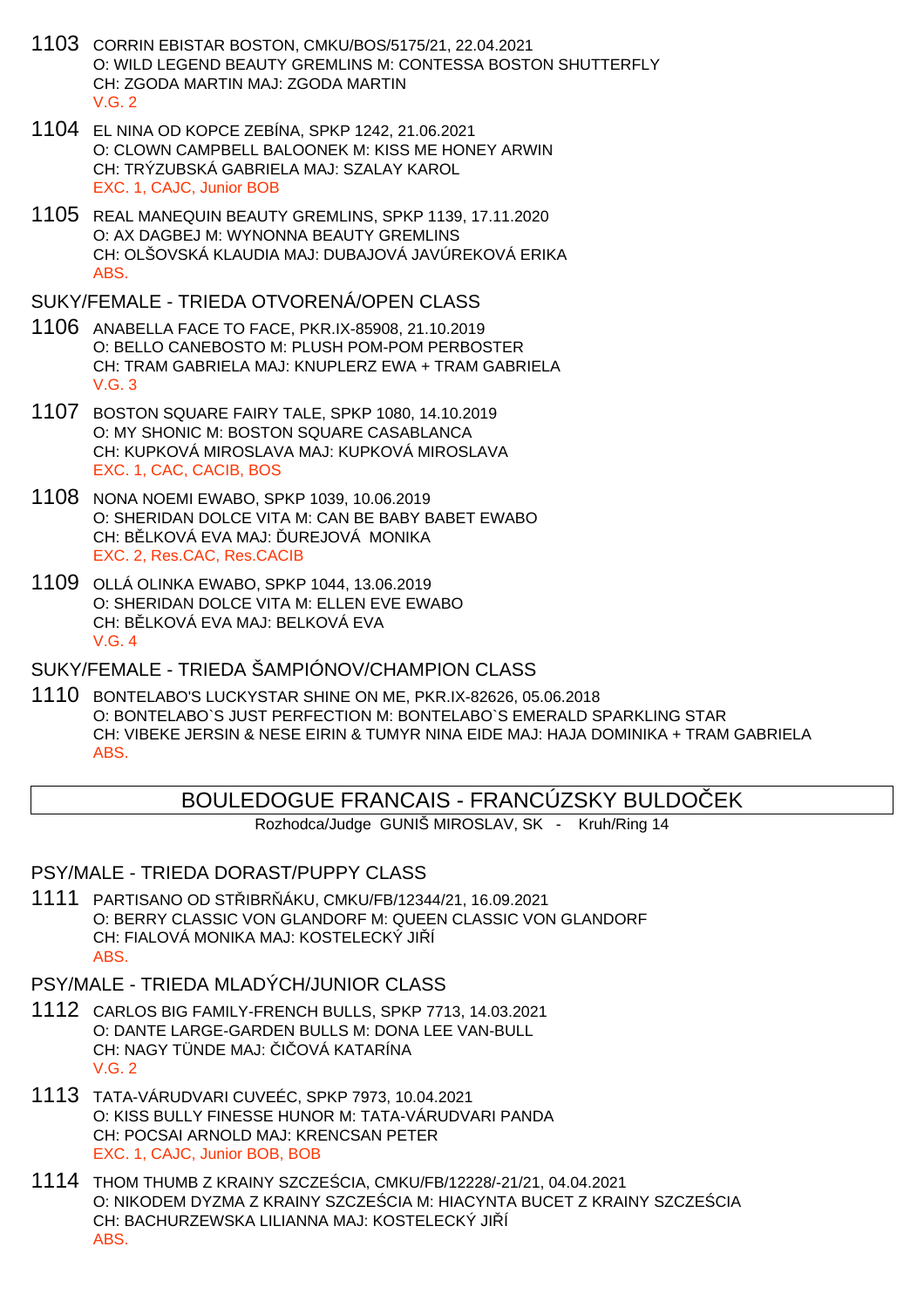- 1103 CORRIN EBISTAR BOSTON, CMKU/BOS/5175/21, 22.04.2021 O: WILD LEGEND BEAUTY GREMLINS M: CONTESSA BOSTON SHUTTERFLY CH: ZGODA MARTIN MAJ: ZGODA MARTIN  $V$  G  $2$
- 1104 EL NINA OD KOPCE ZEBÍNA, SPKP 1242, 21.06.2021 O: CLOWN CAMPBELL BALOONEK M: KISS ME HONEY ARWIN CH: TRÝZUBSKÁ GABRIELA MAJ: SZALAY KAROL EXC. 1, CAJC, Junior BOB
- 1105 REAL MANEQUIN BEAUTY GREMLINS, SPKP 1139, 17.11.2020 O: AX DAGBEJ M: WYNONNA BEAUTY GREMLINS CH: OLŠOVSKÁ KLAUDIA MAJ: DUBAJOVÁ JAVÚREKOVÁ ERIKA ABS.

SUKY/FEMALE - TRIEDA OTVORENÁ/OPEN CLASS

- 1106 ANABELLA FACE TO FACE, PKR.IX-85908, 21.10.2019 O: BELLO CANEBOSTO M: PLUSH POM-POM PERBOSTER CH: TRAM GABRIELA MAJ: KNUPLERZ EWA + TRAM GABRIELA V.G. 3
- 1107 BOSTON SQUARE FAIRY TALE, SPKP 1080, 14.10.2019 O: MY SHONIC M: BOSTON SQUARE CASABLANCA CH: KUPKOVÁ MIROSLAVA MAJ: KUPKOVÁ MIROSLAVA EXC. 1, CAC, CACIB, BOS
- 1108 NONA NOEMI EWABO, SPKP 1039, 10.06.2019 O: SHERIDAN DOLCE VITA M: CAN BE BABY BABET EWABO CH: BLKOVÁ EVA MAJ: UREJOVÁ MONIKA EXC. 2, Res.CAC, Res.CACIB
- 1109 OLLÁ OLINKA EWABO, SPKP 1044, 13.06.2019 O: SHERIDAN DOLCE VITA M: ELLEN EVE EWABO CH: B LKOVÁ EVA MAJ: BELKOVÁ EVA  $V$  G  $4$

SUKY/FEMALE - TRIEDA ŠAMPIÓNOV/CHAMPION CLASS

1110 BONTELABO'S LUCKYSTAR SHINE ON ME, PKR.IX-82626, 05.06.2018 O: BONTELABO`S JUST PERFECTION M: BONTELABO`S EMERALD SPARKLING STAR CH: VIBEKE JERSIN & NESE EIRIN & TUMYR NINA EIDE MAJ: HAJA DOMINIKA + TRAM GABRIELA ABS.

# BOULEDOGUE FRANCAIS - FRANCÚZSKY BULDOČEK

Rozhodca/Judge GUNIŠ MIROSLAV, SK - Kruh/Ring 14

#### PSY/MALE - TRIEDA DORAST/PUPPY CLASS

- 1111 PARTISANO OD STŘIBRŇÁKU, CMKU/FB/12344/21, 16.09.2021 O: BERRY CLASSIC VON GLANDORF M: QUEEN CLASSIC VON GLANDORF CH: FIALOVÁ MONIKA MAJ: KOSTELECKÝ JI Í ABS.
- PSY/MALE TRIEDA MLADÝCH/JUNIOR CLASS
- 1112 CARLOS BIG FAMILY-FRENCH BULLS, SPKP 7713, 14.03.2021 O: DANTE LARGE-GARDEN BULLS M: DONA LEE VAN-BULL CH: NAGY TÜNDE MAJ: I OVÁ KATARÍNA V.G. 2
- 1113 TATA-VÁRUDVARI CUVEÉC, SPKP 7973, 10.04.2021 O: KISS BULLY FINESSE HUNOR M: TATA-VÁRUDVARI PANDA CH: POCSAI ARNOLD MAJ: KRENCSAN PETER EXC. 1, CAJC, Junior BOB, BOB
- 1114 THOM THUMB Z KRAINY SZCZEŚCIA, CMKU/FB/12228/-21/21, 04.04.2021 O: NIKODEM DYZMA Z KRAINY SZCZE CIA M: HIACYNTA BUCET Z KRAINY SZCZE CIA CH: BACHURZEWSKA LILIANNA MAJ: KOSTELECKÝ JI Í ABS.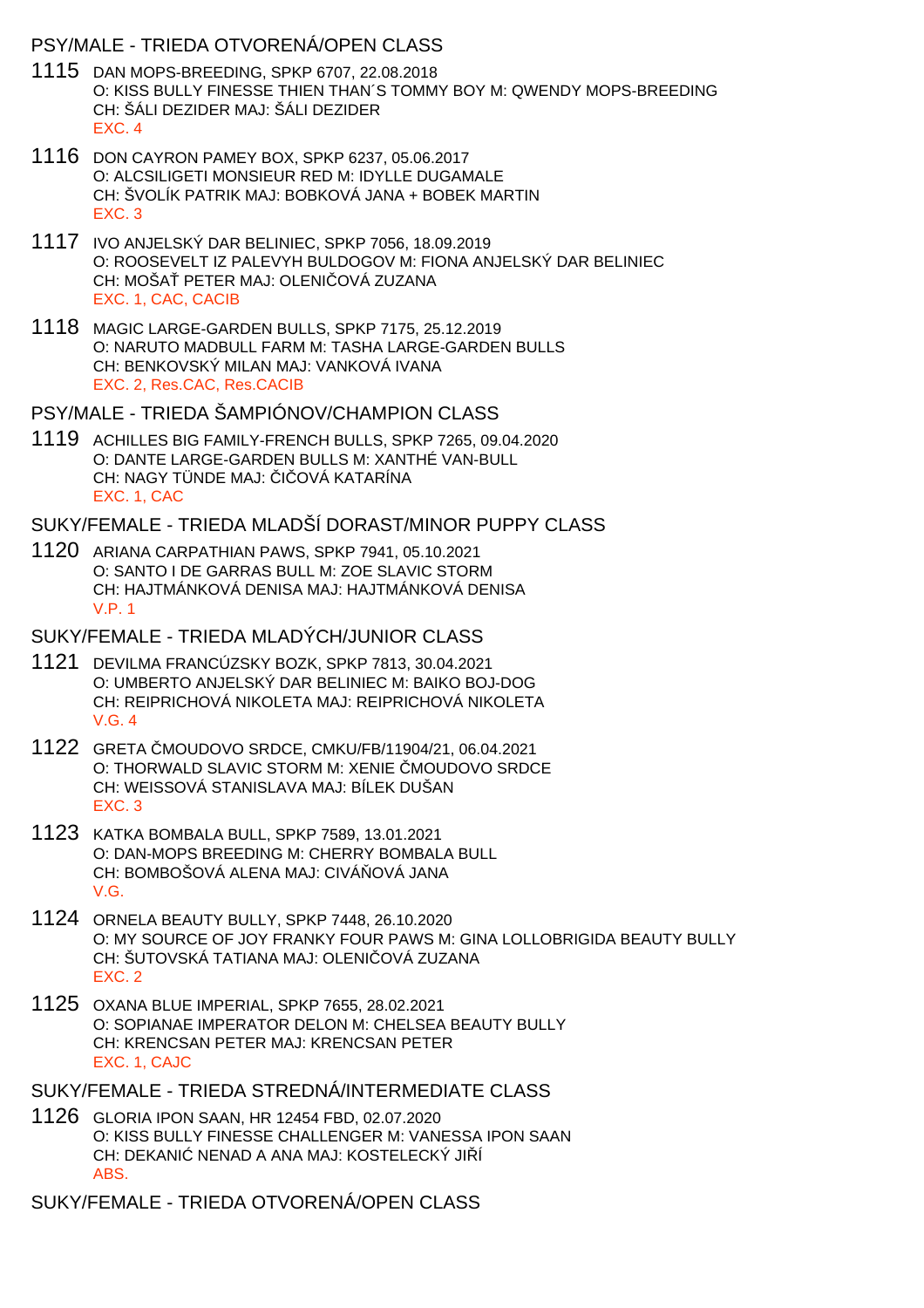#### PSY/MALE - TRIEDA OTVORENÁ/OPEN CLASS

- 1115 DAN MOPS-BREEDING, SPKP 6707, 22.08.2018 O: KISS BULLY FINESSE THIEN THAN´S TOMMY BOY M: QWENDY MOPS-BREEDING CH: ŠÁLI DEZIDER MAJ: ŠÁLI DEZIDER EXC. 4
- 1116 DON CAYRON PAMEY BOX, SPKP 6237, 05.06.2017 O: ALCSILIGETI MONSIEUR RED M: IDYLLE DUGAMALE CH: ŠVOLÍK PATRIK MAJ: BOBKOVÁ JANA + BOBEK MARTIN EXC. 3
- 1117 IVO ANJELSKÝ DAR BELINIEC, SPKP 7056, 18.09.2019 O: ROOSEVELT IZ PALEVYH BULDOGOV M: FIONA ANJELSKÝ DAR BELINIEC CH: MOŠA PETER MAJ: OLENI OVÁ ZUZANA EXC. 1, CAC, CACIB
- 1118 MAGIC LARGE-GARDEN BULLS, SPKP 7175, 25.12.2019 O: NARUTO MADBULL FARM M: TASHA LARGE-GARDEN BULLS CH: BENKOVSKÝ MILAN MAJ: VANKOVÁ IVANA EXC. 2, Res.CAC, Res.CACIB

PSY/MALE - TRIEDA ŠAMPIÓNOV/CHAMPION CLASS

1119 ACHILLES BIG FAMILY-FRENCH BULLS, SPKP 7265, 09.04.2020 O: DANTE LARGE-GARDEN BULLS M: XANTHÉ VAN-BULL CH: NAGY TÜNDE MAJ: I OVÁ KATARÍNA EXC. 1, CAC

SUKY/FEMALE - TRIEDA MLADŠÍ DORAST/MINOR PUPPY CLASS

1120 ARIANA CARPATHIAN PAWS, SPKP 7941, 05.10.2021 O: SANTO I DE GARRAS BULL M: ZOE SLAVIC STORM CH: HAJTMÁNKOVÁ DENISA MAJ: HAJTMÁNKOVÁ DENISA V.P. 1

SUKY/FEMALE - TRIEDA MLADÝCH/JUNIOR CLASS

- 1121 DEVILMA FRANCÚZSKY BOZK, SPKP 7813, 30.04.2021 O: UMBERTO ANJELSKÝ DAR BELINIEC M: BAIKO BOJ-DOG CH: REIPRICHOVÁ NIKOLETA MAJ: REIPRICHOVÁ NIKOLETA V.G. 4
- 1122 GRETA MOUDOVO SRDCE, CMKU/FB/11904/21, 06.04.2021 O: THORWALD SLAVIC STORM M: XENIE MOUDOVO SRDCE CH: WEISSOVÁ STANISLAVA MAJ: BÍLEK DUŠAN EXC. 3
- 1123 KATKA BOMBALA BULL, SPKP 7589, 13.01.2021 O: DAN-MOPS BREEDING M: CHERRY BOMBALA BULL CH: BOMBOŠOVÁ ALENA MAJ: CIVÁ OVÁ JANA V.G.
- 1124 ORNELA BEAUTY BULLY, SPKP 7448, 26.10.2020 O: MY SOURCE OF JOY FRANKY FOUR PAWS M: GINA LOLLOBRIGIDA BEAUTY BULLY CH: ŠUTOVSKÁ TATIANA MAJ: OLENI OVÁ ZUZANA EXC. 2
- 1125 OXANA BLUE IMPERIAL, SPKP 7655, 28.02.2021 O: SOPIANAE IMPERATOR DELON M: CHELSEA BEAUTY BULLY CH: KRENCSAN PETER MAJ: KRENCSAN PETER EXC. 1, CAJC

SUKY/FEMALE - TRIEDA STREDNÁ/INTERMEDIATE CLASS

1126 GLORIA IPON SAAN, HR 12454 FBD, 02.07.2020 O: KISS BULLY FINESSE CHALLENGER M: VANESSA IPON SAAN CH: DEKANI NENAD A ANA MAJ: KOSTELECKÝ JIÍ ABS.

SUKY/FEMALE - TRIEDA OTVORENÁ/OPEN CLASS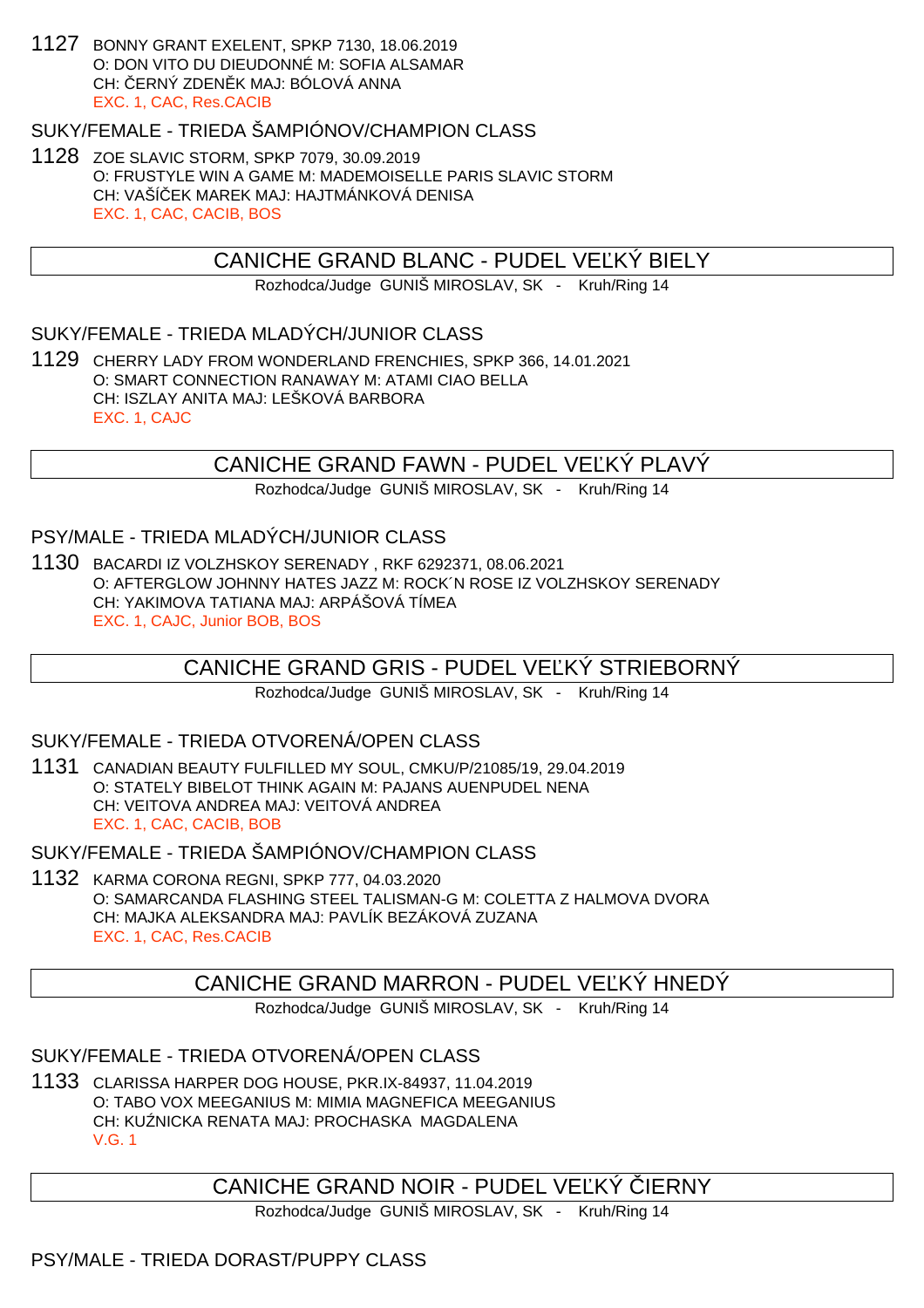1127 BONNY GRANT EXELENT, SPKP 7130, 18.06.2019 O: DON VITO DU DIEUDONNÉ M: SOFIA ALSAMAR CH: ERNÝ ZDEN K MAJ: BÓLOVÁ ANNA EXC. 1, CAC, Res.CACIB

### SUKY/FEMALE - TRIEDA ŠAMPIÓNOV/CHAMPION CLASS

1128 ZOE SLAVIC STORM, SPKP 7079, 30.09.2019 O: FRUSTYLE WIN A GAME M: MADEMOISELLE PARIS SLAVIC STORM CH: VAŠÍ EK MAREK MAJ: HAJTMÁNKOVÁ DENISA EXC. 1, CAC, CACIB, BOS

### CANICHE GRAND BLANC - PUDEL VE KÝ BIELY

Rozhodca/Judge GUNIŠ MIROSLAV, SK - Kruh/Ring 14

### SUKY/FEMALE - TRIEDA MLADÝCH/JUNIOR CLASS

1129 CHERRY LADY FROM WONDERLAND FRENCHIES, SPKP 366, 14.01.2021 O: SMART CONNECTION RANAWAY M: ATAMI CIAO BELLA CH: ISZLAY ANITA MAJ: LEŠKOVÁ BARBORA EXC. 1, CAJC

### CANICHE GRAND FAWN - PUDEL VE KÝ PLAVÝ

Rozhodca/Judge GUNIŠ MIROSLAV, SK - Kruh/Ring 14

### PSY/MALE - TRIEDA MLADÝCH/JUNIOR CLASS

1130 BACARDI IZ VOLZHSKOY SERENADY , RKF 6292371, 08.06.2021 O: AFTERGLOW JOHNNY HATES JAZZ M: ROCK´N ROSE IZ VOLZHSKOY SERENADY CH: YAKIMOVA TATIANA MAJ: ARPÁŠOVÁ TÍMEA EXC. 1, CAJC, Junior BOB, BOS

# CANICHE GRAND GRIS - PUDEL VEĽKÝ STRIEBORNÝ

Rozhodca/Judge GUNIŠ MIROSLAV, SK - Kruh/Ring 14

#### SUKY/FEMALE - TRIEDA OTVORENÁ/OPEN CLASS

1131 CANADIAN BEAUTY FULFILLED MY SOUL, CMKU/P/21085/19, 29.04.2019 O: STATELY BIBELOT THINK AGAIN M: PAJANS AUENPUDEL NENA CH: VEITOVA ANDREA MAJ: VEITOVÁ ANDREA EXC. 1, CAC, CACIB, BOB

SUKY/FEMALE - TRIEDA ŠAMPIÓNOV/CHAMPION CLASS

1132 KARMA CORONA REGNI, SPKP 777, 04.03.2020 O: SAMARCANDA FLASHING STEEL TALISMAN-G M: COLETTA Z HALMOVA DVORA CH: MAJKA ALEKSANDRA MAJ: PAVLÍK BEZÁKOVÁ ZUZANA EXC. 1, CAC, Res.CACIB

# CANICHE GRAND MARRON - PUDEL VE KÝ HNEDÝ

Rozhodca/Judge GUNIŠ MIROSLAV, SK - Kruh/Ring 14

SUKY/FEMALE - TRIEDA OTVORENÁ/OPEN CLASS

1133 CLARISSA HARPER DOG HOUSE, PKR.IX-84937, 11.04.2019 O: TABO VOX MEEGANIUS M: MIMIA MAGNEFICA MEEGANIUS CH: KU NICKA RENATA MAJ: PROCHASKA MAGDALENA V.G. 1

# CANICHE GRAND NOIR - PUDEL VE KÝ LERNY

Rozhodca/Judge GUNIŠ MIROSLAV, SK - Kruh/Ring 14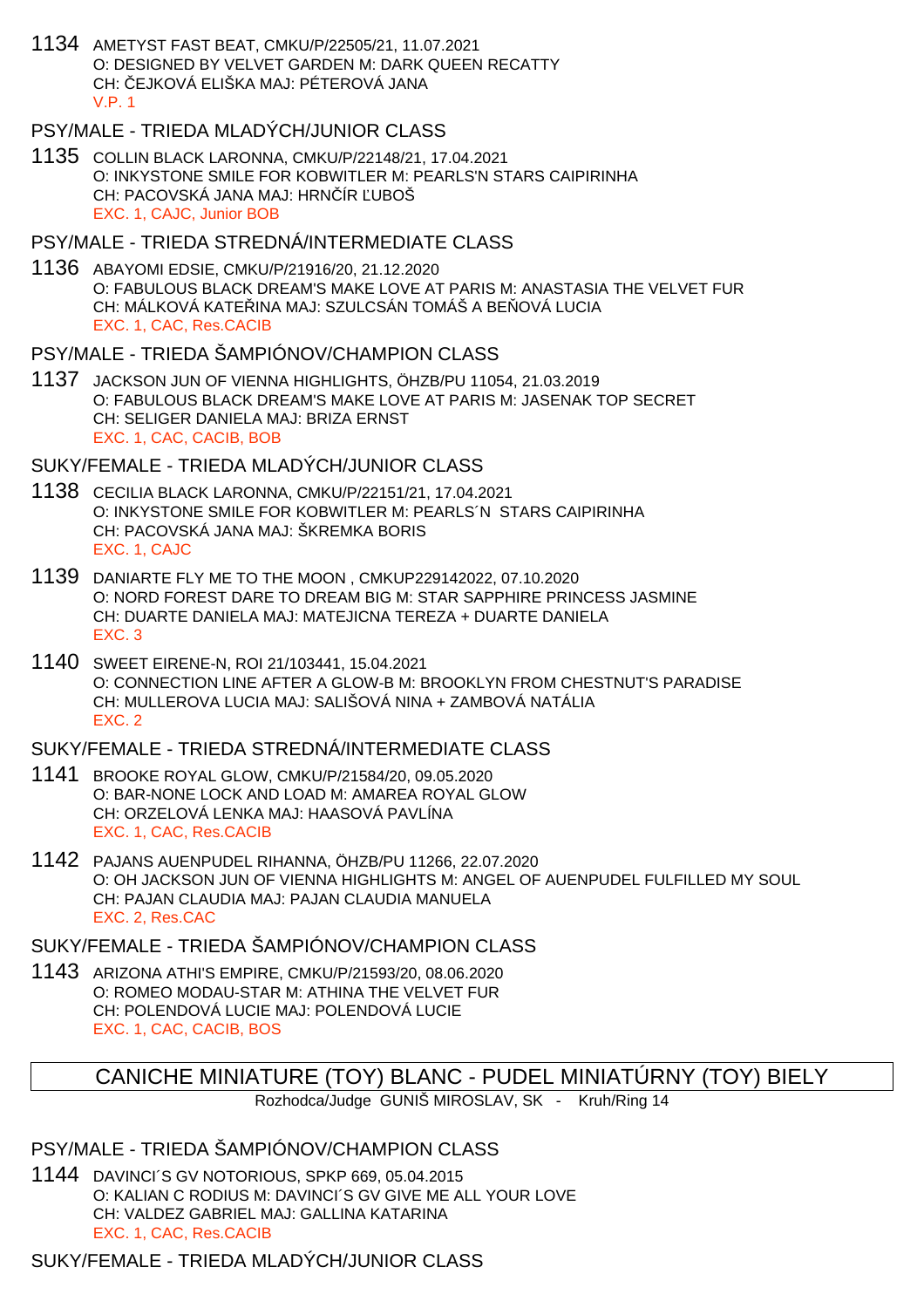1134 AMETYST FAST BEAT, CMKU/P/22505/21, 11.07.2021 O: DESIGNED BY VELVET GARDEN M: DARK QUEEN RECATTY CH: ČEJKOVÁ ELIŠKA MAJ: PÉTEROVÁ JANA V.P. 1

### PSY/MALE - TRIEDA MLADÝCH/JUNIOR CLASS

1135 COLLIN BLACK LARONNA, CMKU/P/22148/21, 17.04.2021 O: INKYSTONE SMILE FOR KOBWITLER M: PEARLS'N STARS CAIPIRINHA CH: PACOVSKÁ JANA MAJ: HRNÍR UBOŠ EXC. 1, CAJC, Junior BOB

#### PSY/MALE - TRIEDA STREDNÁ/INTERMEDIATE CLASS

1136 ABAYOMI EDSIE, CMKU/P/21916/20, 21.12.2020 O: FABULOUS BLACK DREAM'S MAKE LOVE AT PARIS M: ANASTASIA THE VELVET FUR CH: MÁLKOVÁ KATE INA MAJ: SZULCSÁN TOMÁŠ A BEÓVÁ LUCIA EXC. 1, CAC, Res.CACIB

#### PSY/MALE - TRIEDA ŠAMPIÓNOV/CHAMPION CLASS

1137 JACKSON JUN OF VIENNA HIGHLIGHTS, ÖHZB/PU 11054, 21.03.2019 O: FABULOUS BLACK DREAM'S MAKE LOVE AT PARIS M: JASENAK TOP SECRET CH: SELIGER DANIELA MAJ: BRIZA ERNST EXC. 1, CAC, CACIB, BOB

#### SUKY/FEMALE - TRIEDA MLADÝCH/JUNIOR CLASS

- 1138 CECILIA BLACK LARONNA, CMKU/P/22151/21, 17.04.2021 O: INKYSTONE SMILE FOR KOBWITLER M: PEARLS´N STARS CAIPIRINHA CH: PACOVSKÁ JANA MAJ: ŠKREMKA BORIS EXC. 1, CAJC
- 1139 DANIARTE FLY ME TO THE MOON , CMKUP229142022, 07.10.2020 O: NORD FOREST DARE TO DREAM BIG M: STAR SAPPHIRE PRINCESS JASMINE CH: DUARTE DANIELA MAJ: MATEJICNA TEREZA + DUARTE DANIELA EXC. 3
- 1140 SWEET EIRENE-N, ROI 21/103441, 15.04.2021 O: CONNECTION LINE AFTER A GLOW-B M: BROOKLYN FROM CHESTNUT'S PARADISE CH: MULLEROVA LUCIA MAJ: SALIŠOVÁ NINA + ZAMBOVÁ NATÁLIA EXC. 2

### SUKY/FEMALE - TRIEDA STREDNÁ/INTERMEDIATE CLASS

- 1141 BROOKE ROYAL GLOW, CMKU/P/21584/20, 09.05.2020 O: BAR-NONE LOCK AND LOAD M: AMAREA ROYAL GLOW CH: ORZELOVÁ LENKA MAJ: HAASOVÁ PAVLÍNA EXC. 1, CAC, Res.CACIB
- 1142 PAJANS AUENPUDEL RIHANNA, ÖHZB/PU 11266, 22.07.2020 O: OH JACKSON JUN OF VIENNA HIGHLIGHTS M: ANGEL OF AUENPUDEL FULFILLED MY SOUL CH: PAJAN CLAUDIA MAJ: PAJAN CLAUDIA MANUELA EXC. 2, Res.CAC

### SUKY/FEMALE - TRIEDA ŠAMPIÓNOV/CHAMPION CLASS

1143 ARIZONA ATHI'S EMPIRE, CMKU/P/21593/20, 08.06.2020 O: ROMEO MODAU-STAR M: ATHINA THE VELVET FUR CH: POLENDOVÁ LUCIE MAJ: POLENDOVÁ LUCIE EXC. 1, CAC, CACIB, BOS

# CANICHE MINIATURE (TOY) BLANC - PUDEL MINIATÚRNY (TOY) BIELY

Rozhodca/Judge GUNIŠ MIROSLAV, SK - Kruh/Ring 14

### PSY/MALE - TRIEDA ŠAMPIÓNOV/CHAMPION CLASS

1144 DAVINCI´S GV NOTORIOUS, SPKP 669, 05.04.2015 O: KALIAN C RODIUS M: DAVINCI´S GV GIVE ME ALL YOUR LOVE CH: VALDEZ GABRIEL MAJ: GALLINA KATARINA EXC. 1, CAC, Res.CACIB

# SUKY/FEMALE - TRIEDA MLADÝCH/JUNIOR CLASS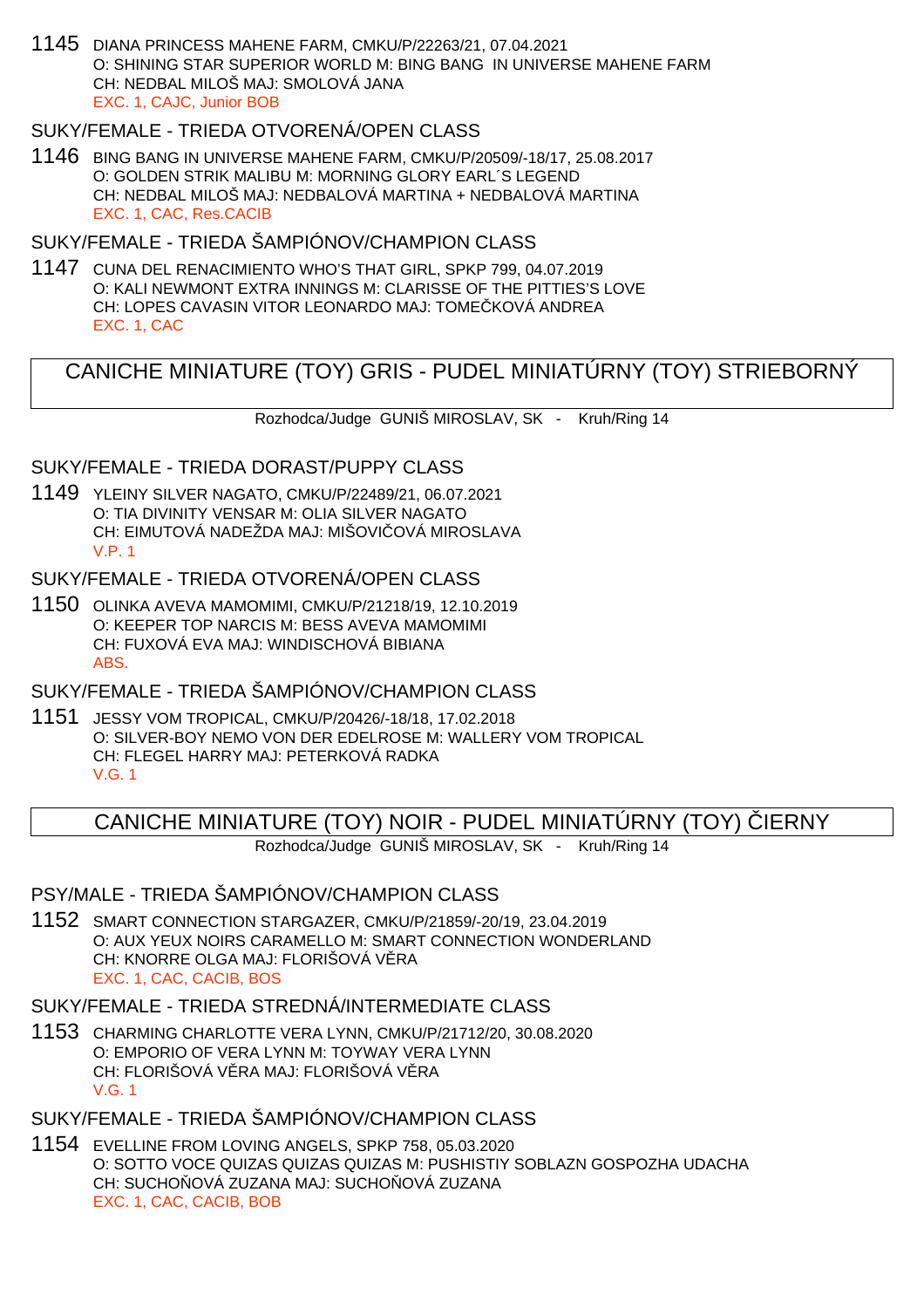1145 DIANA PRINCESS MAHENE FARM, CMKU/P/22263/21, 07.04.2021 O: SHINING STAR SUPERIOR WORLD M: BING BANG IN UNIVERSE MAHENE FARM CH: NEDBAL MILOŠ MAJ: SMOLOVÁ JANA EXC. 1, CAJC, Junior BOB

## SUKY/FEMALE - TRIEDA OTVORENÁ/OPEN CLASS

1146 BING BANG IN UNIVERSE MAHENE FARM, CMKU/P/20509/-18/17, 25.08.2017 O: GOLDEN STRIK MALIBU M: MORNING GLORY EARL´S LEGEND CH: NEDBAL MILOŠ MAJ: NEDBALOVÁ MARTINA + NEDBALOVÁ MARTINA EXC. 1, CAC, Res.CACIB

### SUKY/FEMALE - TRIEDA ŠAMPIÓNOV/CHAMPION CLASS

1147 CUNA DEL RENACIMIENTO WHO'S THAT GIRL, SPKP 799, 04.07.2019 O: KALI NEWMONT EXTRA INNINGS M: CLARISSE OF THE PITTIES'S LOVE CH: LOPES CAVASIN VITOR LEONARDO MAJ: TOME KOVÁ ANDREA EXC. 1, CAC

# CANICHE MINIATURE (TOY) GRIS - PUDEL MINIATÚRNY (TOY) STRIEBORNÝ

Rozhodca/Judge GUNIŠ MIROSLAV, SK - Kruh/Ring 14

#### SUKY/FEMALE - TRIEDA DORAST/PUPPY CLASS

1149 YLEINY SILVER NAGATO, CMKU/P/22489/21, 06.07.2021 O: TIA DIVINITY VENSAR M: OLIA SILVER NAGATO CH: EIMUTOVÁ NADEŽDA MAJ: MIŠOVI OVÁ MIROSLAVA V.P. 1

### SUKY/FEMALE - TRIEDA OTVORENÁ/OPEN CLASS

1150 OLINKA AVEVA MAMOMIMI, CMKU/P/21218/19, 12.10.2019 O: KEEPER TOP NARCIS M: BESS AVEVA MAMOMIMI CH: FUXOVÁ EVA MAJ: WINDISCHOVÁ BIBIANA ABS.

# SUKY/FEMALE - TRIEDA ŠAMPIÓNOV/CHAMPION CLASS

1151 JESSY VOM TROPICAL, CMKU/P/20426/-18/18, 17.02.2018 O: SILVER-BOY NEMO VON DER EDELROSE M: WALLERY VOM TROPICAL CH: FLEGEL HARRY MAJ: PETERKOVÁ RADKA V.G. 1

# CANICHE MINIATURE (TOY) NOIR - PUDEL MINIATÚRNY (TOY) LERNY

Rozhodca/Judge GUNIŠ MIROSLAV, SK - Kruh/Ring 14

## PSY/MALE - TRIEDA ŠAMPIÓNOV/CHAMPION CLASS

1152 SMART CONNECTION STARGAZER, CMKU/P/21859/-20/19, 23.04.2019 O: AUX YEUX NOIRS CARAMELLO M: SMART CONNECTION WONDERLAND CH: KNORRE OLGA MAJ: FLORIŠOVÁ V RA EXC. 1, CAC, CACIB, BOS

#### SUKY/FEMALE - TRIEDA STREDNÁ/INTERMEDIATE CLASS

1153 CHARMING CHARLOTTE VERA LYNN, CMKU/P/21712/20, 30.08.2020 O: EMPORIO OF VERA LYNN M: TOYWAY VERA LYNN CH: FLORIŠOVÁ V RA MAJ: FLORIŠOVÁ V RA V.G. 1

# SUKY/FEMALE - TRIEDA ŠAMPIÓNOV/CHAMPION CLASS

1154 EVELLINE FROM LOVING ANGELS, SPKP 758, 05.03.2020 O: SOTTO VOCE QUIZAS QUIZAS QUIZAS M: PUSHISTIY SOBLAZN GOSPOZHA UDACHA CH: SUCHO OVÁ ZUZANA MAJ: SUCHO OVÁ ZUZANA EXC. 1, CAC, CACIB, BOB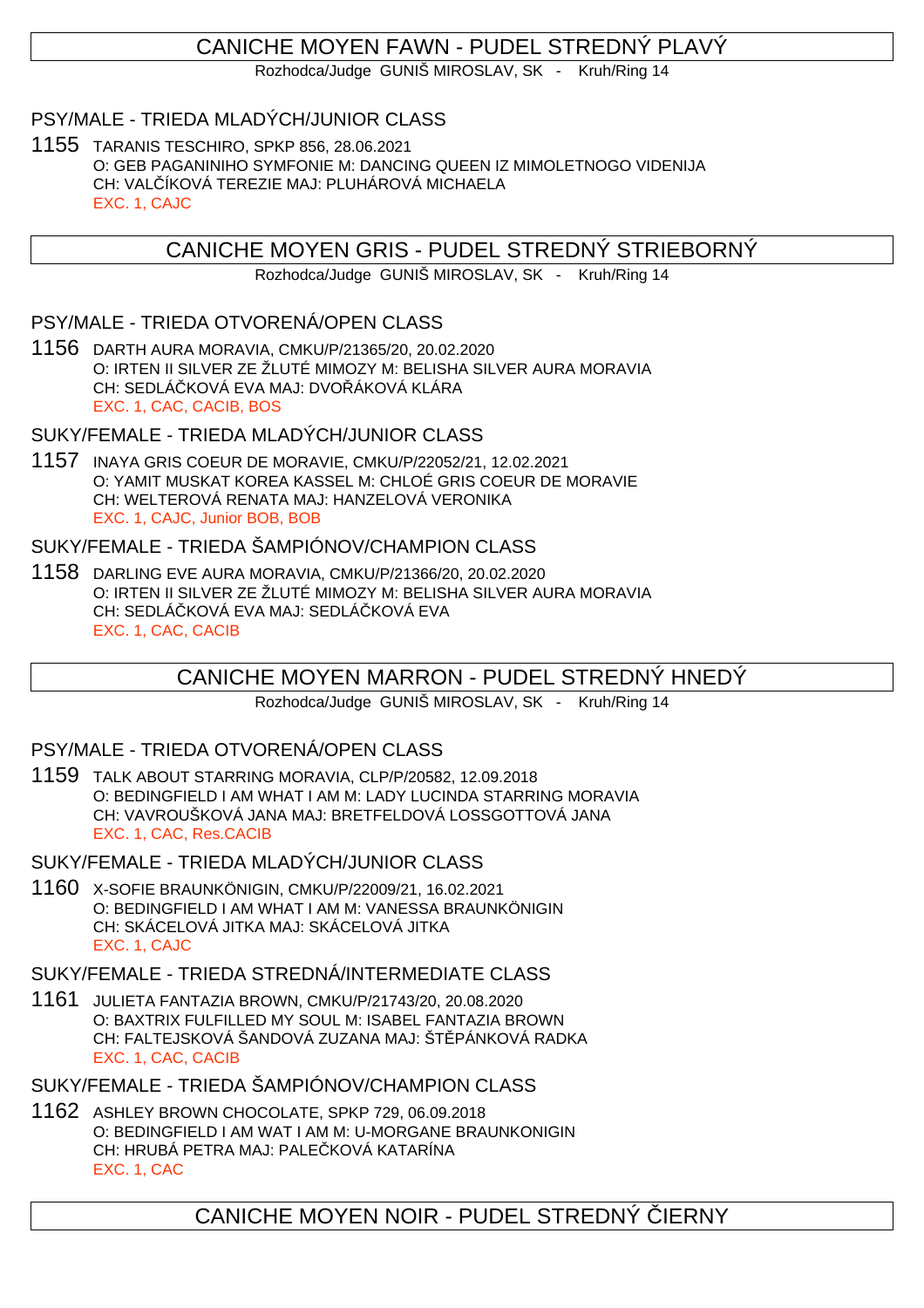# CANICHE MOYEN FAWN - PUDEL STREDNÝ PLAVÝ

Rozhodca/Judge GUNIŠ MIROSLAV, SK - Kruh/Ring 14

### PSY/MALE - TRIEDA MLADÝCH/JUNIOR CLASS

1155 TARANIS TESCHIRO, SPKP 856, 28.06.2021 O: GEB PAGANINIHO SYMFONIE M: DANCING QUEEN IZ MIMOLETNOGO VIDENIJA CH: VALČÍKOVÁ TEREZIE MAJ: PLUHÁROVÁ MICHAELA EXC. 1, CAJC

CANICHE MOYEN GRIS - PUDEL STREDNÝ STRIEBORNÝ

Rozhodca/Judge GUNIŠ MIROSLAV, SK - Kruh/Ring 14

### PSY/MALE - TRIEDA OTVORENÁ/OPEN CLASS

1156 DARTH AURA MORAVIA, CMKU/P/21365/20, 20.02.2020 O: IRTEN II SILVER ZE ŽLUTÉ MIMOZY M: BELISHA SILVER AURA MORAVIA CH: SEDLÁ KOVÁ EVA MAJ: DVO ÁKOVÁ KLÁRA EXC. 1, CAC, CACIB, BOS

#### SUKY/FEMALE - TRIEDA MLADÝCH/JUNIOR CLASS

1157 INAYA GRIS COEUR DE MORAVIE, CMKU/P/22052/21, 12.02.2021 O: YAMIT MUSKAT KOREA KASSEL M: CHLOÉ GRIS COEUR DE MORAVIE CH: WELTEROVÁ RENATA MAJ: HANZELOVÁ VERONIKA EXC. 1, CAJC, Junior BOB, BOB

### SUKY/FEMALE - TRIEDA ŠAMPIÓNOV/CHAMPION CLASS

1158 DARLING EVE AURA MORAVIA, CMKU/P/21366/20, 20.02.2020 O: IRTEN II SILVER ZE ŽLUTÉ MIMOZY M: BELISHA SILVER AURA MORAVIA CH: SEDLÁ KOVÁ EVA MAJ: SEDLÁ KOVÁ EVA EXC. 1, CAC, CACIB

# CANICHE MOYEN MARRON - PUDEL STREDNÝ HNEDÝ

Rozhodca/Judge GUNIŠ MIROSLAV, SK - Kruh/Ring 14

#### PSY/MALE - TRIEDA OTVORENÁ/OPEN CLASS

1159 TALK ABOUT STARRING MORAVIA, CLP/P/20582, 12.09.2018 O: BEDINGFIELD I AM WHAT I AM M: LADY LUCINDA STARRING MORAVIA CH: VAVROUŠKOVÁ JANA MAJ: BRETFELDOVÁ LOSSGOTTOVÁ JANA EXC. 1, CAC, Res.CACIB

SUKY/FEMALE - TRIEDA MLADÝCH/JUNIOR CLASS

1160 X-SOFIE BRAUNKÖNIGIN, CMKU/P/22009/21, 16.02.2021 O: BEDINGFIELD I AM WHAT I AM M: VANESSA BRAUNKÖNIGIN CH: SKÁCELOVÁ JITKA MAJ: SKÁCELOVÁ JITKA EXC. 1, CAJC

SUKY/FEMALE - TRIEDA STREDNÁ/INTERMEDIATE CLASS

1161 JULIETA FANTAZIA BROWN, CMKU/P/21743/20, 20.08.2020 O: BAXTRIX FULFILLED MY SOUL M: ISABEL FANTAZIA BROWN CH: FALTEJSKOVÁ ŠANDOVÁ ZUZANA MAJ: ŠTIPÁNKOVÁ RADKA EXC. 1, CAC, CACIB

SUKY/FEMALE - TRIEDA ŠAMPIÓNOV/CHAMPION CLASS

1162 ASHLEY BROWN CHOCOLATE, SPKP 729, 06.09.2018 O: BEDINGFIELD I AM WAT I AM M: U-MORGANE BRAUNKONIGIN CH: HRUBÁ PETRA MAJ: PALE KOVÁ KATARÍNA EXC. 1, CAC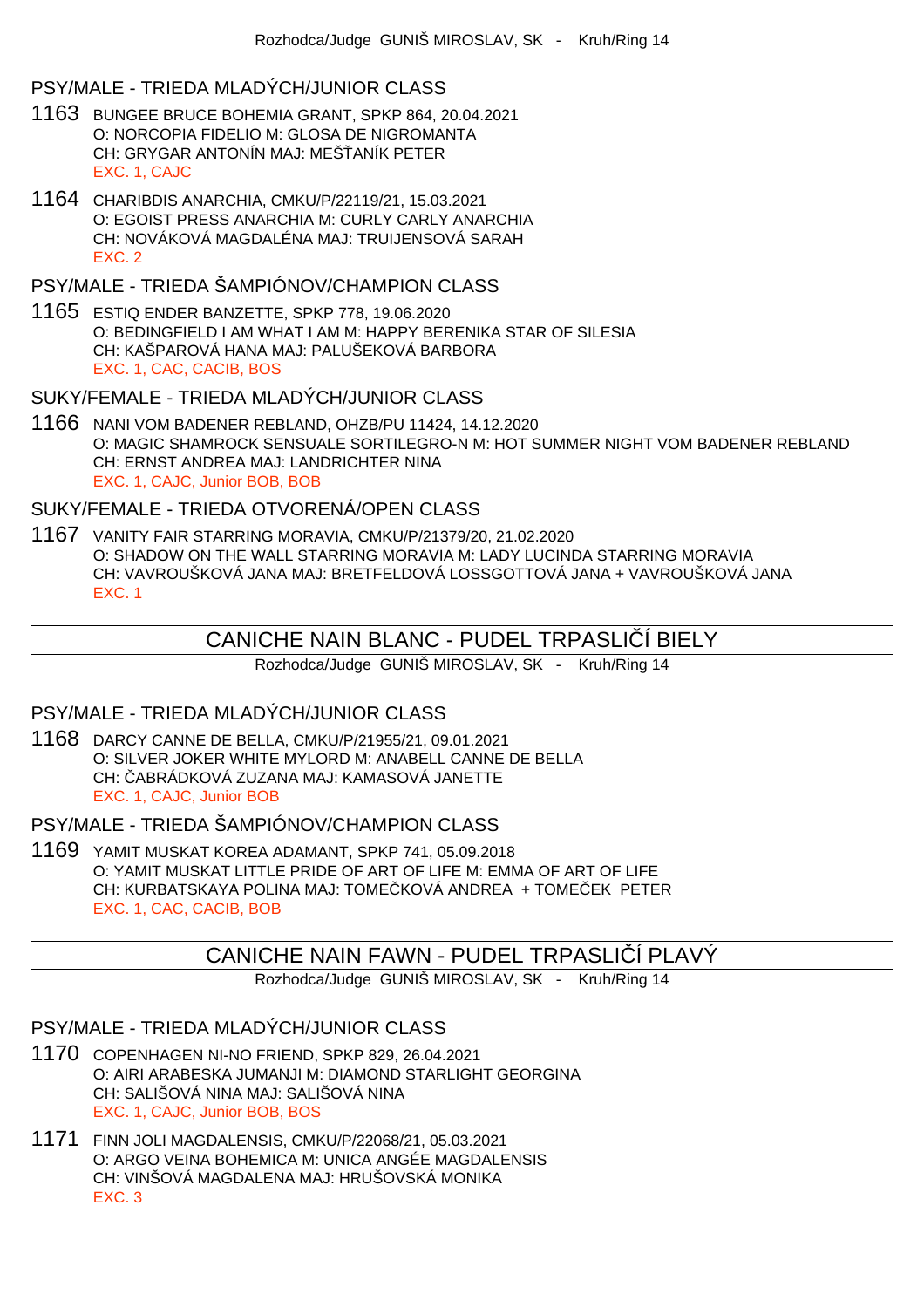### PSY/MALE - TRIEDA MLADÝCH/JUNIOR CLASS

- 1163 BUNGEE BRUCE BOHEMIA GRANT, SPKP 864, 20.04.2021 O: NORCOPIA FIDELIO M: GLOSA DE NIGROMANTA CH: GRYGAR ANTONÍN MAJ: MEŠ ANÍK PETER EXC. 1, CAJC
- 1164 CHARIBDIS ANARCHIA, CMKU/P/22119/21, 15.03.2021 O: EGOIST PRESS ANARCHIA M: CURLY CARLY ANARCHIA CH: NOVÁKOVÁ MAGDALÉNA MAJ: TRUIJENSOVÁ SARAH EXC. 2

# PSY/MALE - TRIEDA ŠAMPIÓNOV/CHAMPION CLASS

1165 ESTIQ ENDER BANZETTE, SPKP 778, 19.06.2020 O: BEDINGFIELD I AM WHAT I AM M: HAPPY BERENIKA STAR OF SILESIA CH: KAŠPAROVÁ HANA MAJ: PALUŠEKOVÁ BARBORA EXC. 1, CAC, CACIB, BOS

#### SUKY/FEMALE - TRIEDA MLADÝCH/JUNIOR CLASS

1166 NANI VOM BADENER REBLAND, OHZB/PU 11424, 14.12.2020 O: MAGIC SHAMROCK SENSUALE SORTILEGRO-N M: HOT SUMMER NIGHT VOM BADENER REBLAND CH: ERNST ANDREA MAJ: LANDRICHTER NINA EXC. 1, CAJC, Junior BOB, BOB

#### SUKY/FEMALE - TRIEDA OTVORENÁ/OPEN CLASS

1167 VANITY FAIR STARRING MORAVIA, CMKU/P/21379/20, 21.02.2020 O: SHADOW ON THE WALL STARRING MORAVIA M: LADY LUCINDA STARRING MORAVIA CH: VAVROUŠKOVÁ JANA MAJ: BRETFELDOVÁ LOSSGOTTOVÁ JANA + VAVROUŠKOVÁ JANA EXC. 1

# CANICHE NAIN BLANC - PUDEL TRPASLI Í BIELY

Rozhodca/Judge GUNIŠ MIROSLAV, SK - Kruh/Ring 14

### PSY/MALE - TRIEDA MLADÝCH/JUNIOR CLASS

1168 DARCY CANNE DE BELLA, CMKU/P/21955/21, 09.01.2021 O: SILVER JOKER WHITE MYLORD M: ANABELL CANNE DE BELLA CH: ABRÁDKOVÁ ZUZANA MAJ: KAMASOVÁ JANETTE EXC. 1, CAJC, Junior BOB

#### PSY/MALE - TRIEDA ŠAMPIÓNOV/CHAMPION CLASS

1169 YAMIT MUSKAT KOREA ADAMANT, SPKP 741, 05.09.2018 O: YAMIT MUSKAT LITTLE PRIDE OF ART OF LIFE M: EMMA OF ART OF LIFE CH: KURBATSKAYA POLINA MAJ: TOMEČKOVÁ ANDREA + TOMEČEK PETER EXC. 1, CAC, CACIB, BOB

# CANICHE NAIN FAWN - PUDEL TRPASLI Í PLAVÝ

Rozhodca/Judge GUNIŠ MIROSLAV, SK - Kruh/Ring 14

### PSY/MALE - TRIEDA MLADÝCH/JUNIOR CLASS

- 1170 COPENHAGEN NI-NO FRIEND, SPKP 829, 26.04.2021 O: AIRI ARABESKA JUMANJI M: DIAMOND STARLIGHT GEORGINA CH: SALIŠOVÁ NINA MAJ: SALIŠOVÁ NINA EXC. 1, CAJC, Junior BOB, BOS
- 1171 FINN JOLI MAGDALENSIS, CMKU/P/22068/21, 05.03.2021 O: ARGO VEINA BOHEMICA M: UNICA ANGÉE MAGDALENSIS CH: VINŠOVÁ MAGDALENA MAJ: HRUŠOVSKÁ MONIKA EXC. 3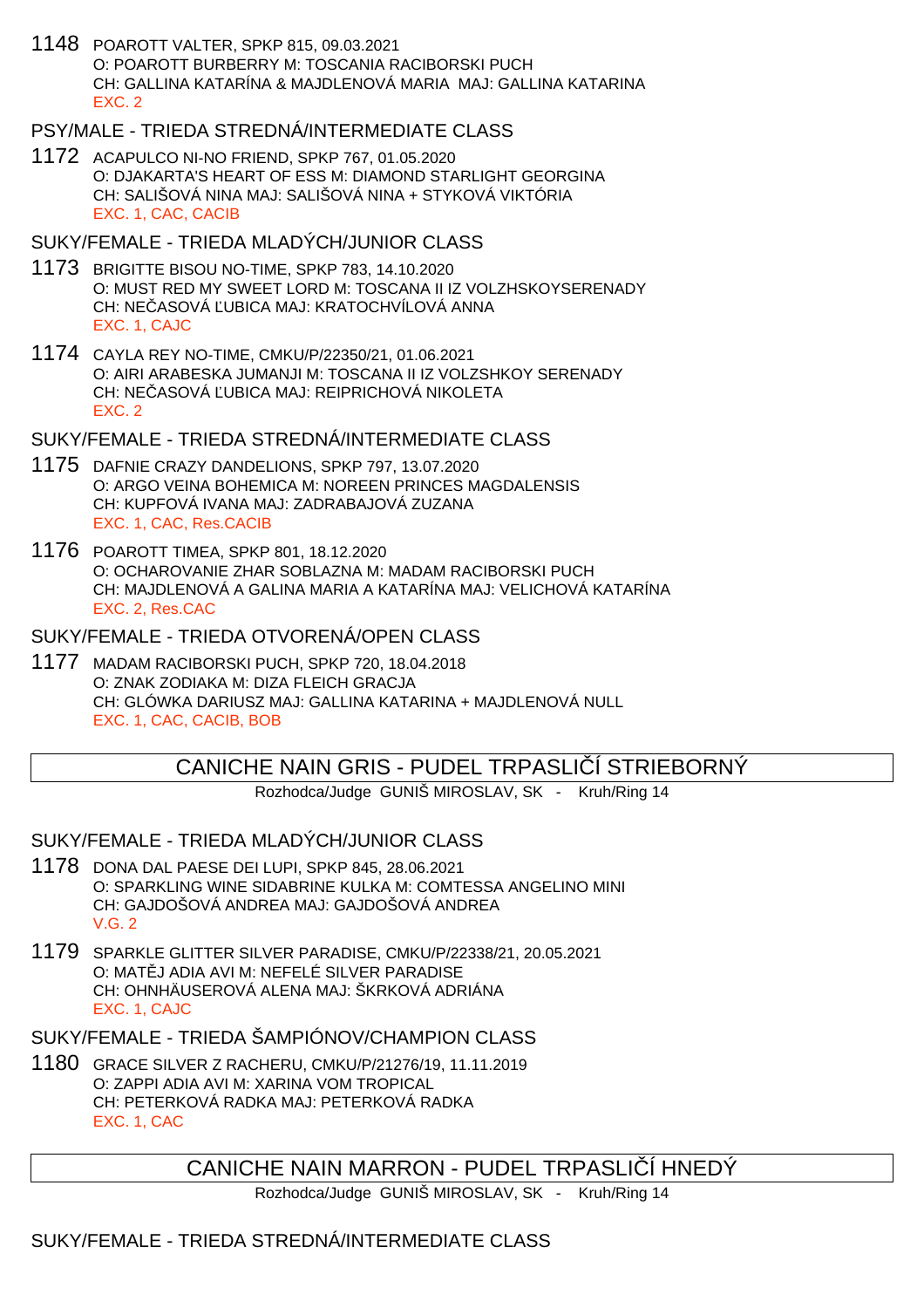1148 POAROTT VALTER, SPKP 815, 09.03.2021 O: POAROTT BURBERRY M: TOSCANIA RACIBORSKI PUCH CH: GALLINA KATARÍNA & MAJDLENOVÁ MARIA MAJ: GALLINA KATARINA EXC. 2

### PSY/MALE - TRIEDA STREDNÁ/INTERMEDIATE CLASS

1172 ACAPULCO NI-NO FRIEND, SPKP 767, 01.05.2020 O: DJAKARTA'S HEART OF ESS M: DIAMOND STARLIGHT GEORGINA CH: SALIŠOVÁ NINA MAJ: SALIŠOVÁ NINA + STYKOVÁ VIKTÓRIA EXC. 1, CAC, CACIB

### SUKY/FEMALE - TRIEDA MLADÝCH/JUNIOR CLASS

- 1173 BRIGITTE BISOU NO-TIME, SPKP 783, 14.10.2020 O: MUST RED MY SWEET LORD M: TOSCANA II IZ VOLZHSKOYSERENADY CH: NE ASOVÁ UBICA MAJ: KRATOCHVÍLOVÁ ANNA EXC. 1, CAJC
- 1174 CAYLA REY NO-TIME, CMKU/P/22350/21, 01.06.2021 O: AIRI ARABESKA JUMANJI M: TOSCANA II IZ VOLZSHKOY SERENADY CH: NE ASOVÁ UBICA MAJ: REIPRICHOVÁ NIKOLETA EXC. 2

### SUKY/FEMALE - TRIEDA STREDNÁ/INTERMEDIATE CLASS

- 1175 DAFNIE CRAZY DANDELIONS, SPKP 797, 13.07.2020 O: ARGO VEINA BOHEMICA M: NOREEN PRINCES MAGDALENSIS CH: KUPFOVÁ IVANA MAJ: ZADRABAJOVÁ ZUZANA EXC. 1, CAC, Res.CACIB
- 1176 POAROTT TIMEA, SPKP 801, 18.12.2020 O: OCHAROVANIE ZHAR SOBLAZNA M: MADAM RACIBORSKI PUCH CH: MAJDLENOVÁ A GALINA MARIA A KATARÍNA MAJ: VELICHOVÁ KATARÍNA EXC. 2, Res.CAC

#### SUKY/FEMALE - TRIEDA OTVORENÁ/OPEN CLASS

1177 MADAM RACIBORSKI PUCH, SPKP 720, 18.04.2018 O: ZNAK ZODIAKA M: DIZA FLEICH GRACJA CH: GLÓWKA DARIUSZ MAJ: GALLINA KATARINA + MAJDLENOVÁ NULL EXC. 1, CAC, CACIB, BOB

# CANICHE NAIN GRIS - PUDEL TRPASLI Í STRIEBORNÝ

Rozhodca/Judge GUNIŠ MIROSLAV, SK - Kruh/Ring 14

#### SUKY/FEMALE - TRIEDA MLADÝCH/JUNIOR CLASS

- 1178 DONA DAL PAESE DEI LUPI, SPKP 845, 28.06.2021 O: SPARKLING WINE SIDABRINE KULKA M: COMTESSA ANGELINO MINI CH: GAJDOŠOVÁ ANDREA MAJ: GAJDOŠOVÁ ANDREA V.G. 2
- 1179 SPARKLE GLITTER SILVER PARADISE, CMKU/P/22338/21, 20.05.2021 O: MAT J ADIA AVI M: NEFELÉ SILVER PARADISE CH: OHNHÄUSEROVÁ ALENA MAJ: ŠKRKOVÁ ADRIÁNA EXC. 1, CAJC

### SUKY/FEMALE - TRIEDA ŠAMPIÓNOV/CHAMPION CLASS

1180 GRACE SILVER Z RACHERU, CMKU/P/21276/19, 11.11.2019 O: ZAPPI ADIA AVI M: XARINA VOM TROPICAL CH: PETERKOVÁ RADKA MAJ: PETERKOVÁ RADKA EXC. 1, CAC

# CANICHE NAIN MARRON - PUDEL TRPASLIČÍ HNEDÝ

Rozhodca/Judge GUNIŠ MIROSLAV, SK - Kruh/Ring 14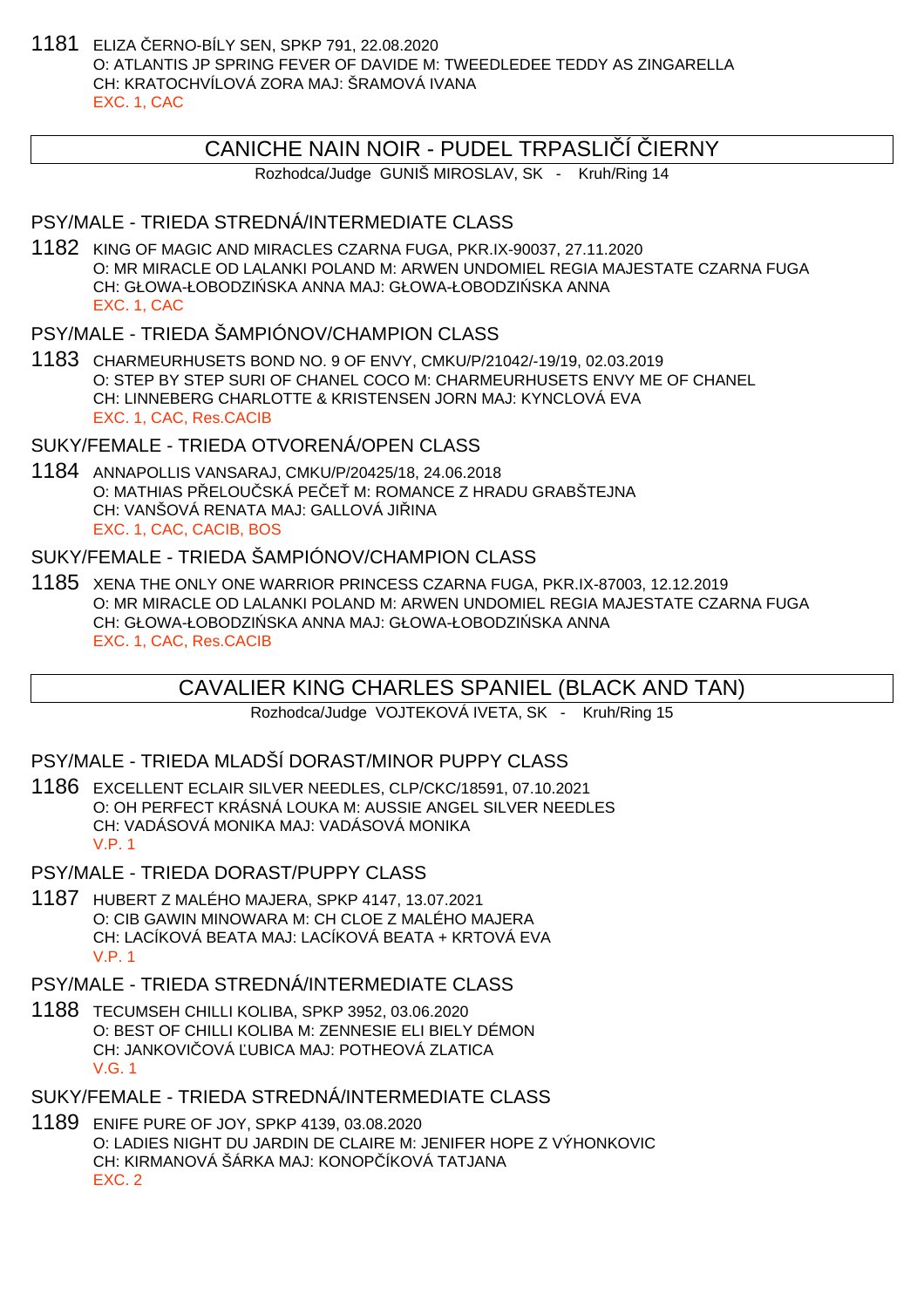1181 ELIZA ČERNO-BÍLY SEN, SPKP 791, 22.08.2020 O: ATLANTIS JP SPRING FEVER OF DAVIDE M: TWEEDLEDEE TEDDY AS ZINGARELLA CH: KRATOCHVÍLOVÁ ZORA MAJ: ŠRAMOVÁ IVANA EXC. 1, CAC

### CANICHE NAIN NOIR - PUDEL TRPASLI Í JERNY

Rozhodca/Judge GUNIŠ MIROSLAV, SK - Kruh/Ring 14

#### PSY/MALE - TRIEDA STREDNÁ/INTERMEDIATE CLASS

1182 KING OF MAGIC AND MIRACLES CZARNA FUGA, PKR.IX-90037, 27.11.2020 O: MR MIRACLE OD LALANKI POLAND M: ARWEN UNDOMIEL REGIA MAJESTATE CZARNA FUGA CH: GŁOWA-ŁOBODZI SKA ANNA MAJ: GŁOWA-ŁOBODZI SKA ANNA EXC. 1, CAC

### PSY/MALE - TRIEDA ŠAMPIÓNOV/CHAMPION CLASS

1183 CHARMEURHUSETS BOND NO. 9 OF ENVY, CMKU/P/21042/-19/19, 02.03.2019 O: STEP BY STEP SURI OF CHANEL COCO M: CHARMEURHUSETS ENVY ME OF CHANEL CH: LINNEBERG CHARLOTTE & KRISTENSEN JORN MAJ: KYNCLOVÁ EVA EXC. 1, CAC, Res.CACIB

# SUKY/FEMALE - TRIEDA OTVORENÁ/OPEN CLASS

1184 ANNAPOLLIS VANSARAJ, CMKU/P/20425/18, 24.06.2018 O: MATHIAS PELOU SKÁ PECEM: ROMANCE Z HRADU GRABŠTEJNA CH: VANŠOVÁ RENATA MAJ: GALLOVÁ JILINA EXC. 1, CAC, CACIB, BOS

# SUKY/FEMALE - TRIEDA ŠAMPIÓNOV/CHAMPION CLASS

1185 XENA THE ONLY ONE WARRIOR PRINCESS CZARNA FUGA, PKR.IX-87003, 12.12.2019 O: MR MIRACLE OD LALANKI POLAND M: ARWEN UNDOMIEL REGIA MAJESTATE CZARNA FUGA CH: GŁOWA-ŁOBODZI SKA ANNA MAJ: GŁOWA-ŁOBODZI SKA ANNA EXC. 1, CAC, Res.CACIB

# CAVALIER KING CHARLES SPANIEL (BLACK AND TAN)

Rozhodca/Judge VOJTEKOVÁ IVETA, SK - Kruh/Ring 15

# PSY/MALE - TRIEDA MLADŠÍ DORAST/MINOR PUPPY CLASS

- 1186 EXCELLENT ECLAIR SILVER NEEDLES, CLP/CKC/18591, 07.10.2021 O: OH PERFECT KRÁSNÁ LOUKA M: AUSSIE ANGEL SILVER NEEDLES CH: VADÁSOVÁ MONIKA MAJ: VADÁSOVÁ MONIKA V.P. 1
- PSY/MALE TRIEDA DORAST/PUPPY CLASS
- 1187 HUBERT Z MALÉHO MAJERA, SPKP 4147, 13.07.2021 O: CIB GAWIN MINOWARA M: CH CLOE Z MALÉHO MAJERA CH: LACÍKOVÁ BEATA MAJ: LACÍKOVÁ BEATA + KRTOVÁ EVA V.P. 1

# PSY/MALE - TRIEDA STREDNÁ/INTERMEDIATE CLASS

1188 TECUMSEH CHILLI KOLIBA, SPKP 3952, 03.06.2020 O: BEST OF CHILLI KOLIBA M: ZENNESIE ELI BIELY DÉMON CH: JANKOVI OVÁ UBICA MAJ: POTHEOVÁ ZLATICA V.G. 1

# SUKY/FEMALE - TRIEDA STREDNÁ/INTERMEDIATE CLASS

1189 ENIFE PURE OF JOY, SPKP 4139, 03.08.2020 O: LADIES NIGHT DU JARDIN DE CLAIRE M: JENIFER HOPE Z VÝHONKOVIC CH: KIRMANOVÁ ŠÁRKA MAJ: KONOPÍKOVÁ TATJANA EXC. 2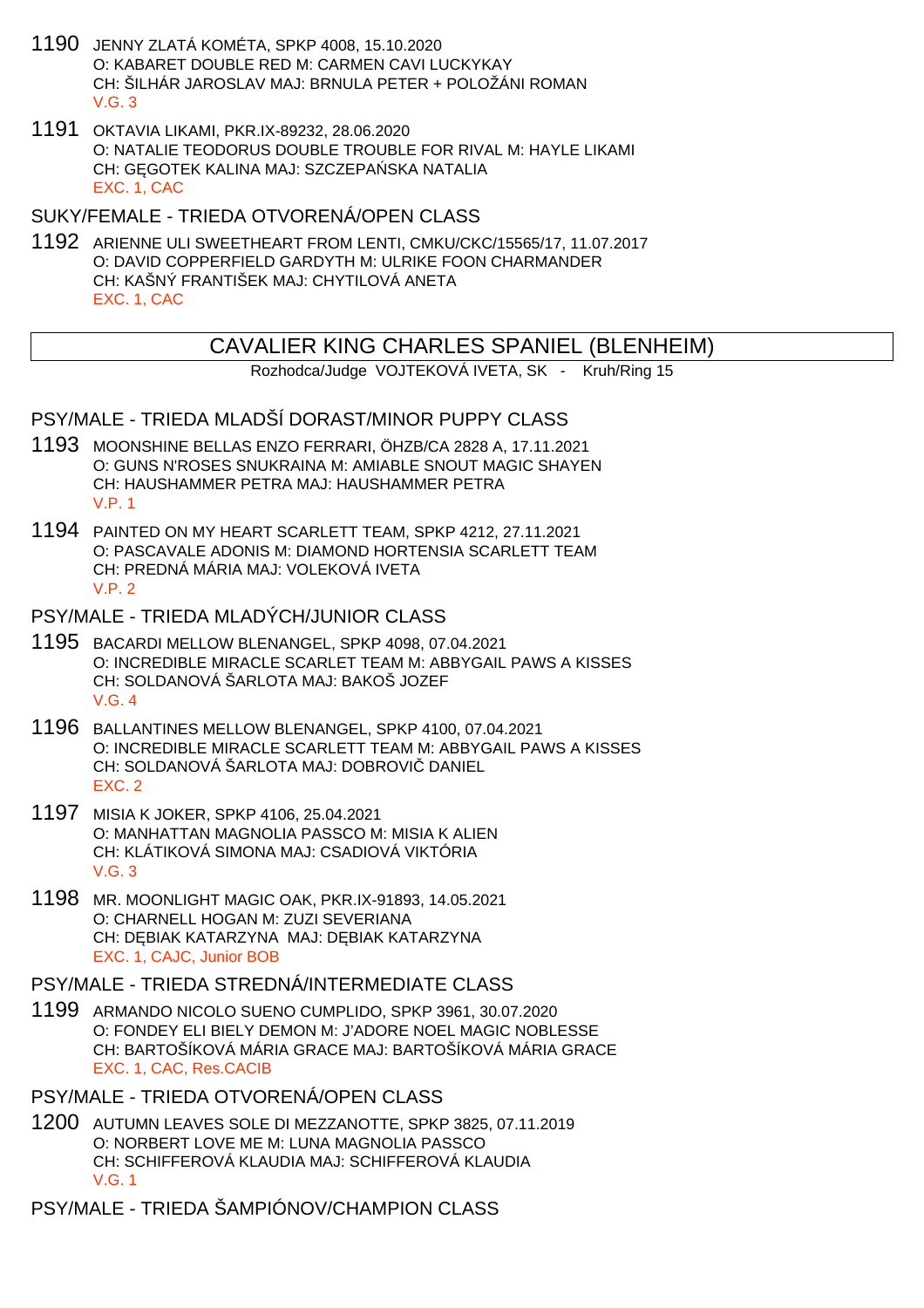- 1190 JENNY ZLATÁ KOMÉTA, SPKP 4008, 15.10.2020 O: KABARET DOUBLE RED M: CARMEN CAVI LUCKYKAY CH: ŠILHÁR JAROSLAV MAJ: BRNULA PETER + POLOŽÁNI ROMAN  $V$  G  $3$
- 1191 OKTAVIA LIKAMI, PKR.IX-89232, 28.06.2020 O: NATALIE TEODORUS DOUBLE TROUBLE FOR RIVAL M: HAYLE LIKAMI CH: G GOTEK KALINA MAJ: SZCZEPA SKA NATALIA EXC. 1, CAC

SUKY/FEMALE - TRIEDA OTVORENÁ/OPEN CLASS

1192 ARIENNE ULI SWEETHEART FROM LENTI, CMKU/CKC/15565/17, 11.07.2017 O: DAVID COPPERFIELD GARDYTH M: ULRIKE FOON CHARMANDER CH: KAŠNÝ FRANTIŠEK MAJ: CHYTILOVÁ ANETA EXC. 1, CAC

# CAVALIER KING CHARLES SPANIEL (BLENHEIM)

Rozhodca/Judge VOJTEKOVÁ IVETA, SK - Kruh/Ring 15

PSY/MALE - TRIEDA MLADŠÍ DORAST/MINOR PUPPY CLASS

- 1193 MOONSHINE BELLAS ENZO FERRARI, ÖHZB/CA 2828 A, 17.11.2021 O: GUNS N'ROSES SNUKRAINA M: AMIABLE SNOUT MAGIC SHAYEN CH: HAUSHAMMER PETRA MAJ: HAUSHAMMER PETRA V.P. 1
- 1194 PAINTED ON MY HEART SCARLETT TEAM, SPKP 4212, 27.11.2021 O: PASCAVALE ADONIS M: DIAMOND HORTENSIA SCARLETT TEAM CH: PREDNÁ MÁRIA MAJ: VOLEKOVÁ IVETA V.P. 2

#### PSY/MALE - TRIEDA MLADÝCH/JUNIOR CLASS

- 1195 BACARDI MELLOW BLENANGEL, SPKP 4098, 07.04.2021 O: INCREDIBLE MIRACLE SCARLET TEAM M: ABBYGAIL PAWS A KISSES CH: SOLDANOVÁ ŠARLOTA MAJ: BAKOŠ JOZEF V.G. 4
- 1196 BALLANTINES MELLOW BLENANGEL, SPKP 4100, 07.04.2021 O: INCREDIBLE MIRACLE SCARLETT TEAM M: ABBYGAIL PAWS A KISSES CH: SOLDANOVÁ ŠARLOTA MAJ: DOBROVI DANIEL EXC. 2
- 1197 MISIA K JOKER, SPKP 4106, 25.04.2021 O: MANHATTAN MAGNOLIA PASSCO M: MISIA K ALIEN CH: KLÁTIKOVÁ SIMONA MAJ: CSADIOVÁ VIKTÓRIA V.G. 3
- 1198 MR. MOONLIGHT MAGIC OAK, PKR.IX-91893, 14.05.2021 O: CHARNELL HOGAN M: ZUZI SEVERIANA CH: D. BIAK KATARZYNA MAJ: D. BIAK KATARZYNA EXC. 1, CAJC, Junior BOB

PSY/MALE - TRIEDA STREDNÁ/INTERMEDIATE CLASS

- 1199 ARMANDO NICOLO SUENO CUMPLIDO, SPKP 3961, 30.07.2020 O: FONDEY ELI BIELY DEMON M: J'ADORE NOEL MAGIC NOBLESSE CH: BARTOŠÍKOVÁ MÁRIA GRACE MAJ: BARTOŠÍKOVÁ MÁRIA GRACE EXC. 1, CAC, Res.CACIB
- PSY/MALE TRIEDA OTVORENÁ/OPEN CLASS
- 1200 AUTUMN LEAVES SOLE DI MEZZANOTTE, SPKP 3825, 07.11.2019 O: NORBERT LOVE ME M: LUNA MAGNOLIA PASSCO CH: SCHIFFEROVÁ KLAUDIA MAJ: SCHIFFEROVÁ KLAUDIA V.G. 1

PSY/MALE - TRIEDA ŠAMPIÓNOV/CHAMPION CLASS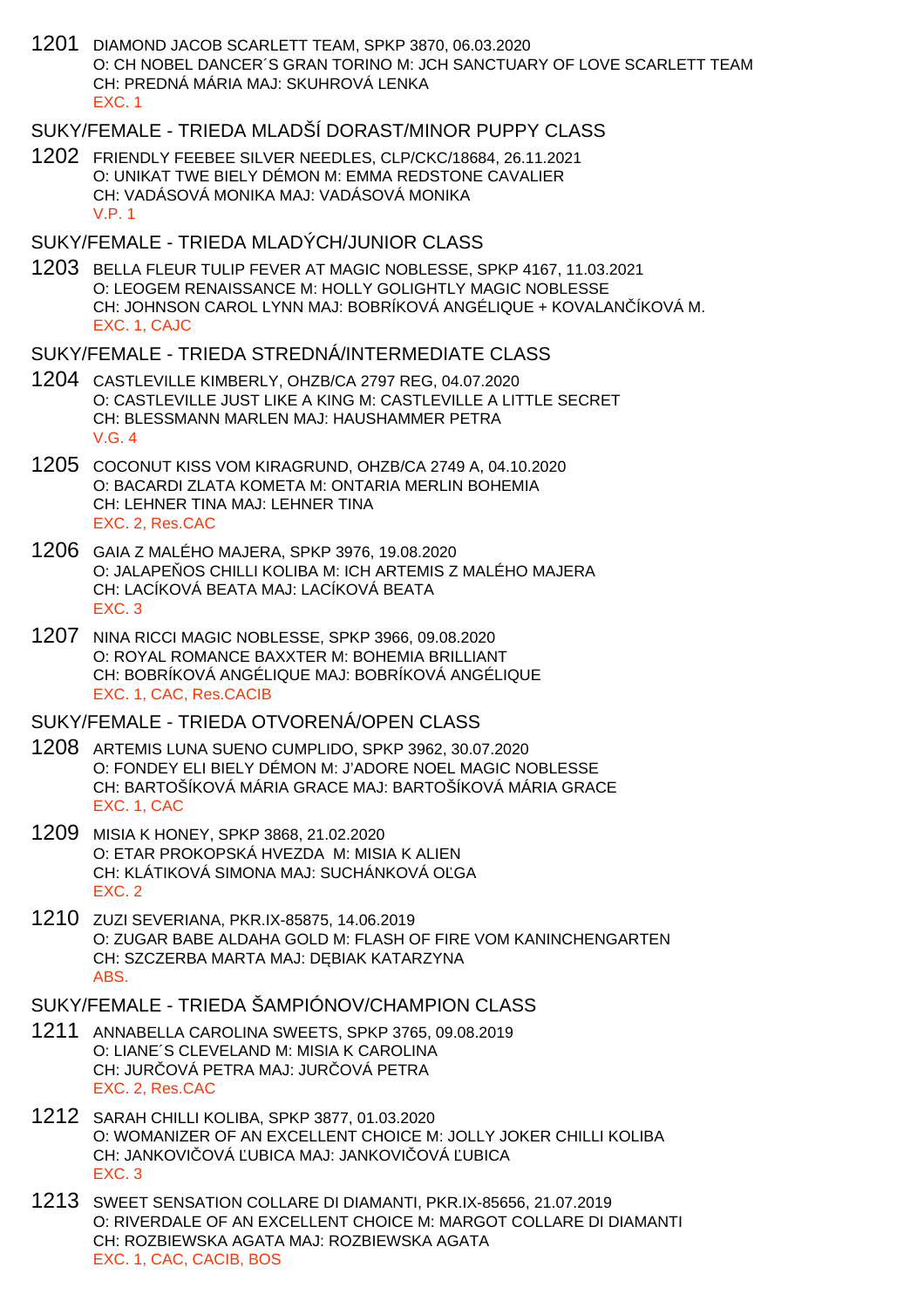1201 DIAMOND JACOB SCARLETT TEAM, SPKP 3870, 06.03.2020 O: CH NOBEL DANCER´S GRAN TORINO M: JCH SANCTUARY OF LOVE SCARLETT TEAM CH: PREDNÁ MÁRIA MAJ: SKUHROVÁ LENKA EXC. 1

# SUKY/FEMALE - TRIEDA MLADŠÍ DORAST/MINOR PUPPY CLASS

1202 FRIENDLY FEEBEE SILVER NEEDLES, CLP/CKC/18684, 26.11.2021 O: UNIKAT TWE BIELY DÉMON M: EMMA REDSTONE CAVALIER CH: VADÁSOVÁ MONIKA MAJ: VADÁSOVÁ MONIKA V.P. 1

### SUKY/FEMALE - TRIEDA MLADÝCH/JUNIOR CLASS

1203 BELLA FLEUR TULIP FEVER AT MAGIC NOBLESSE, SPKP 4167, 11.03.2021 O: LEOGEM RENAISSANCE M: HOLLY GOLIGHTLY MAGIC NOBLESSE CH: JOHNSON CAROL LYNN MAJ: BOBRÍKOVÁ ANGÉLIQUE + KOVALANČÍKOVÁ M. EXC. 1, CAJC

#### SUKY/FEMALE - TRIEDA STREDNÁ/INTERMEDIATE CLASS

- 1204 CASTLEVILLE KIMBERLY, OHZB/CA 2797 REG, 04.07.2020 O: CASTLEVILLE JUST LIKE A KING M: CASTLEVILLE A LITTLE SECRET CH: BLESSMANN MARLEN MAJ: HAUSHAMMER PETRA V.G. 4
- 1205 COCONUT KISS VOM KIRAGRUND, OHZB/CA 2749 A, 04.10.2020 O: BACARDI ZLATA KOMETA M: ONTARIA MERLIN BOHEMIA CH: LEHNER TINA MAJ: LEHNER TINA EXC. 2, Res.CAC
- 1206 GAIA Z MALÉHO MAJERA, SPKP 3976, 19.08.2020 O: JALAPE OS CHILLI KOLIBA M: ICH ARTEMIS Z MALÉHO MAJERA CH: LACÍKOVÁ BEATA MAJ: LACÍKOVÁ BEATA EXC. 3
- 1207 NINA RICCI MAGIC NOBLESSE, SPKP 3966, 09.08.2020 O: ROYAL ROMANCE BAXXTER M: BOHEMIA BRILLIANT CH: BOBRÍKOVÁ ANGÉLIQUE MAJ: BOBRÍKOVÁ ANGÉLIQUE EXC. 1, CAC, Res.CACIB

### SUKY/FEMALE - TRIEDA OTVORENÁ/OPEN CLASS

- 1208 ARTEMIS LUNA SUENO CUMPLIDO, SPKP 3962, 30.07.2020 O: FONDEY ELI BIELY DÉMON M: J'ADORE NOEL MAGIC NOBLESSE CH: BARTOŠÍKOVÁ MÁRIA GRACE MAJ: BARTOŠÍKOVÁ MÁRIA GRACE EXC. 1, CAC
- 1209 MISIA K HONEY, SPKP 3868, 21.02.2020 O: ETAR PROKOPSKÁ HVEZDA M: MISIA K ALIEN CH: KLÁTIKOVÁ SIMONA MAJ: SUCHÁNKOVÁ OĽGA EXC. 2
- 1210 ZUZI SEVERIANA, PKR.IX-85875, 14.06.2019 O: ZUGAR BABE ALDAHA GOLD M: FLASH OF FIRE VOM KANINCHENGARTEN CH: SZCZERBA MARTA MAJ: D BIAK KATARZYNA ABS.

# SUKY/FEMALE - TRIEDA ŠAMPIÓNOV/CHAMPION CLASS

- 1211 ANNABELLA CAROLINA SWEETS, SPKP 3765, 09.08.2019 O: LIANE´S CLEVELAND M: MISIA K CAROLINA CH: JURI OVÁ PETRA MAJ: JURI OVÁ PETRA EXC. 2, Res.CAC
- 1212 SARAH CHILLI KOLIBA, SPKP 3877, 01.03.2020 O: WOMANIZER OF AN EXCELLENT CHOICE M: JOLLY JOKER CHILLI KOLIBA CH: JANKOVI OVÁ UBICA MAJ: JANKOVI OVÁ UBICA EXC. 3
- 1213 SWEET SENSATION COLLARE DI DIAMANTI, PKR.IX-85656, 21.07.2019 O: RIVERDALE OF AN EXCELLENT CHOICE M: MARGOT COLLARE DI DIAMANTI CH: ROZBIEWSKA AGATA MAJ: ROZBIEWSKA AGATA EXC. 1, CAC, CACIB, BOS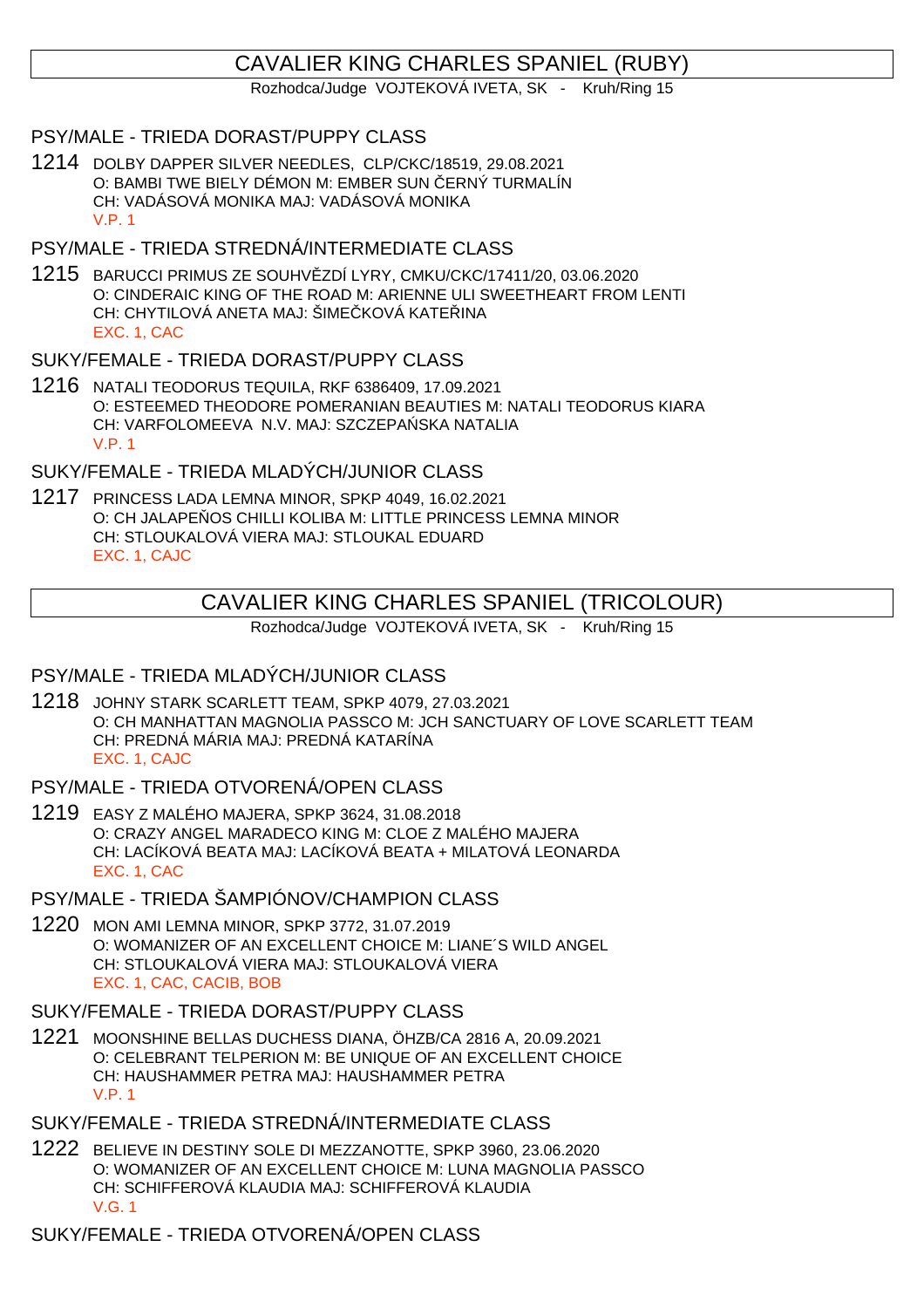# CAVALIER KING CHARLES SPANIEL (RUBY)

Rozhodca/Judge VOJTEKOVÁ IVETA, SK - Kruh/Ring 15

### PSY/MALE - TRIEDA DORAST/PUPPY CLASS

1214 DOLBY DAPPER SILVER NEEDLES, CLP/CKC/18519, 29.08.2021 O: BAMBI TWE BIELY DÉMON M: EMBER SUN ERNÝ TURMALÍN CH: VADÁSOVÁ MONIKA MAJ: VADÁSOVÁ MONIKA V.P. 1

### PSY/MALE - TRIEDA STREDNÁ/INTERMEDIATE CLASS

1215 BARUCCI PRIMUS ZE SOUHVĚZDÍ LYRY, CMKU/CKC/17411/20, 03.06.2020 O: CINDERAIC KING OF THE ROAD M: ARIENNE ULI SWEETHEART FROM LENTI CH: CHYTILOVÁ ANETA MAJ: ŠIME KOVÁ KATE INA EXC. 1, CAC

#### SUKY/FEMALE - TRIEDA DORAST/PUPPY CLASS

1216 NATALI TEODORUS TEQUILA, RKF 6386409, 17.09.2021 O: ESTEEMED THEODORE POMERANIAN BEAUTIES M: NATALI TEODORUS KIARA CH: VARFOLOMEEVA N.V. MAJ: SZCZEPA SKA NATALIA V.P. 1

# SUKY/FEMALE - TRIEDA MLADÝCH/JUNIOR CLASS

1217 PRINCESS LADA LEMNA MINOR, SPKP 4049, 16.02.2021 O: CH JALAPE OS CHILLI KOLIBA M: LITTLE PRINCESS LEMNA MINOR CH: STLOUKALOVÁ VIERA MAJ: STLOUKAL EDUARD EXC. 1, CAJC

# CAVALIER KING CHARLES SPANIEL (TRICOLOUR)

Rozhodca/Judge VOJTEKOVÁ IVETA, SK - Kruh/Ring 15

### PSY/MALE - TRIEDA MLADÝCH/JUNIOR CLASS

- 1218 JOHNY STARK SCARLETT TEAM, SPKP 4079, 27.03.2021 O: CH MANHATTAN MAGNOLIA PASSCO M: JCH SANCTUARY OF LOVE SCARLETT TEAM CH: PREDNÁ MÁRIA MAJ: PREDNÁ KATARÍNA EXC. 1, CAJC
- PSY/MALE TRIEDA OTVORENÁ/OPEN CLASS
- 1219 EASY Z MALÉHO MAJERA, SPKP 3624, 31.08.2018 O: CRAZY ANGEL MARADECO KING M: CLOE Z MALÉHO MAJERA CH: LACÍKOVÁ BEATA MAJ: LACÍKOVÁ BEATA + MILATOVÁ LEONARDA EXC. 1, CAC

# PSY/MALE - TRIEDA ŠAMPIÓNOV/CHAMPION CLASS

1220 MON AMI LEMNA MINOR, SPKP 3772, 31.07.2019 O: WOMANIZER OF AN EXCELLENT CHOICE M: LIANE´S WILD ANGEL CH: STLOUKALOVÁ VIERA MAJ: STLOUKALOVÁ VIERA EXC. 1, CAC, CACIB, BOB

#### SUKY/FEMALE - TRIEDA DORAST/PUPPY CLASS

1221 MOONSHINE BELLAS DUCHESS DIANA, ÖHZB/CA 2816 A, 20.09.2021 O: CELEBRANT TELPERION M: BE UNIQUE OF AN EXCELLENT CHOICE CH: HAUSHAMMER PETRA MAJ: HAUSHAMMER PETRA V.P. 1

#### SUKY/FEMALE - TRIEDA STREDNÁ/INTERMEDIATE CLASS

1222 BELIEVE IN DESTINY SOLE DI MEZZANOTTE, SPKP 3960, 23.06.2020 O: WOMANIZER OF AN EXCELLENT CHOICE M: LUNA MAGNOLIA PASSCO CH: SCHIFFEROVÁ KLAUDIA MAJ: SCHIFFEROVÁ KLAUDIA V.G. 1

SUKY/FEMALE - TRIEDA OTVORENÁ/OPEN CLASS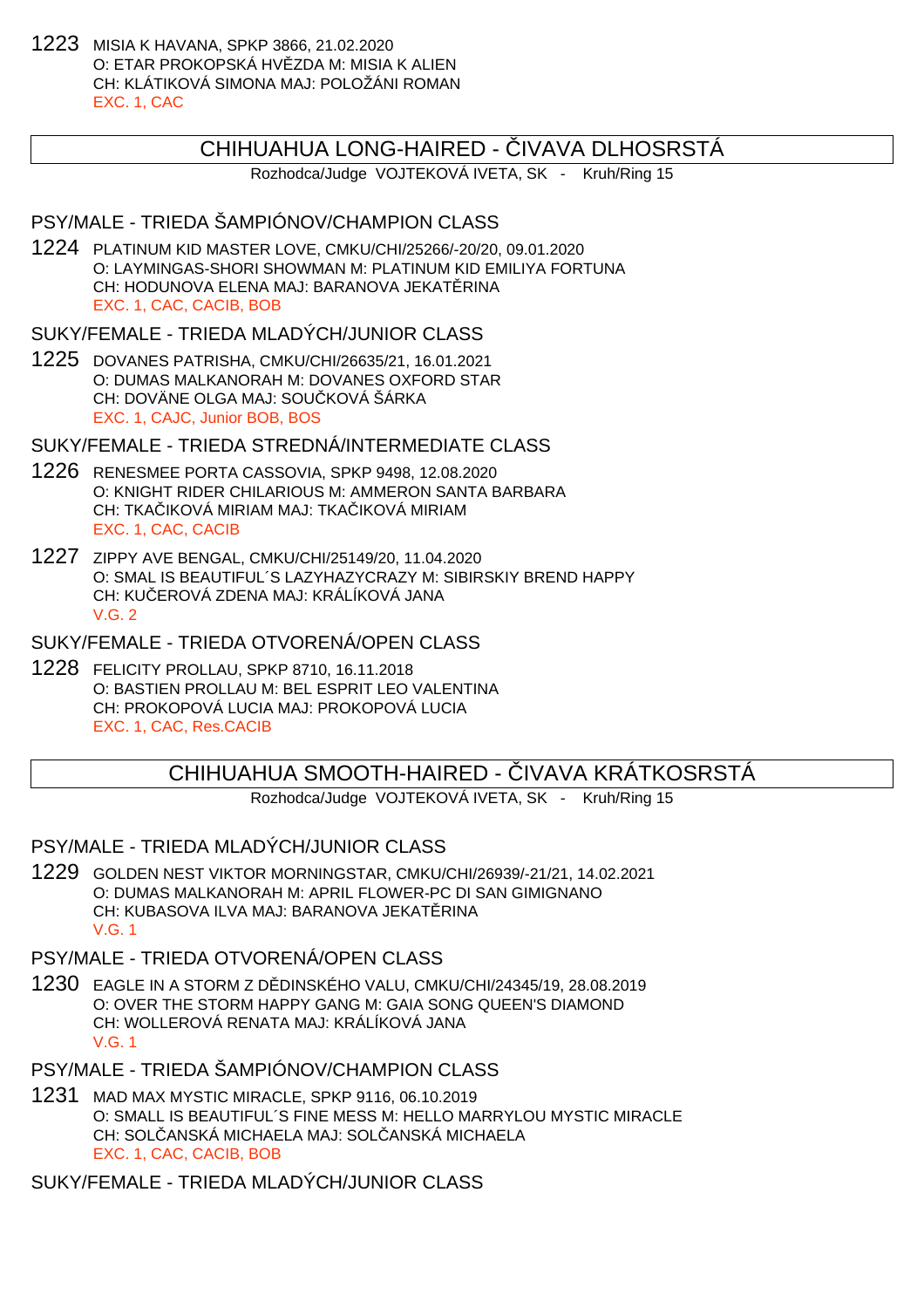1223 MISIA K HAVANA, SPKP 3866, 21.02.2020 O: ETAR PROKOPSKÁ HVIZDA M: MISIA K ALIEN CH: KLÁTIKOVÁ SIMONA MAJ: POLOŽÁNI ROMAN EXC. 1, CAC

### CHIHUAHUA LONG-HAIRED - VAVA DLHOSRSTÁ

Rozhodca/Judge VOJTEKOVÁ IVETA, SK - Kruh/Ring 15

## PSY/MALE - TRIEDA ŠAMPIÓNOV/CHAMPION CLASS

1224 PLATINUM KID MASTER LOVE, CMKU/CHI/25266/-20/20, 09.01.2020 O: LAYMINGAS-SHORI SHOWMAN M: PLATINUM KID EMILIYA FORTUNA CH: HODUNOVA ELENA MAJ: BARANOVA JEKATERINA EXC. 1, CAC, CACIB, BOB

SUKY/FEMALE - TRIEDA MLADÝCH/JUNIOR CLASS

1225 DOVANES PATRISHA, CMKU/CHI/26635/21, 16.01.2021 O: DUMAS MALKANORAH M: DOVANES OXFORD STAR CH: DOVÄNE OLGA MAJ: SOU KOVÁ ŠÁRKA EXC. 1, CAJC, Junior BOB, BOS

SUKY/FEMALE - TRIEDA STREDNÁ/INTERMEDIATE CLASS

- 1226 RENESMEE PORTA CASSOVIA, SPKP 9498, 12.08.2020 O: KNIGHT RIDER CHILARIOUS M: AMMERON SANTA BARBARA CH: TKA IKOVÁ MIRIAM MAJ: TKA IKOVÁ MIRIAM EXC. 1, CAC, CACIB
- 1227 ZIPPY AVE BENGAL, CMKU/CHI/25149/20, 11.04.2020 O: SMAL IS BEAUTIFUL´S LAZYHAZYCRAZY M: SIBIRSKIY BREND HAPPY CH: KU EROVÁ ZDENA MAJ: KRÁLÍKOVÁ JANA V.G. 2

SUKY/FEMALE - TRIEDA OTVORENÁ/OPEN CLASS

1228 FELICITY PROLLAU, SPKP 8710, 16.11.2018 O: BASTIEN PROLLAU M: BEL ESPRIT LEO VALENTINA CH: PROKOPOVÁ LUCIA MAJ: PROKOPOVÁ LUCIA EXC. 1, CAC, Res.CACIB

# CHIHUAHUA SMOOTH-HAIRED - VAAVA KRÁTKOSRSTÁ

Rozhodca/Judge VOJTEKOVÁ IVETA, SK - Kruh/Ring 15

PSY/MALE - TRIEDA MLADÝCH/JUNIOR CLASS

- 1229 GOLDEN NEST VIKTOR MORNINGSTAR, CMKU/CHI/26939/-21/21, 14.02.2021 O: DUMAS MALKANORAH M: APRIL FLOWER-PC DI SAN GIMIGNANO CH: KUBASOVA ILVA MAJ: BARANOVA JEKATERINA V.G. 1
- PSY/MALE TRIEDA OTVORENÁ/OPEN CLASS
- 1230 EAGLE IN A STORM Z D DINSKÉHO VALU, CMKU/CHI/24345/19, 28.08.2019 O: OVER THE STORM HAPPY GANG M: GAIA SONG QUEEN'S DIAMOND CH: WOLLEROVÁ RENATA MAJ: KRÁLÍKOVÁ JANA V.G. 1
- PSY/MALE TRIEDA ŠAMPIÓNOV/CHAMPION CLASS
- 1231 MAD MAX MYSTIC MIRACLE, SPKP 9116, 06.10.2019 O: SMALL IS BEAUTIFUL´S FINE MESS M: HELLO MARRYLOU MYSTIC MIRACLE CH: SOL ANSKÁ MICHAELA MAJ: SOL ANSKÁ MICHAELA EXC. 1, CAC, CACIB, BOB

SUKY/FEMALE - TRIEDA MLADÝCH/JUNIOR CLASS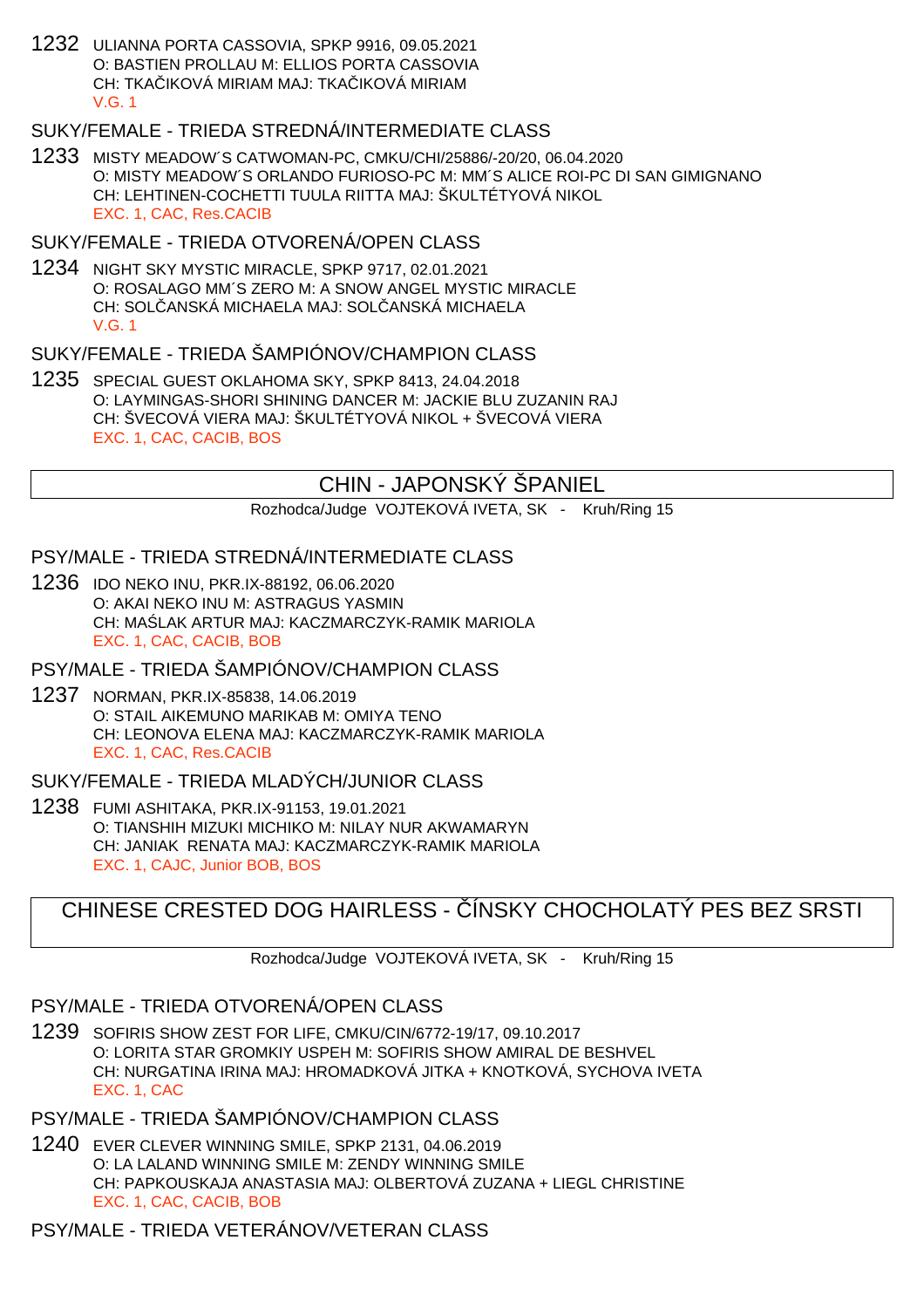1232 ULIANNA PORTA CASSOVIA, SPKP 9916, 09.05.2021 O: BASTIEN PROLLAU M: ELLIOS PORTA CASSOVIA CH: TKA IKOVÁ MIRIAM MAJ: TKA IKOVÁ MIRIAM V.G. 1

# SUKY/FEMALE - TRIEDA STREDNÁ/INTERMEDIATE CLASS

1233 MISTY MEADOW´S CATWOMAN-PC, CMKU/CHI/25886/-20/20, 06.04.2020 O: MISTY MEADOW´S ORLANDO FURIOSO-PC M: MM´S ALICE ROI-PC DI SAN GIMIGNANO CH: LEHTINEN-COCHETTI TUULA RIITTA MAJ: ŠKULTÉTYOVÁ NIKOL EXC. 1, CAC, Res.CACIB

# SUKY/FEMALE - TRIEDA OTVORENÁ/OPEN CLASS

1234 NIGHT SKY MYSTIC MIRACLE, SPKP 9717, 02.01.2021 O: ROSALAGO MM´S ZERO M: A SNOW ANGEL MYSTIC MIRACLE CH: SOL. ANSKÁ MICHAELA MAJ: SOL. ANSKÁ MICHAELA V.G. 1

# SUKY/FEMALE - TRIEDA ŠAMPIÓNOV/CHAMPION CLASS

1235 SPECIAL GUEST OKLAHOMA SKY, SPKP 8413, 24.04.2018 O: LAYMINGAS-SHORI SHINING DANCER M: JACKIE BLU ZUZANIN RAJ CH: ŠVECOVÁ VIERA MAJ: ŠKULTÉTYOVÁ NIKOL + ŠVECOVÁ VIERA EXC. 1, CAC, CACIB, BOS

# CHIN - JAPONSKÝ ŠPANIEL

Rozhodca/Judge VOJTEKOVÁ IVETA, SK - Kruh/Ring 15

# PSY/MALE - TRIEDA STREDNÁ/INTERMEDIATE CLASS

1236 IDO NEKO INU, PKR.IX-88192, 06.06.2020 O: AKAI NEKO INU M: ASTRAGUS YASMIN CH: MA LAK ARTUR MAJ: KACZMARCZYK-RAMIK MARIOLA EXC. 1, CAC, CACIB, BOB

PSY/MALE - TRIEDA ŠAMPIÓNOV/CHAMPION CLASS

1237 NORMAN, PKR.IX-85838, 14.06.2019 O: STAIL AIKEMUNO MARIKAB M: OMIYA TENO CH: LEONOVA ELENA MAJ: KACZMARCZYK-RAMIK MARIOLA EXC. 1, CAC, Res.CACIB

# SUKY/FEMALE - TRIEDA MLADÝCH/JUNIOR CLASS

1238 FUMI ASHITAKA, PKR.IX-91153, 19.01.2021 O: TIANSHIH MIZUKI MICHIKO M: NILAY NUR AKWAMARYN CH: JANIAK RENATA MAJ: KACZMARCZYK-RAMIK MARIOLA EXC. 1, CAJC, Junior BOB, BOS

# CHINESE CRESTED DOG HAIRLESS - ÍNSKY CHOCHOLATÝ PES BEZ SRSTI

Rozhodca/Judge VOJTEKOVÁ IVETA, SK - Kruh/Ring 15

# PSY/MALE - TRIEDA OTVORENÁ/OPEN CLASS

1239 SOFIRIS SHOW ZEST FOR LIFE, CMKU/CIN/6772-19/17, 09.10.2017 O: LORITA STAR GROMKIY USPEH M: SOFIRIS SHOW AMIRAL DE BESHVEL CH: NURGATINA IRINA MAJ: HROMADKOVÁ JITKA + KNOTKOVÁ, SYCHOVA IVETA EXC. 1, CAC

# PSY/MALE - TRIEDA ŠAMPIÓNOV/CHAMPION CLASS

1240 EVER CLEVER WINNING SMILE, SPKP 2131, 04.06.2019 O: LA LALAND WINNING SMILE M: ZENDY WINNING SMILE CH: PAPKOUSKAJA ANASTASIA MAJ: OLBERTOVÁ ZUZANA + LIEGL CHRISTINE EXC. 1, CAC, CACIB, BOB

# PSY/MALE - TRIEDA VETERÁNOV/VETERAN CLASS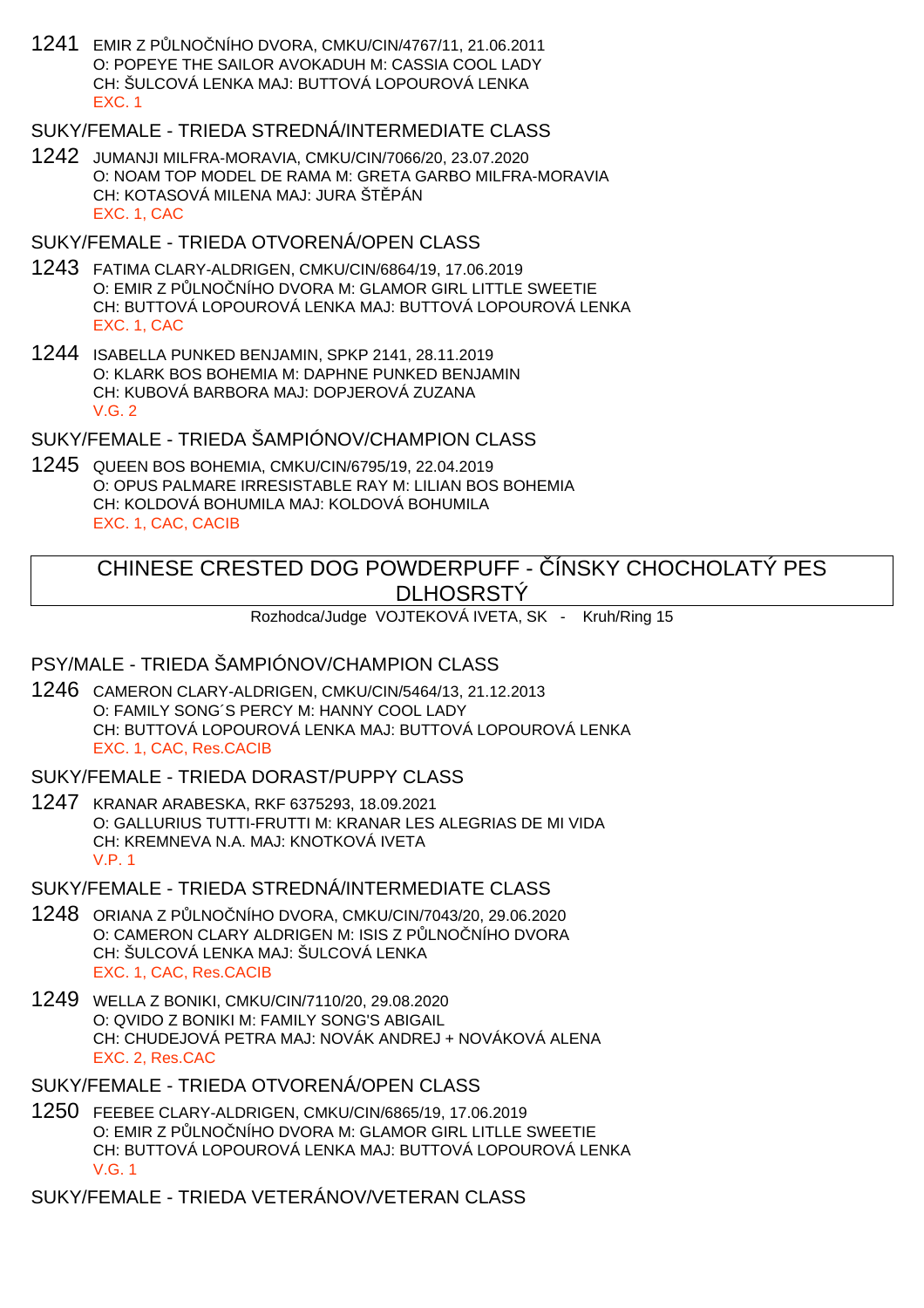1241 EMIR Z PŮLNOČNÍHO DVORA, CMKU/CIN/4767/11, 21.06.2011 O: POPEYE THE SAILOR AVOKADUH M: CASSIA COOL LADY CH: ŠULCOVÁ LENKA MAJ: BUTTOVÁ LOPOUROVÁ LENKA EXC. 1

# SUKY/FEMALE - TRIEDA STREDNÁ/INTERMEDIATE CLASS

1242 JUMANJI MILFRA-MORAVIA, CMKU/CIN/7066/20, 23.07.2020 O: NOAM TOP MODEL DE RAMA M: GRETA GARBO MILFRA-MORAVIA CH: KOTASOVÁ MILENA MAJ: JURA ŠT PÁN EXC. 1, CAC

# SUKY/FEMALE - TRIEDA OTVORENÁ/OPEN CLASS

- 1243 FATIMA CLARY-ALDRIGEN, CMKU/CIN/6864/19, 17.06.2019 O: EMIR Z PULNO NÍHO DVORA M: GLAMOR GIRL LITTLE SWEETIE CH: BUTTOVÁ LOPOUROVÁ LENKA MAJ: BUTTOVÁ LOPOUROVÁ LENKA EXC. 1, CAC
- 1244 ISABELLA PUNKED BENJAMIN, SPKP 2141, 28.11.2019 O: KLARK BOS BOHEMIA M: DAPHNE PUNKED BENJAMIN CH: KUBOVÁ BARBORA MAJ: DOPJEROVÁ ZUZANA  $V$  G  $2$

SUKY/FEMALE - TRIEDA ŠAMPIÓNOV/CHAMPION CLASS

1245 QUEEN BOS BOHEMIA, CMKU/CIN/6795/19, 22.04.2019 O: OPUS PALMARE IRRESISTABLE RAY M: LILIAN BOS BOHEMIA CH: KOLDOVÁ BOHUMILA MAJ: KOLDOVÁ BOHUMILA EXC. 1, CAC, CACIB

# CHINESE CRESTED DOG POWDERPUFF - ČÍNSKY CHOCHOLATÝ PES **DLHOSRSTÝ**

Rozhodca/Judge VOJTEKOVÁ IVETA, SK - Kruh/Ring 15

# PSY/MALE - TRIEDA ŠAMPIÓNOV/CHAMPION CLASS

1246 CAMERON CLARY-ALDRIGEN, CMKU/CIN/5464/13, 21.12.2013 O: FAMILY SONG´S PERCY M: HANNY COOL LADY CH: BUTTOVÁ LOPOUROVÁ LENKA MAJ: BUTTOVÁ LOPOUROVÁ LENKA EXC. 1, CAC, Res.CACIB

SUKY/FEMALE - TRIEDA DORAST/PUPPY CLASS

1247 KRANAR ARABESKA, RKF 6375293, 18.09.2021 O: GALLURIUS TUTTI-FRUTTI M: KRANAR LES ALEGRIAS DE MI VIDA CH: KREMNEVA N.A. MAJ: KNOTKOVÁ IVETA V.P. 1

SUKY/FEMALE - TRIEDA STREDNÁ/INTERMEDIATE CLASS

- 1248 ORIANA Z PŮLNOČNÍHO DVORA, CMKU/CIN/7043/20, 29.06.2020 O: CAMERON CLARY ALDRIGEN M: ISIS Z PLNO NÍHO DVORA CH: ŠULCOVÁ LENKA MAJ: ŠULCOVÁ LENKA EXC. 1, CAC, Res.CACIB
- 1249 WELLA Z BONIKI, CMKU/CIN/7110/20, 29.08.2020 O: QVIDO Z BONIKI M: FAMILY SONG'S ABIGAIL CH: CHUDEJOVÁ PETRA MAJ: NOVÁK ANDREJ + NOVÁKOVÁ ALENA EXC. 2, Res.CAC
- SUKY/FEMALE TRIEDA OTVORENÁ/OPEN CLASS
- 1250 FEEBEE CLARY-ALDRIGEN, CMKU/CIN/6865/19, 17.06.2019 O: EMIR Z P LNO NÍHO DVORA M: GLAMOR GIRL LITLLE SWEETIE CH: BUTTOVÁ LOPOUROVÁ LENKA MAJ: BUTTOVÁ LOPOUROVÁ LENKA V.G. 1

SUKY/FEMALE - TRIEDA VETERÁNOV/VETERAN CLASS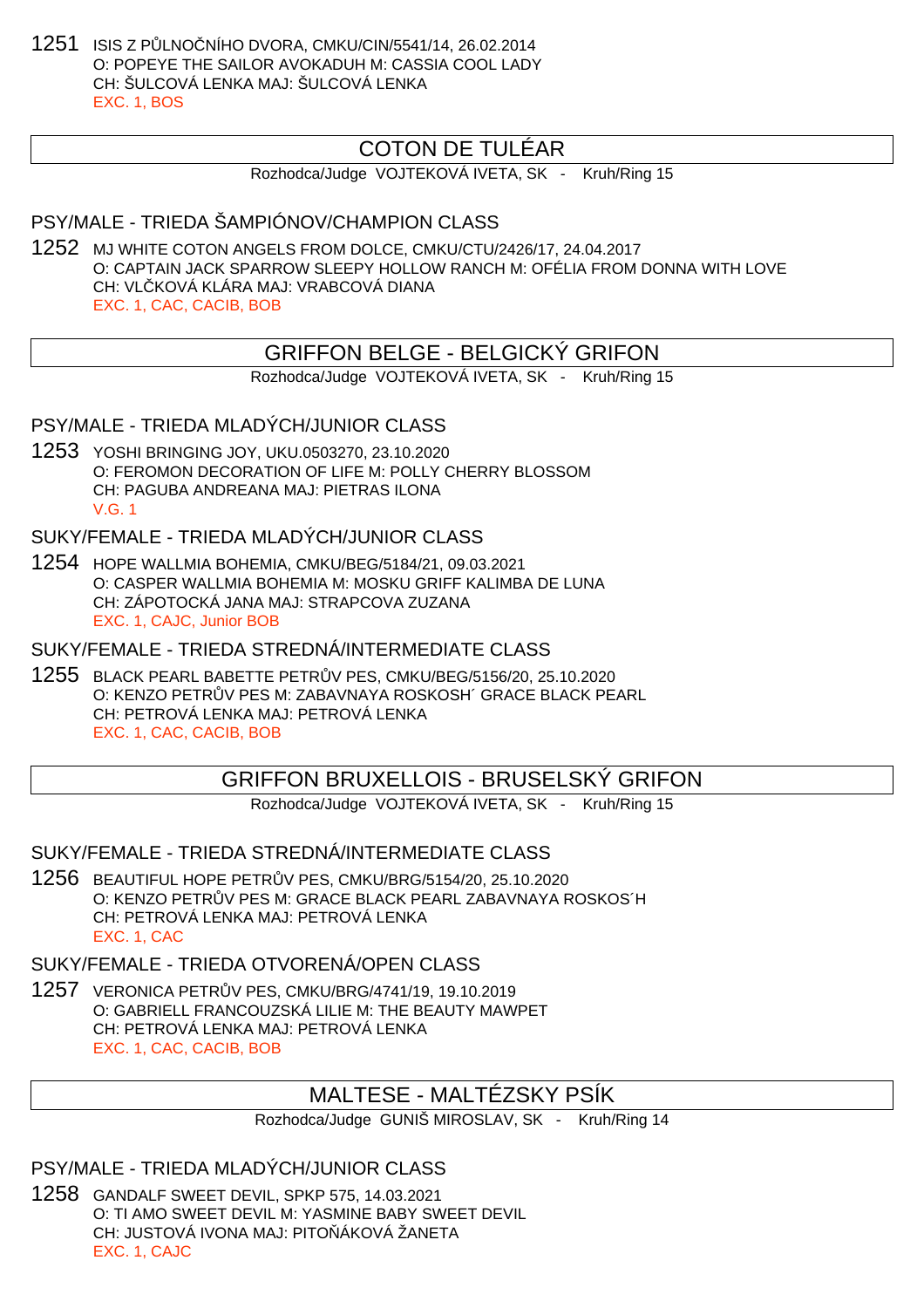1251 ISIS Z PŮLNOČNÍHO DVORA, CMKU/CIN/5541/14, 26.02.2014 O: POPEYE THE SAILOR AVOKADUH M: CASSIA COOL LADY CH: ŠULCOVÁ LENKA MAJ: ŠULCOVÁ LENKA EXC. 1, BOS

# COTON DE TULÉAR

Rozhodca/Judge VOJTEKOVÁ IVETA, SK - Kruh/Ring 15

# PSY/MALE - TRIEDA ŠAMPIÓNOV/CHAMPION CLASS

1252 MJ WHITE COTON ANGELS FROM DOLCE, CMKU/CTU/2426/17, 24.04.2017 O: CAPTAIN JACK SPARROW SLEEPY HOLLOW RANCH M: OFÉLIA FROM DONNA WITH LOVE CH: VLČKOVÁ KLÁRA MAJ: VRABCOVÁ DIANA EXC. 1, CAC, CACIB, BOB

### GRIFFON BELGE - BELGICKÝ GRIFON

Rozhodca/Judge VOJTEKOVÁ IVETA, SK - Kruh/Ring 15

#### PSY/MALE - TRIEDA MLADÝCH/JUNIOR CLASS

1253 YOSHI BRINGING JOY, UKU.0503270, 23.10.2020 O: FEROMON DECORATION OF LIFE M: POLLY CHERRY BLOSSOM CH: PAGUBA ANDREANA MAJ: PIETRAS ILONA V.G. 1

#### SUKY/FEMALE - TRIEDA MLADÝCH/JUNIOR CLASS

1254 HOPE WALLMIA BOHEMIA, CMKU/BEG/5184/21, 09.03.2021 O: CASPER WALLMIA BOHEMIA M: MOSKU GRIFF KALIMBA DE LUNA CH: ZÁPOTOCKÁ JANA MAJ: STRAPCOVA ZUZANA EXC. 1, CAJC, Junior BOB

SUKY/FEMALE - TRIEDA STREDNÁ/INTERMEDIATE CLASS

1255 BLACK PEARL BABETTE PETRŮV PES, CMKU/BEG/5156/20, 25.10.2020 O: KENZO PETR V PES M: ZABAVNAYA ROSKOSH´ GRACE BLACK PEARL CH: PETROVÁ LENKA MAJ: PETROVÁ LENKA EXC. 1, CAC, CACIB, BOB

# GRIFFON BRUXELLOIS - BRUSELSKÝ GRIFON

Rozhodca/Judge VOJTEKOVÁ IVETA, SK - Kruh/Ring 15

#### SUKY/FEMALE - TRIEDA STREDNÁ/INTERMEDIATE CLASS

1256 BEAUTIFUL HOPE PETRŮV PES, CMKU/BRG/5154/20, 25.10.2020 O: KENZO PETR V PES M: GRACE BLACK PEARL ZABAVNAYA ROSKOS´H CH: PETROVÁ LENKA MAJ: PETROVÁ LENKA EXC. 1, CAC

#### SUKY/FEMALE - TRIEDA OTVORENÁ/OPEN CLASS

1257 VERONICA PETRŮV PES, CMKU/BRG/4741/19, 19.10.2019 O: GABRIELL FRANCOUZSKÁ LILIE M: THE BEAUTY MAWPET CH: PETROVÁ LENKA MAJ: PETROVÁ LENKA EXC. 1, CAC, CACIB, BOB

# MALTESE - MALTÉZSKY PSÍK

Rozhodca/Judge GUNIŠ MIROSLAV, SK - Kruh/Ring 14

### PSY/MALE - TRIEDA MLADÝCH/JUNIOR CLASS

1258 GANDALF SWEET DEVIL, SPKP 575, 14.03.2021 O: TI AMO SWEET DEVIL M: YASMINE BABY SWEET DEVIL CH: JUSTOVÁ IVONA MAJ: PITO ÁKOVÁ ŽANETA EXC. 1, CAJC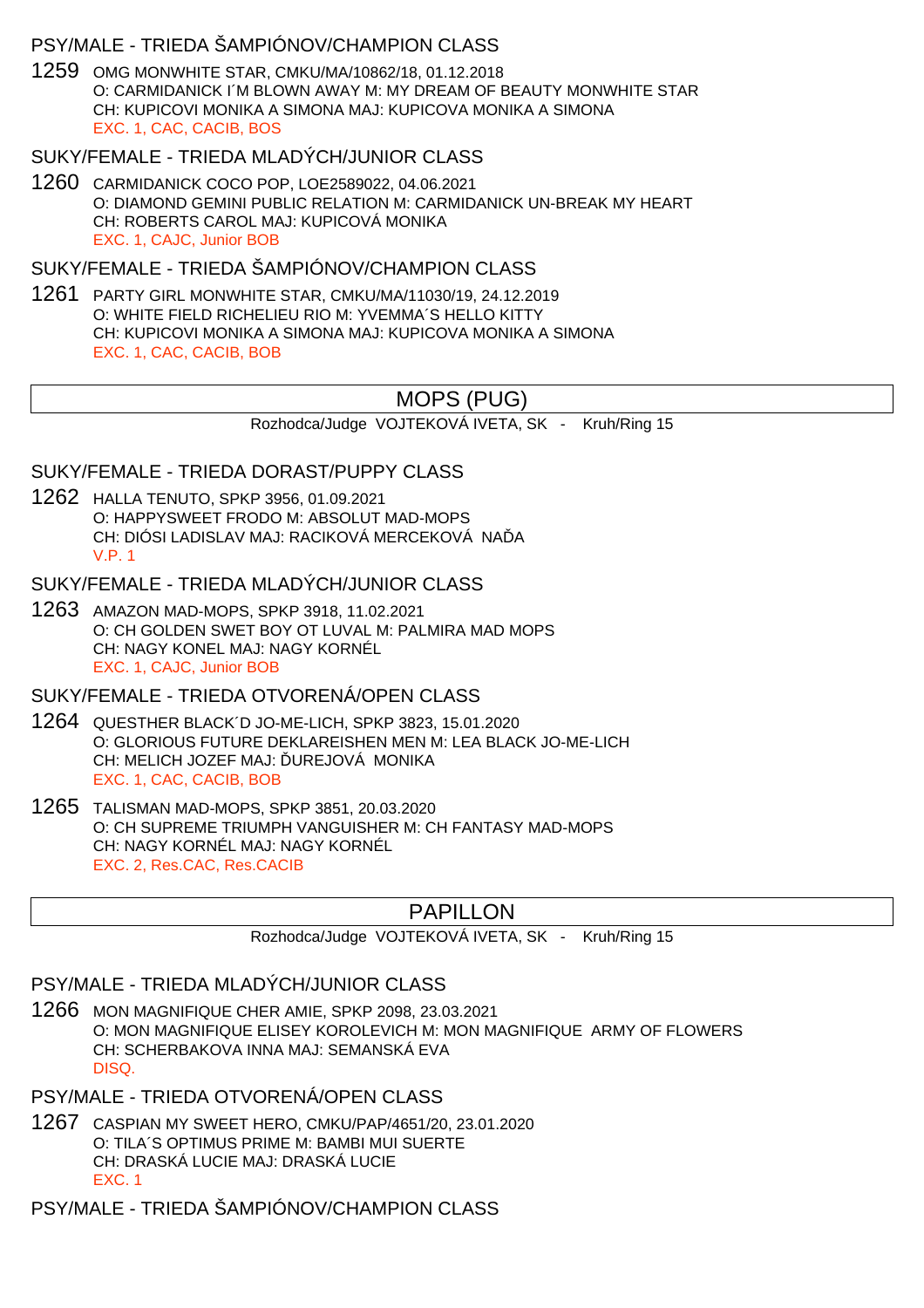### PSY/MALE - TRIEDA ŠAMPIÓNOV/CHAMPION CLASS

1259 OMG MONWHITE STAR, CMKU/MA/10862/18, 01.12.2018 O: CARMIDANICK I´M BLOWN AWAY M: MY DREAM OF BEAUTY MONWHITE STAR CH: KUPICOVI MONIKA A SIMONA MAJ: KUPICOVA MONIKA A SIMONA EXC. 1, CAC, CACIB, BOS

#### SUKY/FEMALE - TRIEDA MLADÝCH/JUNIOR CLASS

1260 CARMIDANICK COCO POP, LOE2589022, 04.06.2021 O: DIAMOND GEMINI PUBLIC RELATION M: CARMIDANICK UN-BREAK MY HEART CH: ROBERTS CAROL MAJ: KUPICOVÁ MONIKA EXC. 1, CAJC, Junior BOB

### SUKY/FEMALE - TRIEDA ŠAMPIÓNOV/CHAMPION CLASS

1261 PARTY GIRL MONWHITE STAR, CMKU/MA/11030/19, 24.12.2019 O: WHITE FIELD RICHELIEU RIO M: YVEMMA´S HELLO KITTY CH: KUPICOVI MONIKA A SIMONA MAJ: KUPICOVA MONIKA A SIMONA EXC. 1, CAC, CACIB, BOB

# MOPS (PUG)

Rozhodca/Judge VOJTEKOVÁ IVETA, SK - Kruh/Ring 15

SUKY/FEMALE - TRIEDA DORAST/PUPPY CLASS

1262 HALLA TENUTO, SPKP 3956, 01.09.2021 O: HAPPYSWEET FRODO M: ABSOLUT MAD-MOPS CH: DIÓSI LADISLAV MAJ: RACIKOVÁ MERCEKOVÁ NA A V.P. 1

#### SUKY/FEMALE - TRIEDA MLADÝCH/JUNIOR CLASS

1263 AMAZON MAD-MOPS, SPKP 3918, 11.02.2021 O: CH GOLDEN SWET BOY OT LUVAL M: PALMIRA MAD MOPS CH: NAGY KONEL MAJ: NAGY KORNÉL EXC. 1, CAJC, Junior BOB

# SUKY/FEMALE - TRIEDA OTVORENÁ/OPEN CLASS

- 1264 QUESTHER BLACK´D JO-ME-LICH, SPKP 3823, 15.01.2020 O: GLORIOUS FUTURE DEKLAREISHEN MEN M: LEA BLACK JO-ME-LICH CH: MELICH JOZEF MAJ: UREJOVÁ MONIKA EXC. 1, CAC, CACIB, BOB
- 1265 TALISMAN MAD-MOPS, SPKP 3851, 20.03.2020 O: CH SUPREME TRIUMPH VANGUISHER M: CH FANTASY MAD-MOPS CH: NAGY KORNÉL MAJ: NAGY KORNÉL EXC. 2, Res.CAC, Res.CACIB

# PAPILLON

Rozhodca/Judge VOJTEKOVÁ IVETA, SK - Kruh/Ring 15

# PSY/MALE - TRIEDA MLADÝCH/JUNIOR CLASS

1266 MON MAGNIFIQUE CHER AMIE, SPKP 2098, 23.03.2021 O: MON MAGNIFIQUE ELISEY KOROLEVICH M: MON MAGNIFIQUE ARMY OF FLOWERS CH: SCHERBAKOVA INNA MAJ: SEMANSKÁ EVA DISQ.

# PSY/MALE - TRIEDA OTVORENÁ/OPEN CLASS

1267 CASPIAN MY SWEET HERO, CMKU/PAP/4651/20, 23.01.2020 O: TILA´S OPTIMUS PRIME M: BAMBI MUI SUERTE CH: DRASKÁ LUCIE MAJ: DRASKÁ LUCIE EXC. 1

PSY/MALE - TRIEDA ŠAMPIÓNOV/CHAMPION CLASS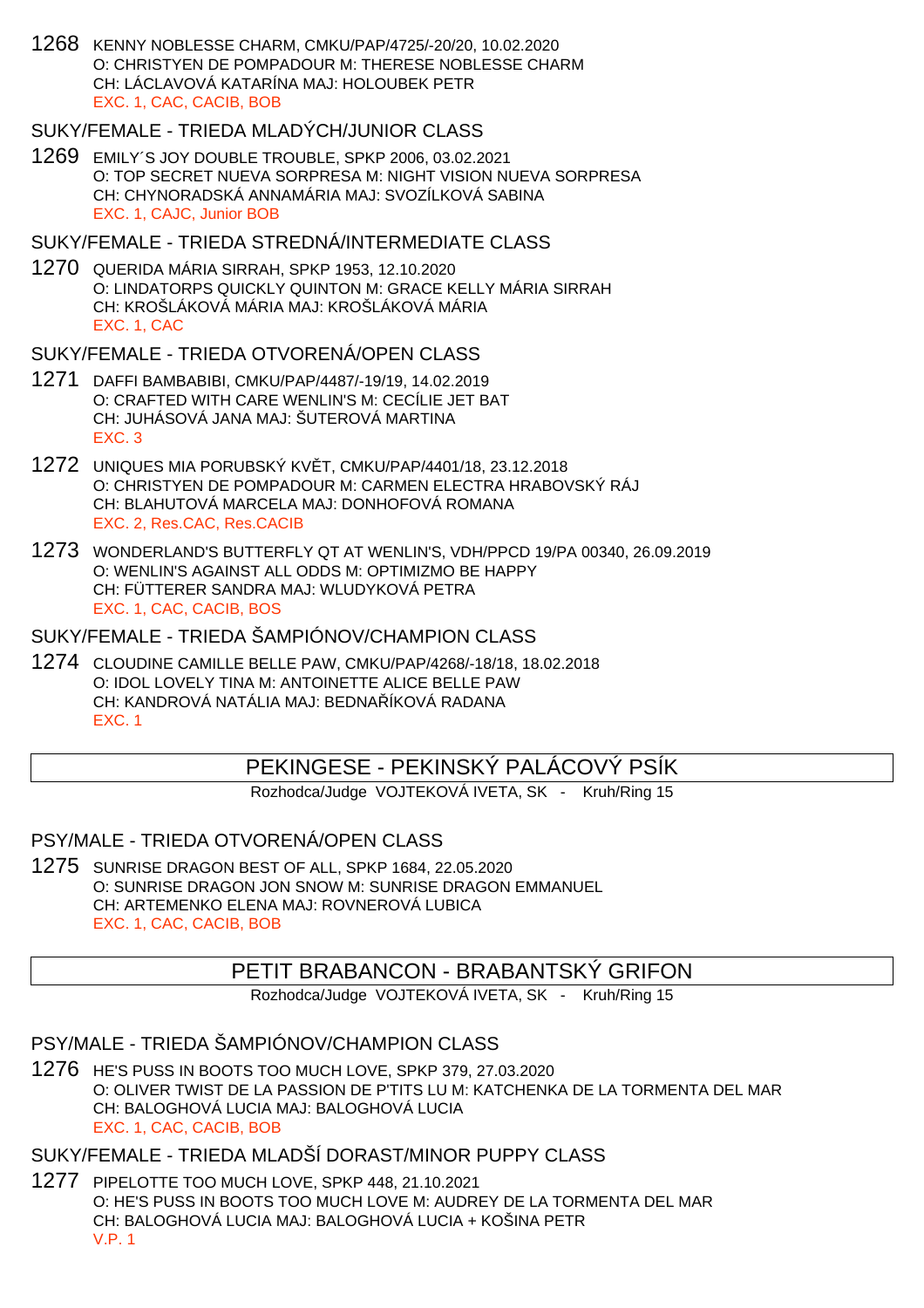1268 KENNY NOBLESSE CHARM, CMKU/PAP/4725/-20/20, 10.02.2020 O: CHRISTYEN DE POMPADOUR M: THERESE NOBLESSE CHARM CH: LÁCLAVOVÁ KATARÍNA MAJ: HOLOUBEK PETR EXC. 1, CAC, CACIB, BOB

#### SUKY/FEMALE - TRIEDA MLADÝCH/JUNIOR CLASS

1269 EMILY´S JOY DOUBLE TROUBLE, SPKP 2006, 03.02.2021 O: TOP SECRET NUEVA SORPRESA M: NIGHT VISION NUEVA SORPRESA CH: CHYNORADSKÁ ANNAMÁRIA MAJ: SVOZÍLKOVÁ SABINA EXC. 1, CAJC, Junior BOB

#### SUKY/FEMALE - TRIEDA STREDNÁ/INTERMEDIATE CLASS

1270 QUERIDA MÁRIA SIRRAH, SPKP 1953, 12.10.2020 O: LINDATORPS QUICKLY QUINTON M: GRACE KELLY MÁRIA SIRRAH CH: KROŠLÁKOVÁ MÁRIA MAJ: KROŠLÁKOVÁ MÁRIA EXC. 1, CAC

#### SUKY/FEMALE - TRIEDA OTVORENÁ/OPEN CLASS

- 1271 DAFFI BAMBABIBI, CMKU/PAP/4487/-19/19, 14.02.2019 O: CRAFTED WITH CARE WENLIN'S M: CECÍLIE JET BAT CH: JUHÁSOVÁ JANA MAJ: ŠUTEROVÁ MARTINA EXC. 3
- 1272 UNIQUES MIA PORUBSKÝ KVĚT, CMKU/PAP/4401/18, 23.12.2018 O: CHRISTYEN DE POMPADOUR M: CARMEN ELECTRA HRABOVSKÝ RÁJ CH: BLAHUTOVÁ MARCELA MAJ: DONHOFOVÁ ROMANA EXC. 2, Res.CAC, Res.CACIB
- 1273 WONDERLAND'S BUTTERFLY QT AT WENLIN'S, VDH/PPCD 19/PA 00340, 26.09.2019 O: WENLIN'S AGAINST ALL ODDS M: OPTIMIZMO BE HAPPY CH: FÜTTERER SANDRA MAJ: WLUDYKOVÁ PETRA EXC. 1, CAC, CACIB, BOS

#### SUKY/FEMALE - TRIEDA ŠAMPIÓNOV/CHAMPION CLASS

1274 CLOUDINE CAMILLE BELLE PAW, CMKU/PAP/4268/-18/18, 18.02.2018 O: IDOL LOVELY TINA M: ANTOINETTE ALICE BELLE PAW CH: KANDROVÁ NATÁLIA MAJ: BEDNA ÍKOVÁ RADANA EXC. 1

# PEKINGESE - PEKINSKÝ PALÁCOVÝ PSÍK

Rozhodca/Judge VOJTEKOVÁ IVETA, SK - Kruh/Ring 15

#### PSY/MALE - TRIEDA OTVORENÁ/OPEN CLASS

1275 SUNRISE DRAGON BEST OF ALL, SPKP 1684, 22.05.2020 O: SUNRISE DRAGON JON SNOW M: SUNRISE DRAGON EMMANUEL CH: ARTEMENKO ELENA MAJ: ROVNEROVÁ LUBICA EXC. 1, CAC, CACIB, BOB

# PETIT BRABANCON - BRABANTSKY GRIFON

Rozhodca/Judge VOJTEKOVÁ IVETA, SK - Kruh/Ring 15

#### PSY/MALE - TRIEDA ŠAMPIÓNOV/CHAMPION CLASS

1276 HE'S PUSS IN BOOTS TOO MUCH LOVE, SPKP 379, 27.03.2020 O: OLIVER TWIST DE LA PASSION DE P'TITS LU M: KATCHENKA DE LA TORMENTA DEL MAR CH: BALOGHOVÁ LUCIA MAJ: BALOGHOVÁ LUCIA EXC. 1, CAC, CACIB, BOB

### SUKY/FEMALE - TRIEDA MLADŠÍ DORAST/MINOR PUPPY CLASS

1277 PIPELOTTE TOO MUCH LOVE, SPKP 448, 21.10.2021 O: HE'S PUSS IN BOOTS TOO MUCH LOVE M: AUDREY DE LA TORMENTA DEL MAR CH: BALOGHOVÁ LUCIA MAJ: BALOGHOVÁ LUCIA + KOŠINA PETR V.P. 1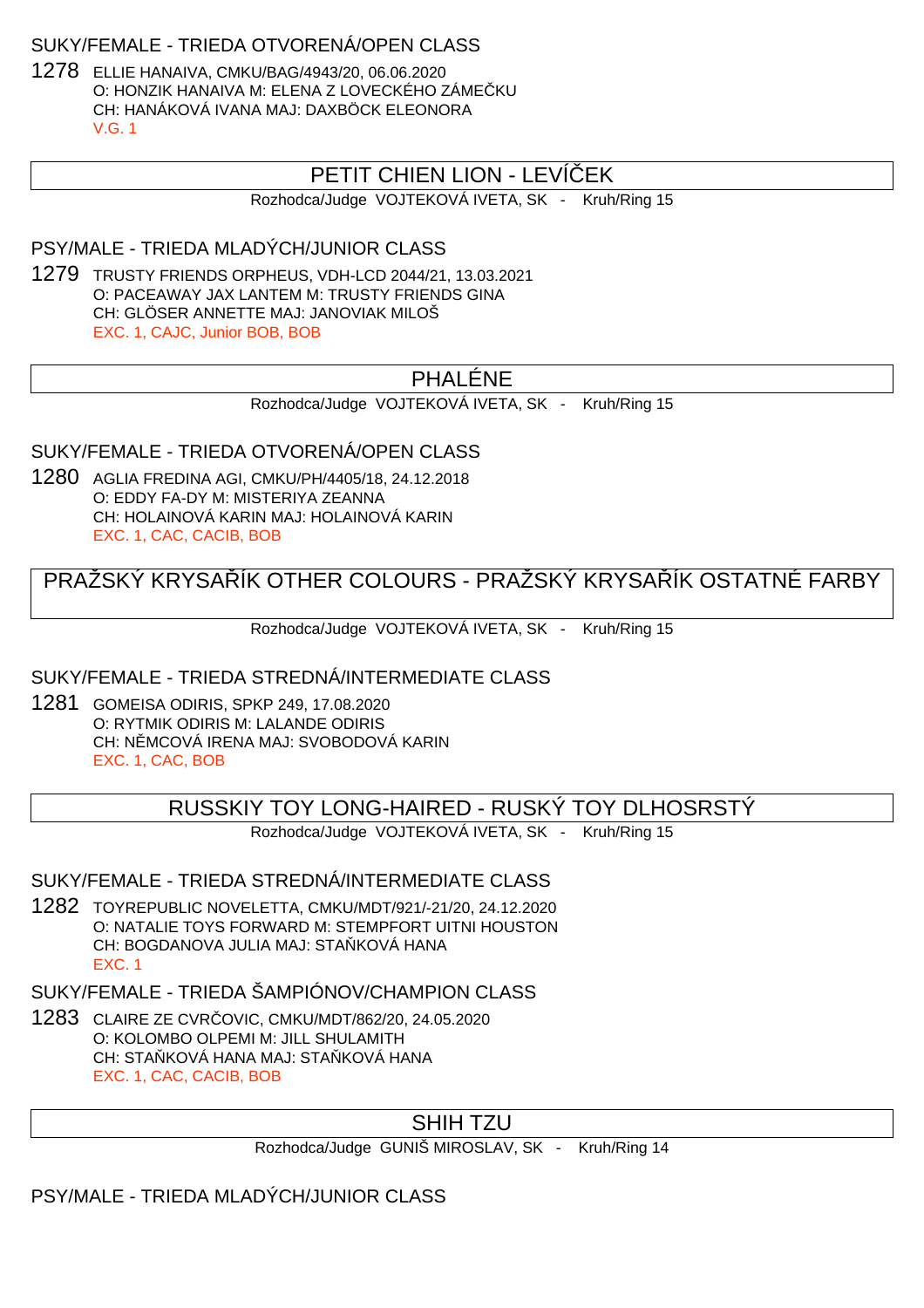### SUKY/FEMALE - TRIEDA OTVORENÁ/OPEN CLASS

1278 ELLIE HANAIVA, CMKU/BAG/4943/20, 06.06.2020 O: HONZIK HANAIVA M: ELENA Z LOVECKÉHO ZÁME KU CH: HANÁKOVÁ IVANA MAJ: DAXBÖCK ELEONORA V.G. 1

# PETIT CHIEN LION - LEVÍ EK

Rozhodca/Judge VOJTEKOVÁ IVETA, SK - Kruh/Ring 15

### PSY/MALE - TRIEDA MLADÝCH/JUNIOR CLASS

1279 TRUSTY FRIENDS ORPHEUS, VDH-LCD 2044/21, 13.03.2021 O: PACEAWAY JAX LANTEM M: TRUSTY FRIENDS GINA CH: GLÖSER ANNETTE MAJ: JANOVIAK MILOŠ EXC. 1, CAJC, Junior BOB, BOB

# PHALÉNE

Rozhodca/Judge VOJTEKOVÁ IVETA, SK - Kruh/Ring 15

# SUKY/FEMALE - TRIEDA OTVORENÁ/OPEN CLASS

1280 AGLIA FREDINA AGI, CMKU/PH/4405/18, 24.12.2018 O: EDDY FA-DY M: MISTERIYA ZEANNA CH: HOLAINOVÁ KARIN MAJ: HOLAINOVÁ KARIN EXC. 1, CAC, CACIB, BOB

# PRAŽSKÝ KRYSA, ÍK OTHER COLOURS - PRAŽSKÝ KRYSA, ÍK OSTATNÉ FARBY

Rozhodca/Judge VOJTEKOVÁ IVETA, SK - Kruh/Ring 15

# SUKY/FEMALE - TRIEDA STREDNÁ/INTERMEDIATE CLASS

1281 GOMEISA ODIRIS, SPKP 249, 17.08.2020 O: RYTMIK ODIRIS M: LALANDE ODIRIS CH: N. MCOVÁ IRENA MAJ: SVOBODOVÁ KARIN EXC. 1, CAC, BOB

RUSSKIY TOY LONG-HAIRED - RUSKÝ TOY DLHOSRSTÝ

Rozhodca/Judge VOJTEKOVÁ IVETA, SK - Kruh/Ring 15

#### SUKY/FEMALE - TRIEDA STREDNÁ/INTERMEDIATE CLASS

1282 TOYREPUBLIC NOVELETTA, CMKU/MDT/921/-21/20, 24.12.2020 O: NATALIE TOYS FORWARD M: STEMPFORT UITNI HOUSTON CH: BOGDANOVA JULIA MAJ: STA KOVÁ HANA EXC. 1

SUKY/FEMALE - TRIEDA ŠAMPIÓNOV/CHAMPION CLASS

1283 CLAIRE ZE CVRČOVIC, CMKU/MDT/862/20, 24.05.2020 O: KOLOMBO OLPEMI M: JILL SHULAMITH CH: STA KOVÁ HANA MAJ: STA KOVÁ HANA EXC. 1, CAC, CACIB, BOB

# SHIH TZU

Rozhodca/Judge GUNIŠ MIROSLAV, SK - Kruh/Ring 14

PSY/MALE - TRIEDA MLADÝCH/JUNIOR CLASS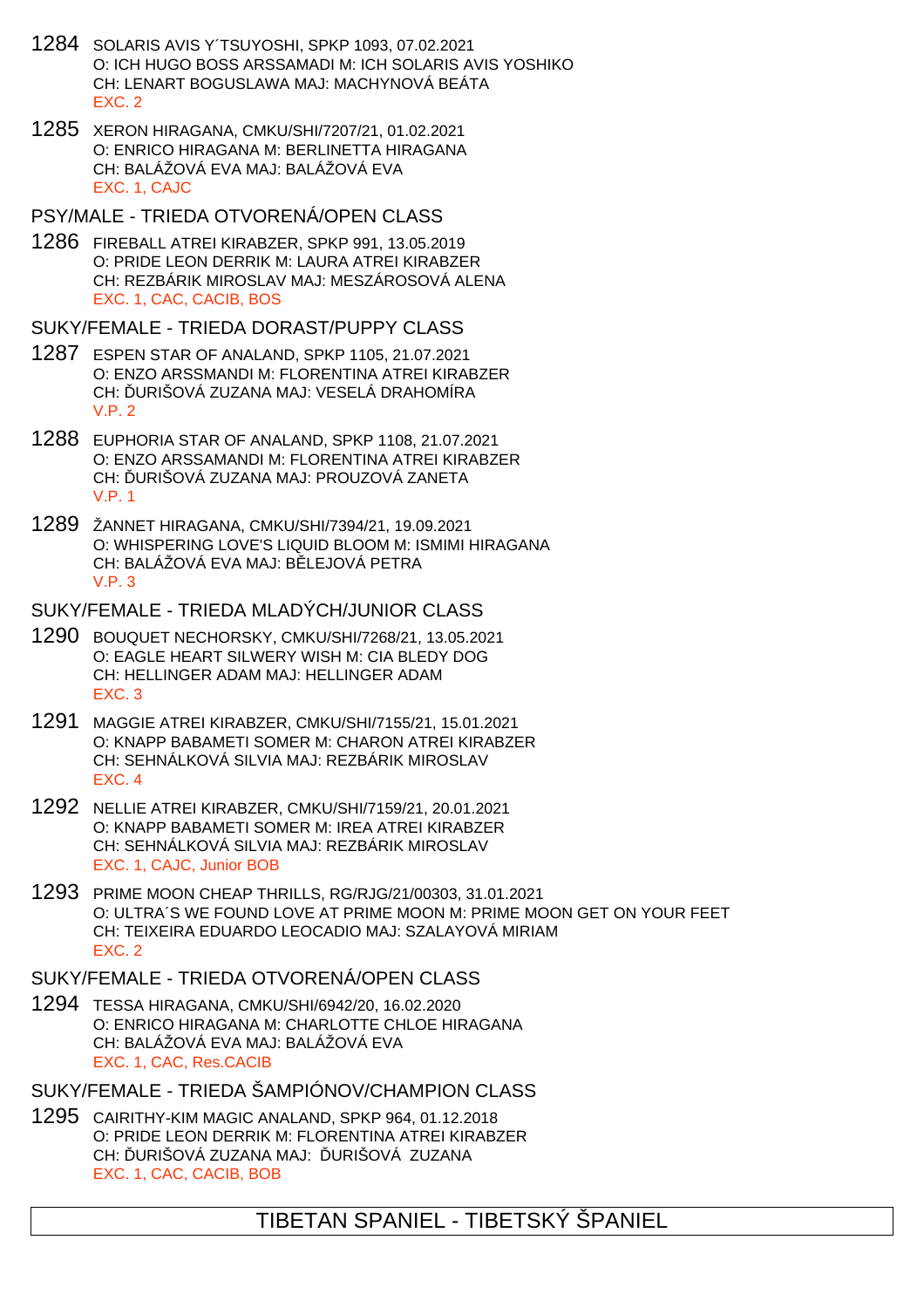- 1284 SOLARIS AVIS Y´TSUYOSHI, SPKP 1093, 07.02.2021 O: ICH HUGO BOSS ARSSAMADI M: ICH SOLARIS AVIS YOSHIKO CH: LENART BOGUSLAWA MAJ: MACHYNOVÁ BEÁTA EXC. 2
- 1285 XERON HIRAGANA, CMKU/SHI/7207/21, 01.02.2021 O: ENRICO HIRAGANA M: BERLINETTA HIRAGANA CH: BALÁŽOVÁ EVA MAJ: BALÁŽOVÁ EVA EXC. 1, CAJC
- PSY/MALE TRIEDA OTVORENÁ/OPEN CLASS
- 1286 FIREBALL ATREI KIRABZER, SPKP 991, 13.05.2019 O: PRIDE LEON DERRIK M: LAURA ATREI KIRABZER CH: REZBÁRIK MIROSLAV MAJ: MESZÁROSOVÁ ALENA EXC. 1, CAC, CACIB, BOS
- SUKY/FEMALE TRIEDA DORAST/PUPPY CLASS
- 1287 ESPEN STAR OF ANALAND, SPKP 1105, 21.07.2021 O: ENZO ARSSMANDI M: FLORENTINA ATREI KIRABZER CH: URIŠOVÁ ZUZANA MAJ: VESELÁ DRAHOMÍRA V.P. 2
- 1288 EUPHORIA STAR OF ANALAND, SPKP 1108, 21.07.2021 O: ENZO ARSSAMANDI M: FLORENTINA ATREI KIRABZER CH: URIŠOVÁ ZUZANA MAJ: PROUZOVÁ ZANETA V.P. 1
- 1289 ŽANNET HIRAGANA, CMKU/SHI/7394/21, 19.09.2021 O: WHISPERING LOVE'S LIQUID BLOOM M: ISMIMI HIRAGANA CH: BALÁŽOVÁ EVA MAJ: B LEJOVÁ PETRA V.P. 3
- SUKY/FEMALE TRIEDA MLADÝCH/JUNIOR CLASS
- 1290 BOUQUET NECHORSKY, CMKU/SHI/7268/21, 13.05.2021 O: EAGLE HEART SILWERY WISH M: CIA BLEDY DOG CH: HELLINGER ADAM MAJ: HELLINGER ADAM EXC. 3
- 1291 MAGGIE ATREI KIRABZER, CMKU/SHI/7155/21, 15.01.2021 O: KNAPP BABAMETI SOMER M: CHARON ATREI KIRABZER CH: SEHNÁLKOVÁ SILVIA MAJ: REZBÁRIK MIROSLAV EXC. 4
- 1292 NELLIE ATREI KIRABZER, CMKU/SHI/7159/21, 20.01.2021 O: KNAPP BABAMETI SOMER M: IREA ATREI KIRABZER CH: SEHNÁLKOVÁ SILVIA MAJ: REZBÁRIK MIROSLAV EXC. 1, CAJC, Junior BOB
- 1293 PRIME MOON CHEAP THRILLS, RG/RJG/21/00303, 31.01.2021 O: ULTRA´S WE FOUND LOVE AT PRIME MOON M: PRIME MOON GET ON YOUR FEET CH: TEIXEIRA EDUARDO LEOCADIO MAJ: SZALAYOVÁ MIRIAM EXC. 2
- SUKY/FEMALE TRIEDA OTVORENÁ/OPEN CLASS
- 1294 TESSA HIRAGANA, CMKU/SHI/6942/20, 16.02.2020 O: ENRICO HIRAGANA M: CHARLOTTE CHLOE HIRAGANA CH: BALÁŽOVÁ EVA MAJ: BALÁŽOVÁ EVA EXC. 1, CAC, Res.CACIB
- SUKY/FEMALE TRIEDA ŠAMPIÓNOV/CHAMPION CLASS
- 1295 CAIRITHY-KIM MAGIC ANALAND, SPKP 964, 01.12.2018 O: PRIDE LEON DERRIK M: FLORENTINA ATREI KIRABZER CH: URIŠOVÁ ZUZANA MAJ: URIŠOVÁ ZUZANA EXC. 1, CAC, CACIB, BOB

TIBETAN SPANIEL - TIBETSKÝ ŠPANIEL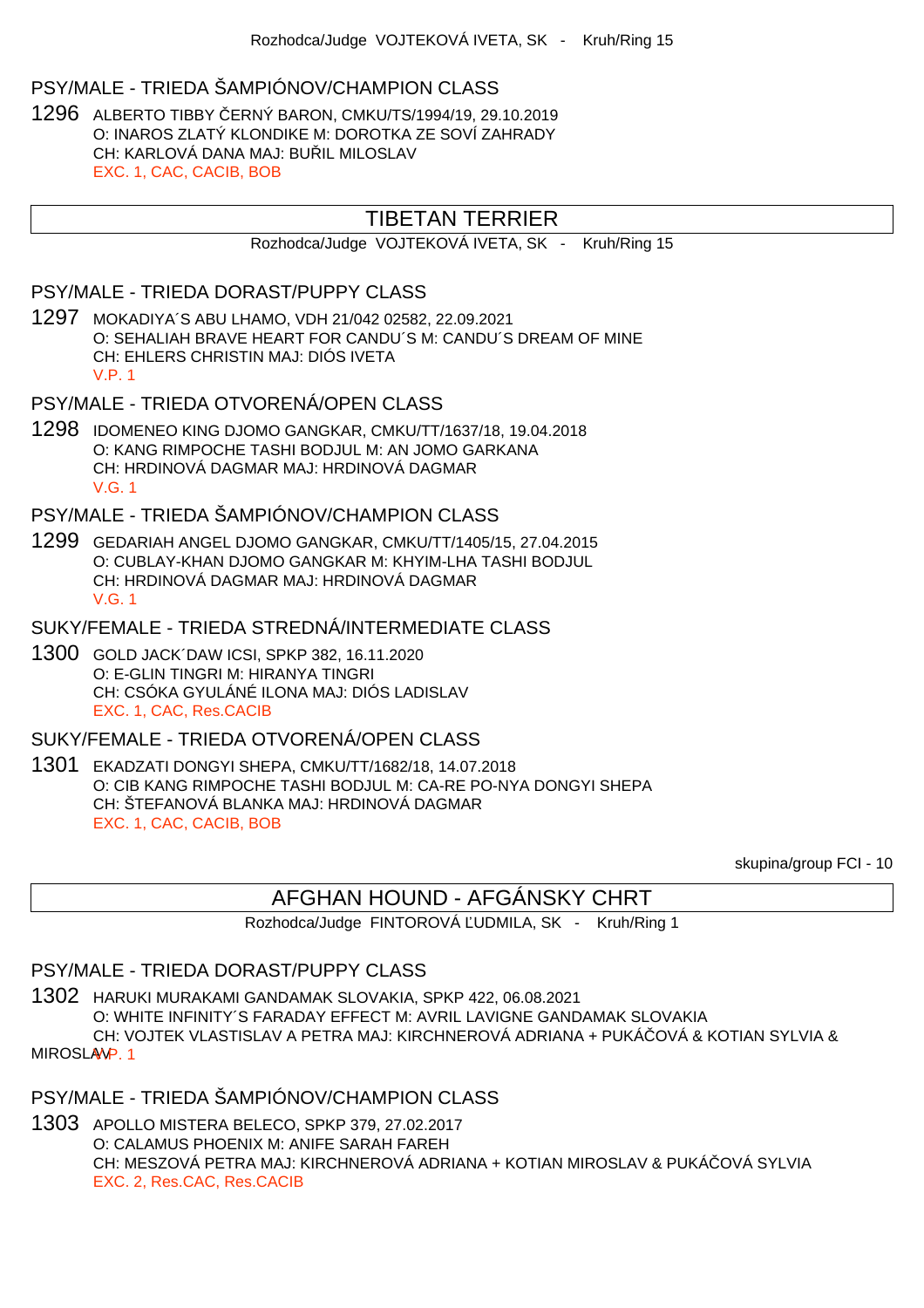# PSY/MALE - TRIEDA ŠAMPIÓNOV/CHAMPION CLASS

1296 ALBERTO TIBBY ČERNÝ BARON, CMKU/TS/1994/19, 29.10.2019 O: INAROS ZLATÝ KLONDIKE M: DOROTKA ZE SOVÍ ZAHRADY CH: KARLOVÁ DANA MAJ: BULIL MILOSLAV EXC. 1, CAC, CACIB, BOB

# TIBETAN TERRIER

Rozhodca/Judge VOJTEKOVÁ IVETA, SK - Kruh/Ring 15

#### PSY/MALE - TRIEDA DORAST/PUPPY CLASS

1297 MOKADIYA´S ABU LHAMO, VDH 21/042 02582, 22.09.2021 O: SEHALIAH BRAVE HEART FOR CANDU´S M: CANDU´S DREAM OF MINE CH: EHLERS CHRISTIN MAJ: DIÓS IVETA V.P. 1

PSY/MALE - TRIEDA OTVORENÁ/OPEN CLASS

1298 IDOMENEO KING DJOMO GANGKAR, CMKU/TT/1637/18, 19.04.2018 O: KANG RIMPOCHE TASHI BODJUL M: AN JOMO GARKANA CH: HRDINOVÁ DAGMAR MAJ: HRDINOVÁ DAGMAR V.G. 1

PSY/MALE - TRIEDA ŠAMPIÓNOV/CHAMPION CLASS

- 1299 GEDARIAH ANGEL DJOMO GANGKAR, CMKU/TT/1405/15, 27.04.2015 O: CUBLAY-KHAN DJOMO GANGKAR M: KHYIM-LHA TASHI BODJUL CH: HRDINOVÁ DAGMAR MAJ: HRDINOVÁ DAGMAR V.G. 1
- SUKY/FEMALE TRIEDA STREDNÁ/INTERMEDIATE CLASS
- 1300 GOLD JACK´DAW ICSI, SPKP 382, 16.11.2020 O: E-GLIN TINGRI M: HIRANYA TINGRI CH: CSÓKA GYULÁNÉ ILONA MAJ: DIÓS LADISLAV EXC. 1, CAC, Res.CACIB

#### SUKY/FEMALE - TRIEDA OTVORENÁ/OPEN CLASS

1301 EKADZATI DONGYI SHEPA, CMKU/TT/1682/18, 14.07.2018 O: CIB KANG RIMPOCHE TASHI BODJUL M: CA-RE PO-NYA DONGYI SHEPA CH: ŠTEFANOVÁ BLANKA MAJ: HRDINOVÁ DAGMAR EXC. 1, CAC, CACIB, BOB

skupina/group FCI - 10

# AFGHAN HOUND - AFGÁNSKY CHRT

Rozhodca/Judge FINTOROVÁ UDMILA, SK - Kruh/Ring 1

#### PSY/MALE - TRIEDA DORAST/PUPPY CLASS

1302 HARUKI MURAKAMI GANDAMAK SLOVAKIA, SPKP 422, 06.08.2021 O: WHITE INFINITY´S FARADAY EFFECT M: AVRIL LAVIGNE GANDAMAK SLOVAKIA CH: VOJTEK VLASTISLAV A PETRA MAJ: KIRCHNEROVÁ ADRIANA + PUKÁČOVÁ & KOTIAN SYLVIA &

MIROSLAV<sub>P.1</sub>

# PSY/MALE - TRIEDA ŠAMPIÓNOV/CHAMPION CLASS

1303 APOLLO MISTERA BELECO, SPKP 379, 27.02.2017 O: CALAMUS PHOENIX M: ANIFE SARAH FAREH CH: MESZOVÁ PETRA MAJ: KIRCHNEROVÁ ADRIANA + KOTIAN MIROSLAV & PUKÁ OVÁ SYLVIA EXC. 2, Res.CAC, Res.CACIB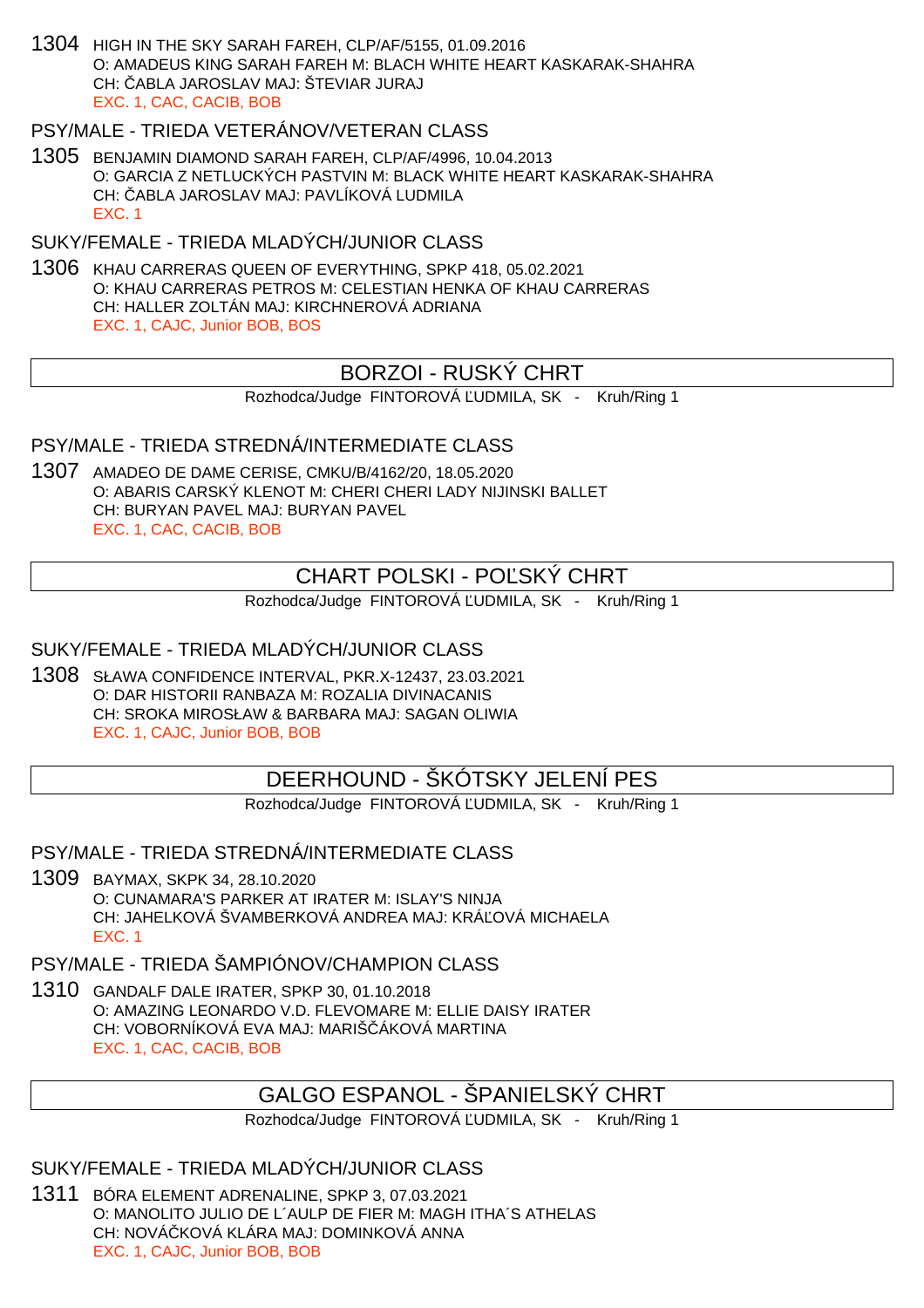1304 HIGH IN THE SKY SARAH FAREH, CLP/AF/5155, 01.09.2016 O: AMADEUS KING SARAH FAREH M: BLACH WHITE HEART KASKARAK-SHAHRA CH: ČABLA JAROSLAV MAJ: ŠTEVIAR JURAJ EXC. 1, CAC, CACIB, BOB

### PSY/MALE - TRIEDA VETERÁNOV/VETERAN CLASS

1305 BENJAMIN DIAMOND SARAH FAREH, CLP/AF/4996, 10.04.2013 O: GARCIA Z NETLUCKÝCH PASTVIN M: BLACK WHITE HEART KASKARAK-SHAHRA CH: ABLA JAROSLAV MAJ: PAVLÍKOVÁ LUDMILA EXC. 1

SUKY/FEMALE - TRIEDA MLADÝCH/JUNIOR CLASS

1306 KHAU CARRERAS QUEEN OF EVERYTHING, SPKP 418, 05.02.2021 O: KHAU CARRERAS PETROS M: CELESTIAN HENKA OF KHAU CARRERAS CH: HALLER ZOLTÁN MAJ: KIRCHNEROVÁ ADRIANA EXC. 1, CAJC, Junior BOB, BOS

# BORZOI - RUSKÝ CHRT

Rozhodca/Judge FINTOROVÁ UDMILA, SK - Kruh/Ring 1

PSY/MALE - TRIEDA STREDNÁ/INTERMEDIATE CLASS

1307 AMADEO DE DAME CERISE, CMKU/B/4162/20, 18.05.2020 O: ABARIS CARSKÝ KLENOT M: CHERI CHERI LADY NIJINSKI BALLET CH: BURYAN PAVEL MAJ: BURYAN PAVEL EXC. 1, CAC, CACIB, BOB

# CHART POLSKI - PO SKÝ CHRT

Rozhodca/Judge FINTOROVÁ UDMILA, SK - Kruh/Ring 1

SUKY/FEMALE - TRIEDA MLADÝCH/JUNIOR CLASS

1308 SŁAWA CONFIDENCE INTERVAL, PKR.X-12437, 23.03.2021 O: DAR HISTORII RANBAZA M: ROZALIA DIVINACANIS CH: SROKA MIROSŁAW & BARBARA MAJ: SAGAN OLIWIA EXC. 1, CAJC, Junior BOB, BOB

# DEERHOUND - ŠKÓTSKY JELENÍ PES

Rozhodca/Judge FINTOROVÁ UDMILA, SK - Kruh/Ring 1

PSY/MALE - TRIEDA STREDNÁ/INTERMEDIATE CLASS

1309 BAYMAX, SKPK 34, 28.10.2020 O: CUNAMARA'S PARKER AT IRATER M: ISLAY'S NINJA CH: JAHELKOVÁ ŠVAMBERKOVÁ ANDREA MAJ: KRÁ OVÁ MICHAELA EXC. 1

PSY/MALE - TRIEDA ŠAMPIÓNOV/CHAMPION CLASS

1310 GANDALF DALE IRATER, SPKP 30, 01.10.2018 O: AMAZING LEONARDO V.D. FLEVOMARE M: ELLIE DAISY IRATER CH: VOBORNÍKOVÁ EVA MAJ: MARIŠ ÁKOVÁ MARTINA EXC. 1, CAC, CACIB, BOB

# GALGO ESPANOL - ŠPANIELSKÝ CHRT

Rozhodca/Judge FINTOROVÁ UDMILA, SK - Kruh/Ring 1

SUKY/FEMALE - TRIEDA MLADÝCH/JUNIOR CLASS

1311 BÓRA ELEMENT ADRENALINE, SPKP 3, 07.03.2021 O: MANOLITO JULIO DE L´AULP DE FIER M: MAGH ITHA´S ATHELAS CH: NOVÁ KOVÁ KLÁRA MAJ: DOMINKOVÁ ANNA EXC. 1, CAJC, Junior BOB, BOB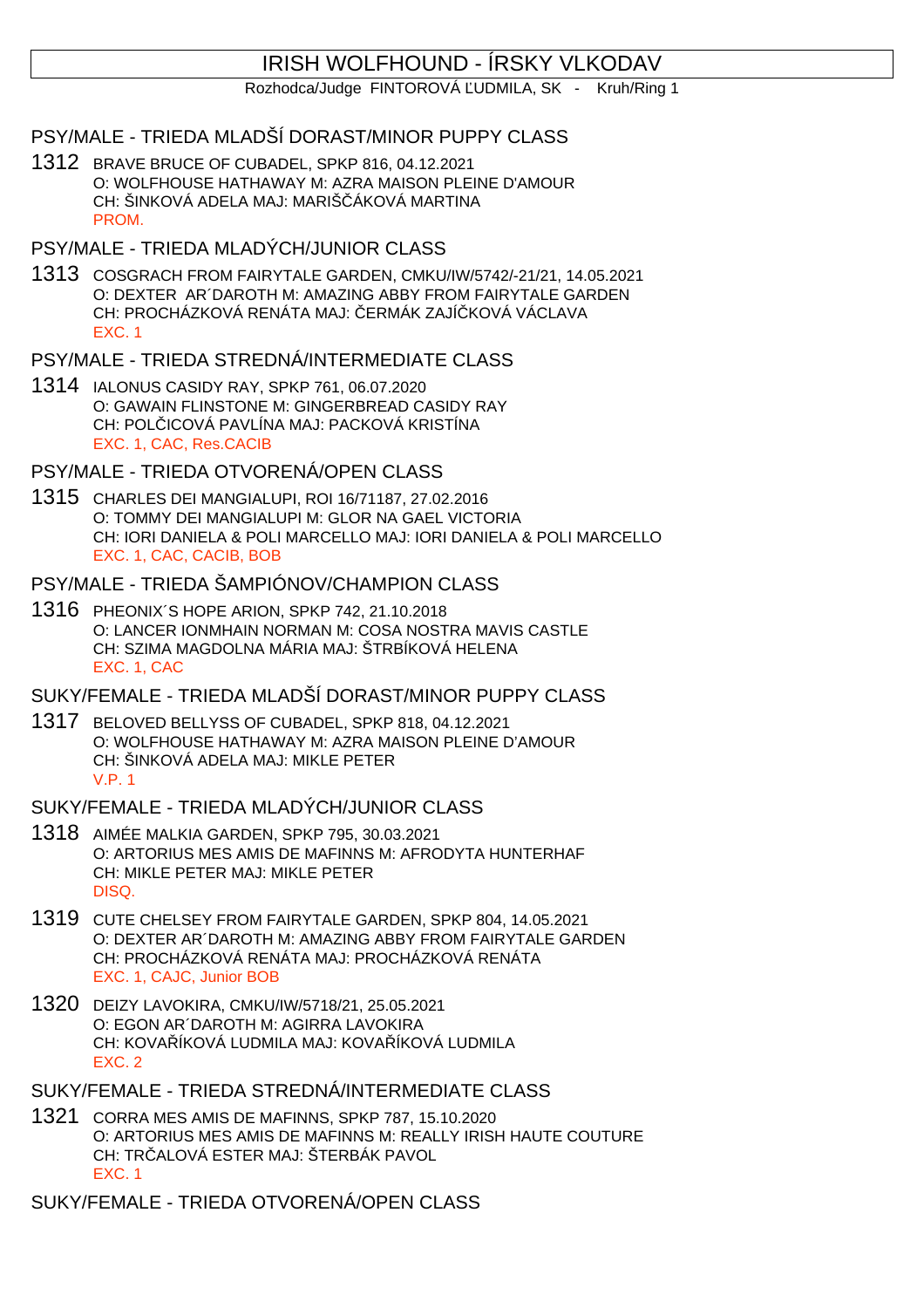# IRISH WOLFHOUND - ÍRSKY VLKODAV

Rozhodca/Judge FINTOROVÁ UDMILA, SK - Kruh/Ring 1

- PSY/MALE TRIEDA MLADŠÍ DORAST/MINOR PUPPY CLASS
- 1312 BRAVE BRUCE OF CUBADEL, SPKP 816, 04.12.2021 O: WOLFHOUSE HATHAWAY M: AZRA MAISON PLEINE D'AMOUR CH: ŠINKOVÁ ADELA MAJ: MARIŠ, ÁKOVÁ MARTINA PROM.
- PSY/MALE TRIEDA MLADÝCH/JUNIOR CLASS
- 1313 COSGRACH FROM FAIRYTALE GARDEN, CMKU/IW/5742/-21/21, 14.05.2021 O: DEXTER AR´DAROTH M: AMAZING ABBY FROM FAIRYTALE GARDEN CH: PROCHÁZKOVÁ RENÁTA MAJ: ERMÁK ZAJÍ KOVÁ VÁCLAVA EXC. 1
- PSY/MALE TRIEDA STREDNÁ/INTERMEDIATE CLASS
- 1314 IALONUS CASIDY RAY, SPKP 761, 06.07.2020 O: GAWAIN FLINSTONE M: GINGERBREAD CASIDY RAY CH: POL ICOVÁ PAVLÍNA MAJ: PACKOVÁ KRISTÍNA EXC. 1, CAC, Res.CACIB
- PSY/MALE TRIEDA OTVORENÁ/OPEN CLASS
- 1315 CHARLES DEI MANGIALUPI, ROI 16/71187, 27.02.2016 O: TOMMY DEI MANGIALUPI M: GLOR NA GAEL VICTORIA CH: IORI DANIELA & POLI MARCELLO MAJ: IORI DANIELA & POLI MARCELLO EXC. 1, CAC, CACIB, BOB
- PSY/MALE TRIEDA ŠAMPIÓNOV/CHAMPION CLASS
- 1316 PHEONIX´S HOPE ARION, SPKP 742, 21.10.2018 O: LANCER IONMHAIN NORMAN M: COSA NOSTRA MAVIS CASTLE CH: SZIMA MAGDOLNA MÁRIA MAJ: ŠTRBÍKOVÁ HELENA EXC. 1, CAC
- SUKY/FEMALE TRIEDA MLADŠÍ DORAST/MINOR PUPPY CLASS
- 1317 BELOVED BELLYSS OF CUBADEL, SPKP 818, 04.12.2021 O: WOLFHOUSE HATHAWAY M: AZRA MAISON PLEINE D'AMOUR CH: ŠINKOVÁ ADELA MAJ: MIKLE PETER V.P. 1
- SUKY/FEMALE TRIEDA MLADÝCH/JUNIOR CLASS
- 1318 AIMÉE MALKIA GARDEN, SPKP 795, 30.03.2021 O: ARTORIUS MES AMIS DE MAFINNS M: AFRODYTA HUNTERHAF CH: MIKLE PETER MAJ: MIKLE PETER DISQ.
- 1319 CUTE CHELSEY FROM FAIRYTALE GARDEN, SPKP 804, 14.05.2021 O: DEXTER AR´DAROTH M: AMAZING ABBY FROM FAIRYTALE GARDEN CH: PROCHÁZKOVÁ RENÁTA MAJ: PROCHÁZKOVÁ RENÁTA EXC. 1, CAJC, Junior BOB
- 1320 DEIZY LAVOKIRA, CMKU/IW/5718/21, 25.05.2021 O: EGON AR´DAROTH M: AGIRRA LAVOKIRA CH: KOVA ÍKOVÁ LUDMILA MAJ: KOVA ÍKOVÁ LUDMILA EXC. 2
- SUKY/FEMALE TRIEDA STREDNÁ/INTERMEDIATE CLASS
- 1321 CORRA MES AMIS DE MAFINNS, SPKP 787, 15.10.2020 O: ARTORIUS MES AMIS DE MAFINNS M: REALLY IRISH HAUTE COUTURE CH: TR ALOVÁ ESTER MAJ: ŠTERBÁK PAVOL EXC. 1
- SUKY/FEMALE TRIEDA OTVORENÁ/OPEN CLASS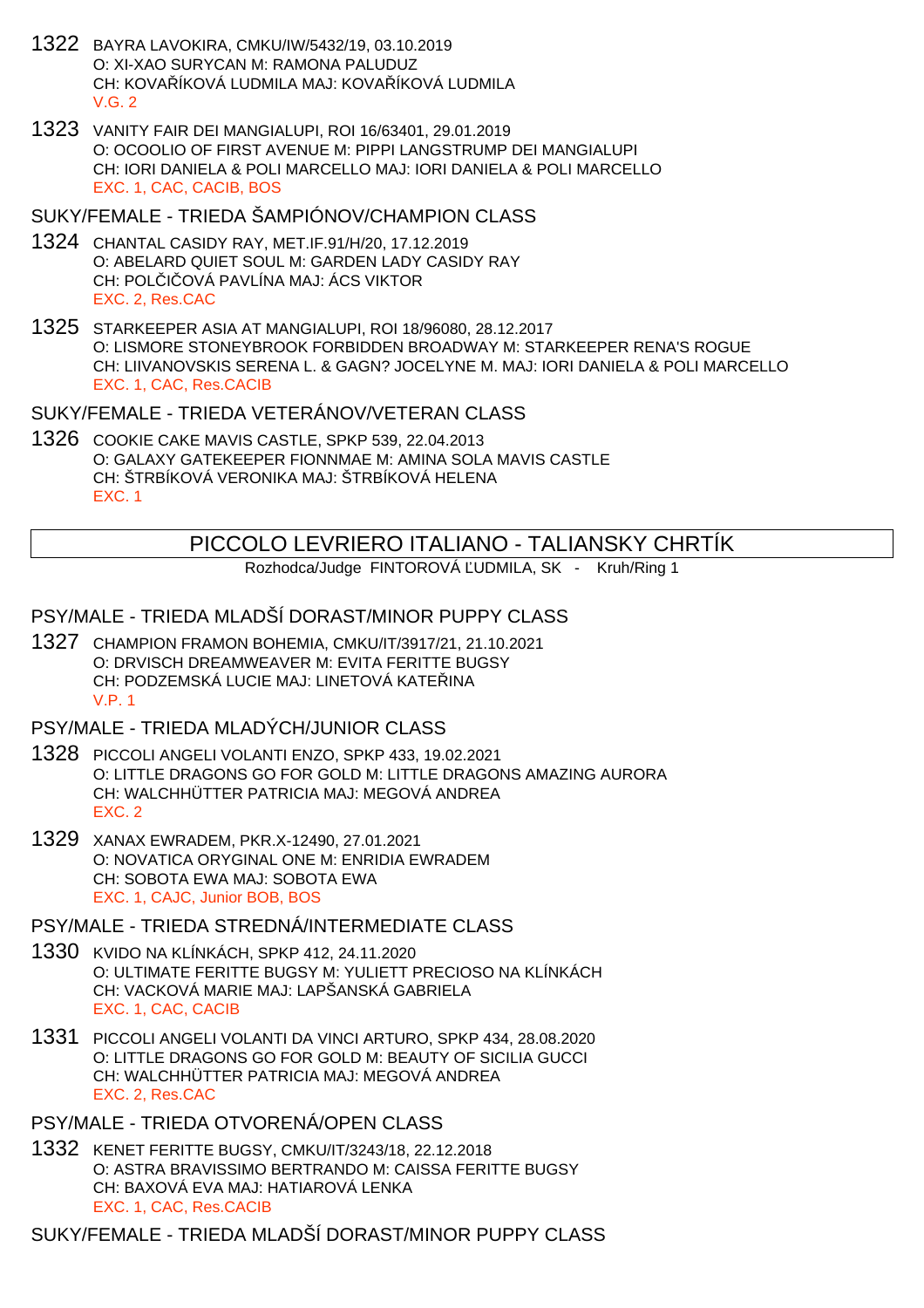- 1322 BAYRA LAVOKIRA, CMKU/IW/5432/19, 03.10.2019 O: XI-XAO SURYCAN M: RAMONA PALUDUZ CH: KOVA ÍKOVÁ LUDMILA MAJ: KOVA ÍKOVÁ LUDMILA  $V$  G  $2$
- 1323 VANITY FAIR DEI MANGIALUPI, ROI 16/63401, 29.01.2019 O: OCOOLIO OF FIRST AVENUE M: PIPPI LANGSTRUMP DEI MANGIALUPI CH: IORI DANIELA & POLI MARCELLO MAJ: IORI DANIELA & POLI MARCELLO EXC. 1, CAC, CACIB, BOS
- SUKY/FEMALE TRIEDA ŠAMPIÓNOV/CHAMPION CLASS
- 1324 CHANTAL CASIDY RAY, MET.IF.91/H/20, 17.12.2019 O: ABELARD QUIET SOUL M: GARDEN LADY CASIDY RAY CH: POL I OVÁ PAVLÍNA MAJ: ÁCS VIKTOR EXC. 2, Res.CAC
- 1325 STARKEEPER ASIA AT MANGIALUPI, ROI 18/96080, 28.12.2017 O: LISMORE STONEYBROOK FORBIDDEN BROADWAY M: STARKEEPER RENA'S ROGUE CH: LIIVANOVSKIS SERENA L. & GAGN? JOCELYNE M. MAJ: IORI DANIELA & POLI MARCELLO EXC. 1, CAC, Res.CACIB

SUKY/FEMALE - TRIEDA VETERÁNOV/VETERAN CLASS

1326 COOKIE CAKE MAVIS CASTLE, SPKP 539, 22.04.2013 O: GALAXY GATEKEEPER FIONNMAE M: AMINA SOLA MAVIS CASTLE CH: ŠTRBÍKOVÁ VERONIKA MAJ: ŠTRBÍKOVÁ HELENA EXC. 1

# PICCOLO LEVRIERO ITALIANO - TALIANSKY CHRTÍK

Rozhodca/Judge FINTOROVÁ UDMILA, SK - Kruh/Ring 1

# PSY/MALE - TRIEDA MLADŠÍ DORAST/MINOR PUPPY CLASS

1327 CHAMPION FRAMON BOHEMIA, CMKU/IT/3917/21, 21.10.2021 O: DRVISCH DREAMWEAVER M: EVITA FERITTE BUGSY CH: PODZEMSKÁ LUCIE MAJ: LINETOVÁ KATEŘINA V.P. 1

# PSY/MALE - TRIEDA MLADÝCH/JUNIOR CLASS

- 1328 PICCOLI ANGELI VOLANTI ENZO, SPKP 433, 19.02.2021 O: LITTLE DRAGONS GO FOR GOLD M: LITTLE DRAGONS AMAZING AURORA CH: WALCHHÜTTER PATRICIA MAJ: MEGOVÁ ANDREA EXC. 2
- 1329 XANAX EWRADEM, PKR.X-12490, 27.01.2021 O: NOVATICA ORYGINAL ONE M: ENRIDIA EWRADEM CH: SOBOTA EWA MAJ: SOBOTA EWA EXC. 1, CAJC, Junior BOB, BOS
- PSY/MALE TRIEDA STREDNÁ/INTERMEDIATE CLASS
- 1330 KVIDO NA KLÍNKÁCH, SPKP 412, 24.11.2020 O: ULTIMATE FERITTE BUGSY M: YULIETT PRECIOSO NA KLÍNKÁCH CH: VACKOVÁ MARIE MAJ: LAPŠANSKÁ GABRIELA EXC. 1, CAC, CACIB
- 1331 PICCOLI ANGELI VOLANTI DA VINCI ARTURO, SPKP 434, 28.08.2020 O: LITTLE DRAGONS GO FOR GOLD M: BEAUTY OF SICILIA GUCCI CH: WALCHHÜTTER PATRICIA MAJ: MEGOVÁ ANDREA EXC. 2, Res.CAC

PSY/MALE - TRIEDA OTVORENÁ/OPEN CLASS

1332 KENET FERITTE BUGSY, CMKU/IT/3243/18, 22.12.2018 O: ASTRA BRAVISSIMO BERTRANDO M: CAISSA FERITTE BUGSY CH: BAXOVÁ EVA MAJ: HATIAROVÁ LENKA EXC. 1, CAC, Res.CACIB

SUKY/FEMALE - TRIEDA MLADŠÍ DORAST/MINOR PUPPY CLASS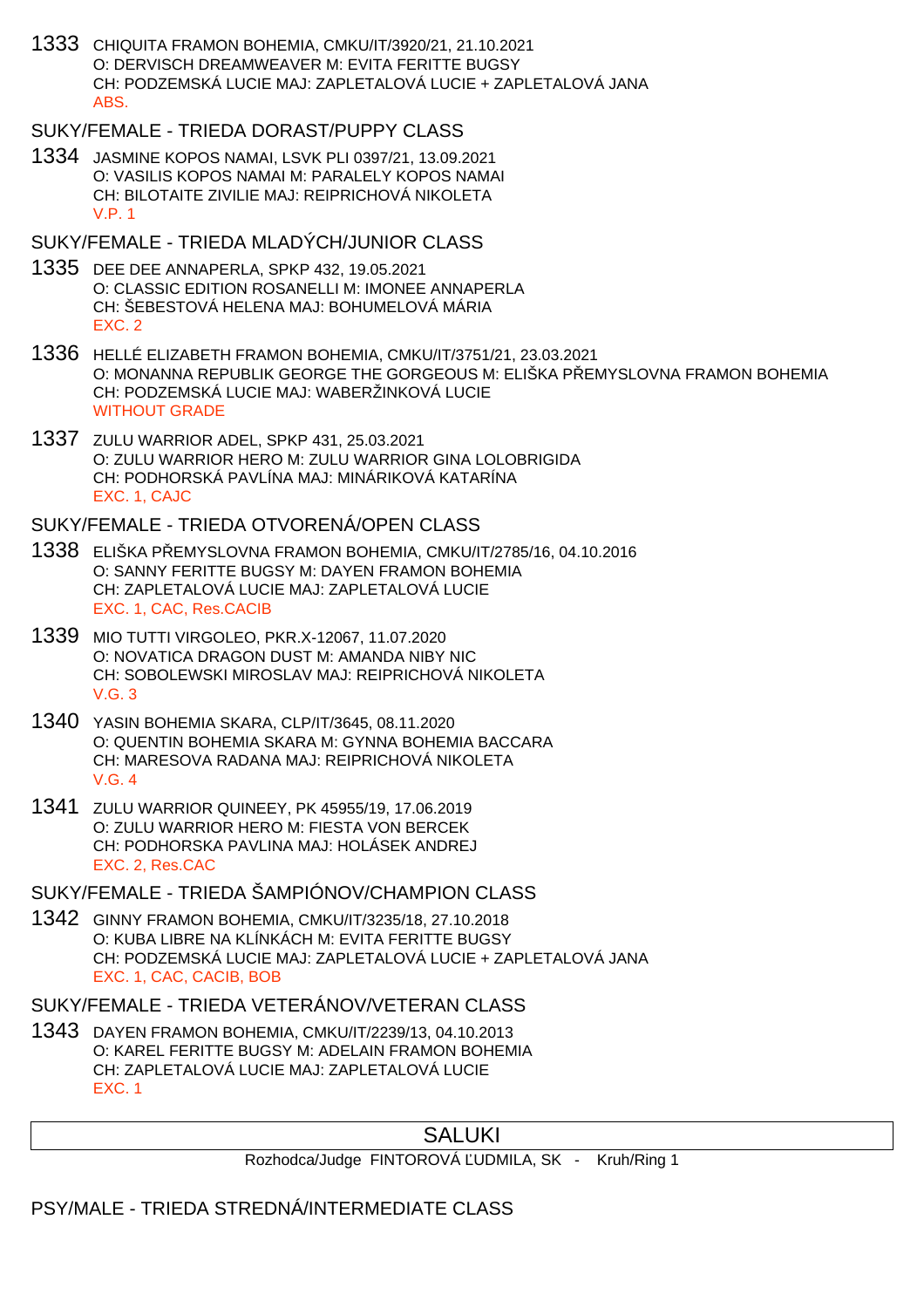1333 CHIQUITA FRAMON BOHEMIA, CMKU/IT/3920/21, 21.10.2021 O: DERVISCH DREAMWEAVER M: EVITA FERITTE BUGSY CH: PODZEMSKÁ LUCIE MAJ: ZAPLETALOVÁ LUCIE + ZAPLETALOVÁ JANA ABS.

# SUKY/FEMALE - TRIEDA DORAST/PUPPY CLASS

1334 JASMINE KOPOS NAMAI, LSVK PLI 0397/21, 13.09.2021 O: VASILIS KOPOS NAMAI M: PARALELY KOPOS NAMAI CH: BILOTAITE ZIVILIE MAJ: REIPRICHOVÁ NIKOLETA V.P. 1

#### SUKY/FEMALE - TRIEDA MLADÝCH/JUNIOR CLASS

- 1335 DEE DEE ANNAPERLA, SPKP 432, 19.05.2021 O: CLASSIC EDITION ROSANELLI M: IMONEE ANNAPERLA CH: ŠEBESTOVÁ HELENA MAJ: BOHUMELOVÁ MÁRIA EXC. 2
- 1336 HELLÉ ELIZABETH FRAMON BOHEMIA, CMKU/IT/3751/21, 23.03.2021 O: MONANNA REPUBLIK GEORGE THE GORGEOUS M: ELIŠKA PŘEMYSLOVNA FRAMON BOHEMIA CH: PODZEMSKÁ LUCIE MAJ: WABERŽINKOVÁ LUCIE WITHOUT GRADE
- 1337 ZULU WARRIOR ADEL, SPKP 431, 25.03.2021 O: ZULU WARRIOR HERO M: ZULU WARRIOR GINA LOLOBRIGIDA CH: PODHORSKÁ PAVLÍNA MAJ: MINÁRIKOVÁ KATARÍNA EXC. 1, CAJC

#### SUKY/FEMALE - TRIEDA OTVORENÁ/OPEN CLASS

- 1338 ELIŠKA PŘEMYSLOVNA FRAMON BOHEMIA, CMKU/IT/2785/16, 04.10.2016 O: SANNY FERITTE BUGSY M: DAYEN FRAMON BOHEMIA CH: ZAPLETALOVÁ LUCIE MAJ: ZAPLETALOVÁ LUCIE EXC. 1, CAC, Res.CACIB
- 1339 MIO TUTTI VIRGOLEO, PKR.X-12067, 11.07.2020 O: NOVATICA DRAGON DUST M: AMANDA NIBY NIC CH: SOBOLEWSKI MIROSLAV MAJ: REIPRICHOVÁ NIKOLETA V.G. 3
- 1340 YASIN BOHEMIA SKARA, CLP/IT/3645, 08.11.2020 O: QUENTIN BOHEMIA SKARA M: GYNNA BOHEMIA BACCARA CH: MARESOVA RADANA MAJ: REIPRICHOVÁ NIKOLETA V.G. 4
- 1341 ZULU WARRIOR QUINEEY, PK 45955/19, 17.06.2019 O: ZULU WARRIOR HERO M: FIESTA VON BERCEK CH: PODHORSKA PAVLINA MAJ: HOLÁSEK ANDREJ EXC. 2, Res.CAC

### SUKY/FEMALE - TRIEDA ŠAMPIÓNOV/CHAMPION CLASS

1342 GINNY FRAMON BOHEMIA, CMKU/IT/3235/18, 27.10.2018 O: KUBA LIBRE NA KLÍNKÁCH M: EVITA FERITTE BUGSY CH: PODZEMSKÁ LUCIE MAJ: ZAPLETALOVÁ LUCIE + ZAPLETALOVÁ JANA EXC. 1, CAC, CACIB, BOB

#### SUKY/FEMALE - TRIEDA VETERÁNOV/VETERAN CLASS

1343 DAYEN FRAMON BOHEMIA, CMKU/IT/2239/13, 04.10.2013 O: KAREL FERITTE BUGSY M: ADELAIN FRAMON BOHEMIA CH: ZAPLETALOVÁ LUCIE MAJ: ZAPLETALOVÁ LUCIE EXC. 1

# SALUKI

Rozhodca/Judge FINTOROVÁ UDMILA, SK - Kruh/Ring 1

#### PSY/MALE - TRIEDA STREDNÁ/INTERMEDIATE CLASS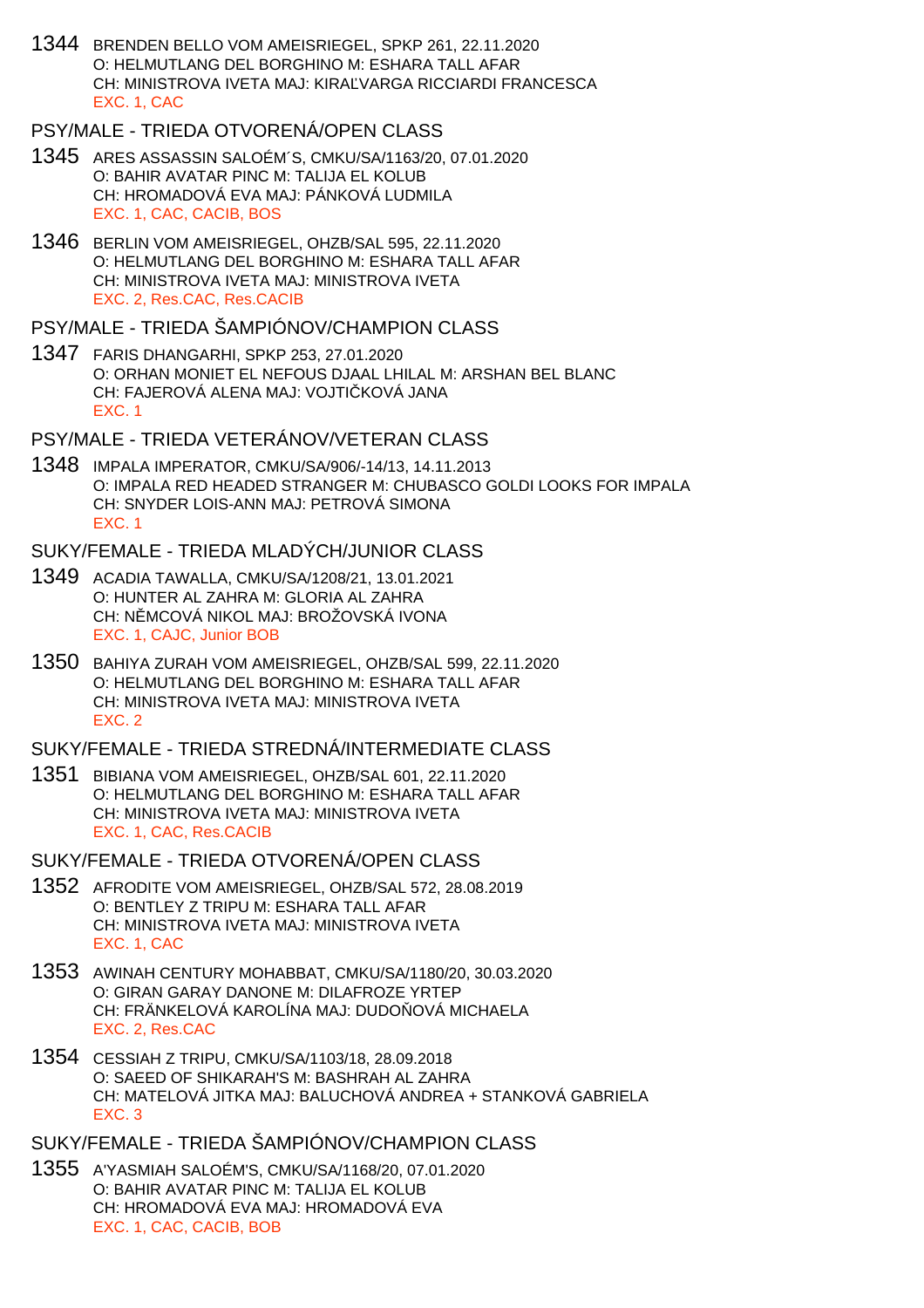1344 BRENDEN BELLO VOM AMEISRIEGEL, SPKP 261, 22.11.2020 O: HELMUTLANG DEL BORGHINO M: ESHARA TALL AFAR CH: MINISTROVA IVETA MAJ: KIRA VARGA RICCIARDI FRANCESCA EXC. 1, CAC

### PSY/MALE - TRIEDA OTVORENÁ/OPEN CLASS

- 1345 ARES ASSASSIN SALOÉM´S, CMKU/SA/1163/20, 07.01.2020 O: BAHIR AVATAR PINC M: TALIJA EL KOLUB CH: HROMADOVÁ EVA MAJ: PÁNKOVÁ LUDMILA EXC. 1, CAC, CACIB, BOS
- 1346 BERLIN VOM AMEISRIEGEL, OHZB/SAL 595, 22.11.2020 O: HELMUTLANG DEL BORGHINO M: ESHARA TALL AFAR CH: MINISTROVA IVETA MAJ: MINISTROVA IVETA EXC. 2, Res.CAC, Res.CACIB

### PSY/MALE - TRIEDA ŠAMPIÓNOV/CHAMPION CLASS

1347 FARIS DHANGARHI, SPKP 253, 27.01.2020 O: ORHAN MONIET EL NEFOUS DJAAL LHILAL M: ARSHAN BEL BLANC CH: FAJEROVÁ ALENA MAJ: VOJTI KOVÁ JANA EXC. 1

## PSY/MALE - TRIEDA VETERÁNOV/VETERAN CLASS

1348 IMPALA IMPERATOR, CMKU/SA/906/-14/13, 14.11.2013 O: IMPALA RED HEADED STRANGER M: CHUBASCO GOLDI LOOKS FOR IMPALA CH: SNYDER LOIS-ANN MAJ: PETROVÁ SIMONA EXC. 1

#### SUKY/FEMALE - TRIEDA MLADÝCH/JUNIOR CLASS

- 1349 ACADIA TAWALLA, CMKU/SA/1208/21, 13.01.2021 O: HUNTER AL ZAHRA M: GLORIA AL ZAHRA CH: N MCOVÁ NIKOL MAJ: BROŽOVSKÁ IVONA EXC. 1, CAJC, Junior BOB
- 1350 BAHIYA ZURAH VOM AMEISRIEGEL, OHZB/SAL 599, 22.11.2020 O: HELMUTLANG DEL BORGHINO M: ESHARA TALL AFAR CH: MINISTROVA IVETA MAJ: MINISTROVA IVETA EXC. 2

SUKY/FEMALE - TRIEDA STREDNÁ/INTERMEDIATE CLASS

1351 BIBIANA VOM AMEISRIEGEL, OHZB/SAL 601, 22.11.2020 O: HELMUTLANG DEL BORGHINO M: ESHARA TALL AFAR CH: MINISTROVA IVETA MAJ: MINISTROVA IVETA EXC. 1, CAC, Res.CACIB

SUKY/FEMALE - TRIEDA OTVORENÁ/OPEN CLASS

- 1352 AFRODITE VOM AMEISRIEGEL, OHZB/SAL 572, 28.08.2019 O: BENTLEY Z TRIPU M: ESHARA TALL AFAR CH: MINISTROVA IVETA MAJ: MINISTROVA IVETA EXC. 1, CAC
- 1353 AWINAH CENTURY MOHABBAT, CMKU/SA/1180/20, 30.03.2020 O: GIRAN GARAY DANONE M: DILAFROZE YRTEP CH: FRÄNKELOVÁ KAROLÍNA MAJ: DUDO OVÁ MICHAELA EXC. 2, Res.CAC
- 1354 CESSIAH Z TRIPU, CMKU/SA/1103/18, 28.09.2018 O: SAEED OF SHIKARAH'S M: BASHRAH AL ZAHRA CH: MATELOVÁ JITKA MAJ: BALUCHOVÁ ANDREA + STANKOVÁ GABRIELA EXC. 3

SUKY/FEMALE - TRIEDA ŠAMPIÓNOV/CHAMPION CLASS

1355 A'YASMIAH SALOÉM'S, CMKU/SA/1168/20, 07.01.2020 O: BAHIR AVATAR PINC M: TALIJA EL KOLUB CH: HROMADOVÁ EVA MAJ: HROMADOVÁ EVA EXC. 1, CAC, CACIB, BOB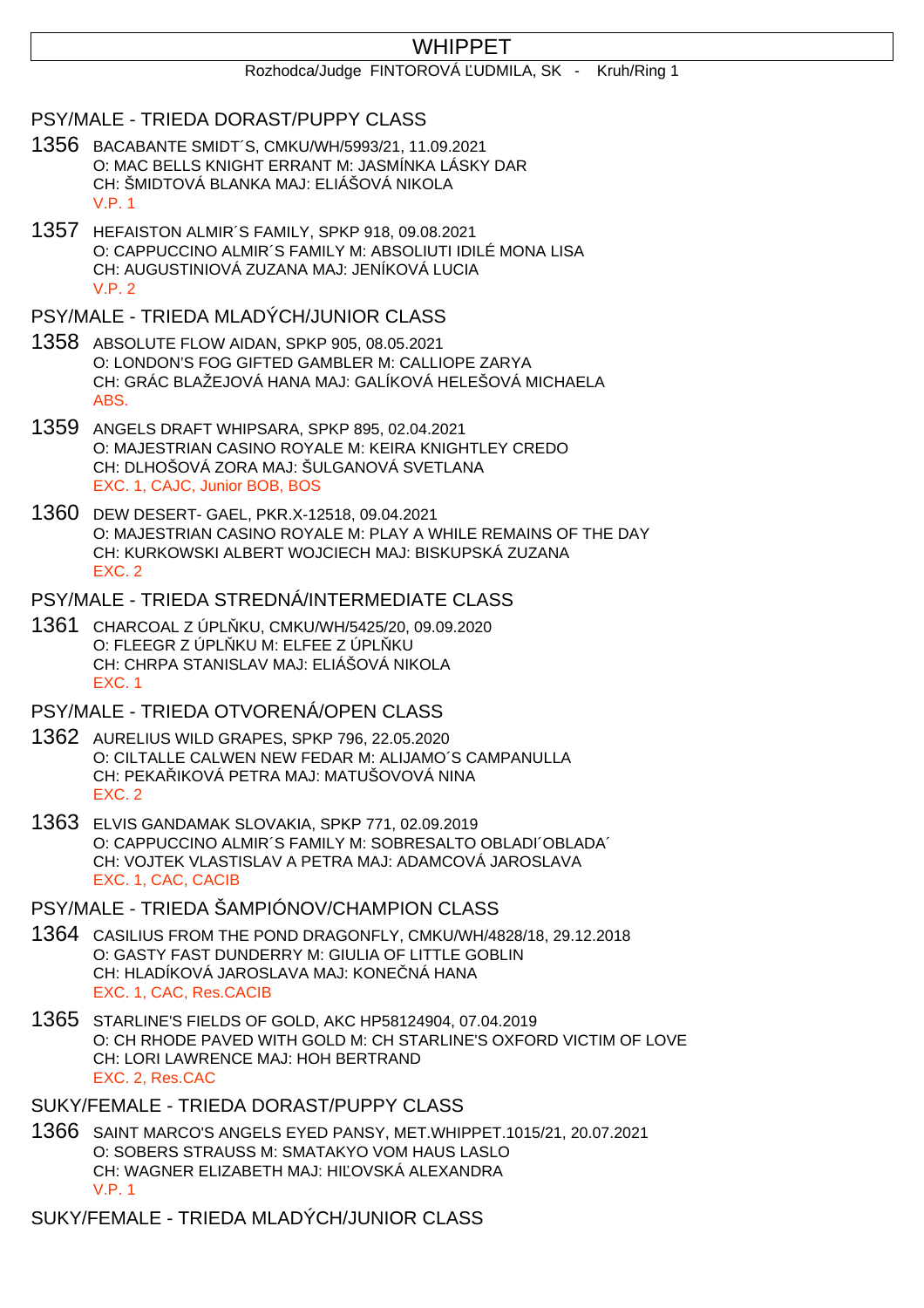# WHIPPET

#### Rozhodca/Judge FINTOROVÁ UDMILA, SK - Kruh/Ring 1

#### PSY/MALE - TRIEDA DORAST/PUPPY CLASS

- 1356 BACABANTE SMIDT´S, CMKU/WH/5993/21, 11.09.2021 O: MAC BELLS KNIGHT ERRANT M: JASMÍNKA LÁSKY DAR CH: ŠMIDTOVÁ BLANKA MAJ: ELIÁŠOVÁ NIKOLA V.P. 1
- 1357 HEFAISTON ALMIR´S FAMILY, SPKP 918, 09.08.2021 O: CAPPUCCINO ALMIR´S FAMILY M: ABSOLIUTI IDILÉ MONA LISA CH: AUGUSTINIOVÁ ZUZANA MAJ: JENÍKOVÁ LUCIA  $V.P. 2$

## PSY/MALE - TRIEDA MLADÝCH/JUNIOR CLASS

- 1358 ABSOLUTE FLOW AIDAN, SPKP 905, 08.05.2021 O: LONDON'S FOG GIFTED GAMBLER M: CALLIOPE ZARYA CH: GRÁC BLAŽEJOVÁ HANA MAJ: GALÍKOVÁ HELEŠOVÁ MICHAELA ABS.
- 1359 ANGELS DRAFT WHIPSARA, SPKP 895, 02.04.2021 O: MAJESTRIAN CASINO ROYALE M: KEIRA KNIGHTLEY CREDO CH: DLHOŠOVÁ ZORA MAJ: ŠULGANOVÁ SVETLANA EXC. 1, CAJC, Junior BOB, BOS
- 1360 DEW DESERT- GAEL, PKR.X-12518, 09.04.2021 O: MAJESTRIAN CASINO ROYALE M: PLAY A WHILE REMAINS OF THE DAY CH: KURKOWSKI ALBERT WOJCIECH MAJ: BISKUPSKÁ ZUZANA EXC. 2

#### PSY/MALE - TRIEDA STREDNÁ/INTERMEDIATE CLASS

1361 CHARCOAL Z ÚPLŇKU, CMKU/WH/5425/20, 09.09.2020 O: FLEEGR Z ÚPL KU M: ELFEE Z ÚPL KU CH: CHRPA STANISLAV MAJ: ELIÁŠOVÁ NIKOLA EXC. 1

#### PSY/MALE - TRIEDA OTVORENÁ/OPEN CLASS

- 1362 AURELIUS WILD GRAPES, SPKP 796, 22.05.2020 O: CILTALLE CALWEN NEW FEDAR M: ALIJAMO´S CAMPANULLA CH: PEKA IKOVÁ PETRA MAJ: MATUŠOVOVÁ NINA EXC. 2
- 1363 ELVIS GANDAMAK SLOVAKIA, SPKP 771, 02.09.2019 O: CAPPUCCINO ALMIR´S FAMILY M: SOBRESALTO OBLADI´OBLADA´ CH: VOJTEK VLASTISLAV A PETRA MAJ: ADAMCOVÁ JAROSLAVA EXC. 1, CAC, CACIB

### PSY/MALE - TRIEDA ŠAMPIÓNOV/CHAMPION CLASS

- 1364 CASILIUS FROM THE POND DRAGONFLY, CMKU/WH/4828/18, 29.12.2018 O: GASTY FAST DUNDERRY M: GIULIA OF LITTLE GOBLIN CH: HLADÍKOVÁ JAROSLAVA MAJ: KONE NÁ HANA EXC. 1, CAC, Res.CACIB
- 1365 STARLINE'S FIELDS OF GOLD, AKC HP58124904, 07.04.2019 O: CH RHODE PAVED WITH GOLD M: CH STARLINE'S OXFORD VICTIM OF LOVE CH: LORI LAWRENCE MAJ: HOH BERTRAND EXC. 2, Res.CAC

#### SUKY/FEMALE - TRIEDA DORAST/PUPPY CLASS

1366 SAINT MARCO'S ANGELS EYED PANSY, MET.WHIPPET.1015/21, 20.07.2021 O: SOBERS STRAUSS M: SMATAKYO VOM HAUS LASLO CH: WAGNER ELIZABETH MAJ: HI OVSKÁ ALEXANDRA V.P. 1

SUKY/FEMALE - TRIEDA MLADÝCH/JUNIOR CLASS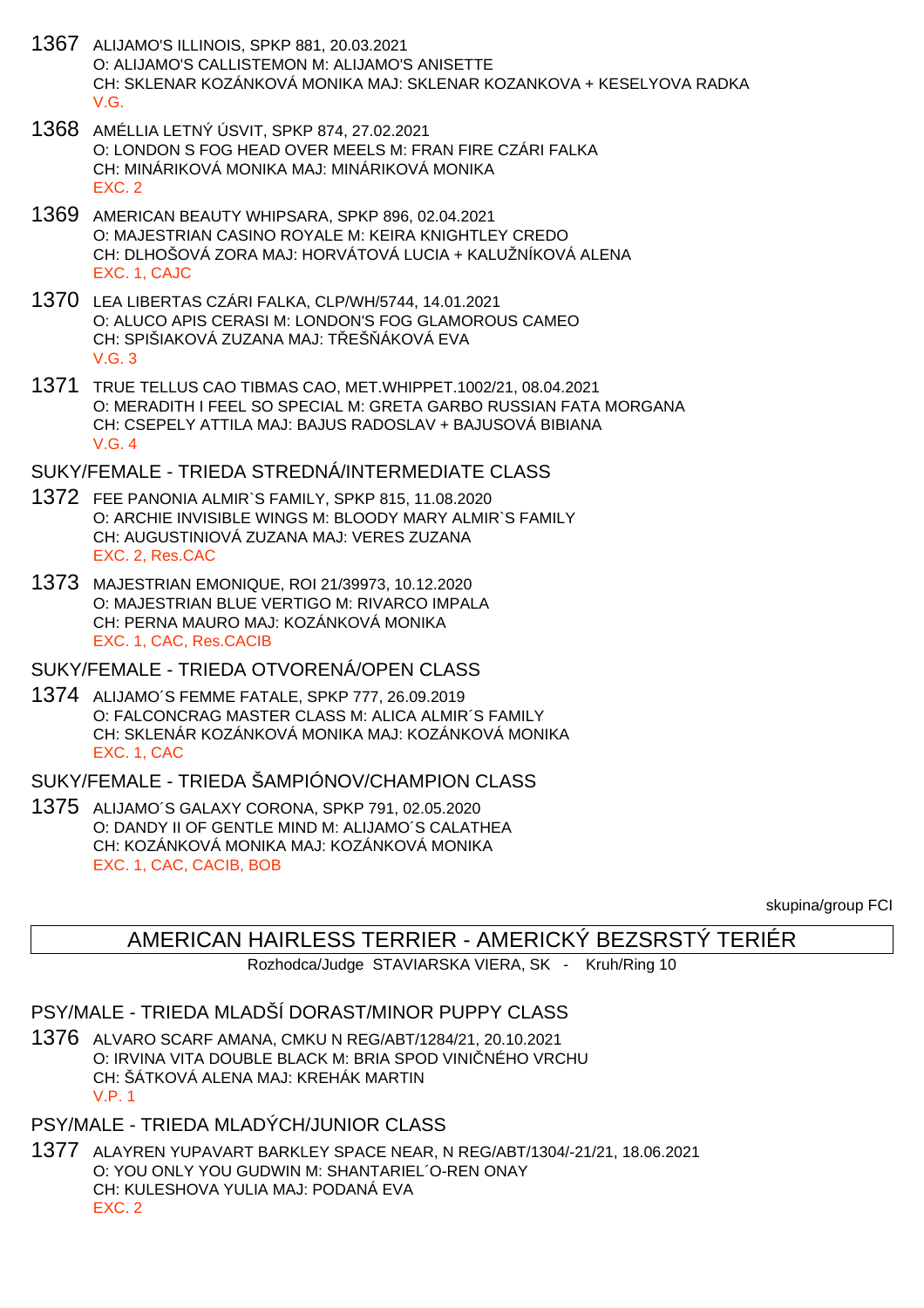- 1367 ALIJAMO'S ILLINOIS, SPKP 881, 20.03.2021 O: ALIJAMO'S CALLISTEMON M: ALIJAMO'S ANISETTE CH: SKLENAR KOZÁNKOVÁ MONIKA MAJ: SKLENAR KOZANKOVA + KESELYOVA RADKA V.G.
- 1368 AMÉLLIA LETNÝ ÚSVIT, SPKP 874, 27.02.2021 O: LONDON S FOG HEAD OVER MEELS M: FRAN FIRE CZÁRI FALKA CH: MINÁRIKOVÁ MONIKA MAJ: MINÁRIKOVÁ MONIKA EXC. 2
- 1369 AMERICAN BEAUTY WHIPSARA, SPKP 896, 02.04.2021 O: MAJESTRIAN CASINO ROYALE M: KEIRA KNIGHTLEY CREDO CH: DLHOŠOVÁ ZORA MAJ: HORVÁTOVÁ LUCIA + KALUŽNÍKOVÁ ALENA EXC. 1, CAJC
- 1370 LEA LIBERTAS CZÁRI FALKA, CLP/WH/5744, 14.01.2021 O: ALUCO APIS CERASI M: LONDON'S FOG GLAMOROUS CAMEO CH: SPIŠIAKOVÁ ZUZANA MAJ: TEŠÁKOVÁ EVA V.G. 3
- 1371 TRUE TELLUS CAO TIBMAS CAO, MET.WHIPPET.1002/21, 08.04.2021 O: MERADITH I FEEL SO SPECIAL M: GRETA GARBO RUSSIAN FATA MORGANA CH: CSEPELY ATTILA MAJ: BAJUS RADOSLAV + BAJUSOVÁ BIBIANA V.G. 4

#### SUKY/FEMALE - TRIEDA STREDNÁ/INTERMEDIATE CLASS

- 1372 FEE PANONIA ALMIR`S FAMILY, SPKP 815, 11.08.2020 O: ARCHIE INVISIBLE WINGS M: BLOODY MARY ALMIR`S FAMILY CH: AUGUSTINIOVÁ ZUZANA MAJ: VERES ZUZANA EXC. 2, Res.CAC
- 1373 MAJESTRIAN EMONIQUE, ROI 21/39973, 10.12.2020 O: MAJESTRIAN BLUE VERTIGO M: RIVARCO IMPALA CH: PERNA MAURO MAJ: KOZÁNKOVÁ MONIKA EXC. 1, CAC, Res.CACIB

#### SUKY/FEMALE - TRIEDA OTVORENÁ/OPEN CLASS

1374 ALIJAMO´S FEMME FATALE, SPKP 777, 26.09.2019 O: FALCONCRAG MASTER CLASS M: ALICA ALMIR´S FAMILY CH: SKLENÁR KOZÁNKOVÁ MONIKA MAJ: KOZÁNKOVÁ MONIKA EXC. 1, CAC

### SUKY/FEMALE - TRIEDA ŠAMPIÓNOV/CHAMPION CLASS

1375 ALIJAMO´S GALAXY CORONA, SPKP 791, 02.05.2020 O: DANDY II OF GENTLE MIND M: ALIJAMO´S CALATHEA CH: KOZÁNKOVÁ MONIKA MAJ: KOZÁNKOVÁ MONIKA EXC. 1, CAC, CACIB, BOB

skupina/group FCI

# AMERICAN HAIRLESS TERRIER - AMERICKÝ BEZSRSTÝ TERIÉR

Rozhodca/Judge STAVIARSKA VIERA, SK - Kruh/Ring 10

### PSY/MALE - TRIEDA MLADŠÍ DORAST/MINOR PUPPY CLASS

1376 ALVARO SCARF AMANA, CMKU N REG/ABT/1284/21, 20.10.2021 O: IRVINA VITA DOUBLE BLACK M: BRIA SPOD VINI NÉHO VRCHU CH: ŠÁTKOVÁ ALENA MAJ: KREHÁK MARTIN V.P. 1

#### PSY/MALE - TRIEDA MLADÝCH/JUNIOR CLASS

1377 ALAYREN YUPAVART BARKLEY SPACE NEAR, N REG/ABT/1304/-21/21, 18.06.2021 O: YOU ONLY YOU GUDWIN M: SHANTARIEL´O-REN ONAY CH: KULESHOVA YULIA MAJ: PODANÁ EVA EXC. 2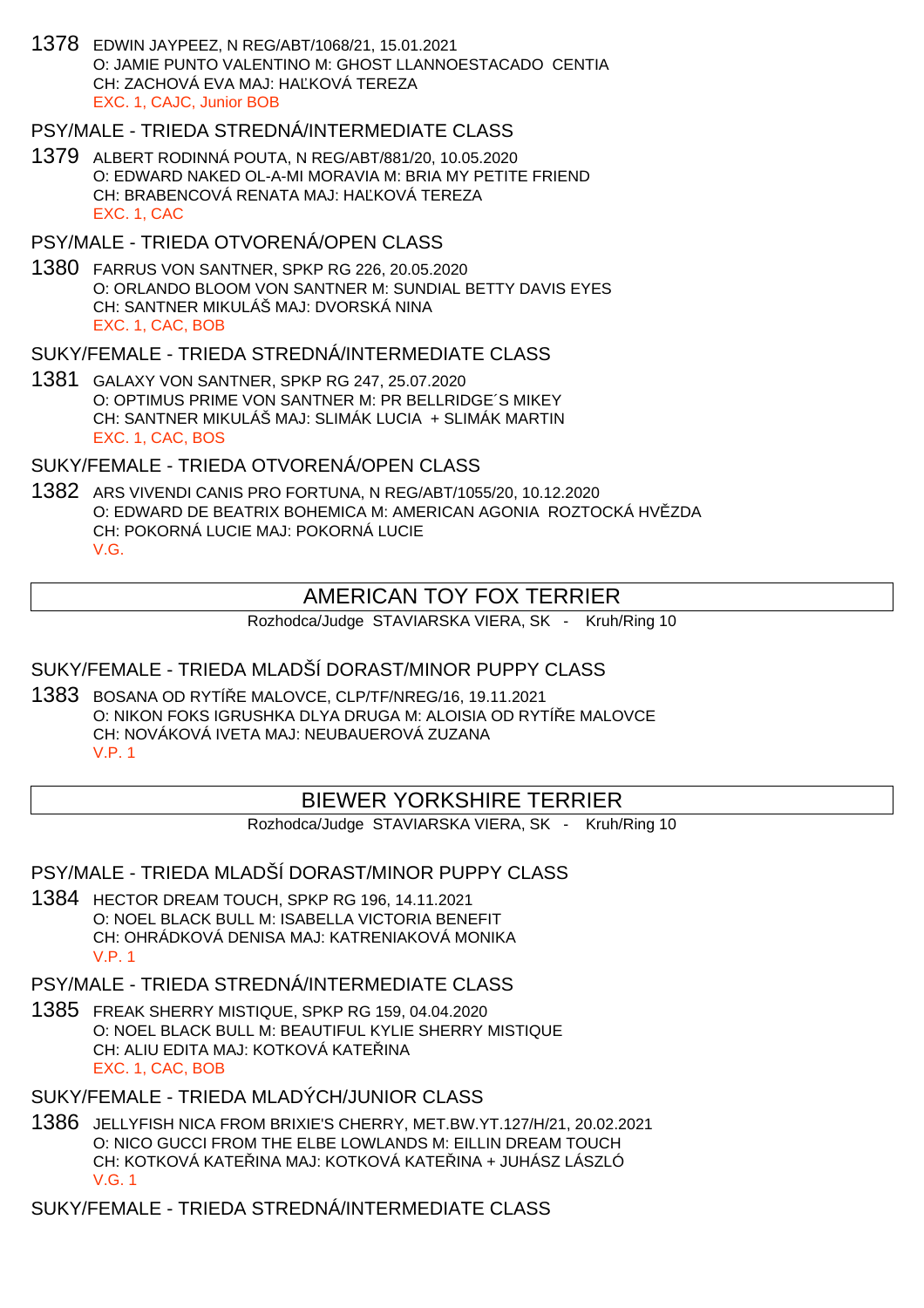1378 EDWIN JAYPEEZ, N REG/ABT/1068/21, 15.01.2021 O: JAMIE PUNTO VALENTINO M: GHOST LLANNOESTACADO CENTIA CH: ZACHOVÁ EVA MAJ: HAĽKOVÁ TEREZA EXC. 1, CAJC, Junior BOB

### PSY/MALE - TRIEDA STREDNÁ/INTERMEDIATE CLASS

1379 ALBERT RODINNÁ POUTA, N REG/ABT/881/20, 10.05.2020 O: EDWARD NAKED OL-A-MI MORAVIA M: BRIA MY PETITE FRIEND CH: BRABENCOVÁ RENATA MAJ: HA KOVÁ TEREZA EXC. 1, CAC

PSY/MALE - TRIEDA OTVORENÁ/OPEN CLASS

1380 FARRUS VON SANTNER, SPKP RG 226, 20.05.2020 O: ORLANDO BLOOM VON SANTNER M: SUNDIAL BETTY DAVIS EYES CH: SANTNER MIKULÁŠ MAJ: DVORSKÁ NINA EXC. 1, CAC, BOB

SUKY/FEMALE - TRIEDA STREDNÁ/INTERMEDIATE CLASS

1381 GALAXY VON SANTNER, SPKP RG 247, 25.07.2020 O: OPTIMUS PRIME VON SANTNER M: PR BELLRIDGE´S MIKEY CH: SANTNER MIKULÁŠ MAJ: SLIMÁK LUCIA + SLIMÁK MARTIN EXC. 1, CAC, BOS

SUKY/FEMALE - TRIEDA OTVORENÁ/OPEN CLASS

1382 ARS VIVENDI CANIS PRO FORTUNA, N REG/ABT/1055/20, 10.12.2020 O: EDWARD DE BEATRIX BOHEMICA M: AMERICAN AGONIA ROZTOCKÁ HVĚZDA CH: POKORNÁ LUCIE MAJ: POKORNÁ LUCIE V.G.

# AMERICAN TOY FOX TERRIER

Rozhodca/Judge STAVIARSKA VIERA, SK - Kruh/Ring 10

### SUKY/FEMALE - TRIEDA MLADŠÍ DORAST/MINOR PUPPY CLASS

1383 BOSANA OD RYTÍ E MALOVCE, CLP/TF/NREG/16, 19.11.2021 O: NIKON FOKS IGRUSHKA DLYA DRUGA M: ALOISIA OD RYTÍ E MALOVCE CH: NOVÁKOVÁ IVETA MAJ: NEUBAUEROVÁ ZUZANA V.P. 1

# BIEWER YORKSHIRE TERRIER

Rozhodca/Judge STAVIARSKA VIERA, SK - Kruh/Ring 10

#### PSY/MALE - TRIEDA MLADŠÍ DORAST/MINOR PUPPY CLASS

1384 HECTOR DREAM TOUCH, SPKP RG 196, 14.11.2021 O: NOEL BLACK BULL M: ISABELLA VICTORIA BENEFIT CH: OHRÁDKOVÁ DENISA MAJ: KATRENIAKOVÁ MONIKA V.P. 1

PSY/MALE - TRIEDA STREDNÁ/INTERMEDIATE CLASS

1385 FREAK SHERRY MISTIQUE, SPKP RG 159, 04.04.2020 O: NOEL BLACK BULL M: BEAUTIFUL KYLIE SHERRY MISTIQUE CH: ALIU EDITA MAJ: KOTKOVÁ KATE INA EXC. 1, CAC, BOB

SUKY/FEMALE - TRIEDA MLADÝCH/JUNIOR CLASS

1386 JELLYFISH NICA FROM BRIXIE'S CHERRY, MET.BW.YT.127/H/21, 20.02.2021 O: NICO GUCCI FROM THE ELBE LOWLANDS M: EILLIN DREAM TOUCH CH: KOTKOVÁ KATE INA MAJ: KOTKOVÁ KATE INA + JUHÁSZ LÁSZLÓ V.G. 1

SUKY/FEMALE - TRIEDA STREDNÁ/INTERMEDIATE CLASS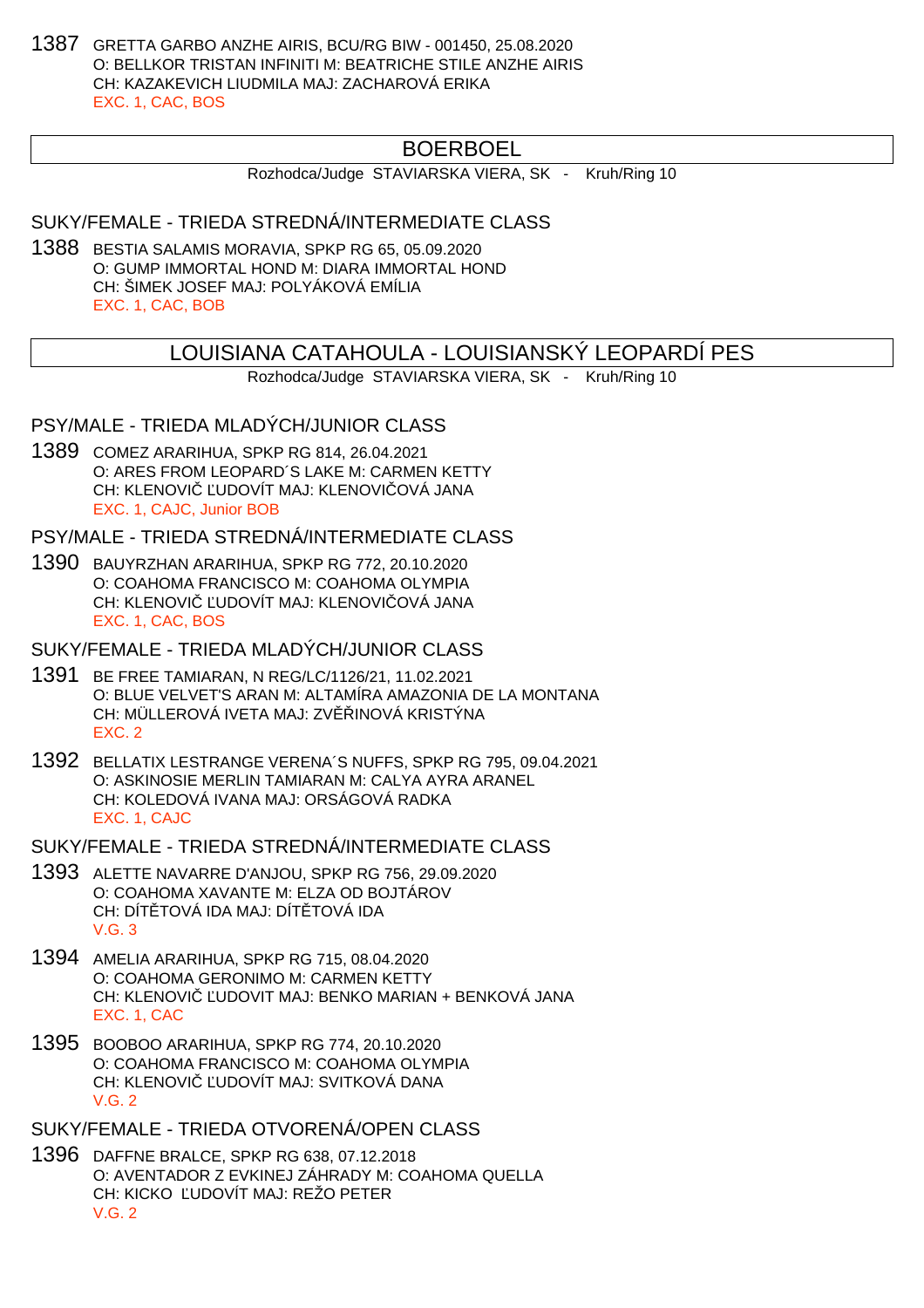1387 GRETTA GARBO ANZHE AIRIS, BCU/RG BIW - 001450, 25.08.2020 O: BELLKOR TRISTAN INFINITI M: BEATRICHE STILE ANZHE AIRIS CH: KAZAKEVICH LIUDMILA MAJ: ZACHAROVÁ ERIKA EXC. 1, CAC, BOS

# BOERBOEL

Rozhodca/Judge STAVIARSKA VIERA, SK - Kruh/Ring 10

SUKY/FEMALE - TRIEDA STREDNÁ/INTERMEDIATE CLASS

1388 BESTIA SALAMIS MORAVIA, SPKP RG 65, 05.09.2020 O: GUMP IMMORTAL HOND M: DIARA IMMORTAL HOND CH: ŠIMEK JOSEF MAJ: POLYÁKOVÁ EMÍLIA EXC. 1, CAC, BOB

### LOUISIANA CATAHOULA - LOUISIANSKÝ LEOPARDÍ PES

Rozhodca/Judge STAVIARSKA VIERA, SK - Kruh/Ring 10

PSY/MALE - TRIEDA MLADÝCH/JUNIOR CLASS

1389 COMEZ ARARIHUA, SPKP RG 814, 26.04.2021 O: ARES FROM LEOPARD´S LAKE M: CARMEN KETTY CH: KLENOVI UDOVÍT MAJ: KLENOVI OVÁ JANA EXC. 1, CAJC, Junior BOB

PSY/MALE - TRIEDA STREDNÁ/INTERMEDIATE CLASS

1390 BAUYRZHAN ARARIHUA, SPKP RG 772, 20.10.2020 O: COAHOMA FRANCISCO M: COAHOMA OLYMPIA CH: KLENOVI UDOVÍT MAJ: KLENOVI OVÁ JANA EXC. 1, CAC, BOS

SUKY/FEMALE - TRIEDA MLADÝCH/JUNIOR CLASS

- 1391 BE FREE TAMIARAN, N REG/LC/1126/21, 11.02.2021 O: BLUE VELVET'S ARAN M: ALTAMÍRA AMAZONIA DE LA MONTANA CH: MÜLLEROVÁ IVETA MAJ: ZV INOVÁ KRISTÝNA EXC. 2
- 1392 BELLATIX LESTRANGE VERENA´S NUFFS, SPKP RG 795, 09.04.2021 O: ASKINOSIE MERLIN TAMIARAN M: CALYA AYRA ARANEL CH: KOLEDOVÁ IVANA MAJ: ORSÁGOVÁ RADKA EXC. 1, CAJC

SUKY/FEMALE - TRIEDA STREDNÁ/INTERMEDIATE CLASS

- 1393 ALETTE NAVARRE D'ANJOU, SPKP RG 756, 29.09.2020 O: COAHOMA XAVANTE M: ELZA OD BOJTÁROV CH: DÍT TOVÁ IDA MAJ: DÍT TOVÁ IDA  $V$  G  $3$
- 1394 AMELIA ARARIHUA, SPKP RG 715, 08.04.2020 O: COAHOMA GERONIMO M: CARMEN KETTY CH: KLENOVI UDOVIT MAJ: BENKO MARIAN + BENKOVÁ JANA EXC. 1, CAC
- 1395 BOOBOO ARARIHUA, SPKP RG 774, 20.10.2020 O: COAHOMA FRANCISCO M: COAHOMA OLYMPIA CH: KLENOVI LUDOVÍT MAJ: SVITKOVÁ DANA  $V$  G  $2$

SUKY/FEMALE - TRIEDA OTVORENÁ/OPEN CLASS

1396 DAFFNE BRALCE, SPKP RG 638, 07.12.2018 O: AVENTADOR Z EVKINEJ ZÁHRADY M: COAHOMA QUELLA CH: KICKO UDOVÍT MAJ: REŽO PETER V.G. 2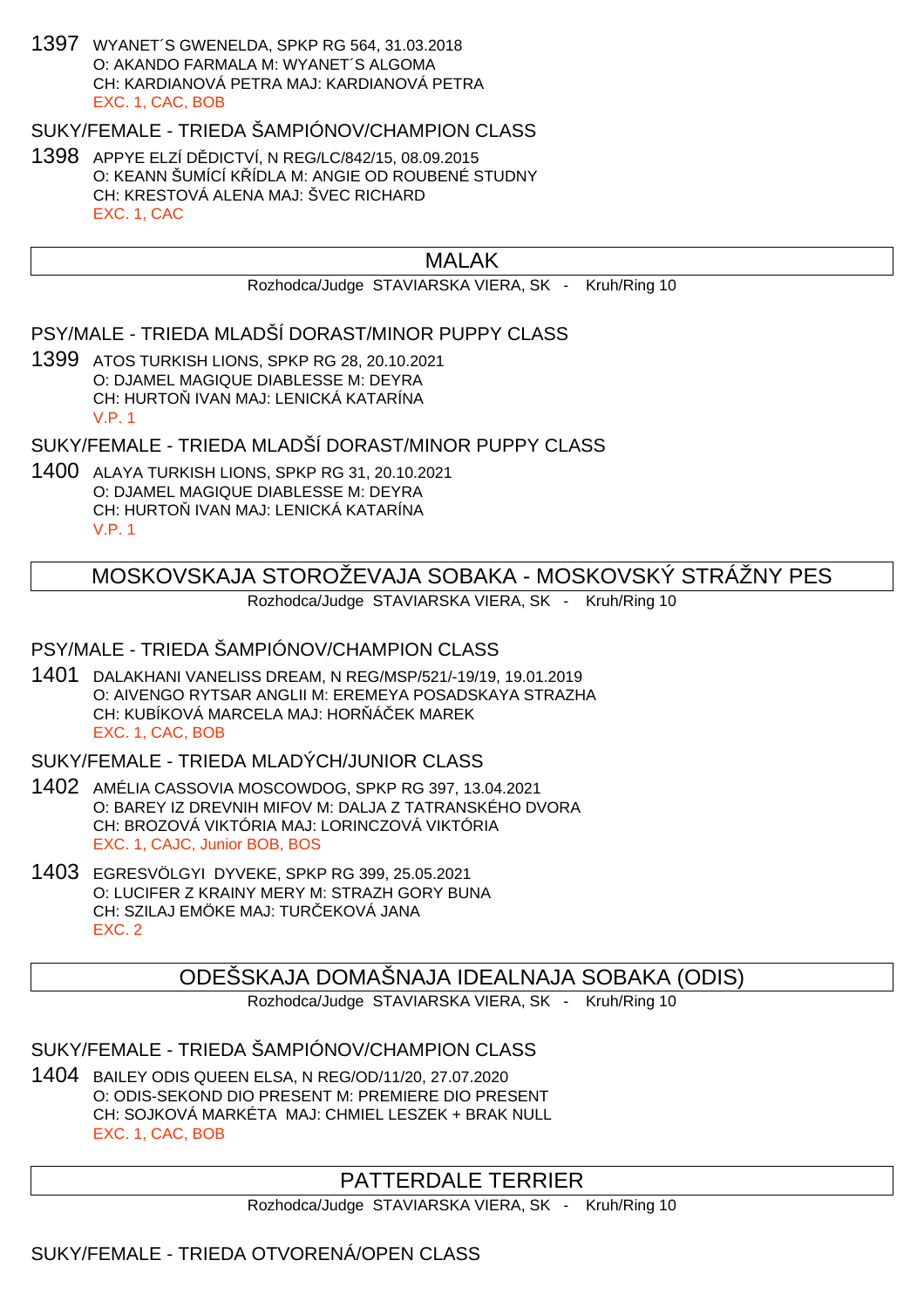1397 WYANET´S GWENELDA, SPKP RG 564, 31.03.2018 O: AKANDO FARMALA M: WYANET´S ALGOMA CH: KARDIANOVÁ PETRA MAJ: KARDIANOVÁ PETRA EXC. 1, CAC, BOB

SUKY/FEMALE - TRIEDA ŠAMPIÓNOV/CHAMPION CLASS

1398 APPYE ELZÍ D DICTVÍ, N REG/LC/842/15, 08.09.2015 O: KEANN ŠUMÍCÍ K ÍDLA M: ANGIE OD ROUBENÉ STUDNY CH: KRESTOVÁ ALENA MAJ: ŠVEC RICHARD EXC. 1, CAC

### MALAK

Rozhodca/Judge STAVIARSKA VIERA, SK - Kruh/Ring 10

PSY/MALE - TRIEDA MLADŠÍ DORAST/MINOR PUPPY CLASS

1399 ATOS TURKISH LIONS, SPKP RG 28, 20.10.2021 O: DJAMEL MAGIQUE DIABLESSE M: DEYRA CH: HURTO IVAN MAJ: LENICKÁ KATARÍNA V.P. 1

SUKY/FEMALE - TRIEDA MLADŠÍ DORAST/MINOR PUPPY CLASS

1400 ALAYA TURKISH LIONS, SPKP RG 31, 20.10.2021 O: DJAMEL MAGIQUE DIABLESSE M: DEYRA CH: HURTO IVAN MAJ: LENICKÁ KATARÍNA V.P. 1

# MOSKOVSKAJA STOROŽEVAJA SOBAKA - MOSKOVSKÝ STRÁŽNY PES

Rozhodca/Judge STAVIARSKA VIERA, SK - Kruh/Ring 10

#### PSY/MALE - TRIEDA ŠAMPIÓNOV/CHAMPION CLASS

1401 DALAKHANI VANELISS DREAM, N REG/MSP/521/-19/19, 19.01.2019 O: AIVENGO RYTSAR ANGLII M: EREMEYA POSADSKAYA STRAZHA CH: KUBÍKOVÁ MARCELA MAJ: HOR Á EK MAREK EXC. 1, CAC, BOB

SUKY/FEMALE - TRIEDA MLADÝCH/JUNIOR CLASS

- 1402 AMÉLIA CASSOVIA MOSCOWDOG, SPKP RG 397, 13.04.2021 O: BAREY IZ DREVNIH MIFOV M: DALJA Z TATRANSKÉHO DVORA CH: BROZOVÁ VIKTÓRIA MAJ: LORINCZOVÁ VIKTÓRIA EXC. 1, CAJC, Junior BOB, BOS
- 1403 EGRESVÖLGYI DYVEKE, SPKP RG 399, 25.05.2021 O: LUCIFER Z KRAINY MERY M: STRAZH GORY BUNA CH: SZILAJ EMÖKE MAJ: TUR EKOVÁ JANA EXC. 2

ODEŠSKAJA DOMAŠNAJA IDEALNAJA SOBAKA (ODIS)

Rozhodca/Judge STAVIARSKA VIERA, SK - Kruh/Ring 10

SUKY/FEMALE - TRIEDA ŠAMPIÓNOV/CHAMPION CLASS

1404 BAILEY ODIS QUEEN ELSA, N REG/OD/11/20, 27.07.2020 O: ODIS-SEKOND DIO PRESENT M: PREMIERE DIO PRESENT CH: SOJKOVÁ MARKÉTA MAJ: CHMIEL LESZEK + BRAK NULL EXC. 1, CAC, BOB

# PATTERDALE TERRIER

Rozhodca/Judge STAVIARSKA VIERA, SK - Kruh/Ring 10